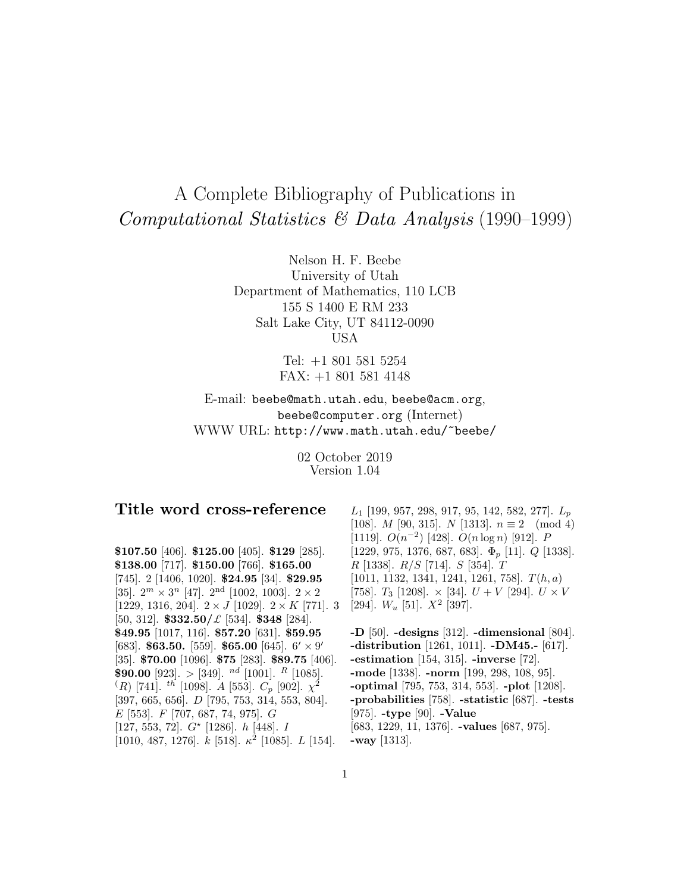# A Complete Bibliography of Publications in Computational Statistics & Data Analysis (1990–1999)

Nelson H. F. Beebe University of Utah Department of Mathematics, 110 LCB 155 S 1400 E RM 233 Salt Lake City, UT 84112-0090 USA

> Tel: +1 801 581 5254 FAX: +1 801 581 4148

E-mail: beebe@math.utah.edu, beebe@acm.org, beebe@computer.org (Internet) WWW URL: http://www.math.utah.edu/~beebe/

> 02 October 2019 Version 1.04

# **Title word cross-reference**

**\$107.50** [406]. **\$125.00** [405]. **\$129** [285]. **\$138.00** [717]. **\$150.00** [766]. **\$165.00** [745]. 2 [1406, 1020]. **\$24.95** [34]. **\$29.95** [35].  $2^m \times 3^n$  [47].  $2^{\text{nd}}$  [1002, 1003].  $2 \times 2$ [1229, 1316, 204].  $2 \times J$  [1029].  $2 \times K$  [771]. 3 [50, 312]. **\$332.50/**£ [534]. **\$348** [284]. **\$49.95** [1017, 116]. **\$57.20** [631]. **\$59.95** [683]. **\$63.50.** [559]. **\$65.00** [645].  $6' \times 9'$ [35]. **\$70.00** [1096]. **\$75** [283]. **\$89.75** [406]. **\$90.00** [923]. > [349]. <sup>nd</sup> [1001]. <sup>R</sup> [1085].  $(R)$  [741]. th [1098]. A [553].  $C_p$  [902].  $\chi^2$ [397, 665, 656]. D [795, 753, 314, 553, 804]. E [553]. F [707, 687, 74, 975]. G [127, 553, 72].  $G^{\star}$  [1286].  $h$  [448]. I [1010, 487, 1276].  $k$  [518].  $\kappa^2$  [1085]. L [154].

 $L_1$  [199, 957, 298, 917, 95, 142, 582, 277].  $L_p$ [108]. *M* [90, 315]. *N* [1313].  $n \equiv 2 \pmod{4}$ [1119].  $O(n^{-2})$  [428].  $O(n \log n)$  [912]. P [1229, 975, 1376, 687, 683].  $\Phi_p$  [11].  $Q$  [1338].  $R$  [1338].  $R/S$  [714].  $S$  [354].  $T$ [1011, 1132, 1341, 1241, 1261, 758].  $T(h, a)$ [758].  $T_3$  [1208].  $\times$  [34].  $U + V$  [294].  $U \times V$ [294].  $W_u$  [51].  $X^2$  [397].

**-D** [50]. **-designs** [312]. **-dimensional** [804]. **-distribution** [1261, 1011]. **-DM45.-** [617]. **-estimation** [154, 315]. **-inverse** [72]. **-mode** [1338]. **-norm** [199, 298, 108, 95]. **-optimal** [795, 753, 314, 553]. **-plot** [1208]. **-probabilities** [758]. **-statistic** [687]. **-tests** [975]. **-type** [90]. **-Value** [683, 1229, 11, 1376]. **-values** [687, 975]. **-way** [1313].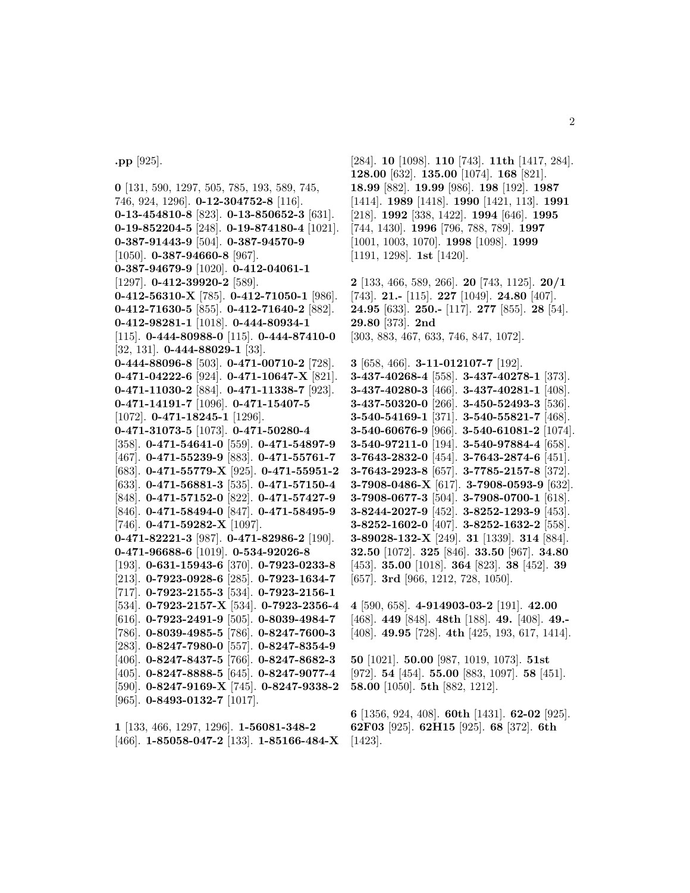**.pp** [925].

**0** [131, 590, 1297, 505, 785, 193, 589, 745, 746, 924, 1296]. **0-12-304752-8** [116]. **0-13-454810-8** [823]. **0-13-850652-3** [631]. **0-19-852204-5** [248]. **0-19-874180-4** [1021]. **0-387-91443-9** [504]. **0-387-94570-9** [1050]. **0-387-94660-8** [967]. **0-387-94679-9** [1020]. **0-412-04061-1** [1297]. **0-412-39920-2** [589]. **0-412-56310-X** [785]. **0-412-71050-1** [986]. **0-412-71630-5** [855]. **0-412-71640-2** [882]. **0-412-98281-1** [1018]. **0-444-80934-1** [115]. **0-444-80988-0** [115]. **0-444-87410-0** [32, 131]. **0-444-88029-1** [33]. **0-444-88096-8** [503]. **0-471-00710-2** [728]. **0-471-04222-6** [924]. **0-471-10647-X** [821]. **0-471-11030-2** [884]. **0-471-11338-7** [923]. **0-471-14191-7** [1096]. **0-471-15407-5** [1072]. **0-471-18245-1** [1296]. **0-471-31073-5** [1073]. **0-471-50280-4** [358]. **0-471-54641-0** [559]. **0-471-54897-9** [467]. **0-471-55239-9** [883]. **0-471-55761-7** [683]. **0-471-55779-X** [925]. **0-471-55951-2** [633]. **0-471-56881-3** [535]. **0-471-57150-4** [848]. **0-471-57152-0** [822]. **0-471-57427-9** [846]. **0-471-58494-0** [847]. **0-471-58495-9** [746]. **0-471-59282-X** [1097]. **0-471-82221-3** [987]. **0-471-82986-2** [190]. **0-471-96688-6** [1019]. **0-534-92026-8** [193]. **0-631-15943-6** [370]. **0-7923-0233-8** [213]. **0-7923-0928-6** [285]. **0-7923-1634-7** [717]. **0-7923-2155-3** [534]. **0-7923-2156-1** [534]. **0-7923-2157-X** [534]. **0-7923-2356-4** [616]. **0-7923-2491-9** [505]. **0-8039-4984-7** [786]. **0-8039-4985-5** [786]. **0-8247-7600-3** [283]. **0-8247-7980-0** [557]. **0-8247-8354-9** [406]. **0-8247-8437-5** [766]. **0-8247-8682-3** [405]. **0-8247-8888-5** [645]. **0-8247-9077-4** [590]. **0-8247-9169-X** [745]. **0-8247-9338-2** [965]. **0-8493-0132-7** [1017].

**1** [133, 466, 1297, 1296]. **1-56081-348-2** [466]. **1-85058-047-2** [133]. **1-85166-484-X** [284]. **10** [1098]. **110** [743]. **11th** [1417, 284]. **128.00** [632]. **135.00** [1074]. **168** [821]. **18.99** [882]. **19.99** [986]. **198** [192]. **1987** [1414]. **1989** [1418]. **1990** [1421, 113]. **1991** [218]. **1992** [338, 1422]. **1994** [646]. **1995** [744, 1430]. **1996** [796, 788, 789]. **1997** [1001, 1003, 1070]. **1998** [1098]. **1999** [1191, 1298]. **1st** [1420].

**2** [133, 466, 589, 266]. **20** [743, 1125]. **20/1** [743]. **21.-** [115]. **227** [1049]. **24.80** [407]. **24.95** [633]. **250.-** [117]. **277** [855]. **28** [54]. **29.80** [373]. **2nd** [303, 883, 467, 633, 746, 847, 1072].

**3** [658, 466]. **3-11-012107-7** [192]. **3-437-40268-4** [558]. **3-437-40278-1** [373]. **3-437-40280-3** [466]. **3-437-40281-1** [408]. **3-437-50320-0** [266]. **3-450-52493-3** [536]. **3-540-54169-1** [371]. **3-540-55821-7** [468]. **3-540-60676-9** [966]. **3-540-61081-2** [1074]. **3-540-97211-0** [194]. **3-540-97884-4** [658]. **3-7643-2832-0** [454]. **3-7643-2874-6** [451]. **3-7643-2923-8** [657]. **3-7785-2157-8** [372]. **3-7908-0486-X** [617]. **3-7908-0593-9** [632]. **3-7908-0677-3** [504]. **3-7908-0700-1** [618]. **3-8244-2027-9** [452]. **3-8252-1293-9** [453]. **3-8252-1602-0** [407]. **3-8252-1632-2** [558]. **3-89028-132-X** [249]. **31** [1339]. **314** [884]. **32.50** [1072]. **325** [846]. **33.50** [967]. **34.80** [453]. **35.00** [1018]. **364** [823]. **38** [452]. **39** [657]. **3rd** [966, 1212, 728, 1050].

**4** [590, 658]. **4-914903-03-2** [191]. **42.00** [468]. **449** [848]. **48th** [188]. **49.** [408]. **49.-** [408]. **49.95** [728]. **4th** [425, 193, 617, 1414].

**50** [1021]. **50.00** [987, 1019, 1073]. **51st** [972]. **54** [454]. **55.00** [883, 1097]. **58** [451]. **58.00** [1050]. **5th** [882, 1212].

**6** [1356, 924, 408]. **60th** [1431]. **62-02** [925]. **62F03** [925]. **62H15** [925]. **68** [372]. **6th** [1423].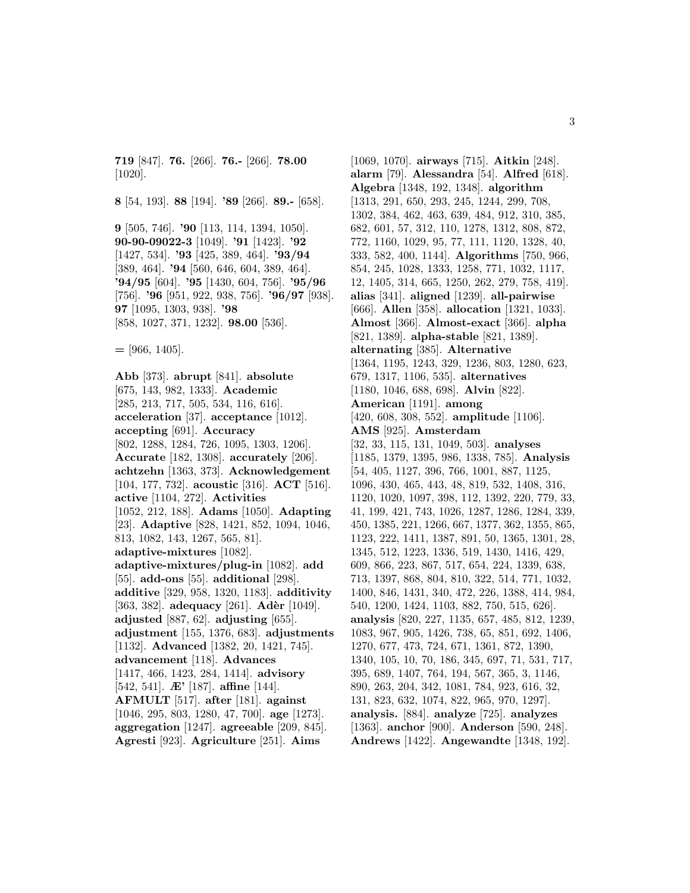**719** [847]. **76.** [266]. **76.-** [266]. **78.00** [1020].

**8** [54, 193]. **88** [194]. **'89** [266]. **89.-** [658].

**9** [505, 746]. **'90** [113, 114, 1394, 1050]. **90-90-09022-3** [1049]. **'91** [1423]. **'92** [1427, 534]. **'93** [425, 389, 464]. **'93/94** [389, 464]. **'94** [560, 646, 604, 389, 464]. **'94/95** [604]. **'95** [1430, 604, 756]. **'95/96** [756]. **'96** [951, 922, 938, 756]. **'96/97** [938]. **97** [1095, 1303, 938]. **'98** [858, 1027, 371, 1232]. **98.00** [536].

**=** [966, 1405].

**Abb** [373]. **abrupt** [841]. **absolute** [675, 143, 982, 1333]. **Academic** [285, 213, 717, 505, 534, 116, 616]. **acceleration** [37]. **acceptance** [1012]. **accepting** [691]. **Accuracy** [802, 1288, 1284, 726, 1095, 1303, 1206]. **Accurate** [182, 1308]. **accurately** [206]. **achtzehn** [1363, 373]. **Acknowledgement** [104, 177, 732]. **acoustic** [316]. **ACT** [516]. **active** [1104, 272]. **Activities** [1052, 212, 188]. **Adams** [1050]. **Adapting** [23]. **Adaptive** [828, 1421, 852, 1094, 1046, 813, 1082, 143, 1267, 565, 81]. **adaptive-mixtures** [1082]. **adaptive-mixtures/plug-in** [1082]. **add** [55]. **add-ons** [55]. **additional** [298]. **additive** [329, 958, 1320, 1183]. **additivity** [363, 382]. **adequacy** [261]. **Adèr** [1049]. **adjusted** [887, 62]. **adjusting** [655]. **adjustment** [155, 1376, 683]. **adjustments** [1132]. **Advanced** [1382, 20, 1421, 745]. **advancement** [118]. **Advances** [1417, 466, 1423, 284, 1414]. **advisory** [542, 541]. **Æ'** [187]. **affine** [144]. **AFMULT** [517]. **after** [181]. **against** [1046, 295, 803, 1280, 47, 700]. **age** [1273]. **aggregation** [1247]. **agreeable** [209, 845]. **Agresti** [923]. **Agriculture** [251]. **Aims**

[1069, 1070]. **airways** [715]. **Aitkin** [248]. **alarm** [79]. **Alessandra** [54]. **Alfred** [618]. **Algebra** [1348, 192, 1348]. **algorithm** [1313, 291, 650, 293, 245, 1244, 299, 708, 1302, 384, 462, 463, 639, 484, 912, 310, 385, 682, 601, 57, 312, 110, 1278, 1312, 808, 872, 772, 1160, 1029, 95, 77, 111, 1120, 1328, 40, 333, 582, 400, 1144]. **Algorithms** [750, 966, 854, 245, 1028, 1333, 1258, 771, 1032, 1117, 12, 1405, 314, 665, 1250, 262, 279, 758, 419]. **alias** [341]. **aligned** [1239]. **all-pairwise** [666]. **Allen** [358]. **allocation** [1321, 1033]. **Almost** [366]. **Almost-exact** [366]. **alpha** [821, 1389]. **alpha-stable** [821, 1389]. **alternating** [385]. **Alternative** [1364, 1195, 1243, 329, 1236, 803, 1280, 623, 679, 1317, 1106, 535]. **alternatives** [1180, 1046, 688, 698]. **Alvin** [822]. **American** [1191]. **among** [420, 608, 308, 552]. **amplitude** [1106]. **AMS** [925]. **Amsterdam** [32, 33, 115, 131, 1049, 503]. **analyses** [1185, 1379, 1395, 986, 1338, 785]. **Analysis** [54, 405, 1127, 396, 766, 1001, 887, 1125, 1096, 430, 465, 443, 48, 819, 532, 1408, 316, 1120, 1020, 1097, 398, 112, 1392, 220, 779, 33, 41, 199, 421, 743, 1026, 1287, 1286, 1284, 339, 450, 1385, 221, 1266, 667, 1377, 362, 1355, 865, 1123, 222, 1411, 1387, 891, 50, 1365, 1301, 28, 1345, 512, 1223, 1336, 519, 1430, 1416, 429, 609, 866, 223, 867, 517, 654, 224, 1339, 638, 713, 1397, 868, 804, 810, 322, 514, 771, 1032, 1400, 846, 1431, 340, 472, 226, 1388, 414, 984, 540, 1200, 1424, 1103, 882, 750, 515, 626]. **analysis** [820, 227, 1135, 657, 485, 812, 1239, 1083, 967, 905, 1426, 738, 65, 851, 692, 1406, 1270, 677, 473, 724, 671, 1361, 872, 1390, 1340, 105, 10, 70, 186, 345, 697, 71, 531, 717, 395, 689, 1407, 764, 194, 567, 365, 3, 1146, 890, 263, 204, 342, 1081, 784, 923, 616, 32, 131, 823, 632, 1074, 822, 965, 970, 1297]. **analysis.** [884]. **analyze** [725]. **analyzes** [1363]. **anchor** [900]. **Anderson** [590, 248]. **Andrews** [1422]. **Angewandte** [1348, 192].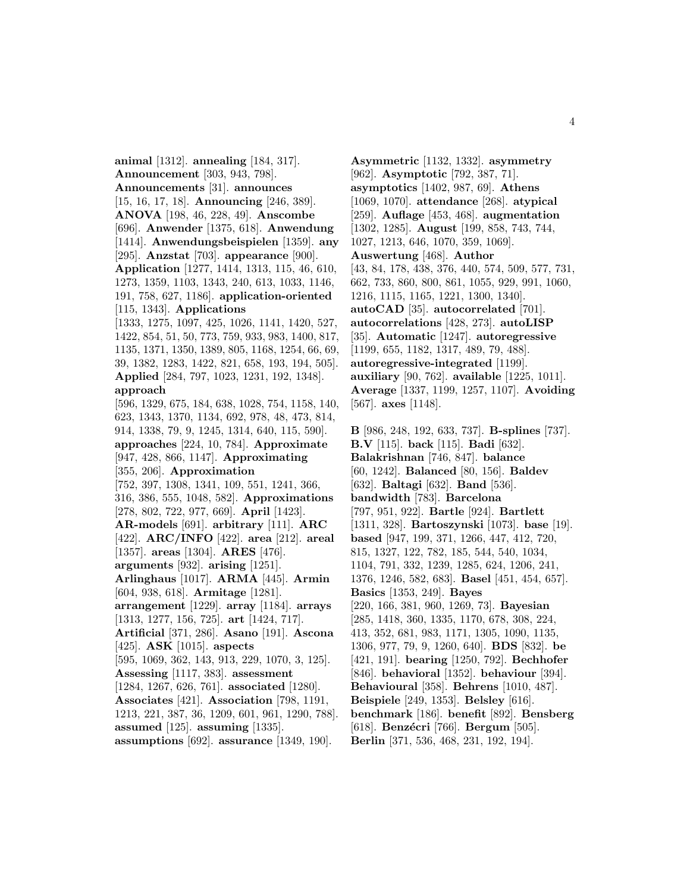**animal** [1312]. **annealing** [184, 317]. **Announcement** [303, 943, 798]. **Announcements** [31]. **announces** [15, 16, 17, 18]. **Announcing** [246, 389]. **ANOVA** [198, 46, 228, 49]. **Anscombe** [696]. **Anwender** [1375, 618]. **Anwendung** [1414]. **Anwendungsbeispielen** [1359]. **any** [295]. **Anzstat** [703]. **appearance** [900]. **Application** [1277, 1414, 1313, 115, 46, 610, 1273, 1359, 1103, 1343, 240, 613, 1033, 1146, 191, 758, 627, 1186]. **application-oriented** [115, 1343]. **Applications** [1333, 1275, 1097, 425, 1026, 1141, 1420, 527, 1422, 854, 51, 50, 773, 759, 933, 983, 1400, 817, 1135, 1371, 1350, 1389, 805, 1168, 1254, 66, 69, 39, 1382, 1283, 1422, 821, 658, 193, 194, 505]. **Applied** [284, 797, 1023, 1231, 192, 1348]. **approach** [596, 1329, 675, 184, 638, 1028, 754, 1158, 140, 623, 1343, 1370, 1134, 692, 978, 48, 473, 814, 914, 1338, 79, 9, 1245, 1314, 640, 115, 590]. **approaches** [224, 10, 784]. **Approximate** [947, 428, 866, 1147]. **Approximating** [355, 206]. **Approximation** [752, 397, 1308, 1341, 109, 551, 1241, 366, 316, 386, 555, 1048, 582]. **Approximations** [278, 802, 722, 977, 669]. **April** [1423]. **AR-models** [691]. **arbitrary** [111]. **ARC** [422]. **ARC/INFO** [422]. **area** [212]. **areal** [1357]. **areas** [1304]. **ARES** [476]. **arguments** [932]. **arising** [1251]. **Arlinghaus** [1017]. **ARMA** [445]. **Armin** [604, 938, 618]. **Armitage** [1281]. **arrangement** [1229]. **array** [1184]. **arrays** [1313, 1277, 156, 725]. **art** [1424, 717]. **Artificial** [371, 286]. **Asano** [191]. **Ascona** [425]. **ASK** [1015]. **aspects** [595, 1069, 362, 143, 913, 229, 1070, 3, 125]. **Assessing** [1117, 383]. **assessment** [1284, 1267, 626, 761]. **associated** [1280]. **Associates** [421]. **Association** [798, 1191, 1213, 221, 387, 36, 1209, 601, 961, 1290, 788]. **assumed** [125]. **assuming** [1335]. **assumptions** [692]. **assurance** [1349, 190].

**Asymmetric** [1132, 1332]. **asymmetry** [962]. **Asymptotic** [792, 387, 71]. **asymptotics** [1402, 987, 69]. **Athens** [1069, 1070]. **attendance** [268]. **atypical** [259]. **Auflage** [453, 468]. **augmentation** [1302, 1285]. **August** [199, 858, 743, 744, 1027, 1213, 646, 1070, 359, 1069]. **Auswertung** [468]. **Author** [43, 84, 178, 438, 376, 440, 574, 509, 577, 731, 662, 733, 860, 800, 861, 1055, 929, 991, 1060, 1216, 1115, 1165, 1221, 1300, 1340]. **autoCAD** [35]. **autocorrelated** [701]. **autocorrelations** [428, 273]. **autoLISP** [35]. **Automatic** [1247]. **autoregressive** [1199, 655, 1182, 1317, 489, 79, 488]. **autoregressive-integrated** [1199]. **auxiliary** [90, 762]. **available** [1225, 1011]. **Average** [1337, 1199, 1257, 1107]. **Avoiding** [567]. **axes** [1148].

**B** [986, 248, 192, 633, 737]. **B-splines** [737]. **B.V** [115]. **back** [115]. **Badi** [632]. **Balakrishnan** [746, 847]. **balance** [60, 1242]. **Balanced** [80, 156]. **Baldev** [632]. **Baltagi** [632]. **Band** [536]. **bandwidth** [783]. **Barcelona** [797, 951, 922]. **Bartle** [924]. **Bartlett** [1311, 328]. **Bartoszynski** [1073]. **base** [19]. **based** [947, 199, 371, 1266, 447, 412, 720, 815, 1327, 122, 782, 185, 544, 540, 1034, 1104, 791, 332, 1239, 1285, 624, 1206, 241, 1376, 1246, 582, 683]. **Basel** [451, 454, 657]. **Basics** [1353, 249]. **Bayes** [220, 166, 381, 960, 1269, 73]. **Bayesian** [285, 1418, 360, 1335, 1170, 678, 308, 224, 413, 352, 681, 983, 1171, 1305, 1090, 1135, 1306, 977, 79, 9, 1260, 640]. **BDS** [832]. **be** [421, 191]. **bearing** [1250, 792]. **Bechhofer** [846]. **behavioral** [1352]. **behaviour** [394]. **Behavioural** [358]. **Behrens** [1010, 487]. **Beispiele** [249, 1353]. **Belsley** [616]. **benchmark** [186]. **benefit** [892]. **Bensberg** [618]. **Benzécri** [766]. **Bergum** [505]. **Berlin** [371, 536, 468, 231, 192, 194].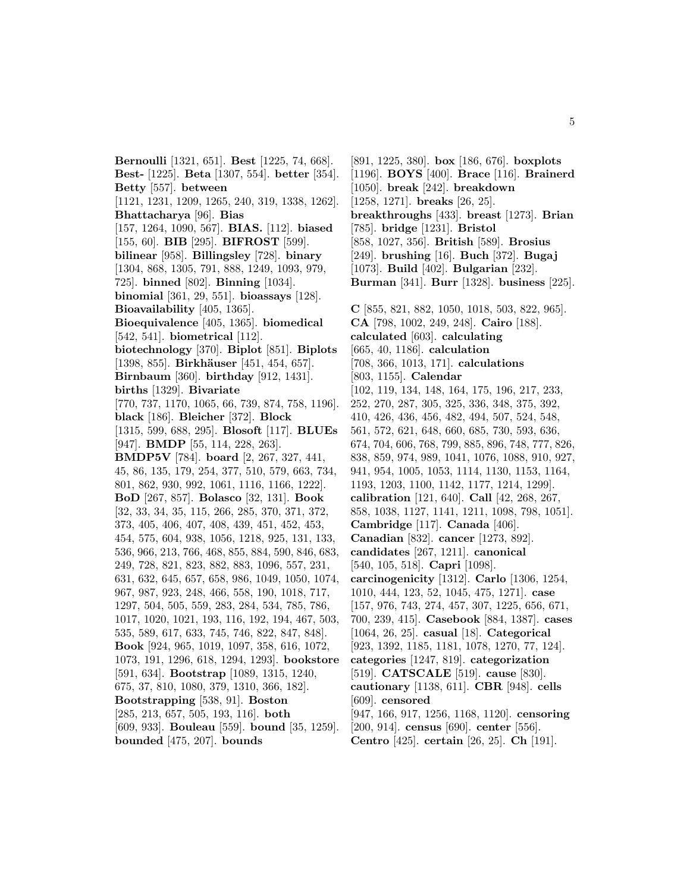**Bernoulli** [1321, 651]. **Best** [1225, 74, 668]. **Best-** [1225]. **Beta** [1307, 554]. **better** [354]. **Betty** [557]. **between** [1121, 1231, 1209, 1265, 240, 319, 1338, 1262]. **Bhattacharya** [96]. **Bias** [157, 1264, 1090, 567]. **BIAS.** [112]. **biased** [155, 60]. **BIB** [295]. **BIFROST** [599]. **bilinear** [958]. **Billingsley** [728]. **binary** [1304, 868, 1305, 791, 888, 1249, 1093, 979, 725]. **binned** [802]. **Binning** [1034]. **binomial** [361, 29, 551]. **bioassays** [128]. **Bioavailability** [405, 1365]. **Bioequivalence** [405, 1365]. **biomedical** [542, 541]. **biometrical** [112]. **biotechnology** [370]. **Biplot** [851]. **Biplots** [1398, 855]. **Birkhäuser** [451, 454, 657]. **Birnbaum** [360]. **birthday** [912, 1431]. **births** [1329]. **Bivariate** [770, 737, 1170, 1065, 66, 739, 874, 758, 1196]. **black** [186]. **Bleicher** [372]. **Block** [1315, 599, 688, 295]. **Blosoft** [117]. **BLUEs** [947]. **BMDP** [55, 114, 228, 263]. **BMDP5V** [784]. **board** [2, 267, 327, 441, 45, 86, 135, 179, 254, 377, 510, 579, 663, 734, 801, 862, 930, 992, 1061, 1116, 1166, 1222]. **BoD** [267, 857]. **Bolasco** [32, 131]. **Book** [32, 33, 34, 35, 115, 266, 285, 370, 371, 372, 373, 405, 406, 407, 408, 439, 451, 452, 453, 454, 575, 604, 938, 1056, 1218, 925, 131, 133, 536, 966, 213, 766, 468, 855, 884, 590, 846, 683, 249, 728, 821, 823, 882, 883, 1096, 557, 231, 631, 632, 645, 657, 658, 986, 1049, 1050, 1074, 967, 987, 923, 248, 466, 558, 190, 1018, 717, 1297, 504, 505, 559, 283, 284, 534, 785, 786, 1017, 1020, 1021, 193, 116, 192, 194, 467, 503, 535, 589, 617, 633, 745, 746, 822, 847, 848]. **Book** [924, 965, 1019, 1097, 358, 616, 1072, 1073, 191, 1296, 618, 1294, 1293]. **bookstore** [591, 634]. **Bootstrap** [1089, 1315, 1240, 675, 37, 810, 1080, 379, 1310, 366, 182]. **Bootstrapping** [538, 91]. **Boston** [285, 213, 657, 505, 193, 116]. **both** [609, 933]. **Bouleau** [559]. **bound** [35, 1259]. **bounded** [475, 207]. **bounds**

[891, 1225, 380]. **box** [186, 676]. **boxplots** [1196]. **BOYS** [400]. **Brace** [116]. **Brainerd** [1050]. **break** [242]. **breakdown** [1258, 1271]. **breaks** [26, 25]. **breakthroughs** [433]. **breast** [1273]. **Brian** [785]. **bridge** [1231]. **Bristol** [858, 1027, 356]. **British** [589]. **Brosius** [249]. **brushing** [16]. **Buch** [372]. **Bugaj** [1073]. **Build** [402]. **Bulgarian** [232]. **Burman** [341]. **Burr** [1328]. **business** [225]. **C** [855, 821, 882, 1050, 1018, 503, 822, 965]. **CA** [798, 1002, 249, 248]. **Cairo** [188]. **calculated** [603]. **calculating** [665, 40, 1186]. **calculation** [708, 366, 1013, 171]. **calculations** [803, 1155]. **Calendar** [102, 119, 134, 148, 164, 175, 196, 217, 233, 252, 270, 287, 305, 325, 336, 348, 375, 392, 410, 426, 436, 456, 482, 494, 507, 524, 548, 561, 572, 621, 648, 660, 685, 730, 593, 636, 674, 704, 606, 768, 799, 885, 896, 748, 777, 826, 838, 859, 974, 989, 1041, 1076, 1088, 910, 927, 941, 954, 1005, 1053, 1114, 1130, 1153, 1164, 1193, 1203, 1100, 1142, 1177, 1214, 1299]. **calibration** [121, 640]. **Call** [42, 268, 267, 858, 1038, 1127, 1141, 1211, 1098, 798, 1051]. **Cambridge** [117]. **Canada** [406]. **Canadian** [832]. **cancer** [1273, 892]. **candidates** [267, 1211]. **canonical** [540, 105, 518]. **Capri** [1098]. **carcinogenicity** [1312]. **Carlo** [1306, 1254, 1010, 444, 123, 52, 1045, 475, 1271]. **case** [157, 976, 743, 274, 457, 307, 1225, 656, 671, 700, 239, 415]. **Casebook** [884, 1387]. **cases** [1064, 26, 25]. **casual** [18]. **Categorical** [923, 1392, 1185, 1181, 1078, 1270, 77, 124]. **categories** [1247, 819]. **categorization** [519]. **CATSCALE** [519]. **cause** [830]. **cautionary** [1138, 611]. **CBR** [948]. **cells** [609]. **censored** [947, 166, 917, 1256, 1168, 1120]. **censoring** [200, 914]. **census** [690]. **center** [556]. **Centro** [425]. **certain** [26, 25]. **Ch** [191].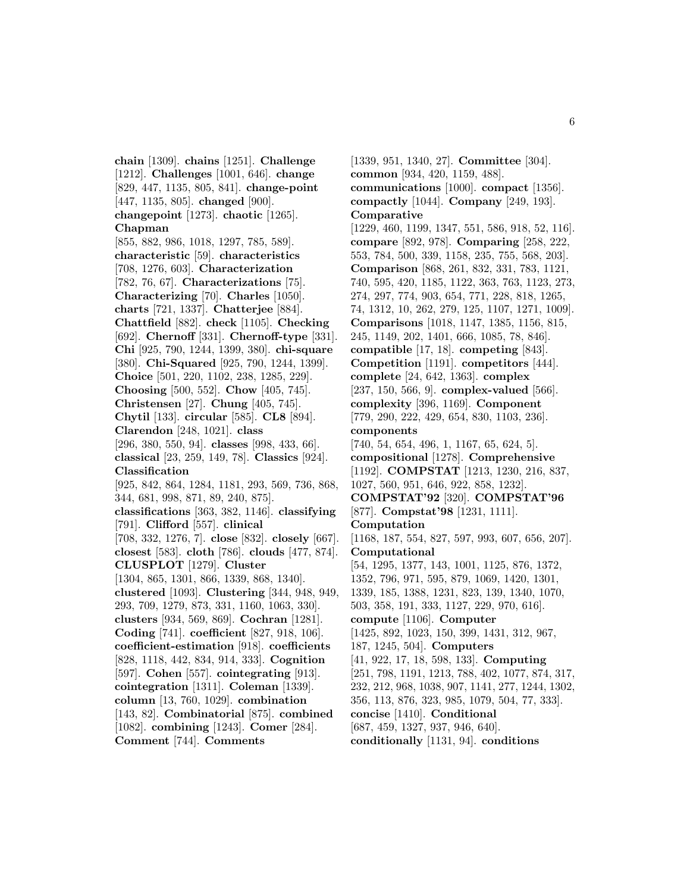**chain** [1309]. **chains** [1251]. **Challenge** [1212]. **Challenges** [1001, 646]. **change** [829, 447, 1135, 805, 841]. **change-point** [447, 1135, 805]. **changed** [900]. **changepoint** [1273]. **chaotic** [1265]. **Chapman** [855, 882, 986, 1018, 1297, 785, 589]. **characteristic** [59]. **characteristics** [708, 1276, 603]. **Characterization** [782, 76, 67]. **Characterizations** [75]. **Characterizing** [70]. **Charles** [1050]. **charts** [721, 1337]. **Chatterjee** [884]. **Chattfield** [882]. **check** [1105]. **Checking** [692]. **Chernoff** [331]. **Chernoff-type** [331]. **Chi** [925, 790, 1244, 1399, 380]. **chi-square** [380]. **Chi-Squared** [925, 790, 1244, 1399]. **Choice** [501, 220, 1102, 238, 1285, 229]. **Choosing** [500, 552]. **Chow** [405, 745]. **Christensen** [27]. **Chung** [405, 745]. **Chytil** [133]. **circular** [585]. **CL8** [894]. **Clarendon** [248, 1021]. **class** [296, 380, 550, 94]. **classes** [998, 433, 66]. **classical** [23, 259, 149, 78]. **Classics** [924]. **Classification** [925, 842, 864, 1284, 1181, 293, 569, 736, 868, 344, 681, 998, 871, 89, 240, 875]. **classifications** [363, 382, 1146]. **classifying** [791]. **Clifford** [557]. **clinical** [708, 332, 1276, 7]. **close** [832]. **closely** [667]. **closest** [583]. **cloth** [786]. **clouds** [477, 874]. **CLUSPLOT** [1279]. **Cluster** [1304, 865, 1301, 866, 1339, 868, 1340]. **clustered** [1093]. **Clustering** [344, 948, 949, 293, 709, 1279, 873, 331, 1160, 1063, 330]. **clusters** [934, 569, 869]. **Cochran** [1281]. **Coding** [741]. **coefficient** [827, 918, 106]. **coefficient-estimation** [918]. **coefficients** [828, 1118, 442, 834, 914, 333]. **Cognition** [597]. **Cohen** [557]. **cointegrating** [913]. **cointegration** [1311]. **Coleman** [1339]. **column** [13, 760, 1029]. **combination** [143, 82]. **Combinatorial** [875]. **combined** [1082]. **combining** [1243]. **Comer** [284]. **Comment** [744]. **Comments**

**Comparative** [1229, 460, 1199, 1347, 551, 586, 918, 52, 116]. **compare** [892, 978]. **Comparing** [258, 222, 553, 784, 500, 339, 1158, 235, 755, 568, 203]. **Comparison** [868, 261, 832, 331, 783, 1121, 740, 595, 420, 1185, 1122, 363, 763, 1123, 273, 274, 297, 774, 903, 654, 771, 228, 818, 1265, 74, 1312, 10, 262, 279, 125, 1107, 1271, 1009]. **Comparisons** [1018, 1147, 1385, 1156, 815, 245, 1149, 202, 1401, 666, 1085, 78, 846]. **compatible** [17, 18]. **competing** [843]. **Competition** [1191]. **competitors** [444]. **complete** [24, 642, 1363]. **complex** [237, 150, 566, 9]. **complex-valued** [566]. **complexity** [396, 1169]. **Component** [779, 290, 222, 429, 654, 830, 1103, 236]. **components** [740, 54, 654, 496, 1, 1167, 65, 624, 5]. **compositional** [1278]. **Comprehensive** [1192]. **COMPSTAT** [1213, 1230, 216, 837, 1027, 560, 951, 646, 922, 858, 1232]. **COMPSTAT'92** [320]. **COMPSTAT'96** [877]. **Compstat'98** [1231, 1111]. **Computation** [1168, 187, 554, 827, 597, 993, 607, 656, 207]. **Computational** [54, 1295, 1377, 143, 1001, 1125, 876, 1372, 1352, 796, 971, 595, 879, 1069, 1420, 1301, 1339, 185, 1388, 1231, 823, 139, 1340, 1070, 503, 358, 191, 333, 1127, 229, 970, 616]. **compute** [1106]. **Computer** [1425, 892, 1023, 150, 399, 1431, 312, 967, 187, 1245, 504]. **Computers** [41, 922, 17, 18, 598, 133]. **Computing** [251, 798, 1191, 1213, 788, 402, 1077, 874, 317, 232, 212, 968, 1038, 907, 1141, 277, 1244, 1302,

[1339, 951, 1340, 27]. **Committee** [304].

**communications** [1000]. **compact** [1356]. **compactly** [1044]. **Company** [249, 193].

**common** [934, 420, 1159, 488].

356, 113, 876, 323, 985, 1079, 504, 77, 333].

**concise** [1410]. **Conditional**

[687, 459, 1327, 937, 946, 640].

**conditionally** [1131, 94]. **conditions**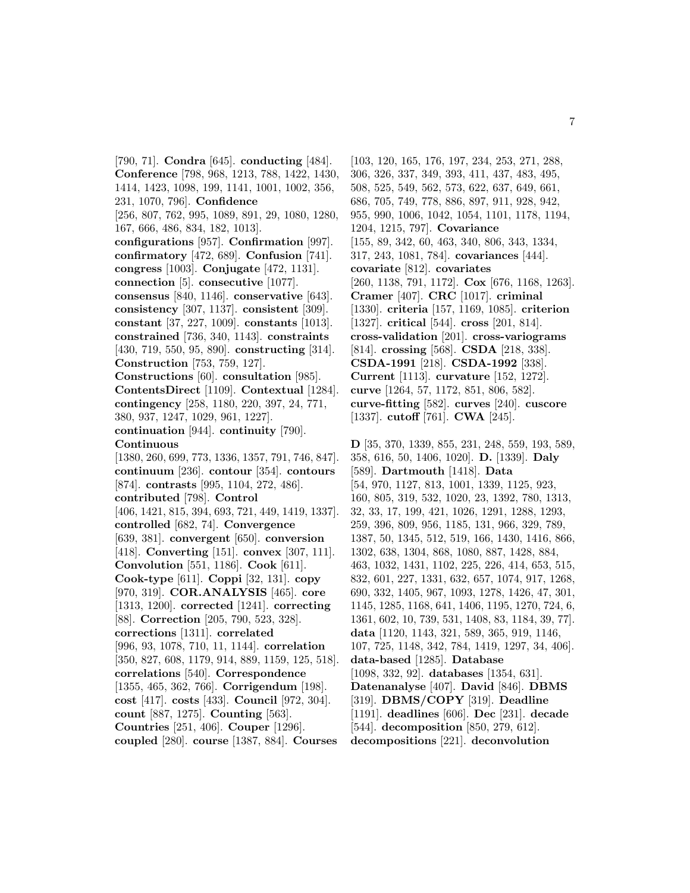[790, 71]. **Condra** [645]. **conducting** [484]. **Conference** [798, 968, 1213, 788, 1422, 1430, 1414, 1423, 1098, 199, 1141, 1001, 1002, 356, 231, 1070, 796]. **Confidence** [256, 807, 762, 995, 1089, 891, 29, 1080, 1280, 167, 666, 486, 834, 182, 1013]. **configurations** [957]. **Confirmation** [997]. **confirmatory** [472, 689]. **Confusion** [741]. **congress** [1003]. **Conjugate** [472, 1131]. **connection** [5]. **consecutive** [1077]. **consensus** [840, 1146]. **conservative** [643]. **consistency** [307, 1137]. **consistent** [309]. **constant** [37, 227, 1009]. **constants** [1013]. **constrained** [736, 340, 1143]. **constraints** [430, 719, 550, 95, 890]. **constructing** [314]. **Construction** [753, 759, 127]. **Constructions** [60]. **consultation** [985]. **ContentsDirect** [1109]. **Contextual** [1284]. **contingency** [258, 1180, 220, 397, 24, 771, 380, 937, 1247, 1029, 961, 1227]. **continuation** [944]. **continuity** [790]. **Continuous** [1380, 260, 699, 773, 1336, 1357, 791, 746, 847]. **continuum** [236]. **contour** [354]. **contours** [874]. **contrasts** [995, 1104, 272, 486]. **contributed** [798]. **Control** [406, 1421, 815, 394, 693, 721, 449, 1419, 1337]. **controlled** [682, 74]. **Convergence** [639, 381]. **convergent** [650]. **conversion** [418]. **Converting** [151]. **convex** [307, 111]. **Convolution** [551, 1186]. **Cook** [611]. **Cook-type** [611]. **Coppi** [32, 131]. **copy** [970, 319]. **COR.ANALYSIS** [465]. **core** [1313, 1200]. **corrected** [1241]. **correcting** [88]. **Correction** [205, 790, 523, 328]. **corrections** [1311]. **correlated** [996, 93, 1078, 710, 11, 1144]. **correlation** [350, 827, 608, 1179, 914, 889, 1159, 125, 518]. **correlations** [540]. **Correspondence** [1355, 465, 362, 766]. **Corrigendum** [198]. **cost** [417]. **costs** [433]. **Council** [972, 304]. **count** [887, 1275]. **Counting** [563]. **Countries** [251, 406]. **Couper** [1296]. **coupled** [280]. **course** [1387, 884]. **Courses**

[103, 120, 165, 176, 197, 234, 253, 271, 288, 306, 326, 337, 349, 393, 411, 437, 483, 495, 508, 525, 549, 562, 573, 622, 637, 649, 661, 686, 705, 749, 778, 886, 897, 911, 928, 942, 955, 990, 1006, 1042, 1054, 1101, 1178, 1194, 1204, 1215, 797]. **Covariance** [155, 89, 342, 60, 463, 340, 806, 343, 1334, 317, 243, 1081, 784]. **covariances** [444]. **covariate** [812]. **covariates** [260, 1138, 791, 1172]. **Cox** [676, 1168, 1263]. **Cramer** [407]. **CRC** [1017]. **criminal** [1330]. **criteria** [157, 1169, 1085]. **criterion** [1327]. **critical** [544]. **cross** [201, 814]. **cross-validation** [201]. **cross-variograms** [814]. **crossing** [568]. **CSDA** [218, 338]. **CSDA-1991** [218]. **CSDA-1992** [338]. **Current** [1113]. **curvature** [152, 1272]. **curve** [1264, 57, 1172, 851, 806, 582]. **curve-fitting** [582]. **curves** [240]. **cuscore** [1337]. **cutoff** [761]. **CWA** [245].

**D** [35, 370, 1339, 855, 231, 248, 559, 193, 589, 358, 616, 50, 1406, 1020]. **D.** [1339]. **Daly** [589]. **Dartmouth** [1418]. **Data** [54, 970, 1127, 813, 1001, 1339, 1125, 923, 160, 805, 319, 532, 1020, 23, 1392, 780, 1313, 32, 33, 17, 199, 421, 1026, 1291, 1288, 1293, 259, 396, 809, 956, 1185, 131, 966, 329, 789, 1387, 50, 1345, 512, 519, 166, 1430, 1416, 866, 1302, 638, 1304, 868, 1080, 887, 1428, 884, 463, 1032, 1431, 1102, 225, 226, 414, 653, 515, 832, 601, 227, 1331, 632, 657, 1074, 917, 1268, 690, 332, 1405, 967, 1093, 1278, 1426, 47, 301, 1145, 1285, 1168, 641, 1406, 1195, 1270, 724, 6, 1361, 602, 10, 739, 531, 1408, 83, 1184, 39, 77]. **data** [1120, 1143, 321, 589, 365, 919, 1146, 107, 725, 1148, 342, 784, 1419, 1297, 34, 406]. **data-based** [1285]. **Database** [1098, 332, 92]. **databases** [1354, 631]. **Datenanalyse** [407]. **David** [846]. **DBMS** [319]. **DBMS/COPY** [319]. **Deadline** [1191]. **deadlines** [606]. **Dec** [231]. **decade** [544]. **decomposition** [850, 279, 612]. **decompositions** [221]. **deconvolution**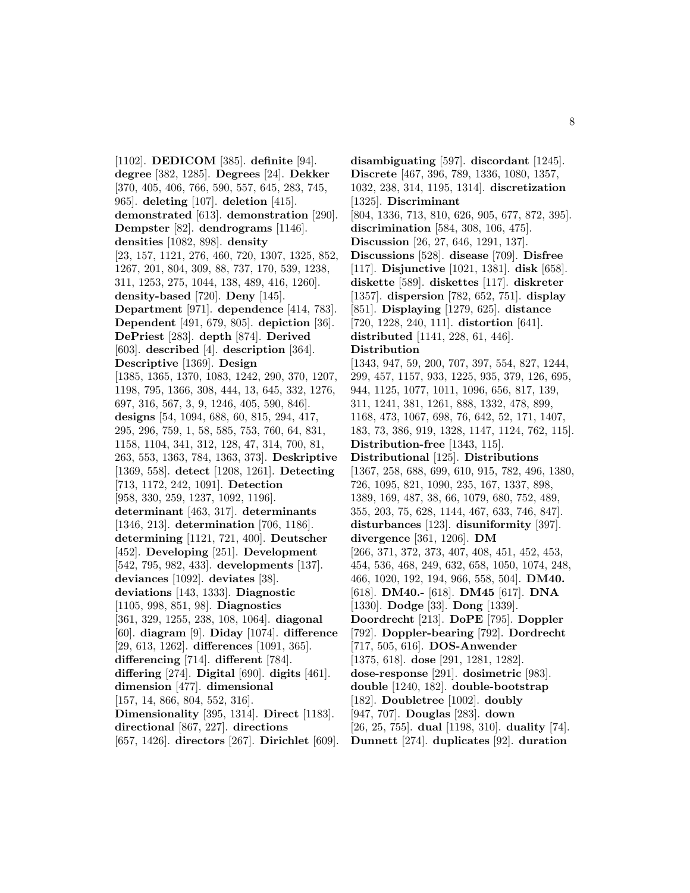[1102]. **DEDICOM** [385]. **definite** [94]. **degree** [382, 1285]. **Degrees** [24]. **Dekker** [370, 405, 406, 766, 590, 557, 645, 283, 745, 965]. **deleting** [107]. **deletion** [415]. **demonstrated** [613]. **demonstration** [290]. **Dempster** [82]. **dendrograms** [1146]. **densities** [1082, 898]. **density** [23, 157, 1121, 276, 460, 720, 1307, 1325, 852, 1267, 201, 804, 309, 88, 737, 170, 539, 1238, 311, 1253, 275, 1044, 138, 489, 416, 1260]. **density-based** [720]. **Deny** [145]. **Department** [971]. **dependence** [414, 783]. **Dependent** [491, 679, 805]. **depiction** [36]. **DePriest** [283]. **depth** [874]. **Derived** [603]. **described** [4]. **description** [364]. **Descriptive** [1369]. **Design** [1385, 1365, 1370, 1083, 1242, 290, 370, 1207, 1198, 795, 1366, 308, 444, 13, 645, 332, 1276, 697, 316, 567, 3, 9, 1246, 405, 590, 846]. **designs** [54, 1094, 688, 60, 815, 294, 417, 295, 296, 759, 1, 58, 585, 753, 760, 64, 831, 1158, 1104, 341, 312, 128, 47, 314, 700, 81, 263, 553, 1363, 784, 1363, 373]. **Deskriptive** [1369, 558]. **detect** [1208, 1261]. **Detecting** [713, 1172, 242, 1091]. **Detection** [958, 330, 259, 1237, 1092, 1196]. **determinant** [463, 317]. **determinants** [1346, 213]. **determination** [706, 1186]. **determining** [1121, 721, 400]. **Deutscher** [452]. **Developing** [251]. **Development** [542, 795, 982, 433]. **developments** [137]. **deviances** [1092]. **deviates** [38]. **deviations** [143, 1333]. **Diagnostic** [1105, 998, 851, 98]. **Diagnostics** [361, 329, 1255, 238, 108, 1064]. **diagonal** [60]. **diagram** [9]. **Diday** [1074]. **difference** [29, 613, 1262]. **differences** [1091, 365]. **differencing** [714]. **different** [784]. **differing** [274]. **Digital** [690]. **digits** [461]. **dimension** [477]. **dimensional** [157, 14, 866, 804, 552, 316]. **Dimensionality** [395, 1314]. **Direct** [1183]. **directional** [867, 227]. **directions** [657, 1426]. **directors** [267]. **Dirichlet** [609]. **disambiguating** [597]. **discordant** [1245]. **Discrete** [467, 396, 789, 1336, 1080, 1357, 1032, 238, 314, 1195, 1314]. **discretization** [1325]. **Discriminant** [804, 1336, 713, 810, 626, 905, 677, 872, 395]. **discrimination** [584, 308, 106, 475]. **Discussion** [26, 27, 646, 1291, 137]. **Discussions** [528]. **disease** [709]. **Disfree** [117]. **Disjunctive** [1021, 1381]. **disk** [658]. **diskette** [589]. **diskettes** [117]. **diskreter** [1357]. **dispersion** [782, 652, 751]. **display** [851]. **Displaying** [1279, 625]. **distance** [720, 1228, 240, 111]. **distortion** [641]. **distributed** [1141, 228, 61, 446]. **Distribution** [1343, 947, 59, 200, 707, 397, 554, 827, 1244, 299, 457, 1157, 933, 1225, 935, 379, 126, 695, 944, 1125, 1077, 1011, 1096, 656, 817, 139, 311, 1241, 381, 1261, 888, 1332, 478, 899, 1168, 473, 1067, 698, 76, 642, 52, 171, 1407, 183, 73, 386, 919, 1328, 1147, 1124, 762, 115]. **Distribution-free** [1343, 115]. **Distributional** [125]. **Distributions** [1367, 258, 688, 699, 610, 915, 782, 496, 1380, 726, 1095, 821, 1090, 235, 167, 1337, 898, 1389, 169, 487, 38, 66, 1079, 680, 752, 489, 355, 203, 75, 628, 1144, 467, 633, 746, 847]. **disturbances** [123]. **disuniformity** [397]. **divergence** [361, 1206]. **DM** [266, 371, 372, 373, 407, 408, 451, 452, 453, 454, 536, 468, 249, 632, 658, 1050, 1074, 248, 466, 1020, 192, 194, 966, 558, 504]. **DM40.** [618]. **DM40.-** [618]. **DM45** [617]. **DNA** [1330]. **Dodge** [33]. **Dong** [1339]. **Doordrecht** [213]. **DoPE** [795]. **Doppler** [792]. **Doppler-bearing** [792]. **Dordrecht** [717, 505, 616]. **DOS-Anwender** [1375, 618]. **dose** [291, 1281, 1282]. **dose-response** [291]. **dosimetric** [983]. **double** [1240, 182]. **double-bootstrap** [182]. **Doubletree** [1002]. **doubly** [947, 707]. **Douglas** [283]. **down** [26, 25, 755]. **dual** [1198, 310]. **duality** [74]. **Dunnett** [274]. **duplicates** [92]. **duration**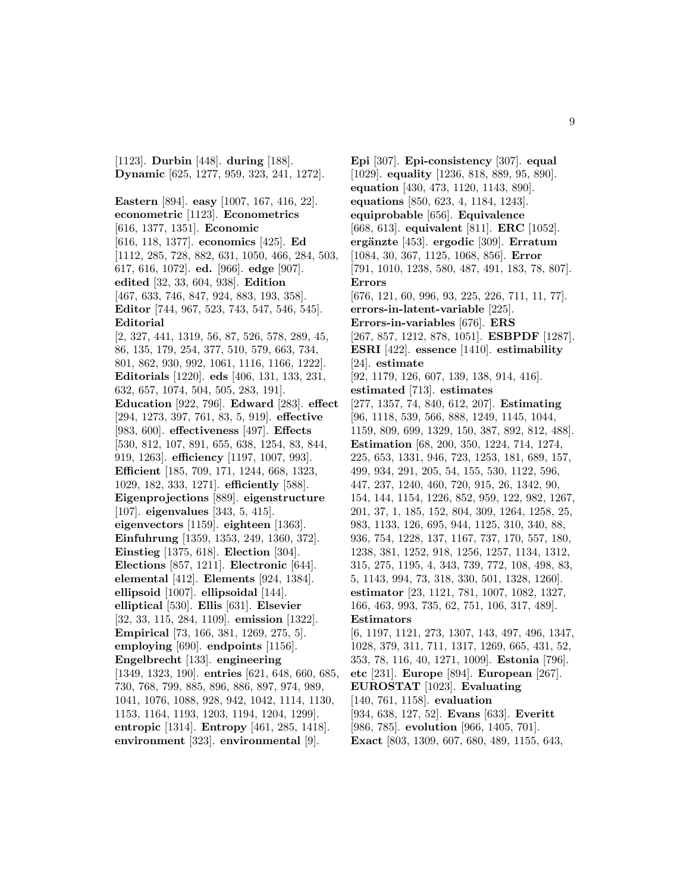[1123]. **Durbin** [448]. **during** [188]. **Dynamic** [625, 1277, 959, 323, 241, 1272].

**Eastern** [894]. **easy** [1007, 167, 416, 22]. **econometric** [1123]. **Econometrics** [616, 1377, 1351]. **Economic** [616, 118, 1377]. **economics** [425]. **Ed** [1112, 285, 728, 882, 631, 1050, 466, 284, 503, 617, 616, 1072]. **ed.** [966]. **edge** [907]. **edited** [32, 33, 604, 938]. **Edition** [467, 633, 746, 847, 924, 883, 193, 358]. **Editor** [744, 967, 523, 743, 547, 546, 545]. **Editorial** [2, 327, 441, 1319, 56, 87, 526, 578, 289, 45, 86, 135, 179, 254, 377, 510, 579, 663, 734, 801, 862, 930, 992, 1061, 1116, 1166, 1222]. **Editorials** [1220]. **eds** [406, 131, 133, 231, 632, 657, 1074, 504, 505, 283, 191]. **Education** [922, 796]. **Edward** [283]. **effect** [294, 1273, 397, 761, 83, 5, 919]. **effective** [983, 600]. **effectiveness** [497]. **Effects** [530, 812, 107, 891, 655, 638, 1254, 83, 844, 919, 1263]. **efficiency** [1197, 1007, 993]. **Efficient** [185, 709, 171, 1244, 668, 1323, 1029, 182, 333, 1271]. **efficiently** [588]. **Eigenprojections** [889]. **eigenstructure** [107]. **eigenvalues** [343, 5, 415]. **eigenvectors** [1159]. **eighteen** [1363]. **Einfuhrung** [1359, 1353, 249, 1360, 372]. **Einstieg** [1375, 618]. **Election** [304]. **Elections** [857, 1211]. **Electronic** [644]. **elemental** [412]. **Elements** [924, 1384]. **ellipsoid** [1007]. **ellipsoidal** [144]. **elliptical** [530]. **Ellis** [631]. **Elsevier** [32, 33, 115, 284, 1109]. **emission** [1322]. **Empirical** [73, 166, 381, 1269, 275, 5]. **employing** [690]. **endpoints** [1156]. **Engelbrecht** [133]. **engineering** [1349, 1323, 190]. **entries** [621, 648, 660, 685, 730, 768, 799, 885, 896, 886, 897, 974, 989, 1041, 1076, 1088, 928, 942, 1042, 1114, 1130, 1153, 1164, 1193, 1203, 1194, 1204, 1299]. **entropic** [1314]. **Entropy** [461, 285, 1418]. **environment** [323]. **environmental** [9].

**Epi** [307]. **Epi-consistency** [307]. **equal** [1029]. **equality** [1236, 818, 889, 95, 890]. **equation** [430, 473, 1120, 1143, 890]. **equations** [850, 623, 4, 1184, 1243]. **equiprobable** [656]. **Equivalence** [668, 613]. **equivalent** [811]. **ERC** [1052]. **ergänzte** [453]. **ergodic** [309]. **Erratum** [1084, 30, 367, 1125, 1068, 856]. **Error** [791, 1010, 1238, 580, 487, 491, 183, 78, 807]. **Errors** [676, 121, 60, 996, 93, 225, 226, 711, 11, 77]. **errors-in-latent-variable** [225]. **Errors-in-variables** [676]. **ERS** [267, 857, 1212, 878, 1051]. **ESBPDF** [1287]. **ESRI** [422]. **essence** [1410]. **estimability** [24]. **estimate** [92, 1179, 126, 607, 139, 138, 914, 416]. **estimated** [713]. **estimates** [277, 1357, 74, 840, 612, 207]. **Estimating** [96, 1118, 539, 566, 888, 1249, 1145, 1044, 1159, 809, 699, 1329, 150, 387, 892, 812, 488]. **Estimation** [68, 200, 350, 1224, 714, 1274, 225, 653, 1331, 946, 723, 1253, 181, 689, 157, 499, 934, 291, 205, 54, 155, 530, 1122, 596, 447, 237, 1240, 460, 720, 915, 26, 1342, 90, 154, 144, 1154, 1226, 852, 959, 122, 982, 1267, 201, 37, 1, 185, 152, 804, 309, 1264, 1258, 25, 983, 1133, 126, 695, 944, 1125, 310, 340, 88, 936, 754, 1228, 137, 1167, 737, 170, 557, 180, 1238, 381, 1252, 918, 1256, 1257, 1134, 1312, 315, 275, 1195, 4, 343, 739, 772, 108, 498, 83, 5, 1143, 994, 73, 318, 330, 501, 1328, 1260]. **estimator** [23, 1121, 781, 1007, 1082, 1327, 166, 463, 993, 735, 62, 751, 106, 317, 489]. **Estimators** [6, 1197, 1121, 273, 1307, 143, 497, 496, 1347, 1028, 379, 311, 711, 1317, 1269, 665, 431, 52, 353, 78, 116, 40, 1271, 1009]. **Estonia** [796]. **etc** [231]. **Europe** [894]. **European** [267]. **EUROSTAT** [1023]. **Evaluating**

[140, 761, 1158]. **evaluation**

[934, 638, 127, 52]. **Evans** [633]. **Everitt** [986, 785]. **evolution** [966, 1405, 701].

**Exact** [803, 1309, 607, 680, 489, 1155, 643,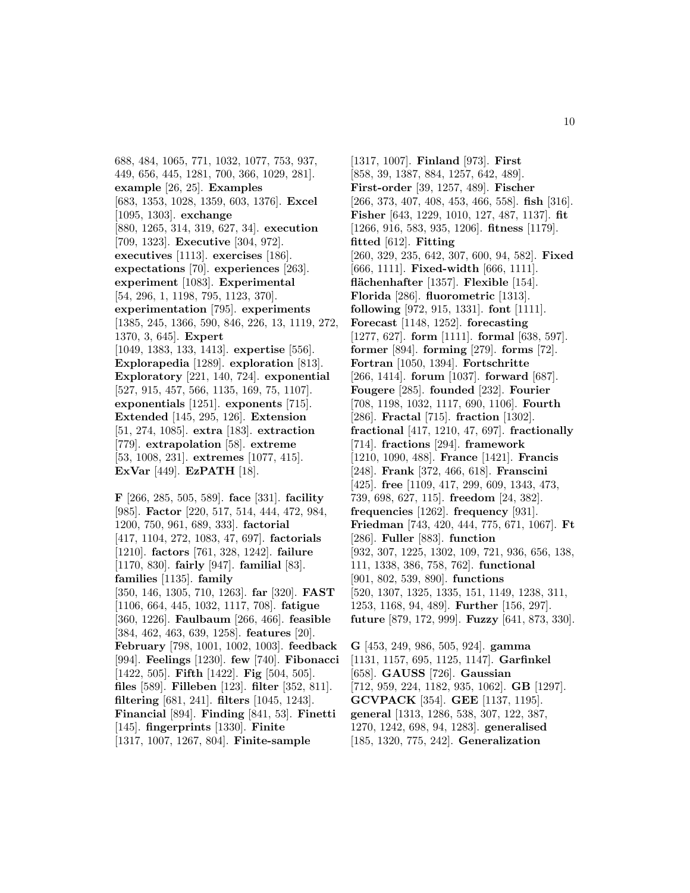688, 484, 1065, 771, 1032, 1077, 753, 937, 449, 656, 445, 1281, 700, 366, 1029, 281]. **example** [26, 25]. **Examples** [683, 1353, 1028, 1359, 603, 1376]. **Excel** [1095, 1303]. **exchange** [880, 1265, 314, 319, 627, 34]. **execution** [709, 1323]. **Executive** [304, 972]. **executives** [1113]. **exercises** [186]. **expectations** [70]. **experiences** [263]. **experiment** [1083]. **Experimental** [54, 296, 1, 1198, 795, 1123, 370]. **experimentation** [795]. **experiments** [1385, 245, 1366, 590, 846, 226, 13, 1119, 272, 1370, 3, 645]. **Expert** [1049, 1383, 133, 1413]. **expertise** [556]. **Explorapedia** [1289]. **exploration** [813]. **Exploratory** [221, 140, 724]. **exponential** [527, 915, 457, 566, 1135, 169, 75, 1107]. **exponentials** [1251]. **exponents** [715]. **Extended** [145, 295, 126]. **Extension** [51, 274, 1085]. **extra** [183]. **extraction** [779]. **extrapolation** [58]. **extreme** [53, 1008, 231]. **extremes** [1077, 415]. **ExVar** [449]. **EzPATH** [18].

**F** [266, 285, 505, 589]. **face** [331]. **facility** [985]. **Factor** [220, 517, 514, 444, 472, 984, 1200, 750, 961, 689, 333]. **factorial** [417, 1104, 272, 1083, 47, 697]. **factorials** [1210]. **factors** [761, 328, 1242]. **failure** [1170, 830]. **fairly** [947]. **familial** [83]. **families** [1135]. **family** [350, 146, 1305, 710, 1263]. **far** [320]. **FAST** [1106, 664, 445, 1032, 1117, 708]. **fatigue** [360, 1226]. **Faulbaum** [266, 466]. **feasible** [384, 462, 463, 639, 1258]. **features** [20]. **February** [798, 1001, 1002, 1003]. **feedback** [994]. **Feelings** [1230]. **few** [740]. **Fibonacci** [1422, 505]. **Fifth** [1422]. **Fig** [504, 505]. **files** [589]. **Filleben** [123]. **filter** [352, 811]. **filtering** [681, 241]. **filters** [1045, 1243]. **Financial** [894]. **Finding** [841, 53]. **Finetti** [145]. **fingerprints** [1330]. **Finite** [1317, 1007, 1267, 804]. **Finite-sample**

[1317, 1007]. **Finland** [973]. **First** [858, 39, 1387, 884, 1257, 642, 489]. **First-order** [39, 1257, 489]. **Fischer** [266, 373, 407, 408, 453, 466, 558]. **fish** [316]. **Fisher** [643, 1229, 1010, 127, 487, 1137]. **fit** [1266, 916, 583, 935, 1206]. **fitness** [1179]. **fitted** [612]. **Fitting** [260, 329, 235, 642, 307, 600, 94, 582]. **Fixed** [666, 1111]. **Fixed-width** [666, 1111]. **flächenhafter** [1357]. **Flexible** [154]. **Florida** [286]. **fluorometric** [1313]. **following** [972, 915, 1331]. **font** [1111]. **Forecast** [1148, 1252]. **forecasting** [1277, 627]. **form** [1111]. **formal** [638, 597]. **former** [894]. **forming** [279]. **forms** [72]. **Fortran** [1050, 1394]. **Fortschritte** [266, 1414]. **forum** [1037]. **forward** [687]. **Fougere** [285]. **founded** [232]. **Fourier** [708, 1198, 1032, 1117, 690, 1106]. **Fourth** [286]. **Fractal** [715]. **fraction** [1302]. **fractional** [417, 1210, 47, 697]. **fractionally** [714]. **fractions** [294]. **framework** [1210, 1090, 488]. **France** [1421]. **Francis** [248]. **Frank** [372, 466, 618]. **Franscini** [425]. **free** [1109, 417, 299, 609, 1343, 473, 739, 698, 627, 115]. **freedom** [24, 382]. **frequencies** [1262]. **frequency** [931]. **Friedman** [743, 420, 444, 775, 671, 1067]. **Ft** [286]. **Fuller** [883]. **function** [932, 307, 1225, 1302, 109, 721, 936, 656, 138, 111, 1338, 386, 758, 762]. **functional** [901, 802, 539, 890]. **functions** [520, 1307, 1325, 1335, 151, 1149, 1238, 311, 1253, 1168, 94, 489]. **Further** [156, 297]. **future** [879, 172, 999]. **Fuzzy** [641, 873, 330].

**G** [453, 249, 986, 505, 924]. **gamma** [1131, 1157, 695, 1125, 1147]. **Garfinkel** [658]. **GAUSS** [726]. **Gaussian** [712, 959, 224, 1182, 935, 1062]. **GB** [1297]. **GCVPACK** [354]. **GEE** [1137, 1195]. **general** [1313, 1286, 538, 307, 122, 387, 1270, 1242, 698, 94, 1283]. **generalised** [185, 1320, 775, 242]. **Generalization**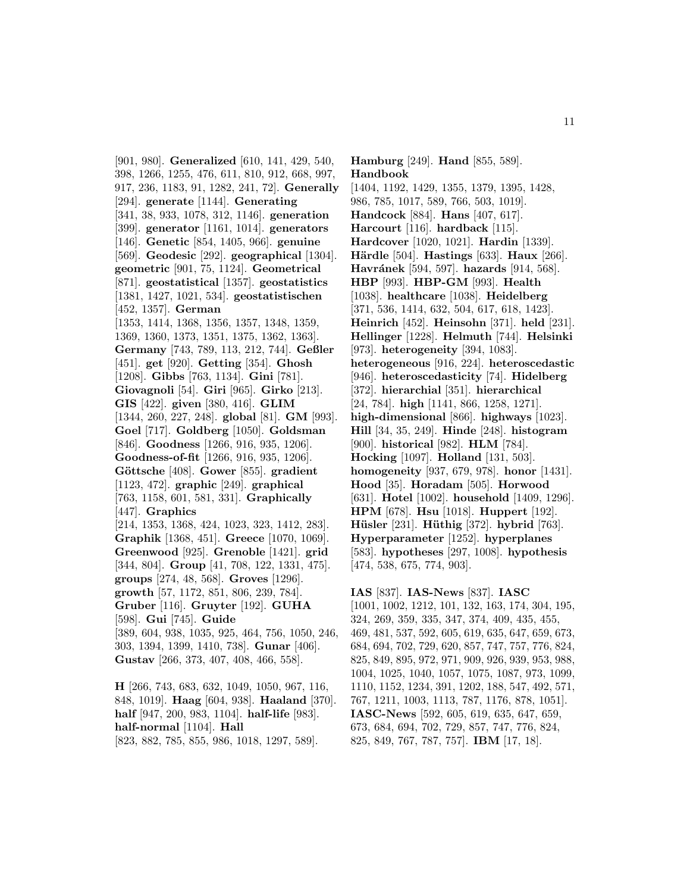[901, 980]. **Generalized** [610, 141, 429, 540, 398, 1266, 1255, 476, 611, 810, 912, 668, 997, 917, 236, 1183, 91, 1282, 241, 72]. **Generally** [294]. **generate** [1144]. **Generating** [341, 38, 933, 1078, 312, 1146]. **generation** [399]. **generator** [1161, 1014]. **generators** [146]. **Genetic** [854, 1405, 966]. **genuine** [569]. **Geodesic** [292]. **geographical** [1304]. **geometric** [901, 75, 1124]. **Geometrical** [871]. **geostatistical** [1357]. **geostatistics** [1381, 1427, 1021, 534]. **geostatistischen** [452, 1357]. **German** [1353, 1414, 1368, 1356, 1357, 1348, 1359, 1369, 1360, 1373, 1351, 1375, 1362, 1363]. **Germany** [743, 789, 113, 212, 744]. **Geßler** [451]. **get** [920]. **Getting** [354]. **Ghosh** [1208]. **Gibbs** [763, 1134]. **Gini** [781]. **Giovagnoli** [54]. **Giri** [965]. **Girko** [213]. **GIS** [422]. **given** [380, 416]. **GLIM** [1344, 260, 227, 248]. **global** [81]. **GM** [993]. **Goel** [717]. **Goldberg** [1050]. **Goldsman** [846]. **Goodness** [1266, 916, 935, 1206]. **Goodness-of-fit** [1266, 916, 935, 1206]. **G¨ottsche** [408]. **Gower** [855]. **gradient** [1123, 472]. **graphic** [249]. **graphical** [763, 1158, 601, 581, 331]. **Graphically** [447]. **Graphics** [214, 1353, 1368, 424, 1023, 323, 1412, 283]. **Graphik** [1368, 451]. **Greece** [1070, 1069]. **Greenwood** [925]. **Grenoble** [1421]. **grid** [344, 804]. **Group** [41, 708, 122, 1331, 475]. **groups** [274, 48, 568]. **Groves** [1296]. **growth** [57, 1172, 851, 806, 239, 784]. **Gruber** [116]. **Gruyter** [192]. **GUHA** [598]. **Gui** [745]. **Guide** [389, 604, 938, 1035, 925, 464, 756, 1050, 246, 303, 1394, 1399, 1410, 738]. **Gunar** [406]. **Gustav** [266, 373, 407, 408, 466, 558]. **H** [266, 743, 683, 632, 1049, 1050, 967, 116,

848, 1019]. **Haag** [604, 938]. **Haaland** [370]. **half** [947, 200, 983, 1104]. **half-life** [983]. **half-normal** [1104]. **Hall** [823, 882, 785, 855, 986, 1018, 1297, 589].

**Hamburg** [249]. **Hand** [855, 589]. **Handbook** [1404, 1192, 1429, 1355, 1379, 1395, 1428, 986, 785, 1017, 589, 766, 503, 1019]. **Handcock** [884]. **Hans** [407, 617]. **Harcourt** [116]. **hardback** [115]. **Hardcover** [1020, 1021]. **Hardin** [1339]. **Härdle** [504]. **Hastings** [633]. **Haux** [266]. **Havránek** [594, 597]. **hazards** [914, 568]. **HBP** [993]. **HBP-GM** [993]. **Health** [1038]. **healthcare** [1038]. **Heidelberg** [371, 536, 1414, 632, 504, 617, 618, 1423]. **Heinrich** [452]. **Heinsohn** [371]. **held** [231]. **Hellinger** [1228]. **Helmuth** [744]. **Helsinki** [973]. **heterogeneity** [394, 1083]. **heterogeneous** [916, 224]. **heteroscedastic** [946]. **heteroscedasticity** [74]. **Hidelberg** [372]. **hierarchial** [351]. **hierarchical** [24, 784]. **high** [1141, 866, 1258, 1271]. **high-dimensional** [866]. **highways** [1023]. **Hill** [34, 35, 249]. **Hinde** [248]. **histogram** [900]. **historical** [982]. **HLM** [784]. **Hocking** [1097]. **Holland** [131, 503]. **homogeneity** [937, 679, 978]. **honor** [1431]. **Hood** [35]. **Horadam** [505]. **Horwood** [631]. **Hotel** [1002]. **household** [1409, 1296]. **HPM** [678]. **Hsu** [1018]. **Huppert** [192]. **Hüsler** [231]. **Hüthig** [372]. **hybrid** [763]. **Hyperparameter** [1252]. **hyperplanes** [583]. **hypotheses** [297, 1008]. **hypothesis** [474, 538, 675, 774, 903].

**IAS** [837]. **IAS-News** [837]. **IASC** [1001, 1002, 1212, 101, 132, 163, 174, 304, 195, 324, 269, 359, 335, 347, 374, 409, 435, 455, 469, 481, 537, 592, 605, 619, 635, 647, 659, 673, 684, 694, 702, 729, 620, 857, 747, 757, 776, 824, 825, 849, 895, 972, 971, 909, 926, 939, 953, 988, 1004, 1025, 1040, 1057, 1075, 1087, 973, 1099, 1110, 1152, 1234, 391, 1202, 188, 547, 492, 571, 767, 1211, 1003, 1113, 787, 1176, 878, 1051]. **IASC-News** [592, 605, 619, 635, 647, 659, 673, 684, 694, 702, 729, 857, 747, 776, 824, 825, 849, 767, 787, 757]. **IBM** [17, 18].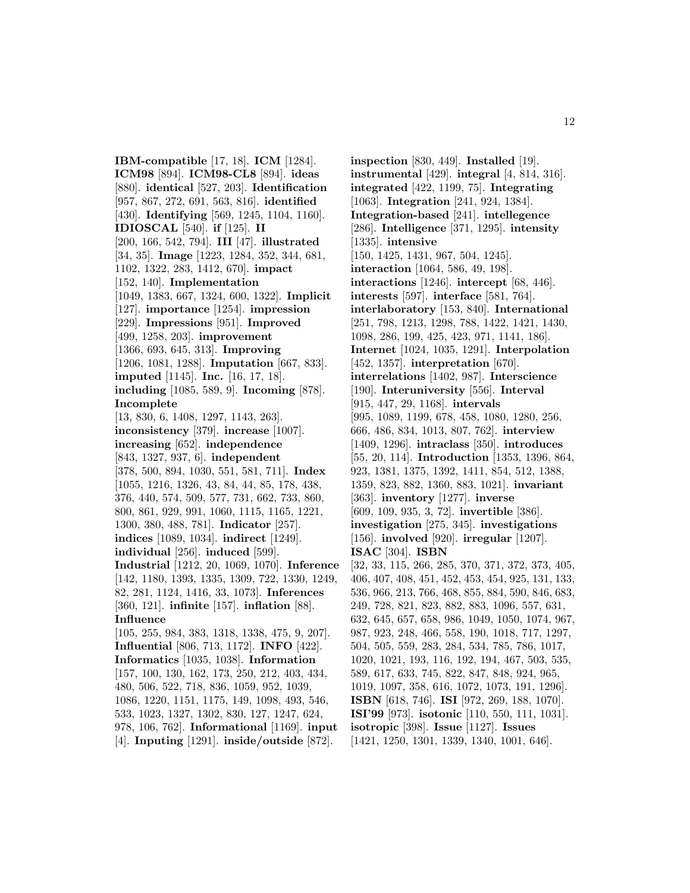**IBM-compatible** [17, 18]. **ICM** [1284]. **ICM98** [894]. **ICM98-CL8** [894]. **ideas** [880]. **identical** [527, 203]. **Identification** [957, 867, 272, 691, 563, 816]. **identified** [430]. **Identifying** [569, 1245, 1104, 1160]. **IDIOSCAL** [540]. **if** [125]. **II** [200, 166, 542, 794]. **III** [47]. **illustrated** [34, 35]. **Image** [1223, 1284, 352, 344, 681, 1102, 1322, 283, 1412, 670]. **impact** [152, 140]. **Implementation** [1049, 1383, 667, 1324, 600, 1322]. **Implicit** [127]. **importance** [1254]. **impression** [229]. **Impressions** [951]. **Improved** [499, 1258, 203]. **improvement** [1366, 693, 645, 313]. **Improving** [1206, 1081, 1288]. **Imputation** [667, 833]. **imputed** [1145]. **Inc.** [16, 17, 18]. **including** [1085, 589, 9]. **Incoming** [878]. **Incomplete** [13, 830, 6, 1408, 1297, 1143, 263]. **inconsistency** [379]. **increase** [1007]. **increasing** [652]. **independence** [843, 1327, 937, 6]. **independent** [378, 500, 894, 1030, 551, 581, 711]. **Index** [1055, 1216, 1326, 43, 84, 44, 85, 178, 438, 376, 440, 574, 509, 577, 731, 662, 733, 860, 800, 861, 929, 991, 1060, 1115, 1165, 1221, 1300, 380, 488, 781]. **Indicator** [257]. **indices** [1089, 1034]. **indirect** [1249]. **individual** [256]. **induced** [599]. **Industrial** [1212, 20, 1069, 1070]. **Inference** [142, 1180, 1393, 1335, 1309, 722, 1330, 1249, 82, 281, 1124, 1416, 33, 1073]. **Inferences** [360, 121]. **infinite** [157]. **inflation** [88]. **Influence** [105, 255, 984, 383, 1318, 1338, 475, 9, 207]. **Influential** [806, 713, 1172]. **INFO** [422]. **Informatics** [1035, 1038]. **Information** [157, 100, 130, 162, 173, 250, 212, 403, 434, 480, 506, 522, 718, 836, 1059, 952, 1039, 1086, 1220, 1151, 1175, 149, 1098, 493, 546, 533, 1023, 1327, 1302, 830, 127, 1247, 624,

978, 106, 762]. **Informational** [1169]. **input** [4]. **Inputing** [1291]. **inside/outside** [872].

**inspection** [830, 449]. **Installed** [19]. **instrumental** [429]. **integral** [4, 814, 316]. **integrated** [422, 1199, 75]. **Integrating** [1063]. **Integration** [241, 924, 1384]. **Integration-based** [241]. **intellegence** [286]. **Intelligence** [371, 1295]. **intensity** [1335]. **intensive** [150, 1425, 1431, 967, 504, 1245]. **interaction** [1064, 586, 49, 198]. **interactions** [1246]. **intercept** [68, 446]. **interests** [597]. **interface** [581, 764]. **interlaboratory** [153, 840]. **International** [251, 798, 1213, 1298, 788, 1422, 1421, 1430, 1098, 286, 199, 425, 423, 971, 1141, 186]. **Internet** [1024, 1035, 1291]. **Interpolation** [452, 1357]. **interpretation** [670]. **interrelations** [1402, 987]. **Interscience** [190]. **Interuniversity** [556]. **Interval** [915, 447, 29, 1168]. **intervals** [995, 1089, 1199, 678, 458, 1080, 1280, 256, 666, 486, 834, 1013, 807, 762]. **interview** [1409, 1296]. **intraclass** [350]. **introduces** [55, 20, 114]. **Introduction** [1353, 1396, 864, 923, 1381, 1375, 1392, 1411, 854, 512, 1388, 1359, 823, 882, 1360, 883, 1021]. **invariant** [363]. **inventory** [1277]. **inverse** [609, 109, 935, 3, 72]. **invertible** [386]. **investigation** [275, 345]. **investigations** [156]. **involved** [920]. **irregular** [1207]. **ISAC** [304]. **ISBN** [32, 33, 115, 266, 285, 370, 371, 372, 373, 405, 406, 407, 408, 451, 452, 453, 454, 925, 131, 133, 536, 966, 213, 766, 468, 855, 884, 590, 846, 683, 249, 728, 821, 823, 882, 883, 1096, 557, 631, 632, 645, 657, 658, 986, 1049, 1050, 1074, 967, 987, 923, 248, 466, 558, 190, 1018, 717, 1297, 504, 505, 559, 283, 284, 534, 785, 786, 1017, 1020, 1021, 193, 116, 192, 194, 467, 503, 535, 589, 617, 633, 745, 822, 847, 848, 924, 965, 1019, 1097, 358, 616, 1072, 1073, 191, 1296]. **ISBN** [618, 746]. **ISI** [972, 269, 188, 1070]. **ISI'99** [973]. **isotonic** [110, 550, 111, 1031]. **isotropic** [398]. **Issue** [1127]. **Issues** [1421, 1250, 1301, 1339, 1340, 1001, 646].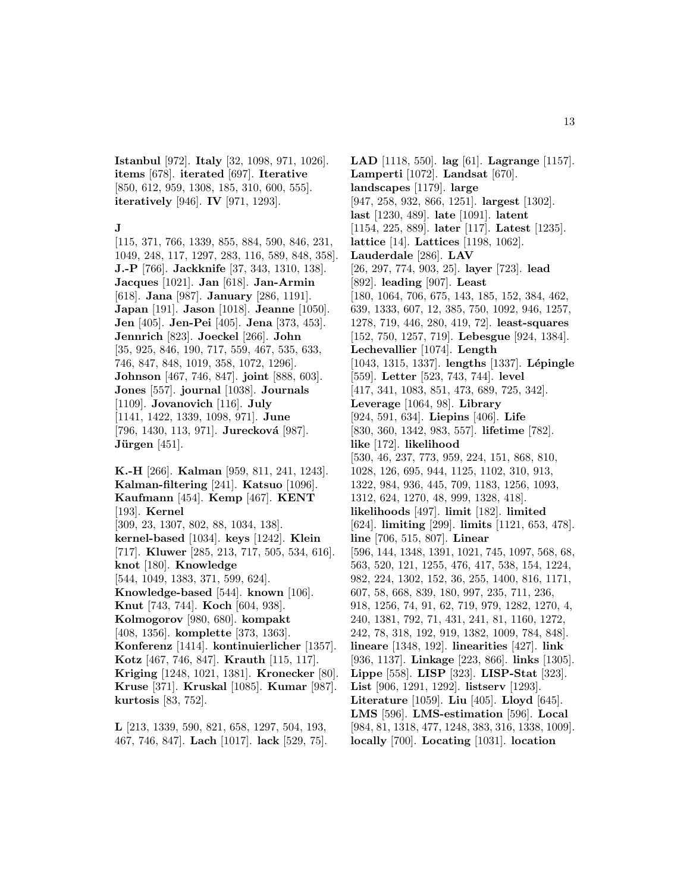**Istanbul** [972]. **Italy** [32, 1098, 971, 1026]. **items** [678]. **iterated** [697]. **Iterative** [850, 612, 959, 1308, 185, 310, 600, 555]. **iteratively** [946]. **IV** [971, 1293].

#### **J**

[115, 371, 766, 1339, 855, 884, 590, 846, 231, 1049, 248, 117, 1297, 283, 116, 589, 848, 358]. **J.-P** [766]. **Jackknife** [37, 343, 1310, 138]. **Jacques** [1021]. **Jan** [618]. **Jan-Armin** [618]. **Jana** [987]. **January** [286, 1191]. **Japan** [191]. **Jason** [1018]. **Jeanne** [1050]. **Jen** [405]. **Jen-Pei** [405]. **Jena** [373, 453]. **Jennrich** [823]. **Joeckel** [266]. **John** [35, 925, 846, 190, 717, 559, 467, 535, 633, 746, 847, 848, 1019, 358, 1072, 1296]. **Johnson** [467, 746, 847]. **joint** [888, 603]. **Jones** [557]. **journal** [1038]. **Journals** [1109]. **Jovanovich** [116]. **July** [1141, 1422, 1339, 1098, 971]. **June** [796, 1430, 113, 971]. **Jurecková** [987]. **Jürgen** [451].

**K.-H** [266]. **Kalman** [959, 811, 241, 1243]. **Kalman-filtering** [241]. **Katsuo** [1096]. **Kaufmann** [454]. **Kemp** [467]. **KENT** [193]. **Kernel** [309, 23, 1307, 802, 88, 1034, 138]. **kernel-based** [1034]. **keys** [1242]. **Klein** [717]. **Kluwer** [285, 213, 717, 505, 534, 616]. **knot** [180]. **Knowledge** [544, 1049, 1383, 371, 599, 624]. **Knowledge-based** [544]. **known** [106]. **Knut** [743, 744]. **Koch** [604, 938]. **Kolmogorov** [980, 680]. **kompakt** [408, 1356]. **komplette** [373, 1363]. **Konferenz** [1414]. **kontinuierlicher** [1357]. **Kotz** [467, 746, 847]. **Krauth** [115, 117]. **Kriging** [1248, 1021, 1381]. **Kronecker** [80]. **Kruse** [371]. **Kruskal** [1085]. **Kumar** [987]. **kurtosis** [83, 752].

**L** [213, 1339, 590, 821, 658, 1297, 504, 193, 467, 746, 847]. **Lach** [1017]. **lack** [529, 75].

**LAD** [1118, 550]. **lag** [61]. **Lagrange** [1157]. **Lamperti** [1072]. **Landsat** [670]. **landscapes** [1179]. **large** [947, 258, 932, 866, 1251]. **largest** [1302]. **last** [1230, 489]. **late** [1091]. **latent** [1154, 225, 889]. **later** [117]. **Latest** [1235]. **lattice** [14]. **Lattices** [1198, 1062]. **Lauderdale** [286]. **LAV** [26, 297, 774, 903, 25]. **layer** [723]. **lead** [892]. **leading** [907]. **Least** [180, 1064, 706, 675, 143, 185, 152, 384, 462, 639, 1333, 607, 12, 385, 750, 1092, 946, 1257, 1278, 719, 446, 280, 419, 72]. **least-squares** [152, 750, 1257, 719]. **Lebesgue** [924, 1384]. **Lechevallier** [1074]. **Length** [1043, 1315, 1337]. **lengths** [1337]. **L´epingle** [559]. **Letter** [523, 743, 744]. **level** [417, 341, 1083, 851, 473, 689, 725, 342]. **Leverage** [1064, 98]. **Library** [924, 591, 634]. **Liepins** [406]. **Life** [830, 360, 1342, 983, 557]. **lifetime** [782]. **like** [172]. **likelihood** [530, 46, 237, 773, 959, 224, 151, 868, 810, 1028, 126, 695, 944, 1125, 1102, 310, 913, 1322, 984, 936, 445, 709, 1183, 1256, 1093, 1312, 624, 1270, 48, 999, 1328, 418]. **likelihoods** [497]. **limit** [182]. **limited** [624]. **limiting** [299]. **limits** [1121, 653, 478]. **line** [706, 515, 807]. **Linear** [596, 144, 1348, 1391, 1021, 745, 1097, 568, 68, 563, 520, 121, 1255, 476, 417, 538, 154, 1224, 982, 224, 1302, 152, 36, 255, 1400, 816, 1171, 607, 58, 668, 839, 180, 997, 235, 711, 236, 918, 1256, 74, 91, 62, 719, 979, 1282, 1270, 4, 240, 1381, 792, 71, 431, 241, 81, 1160, 1272, 242, 78, 318, 192, 919, 1382, 1009, 784, 848]. **lineare** [1348, 192]. **linearities** [427]. **link** [936, 1137]. **Linkage** [223, 866]. **links** [1305]. **Lippe** [558]. **LISP** [323]. **LISP-Stat** [323]. **List** [906, 1291, 1292]. **listserv** [1293]. **Literature** [1059]. **Liu** [405]. **Lloyd** [645]. **LMS** [596]. **LMS-estimation** [596]. **Local** [984, 81, 1318, 477, 1248, 383, 316, 1338, 1009]. **locally** [700]. **Locating** [1031]. **location**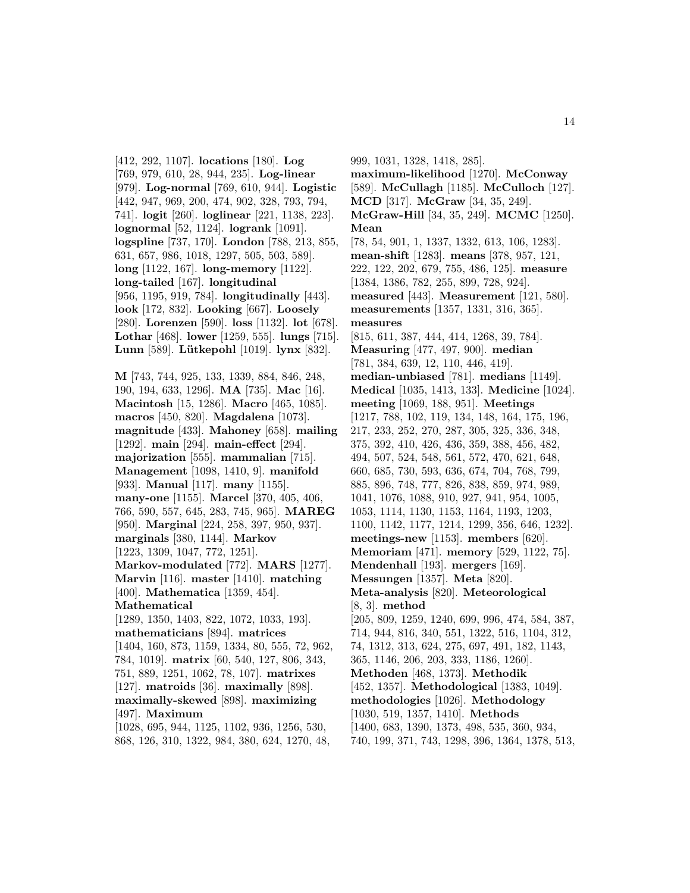[412, 292, 1107]. **locations** [180]. **Log** [769, 979, 610, 28, 944, 235]. **Log-linear** [979]. **Log-normal** [769, 610, 944]. **Logistic** [442, 947, 969, 200, 474, 902, 328, 793, 794, 741]. **logit** [260]. **loglinear** [221, 1138, 223]. **lognormal** [52, 1124]. **logrank** [1091]. **logspline** [737, 170]. **London** [788, 213, 855, 631, 657, 986, 1018, 1297, 505, 503, 589]. **long** [1122, 167]. **long-memory** [1122]. **long-tailed** [167]. **longitudinal** [956, 1195, 919, 784]. **longitudinally** [443]. **look** [172, 832]. **Looking** [667]. **Loosely** [280]. **Lorenzen** [590]. **loss** [1132]. **lot** [678]. **Lothar** [468]. **lower** [1259, 555]. **lungs** [715]. **Lunn** [589]. **L¨utkepohl** [1019]. **lynx** [832].

**M** [743, 744, 925, 133, 1339, 884, 846, 248, 190, 194, 633, 1296]. **MA** [735]. **Mac** [16]. **Macintosh** [15, 1286]. **Macro** [465, 1085]. **macros** [450, 820]. **Magdalena** [1073]. **magnitude** [433]. **Mahoney** [658]. **mailing** [1292]. **main** [294]. **main-effect** [294]. **majorization** [555]. **mammalian** [715]. **Management** [1098, 1410, 9]. **manifold** [933]. **Manual** [117]. **many** [1155]. **many-one** [1155]. **Marcel** [370, 405, 406, 766, 590, 557, 645, 283, 745, 965]. **MAREG** [950]. **Marginal** [224, 258, 397, 950, 937]. **marginals** [380, 1144]. **Markov** [1223, 1309, 1047, 772, 1251]. **Markov-modulated** [772]. **MARS** [1277]. **Marvin** [116]. **master** [1410]. **matching** [400]. **Mathematica** [1359, 454]. **Mathematical** [1289, 1350, 1403, 822, 1072, 1033, 193]. **mathematicians** [894]. **matrices** [1404, 160, 873, 1159, 1334, 80, 555, 72, 962, 784, 1019]. **matrix** [60, 540, 127, 806, 343, 751, 889, 1251, 1062, 78, 107]. **matrixes** [127]. **matroids** [36]. **maximally** [898]. **maximally-skewed** [898]. **maximizing** [497]. **Maximum**

[1028, 695, 944, 1125, 1102, 936, 1256, 530, 868, 126, 310, 1322, 984, 380, 624, 1270, 48,

999, 1031, 1328, 1418, 285]. **maximum-likelihood** [1270]. **McConway** [589]. **McCullagh** [1185]. **McCulloch** [127]. **MCD** [317]. **McGraw** [34, 35, 249]. **McGraw-Hill** [34, 35, 249]. **MCMC** [1250]. **Mean** [78, 54, 901, 1, 1337, 1332, 613, 106, 1283]. **mean-shift** [1283]. **means** [378, 957, 121, 222, 122, 202, 679, 755, 486, 125]. **measure** [1384, 1386, 782, 255, 899, 728, 924]. **measured** [443]. **Measurement** [121, 580]. **measurements** [1357, 1331, 316, 365]. **measures** [815, 611, 387, 444, 414, 1268, 39, 784]. **Measuring** [477, 497, 900]. **median** [781, 384, 639, 12, 110, 446, 419]. **median-unbiased** [781]. **medians** [1149]. **Medical** [1035, 1413, 133]. **Medicine** [1024]. **meeting** [1069, 188, 951]. **Meetings** [1217, 788, 102, 119, 134, 148, 164, 175, 196, 217, 233, 252, 270, 287, 305, 325, 336, 348, 375, 392, 410, 426, 436, 359, 388, 456, 482, 494, 507, 524, 548, 561, 572, 470, 621, 648, 660, 685, 730, 593, 636, 674, 704, 768, 799, 885, 896, 748, 777, 826, 838, 859, 974, 989, 1041, 1076, 1088, 910, 927, 941, 954, 1005, 1053, 1114, 1130, 1153, 1164, 1193, 1203, 1100, 1142, 1177, 1214, 1299, 356, 646, 1232]. **meetings-new** [1153]. **members** [620]. **Memoriam** [471]. **memory** [529, 1122, 75]. **Mendenhall** [193]. **mergers** [169]. **Messungen** [1357]. **Meta** [820]. **Meta-analysis** [820]. **Meteorological** [8, 3]. **method** [205, 809, 1259, 1240, 699, 996, 474, 584, 387, 714, 944, 816, 340, 551, 1322, 516, 1104, 312, 74, 1312, 313, 624, 275, 697, 491, 182, 1143, 365, 1146, 206, 203, 333, 1186, 1260]. **Methoden** [468, 1373]. **Methodik** [452, 1357]. **Methodological** [1383, 1049]. **methodologies** [1026]. **Methodology** [1030, 519, 1357, 1410]. **Methods** [1400, 683, 1390, 1373, 498, 535, 360, 934, 740, 199, 371, 743, 1298, 396, 1364, 1378, 513,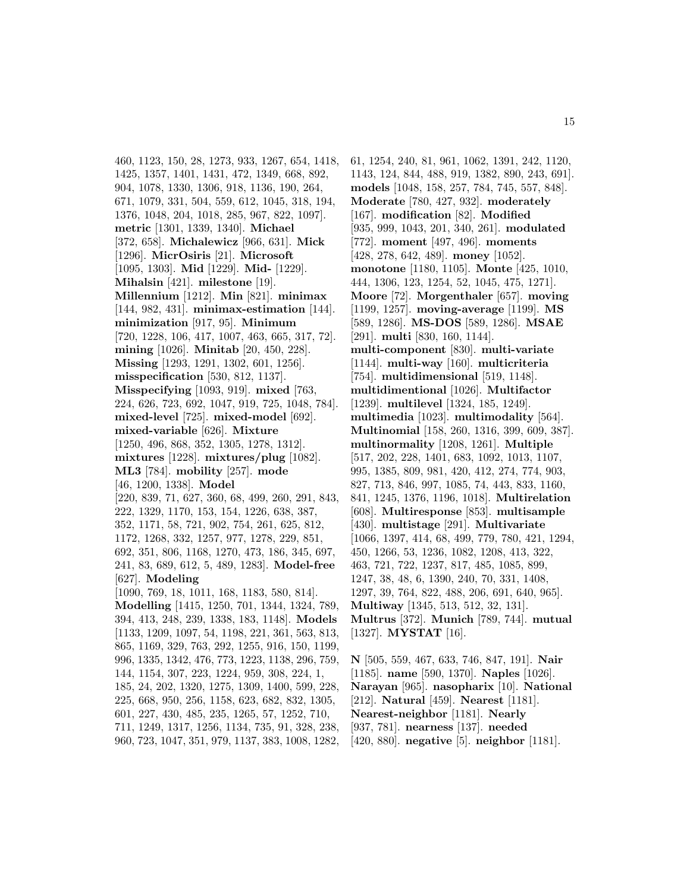460, 1123, 150, 28, 1273, 933, 1267, 654, 1418, 1425, 1357, 1401, 1431, 472, 1349, 668, 892, 904, 1078, 1330, 1306, 918, 1136, 190, 264, 671, 1079, 331, 504, 559, 612, 1045, 318, 194, 1376, 1048, 204, 1018, 285, 967, 822, 1097]. **metric** [1301, 1339, 1340]. **Michael** [372, 658]. **Michalewicz** [966, 631]. **Mick** [1296]. **MicrOsiris** [21]. **Microsoft** [1095, 1303]. **Mid** [1229]. **Mid-** [1229]. **Mihalsin** [421]. **milestone** [19]. **Millennium** [1212]. **Min** [821]. **minimax** [144, 982, 431]. **minimax-estimation** [144]. **minimization** [917, 95]. **Minimum** [720, 1228, 106, 417, 1007, 463, 665, 317, 72]. **mining** [1026]. **Minitab** [20, 450, 228]. **Missing** [1293, 1291, 1302, 601, 1256]. **misspecification** [530, 812, 1137]. **Misspecifying** [1093, 919]. **mixed** [763, 224, 626, 723, 692, 1047, 919, 725, 1048, 784]. **mixed-level** [725]. **mixed-model** [692]. **mixed-variable** [626]. **Mixture** [1250, 496, 868, 352, 1305, 1278, 1312]. **mixtures** [1228]. **mixtures/plug** [1082]. **ML3** [784]. **mobility** [257]. **mode** [46, 1200, 1338]. **Model** [220, 839, 71, 627, 360, 68, 499, 260, 291, 843, 222, 1329, 1170, 153, 154, 1226, 638, 387, 352, 1171, 58, 721, 902, 754, 261, 625, 812, 1172, 1268, 332, 1257, 977, 1278, 229, 851, 692, 351, 806, 1168, 1270, 473, 186, 345, 697, 241, 83, 689, 612, 5, 489, 1283]. **Model-free** [627]. **Modeling** [1090, 769, 18, 1011, 168, 1183, 580, 814]. **Modelling** [1415, 1250, 701, 1344, 1324, 789, 394, 413, 248, 239, 1338, 183, 1148]. **Models** [1133, 1209, 1097, 54, 1198, 221, 361, 563, 813, 865, 1169, 329, 763, 292, 1255, 916, 150, 1199, 996, 1335, 1342, 476, 773, 1223, 1138, 296, 759, 144, 1154, 307, 223, 1224, 959, 308, 224, 1, 185, 24, 202, 1320, 1275, 1309, 1400, 599, 228, 225, 668, 950, 256, 1158, 623, 682, 832, 1305, 601, 227, 430, 485, 235, 1265, 57, 1252, 710, 711, 1249, 1317, 1256, 1134, 735, 91, 328, 238,

960, 723, 1047, 351, 979, 1137, 383, 1008, 1282,

61, 1254, 240, 81, 961, 1062, 1391, 242, 1120, 1143, 124, 844, 488, 919, 1382, 890, 243, 691]. **models** [1048, 158, 257, 784, 745, 557, 848]. **Moderate** [780, 427, 932]. **moderately** [167]. **modification** [82]. **Modified** [935, 999, 1043, 201, 340, 261]. **modulated** [772]. **moment** [497, 496]. **moments** [428, 278, 642, 489]. **money** [1052]. **monotone** [1180, 1105]. **Monte** [425, 1010, 444, 1306, 123, 1254, 52, 1045, 475, 1271]. **Moore** [72]. **Morgenthaler** [657]. **moving** [1199, 1257]. **moving-average** [1199]. **MS** [589, 1286]. **MS-DOS** [589, 1286]. **MSAE** [291]. **multi** [830, 160, 1144]. **multi-component** [830]. **multi-variate** [1144]. **multi-way** [160]. **multicriteria** [754]. **multidimensional** [519, 1148]. **multidimentional** [1026]. **Multifactor** [1239]. **multilevel** [1324, 185, 1249]. **multimedia** [1023]. **multimodality** [564]. **Multinomial** [158, 260, 1316, 399, 609, 387]. **multinormality** [1208, 1261]. **Multiple** [517, 202, 228, 1401, 683, 1092, 1013, 1107, 995, 1385, 809, 981, 420, 412, 274, 774, 903, 827, 713, 846, 997, 1085, 74, 443, 833, 1160, 841, 1245, 1376, 1196, 1018]. **Multirelation** [608]. **Multiresponse** [853]. **multisample** [430]. **multistage** [291]. **Multivariate** [1066, 1397, 414, 68, 499, 779, 780, 421, 1294, 450, 1266, 53, 1236, 1082, 1208, 413, 322, 463, 721, 722, 1237, 817, 485, 1085, 899, 1247, 38, 48, 6, 1390, 240, 70, 331, 1408, 1297, 39, 764, 822, 488, 206, 691, 640, 965]. **Multiway** [1345, 513, 512, 32, 131]. **Multrus** [372]. **Munich** [789, 744]. **mutual** [1327]. **MYSTAT** [16].

**N** [505, 559, 467, 633, 746, 847, 191]. **Nair** [1185]. **name** [590, 1370]. **Naples** [1026]. **Narayan** [965]. **nasopharix** [10]. **National** [212]. **Natural** [459]. **Nearest** [1181]. **Nearest-neighbor** [1181]. **Nearly** [937, 781]. **nearness** [137]. **needed** [420, 880]. **negative** [5]. **neighbor** [1181].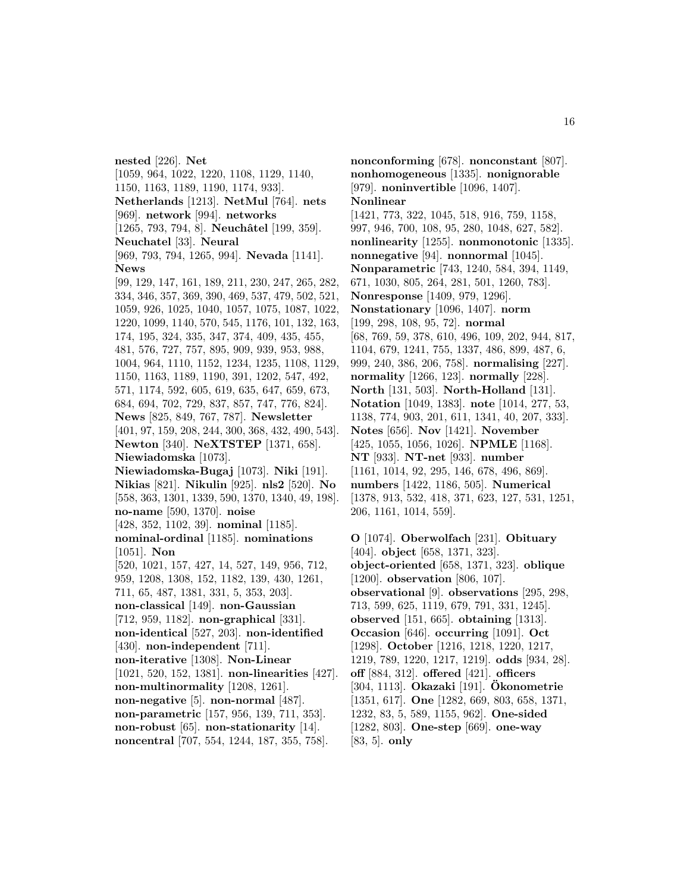**nested** [226]. **Net** [1059, 964, 1022, 1220, 1108, 1129, 1140, 1150, 1163, 1189, 1190, 1174, 933]. **Netherlands** [1213]. **NetMul** [764]. **nets** [969]. **network** [994]. **networks** [1265, 793, 794, 8]. **Neuchâtel** [199, 359]. **Neuchatel** [33]. **Neural** [969, 793, 794, 1265, 994]. **Nevada** [1141]. **News** [99, 129, 147, 161, 189, 211, 230, 247, 265, 282, 334, 346, 357, 369, 390, 469, 537, 479, 502, 521, 1059, 926, 1025, 1040, 1057, 1075, 1087, 1022, 1220, 1099, 1140, 570, 545, 1176, 101, 132, 163, 174, 195, 324, 335, 347, 374, 409, 435, 455, 481, 576, 727, 757, 895, 909, 939, 953, 988, 1004, 964, 1110, 1152, 1234, 1235, 1108, 1129, 1150, 1163, 1189, 1190, 391, 1202, 547, 492, 571, 1174, 592, 605, 619, 635, 647, 659, 673, 684, 694, 702, 729, 837, 857, 747, 776, 824]. **News** [825, 849, 767, 787]. **Newsletter** [401, 97, 159, 208, 244, 300, 368, 432, 490, 543]. **Newton** [340]. **NeXTSTEP** [1371, 658]. **Niewiadomska** [1073]. **Niewiadomska-Bugaj** [1073]. **Niki** [191]. **Nikias** [821]. **Nikulin** [925]. **nls2** [520]. **No** [558, 363, 1301, 1339, 590, 1370, 1340, 49, 198]. **no-name** [590, 1370]. **noise** [428, 352, 1102, 39]. **nominal** [1185]. **nominal-ordinal** [1185]. **nominations** [1051]. **Non** [520, 1021, 157, 427, 14, 527, 149, 956, 712, 959, 1208, 1308, 152, 1182, 139, 430, 1261, 711, 65, 487, 1381, 331, 5, 353, 203]. **non-classical** [149]. **non-Gaussian** [712, 959, 1182]. **non-graphical** [331]. **non-identical** [527, 203]. **non-identified** [430]. **non-independent** [711]. **non-iterative** [1308]. **Non-Linear** [1021, 520, 152, 1381]. **non-linearities** [427]. **non-multinormality** [1208, 1261]. **non-negative** [5]. **non-normal** [487]. **non-parametric** [157, 956, 139, 711, 353]. **non-robust** [65]. **non-stationarity** [14]. **noncentral** [707, 554, 1244, 187, 355, 758].

**nonconforming** [678]. **nonconstant** [807]. **nonhomogeneous** [1335]. **nonignorable** [979]. **noninvertible** [1096, 1407]. **Nonlinear** [1421, 773, 322, 1045, 518, 916, 759, 1158, 997, 946, 700, 108, 95, 280, 1048, 627, 582]. **nonlinearity** [1255]. **nonmonotonic** [1335]. **nonnegative** [94]. **nonnormal** [1045]. **Nonparametric** [743, 1240, 584, 394, 1149, 671, 1030, 805, 264, 281, 501, 1260, 783]. **Nonresponse** [1409, 979, 1296]. **Nonstationary** [1096, 1407]. **norm** [199, 298, 108, 95, 72]. **normal** [68, 769, 59, 378, 610, 496, 109, 202, 944, 817, 1104, 679, 1241, 755, 1337, 486, 899, 487, 6, 999, 240, 386, 206, 758]. **normalising** [227]. **normality** [1266, 123]. **normally** [228]. **North** [131, 503]. **North-Holland** [131]. **Notation** [1049, 1383]. **note** [1014, 277, 53, 1138, 774, 903, 201, 611, 1341, 40, 207, 333]. **Notes** [656]. **Nov** [1421]. **November** [425, 1055, 1056, 1026]. **NPMLE** [1168]. **NT** [933]. **NT-net** [933]. **number** [1161, 1014, 92, 295, 146, 678, 496, 869]. **numbers** [1422, 1186, 505]. **Numerical** [1378, 913, 532, 418, 371, 623, 127, 531, 1251, 206, 1161, 1014, 559].

**O** [1074]. **Oberwolfach** [231]. **Obituary** [404]. **object** [658, 1371, 323]. **object-oriented** [658, 1371, 323]. **oblique** [1200]. **observation** [806, 107]. **observational** [9]. **observations** [295, 298, 713, 599, 625, 1119, 679, 791, 331, 1245]. **observed** [151, 665]. **obtaining** [1313]. **Occasion** [646]. **occurring** [1091]. **Oct** [1298]. **October** [1216, 1218, 1220, 1217, 1219, 789, 1220, 1217, 1219]. **odds** [934, 28]. **off** [884, 312]. **offered** [421]. **officers** [304, 1113]. **Okazaki** [191]. **Okonometrie ¨** [1351, 617]. **One** [1282, 669, 803, 658, 1371, 1232, 83, 5, 589, 1155, 962]. **One-sided** [1282, 803]. **One-step** [669]. **one-way** [83, 5]. **only**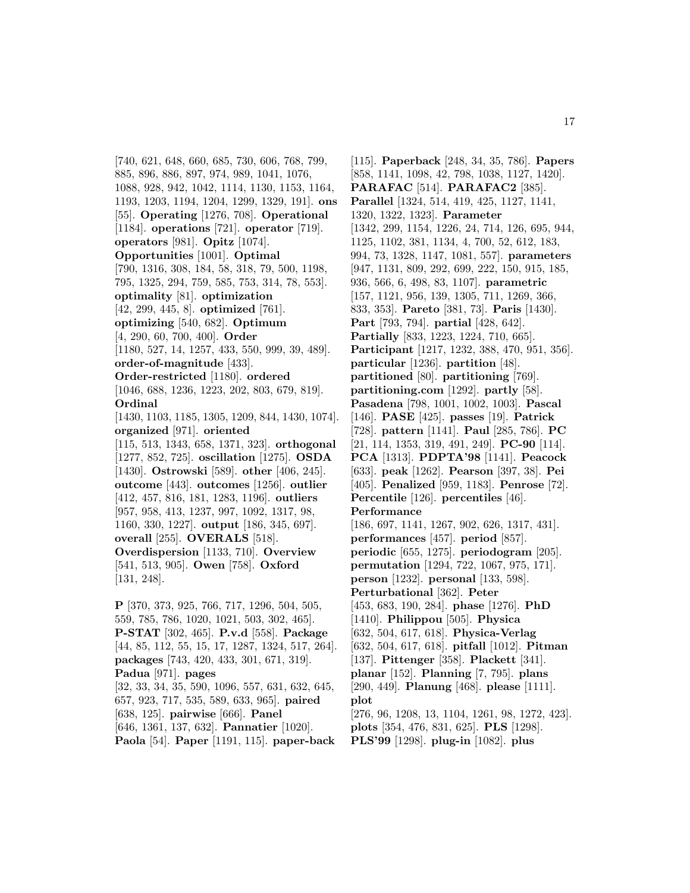[740, 621, 648, 660, 685, 730, 606, 768, 799, 885, 896, 886, 897, 974, 989, 1041, 1076, 1088, 928, 942, 1042, 1114, 1130, 1153, 1164, 1193, 1203, 1194, 1204, 1299, 1329, 191]. **ons** [55]. **Operating** [1276, 708]. **Operational** [1184]. **operations** [721]. **operator** [719]. **operators** [981]. **Opitz** [1074]. **Opportunities** [1001]. **Optimal** [790, 1316, 308, 184, 58, 318, 79, 500, 1198, 795, 1325, 294, 759, 585, 753, 314, 78, 553]. **optimality** [81]. **optimization** [42, 299, 445, 8]. **optimized** [761]. **optimizing** [540, 682]. **Optimum** [4, 290, 60, 700, 400]. **Order** [1180, 527, 14, 1257, 433, 550, 999, 39, 489]. **order-of-magnitude** [433]. **Order-restricted** [1180]. **ordered** [1046, 688, 1236, 1223, 202, 803, 679, 819]. **Ordinal** [1430, 1103, 1185, 1305, 1209, 844, 1430, 1074]. **organized** [971]. **oriented** [115, 513, 1343, 658, 1371, 323]. **orthogonal** [1277, 852, 725]. **oscillation** [1275]. **OSDA** [1430]. **Ostrowski** [589]. **other** [406, 245]. **outcome** [443]. **outcomes** [1256]. **outlier** [412, 457, 816, 181, 1283, 1196]. **outliers** [957, 958, 413, 1237, 997, 1092, 1317, 98, 1160, 330, 1227]. **output** [186, 345, 697]. **overall** [255]. **OVERALS** [518]. **Overdispersion** [1133, 710]. **Overview** [541, 513, 905]. **Owen** [758]. **Oxford** [131, 248]. **P** [370, 373, 925, 766, 717, 1296, 504, 505, 559, 785, 786, 1020, 1021, 503, 302, 465]. **P-STAT** [302, 465]. **P.v.d** [558]. **Package** [44, 85, 112, 55, 15, 17, 1287, 1324, 517, 264].

**packages** [743, 420, 433, 301, 671, 319]. **Padua** [971]. **pages** [32, 33, 34, 35, 590, 1096, 557, 631, 632, 645, 657, 923, 717, 535, 589, 633, 965]. **paired** [638, 125]. **pairwise** [666]. **Panel** [646, 1361, 137, 632]. **Pannatier** [1020].

**Paola** [54]. **Paper** [1191, 115]. **paper-back**

[115]. **Paperback** [248, 34, 35, 786]. **Papers** [858, 1141, 1098, 42, 798, 1038, 1127, 1420]. **PARAFAC** [514]. **PARAFAC2** [385]. **Parallel** [1324, 514, 419, 425, 1127, 1141, 1320, 1322, 1323]. **Parameter** [1342, 299, 1154, 1226, 24, 714, 126, 695, 944, 1125, 1102, 381, 1134, 4, 700, 52, 612, 183, 994, 73, 1328, 1147, 1081, 557]. **parameters** [947, 1131, 809, 292, 699, 222, 150, 915, 185, 936, 566, 6, 498, 83, 1107]. **parametric** [157, 1121, 956, 139, 1305, 711, 1269, 366, 833, 353]. **Pareto** [381, 73]. **Paris** [1430]. **Part** [793, 794]. **partial** [428, 642]. **Partially** [833, 1223, 1224, 710, 665]. **Participant** [1217, 1232, 388, 470, 951, 356]. **particular** [1236]. **partition** [48]. **partitioned** [80]. **partitioning** [769]. **partitioning.com** [1292]. **partly** [58]. **Pasadena** [798, 1001, 1002, 1003]. **Pascal** [146]. **PASE** [425]. **passes** [19]. **Patrick** [728]. **pattern** [1141]. **Paul** [285, 786]. **PC** [21, 114, 1353, 319, 491, 249]. **PC-90** [114]. **PCA** [1313]. **PDPTA'98** [1141]. **Peacock** [633]. **peak** [1262]. **Pearson** [397, 38]. **Pei** [405]. **Penalized** [959, 1183]. **Penrose** [72]. **Percentile** [126]. **percentiles** [46]. **Performance** [186, 697, 1141, 1267, 902, 626, 1317, 431]. **performances** [457]. **period** [857]. **periodic** [655, 1275]. **periodogram** [205]. **permutation** [1294, 722, 1067, 975, 171]. **person** [1232]. **personal** [133, 598]. **Perturbational** [362]. **Peter** [453, 683, 190, 284]. **phase** [1276]. **PhD** [1410]. **Philippou** [505]. **Physica** [632, 504, 617, 618]. **Physica-Verlag** [632, 504, 617, 618]. **pitfall** [1012]. **Pitman** [137]. **Pittenger** [358]. **Plackett** [341]. **planar** [152]. **Planning** [7, 795]. **plans** [290, 449]. **Planung** [468]. **please** [1111]. **plot** [276, 96, 1208, 13, 1104, 1261, 98, 1272, 423]. **plots** [354, 476, 831, 625]. **PLS** [1298]. **PLS'99** [1298]. **plug-in** [1082]. **plus**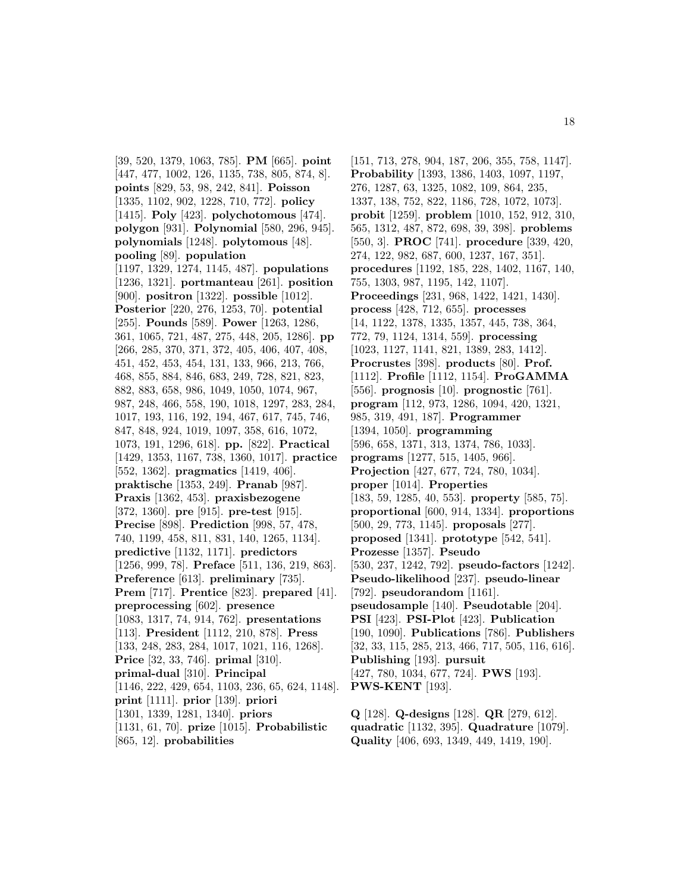[39, 520, 1379, 1063, 785]. **PM** [665]. **point** [447, 477, 1002, 126, 1135, 738, 805, 874, 8]. **points** [829, 53, 98, 242, 841]. **Poisson** [1335, 1102, 902, 1228, 710, 772]. **policy** [1415]. **Poly** [423]. **polychotomous** [474]. **polygon** [931]. **Polynomial** [580, 296, 945]. **polynomials** [1248]. **polytomous** [48]. **pooling** [89]. **population** [1197, 1329, 1274, 1145, 487]. **populations** [1236, 1321]. **portmanteau** [261]. **position** [900]. **positron** [1322]. **possible** [1012]. **Posterior** [220, 276, 1253, 70]. **potential** [255]. **Pounds** [589]. **Power** [1263, 1286, 361, 1065, 721, 487, 275, 448, 205, 1286]. **pp** [266, 285, 370, 371, 372, 405, 406, 407, 408, 451, 452, 453, 454, 131, 133, 966, 213, 766, 468, 855, 884, 846, 683, 249, 728, 821, 823, 882, 883, 658, 986, 1049, 1050, 1074, 967, 987, 248, 466, 558, 190, 1018, 1297, 283, 284, 1017, 193, 116, 192, 194, 467, 617, 745, 746, 847, 848, 924, 1019, 1097, 358, 616, 1072, 1073, 191, 1296, 618]. **pp.** [822]. **Practical** [1429, 1353, 1167, 738, 1360, 1017]. **practice** [552, 1362]. **pragmatics** [1419, 406]. **praktische** [1353, 249]. **Pranab** [987]. **Praxis** [1362, 453]. **praxisbezogene** [372, 1360]. **pre** [915]. **pre-test** [915]. **Precise** [898]. **Prediction** [998, 57, 478, 740, 1199, 458, 811, 831, 140, 1265, 1134]. **predictive** [1132, 1171]. **predictors** [1256, 999, 78]. **Preface** [511, 136, 219, 863]. **Preference** [613]. **preliminary** [735]. **Prem** [717]. **Prentice** [823]. **prepared** [41]. **preprocessing** [602]. **presence** [1083, 1317, 74, 914, 762]. **presentations** [113]. **President** [1112, 210, 878]. **Press** [133, 248, 283, 284, 1017, 1021, 116, 1268]. **Price** [32, 33, 746]. **primal** [310]. **primal-dual** [310]. **Principal** [1146, 222, 429, 654, 1103, 236, 65, 624, 1148]. **print** [1111]. **prior** [139]. **priori** [1301, 1339, 1281, 1340]. **priors** [1131, 61, 70]. **prize** [1015]. **Probabilistic** [865, 12]. **probabilities**

[151, 713, 278, 904, 187, 206, 355, 758, 1147]. **Probability** [1393, 1386, 1403, 1097, 1197, 276, 1287, 63, 1325, 1082, 109, 864, 235, 1337, 138, 752, 822, 1186, 728, 1072, 1073]. **probit** [1259]. **problem** [1010, 152, 912, 310, 565, 1312, 487, 872, 698, 39, 398]. **problems** [550, 3]. **PROC** [741]. **procedure** [339, 420, 274, 122, 982, 687, 600, 1237, 167, 351]. **procedures** [1192, 185, 228, 1402, 1167, 140, 755, 1303, 987, 1195, 142, 1107]. **Proceedings** [231, 968, 1422, 1421, 1430]. **process** [428, 712, 655]. **processes** [14, 1122, 1378, 1335, 1357, 445, 738, 364, 772, 79, 1124, 1314, 559]. **processing** [1023, 1127, 1141, 821, 1389, 283, 1412]. **Procrustes** [398]. **products** [80]. **Prof.** [1112]. **Profile** [1112, 1154]. **ProGAMMA** [556]. **prognosis** [10]. **prognostic** [761]. **program** [112, 973, 1286, 1094, 420, 1321, 985, 319, 491, 187]. **Programmer** [1394, 1050]. **programming** [596, 658, 1371, 313, 1374, 786, 1033]. **programs** [1277, 515, 1405, 966]. **Projection** [427, 677, 724, 780, 1034]. **proper** [1014]. **Properties** [183, 59, 1285, 40, 553]. **property** [585, 75]. **proportional** [600, 914, 1334]. **proportions** [500, 29, 773, 1145]. **proposals** [277]. **proposed** [1341]. **prototype** [542, 541]. **Prozesse** [1357]. **Pseudo** [530, 237, 1242, 792]. **pseudo-factors** [1242]. **Pseudo-likelihood** [237]. **pseudo-linear** [792]. **pseudorandom** [1161]. **pseudosample** [140]. **Pseudotable** [204]. **PSI** [423]. **PSI-Plot** [423]. **Publication** [190, 1090]. **Publications** [786]. **Publishers** [32, 33, 115, 285, 213, 466, 717, 505, 116, 616]. **Publishing** [193]. **pursuit** [427, 780, 1034, 677, 724]. **PWS** [193]. **PWS-KENT** [193].

**Q** [128]. **Q-designs** [128]. **QR** [279, 612]. **quadratic** [1132, 395]. **Quadrature** [1079]. **Quality** [406, 693, 1349, 449, 1419, 190].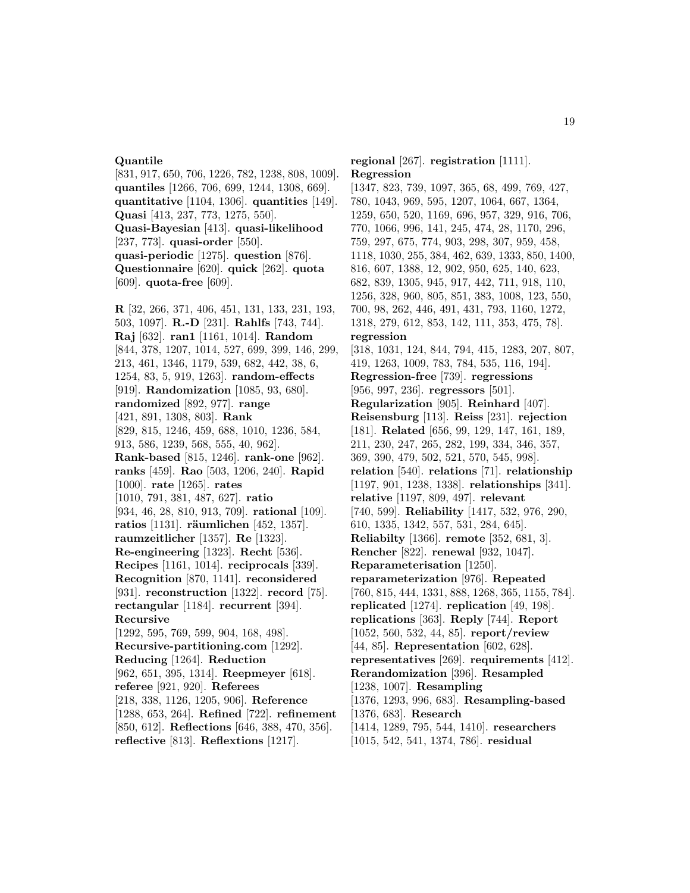### **Quantile**

[831, 917, 650, 706, 1226, 782, 1238, 808, 1009]. **quantiles** [1266, 706, 699, 1244, 1308, 669]. **quantitative** [1104, 1306]. **quantities** [149]. **Quasi** [413, 237, 773, 1275, 550]. **Quasi-Bayesian** [413]. **quasi-likelihood** [237, 773]. **quasi-order** [550]. **quasi-periodic** [1275]. **question** [876]. **Questionnaire** [620]. **quick** [262]. **quota** [609]. **quota-free** [609].

**R** [32, 266, 371, 406, 451, 131, 133, 231, 193, 503, 1097]. **R.-D** [231]. **Rahlfs** [743, 744]. **Raj** [632]. **ran1** [1161, 1014]. **Random** [844, 378, 1207, 1014, 527, 699, 399, 146, 299, 213, 461, 1346, 1179, 539, 682, 442, 38, 6, 1254, 83, 5, 919, 1263]. **random-effects** [919]. **Randomization** [1085, 93, 680]. **randomized** [892, 977]. **range** [421, 891, 1308, 803]. **Rank** [829, 815, 1246, 459, 688, 1010, 1236, 584, 913, 586, 1239, 568, 555, 40, 962]. **Rank-based** [815, 1246]. **rank-one** [962]. **ranks** [459]. **Rao** [503, 1206, 240]. **Rapid** [1000]. **rate** [1265]. **rates** [1010, 791, 381, 487, 627]. **ratio** [934, 46, 28, 810, 913, 709]. **rational** [109]. **ratios** [1131]. **räumlichen** [452, 1357]. **raumzeitlicher** [1357]. **Re** [1323]. **Re-engineering** [1323]. **Recht** [536]. **Recipes** [1161, 1014]. **reciprocals** [339]. **Recognition** [870, 1141]. **reconsidered** [931]. **reconstruction** [1322]. **record** [75]. **rectangular** [1184]. **recurrent** [394]. **Recursive** [1292, 595, 769, 599, 904, 168, 498]. **Recursive-partitioning.com** [1292]. **Reducing** [1264]. **Reduction** [962, 651, 395, 1314]. **Reepmeyer** [618]. **referee** [921, 920]. **Referees** [218, 338, 1126, 1205, 906]. **Reference** [1288, 653, 264]. **Refined** [722]. **refinement** [850, 612]. **Reflections** [646, 388, 470, 356]. **reflective** [813]. **Reflextions** [1217].

**regional** [267]. **registration** [1111]. **Regression** [1347, 823, 739, 1097, 365, 68, 499, 769, 427, 780, 1043, 969, 595, 1207, 1064, 667, 1364, 1259, 650, 520, 1169, 696, 957, 329, 916, 706, 770, 1066, 996, 141, 245, 474, 28, 1170, 296, 759, 297, 675, 774, 903, 298, 307, 959, 458, 1118, 1030, 255, 384, 462, 639, 1333, 850, 1400, 816, 607, 1388, 12, 902, 950, 625, 140, 623, 682, 839, 1305, 945, 917, 442, 711, 918, 110, 1256, 328, 960, 805, 851, 383, 1008, 123, 550, 700, 98, 262, 446, 491, 431, 793, 1160, 1272, 1318, 279, 612, 853, 142, 111, 353, 475, 78]. **regression** [318, 1031, 124, 844, 794, 415, 1283, 207, 807, 419, 1263, 1009, 783, 784, 535, 116, 194]. **Regression-free** [739]. **regressions** [956, 997, 236]. **regressors** [501]. **Regularization** [905]. **Reinhard** [407]. **Reisensburg** [113]. **Reiss** [231]. **rejection** [181]. **Related** [656, 99, 129, 147, 161, 189, 211, 230, 247, 265, 282, 199, 334, 346, 357, 369, 390, 479, 502, 521, 570, 545, 998]. **relation** [540]. **relations** [71]. **relationship** [1197, 901, 1238, 1338]. **relationships** [341]. **relative** [1197, 809, 497]. **relevant** [740, 599]. **Reliability** [1417, 532, 976, 290, 610, 1335, 1342, 557, 531, 284, 645]. **Reliabilty** [1366]. **remote** [352, 681, 3]. **Rencher** [822]. **renewal** [932, 1047]. **Reparameterisation** [1250]. **reparameterization** [976]. **Repeated** [760, 815, 444, 1331, 888, 1268, 365, 1155, 784]. **replicated** [1274]. **replication** [49, 198]. **replications** [363]. **Reply** [744]. **Report** [1052, 560, 532, 44, 85]. **report/review** [44, 85]. **Representation** [602, 628]. **representatives** [269]. **requirements** [412]. **Rerandomization** [396]. **Resampled** [1238, 1007]. **Resampling** [1376, 1293, 996, 683]. **Resampling-based** [1376, 683]. **Research** [1414, 1289, 795, 544, 1410]. **researchers** [1015, 542, 541, 1374, 786]. **residual**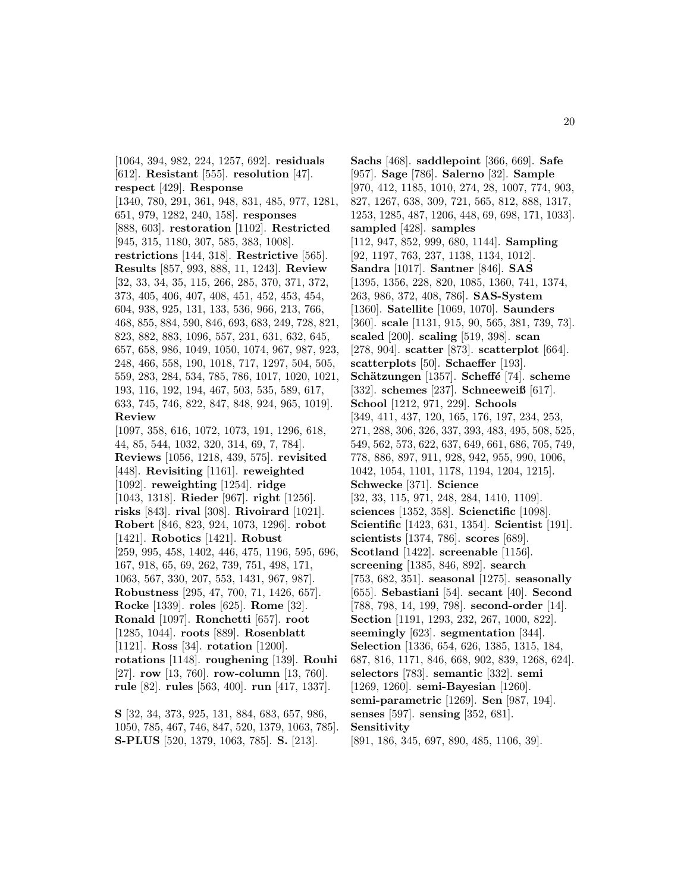[1064, 394, 982, 224, 1257, 692]. **residuals** [612]. **Resistant** [555]. **resolution** [47]. **respect** [429]. **Response** [1340, 780, 291, 361, 948, 831, 485, 977, 1281, 651, 979, 1282, 240, 158]. **responses** [888, 603]. **restoration** [1102]. **Restricted** [945, 315, 1180, 307, 585, 383, 1008]. **restrictions** [144, 318]. **Restrictive** [565]. **Results** [857, 993, 888, 11, 1243]. **Review** [32, 33, 34, 35, 115, 266, 285, 370, 371, 372, 373, 405, 406, 407, 408, 451, 452, 453, 454, 604, 938, 925, 131, 133, 536, 966, 213, 766, 468, 855, 884, 590, 846, 693, 683, 249, 728, 821, 823, 882, 883, 1096, 557, 231, 631, 632, 645, 657, 658, 986, 1049, 1050, 1074, 967, 987, 923, 248, 466, 558, 190, 1018, 717, 1297, 504, 505, 559, 283, 284, 534, 785, 786, 1017, 1020, 1021, 193, 116, 192, 194, 467, 503, 535, 589, 617, 633, 745, 746, 822, 847, 848, 924, 965, 1019]. **Review** [1097, 358, 616, 1072, 1073, 191, 1296, 618, 44, 85, 544, 1032, 320, 314, 69, 7, 784]. **Reviews** [1056, 1218, 439, 575]. **revisited** [448]. **Revisiting** [1161]. **reweighted** [1092]. **reweighting** [1254]. **ridge** [1043, 1318]. **Rieder** [967]. **right** [1256]. **risks** [843]. **rival** [308]. **Rivoirard** [1021]. **Robert** [846, 823, 924, 1073, 1296]. **robot** [1421]. **Robotics** [1421]. **Robust** [259, 995, 458, 1402, 446, 475, 1196, 595, 696, 167, 918, 65, 69, 262, 739, 751, 498, 171, 1063, 567, 330, 207, 553, 1431, 967, 987]. **Robustness** [295, 47, 700, 71, 1426, 657]. **Rocke** [1339]. **roles** [625]. **Rome** [32]. **Ronald** [1097]. **Ronchetti** [657]. **root** [1285, 1044]. **roots** [889]. **Rosenblatt** [1121]. **Ross** [34]. **rotation** [1200]. **rotations** [1148]. **roughening** [139]. **Rouhi** [27]. **row** [13, 760]. **row-column** [13, 760]. **rule** [82]. **rules** [563, 400]. **run** [417, 1337].

**S** [32, 34, 373, 925, 131, 884, 683, 657, 986, 1050, 785, 467, 746, 847, 520, 1379, 1063, 785]. **S-PLUS** [520, 1379, 1063, 785]. **S.** [213].

**Sachs** [468]. **saddlepoint** [366, 669]. **Safe** [957]. **Sage** [786]. **Salerno** [32]. **Sample** [970, 412, 1185, 1010, 274, 28, 1007, 774, 903, 827, 1267, 638, 309, 721, 565, 812, 888, 1317, 1253, 1285, 487, 1206, 448, 69, 698, 171, 1033]. **sampled** [428]. **samples** [112, 947, 852, 999, 680, 1144]. **Sampling** [92, 1197, 763, 237, 1138, 1134, 1012]. **Sandra** [1017]. **Santner** [846]. **SAS** [1395, 1356, 228, 820, 1085, 1360, 741, 1374, 263, 986, 372, 408, 786]. **SAS-System** [1360]. **Satellite** [1069, 1070]. **Saunders** [360]. **scale** [1131, 915, 90, 565, 381, 739, 73]. **scaled** [200]. **scaling** [519, 398]. **scan** [278, 904]. **scatter** [873]. **scatterplot** [664]. **scatterplots** [50]. **Schaeffer** [193]. **Schätzungen** [1357]. **Scheffé** [74]. **scheme** [332]. **schemes** [237]. **Schneeweiß** [617]. **School** [1212, 971, 229]. **Schools** [349, 411, 437, 120, 165, 176, 197, 234, 253, 271, 288, 306, 326, 337, 393, 483, 495, 508, 525, 549, 562, 573, 622, 637, 649, 661, 686, 705, 749, 778, 886, 897, 911, 928, 942, 955, 990, 1006, 1042, 1054, 1101, 1178, 1194, 1204, 1215]. **Schwecke** [371]. **Science** [32, 33, 115, 971, 248, 284, 1410, 1109]. **sciences** [1352, 358]. **Scienctific** [1098]. **Scientific** [1423, 631, 1354]. **Scientist** [191]. **scientists** [1374, 786]. **scores** [689]. **Scotland** [1422]. **screenable** [1156]. **screening** [1385, 846, 892]. **search** [753, 682, 351]. **seasonal** [1275]. **seasonally** [655]. **Sebastiani** [54]. **secant** [40]. **Second** [788, 798, 14, 199, 798]. **second-order** [14]. **Section** [1191, 1293, 232, 267, 1000, 822]. **seemingly** [623]. **segmentation** [344]. **Selection** [1336, 654, 626, 1385, 1315, 184, 687, 816, 1171, 846, 668, 902, 839, 1268, 624]. **selectors** [783]. **semantic** [332]. **semi** [1269, 1260]. **semi-Bayesian** [1260]. **semi-parametric** [1269]. **Sen** [987, 194]. **senses** [597]. **sensing** [352, 681]. **Sensitivity**

[891, 186, 345, 697, 890, 485, 1106, 39].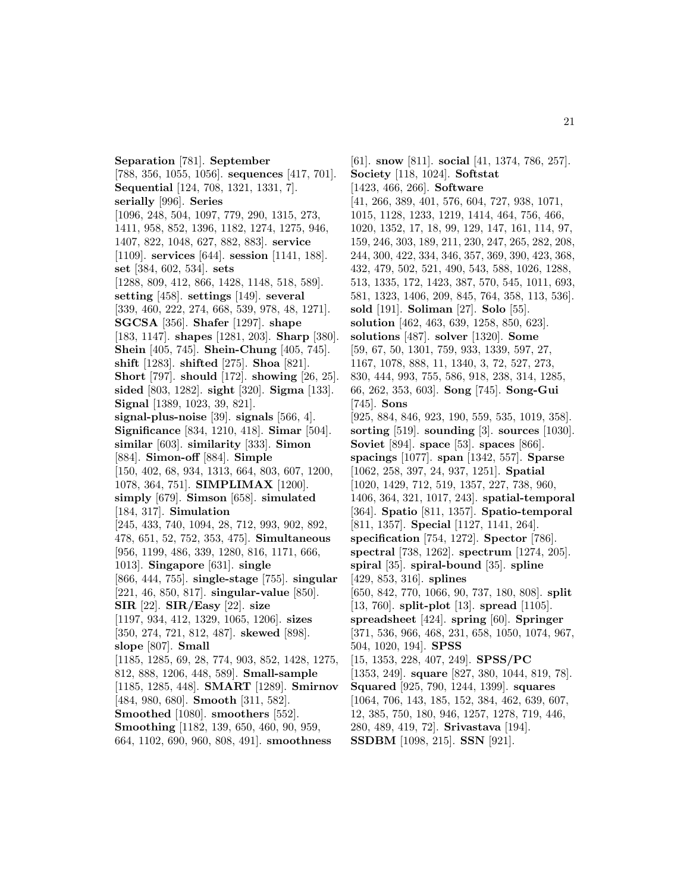**Separation** [781]. **September** [788, 356, 1055, 1056]. **sequences** [417, 701]. **Sequential** [124, 708, 1321, 1331, 7]. **serially** [996]. **Series** [1096, 248, 504, 1097, 779, 290, 1315, 273, 1411, 958, 852, 1396, 1182, 1274, 1275, 946, 1407, 822, 1048, 627, 882, 883]. **service** [1109]. **services** [644]. **session** [1141, 188]. **set** [384, 602, 534]. **sets** [1288, 809, 412, 866, 1428, 1148, 518, 589]. **setting** [458]. **settings** [149]. **several** [339, 460, 222, 274, 668, 539, 978, 48, 1271]. **SGCSA** [356]. **Shafer** [1297]. **shape** [183, 1147]. **shapes** [1281, 203]. **Sharp** [380]. **Shein** [405, 745]. **Shein-Chung** [405, 745]. **shift** [1283]. **shifted** [275]. **Shoa** [821]. **Short** [797]. **should** [172]. **showing** [26, 25]. **sided** [803, 1282]. **sight** [320]. **Sigma** [133]. **Signal** [1389, 1023, 39, 821]. **signal-plus-noise** [39]. **signals** [566, 4]. **Significance** [834, 1210, 418]. **Simar** [504]. **similar** [603]. **similarity** [333]. **Simon** [884]. **Simon-off** [884]. **Simple** [150, 402, 68, 934, 1313, 664, 803, 607, 1200, 1078, 364, 751]. **SIMPLIMAX** [1200]. **simply** [679]. **Simson** [658]. **simulated** [184, 317]. **Simulation** [245, 433, 740, 1094, 28, 712, 993, 902, 892, 478, 651, 52, 752, 353, 475]. **Simultaneous** [956, 1199, 486, 339, 1280, 816, 1171, 666, 1013]. **Singapore** [631]. **single** [866, 444, 755]. **single-stage** [755]. **singular** [221, 46, 850, 817]. **singular-value** [850]. **SIR** [22]. **SIR/Easy** [22]. **size** [1197, 934, 412, 1329, 1065, 1206]. **sizes** [350, 274, 721, 812, 487]. **skewed** [898]. **slope** [807]. **Small** [1185, 1285, 69, 28, 774, 903, 852, 1428, 1275, 812, 888, 1206, 448, 589]. **Small-sample** [1185, 1285, 448]. **SMART** [1289]. **Smirnov** [484, 980, 680]. **Smooth** [311, 582]. **Smoothed** [1080]. **smoothers** [552]. **Smoothing** [1182, 139, 650, 460, 90, 959, 664, 1102, 690, 960, 808, 491]. **smoothness**

[61]. **snow** [811]. **social** [41, 1374, 786, 257]. **Society** [118, 1024]. **Softstat** [1423, 466, 266]. **Software** [41, 266, 389, 401, 576, 604, 727, 938, 1071, 1015, 1128, 1233, 1219, 1414, 464, 756, 466, 1020, 1352, 17, 18, 99, 129, 147, 161, 114, 97, 159, 246, 303, 189, 211, 230, 247, 265, 282, 208, 244, 300, 422, 334, 346, 357, 369, 390, 423, 368, 432, 479, 502, 521, 490, 543, 588, 1026, 1288, 513, 1335, 172, 1423, 387, 570, 545, 1011, 693, 581, 1323, 1406, 209, 845, 764, 358, 113, 536]. **sold** [191]. **Soliman** [27]. **Solo** [55]. **solution** [462, 463, 639, 1258, 850, 623]. **solutions** [487]. **solver** [1320]. **Some** [59, 67, 50, 1301, 759, 933, 1339, 597, 27, 1167, 1078, 888, 11, 1340, 3, 72, 527, 273, 830, 444, 993, 755, 586, 918, 238, 314, 1285, 66, 262, 353, 603]. **Song** [745]. **Song-Gui** [745]. **Sons** [925, 884, 846, 923, 190, 559, 535, 1019, 358]. **sorting** [519]. **sounding** [3]. **sources** [1030]. **Soviet** [894]. **space** [53]. **spaces** [866]. **spacings** [1077]. **span** [1342, 557]. **Sparse** [1062, 258, 397, 24, 937, 1251]. **Spatial** [1020, 1429, 712, 519, 1357, 227, 738, 960, 1406, 364, 321, 1017, 243]. **spatial-temporal** [364]. **Spatio** [811, 1357]. **Spatio-temporal** [811, 1357]. **Special** [1127, 1141, 264]. **specification** [754, 1272]. **Spector** [786]. **spectral** [738, 1262]. **spectrum** [1274, 205]. **spiral** [35]. **spiral-bound** [35]. **spline** [429, 853, 316]. **splines** [650, 842, 770, 1066, 90, 737, 180, 808]. **split** [13, 760]. **split-plot** [13]. **spread** [1105]. **spreadsheet** [424]. **spring** [60]. **Springer** [371, 536, 966, 468, 231, 658, 1050, 1074, 967, 504, 1020, 194]. **SPSS** [15, 1353, 228, 407, 249]. **SPSS/PC** [1353, 249]. **square** [827, 380, 1044, 819, 78]. **Squared** [925, 790, 1244, 1399]. **squares** [1064, 706, 143, 185, 152, 384, 462, 639, 607, 12, 385, 750, 180, 946, 1257, 1278, 719, 446, 280, 489, 419, 72]. **Srivastava** [194]. **SSDBM** [1098, 215]. **SSN** [921].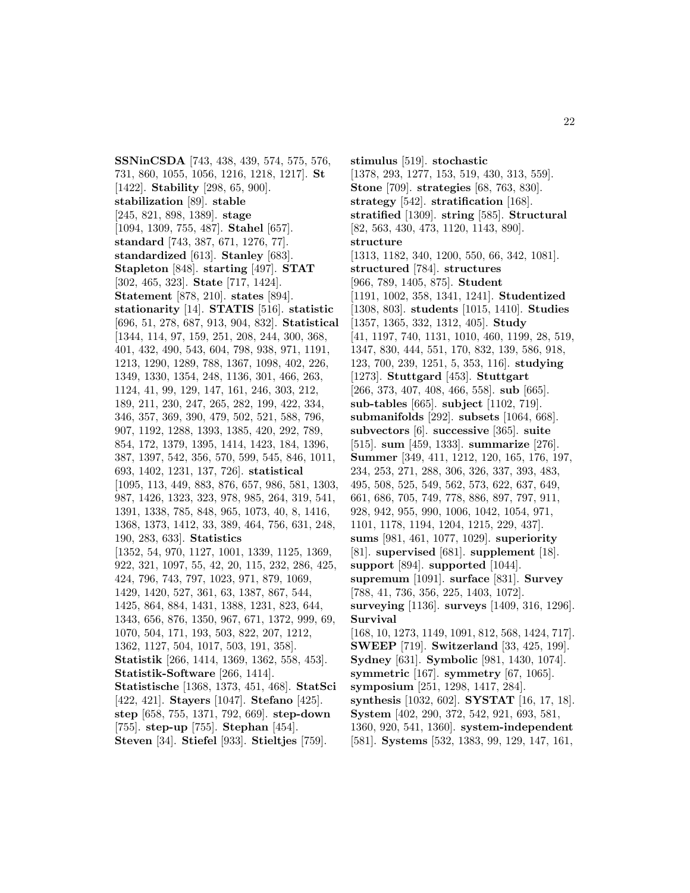**SSNinCSDA** [743, 438, 439, 574, 575, 576, 731, 860, 1055, 1056, 1216, 1218, 1217]. **St** [1422]. **Stability** [298, 65, 900]. **stabilization** [89]. **stable** [245, 821, 898, 1389]. **stage** [1094, 1309, 755, 487]. **Stahel** [657]. **standard** [743, 387, 671, 1276, 77]. **standardized** [613]. **Stanley** [683]. **Stapleton** [848]. **starting** [497]. **STAT** [302, 465, 323]. **State** [717, 1424]. **Statement** [878, 210]. **states** [894]. **stationarity** [14]. **STATIS** [516]. **statistic** [696, 51, 278, 687, 913, 904, 832]. **Statistical** [1344, 114, 97, 159, 251, 208, 244, 300, 368, 401, 432, 490, 543, 604, 798, 938, 971, 1191, 1213, 1290, 1289, 788, 1367, 1098, 402, 226, 1349, 1330, 1354, 248, 1136, 301, 466, 263, 1124, 41, 99, 129, 147, 161, 246, 303, 212, 189, 211, 230, 247, 265, 282, 199, 422, 334, 346, 357, 369, 390, 479, 502, 521, 588, 796, 907, 1192, 1288, 1393, 1385, 420, 292, 789, 854, 172, 1379, 1395, 1414, 1423, 184, 1396, 387, 1397, 542, 356, 570, 599, 545, 846, 1011, 693, 1402, 1231, 137, 726]. **statistical** [1095, 113, 449, 883, 876, 657, 986, 581, 1303, 987, 1426, 1323, 323, 978, 985, 264, 319, 541, 1391, 1338, 785, 848, 965, 1073, 40, 8, 1416, 1368, 1373, 1412, 33, 389, 464, 756, 631, 248, 190, 283, 633]. **Statistics** [1352, 54, 970, 1127, 1001, 1339, 1125, 1369, 922, 321, 1097, 55, 42, 20, 115, 232, 286, 425, 424, 796, 743, 797, 1023, 971, 879, 1069, 1429, 1420, 527, 361, 63, 1387, 867, 544, 1425, 864, 884, 1431, 1388, 1231, 823, 644, 1343, 656, 876, 1350, 967, 671, 1372, 999, 69, 1070, 504, 171, 193, 503, 822, 207, 1212, 1362, 1127, 504, 1017, 503, 191, 358]. **Statistik** [266, 1414, 1369, 1362, 558, 453]. **Statistik-Software** [266, 1414]. **Statistische** [1368, 1373, 451, 468]. **StatSci** [422, 421]. **Stayers** [1047]. **Stefano** [425]. **step** [658, 755, 1371, 792, 669]. **step-down** [755]. **step-up** [755]. **Stephan** [454]. **Steven** [34]. **Stiefel** [933]. **Stieltjes** [759].

**stimulus** [519]. **stochastic** [1378, 293, 1277, 153, 519, 430, 313, 559]. **Stone** [709]. **strategies** [68, 763, 830]. **strategy** [542]. **stratification** [168]. **stratified** [1309]. **string** [585]. **Structural** [82, 563, 430, 473, 1120, 1143, 890]. **structure** [1313, 1182, 340, 1200, 550, 66, 342, 1081]. **structured** [784]. **structures** [966, 789, 1405, 875]. **Student** [1191, 1002, 358, 1341, 1241]. **Studentized** [1308, 803]. **students** [1015, 1410]. **Studies** [1357, 1365, 332, 1312, 405]. **Study** [41, 1197, 740, 1131, 1010, 460, 1199, 28, 519, 1347, 830, 444, 551, 170, 832, 139, 586, 918, 123, 700, 239, 1251, 5, 353, 116]. **studying** [1273]. **Stuttgard** [453]. **Stuttgart** [266, 373, 407, 408, 466, 558]. **sub** [665]. **sub-tables** [665]. **subject** [1102, 719]. **submanifolds** [292]. **subsets** [1064, 668]. **subvectors** [6]. **successive** [365]. **suite** [515]. **sum** [459, 1333]. **summarize** [276]. **Summer** [349, 411, 1212, 120, 165, 176, 197, 234, 253, 271, 288, 306, 326, 337, 393, 483, 495, 508, 525, 549, 562, 573, 622, 637, 649, 661, 686, 705, 749, 778, 886, 897, 797, 911, 928, 942, 955, 990, 1006, 1042, 1054, 971, 1101, 1178, 1194, 1204, 1215, 229, 437]. **sums** [981, 461, 1077, 1029]. **superiority** [81]. **supervised** [681]. **supplement** [18]. **support** [894]. **supported** [1044]. **supremum** [1091]. **surface** [831]. **Survey** [788, 41, 736, 356, 225, 1403, 1072]. **surveying** [1136]. **surveys** [1409, 316, 1296]. **Survival** [168, 10, 1273, 1149, 1091, 812, 568, 1424, 717]. **SWEEP** [719]. **Switzerland** [33, 425, 199]. **Sydney** [631]. **Symbolic** [981, 1430, 1074]. **symmetric** [167]. **symmetry** [67, 1065]. **symposium** [251, 1298, 1417, 284]. **synthesis** [1032, 602]. **SYSTAT** [16, 17, 18]. **System** [402, 290, 372, 542, 921, 693, 581, 1360, 920, 541, 1360]. **system-independent** [581]. **Systems** [532, 1383, 99, 129, 147, 161,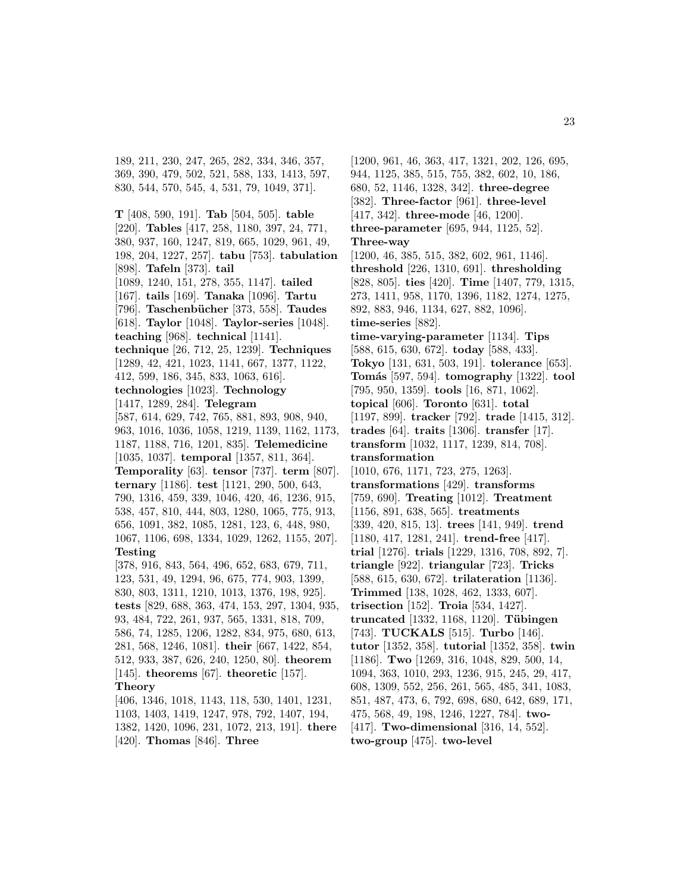189, 211, 230, 247, 265, 282, 334, 346, 357, 369, 390, 479, 502, 521, 588, 133, 1413, 597, 830, 544, 570, 545, 4, 531, 79, 1049, 371].

**T** [408, 590, 191]. **Tab** [504, 505]. **table** [220]. **Tables** [417, 258, 1180, 397, 24, 771, 380, 937, 160, 1247, 819, 665, 1029, 961, 49, 198, 204, 1227, 257]. **tabu** [753]. **tabulation** [898]. **Tafeln** [373]. **tail** [1089, 1240, 151, 278, 355, 1147]. **tailed** [167]. **tails** [169]. **Tanaka** [1096]. **Tartu** [796]. **Taschenb¨ucher** [373, 558]. **Taudes** [618]. **Taylor** [1048]. **Taylor-series** [1048]. **teaching** [968]. **technical** [1141]. **technique** [26, 712, 25, 1239]. **Techniques** [1289, 42, 421, 1023, 1141, 667, 1377, 1122, 412, 599, 186, 345, 833, 1063, 616]. **technologies** [1023]. **Technology** [1417, 1289, 284]. **Telegram** [587, 614, 629, 742, 765, 881, 893, 908, 940, 963, 1016, 1036, 1058, 1219, 1139, 1162, 1173, 1187, 1188, 716, 1201, 835]. **Telemedicine** [1035, 1037]. **temporal** [1357, 811, 364]. **Temporality** [63]. **tensor** [737]. **term** [807]. **ternary** [1186]. **test** [1121, 290, 500, 643, 790, 1316, 459, 339, 1046, 420, 46, 1236, 915, 538, 457, 810, 444, 803, 1280, 1065, 775, 913, 656, 1091, 382, 1085, 1281, 123, 6, 448, 980, 1067, 1106, 698, 1334, 1029, 1262, 1155, 207]. **Testing** [378, 916, 843, 564, 496, 652, 683, 679, 711, 123, 531, 49, 1294, 96, 675, 774, 903, 1399, 830, 803, 1311, 1210, 1013, 1376, 198, 925]. **tests** [829, 688, 363, 474, 153, 297, 1304, 935, 93, 484, 722, 261, 937, 565, 1331, 818, 709, 586, 74, 1285, 1206, 1282, 834, 975, 680, 613, 281, 568, 1246, 1081]. **their** [667, 1422, 854, 512, 933, 387, 626, 240, 1250, 80]. **theorem** [145]. **theorems** [67]. **theoretic** [157]. **Theory**

[406, 1346, 1018, 1143, 118, 530, 1401, 1231, 1103, 1403, 1419, 1247, 978, 792, 1407, 194, 1382, 1420, 1096, 231, 1072, 213, 191]. **there** [420]. **Thomas** [846]. **Three**

[1200, 961, 46, 363, 417, 1321, 202, 126, 695, 944, 1125, 385, 515, 755, 382, 602, 10, 186, 680, 52, 1146, 1328, 342]. **three-degree** [382]. **Three-factor** [961]. **three-level** [417, 342]. **three-mode** [46, 1200]. **three-parameter** [695, 944, 1125, 52]. **Three-way** [1200, 46, 385, 515, 382, 602, 961, 1146]. **threshold** [226, 1310, 691]. **thresholding** [828, 805]. **ties** [420]. **Time** [1407, 779, 1315, 273, 1411, 958, 1170, 1396, 1182, 1274, 1275, 892, 883, 946, 1134, 627, 882, 1096]. **time-series** [882]. **time-varying-parameter** [1134]. **Tips** [588, 615, 630, 672]. **today** [588, 433]. **Tokyo** [131, 631, 503, 191]. **tolerance** [653]. **Tom´as** [597, 594]. **tomography** [1322]. **tool** [795, 950, 1359]. **tools** [16, 871, 1062]. **topical** [606]. **Toronto** [631]. **total** [1197, 899]. **tracker** [792]. **trade** [1415, 312]. **trades** [64]. **traits** [1306]. **transfer** [17]. **transform** [1032, 1117, 1239, 814, 708]. **transformation** [1010, 676, 1171, 723, 275, 1263]. **transformations** [429]. **transforms** [759, 690]. **Treating** [1012]. **Treatment** [1156, 891, 638, 565]. **treatments** [339, 420, 815, 13]. **trees** [141, 949]. **trend** [1180, 417, 1281, 241]. **trend-free** [417]. **trial** [1276]. **trials** [1229, 1316, 708, 892, 7]. **triangle** [922]. **triangular** [723]. **Tricks** [588, 615, 630, 672]. **trilateration** [1136]. **Trimmed** [138, 1028, 462, 1333, 607]. **trisection** [152]. **Troia** [534, 1427]. **truncated** [1332, 1168, 1120]. **T¨ubingen** [743]. **TUCKALS** [515]. **Turbo** [146]. **tutor** [1352, 358]. **tutorial** [1352, 358]. **twin** [1186]. **Two** [1269, 316, 1048, 829, 500, 14, 1094, 363, 1010, 293, 1236, 915, 245, 29, 417, 608, 1309, 552, 256, 261, 565, 485, 341, 1083, 851, 487, 473, 6, 792, 698, 680, 642, 689, 171, 475, 568, 49, 198, 1246, 1227, 784]. **two-** [417]. **Two-dimensional** [316, 14, 552]. **two-group** [475]. **two-level**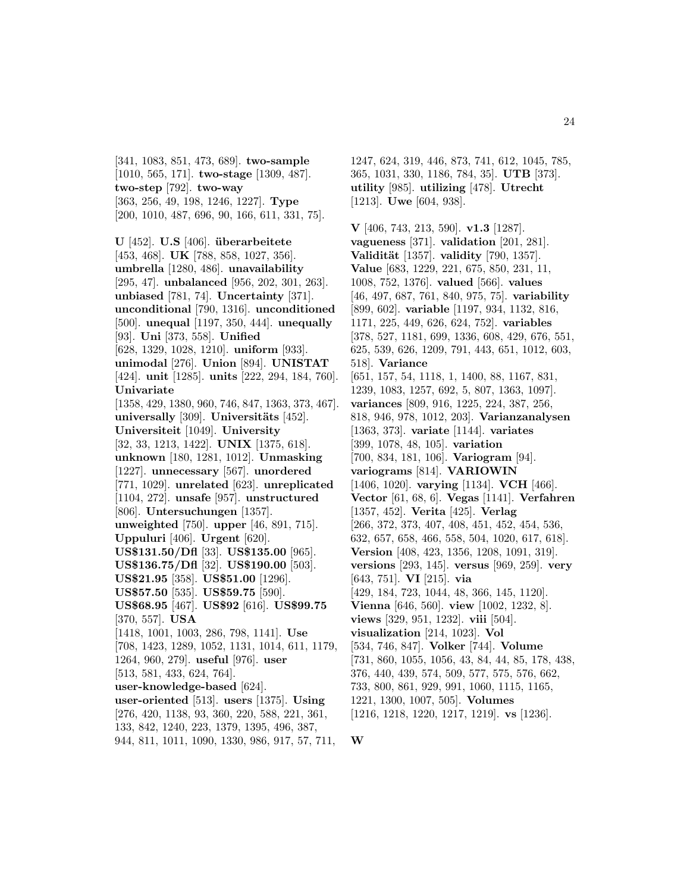[341, 1083, 851, 473, 689]. **two-sample** [1010, 565, 171]. **two-stage** [1309, 487]. **two-step** [792]. **two-way** [363, 256, 49, 198, 1246, 1227]. **Type** [200, 1010, 487, 696, 90, 166, 611, 331, 75].

 $U$  [452].  $U.S$  [406]. **überarbeitete** [453, 468]. **UK** [788, 858, 1027, 356]. **umbrella** [1280, 486]. **unavailability** [295, 47]. **unbalanced** [956, 202, 301, 263]. **unbiased** [781, 74]. **Uncertainty** [371]. **unconditional** [790, 1316]. **unconditioned** [500]. **unequal** [1197, 350, 444]. **unequally** [93]. **Uni** [373, 558]. **Unified** [628, 1329, 1028, 1210]. **uniform** [933]. **unimodal** [276]. **Union** [894]. **UNISTAT** [424]. **unit** [1285]. **units** [222, 294, 184, 760]. **Univariate** [1358, 429, 1380, 960, 746, 847, 1363, 373, 467]. **universally** [309]. **Universitäts** [452]. **Universiteit** [1049]. **University** [32, 33, 1213, 1422]. **UNIX** [1375, 618]. **unknown** [180, 1281, 1012]. **Unmasking** [1227]. **unnecessary** [567]. **unordered** [771, 1029]. **unrelated** [623]. **unreplicated** [1104, 272]. **unsafe** [957]. **unstructured** [806]. **Untersuchungen** [1357]. **unweighted** [750]. **upper** [46, 891, 715]. **Uppuluri** [406]. **Urgent** [620]. **US\$131.50/Dfl** [33]. **US\$135.00** [965]. **US\$136.75/Dfl** [32]. **US\$190.00** [503]. **US\$21.95** [358]. **US\$51.00** [1296]. **US\$57.50** [535]. **US\$59.75** [590]. **US\$68.95** [467]. **US\$92** [616]. **US\$99.75** [370, 557]. **USA** [1418, 1001, 1003, 286, 798, 1141]. **Use** [708, 1423, 1289, 1052, 1131, 1014, 611, 1179, 1264, 960, 279]. **useful** [976]. **user** [513, 581, 433, 624, 764]. **user-knowledge-based** [624]. **user-oriented** [513]. **users** [1375]. **Using** [276, 420, 1138, 93, 360, 220, 588, 221, 361, 133, 842, 1240, 223, 1379, 1395, 496, 387, 944, 811, 1011, 1090, 1330, 986, 917, 57, 711,

1247, 624, 319, 446, 873, 741, 612, 1045, 785, 365, 1031, 330, 1186, 784, 35]. **UTB** [373]. **utility** [985]. **utilizing** [478]. **Utrecht** [1213]. **Uwe** [604, 938].

**V** [406, 743, 213, 590]. **v1.3** [1287]. **vagueness** [371]. **validation** [201, 281]. **Validit¨at** [1357]. **validity** [790, 1357]. **Value** [683, 1229, 221, 675, 850, 231, 11, 1008, 752, 1376]. **valued** [566]. **values** [46, 497, 687, 761, 840, 975, 75]. **variability** [899, 602]. **variable** [1197, 934, 1132, 816, 1171, 225, 449, 626, 624, 752]. **variables** [378, 527, 1181, 699, 1336, 608, 429, 676, 551, 625, 539, 626, 1209, 791, 443, 651, 1012, 603, 518]. **Variance** [651, 157, 54, 1118, 1, 1400, 88, 1167, 831, 1239, 1083, 1257, 692, 5, 807, 1363, 1097]. **variances** [809, 916, 1225, 224, 387, 256, 818, 946, 978, 1012, 203]. **Varianzanalysen** [1363, 373]. **variate** [1144]. **variates** [399, 1078, 48, 105]. **variation** [700, 834, 181, 106]. **Variogram** [94]. **variograms** [814]. **VARIOWIN** [1406, 1020]. **varying** [1134]. **VCH** [466]. **Vector** [61, 68, 6]. **Vegas** [1141]. **Verfahren** [1357, 452]. **Verita** [425]. **Verlag** [266, 372, 373, 407, 408, 451, 452, 454, 536, 632, 657, 658, 466, 558, 504, 1020, 617, 618]. **Version** [408, 423, 1356, 1208, 1091, 319]. **versions** [293, 145]. **versus** [969, 259]. **very** [643, 751]. **VI** [215]. **via** [429, 184, 723, 1044, 48, 366, 145, 1120]. **Vienna** [646, 560]. **view** [1002, 1232, 8]. **views** [329, 951, 1232]. **viii** [504]. **visualization** [214, 1023]. **Vol** [534, 746, 847]. **Volker** [744]. **Volume** [731, 860, 1055, 1056, 43, 84, 44, 85, 178, 438, 376, 440, 439, 574, 509, 577, 575, 576, 662, 733, 800, 861, 929, 991, 1060, 1115, 1165, 1221, 1300, 1007, 505]. **Volumes** [1216, 1218, 1220, 1217, 1219]. **vs** [1236].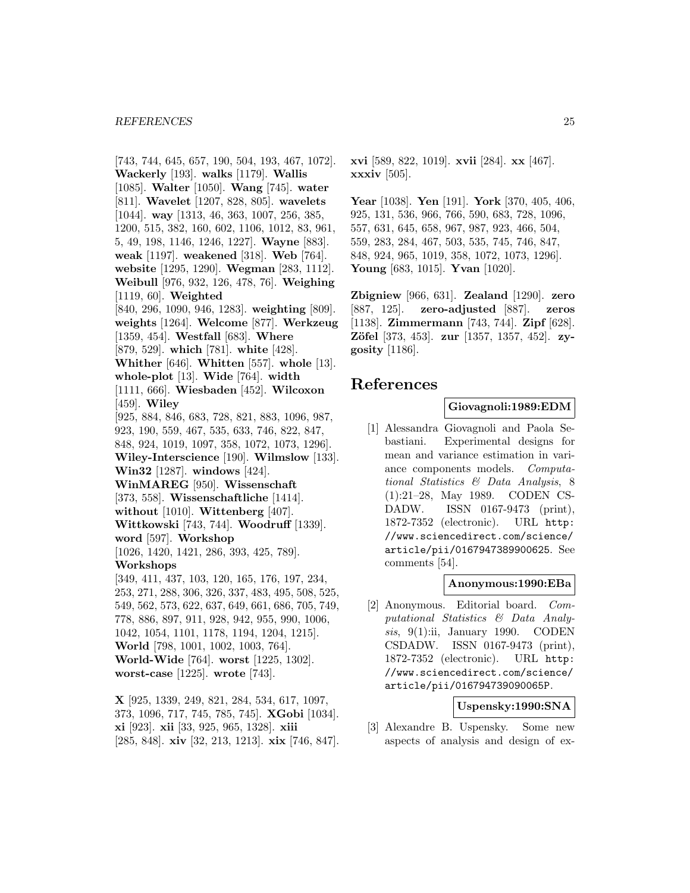[743, 744, 645, 657, 190, 504, 193, 467, 1072]. **Wackerly** [193]. **walks** [1179]. **Wallis** [1085]. **Walter** [1050]. **Wang** [745]. **water** [811]. **Wavelet** [1207, 828, 805]. **wavelets** [1044]. **way** [1313, 46, 363, 1007, 256, 385, 1200, 515, 382, 160, 602, 1106, 1012, 83, 961, 5, 49, 198, 1146, 1246, 1227]. **Wayne** [883]. **weak** [1197]. **weakened** [318]. **Web** [764]. **website** [1295, 1290]. **Wegman** [283, 1112]. **Weibull** [976, 932, 126, 478, 76]. **Weighing** [1119, 60]. **Weighted** [840, 296, 1090, 946, 1283]. **weighting** [809]. **weights** [1264]. **Welcome** [877]. **Werkzeug** [1359, 454]. **Westfall** [683]. **Where** [879, 529]. **which** [781]. **white** [428]. **Whither** [646]. **Whitten** [557]. **whole** [13]. **whole-plot** [13]. **Wide** [764]. **width** [1111, 666]. **Wiesbaden** [452]. **Wilcoxon** [459]. **Wiley** [925, 884, 846, 683, 728, 821, 883, 1096, 987, 923, 190, 559, 467, 535, 633, 746, 822, 847, 848, 924, 1019, 1097, 358, 1072, 1073, 1296]. **Wiley-Interscience** [190]. **Wilmslow** [133]. **Win32** [1287]. **windows** [424]. **WinMAREG** [950]. **Wissenschaft** [373, 558]. **Wissenschaftliche** [1414]. **without** [1010]. **Wittenberg** [407]. **Wittkowski** [743, 744]. **Woodruff** [1339]. **word** [597]. **Workshop** [1026, 1420, 1421, 286, 393, 425, 789]. **Workshops** [349, 411, 437, 103, 120, 165, 176, 197, 234, 253, 271, 288, 306, 326, 337, 483, 495, 508, 525, 549, 562, 573, 622, 637, 649, 661, 686, 705, 749, 778, 886, 897, 911, 928, 942, 955, 990, 1006, 1042, 1054, 1101, 1178, 1194, 1204, 1215]. **World** [798, 1001, 1002, 1003, 764]. **World-Wide** [764]. **worst** [1225, 1302]. **worst-case** [1225]. **wrote** [743]. **X** [925, 1339, 249, 821, 284, 534, 617, 1097,

373, 1096, 717, 745, 785, 745]. **XGobi** [1034]. **xi** [923]. **xii** [33, 925, 965, 1328]. **xiii** [285, 848]. **xiv** [32, 213, 1213]. **xix** [746, 847]. **xvi** [589, 822, 1019]. **xvii** [284]. **xx** [467]. **xxxiv** [505].

**Year** [1038]. **Yen** [191]. **York** [370, 405, 406, 925, 131, 536, 966, 766, 590, 683, 728, 1096, 557, 631, 645, 658, 967, 987, 923, 466, 504, 559, 283, 284, 467, 503, 535, 745, 746, 847, 848, 924, 965, 1019, 358, 1072, 1073, 1296]. **Young** [683, 1015]. **Yvan** [1020].

**Zbigniew** [966, 631]. **Zealand** [1290]. **zero** [887, 125]. **zero-adjusted** [887]. **zeros** [1138]. **Zimmermann** [743, 744]. **Zipf** [628]. **Zöfel** [373, 453]. **zur** [1357, 1357, 452]. **zygosity** [1186].

# **References**

#### **Giovagnoli:1989:EDM**

[1] Alessandra Giovagnoli and Paola Sebastiani. Experimental designs for mean and variance estimation in variance components models. Computational Statistics & Data Analysis, 8 (1):21–28, May 1989. CODEN CS-DADW. ISSN 0167-9473 (print), 1872-7352 (electronic). URL http: //www.sciencedirect.com/science/ article/pii/0167947389900625. See comments [54].

# **Anonymous:1990:EBa**

[2] Anonymous. Editorial board. Computational Statistics & Data Analysis, 9(1):ii, January 1990. CODEN CSDADW. ISSN 0167-9473 (print), 1872-7352 (electronic). URL http: //www.sciencedirect.com/science/ article/pii/016794739090065P.

# **Uspensky:1990:SNA**

[3] Alexandre B. Uspensky. Some new aspects of analysis and design of ex-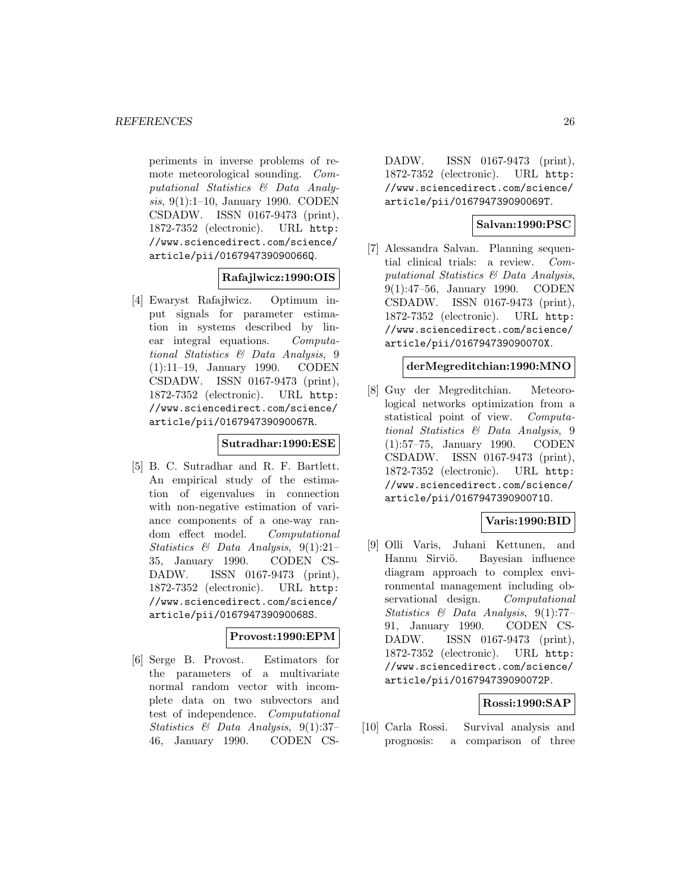periments in inverse problems of remote meteorological sounding. Computational Statistics & Data Analysis, 9(1):1–10, January 1990. CODEN CSDADW. ISSN 0167-9473 (print), 1872-7352 (electronic). URL http: //www.sciencedirect.com/science/ article/pii/016794739090066Q.

# **Rafajlwicz:1990:OIS**

[4] Ewaryst Rafaj lwicz. Optimum input signals for parameter estimation in systems described by linear integral equations. Computational Statistics & Data Analysis, 9 (1):11–19, January 1990. CODEN CSDADW. ISSN 0167-9473 (print), 1872-7352 (electronic). URL http: //www.sciencedirect.com/science/ article/pii/016794739090067R.

#### **Sutradhar:1990:ESE**

[5] B. C. Sutradhar and R. F. Bartlett. An empirical study of the estimation of eigenvalues in connection with non-negative estimation of variance components of a one-way random effect model. Computational Statistics & Data Analysis, 9(1):21– 35, January 1990. CODEN CS-DADW. ISSN 0167-9473 (print), 1872-7352 (electronic). URL http: //www.sciencedirect.com/science/ article/pii/016794739090068S.

#### **Provost:1990:EPM**

[6] Serge B. Provost. Estimators for the parameters of a multivariate normal random vector with incomplete data on two subvectors and test of independence. Computational Statistics & Data Analysis, 9(1):37– 46, January 1990. CODEN CS-

DADW. ISSN 0167-9473 (print), 1872-7352 (electronic). URL http: //www.sciencedirect.com/science/ article/pii/016794739090069T.

# **Salvan:1990:PSC**

[7] Alessandra Salvan. Planning sequential clinical trials: a review. Computational Statistics & Data Analysis, 9(1):47–56, January 1990. CODEN CSDADW. ISSN 0167-9473 (print), 1872-7352 (electronic). URL http: //www.sciencedirect.com/science/ article/pii/016794739090070X.

#### **derMegreditchian:1990:MNO**

[8] Guy der Megreditchian. Meteorological networks optimization from a statistical point of view. Computational Statistics & Data Analysis, 9 (1):57–75, January 1990. CODEN CSDADW. ISSN 0167-9473 (print), 1872-7352 (electronic). URL http: //www.sciencedirect.com/science/ article/pii/016794739090071O.

# **Varis:1990:BID**

[9] Olli Varis, Juhani Kettunen, and Hannu Sirviö. Bayesian influence diagram approach to complex environmental management including observational design. Computational Statistics & Data Analysis, 9(1):77– 91, January 1990. CODEN CS-DADW. ISSN 0167-9473 (print), 1872-7352 (electronic). URL http: //www.sciencedirect.com/science/ article/pii/016794739090072P.

# **Rossi:1990:SAP**

[10] Carla Rossi. Survival analysis and prognosis: a comparison of three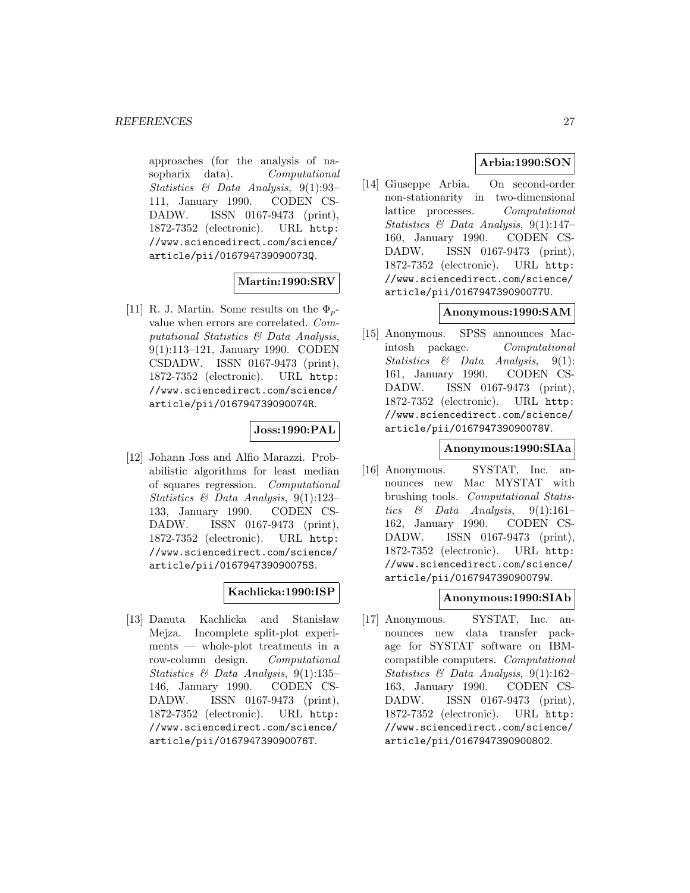approaches (for the analysis of nasopharix data). Computational Statistics & Data Analysis, 9(1):93– 111, January 1990. CODEN CS-DADW. ISSN 0167-9473 (print), 1872-7352 (electronic). URL http: //www.sciencedirect.com/science/ article/pii/016794739090073Q.

# **Martin:1990:SRV**

[11] R. J. Martin. Some results on the  $\Phi_{n-}$ value when errors are correlated. Computational Statistics & Data Analysis, 9(1):113–121, January 1990. CODEN CSDADW. ISSN 0167-9473 (print), 1872-7352 (electronic). URL http: //www.sciencedirect.com/science/ article/pii/016794739090074R.

# **Joss:1990:PAL**

[12] Johann Joss and Alfio Marazzi. Probabilistic algorithms for least median of squares regression. Computational Statistics & Data Analysis, 9(1):123– 133, January 1990. CODEN CS-DADW. ISSN 0167-9473 (print), 1872-7352 (electronic). URL http: //www.sciencedirect.com/science/ article/pii/016794739090075S.

# **Kachlicka:1990:ISP**

[13] Danuta Kachlicka and Stanisław Mejza. Incomplete split-plot experiments — whole-plot treatments in a row-column design. Computational Statistics & Data Analysis, 9(1):135– 146, January 1990. CODEN CS-DADW. ISSN 0167-9473 (print), 1872-7352 (electronic). URL http: //www.sciencedirect.com/science/ article/pii/016794739090076T.

# **Arbia:1990:SON**

[14] Giuseppe Arbia. On second-order non-stationarity in two-dimensional lattice processes. Computational Statistics  $\mathcal{B}$  Data Analysis, 9(1):147– 160, January 1990. CODEN CS-DADW. ISSN 0167-9473 (print), 1872-7352 (electronic). URL http: //www.sciencedirect.com/science/ article/pii/016794739090077U.

# **Anonymous:1990:SAM**

[15] Anonymous. SPSS announces Macintosh package. Computational Statistics & Data Analysis, 9(1): 161, January 1990. CODEN CS-DADW. ISSN 0167-9473 (print), 1872-7352 (electronic). URL http: //www.sciencedirect.com/science/ article/pii/016794739090078V.

# **Anonymous:1990:SIAa**

[16] Anonymous. SYSTAT, Inc. announces new Mac MYSTAT with brushing tools. Computational Statistics & Data Analysis,  $9(1):161-$ 162, January 1990. CODEN CS-DADW. ISSN 0167-9473 (print), 1872-7352 (electronic). URL http: //www.sciencedirect.com/science/ article/pii/016794739090079W.

# **Anonymous:1990:SIAb**

[17] Anonymous. SYSTAT, Inc. announces new data transfer package for SYSTAT software on IBMcompatible computers. Computational Statistics & Data Analysis, 9(1):162– 163, January 1990. CODEN CS-DADW. ISSN 0167-9473 (print), 1872-7352 (electronic). URL http: //www.sciencedirect.com/science/ article/pii/0167947390900802.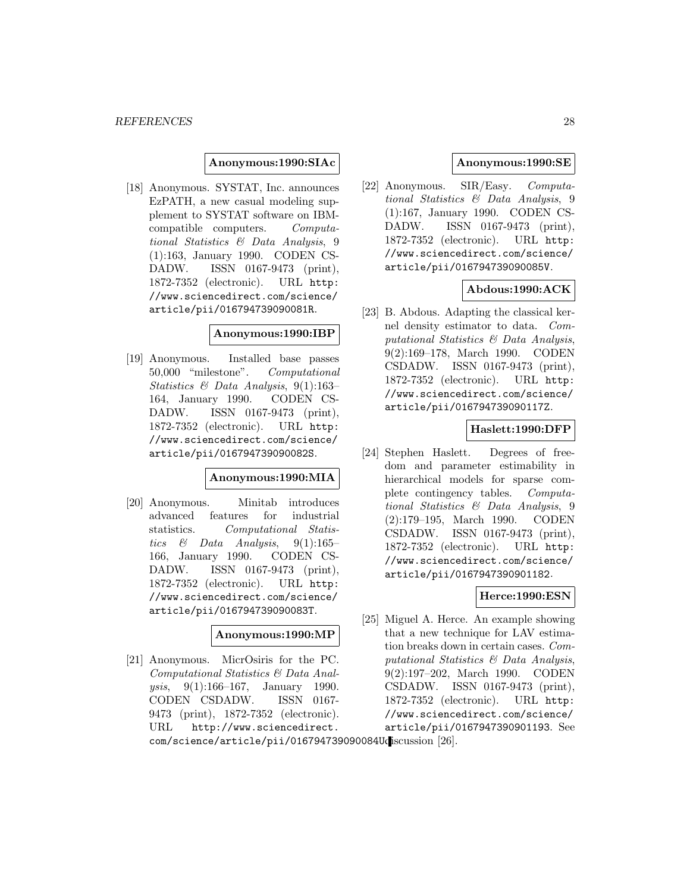### **Anonymous:1990:SIAc**

[18] Anonymous. SYSTAT, Inc. announces EzPATH, a new casual modeling supplement to SYSTAT software on IBMcompatible computers. Computational Statistics & Data Analysis, 9 (1):163, January 1990. CODEN CS-DADW. ISSN 0167-9473 (print), 1872-7352 (electronic). URL http: //www.sciencedirect.com/science/ article/pii/016794739090081R.

# **Anonymous:1990:IBP**

[19] Anonymous. Installed base passes 50,000 "milestone". Computational Statistics & Data Analysis, 9(1):163– 164, January 1990. CODEN CS-DADW. ISSN 0167-9473 (print), 1872-7352 (electronic). URL http: //www.sciencedirect.com/science/ article/pii/016794739090082S.

# **Anonymous:1990:MIA**

[20] Anonymous. Minitab introduces advanced features for industrial statistics. Computational Statistics & Data Analysis,  $9(1):165-$ 166, January 1990. CODEN CS-DADW. ISSN 0167-9473 (print), 1872-7352 (electronic). URL http: //www.sciencedirect.com/science/ article/pii/016794739090083T.

#### **Anonymous:1990:MP**

[21] Anonymous. MicrOsiris for the PC. Computational Statistics & Data Analysis, 9(1):166–167, January 1990. CODEN CSDADW. ISSN 0167- 9473 (print), 1872-7352 (electronic). URL http://www.sciencedirect.

# **Anonymous:1990:SE**

[22] Anonymous. SIR/Easy. Computational Statistics & Data Analysis, 9 (1):167, January 1990. CODEN CS-DADW. ISSN 0167-9473 (print), 1872-7352 (electronic). URL http: //www.sciencedirect.com/science/ article/pii/016794739090085V.

# **Abdous:1990:ACK**

[23] B. Abdous. Adapting the classical kernel density estimator to data. Computational Statistics & Data Analysis, 9(2):169–178, March 1990. CODEN CSDADW. ISSN 0167-9473 (print), 1872-7352 (electronic). URL http: //www.sciencedirect.com/science/ article/pii/016794739090117Z.

### **Haslett:1990:DFP**

[24] Stephen Haslett. Degrees of freedom and parameter estimability in hierarchical models for sparse complete contingency tables. Computational Statistics & Data Analysis, 9 (2):179–195, March 1990. CODEN CSDADW. ISSN 0167-9473 (print), 1872-7352 (electronic). URL http: //www.sciencedirect.com/science/ article/pii/0167947390901182.

# **Herce:1990:ESN**

[25] Miguel A. Herce. An example showing that a new technique for LAV estimation breaks down in certain cases. Computational Statistics & Data Analysis, 9(2):197–202, March 1990. CODEN CSDADW. ISSN 0167-9473 (print), 1872-7352 (electronic). URL http: //www.sciencedirect.com/science/ article/pii/0167947390901193. See

com/science/article/pii/016794739090084Udiscussion [26].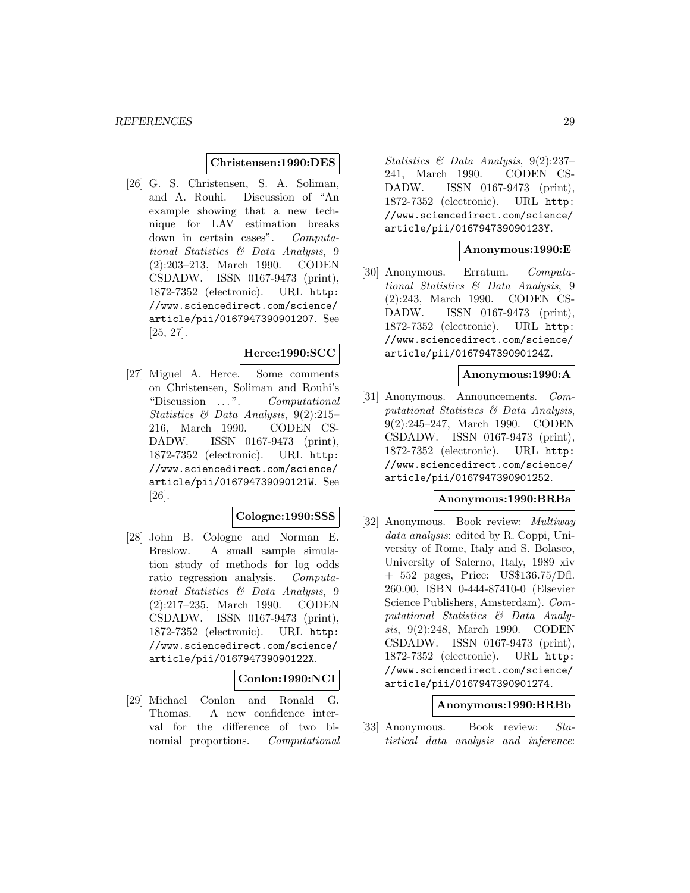### **Christensen:1990:DES**

[26] G. S. Christensen, S. A. Soliman, and A. Rouhi. Discussion of "An example showing that a new technique for LAV estimation breaks down in certain cases". Computational Statistics & Data Analysis, 9 (2):203–213, March 1990. CODEN CSDADW. ISSN 0167-9473 (print), 1872-7352 (electronic). URL http: //www.sciencedirect.com/science/ article/pii/0167947390901207. See [25, 27].

# **Herce:1990:SCC**

[27] Miguel A. Herce. Some comments on Christensen, Soliman and Rouhi's "Discussion  $\ldots$ ". Computational Statistics & Data Analysis, 9(2):215– 216, March 1990. CODEN CS-DADW. ISSN 0167-9473 (print), 1872-7352 (electronic). URL http: //www.sciencedirect.com/science/ article/pii/016794739090121W. See [26].

# **Cologne:1990:SSS**

[28] John B. Cologne and Norman E. Breslow. A small sample simulation study of methods for log odds ratio regression analysis. Computational Statistics & Data Analysis, 9 (2):217–235, March 1990. CODEN CSDADW. ISSN 0167-9473 (print), 1872-7352 (electronic). URL http: //www.sciencedirect.com/science/ article/pii/016794739090122X.

# **Conlon:1990:NCI**

[29] Michael Conlon and Ronald G. Thomas. A new confidence interval for the difference of two binomial proportions. Computational

Statistics & Data Analysis, 9(2):237– 241, March 1990. CODEN CS-DADW. ISSN 0167-9473 (print), 1872-7352 (electronic). URL http: //www.sciencedirect.com/science/ article/pii/016794739090123Y.

#### **Anonymous:1990:E**

[30] Anonymous. Erratum. Computational Statistics & Data Analysis, 9 (2):243, March 1990. CODEN CS-DADW. ISSN 0167-9473 (print), 1872-7352 (electronic). URL http: //www.sciencedirect.com/science/ article/pii/016794739090124Z.

#### **Anonymous:1990:A**

[31] Anonymous. Announcements. Computational Statistics & Data Analysis, 9(2):245–247, March 1990. CODEN CSDADW. ISSN 0167-9473 (print), 1872-7352 (electronic). URL http: //www.sciencedirect.com/science/ article/pii/0167947390901252.

#### **Anonymous:1990:BRBa**

[32] Anonymous. Book review: Multiway data analysis: edited by R. Coppi, University of Rome, Italy and S. Bolasco, University of Salerno, Italy, 1989 xiv + 552 pages, Price: US\$136.75/Dfl. 260.00, ISBN 0-444-87410-0 (Elsevier Science Publishers, Amsterdam). Computational Statistics & Data Analysis, 9(2):248, March 1990. CODEN CSDADW. ISSN 0167-9473 (print), 1872-7352 (electronic). URL http: //www.sciencedirect.com/science/ article/pii/0167947390901274.

#### **Anonymous:1990:BRBb**

[33] Anonymous. Book review: Statistical data analysis and inference: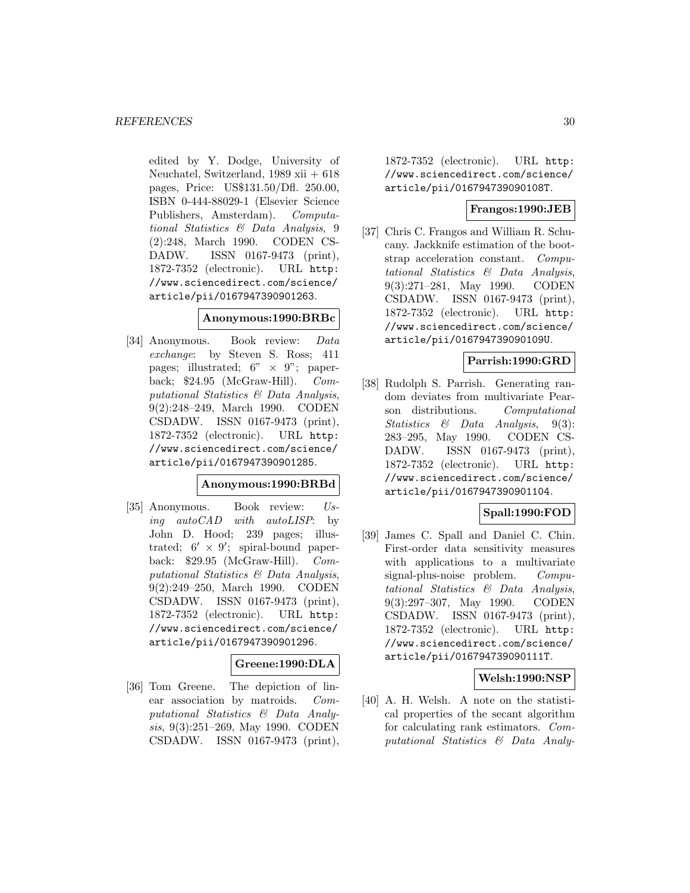edited by Y. Dodge, University of Neuchatel, Switzerland, 1989 xii + 618 pages, Price: US\$131.50/Dfl. 250.00, ISBN 0-444-88029-1 (Elsevier Science Publishers, Amsterdam). Computational Statistics & Data Analysis, 9 (2):248, March 1990. CODEN CS-DADW. ISSN 0167-9473 (print), 1872-7352 (electronic). URL http: //www.sciencedirect.com/science/ article/pii/0167947390901263.

#### **Anonymous:1990:BRBc**

[34] Anonymous. Book review: Data exchange: by Steven S. Ross; 411 pages; illustrated;  $6'' \times 9''$ ; paper-<br>back: \$24.95 (McGraw-Hill). *Com*back;  $$24.95$  (McGraw-Hill). putational Statistics & Data Analysis, 9(2):248–249, March 1990. CODEN CSDADW. ISSN 0167-9473 (print), 1872-7352 (electronic). URL http: //www.sciencedirect.com/science/ article/pii/0167947390901285.

# **Anonymous:1990:BRBd**

[35] Anonymous. Book review: Using autoCAD with autoLISP: by John D. Hood; 239 pages; illustrated;  $6' \times 9'$ ; spiral-bound paperback: \$29.95 (McGraw-Hill). Computational Statistics & Data Analysis, 9(2):249–250, March 1990. CODEN CSDADW. ISSN 0167-9473 (print), 1872-7352 (electronic). URL http: //www.sciencedirect.com/science/ article/pii/0167947390901296.

# **Greene:1990:DLA**

[36] Tom Greene. The depiction of linear association by matroids. Computational Statistics & Data Analysis, 9(3):251–269, May 1990. CODEN CSDADW. ISSN 0167-9473 (print),

1872-7352 (electronic). URL http: //www.sciencedirect.com/science/ article/pii/016794739090108T.

# **Frangos:1990:JEB**

[37] Chris C. Frangos and William R. Schucany. Jackknife estimation of the bootstrap acceleration constant. Computational Statistics & Data Analysis, 9(3):271–281, May 1990. CODEN CSDADW. ISSN 0167-9473 (print), 1872-7352 (electronic). URL http: //www.sciencedirect.com/science/ article/pii/016794739090109U.

# **Parrish:1990:GRD**

[38] Rudolph S. Parrish. Generating random deviates from multivariate Pearson distributions. Computational Statistics & Data Analysis, 9(3): 283–295, May 1990. CODEN CS-DADW. ISSN 0167-9473 (print), 1872-7352 (electronic). URL http: //www.sciencedirect.com/science/ article/pii/0167947390901104.

# **Spall:1990:FOD**

[39] James C. Spall and Daniel C. Chin. First-order data sensitivity measures with applications to a multivariate signal-plus-noise problem. Computational Statistics & Data Analysis, 9(3):297–307, May 1990. CODEN CSDADW. ISSN 0167-9473 (print), 1872-7352 (electronic). URL http: //www.sciencedirect.com/science/ article/pii/016794739090111T.

#### **Welsh:1990:NSP**

[40] A. H. Welsh. A note on the statistical properties of the secant algorithm for calculating rank estimators. Computational Statistics & Data Analy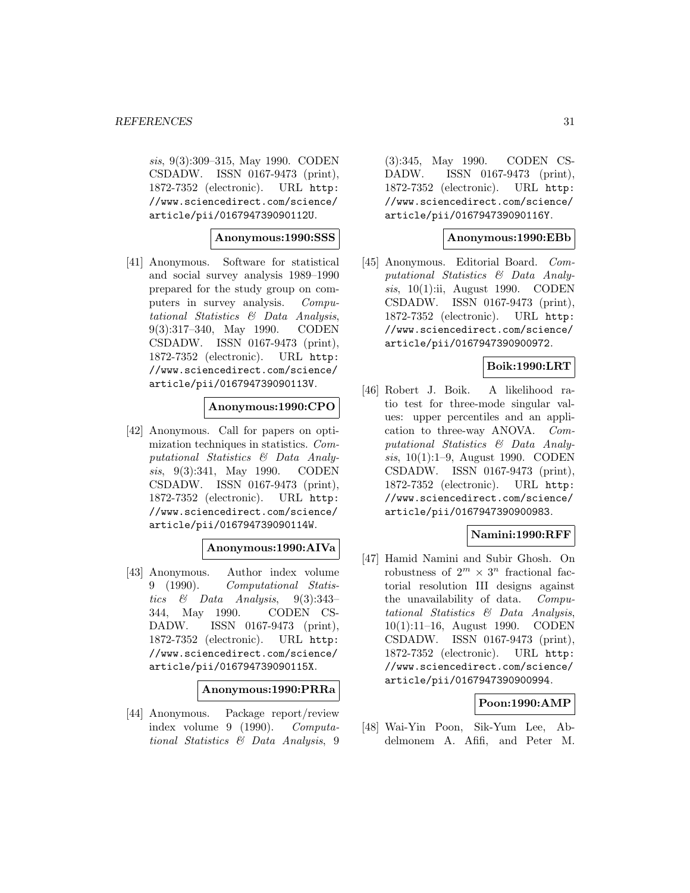sis, 9(3):309–315, May 1990. CODEN CSDADW. ISSN 0167-9473 (print), 1872-7352 (electronic). URL http: //www.sciencedirect.com/science/ article/pii/016794739090112U.

**Anonymous:1990:SSS**

[41] Anonymous. Software for statistical and social survey analysis 1989–1990 prepared for the study group on computers in survey analysis. Computational Statistics & Data Analysis, 9(3):317–340, May 1990. CODEN CSDADW. ISSN 0167-9473 (print), 1872-7352 (electronic). URL http: //www.sciencedirect.com/science/ article/pii/016794739090113V.

#### **Anonymous:1990:CPO**

[42] Anonymous. Call for papers on optimization techniques in statistics. Computational Statistics & Data Analysis, 9(3):341, May 1990. CODEN CSDADW. ISSN 0167-9473 (print), 1872-7352 (electronic). URL http: //www.sciencedirect.com/science/ article/pii/016794739090114W.

# **Anonymous:1990:AIVa**

[43] Anonymous. Author index volume 9 (1990). Computational Statistics  $\&$  Data Analysis, 9(3):343-344, May 1990. CODEN CS-DADW. ISSN 0167-9473 (print), 1872-7352 (electronic). URL http: //www.sciencedirect.com/science/ article/pii/016794739090115X.

#### **Anonymous:1990:PRRa**

[44] Anonymous. Package report/review index volume 9 (1990). Computational Statistics & Data Analysis, 9

(3):345, May 1990. CODEN CS-DADW. ISSN 0167-9473 (print), 1872-7352 (electronic). URL http: //www.sciencedirect.com/science/ article/pii/016794739090116Y.

#### **Anonymous:1990:EBb**

[45] Anonymous. Editorial Board. Computational Statistics & Data Analysis, 10(1):ii, August 1990. CODEN CSDADW. ISSN 0167-9473 (print), 1872-7352 (electronic). URL http: //www.sciencedirect.com/science/ article/pii/0167947390900972.

# **Boik:1990:LRT**

[46] Robert J. Boik. A likelihood ratio test for three-mode singular values: upper percentiles and an application to three-way ANOVA. Computational Statistics & Data Analysis, 10(1):1–9, August 1990. CODEN CSDADW. ISSN 0167-9473 (print), 1872-7352 (electronic). URL http: //www.sciencedirect.com/science/ article/pii/0167947390900983.

# **Namini:1990:RFF**

[47] Hamid Namini and Subir Ghosh. On robustness of  $2^m \times 3^n$  fractional factorial resolution III designs against the unavailability of data. Computational Statistics & Data Analysis, 10(1):11–16, August 1990. CODEN CSDADW. ISSN 0167-9473 (print), 1872-7352 (electronic). URL http: //www.sciencedirect.com/science/ article/pii/0167947390900994.

# **Poon:1990:AMP**

[48] Wai-Yin Poon, Sik-Yum Lee, Abdelmonem A. Afifi, and Peter M.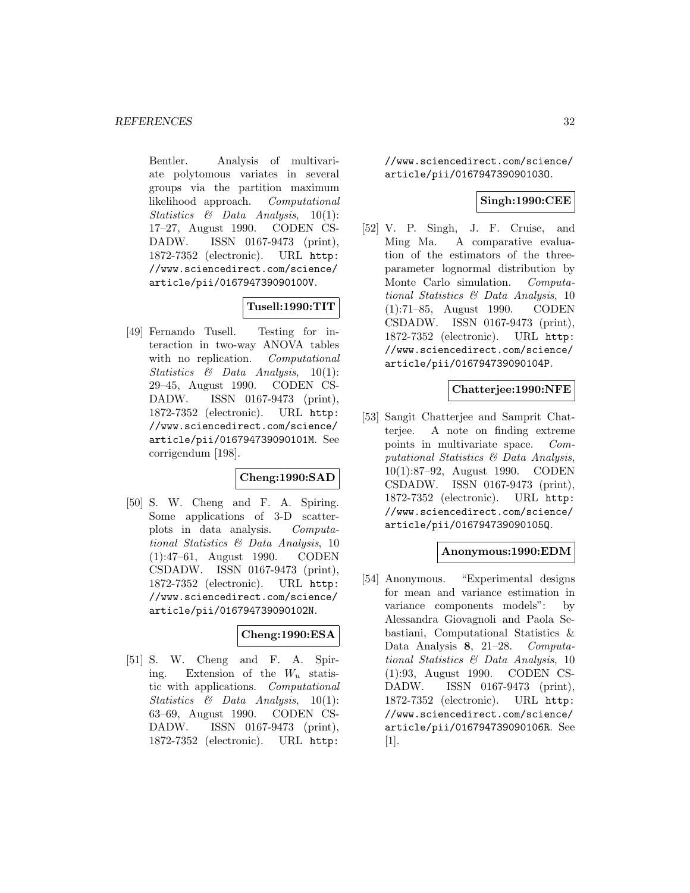Bentler. Analysis of multivariate polytomous variates in several groups via the partition maximum likelihood approach. Computational Statistics  $\&$  Data Analysis, 10(1): 17–27, August 1990. CODEN CS-DADW. ISSN 0167-9473 (print), 1872-7352 (electronic). URL http: //www.sciencedirect.com/science/ article/pii/016794739090100V.

# **Tusell:1990:TIT**

[49] Fernando Tusell. Testing for interaction in two-way ANOVA tables with no replication. Computational Statistics  $\&$  Data Analysis, 10(1): 29–45, August 1990. CODEN CS-DADW. ISSN 0167-9473 (print), 1872-7352 (electronic). URL http: //www.sciencedirect.com/science/ article/pii/016794739090101M. See corrigendum [198].

# **Cheng:1990:SAD**

[50] S. W. Cheng and F. A. Spiring. Some applications of 3-D scatterplots in data analysis. Computational Statistics & Data Analysis, 10 (1):47–61, August 1990. CODEN CSDADW. ISSN 0167-9473 (print), 1872-7352 (electronic). URL http: //www.sciencedirect.com/science/ article/pii/016794739090102N.

# **Cheng:1990:ESA**

[51] S. W. Cheng and F. A. Spiring. Extension of the  $W_u$  statistic with applications. Computational Statistics  $\&$  Data Analysis, 10(1): 63–69, August 1990. CODEN CS-DADW. ISSN 0167-9473 (print), 1872-7352 (electronic). URL http:

//www.sciencedirect.com/science/ article/pii/016794739090103O.

# **Singh:1990:CEE**

[52] V. P. Singh, J. F. Cruise, and Ming Ma. A comparative evaluation of the estimators of the threeparameter lognormal distribution by Monte Carlo simulation. Computational Statistics & Data Analysis, 10 (1):71–85, August 1990. CODEN CSDADW. ISSN 0167-9473 (print), 1872-7352 (electronic). URL http: //www.sciencedirect.com/science/ article/pii/016794739090104P.

# **Chatterjee:1990:NFE**

[53] Sangit Chatterjee and Samprit Chatterjee. A note on finding extreme points in multivariate space. Computational Statistics & Data Analysis, 10(1):87–92, August 1990. CODEN CSDADW. ISSN 0167-9473 (print), 1872-7352 (electronic). URL http: //www.sciencedirect.com/science/ article/pii/016794739090105Q.

#### **Anonymous:1990:EDM**

[54] Anonymous. "Experimental designs for mean and variance estimation in variance components models": by Alessandra Giovagnoli and Paola Sebastiani, Computational Statistics & Data Analysis **8**, 21–28. Computational Statistics & Data Analysis, 10 (1):93, August 1990. CODEN CS-DADW. ISSN 0167-9473 (print), 1872-7352 (electronic). URL http: //www.sciencedirect.com/science/ article/pii/016794739090106R. See [1].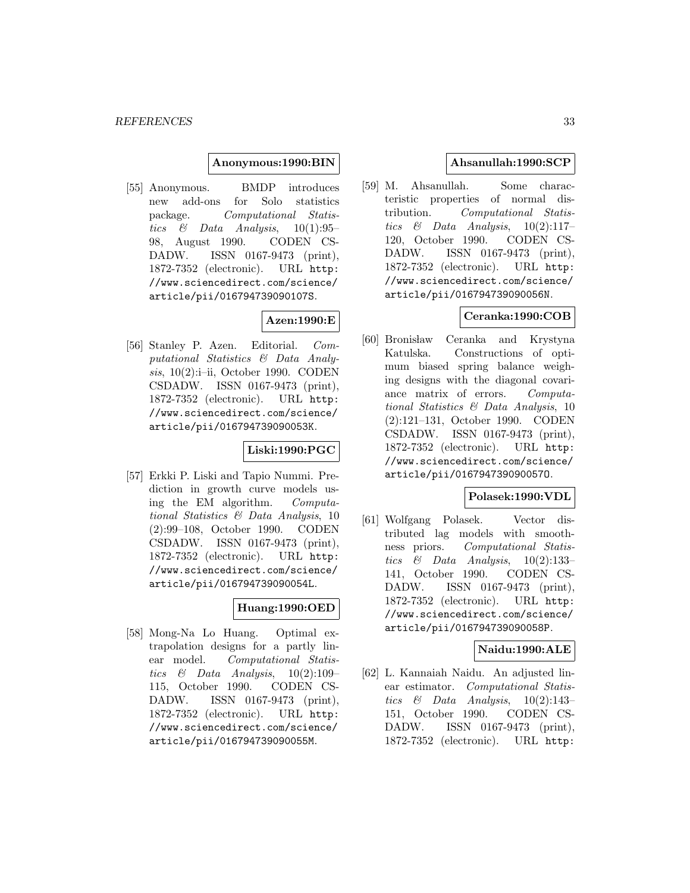### **Anonymous:1990:BIN**

[55] Anonymous. BMDP introduces new add-ons for Solo statistics package. Computational Statistics  $\&$  Data Analysis, 10(1):95-98, August 1990. CODEN CS-DADW. ISSN 0167-9473 (print), 1872-7352 (electronic). URL http: //www.sciencedirect.com/science/ article/pii/016794739090107S.

# **Azen:1990:E**

[56] Stanley P. Azen. Editorial. Computational Statistics & Data Analysis, 10(2):i–ii, October 1990. CODEN CSDADW. ISSN 0167-9473 (print), 1872-7352 (electronic). URL http: //www.sciencedirect.com/science/ article/pii/016794739090053K.

# **Liski:1990:PGC**

[57] Erkki P. Liski and Tapio Nummi. Prediction in growth curve models using the EM algorithm. Computational Statistics & Data Analysis, 10 (2):99–108, October 1990. CODEN CSDADW. ISSN 0167-9473 (print), 1872-7352 (electronic). URL http: //www.sciencedirect.com/science/ article/pii/016794739090054L.

# **Huang:1990:OED**

[58] Mong-Na Lo Huang. Optimal extrapolation designs for a partly linear model. Computational Statistics  $\&$  Data Analysis, 10(2):109– 115, October 1990. CODEN CS-DADW. ISSN 0167-9473 (print), 1872-7352 (electronic). URL http: //www.sciencedirect.com/science/ article/pii/016794739090055M.

# **Ahsanullah:1990:SCP**

[59] M. Ahsanullah. Some characteristic properties of normal distribution. Computational Statistics  $\&$  Data Analysis, 10(2):117-120, October 1990. CODEN CS-DADW. ISSN 0167-9473 (print), 1872-7352 (electronic). URL http: //www.sciencedirect.com/science/ article/pii/016794739090056N.

# **Ceranka:1990:COB**

[60] Bronisław Ceranka and Krystyna Katulska. Constructions of optimum biased spring balance weighing designs with the diagonal covariance matrix of errors. Computational Statistics & Data Analysis, 10 (2):121–131, October 1990. CODEN CSDADW. ISSN 0167-9473 (print), 1872-7352 (electronic). URL http: //www.sciencedirect.com/science/ article/pii/016794739090057O.

# **Polasek:1990:VDL**

[61] Wolfgang Polasek. Vector distributed lag models with smoothness priors. Computational Statistics  $\&$  Data Analysis, 10(2):133-141, October 1990. CODEN CS-DADW. ISSN 0167-9473 (print), 1872-7352 (electronic). URL http: //www.sciencedirect.com/science/ article/pii/016794739090058P.

# **Naidu:1990:ALE**

[62] L. Kannaiah Naidu. An adjusted linear estimator. Computational Statistics  $\&$  Data Analysis, 10(2):143– 151, October 1990. CODEN CS-DADW. ISSN 0167-9473 (print), 1872-7352 (electronic). URL http: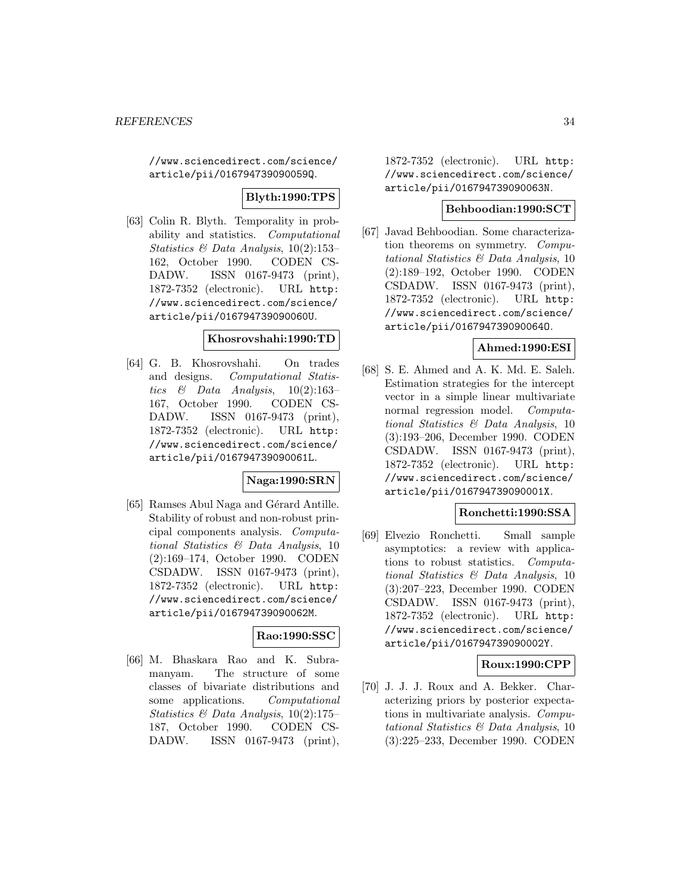//www.sciencedirect.com/science/ article/pii/016794739090059Q.

**Blyth:1990:TPS**

[63] Colin R. Blyth. Temporality in probability and statistics. Computational Statistics & Data Analysis, 10(2):153– 162, October 1990. CODEN CS-DADW. ISSN 0167-9473 (print), 1872-7352 (electronic). URL http: //www.sciencedirect.com/science/ article/pii/016794739090060U.

#### **Khosrovshahi:1990:TD**

[64] G. B. Khosrovshahi. On trades and designs. Computational Statistics & Data Analysis, 10(2):163– 167, October 1990. CODEN CS-DADW. ISSN 0167-9473 (print), 1872-7352 (electronic). URL http: //www.sciencedirect.com/science/ article/pii/016794739090061L.

# **Naga:1990:SRN**

[65] Ramses Abul Naga and Gérard Antille. Stability of robust and non-robust principal components analysis. Computational Statistics & Data Analysis, 10 (2):169–174, October 1990. CODEN CSDADW. ISSN 0167-9473 (print), 1872-7352 (electronic). URL http: //www.sciencedirect.com/science/ article/pii/016794739090062M.

# **Rao:1990:SSC**

[66] M. Bhaskara Rao and K. Subramanyam. The structure of some classes of bivariate distributions and some applications. Computational Statistics & Data Analysis,  $10(2):175$ 187, October 1990. CODEN CS-DADW. ISSN 0167-9473 (print),

1872-7352 (electronic). URL http: //www.sciencedirect.com/science/ article/pii/016794739090063N.

# **Behboodian:1990:SCT**

[67] Javad Behboodian. Some characterization theorems on symmetry. Computational Statistics & Data Analysis, 10 (2):189–192, October 1990. CODEN CSDADW. ISSN 0167-9473 (print), 1872-7352 (electronic). URL http: //www.sciencedirect.com/science/ article/pii/016794739090064O.

# **Ahmed:1990:ESI**

[68] S. E. Ahmed and A. K. Md. E. Saleh. Estimation strategies for the intercept vector in a simple linear multivariate normal regression model. Computational Statistics & Data Analysis, 10 (3):193–206, December 1990. CODEN CSDADW. ISSN 0167-9473 (print), 1872-7352 (electronic). URL http: //www.sciencedirect.com/science/ article/pii/016794739090001X.

#### **Ronchetti:1990:SSA**

[69] Elvezio Ronchetti. Small sample asymptotics: a review with applications to robust statistics. Computational Statistics & Data Analysis, 10 (3):207–223, December 1990. CODEN CSDADW. ISSN 0167-9473 (print), 1872-7352 (electronic). URL http: //www.sciencedirect.com/science/ article/pii/016794739090002Y.

# **Roux:1990:CPP**

[70] J. J. J. Roux and A. Bekker. Characterizing priors by posterior expectations in multivariate analysis. Computational Statistics & Data Analysis, 10 (3):225–233, December 1990. CODEN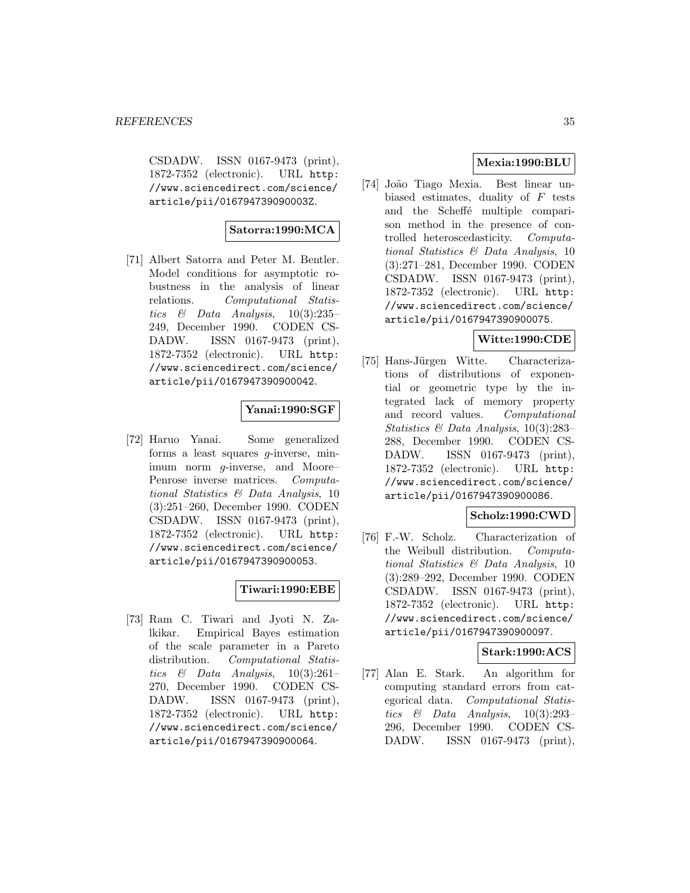CSDADW. ISSN 0167-9473 (print), 1872-7352 (electronic). URL http: //www.sciencedirect.com/science/ article/pii/016794739090003Z.

# **Satorra:1990:MCA**

[71] Albert Satorra and Peter M. Bentler. Model conditions for asymptotic robustness in the analysis of linear relations. Computational Statistics  $\&$  Data Analysis, 10(3):235– 249, December 1990. CODEN CS-DADW. ISSN 0167-9473 (print), 1872-7352 (electronic). URL http: //www.sciencedirect.com/science/ article/pii/0167947390900042.

# **Yanai:1990:SGF**

[72] Haruo Yanai. Some generalized forms a least squares g-inverse, minimum norm g-inverse, and Moore– Penrose inverse matrices. Computational Statistics & Data Analysis, 10 (3):251–260, December 1990. CODEN CSDADW. ISSN 0167-9473 (print), 1872-7352 (electronic). URL http: //www.sciencedirect.com/science/ article/pii/0167947390900053.

# **Tiwari:1990:EBE**

[73] Ram C. Tiwari and Jyoti N. Zalkikar. Empirical Bayes estimation of the scale parameter in a Pareto distribution. Computational Statistics  $\&$  Data Analysis, 10(3):261– 270, December 1990. CODEN CS-DADW. ISSN 0167-9473 (print), 1872-7352 (electronic). URL http: //www.sciencedirect.com/science/ article/pii/0167947390900064.

# **Mexia:1990:BLU**

[74] Jo˜ao Tiago Mexia. Best linear unbiased estimates, duality of  $F$  tests and the Scheffé multiple comparison method in the presence of controlled heteroscedasticity. Computational Statistics & Data Analysis, 10 (3):271–281, December 1990. CODEN CSDADW. ISSN 0167-9473 (print), 1872-7352 (electronic). URL http: //www.sciencedirect.com/science/ article/pii/0167947390900075.

# **Witte:1990:CDE**

[75] Hans-Jürgen Witte. Characterizations of distributions of exponential or geometric type by the integrated lack of memory property and record values. Computational Statistics & Data Analysis, 10(3):283– 288, December 1990. CODEN CS-DADW. ISSN 0167-9473 (print), 1872-7352 (electronic). URL http: //www.sciencedirect.com/science/ article/pii/0167947390900086.

# **Scholz:1990:CWD**

[76] F.-W. Scholz. Characterization of the Weibull distribution. Computational Statistics & Data Analysis, 10 (3):289–292, December 1990. CODEN CSDADW. ISSN 0167-9473 (print), 1872-7352 (electronic). URL http: //www.sciencedirect.com/science/ article/pii/0167947390900097.

# **Stark:1990:ACS**

[77] Alan E. Stark. An algorithm for computing standard errors from categorical data. Computational Statistics & Data Analysis, 10(3):293– 296, December 1990. CODEN CS-DADW. ISSN 0167-9473 (print),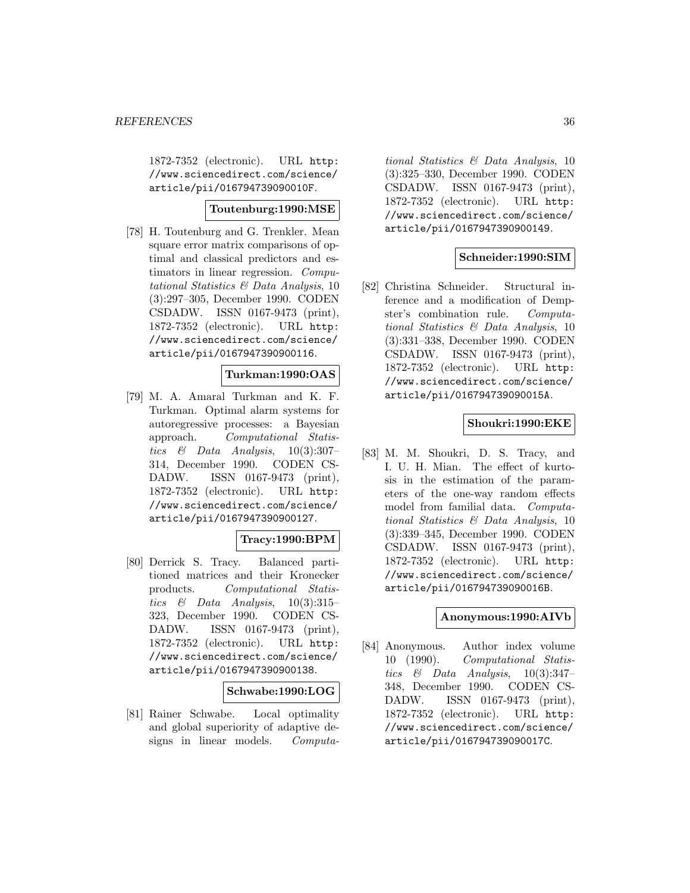1872-7352 (electronic). URL http: //www.sciencedirect.com/science/ article/pii/016794739090010F.

# **Toutenburg:1990:MSE**

[78] H. Toutenburg and G. Trenkler. Mean square error matrix comparisons of optimal and classical predictors and estimators in linear regression. Computational Statistics & Data Analysis, 10 (3):297–305, December 1990. CODEN CSDADW. ISSN 0167-9473 (print), 1872-7352 (electronic). URL http: //www.sciencedirect.com/science/ article/pii/0167947390900116.

# **Turkman:1990:OAS**

[79] M. A. Amaral Turkman and K. F. Turkman. Optimal alarm systems for autoregressive processes: a Bayesian approach. Computational Statistics  $\&$  Data Analysis, 10(3):307– 314, December 1990. CODEN CS-DADW. ISSN 0167-9473 (print), 1872-7352 (electronic). URL http: //www.sciencedirect.com/science/ article/pii/0167947390900127.

# **Tracy:1990:BPM**

[80] Derrick S. Tracy. Balanced partitioned matrices and their Kronecker products. Computational Statistics  $\&$  Data Analysis, 10(3):315– 323, December 1990. CODEN CS-DADW. ISSN 0167-9473 (print), 1872-7352 (electronic). URL http: //www.sciencedirect.com/science/ article/pii/0167947390900138.

# **Schwabe:1990:LOG**

[81] Rainer Schwabe. Local optimality and global superiority of adaptive designs in linear models. Computa-

tional Statistics & Data Analysis, 10 (3):325–330, December 1990. CODEN CSDADW. ISSN 0167-9473 (print), 1872-7352 (electronic). URL http: //www.sciencedirect.com/science/ article/pii/0167947390900149.

# **Schneider:1990:SIM**

[82] Christina Schneider. Structural inference and a modification of Dempster's combination rule. Computational Statistics & Data Analysis, 10 (3):331–338, December 1990. CODEN CSDADW. ISSN 0167-9473 (print), 1872-7352 (electronic). URL http: //www.sciencedirect.com/science/ article/pii/016794739090015A.

# **Shoukri:1990:EKE**

[83] M. M. Shoukri, D. S. Tracy, and I. U. H. Mian. The effect of kurtosis in the estimation of the parameters of the one-way random effects model from familial data. Computational Statistics & Data Analysis, 10 (3):339–345, December 1990. CODEN CSDADW. ISSN 0167-9473 (print), 1872-7352 (electronic). URL http: //www.sciencedirect.com/science/ article/pii/016794739090016B.

# **Anonymous:1990:AIVb**

[84] Anonymous. Author index volume 10 (1990). Computational Statistics & Data Analysis,  $10(3):347-$ 348, December 1990. CODEN CS-DADW. ISSN 0167-9473 (print), 1872-7352 (electronic). URL http: //www.sciencedirect.com/science/ article/pii/016794739090017C.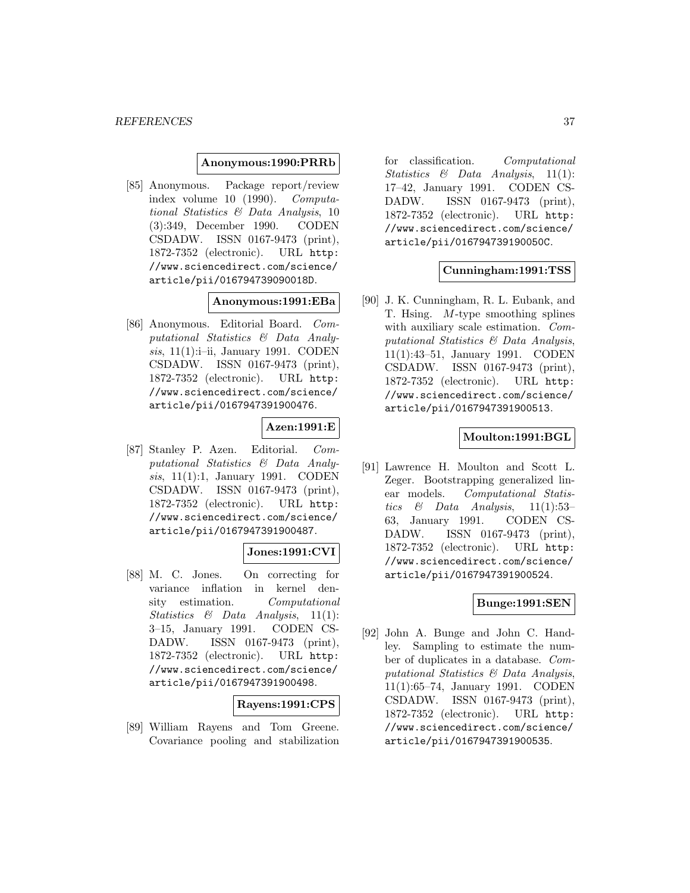#### **Anonymous:1990:PRRb**

[85] Anonymous. Package report/review index volume 10 (1990). Computational Statistics & Data Analysis, 10 (3):349, December 1990. CODEN CSDADW. ISSN 0167-9473 (print), 1872-7352 (electronic). URL http: //www.sciencedirect.com/science/ article/pii/016794739090018D.

### **Anonymous:1991:EBa**

[86] Anonymous. Editorial Board. Computational Statistics & Data Analysis, 11(1):i–ii, January 1991. CODEN CSDADW. ISSN 0167-9473 (print), 1872-7352 (electronic). URL http: //www.sciencedirect.com/science/ article/pii/0167947391900476.

## **Azen:1991:E**

[87] Stanley P. Azen. Editorial. Computational Statistics & Data Analysis, 11(1):1, January 1991. CODEN CSDADW. ISSN 0167-9473 (print), 1872-7352 (electronic). URL http: //www.sciencedirect.com/science/ article/pii/0167947391900487.

#### **Jones:1991:CVI**

[88] M. C. Jones. On correcting for variance inflation in kernel density estimation. Computational *Statistics & Data Analysis*,  $11(1)$ : 3–15, January 1991. CODEN CS-DADW. ISSN 0167-9473 (print), 1872-7352 (electronic). URL http: //www.sciencedirect.com/science/ article/pii/0167947391900498.

## **Rayens:1991:CPS**

[89] William Rayens and Tom Greene. Covariance pooling and stabilization

for classification. Computational Statistics & Data Analysis, 11(1): 17–42, January 1991. CODEN CS-DADW. ISSN 0167-9473 (print), 1872-7352 (electronic). URL http: //www.sciencedirect.com/science/ article/pii/016794739190050C.

### **Cunningham:1991:TSS**

[90] J. K. Cunningham, R. L. Eubank, and T. Hsing. M-type smoothing splines with auxiliary scale estimation. Computational Statistics & Data Analysis, 11(1):43–51, January 1991. CODEN CSDADW. ISSN 0167-9473 (print), 1872-7352 (electronic). URL http: //www.sciencedirect.com/science/ article/pii/0167947391900513.

#### **Moulton:1991:BGL**

[91] Lawrence H. Moulton and Scott L. Zeger. Bootstrapping generalized linear models. Computational Statistics & Data Analysis,  $11(1):53-$ 63, January 1991. CODEN CS-DADW. ISSN 0167-9473 (print), 1872-7352 (electronic). URL http: //www.sciencedirect.com/science/ article/pii/0167947391900524.

#### **Bunge:1991:SEN**

[92] John A. Bunge and John C. Handley. Sampling to estimate the number of duplicates in a database. Computational Statistics & Data Analysis, 11(1):65–74, January 1991. CODEN CSDADW. ISSN 0167-9473 (print), 1872-7352 (electronic). URL http: //www.sciencedirect.com/science/ article/pii/0167947391900535.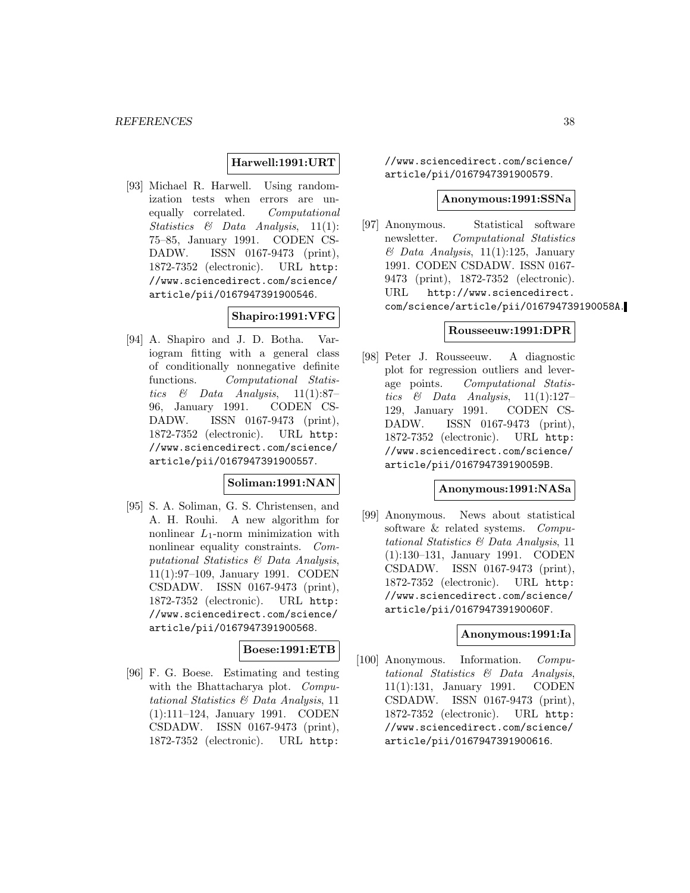#### **Harwell:1991:URT**

[93] Michael R. Harwell. Using randomization tests when errors are unequally correlated. Computational Statistics & Data Analysis, 11(1): 75–85, January 1991. CODEN CS-DADW. ISSN 0167-9473 (print), 1872-7352 (electronic). URL http: //www.sciencedirect.com/science/ article/pii/0167947391900546.

## **Shapiro:1991:VFG**

[94] A. Shapiro and J. D. Botha. Variogram fitting with a general class of conditionally nonnegative definite functions. Computational Statistics & Data Analysis,  $11(1):87-$ 96, January 1991. CODEN CS-DADW. ISSN 0167-9473 (print), 1872-7352 (electronic). URL http: //www.sciencedirect.com/science/ article/pii/0167947391900557.

### **Soliman:1991:NAN**

[95] S. A. Soliman, G. S. Christensen, and A. H. Rouhi. A new algorithm for nonlinear  $L_1$ -norm minimization with nonlinear equality constraints. Computational Statistics & Data Analysis, 11(1):97–109, January 1991. CODEN CSDADW. ISSN 0167-9473 (print), 1872-7352 (electronic). URL http: //www.sciencedirect.com/science/ article/pii/0167947391900568.

## **Boese:1991:ETB**

[96] F. G. Boese. Estimating and testing with the Bhattacharya plot. *Compu*tational Statistics & Data Analysis, 11 (1):111–124, January 1991. CODEN CSDADW. ISSN 0167-9473 (print), 1872-7352 (electronic). URL http:

//www.sciencedirect.com/science/ article/pii/0167947391900579.

#### **Anonymous:1991:SSNa**

[97] Anonymous. Statistical software newsletter. Computational Statistics  $\&$  Data Analysis, 11(1):125, January 1991. CODEN CSDADW. ISSN 0167- 9473 (print), 1872-7352 (electronic). URL http://www.sciencedirect. com/science/article/pii/016794739190058A.

#### **Rousseeuw:1991:DPR**

[98] Peter J. Rousseeuw. A diagnostic plot for regression outliers and leverage points. Computational Statistics & Data Analysis,  $11(1):127-$ 129, January 1991. CODEN CS-DADW. ISSN 0167-9473 (print), 1872-7352 (electronic). URL http: //www.sciencedirect.com/science/ article/pii/016794739190059B.

#### **Anonymous:1991:NASa**

[99] Anonymous. News about statistical software & related systems. Computational Statistics & Data Analysis, 11 (1):130–131, January 1991. CODEN CSDADW. ISSN 0167-9473 (print), 1872-7352 (electronic). URL http: //www.sciencedirect.com/science/ article/pii/016794739190060F.

## **Anonymous:1991:Ia**

[100] Anonymous. Information. Computational Statistics & Data Analysis, 11(1):131, January 1991. CODEN CSDADW. ISSN 0167-9473 (print), 1872-7352 (electronic). URL http: //www.sciencedirect.com/science/ article/pii/0167947391900616.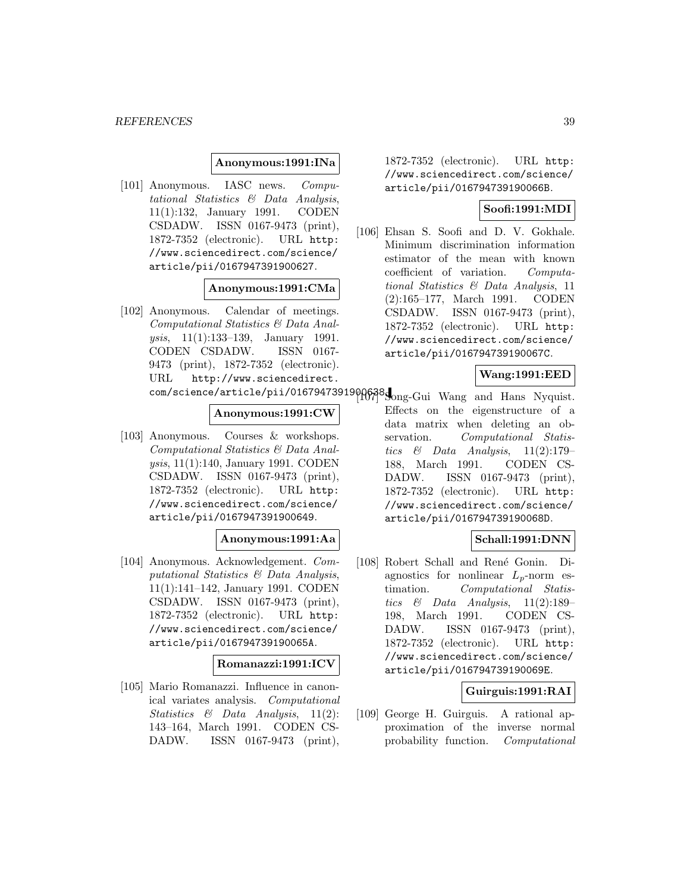#### **Anonymous:1991:INa**

[101] Anonymous. IASC news. Computational Statistics & Data Analysis, 11(1):132, January 1991. CODEN CSDADW. ISSN 0167-9473 (print), 1872-7352 (electronic). URL http: //www.sciencedirect.com/science/ article/pii/0167947391900627.

### **Anonymous:1991:CMa**

[102] Anonymous. Calendar of meetings. Computational Statistics & Data Analysis, 11(1):133–139, January 1991. CODEN CSDADW. ISSN 0167- 9473 (print), 1872-7352 (electronic). URL http://www.sciencedirect.

### **Anonymous:1991:CW**

[103] Anonymous. Courses & workshops. Computational Statistics & Data Analysis, 11(1):140, January 1991. CODEN CSDADW. ISSN 0167-9473 (print), 1872-7352 (electronic). URL http: //www.sciencedirect.com/science/ article/pii/0167947391900649.

## **Anonymous:1991:Aa**

[104] Anonymous. Acknowledgement. Computational Statistics & Data Analysis, 11(1):141–142, January 1991. CODEN CSDADW. ISSN 0167-9473 (print), 1872-7352 (electronic). URL http: //www.sciencedirect.com/science/ article/pii/016794739190065A.

### **Romanazzi:1991:ICV**

[105] Mario Romanazzi. Influence in canonical variates analysis. Computational Statistics & Data Analysis, 11(2): 143–164, March 1991. CODEN CS-DADW. ISSN 0167-9473 (print),

1872-7352 (electronic). URL http: //www.sciencedirect.com/science/ article/pii/016794739190066B.

## **Soofi:1991:MDI**

[106] Ehsan S. Soofi and D. V. Gokhale. Minimum discrimination information estimator of the mean with known coefficient of variation. Computational Statistics & Data Analysis, 11 (2):165–177, March 1991. CODEN CSDADW. ISSN 0167-9473 (print), 1872-7352 (electronic). URL http: //www.sciencedirect.com/science/ article/pii/016794739190067C.

#### **Wang:1991:EED**

com/science/article/pii/0167947391900638.com/Gui Wang and Hans Nyquist. Effects on the eigenstructure of a data matrix when deleting an observation. Computational Statistics & Data Analysis,  $11(2):179-$ 188, March 1991. CODEN CS-DADW. ISSN 0167-9473 (print), 1872-7352 (electronic). URL http: //www.sciencedirect.com/science/ article/pii/016794739190068D.

### **Schall:1991:DNN**

[108] Robert Schall and René Gonin. Diagnostics for nonlinear  $L_p$ -norm estimation. Computational Statistics  $\&$  Data Analysis, 11(2):189– 198, March 1991. CODEN CS-DADW. ISSN 0167-9473 (print), 1872-7352 (electronic). URL http: //www.sciencedirect.com/science/ article/pii/016794739190069E.

### **Guirguis:1991:RAI**

[109] George H. Guirguis. A rational approximation of the inverse normal probability function. Computational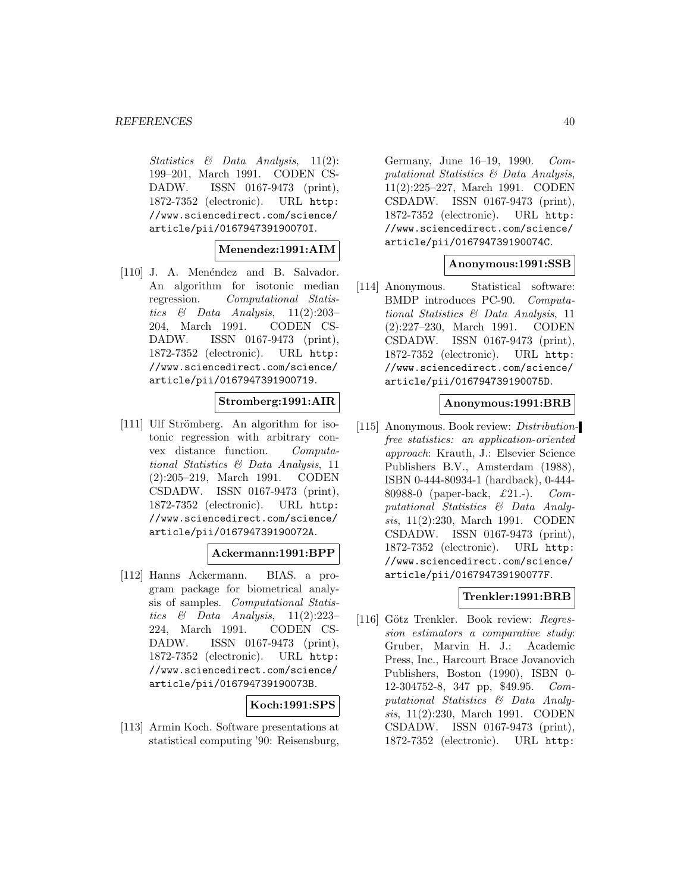Statistics & Data Analysis, 11(2): 199–201, March 1991. CODEN CS-DADW. ISSN 0167-9473 (print), 1872-7352 (electronic). URL http: //www.sciencedirect.com/science/ article/pii/016794739190070I.

#### **Menendez:1991:AIM**

[110] J. A. Menéndez and B. Salvador. An algorithm for isotonic median regression. Computational Statistics  $\&$  Data Analysis, 11(2):203– 204, March 1991. CODEN CS-DADW. ISSN 0167-9473 (print), 1872-7352 (electronic). URL http: //www.sciencedirect.com/science/ article/pii/0167947391900719.

### **Stromberg:1991:AIR**

[111] Ulf Strömberg. An algorithm for isotonic regression with arbitrary convex distance function. Computational Statistics & Data Analysis, 11 (2):205–219, March 1991. CODEN CSDADW. ISSN 0167-9473 (print), 1872-7352 (electronic). URL http: //www.sciencedirect.com/science/ article/pii/016794739190072A.

#### **Ackermann:1991:BPP**

[112] Hanns Ackermann. BIAS. a program package for biometrical analysis of samples. Computational Statistics  $\&$  Data Analysis, 11(2):223-224, March 1991. CODEN CS-DADW. ISSN 0167-9473 (print), 1872-7352 (electronic). URL http: //www.sciencedirect.com/science/ article/pii/016794739190073B.

## **Koch:1991:SPS**

[113] Armin Koch. Software presentations at statistical computing '90: Reisensburg,

Germany, June 16–19, 1990. Computational Statistics & Data Analysis, 11(2):225–227, March 1991. CODEN CSDADW. ISSN 0167-9473 (print), 1872-7352 (electronic). URL http: //www.sciencedirect.com/science/ article/pii/016794739190074C.

#### **Anonymous:1991:SSB**

[114] Anonymous. Statistical software: BMDP introduces PC-90. Computational Statistics & Data Analysis, 11 (2):227–230, March 1991. CODEN CSDADW. ISSN 0167-9473 (print), 1872-7352 (electronic). URL http: //www.sciencedirect.com/science/ article/pii/016794739190075D.

#### **Anonymous:1991:BRB**

[115] Anonymous. Book review: Distributionfree statistics: an application-oriented approach: Krauth, J.: Elsevier Science Publishers B.V., Amsterdam (1988), ISBN 0-444-80934-1 (hardback), 0-444- 80988-0 (paper-back, £21.-). Computational Statistics & Data Analysis, 11(2):230, March 1991. CODEN CSDADW. ISSN 0167-9473 (print), 1872-7352 (electronic). URL http: //www.sciencedirect.com/science/ article/pii/016794739190077F.

### **Trenkler:1991:BRB**

[116] Götz Trenkler. Book review: Regression estimators a comparative study: Gruber, Marvin H. J.: Academic Press, Inc., Harcourt Brace Jovanovich Publishers, Boston (1990), ISBN 0- 12-304752-8, 347 pp, \$49.95. Computational Statistics & Data Analysis, 11(2):230, March 1991. CODEN CSDADW. ISSN 0167-9473 (print), 1872-7352 (electronic). URL http: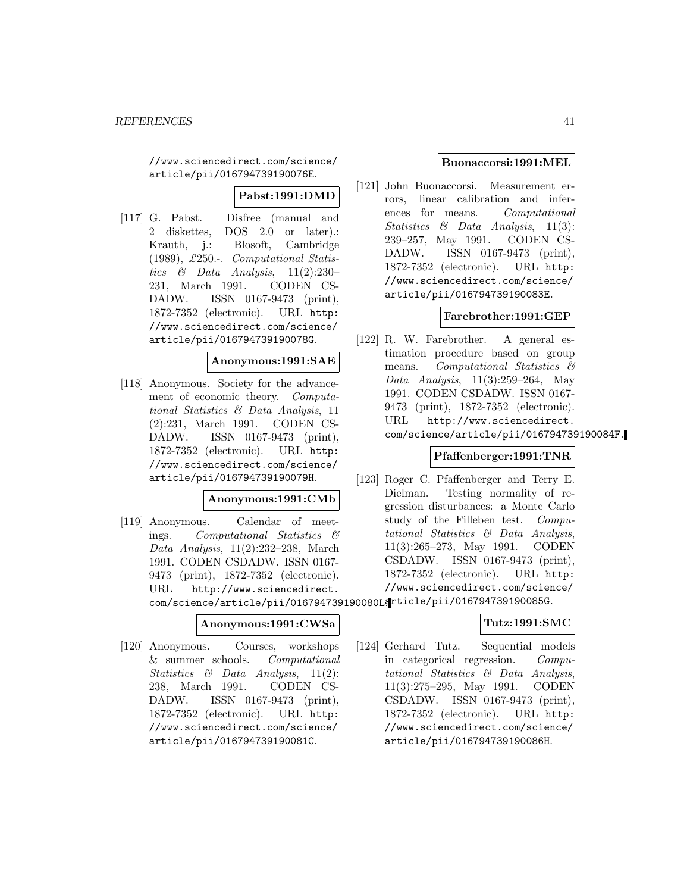//www.sciencedirect.com/science/ article/pii/016794739190076E.

**Pabst:1991:DMD**

[117] G. Pabst. Disfree (manual and 2 diskettes, DOS 2.0 or later).: Krauth, j.: Blosoft, Cambridge (1989), £250.-. Computational Statistics & Data Analysis, 11(2):230– 231, March 1991. CODEN CS-DADW. ISSN 0167-9473 (print), 1872-7352 (electronic). URL http: //www.sciencedirect.com/science/ article/pii/016794739190078G.

### **Anonymous:1991:SAE**

[118] Anonymous. Society for the advancement of economic theory. Computational Statistics & Data Analysis, 11 (2):231, March 1991. CODEN CS-DADW. ISSN 0167-9473 (print), 1872-7352 (electronic). URL http: //www.sciencedirect.com/science/ article/pii/016794739190079H.

#### **Anonymous:1991:CMb**

[119] Anonymous. Calendar of meetings. Computational Statistics & Data Analysis, 11(2):232–238, March 1991. CODEN CSDADW. ISSN 0167- 9473 (print), 1872-7352 (electronic). URL http://www.sciencedirect. com/science/article/pii/016794739190080Larticle/pii/016794739190085G.

### **Anonymous:1991:CWSa**

[120] Anonymous. Courses, workshops & summer schools. Computational Statistics & Data Analysis, 11(2): 238, March 1991. CODEN CS-DADW. ISSN 0167-9473 (print), 1872-7352 (electronic). URL http: //www.sciencedirect.com/science/ article/pii/016794739190081C.

## **Buonaccorsi:1991:MEL**

[121] John Buonaccorsi. Measurement errors, linear calibration and inferences for means. Computational Statistics & Data Analysis, 11(3): 239–257, May 1991. CODEN CS-DADW. ISSN 0167-9473 (print), 1872-7352 (electronic). URL http: //www.sciencedirect.com/science/ article/pii/016794739190083E.

## **Farebrother:1991:GEP**

[122] R. W. Farebrother. A general estimation procedure based on group means. Computational Statistics & Data Analysis, 11(3):259–264, May 1991. CODEN CSDADW. ISSN 0167- 9473 (print), 1872-7352 (electronic). URL http://www.sciencedirect. com/science/article/pii/016794739190084F.

### **Pfaffenberger:1991:TNR**

[123] Roger C. Pfaffenberger and Terry E. Dielman. Testing normality of regression disturbances: a Monte Carlo study of the Filleben test. Computational Statistics & Data Analysis, 11(3):265–273, May 1991. CODEN CSDADW. ISSN 0167-9473 (print), 1872-7352 (electronic). URL http: //www.sciencedirect.com/science/

### **Tutz:1991:SMC**

[124] Gerhard Tutz. Sequential models in categorical regression. Computational Statistics & Data Analysis, 11(3):275–295, May 1991. CODEN CSDADW. ISSN 0167-9473 (print), 1872-7352 (electronic). URL http: //www.sciencedirect.com/science/ article/pii/016794739190086H.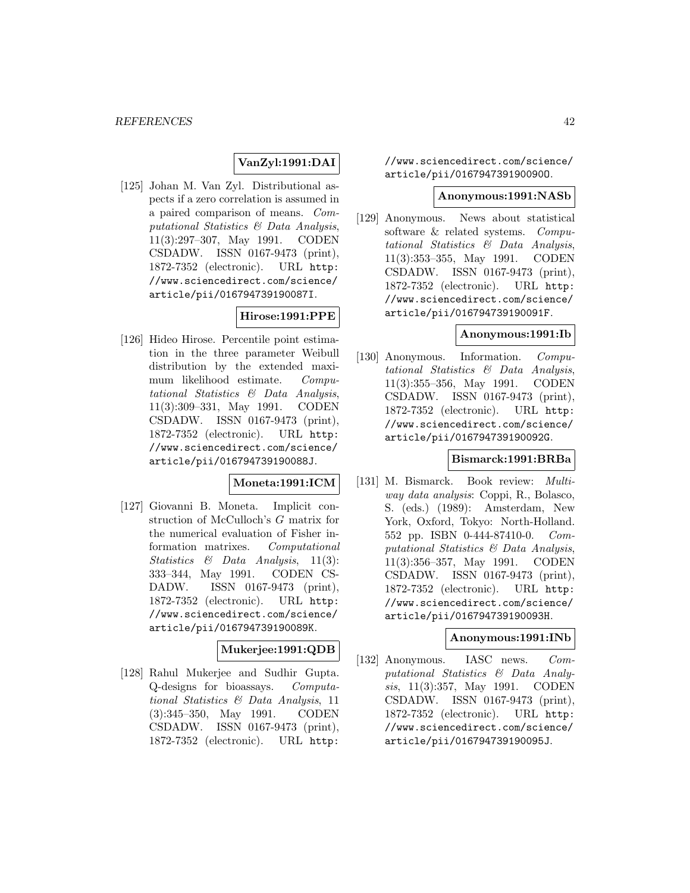## **VanZyl:1991:DAI**

[125] Johan M. Van Zyl. Distributional aspects if a zero correlation is assumed in a paired comparison of means. Computational Statistics & Data Analysis, 11(3):297–307, May 1991. CODEN CSDADW. ISSN 0167-9473 (print), 1872-7352 (electronic). URL http: //www.sciencedirect.com/science/ article/pii/016794739190087I.

## **Hirose:1991:PPE**

[126] Hideo Hirose. Percentile point estimation in the three parameter Weibull distribution by the extended maximum likelihood estimate. Computational Statistics & Data Analysis, 11(3):309–331, May 1991. CODEN CSDADW. ISSN 0167-9473 (print), 1872-7352 (electronic). URL http: //www.sciencedirect.com/science/ article/pii/016794739190088J.

#### **Moneta:1991:ICM**

[127] Giovanni B. Moneta. Implicit construction of McCulloch's G matrix for the numerical evaluation of Fisher information matrixes. Computational Statistics & Data Analysis, 11(3): 333–344, May 1991. CODEN CS-DADW. ISSN 0167-9473 (print), 1872-7352 (electronic). URL http: //www.sciencedirect.com/science/ article/pii/016794739190089K.

### **Mukerjee:1991:QDB**

[128] Rahul Mukerjee and Sudhir Gupta. Q-designs for bioassays. Computational Statistics & Data Analysis, 11 (3):345–350, May 1991. CODEN CSDADW. ISSN 0167-9473 (print), 1872-7352 (electronic). URL http:

//www.sciencedirect.com/science/ article/pii/016794739190090O.

#### **Anonymous:1991:NASb**

[129] Anonymous. News about statistical software & related systems. Computational Statistics & Data Analysis, 11(3):353–355, May 1991. CODEN CSDADW. ISSN 0167-9473 (print), 1872-7352 (electronic). URL http: //www.sciencedirect.com/science/ article/pii/016794739190091F.

#### **Anonymous:1991:Ib**

[130] Anonymous. Information. Computational Statistics & Data Analysis, 11(3):355–356, May 1991. CODEN CSDADW. ISSN 0167-9473 (print), 1872-7352 (electronic). URL http: //www.sciencedirect.com/science/ article/pii/016794739190092G.

#### **Bismarck:1991:BRBa**

[131] M. Bismarck. Book review: Multiway data analysis: Coppi, R., Bolasco, S. (eds.) (1989): Amsterdam, New York, Oxford, Tokyo: North-Holland. 552 pp. ISBN 0-444-87410-0. Computational Statistics & Data Analysis, 11(3):356–357, May 1991. CODEN CSDADW. ISSN 0167-9473 (print), 1872-7352 (electronic). URL http: //www.sciencedirect.com/science/ article/pii/016794739190093H.

#### **Anonymous:1991:INb**

[132] Anonymous. IASC news. Computational Statistics & Data Analysis, 11(3):357, May 1991. CODEN CSDADW. ISSN 0167-9473 (print), 1872-7352 (electronic). URL http: //www.sciencedirect.com/science/ article/pii/016794739190095J.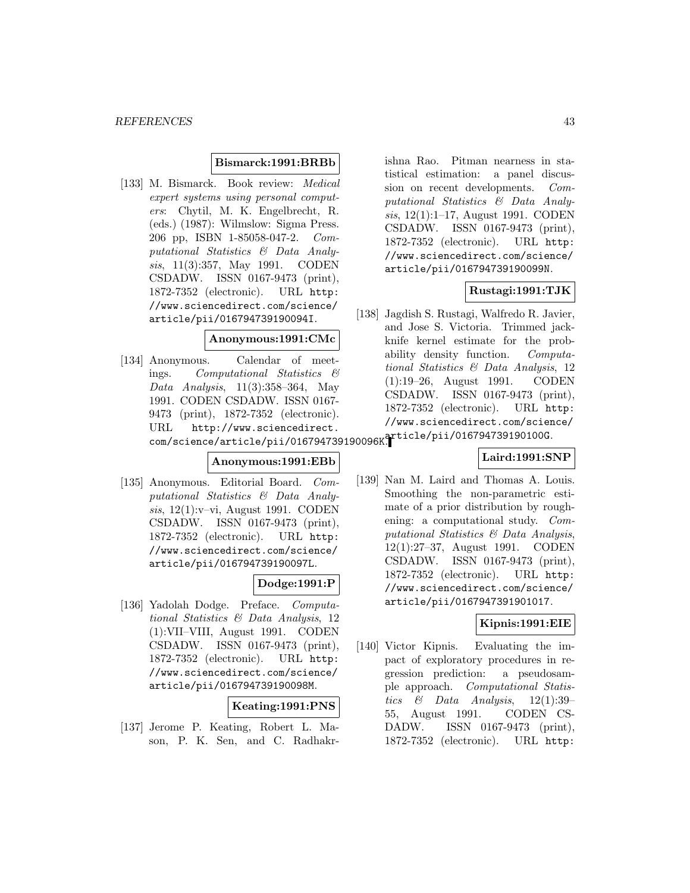#### **Bismarck:1991:BRBb**

[133] M. Bismarck. Book review: Medical expert systems using personal computers: Chytil, M. K. Engelbrecht, R. (eds.) (1987): Wilmslow: Sigma Press. 206 pp, ISBN 1-85058-047-2. Computational Statistics & Data Analysis, 11(3):357, May 1991. CODEN CSDADW. ISSN 0167-9473 (print), 1872-7352 (electronic). URL http: //www.sciencedirect.com/science/ article/pii/016794739190094I.

#### **Anonymous:1991:CMc**

[134] Anonymous. Calendar of meetings. Computational Statistics & Data Analysis,  $11(3):358-364$ , May 1991. CODEN CSDADW. ISSN 0167- 9473 (print), 1872-7352 (electronic). URL http://www.sciencedirect. com/science/article/pii/016794739190096K. article/pii/016794739190100G.

## **Anonymous:1991:EBb**

[135] Anonymous. Editorial Board. Computational Statistics & Data Analysis, 12(1):v–vi, August 1991. CODEN CSDADW. ISSN 0167-9473 (print), 1872-7352 (electronic). URL http: //www.sciencedirect.com/science/ article/pii/016794739190097L.

### **Dodge:1991:P**

[136] Yadolah Dodge. Preface. Computational Statistics & Data Analysis, 12 (1):VII–VIII, August 1991. CODEN CSDADW. ISSN 0167-9473 (print), 1872-7352 (electronic). URL http: //www.sciencedirect.com/science/ article/pii/016794739190098M.

#### **Keating:1991:PNS**

[137] Jerome P. Keating, Robert L. Mason, P. K. Sen, and C. Radhakr-

ishna Rao. Pitman nearness in statistical estimation: a panel discussion on recent developments. Computational Statistics & Data Analysis, 12(1):1–17, August 1991. CODEN CSDADW. ISSN 0167-9473 (print), 1872-7352 (electronic). URL http: //www.sciencedirect.com/science/ article/pii/016794739190099N.

### **Rustagi:1991:TJK**

[138] Jagdish S. Rustagi, Walfredo R. Javier, and Jose S. Victoria. Trimmed jackknife kernel estimate for the probability density function. Computational Statistics & Data Analysis, 12 (1):19–26, August 1991. CODEN CSDADW. ISSN 0167-9473 (print), 1872-7352 (electronic). URL http: //www.sciencedirect.com/science/

# **Laird:1991:SNP**

[139] Nan M. Laird and Thomas A. Louis. Smoothing the non-parametric estimate of a prior distribution by roughening: a computational study. Computational Statistics & Data Analysis, 12(1):27–37, August 1991. CODEN CSDADW. ISSN 0167-9473 (print), 1872-7352 (electronic). URL http: //www.sciencedirect.com/science/ article/pii/0167947391901017.

### **Kipnis:1991:EIE**

[140] Victor Kipnis. Evaluating the impact of exploratory procedures in regression prediction: a pseudosample approach. Computational Statistics  $\&$  Data Analysis, 12(1):39-55, August 1991. CODEN CS-DADW. ISSN 0167-9473 (print), 1872-7352 (electronic). URL http: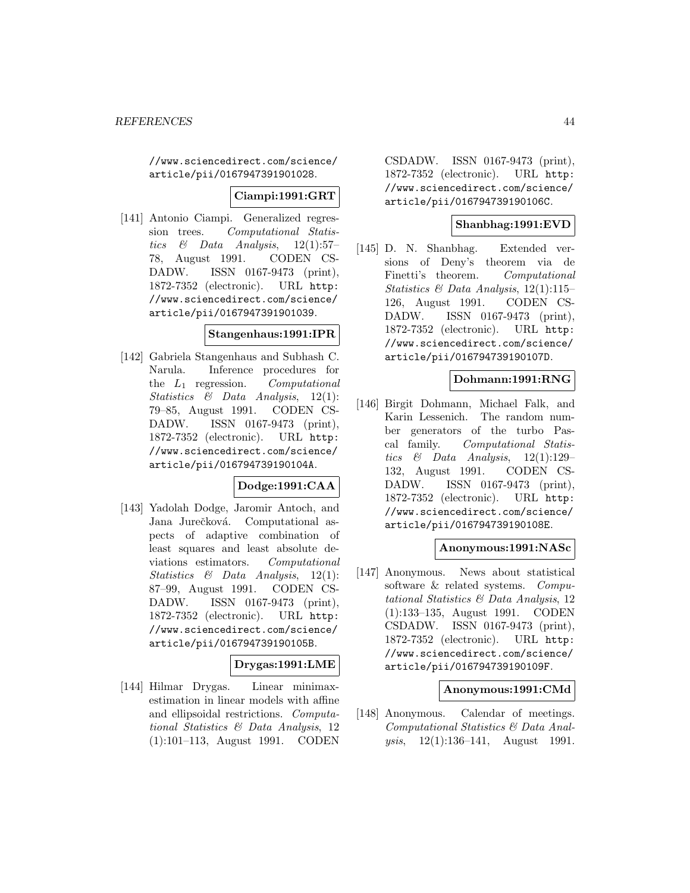//www.sciencedirect.com/science/ article/pii/0167947391901028.

### **Ciampi:1991:GRT**

[141] Antonio Ciampi. Generalized regression trees. Computational Statistics  $\&$  Data Analysis, 12(1):57-78, August 1991. CODEN CS-DADW. ISSN 0167-9473 (print), 1872-7352 (electronic). URL http: //www.sciencedirect.com/science/ article/pii/0167947391901039.

#### **Stangenhaus:1991:IPR**

[142] Gabriela Stangenhaus and Subhash C. Narula. Inference procedures for the  $L_1$  regression. Computational Statistics & Data Analysis, 12(1): 79–85, August 1991. CODEN CS-DADW. ISSN 0167-9473 (print), 1872-7352 (electronic). URL http: //www.sciencedirect.com/science/ article/pii/016794739190104A.

### **Dodge:1991:CAA**

[143] Yadolah Dodge, Jaromir Antoch, and Jana Jurečková. Computational aspects of adaptive combination of least squares and least absolute deviations estimators. Computational Statistics & Data Analysis, 12(1): 87–99, August 1991. CODEN CS-DADW. ISSN 0167-9473 (print), 1872-7352 (electronic). URL http: //www.sciencedirect.com/science/ article/pii/016794739190105B.

### **Drygas:1991:LME**

[144] Hilmar Drygas. Linear minimaxestimation in linear models with affine and ellipsoidal restrictions. Computational Statistics & Data Analysis, 12 (1):101–113, August 1991. CODEN

CSDADW. ISSN 0167-9473 (print), 1872-7352 (electronic). URL http: //www.sciencedirect.com/science/ article/pii/016794739190106C.

## **Shanbhag:1991:EVD**

[145] D. N. Shanbhag. Extended versions of Deny's theorem via de Finetti's theorem. Computational Statistics & Data Analysis, 12(1):115– 126, August 1991. CODEN CS-DADW. ISSN 0167-9473 (print), 1872-7352 (electronic). URL http: //www.sciencedirect.com/science/ article/pii/016794739190107D.

#### **Dohmann:1991:RNG**

[146] Birgit Dohmann, Michael Falk, and Karin Lessenich. The random number generators of the turbo Pascal family. Computational Statistics & Data Analysis,  $12(1):129-$ 132, August 1991. CODEN CS-DADW. ISSN 0167-9473 (print), 1872-7352 (electronic). URL http: //www.sciencedirect.com/science/ article/pii/016794739190108E.

#### **Anonymous:1991:NASc**

[147] Anonymous. News about statistical software & related systems. Computational Statistics & Data Analysis, 12 (1):133–135, August 1991. CODEN CSDADW. ISSN 0167-9473 (print), 1872-7352 (electronic). URL http: //www.sciencedirect.com/science/ article/pii/016794739190109F.

#### **Anonymous:1991:CMd**

[148] Anonymous. Calendar of meetings. Computational Statistics & Data Anal*ysis*,  $12(1):136-141$ , August 1991.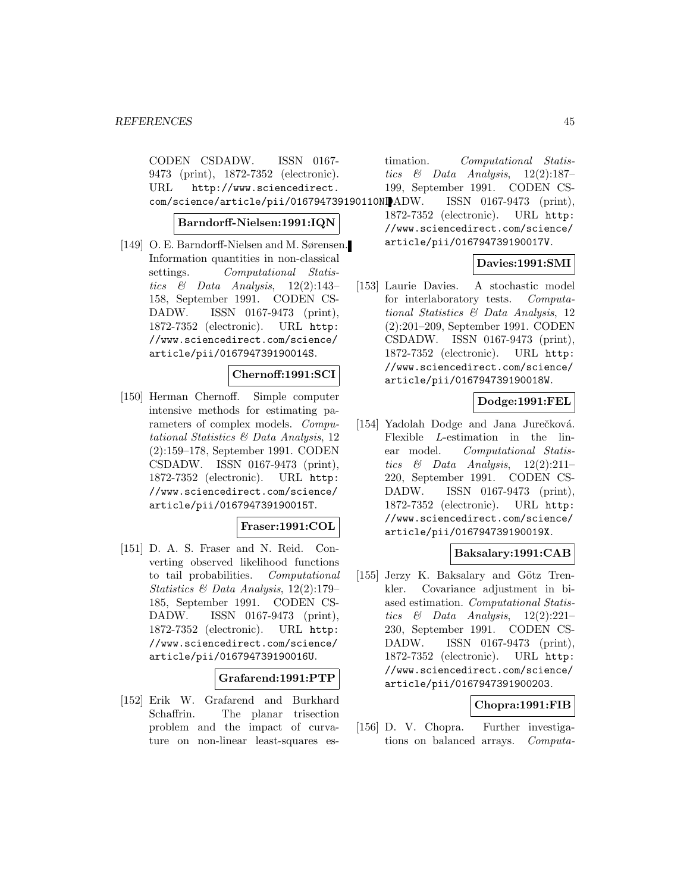CODEN CSDADW. ISSN 0167- 9473 (print), 1872-7352 (electronic). URL http://www.sciencedirect. com/science/article/pii/016794739190110NIADW.

**Barndorff-Nielsen:1991:IQN**

[149] O. E. Barndorff-Nielsen and M. Sørensen. Information quantities in non-classical settings. Computational Statistics  $\&$  Data Analysis, 12(2):143– 158, September 1991. CODEN CS-DADW. ISSN 0167-9473 (print), 1872-7352 (electronic). URL http: //www.sciencedirect.com/science/ article/pii/016794739190014S.

#### **Chernoff:1991:SCI**

[150] Herman Chernoff. Simple computer intensive methods for estimating parameters of complex models. Computational Statistics & Data Analysis, 12 (2):159–178, September 1991. CODEN CSDADW. ISSN 0167-9473 (print), 1872-7352 (electronic). URL http: //www.sciencedirect.com/science/ article/pii/016794739190015T.

## **Fraser:1991:COL**

[151] D. A. S. Fraser and N. Reid. Converting observed likelihood functions to tail probabilities. Computational Statistics & Data Analysis, 12(2):179– 185, September 1991. CODEN CS-DADW. ISSN 0167-9473 (print), 1872-7352 (electronic). URL http: //www.sciencedirect.com/science/ article/pii/016794739190016U.

**Grafarend:1991:PTP**

[152] Erik W. Grafarend and Burkhard Schaffrin. The planar trisection problem and the impact of curvature on non-linear least-squares estimation. Computational Statistics & Data Analysis,  $12(2):187-$ 199, September 1991. CODEN CS-

ISSN 0167-9473 (print), 1872-7352 (electronic). URL http: //www.sciencedirect.com/science/ article/pii/016794739190017V.

## **Davies:1991:SMI**

[153] Laurie Davies. A stochastic model for interlaboratory tests. Computational Statistics & Data Analysis, 12 (2):201–209, September 1991. CODEN CSDADW. ISSN 0167-9473 (print), 1872-7352 (electronic). URL http: //www.sciencedirect.com/science/ article/pii/016794739190018W.

#### **Dodge:1991:FEL**

[154] Yadolah Dodge and Jana Jurečková. Flexible L-estimation in the linear model. Computational Statistics  $\&$  Data Analysis, 12(2):211– 220, September 1991. CODEN CS-DADW. ISSN 0167-9473 (print), 1872-7352 (electronic). URL http: //www.sciencedirect.com/science/ article/pii/016794739190019X.

### **Baksalary:1991:CAB**

[155] Jerzy K. Baksalary and Götz Trenkler. Covariance adjustment in biased estimation. Computational Statistics  $\&$  Data Analysis, 12(2):221-230, September 1991. CODEN CS-DADW. ISSN 0167-9473 (print), 1872-7352 (electronic). URL http: //www.sciencedirect.com/science/ article/pii/0167947391900203.

#### **Chopra:1991:FIB**

[156] D. V. Chopra. Further investigations on balanced arrays. Computa-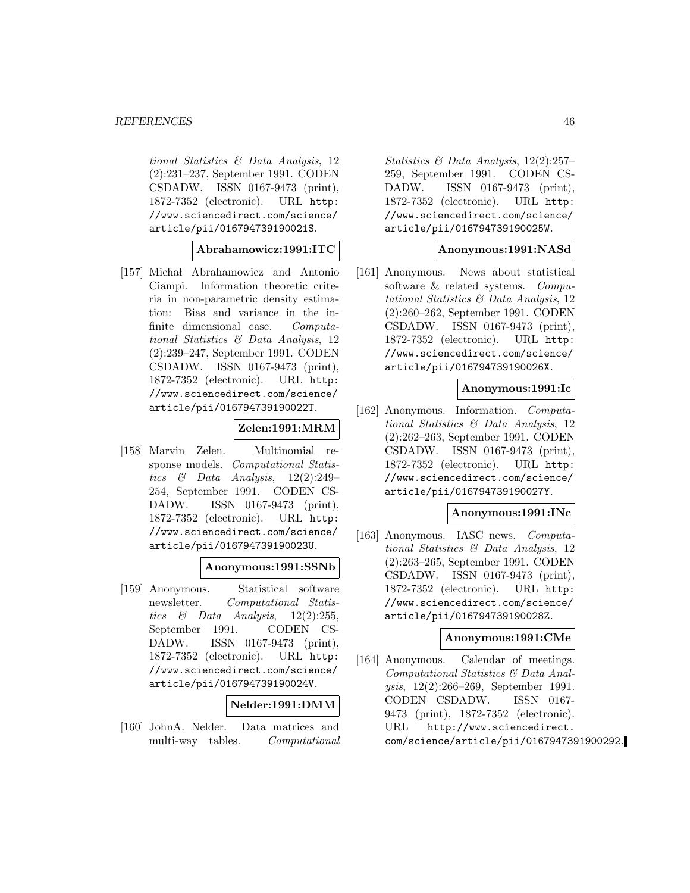#### *REFERENCES* 46

tional Statistics & Data Analysis, 12 (2):231–237, September 1991. CODEN CSDADW. ISSN 0167-9473 (print), 1872-7352 (electronic). URL http: //www.sciencedirect.com/science/ article/pii/016794739190021S.

#### **Abrahamowicz:1991:ITC**

[157] Michał Abrahamowicz and Antonio Ciampi. Information theoretic criteria in non-parametric density estimation: Bias and variance in the infinite dimensional case. Computational Statistics & Data Analysis, 12 (2):239–247, September 1991. CODEN CSDADW. ISSN 0167-9473 (print), 1872-7352 (electronic). URL http: //www.sciencedirect.com/science/ article/pii/016794739190022T.

## **Zelen:1991:MRM**

[158] Marvin Zelen. Multinomial response models. Computational Statistics  $\&$  Data Analysis, 12(2):249– 254, September 1991. CODEN CS-DADW. ISSN 0167-9473 (print), 1872-7352 (electronic). URL http: //www.sciencedirect.com/science/ article/pii/016794739190023U.

#### **Anonymous:1991:SSNb**

[159] Anonymous. Statistical software newsletter. Computational Statistics  $\&$  Data Analysis, 12(2):255, September 1991. CODEN CS-DADW. ISSN 0167-9473 (print), 1872-7352 (electronic). URL http: //www.sciencedirect.com/science/ article/pii/016794739190024V.

#### **Nelder:1991:DMM**

[160] JohnA. Nelder. Data matrices and multi-way tables. Computational

Statistics & Data Analysis, 12(2):257– 259, September 1991. CODEN CS-DADW. ISSN 0167-9473 (print), 1872-7352 (electronic). URL http: //www.sciencedirect.com/science/ article/pii/016794739190025W.

#### **Anonymous:1991:NASd**

[161] Anonymous. News about statistical software & related systems. Computational Statistics & Data Analysis, 12 (2):260–262, September 1991. CODEN CSDADW. ISSN 0167-9473 (print), 1872-7352 (electronic). URL http: //www.sciencedirect.com/science/ article/pii/016794739190026X.

## **Anonymous:1991:Ic**

[162] Anonymous. Information. Computational Statistics & Data Analysis, 12 (2):262–263, September 1991. CODEN CSDADW. ISSN 0167-9473 (print), 1872-7352 (electronic). URL http: //www.sciencedirect.com/science/ article/pii/016794739190027Y.

#### **Anonymous:1991:INc**

[163] Anonymous. IASC news. Computational Statistics & Data Analysis, 12 (2):263–265, September 1991. CODEN CSDADW. ISSN 0167-9473 (print), 1872-7352 (electronic). URL http: //www.sciencedirect.com/science/ article/pii/016794739190028Z.

#### **Anonymous:1991:CMe**

[164] Anonymous. Calendar of meetings. Computational Statistics & Data Analysis, 12(2):266–269, September 1991. CODEN CSDADW. ISSN 0167- 9473 (print), 1872-7352 (electronic). URL http://www.sciencedirect. com/science/article/pii/0167947391900292.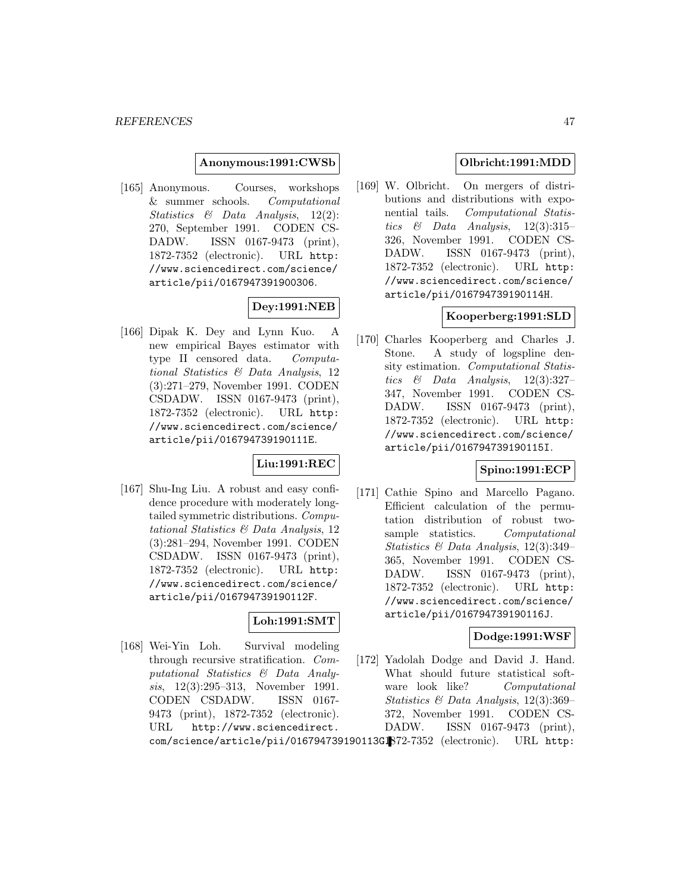#### **Anonymous:1991:CWSb**

[165] Anonymous. Courses, workshops & summer schools. Computational Statistics & Data Analysis, 12(2): 270, September 1991. CODEN CS-DADW. ISSN 0167-9473 (print), 1872-7352 (electronic). URL http: //www.sciencedirect.com/science/ article/pii/0167947391900306.

## **Dey:1991:NEB**

[166] Dipak K. Dey and Lynn Kuo. A new empirical Bayes estimator with type II censored data. Computational Statistics & Data Analysis, 12 (3):271–279, November 1991. CODEN CSDADW. ISSN 0167-9473 (print), 1872-7352 (electronic). URL http: //www.sciencedirect.com/science/ article/pii/016794739190111E.

## **Liu:1991:REC**

[167] Shu-Ing Liu. A robust and easy confidence procedure with moderately longtailed symmetric distributions. Computational Statistics & Data Analysis, 12 (3):281–294, November 1991. CODEN CSDADW. ISSN 0167-9473 (print), 1872-7352 (electronic). URL http: //www.sciencedirect.com/science/ article/pii/016794739190112F.

## **Loh:1991:SMT**

[168] Wei-Yin Loh. Survival modeling through recursive stratification. Computational Statistics & Data Analysis, 12(3):295–313, November 1991. CODEN CSDADW. ISSN 0167- 9473 (print), 1872-7352 (electronic). URL http://www.sciencedirect.

## **Olbricht:1991:MDD**

[169] W. Olbricht. On mergers of distributions and distributions with exponential tails. Computational Statistics  $\&$  Data Analysis, 12(3):315– 326, November 1991. CODEN CS-DADW. ISSN 0167-9473 (print), 1872-7352 (electronic). URL http: //www.sciencedirect.com/science/ article/pii/016794739190114H.

## **Kooperberg:1991:SLD**

[170] Charles Kooperberg and Charles J. Stone. A study of logspline density estimation. Computational Statistics  $\&$  Data Analysis, 12(3):327– 347, November 1991. CODEN CS-DADW. ISSN 0167-9473 (print), 1872-7352 (electronic). URL http: //www.sciencedirect.com/science/ article/pii/016794739190115I.

### **Spino:1991:ECP**

[171] Cathie Spino and Marcello Pagano. Efficient calculation of the permutation distribution of robust twosample statistics. Computational Statistics & Data Analysis, 12(3):349– 365, November 1991. CODEN CS-DADW. ISSN 0167-9473 (print), 1872-7352 (electronic). URL http: //www.sciencedirect.com/science/ article/pii/016794739190116J.

### **Dodge:1991:WSF**

[172] Yadolah Dodge and David J. Hand. What should future statistical software look like? Computational Statistics & Data Analysis, 12(3):369– 372, November 1991. CODEN CS-DADW. ISSN 0167-9473 (print),

com/science/article/pii/016794739190113G $\mathbb{R}$ 72-7352 (electronic). URL http: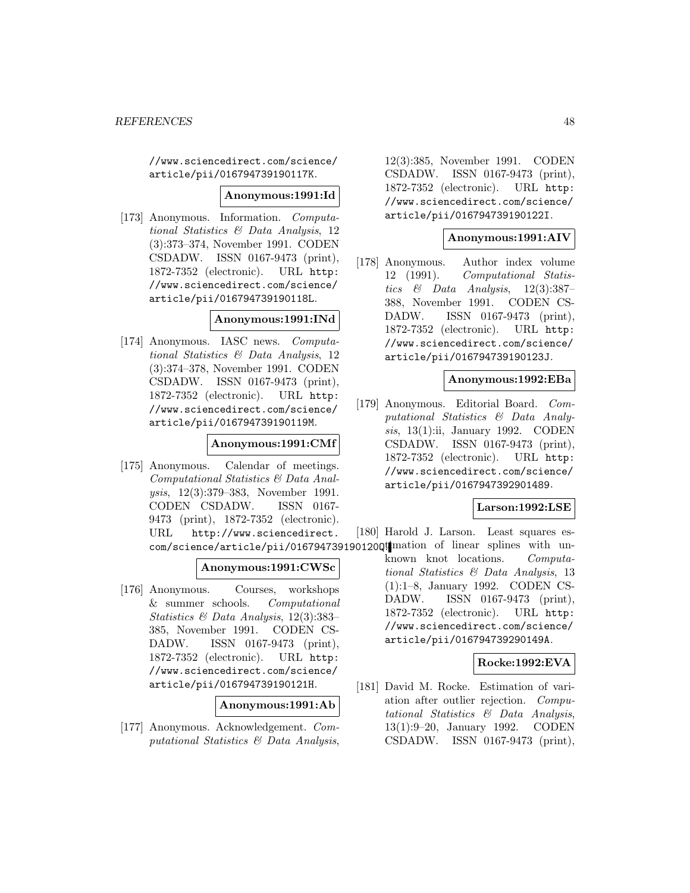//www.sciencedirect.com/science/ article/pii/016794739190117K.

#### **Anonymous:1991:Id**

[173] Anonymous. Information. Computational Statistics & Data Analysis, 12 (3):373–374, November 1991. CODEN CSDADW. ISSN 0167-9473 (print), 1872-7352 (electronic). URL http: //www.sciencedirect.com/science/ article/pii/016794739190118L.

### **Anonymous:1991:INd**

[174] Anonymous. IASC news. Computational Statistics & Data Analysis, 12 (3):374–378, November 1991. CODEN CSDADW. ISSN 0167-9473 (print), 1872-7352 (electronic). URL http: //www.sciencedirect.com/science/ article/pii/016794739190119M.

## **Anonymous:1991:CMf**

[175] Anonymous. Calendar of meetings. Computational Statistics & Data Analysis, 12(3):379–383, November 1991. CODEN CSDADW. ISSN 0167- 9473 (print), 1872-7352 (electronic). URL http://www.sciencedirect. com/science/article/pii/016794739190120Qt mation of linear splines with un-

### **Anonymous:1991:CWSc**

[176] Anonymous. Courses, workshops & summer schools. Computational Statistics & Data Analysis, 12(3):383– 385, November 1991. CODEN CS-DADW. ISSN 0167-9473 (print), 1872-7352 (electronic). URL http: //www.sciencedirect.com/science/ article/pii/016794739190121H.

#### **Anonymous:1991:Ab**

[177] Anonymous. Acknowledgement. Computational Statistics & Data Analysis,

12(3):385, November 1991. CODEN CSDADW. ISSN 0167-9473 (print), 1872-7352 (electronic). URL http: //www.sciencedirect.com/science/ article/pii/016794739190122I.

#### **Anonymous:1991:AIV**

[178] Anonymous. Author index volume 12 (1991). Computational Statistics & Data Analysis,  $12(3):387-$ 388, November 1991. CODEN CS-DADW. ISSN 0167-9473 (print), 1872-7352 (electronic). URL http: //www.sciencedirect.com/science/ article/pii/016794739190123J.

#### **Anonymous:1992:EBa**

[179] Anonymous. Editorial Board. Computational Statistics & Data Analysis, 13(1):ii, January 1992. CODEN CSDADW. ISSN 0167-9473 (print), 1872-7352 (electronic). URL http: //www.sciencedirect.com/science/ article/pii/0167947392901489.

#### **Larson:1992:LSE**

[180] Harold J. Larson. Least squares es-

known knot locations. Computational Statistics & Data Analysis, 13 (1):1–8, January 1992. CODEN CS-DADW. ISSN 0167-9473 (print), 1872-7352 (electronic). URL http: //www.sciencedirect.com/science/ article/pii/016794739290149A.

## **Rocke:1992:EVA**

[181] David M. Rocke. Estimation of variation after outlier rejection. Computational Statistics & Data Analysis,<br>13(1):9-20, January 1992. CODEN  $13(1):9-20$ , January 1992. CSDADW. ISSN 0167-9473 (print),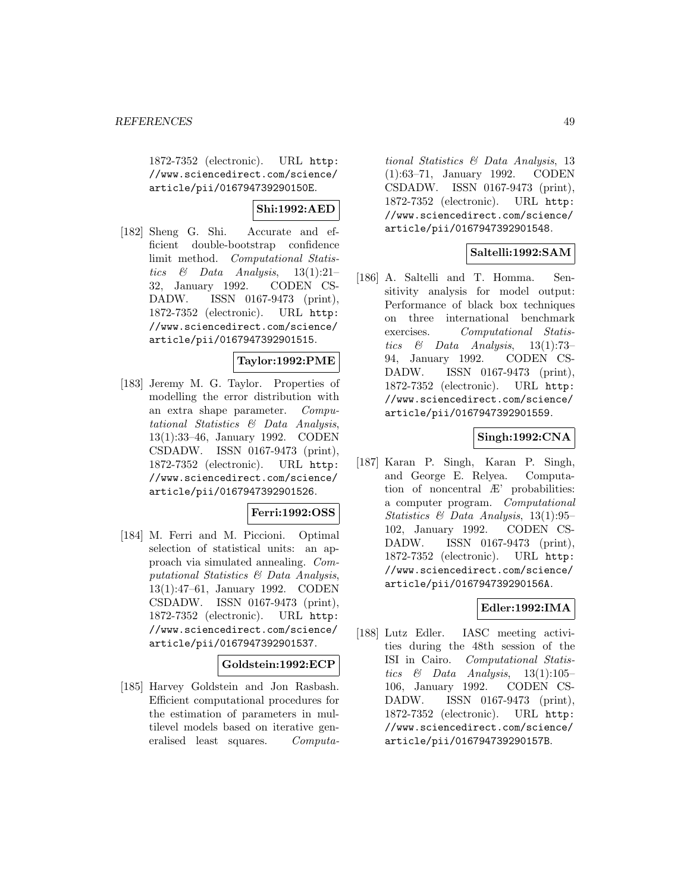1872-7352 (electronic). URL http: //www.sciencedirect.com/science/ article/pii/016794739290150E.

## **Shi:1992:AED**

[182] Sheng G. Shi. Accurate and efficient double-bootstrap confidence limit method. Computational Statistics & Data Analysis,  $13(1):21-$ 32, January 1992. CODEN CS-DADW. ISSN 0167-9473 (print), 1872-7352 (electronic). URL http: //www.sciencedirect.com/science/ article/pii/0167947392901515.

## **Taylor:1992:PME**

[183] Jeremy M. G. Taylor. Properties of modelling the error distribution with an extra shape parameter. Computational Statistics & Data Analysis, 13(1):33–46, January 1992. CODEN CSDADW. ISSN 0167-9473 (print), 1872-7352 (electronic). URL http: //www.sciencedirect.com/science/ article/pii/0167947392901526.

### **Ferri:1992:OSS**

[184] M. Ferri and M. Piccioni. Optimal selection of statistical units: an approach via simulated annealing. Computational Statistics & Data Analysis, 13(1):47–61, January 1992. CODEN CSDADW. ISSN 0167-9473 (print), 1872-7352 (electronic). URL http: //www.sciencedirect.com/science/ article/pii/0167947392901537.

### **Goldstein:1992:ECP**

[185] Harvey Goldstein and Jon Rasbash. Efficient computational procedures for the estimation of parameters in multilevel models based on iterative generalised least squares. Computa-

tional Statistics & Data Analysis, 13 (1):63–71, January 1992. CODEN CSDADW. ISSN 0167-9473 (print), 1872-7352 (electronic). URL http: //www.sciencedirect.com/science/ article/pii/0167947392901548.

## **Saltelli:1992:SAM**

[186] A. Saltelli and T. Homma. Sensitivity analysis for model output: Performance of black box techniques on three international benchmark exercises. Computational Statistics & Data Analysis,  $13(1):73-$ 94, January 1992. CODEN CS-DADW. ISSN 0167-9473 (print), 1872-7352 (electronic). URL http: //www.sciencedirect.com/science/ article/pii/0167947392901559.

#### **Singh:1992:CNA**

[187] Karan P. Singh, Karan P. Singh, and George E. Relyea. Computation of noncentral Æ' probabilities: a computer program. Computational Statistics & Data Analysis, 13(1):95– 102, January 1992. CODEN CS-DADW. ISSN 0167-9473 (print), 1872-7352 (electronic). URL http: //www.sciencedirect.com/science/ article/pii/016794739290156A.

## **Edler:1992:IMA**

[188] Lutz Edler. IASC meeting activities during the 48th session of the ISI in Cairo. Computational Statistics  $\&$  Data Analysis, 13(1):105– 106, January 1992. CODEN CS-DADW. ISSN 0167-9473 (print), 1872-7352 (electronic). URL http: //www.sciencedirect.com/science/ article/pii/016794739290157B.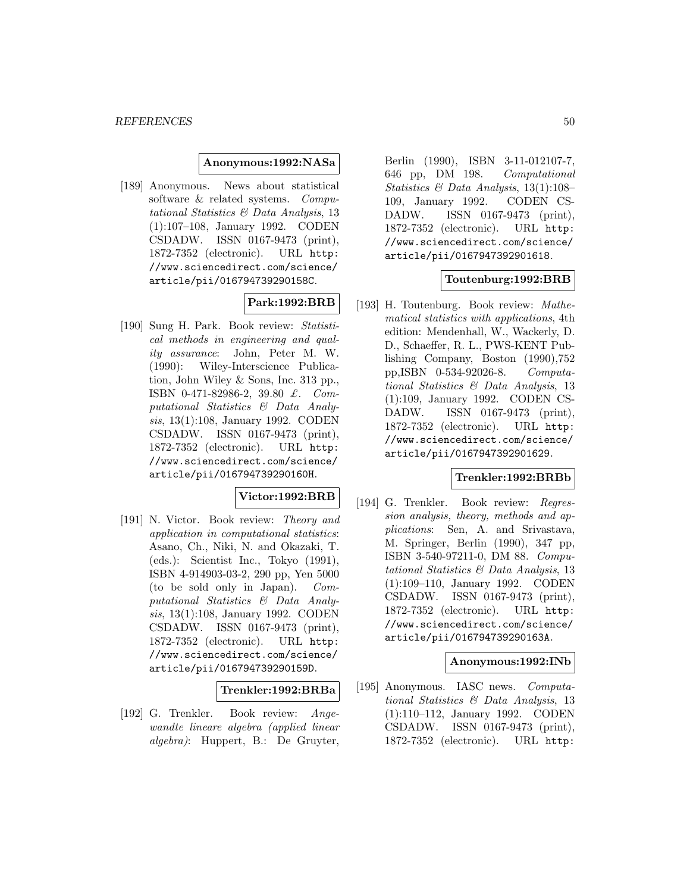#### **Anonymous:1992:NASa**

[189] Anonymous. News about statistical software & related systems. Computational Statistics & Data Analysis, 13 (1):107–108, January 1992. CODEN CSDADW. ISSN 0167-9473 (print), 1872-7352 (electronic). URL http: //www.sciencedirect.com/science/ article/pii/016794739290158C.

### **Park:1992:BRB**

[190] Sung H. Park. Book review: Statistical methods in engineering and quality assurance: John, Peter M. W. (1990): Wiley-Interscience Publication, John Wiley & Sons, Inc. 313 pp., ISBN 0-471-82986-2, 39.80 £. Computational Statistics & Data Analysis, 13(1):108, January 1992. CODEN CSDADW. ISSN 0167-9473 (print), 1872-7352 (electronic). URL http: //www.sciencedirect.com/science/ article/pii/016794739290160H.

## **Victor:1992:BRB**

[191] N. Victor. Book review: Theory and application in computational statistics: Asano, Ch., Niki, N. and Okazaki, T. (eds.): Scientist Inc., Tokyo (1991), ISBN 4-914903-03-2, 290 pp, Yen 5000 (to be sold only in Japan). Computational Statistics & Data Analysis, 13(1):108, January 1992. CODEN CSDADW. ISSN 0167-9473 (print), 1872-7352 (electronic). URL http: //www.sciencedirect.com/science/ article/pii/016794739290159D.

#### **Trenkler:1992:BRBa**

[192] G. Trenkler. Book review: Angewandte lineare algebra (applied linear algebra): Huppert, B.: De Gruyter,

Berlin (1990), ISBN 3-11-012107-7, 646 pp, DM 198. Computational Statistics & Data Analysis, 13(1):108– 109, January 1992. CODEN CS-DADW. ISSN 0167-9473 (print), 1872-7352 (electronic). URL http: //www.sciencedirect.com/science/ article/pii/0167947392901618.

## **Toutenburg:1992:BRB**

[193] H. Toutenburg. Book review: Mathematical statistics with applications, 4th edition: Mendenhall, W., Wackerly, D. D., Schaeffer, R. L., PWS-KENT Publishing Company, Boston (1990),752 pp,ISBN 0-534-92026-8. Computational Statistics & Data Analysis, 13 (1):109, January 1992. CODEN CS-DADW. ISSN 0167-9473 (print), 1872-7352 (electronic). URL http: //www.sciencedirect.com/science/ article/pii/0167947392901629.

## **Trenkler:1992:BRBb**

[194] G. Trenkler. Book review: Regression analysis, theory, methods and applications: Sen, A. and Srivastava, M. Springer, Berlin (1990), 347 pp, ISBN 3-540-97211-0, DM 88. Computational Statistics & Data Analysis, 13 (1):109–110, January 1992. CODEN CSDADW. ISSN 0167-9473 (print), 1872-7352 (electronic). URL http: //www.sciencedirect.com/science/ article/pii/016794739290163A.

#### **Anonymous:1992:INb**

[195] Anonymous. IASC news. Computational Statistics & Data Analysis, 13 (1):110–112, January 1992. CODEN CSDADW. ISSN 0167-9473 (print), 1872-7352 (electronic). URL http: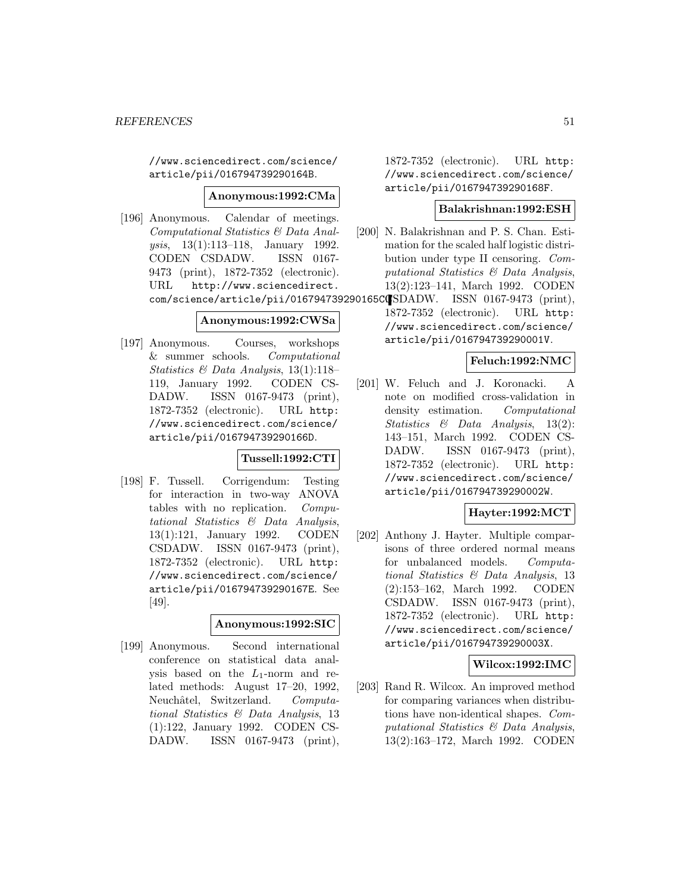//www.sciencedirect.com/science/ article/pii/016794739290164B.

#### **Anonymous:1992:CMa**

[196] Anonymous. Calendar of meetings. Computational Statistics & Data Analysis, 13(1):113–118, January 1992. CODEN CSDADW. ISSN 0167- 9473 (print), 1872-7352 (electronic). URL http://www.sciencedirect.

#### **Anonymous:1992:CWSa**

[197] Anonymous. Courses, workshops & summer schools. Computational Statistics & Data Analysis, 13(1):118– 119, January 1992. CODEN CS-DADW. ISSN 0167-9473 (print), 1872-7352 (electronic). URL http: //www.sciencedirect.com/science/ article/pii/016794739290166D.

### **Tussell:1992:CTI**

[198] F. Tussell. Corrigendum: Testing for interaction in two-way ANOVA tables with no replication. Computational Statistics & Data Analysis, 13(1):121, January 1992. CODEN CSDADW. ISSN 0167-9473 (print), 1872-7352 (electronic). URL http: //www.sciencedirect.com/science/ article/pii/016794739290167E. See [49].

### **Anonymous:1992:SIC**

[199] Anonymous. Second international conference on statistical data analysis based on the  $L_1$ -norm and related methods: August 17–20, 1992, Neuchâtel, Switzerland. Computational Statistics & Data Analysis, 13 (1):122, January 1992. CODEN CS-DADW. ISSN 0167-9473 (print),

1872-7352 (electronic). URL http: //www.sciencedirect.com/science/ article/pii/016794739290168F.

#### **Balakrishnan:1992:ESH**

- [200] N. Balakrishnan and P. S. Chan. Estimation for the scaled half logistic distribution under type II censoring. Computational Statistics & Data Analysis, 13(2):123–141, March 1992. CODEN
- com/science/article/pii/016794739290165CCSDADW. ISSN 0167-9473 (print), 1872-7352 (electronic). URL http: //www.sciencedirect.com/science/ article/pii/016794739290001V.

#### **Feluch:1992:NMC**

[201] W. Feluch and J. Koronacki. A note on modified cross-validation in density estimation. Computational Statistics & Data Analysis, 13(2): 143–151, March 1992. CODEN CS-DADW. ISSN 0167-9473 (print), 1872-7352 (electronic). URL http: //www.sciencedirect.com/science/ article/pii/016794739290002W.

### **Hayter:1992:MCT**

[202] Anthony J. Hayter. Multiple comparisons of three ordered normal means for unbalanced models. Computational Statistics & Data Analysis, 13 (2):153–162, March 1992. CODEN CSDADW. ISSN 0167-9473 (print), 1872-7352 (electronic). URL http: //www.sciencedirect.com/science/ article/pii/016794739290003X.

### **Wilcox:1992:IMC**

[203] Rand R. Wilcox. An improved method for comparing variances when distributions have non-identical shapes. Computational Statistics & Data Analysis, 13(2):163–172, March 1992. CODEN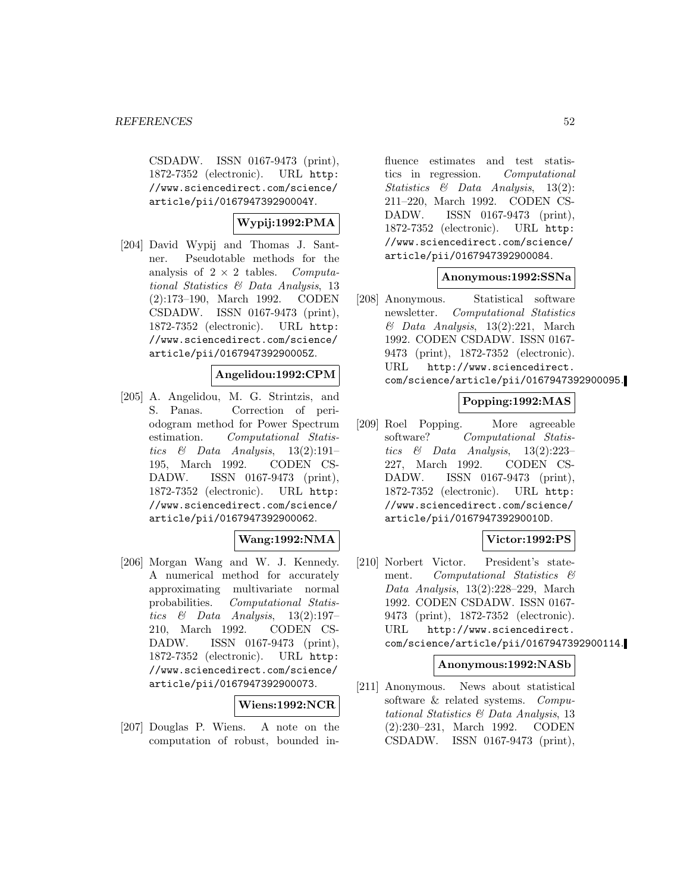CSDADW. ISSN 0167-9473 (print), 1872-7352 (electronic). URL http: //www.sciencedirect.com/science/ article/pii/016794739290004Y.

## **Wypij:1992:PMA**

[204] David Wypij and Thomas J. Santner. Pseudotable methods for the analysis of  $2 \times 2$  tables. Computational Statistics & Data Analysis, 13 (2):173–190, March 1992. CODEN CSDADW. ISSN 0167-9473 (print), 1872-7352 (electronic). URL http: //www.sciencedirect.com/science/ article/pii/016794739290005Z.

## **Angelidou:1992:CPM**

[205] A. Angelidou, M. G. Strintzis, and S. Panas. Correction of periodogram method for Power Spectrum estimation. Computational Statistics & Data Analysis,  $13(2):191-$ 195, March 1992. CODEN CS-DADW. ISSN 0167-9473 (print), 1872-7352 (electronic). URL http: //www.sciencedirect.com/science/ article/pii/0167947392900062.

## **Wang:1992:NMA**

[206] Morgan Wang and W. J. Kennedy. A numerical method for accurately approximating multivariate normal probabilities. Computational Statistics  $\&$  Data Analysis, 13(2):197– 210, March 1992. CODEN CS-DADW. ISSN 0167-9473 (print), 1872-7352 (electronic). URL http: //www.sciencedirect.com/science/ article/pii/0167947392900073.

**Wiens:1992:NCR**

[207] Douglas P. Wiens. A note on the computation of robust, bounded in-

fluence estimates and test statistics in regression. Computational Statistics & Data Analysis, 13(2): 211–220, March 1992. CODEN CS-DADW. ISSN 0167-9473 (print), 1872-7352 (electronic). URL http: //www.sciencedirect.com/science/ article/pii/0167947392900084.

## **Anonymous:1992:SSNa**

[208] Anonymous. Statistical software newsletter. Computational Statistics  $\&$  Data Analysis, 13(2):221, March 1992. CODEN CSDADW. ISSN 0167- 9473 (print), 1872-7352 (electronic). URL http://www.sciencedirect. com/science/article/pii/0167947392900095.

## **Popping:1992:MAS**

[209] Roel Popping. More agreeable software? Computational Statistics & Data Analysis, 13(2):223– 227, March 1992. CODEN CS-DADW. ISSN 0167-9473 (print), 1872-7352 (electronic). URL http: //www.sciencedirect.com/science/ article/pii/016794739290010D.

## **Victor:1992:PS**

[210] Norbert Victor. President's statement. Computational Statistics & Data Analysis, 13(2):228–229, March 1992. CODEN CSDADW. ISSN 0167- 9473 (print), 1872-7352 (electronic). URL http://www.sciencedirect. com/science/article/pii/0167947392900114.

### **Anonymous:1992:NASb**

[211] Anonymous. News about statistical software & related systems. Computational Statistics & Data Analysis, 13 (2):230–231, March 1992. CODEN CSDADW. ISSN 0167-9473 (print),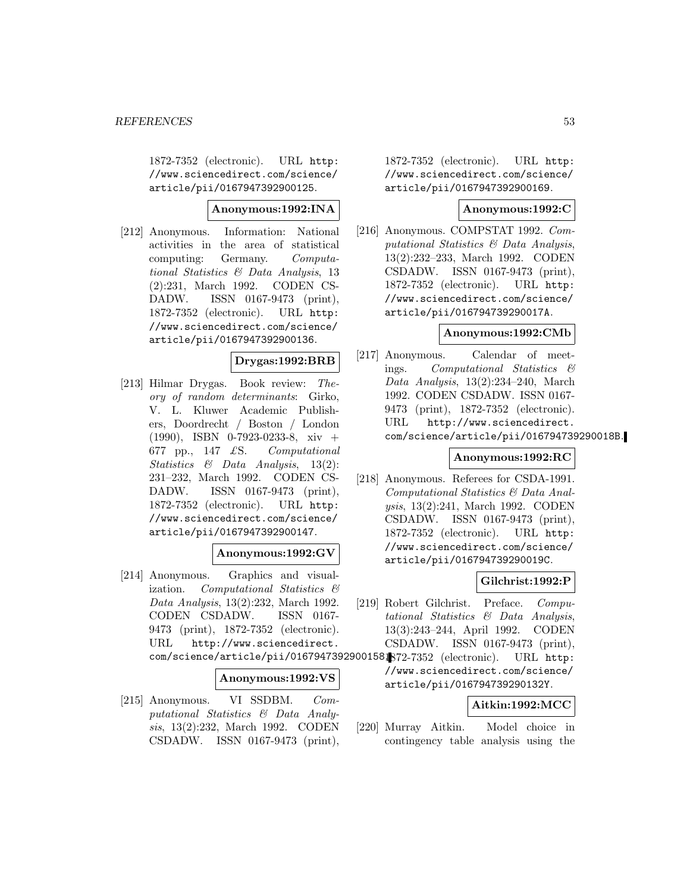1872-7352 (electronic). URL http: //www.sciencedirect.com/science/ article/pii/0167947392900125.

### **Anonymous:1992:INA**

[212] Anonymous. Information: National activities in the area of statistical computing: Germany. Computational Statistics & Data Analysis, 13 (2):231, March 1992. CODEN CS-DADW. ISSN 0167-9473 (print), 1872-7352 (electronic). URL http: //www.sciencedirect.com/science/ article/pii/0167947392900136.

## **Drygas:1992:BRB**

[213] Hilmar Drygas. Book review: Theory of random determinants: Girko, V. L. Kluwer Academic Publishers, Doordrecht / Boston / London (1990), ISBN 0-7923-0233-8, xiv + 677 pp., 147  $\pounds$ S. Computational Statistics & Data Analysis, 13(2): 231–232, March 1992. CODEN CS-DADW. ISSN 0167-9473 (print), 1872-7352 (electronic). URL http: //www.sciencedirect.com/science/ article/pii/0167947392900147.

### **Anonymous:1992:GV**

[214] Anonymous. Graphics and visualization. Computational Statistics & Data Analysis, 13(2):232, March 1992. CODEN CSDADW. ISSN 0167- 9473 (print), 1872-7352 (electronic). URL http://www.sciencedirect. com/science/article/pii/0167947392900158. 1872-7352 (electronic). URL http:

#### **Anonymous:1992:VS**

[215] Anonymous. VI SSDBM. Computational Statistics & Data Analysis, 13(2):232, March 1992. CODEN CSDADW. ISSN 0167-9473 (print),

1872-7352 (electronic). URL http: //www.sciencedirect.com/science/ article/pii/0167947392900169.

#### **Anonymous:1992:C**

[216] Anonymous. COMPSTAT 1992. Computational Statistics & Data Analysis, 13(2):232–233, March 1992. CODEN CSDADW. ISSN 0167-9473 (print), 1872-7352 (electronic). URL http: //www.sciencedirect.com/science/ article/pii/016794739290017A.

#### **Anonymous:1992:CMb**

[217] Anonymous. Calendar of meetings. Computational Statistics & Data Analysis, 13(2):234–240, March 1992. CODEN CSDADW. ISSN 0167- 9473 (print), 1872-7352 (electronic). URL http://www.sciencedirect. com/science/article/pii/016794739290018B.

### **Anonymous:1992:RC**

[218] Anonymous. Referees for CSDA-1991. Computational Statistics & Data Analysis, 13(2):241, March 1992. CODEN CSDADW. ISSN 0167-9473 (print), 1872-7352 (electronic). URL http: //www.sciencedirect.com/science/ article/pii/016794739290019C.

#### **Gilchrist:1992:P**

[219] Robert Gilchrist. Preface. Computational Statistics & Data Analysis, 13(3):243–244, April 1992. CODEN CSDADW. ISSN 0167-9473 (print),

> //www.sciencedirect.com/science/ article/pii/016794739290132Y.

### **Aitkin:1992:MCC**

[220] Murray Aitkin. Model choice in contingency table analysis using the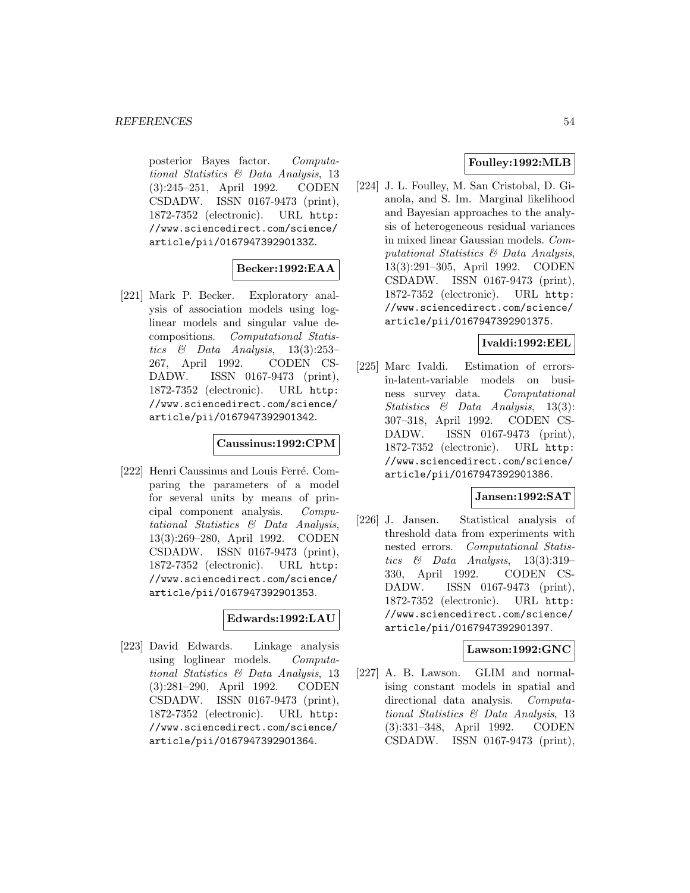posterior Bayes factor. Computational Statistics & Data Analysis, 13 (3):245–251, April 1992. CODEN CSDADW. ISSN 0167-9473 (print), 1872-7352 (electronic). URL http: //www.sciencedirect.com/science/ article/pii/016794739290133Z.

## **Becker:1992:EAA**

[221] Mark P. Becker. Exploratory analysis of association models using loglinear models and singular value decompositions. Computational Statistics  $\&$  Data Analysis, 13(3):253– 267, April 1992. CODEN CS-DADW. ISSN 0167-9473 (print), 1872-7352 (electronic). URL http: //www.sciencedirect.com/science/ article/pii/0167947392901342.

### **Caussinus:1992:CPM**

[222] Henri Caussinus and Louis Ferré. Comparing the parameters of a model for several units by means of principal component analysis. Computational Statistics & Data Analysis, 13(3):269–280, April 1992. CODEN CSDADW. ISSN 0167-9473 (print), 1872-7352 (electronic). URL http: //www.sciencedirect.com/science/ article/pii/0167947392901353.

### **Edwards:1992:LAU**

[223] David Edwards. Linkage analysis using loglinear models. Computational Statistics & Data Analysis, 13 (3):281–290, April 1992. CODEN CSDADW. ISSN 0167-9473 (print), 1872-7352 (electronic). URL http: //www.sciencedirect.com/science/ article/pii/0167947392901364.

## **Foulley:1992:MLB**

[224] J. L. Foulley, M. San Cristobal, D. Gianola, and S. Im. Marginal likelihood and Bayesian approaches to the analysis of heterogeneous residual variances in mixed linear Gaussian models. Computational Statistics & Data Analysis, 13(3):291–305, April 1992. CODEN CSDADW. ISSN 0167-9473 (print), 1872-7352 (electronic). URL http: //www.sciencedirect.com/science/ article/pii/0167947392901375.

### **Ivaldi:1992:EEL**

[225] Marc Ivaldi. Estimation of errorsin-latent-variable models on business survey data. Computational Statistics & Data Analysis, 13(3): 307–318, April 1992. CODEN CS-DADW. ISSN 0167-9473 (print), 1872-7352 (electronic). URL http: //www.sciencedirect.com/science/ article/pii/0167947392901386.

### **Jansen:1992:SAT**

[226] J. Jansen. Statistical analysis of threshold data from experiments with nested errors. Computational Statistics  $\&$  Data Analysis, 13(3):319– 330, April 1992. CODEN CS-DADW. ISSN 0167-9473 (print), 1872-7352 (electronic). URL http: //www.sciencedirect.com/science/ article/pii/0167947392901397.

### **Lawson:1992:GNC**

[227] A. B. Lawson. GLIM and normalising constant models in spatial and directional data analysis. Computational Statistics & Data Analysis, 13 (3):331–348, April 1992. CODEN CSDADW. ISSN 0167-9473 (print),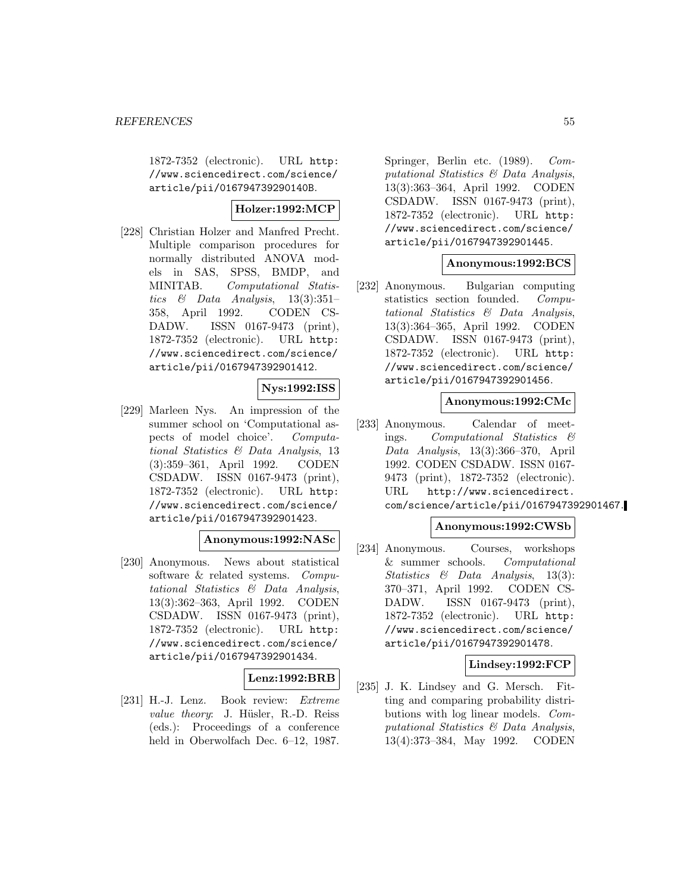1872-7352 (electronic). URL http: //www.sciencedirect.com/science/ article/pii/016794739290140B.

## **Holzer:1992:MCP**

[228] Christian Holzer and Manfred Precht. Multiple comparison procedures for normally distributed ANOVA models in SAS, SPSS, BMDP, and MINITAB. Computational Statistics  $\&$  Data Analysis, 13(3):351– 358, April 1992. CODEN CS-DADW. ISSN 0167-9473 (print), 1872-7352 (electronic). URL http: //www.sciencedirect.com/science/ article/pii/0167947392901412.

## **Nys:1992:ISS**

[229] Marleen Nys. An impression of the summer school on 'Computational aspects of model choice'. Computational Statistics & Data Analysis, 13 (3):359–361, April 1992. CODEN CSDADW. ISSN 0167-9473 (print), 1872-7352 (electronic). URL http: //www.sciencedirect.com/science/ article/pii/0167947392901423.

## **Anonymous:1992:NASc**

[230] Anonymous. News about statistical software & related systems. Computational Statistics & Data Analysis, 13(3):362–363, April 1992. CODEN CSDADW. ISSN 0167-9473 (print), 1872-7352 (electronic). URL http: //www.sciencedirect.com/science/ article/pii/0167947392901434.

### **Lenz:1992:BRB**

[231] H.-J. Lenz. Book review: Extreme value theory: J. Hüsler, R.-D. Reiss (eds.): Proceedings of a conference held in Oberwolfach Dec. 6–12, 1987.

Springer, Berlin etc. (1989). Computational Statistics & Data Analysis, 13(3):363–364, April 1992. CODEN CSDADW. ISSN 0167-9473 (print), 1872-7352 (electronic). URL http: //www.sciencedirect.com/science/ article/pii/0167947392901445.

### **Anonymous:1992:BCS**

[232] Anonymous. Bulgarian computing statistics section founded. Computational Statistics & Data Analysis, 13(3):364–365, April 1992. CODEN CSDADW. ISSN 0167-9473 (print), 1872-7352 (electronic). URL http: //www.sciencedirect.com/science/ article/pii/0167947392901456.

#### **Anonymous:1992:CMc**

[233] Anonymous. Calendar of meetings. Computational Statistics & Data Analysis, 13(3):366–370, April 1992. CODEN CSDADW. ISSN 0167- 9473 (print), 1872-7352 (electronic). URL http://www.sciencedirect. com/science/article/pii/0167947392901467.

### **Anonymous:1992:CWSb**

[234] Anonymous. Courses, workshops & summer schools. Computational Statistics & Data Analysis, 13(3): 370–371, April 1992. CODEN CS-DADW. ISSN 0167-9473 (print), 1872-7352 (electronic). URL http: //www.sciencedirect.com/science/ article/pii/0167947392901478.

### **Lindsey:1992:FCP**

[235] J. K. Lindsey and G. Mersch. Fitting and comparing probability distributions with log linear models. Computational Statistics & Data Analysis, 13(4):373–384, May 1992. CODEN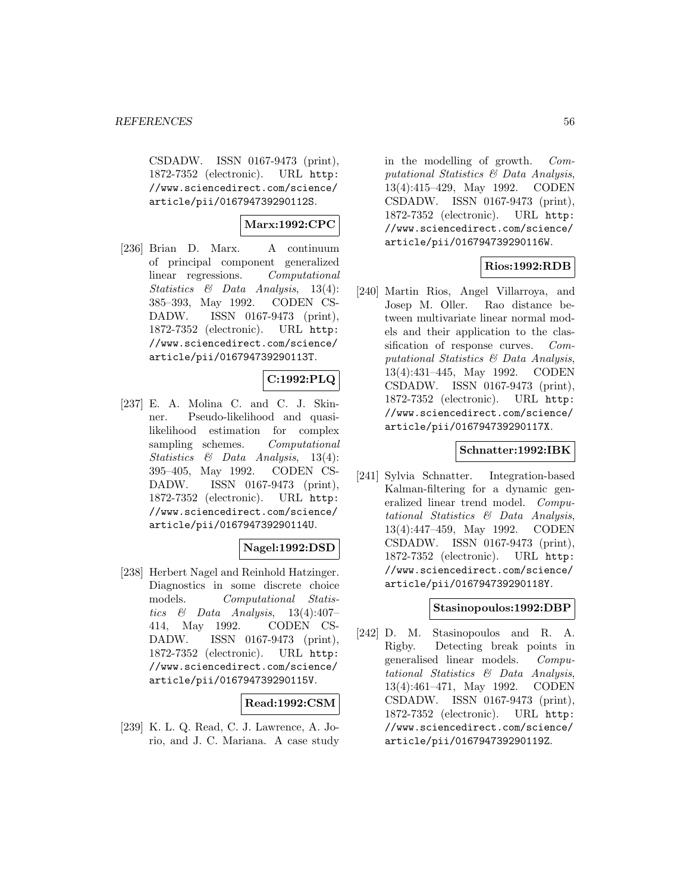CSDADW. ISSN 0167-9473 (print), 1872-7352 (electronic). URL http: //www.sciencedirect.com/science/ article/pii/016794739290112S.

## **Marx:1992:CPC**

[236] Brian D. Marx. A continuum of principal component generalized linear regressions. Computational Statistics & Data Analysis, 13(4): 385–393, May 1992. CODEN CS-DADW. ISSN 0167-9473 (print), 1872-7352 (electronic). URL http: //www.sciencedirect.com/science/ article/pii/016794739290113T.

## **C:1992:PLQ**

[237] E. A. Molina C. and C. J. Skinner. Pseudo-likelihood and quasilikelihood estimation for complex sampling schemes. Computational Statistics & Data Analysis, 13(4): 395–405, May 1992. CODEN CS-DADW. ISSN 0167-9473 (print), 1872-7352 (electronic). URL http: //www.sciencedirect.com/science/ article/pii/016794739290114U.

## **Nagel:1992:DSD**

[238] Herbert Nagel and Reinhold Hatzinger. Diagnostics in some discrete choice models. Computational Statistics & Data Analysis,  $13(4):407-$ 414, May 1992. CODEN CS-DADW. ISSN 0167-9473 (print), 1872-7352 (electronic). URL http: //www.sciencedirect.com/science/ article/pii/016794739290115V.

## **Read:1992:CSM**

[239] K. L. Q. Read, C. J. Lawrence, A. Jorio, and J. C. Mariana. A case study

in the modelling of growth. Computational Statistics & Data Analysis, 13(4):415–429, May 1992. CODEN CSDADW. ISSN 0167-9473 (print), 1872-7352 (electronic). URL http: //www.sciencedirect.com/science/ article/pii/016794739290116W.

## **Rios:1992:RDB**

[240] Martin Rios, Angel Villarroya, and Josep M. Oller. Rao distance between multivariate linear normal models and their application to the classification of response curves. Computational Statistics & Data Analysis, 13(4):431–445, May 1992. CODEN CSDADW. ISSN 0167-9473 (print), 1872-7352 (electronic). URL http: //www.sciencedirect.com/science/ article/pii/016794739290117X.

### **Schnatter:1992:IBK**

[241] Sylvia Schnatter. Integration-based Kalman-filtering for a dynamic generalized linear trend model. Computational Statistics & Data Analysis, 13(4):447–459, May 1992. CODEN CSDADW. ISSN 0167-9473 (print), 1872-7352 (electronic). URL http: //www.sciencedirect.com/science/ article/pii/016794739290118Y.

## **Stasinopoulos:1992:DBP**

[242] D. M. Stasinopoulos and R. A. Rigby. Detecting break points in generalised linear models. Computational Statistics & Data Analysis, 13(4):461–471, May 1992. CODEN CSDADW. ISSN 0167-9473 (print), 1872-7352 (electronic). URL http: //www.sciencedirect.com/science/ article/pii/016794739290119Z.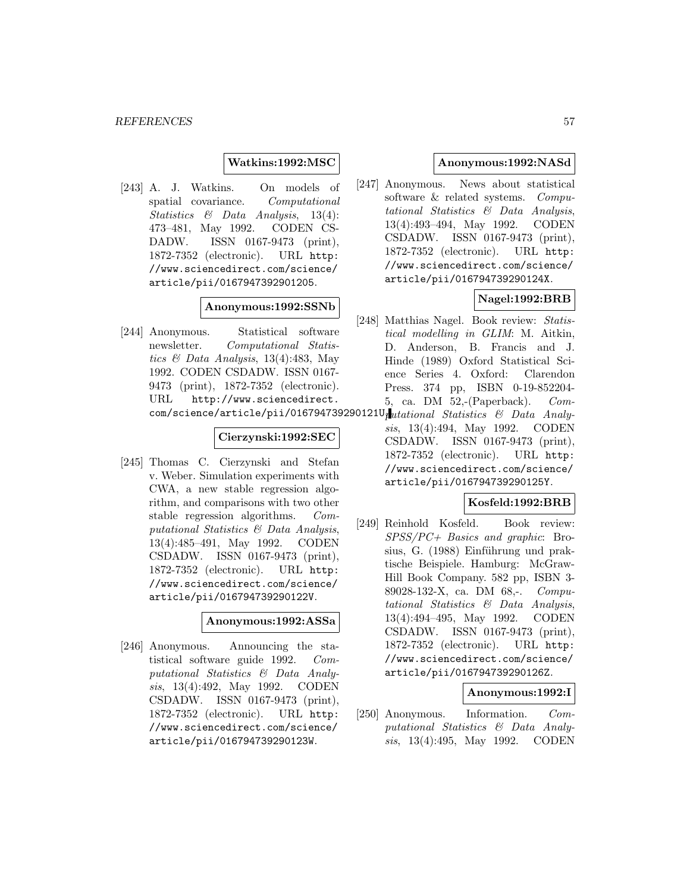#### **Watkins:1992:MSC**

[243] A. J. Watkins. On models of spatial covariance. Computational Statistics & Data Analysis, 13(4): 473–481, May 1992. CODEN CS-DADW. ISSN 0167-9473 (print), 1872-7352 (electronic). URL http: //www.sciencedirect.com/science/ article/pii/0167947392901205.

#### **Anonymous:1992:SSNb**

[244] Anonymous. Statistical software newsletter. Computational Statistics  $\mathcal C$  Data Analysis, 13(4):483, May 1992. CODEN CSDADW. ISSN 0167- 9473 (print), 1872-7352 (electronic). URL http://www.sciencedirect. com/science/article/pii/016794739290121U<sub>1</sub>utational Statistics & Data Analy-

#### **Cierzynski:1992:SEC**

[245] Thomas C. Cierzynski and Stefan v. Weber. Simulation experiments with CWA, a new stable regression algorithm, and comparisons with two other stable regression algorithms. Computational Statistics & Data Analysis, 13(4):485–491, May 1992. CODEN CSDADW. ISSN 0167-9473 (print), 1872-7352 (electronic). URL http: //www.sciencedirect.com/science/ article/pii/016794739290122V.

#### **Anonymous:1992:ASSa**

[246] Anonymous. Announcing the statistical software guide 1992. Computational Statistics & Data Analysis, 13(4):492, May 1992. CODEN CSDADW. ISSN 0167-9473 (print), 1872-7352 (electronic). URL http: //www.sciencedirect.com/science/ article/pii/016794739290123W.

### **Anonymous:1992:NASd**

[247] Anonymous. News about statistical software & related systems. Computational Statistics & Data Analysis, 13(4):493–494, May 1992. CODEN CSDADW. ISSN 0167-9473 (print), 1872-7352 (electronic). URL http: //www.sciencedirect.com/science/ article/pii/016794739290124X.

## **Nagel:1992:BRB**

- [248] Matthias Nagel. Book review: Statistical modelling in GLIM: M. Aitkin, D. Anderson, B. Francis and J. Hinde (1989) Oxford Statistical Science Series 4. Oxford: Clarendon Press. 374 pp, ISBN 0-19-852204- 5, ca. DM 52,-(Paperback). Com-
- sis, 13(4):494, May 1992. CODEN CSDADW. ISSN 0167-9473 (print), 1872-7352 (electronic). URL http: //www.sciencedirect.com/science/ article/pii/016794739290125Y.

## **Kosfeld:1992:BRB**

[249] Reinhold Kosfeld. Book review: SPSS/PC+ Basics and graphic: Brosius, G. (1988) Einführung und praktische Beispiele. Hamburg: McGraw-Hill Book Company. 582 pp, ISBN 3- 89028-132-X, ca. DM 68,-. Computational Statistics & Data Analysis, 13(4):494–495, May 1992. CODEN CSDADW. ISSN 0167-9473 (print), 1872-7352 (electronic). URL http: //www.sciencedirect.com/science/ article/pii/016794739290126Z.

### **Anonymous:1992:I**

[250] Anonymous. Information. Computational Statistics & Data Analysis, 13(4):495, May 1992. CODEN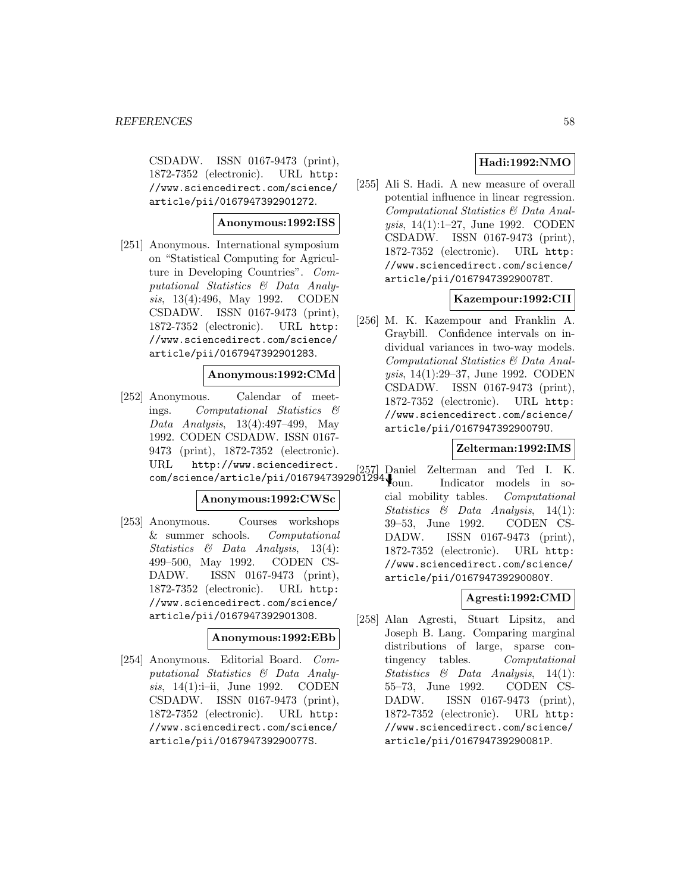CSDADW. ISSN 0167-9473 (print), 1872-7352 (electronic). URL http: //www.sciencedirect.com/science/ article/pii/0167947392901272.

## **Anonymous:1992:ISS**

[251] Anonymous. International symposium on "Statistical Computing for Agriculture in Developing Countries". Computational Statistics & Data Analysis, 13(4):496, May 1992. CODEN CSDADW. ISSN 0167-9473 (print), 1872-7352 (electronic). URL http: //www.sciencedirect.com/science/ article/pii/0167947392901283.

## **Anonymous:1992:CMd**

[252] Anonymous. Calendar of meetings. Computational Statistics & Data Analysis, 13(4):497–499, May 1992. CODEN CSDADW. ISSN 0167- 9473 (print), 1872-7352 (electronic). URL http://www.sciencedirect. com/science/article/pii/0167947392901294.

### **Anonymous:1992:CWSc**

[253] Anonymous. Courses workshops & summer schools. Computational Statistics & Data Analysis, 13(4): 499–500, May 1992. CODEN CS-DADW. ISSN 0167-9473 (print), 1872-7352 (electronic). URL http: //www.sciencedirect.com/science/ article/pii/0167947392901308.

### **Anonymous:1992:EBb**

[254] Anonymous. Editorial Board. Computational Statistics & Data Analysis, 14(1):i–ii, June 1992. CODEN CSDADW. ISSN 0167-9473 (print), 1872-7352 (electronic). URL http: //www.sciencedirect.com/science/ article/pii/016794739290077S.

## **Hadi:1992:NMO**

[255] Ali S. Hadi. A new measure of overall potential influence in linear regression. Computational Statistics & Data Analysis, 14(1):1–27, June 1992. CODEN CSDADW. ISSN 0167-9473 (print), 1872-7352 (electronic). URL http: //www.sciencedirect.com/science/ article/pii/016794739290078T.

## **Kazempour:1992:CII**

[256] M. K. Kazempour and Franklin A. Graybill. Confidence intervals on individual variances in two-way models. Computational Statistics & Data Analysis, 14(1):29–37, June 1992. CODEN CSDADW. ISSN 0167-9473 (print), 1872-7352 (electronic). URL http: //www.sciencedirect.com/science/ article/pii/016794739290079U.

## **Zelterman:1992:IMS**

[257] Daniel Zelterman and Ted I. K. Indicator models in social mobility tables. Computational Statistics & Data Analysis, 14(1): 39–53, June 1992. CODEN CS-DADW. ISSN 0167-9473 (print), 1872-7352 (electronic). URL http: //www.sciencedirect.com/science/ article/pii/016794739290080Y.

## **Agresti:1992:CMD**

[258] Alan Agresti, Stuart Lipsitz, and Joseph B. Lang. Comparing marginal distributions of large, sparse contingency tables. Computational Statistics & Data Analysis, 14(1): 55–73, June 1992. CODEN CS-DADW. ISSN 0167-9473 (print), 1872-7352 (electronic). URL http: //www.sciencedirect.com/science/ article/pii/016794739290081P.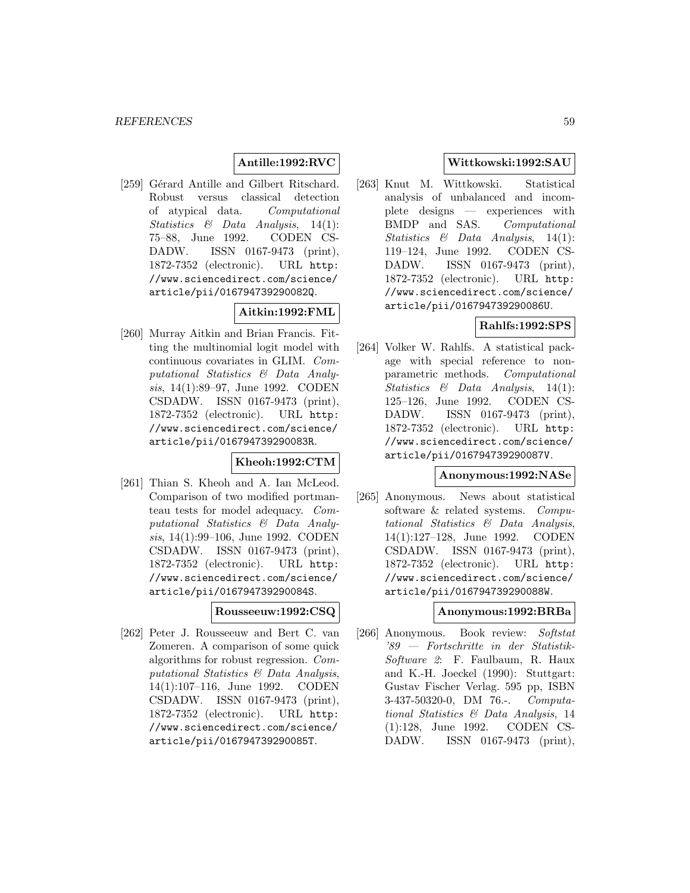## **Antille:1992:RVC**

[259] Gérard Antille and Gilbert Ritschard. Robust versus classical detection of atypical data. Computational Statistics & Data Analysis, 14(1): 75–88, June 1992. CODEN CS-DADW. ISSN 0167-9473 (print), 1872-7352 (electronic). URL http: //www.sciencedirect.com/science/ article/pii/016794739290082Q.

**Aitkin:1992:FML**

[260] Murray Aitkin and Brian Francis. Fitting the multinomial logit model with continuous covariates in GLIM. Computational Statistics & Data Analysis, 14(1):89–97, June 1992. CODEN CSDADW. ISSN 0167-9473 (print), 1872-7352 (electronic). URL http: //www.sciencedirect.com/science/ article/pii/016794739290083R.

### **Kheoh:1992:CTM**

[261] Thian S. Kheoh and A. Ian McLeod. Comparison of two modified portmanteau tests for model adequacy. Computational Statistics & Data Analysis, 14(1):99–106, June 1992. CODEN CSDADW. ISSN 0167-9473 (print), 1872-7352 (electronic). URL http: //www.sciencedirect.com/science/ article/pii/016794739290084S.

### **Rousseeuw:1992:CSQ**

[262] Peter J. Rousseeuw and Bert C. van Zomeren. A comparison of some quick algorithms for robust regression. Computational Statistics & Data Analysis, 14(1):107–116, June 1992. CODEN CSDADW. ISSN 0167-9473 (print), 1872-7352 (electronic). URL http: //www.sciencedirect.com/science/ article/pii/016794739290085T.

### **Wittkowski:1992:SAU**

[263] Knut M. Wittkowski. Statistical analysis of unbalanced and incomplete designs — experiences with BMDP and SAS. Computational Statistics & Data Analysis, 14(1): 119–124, June 1992. CODEN CS-DADW. ISSN 0167-9473 (print), 1872-7352 (electronic). URL http: //www.sciencedirect.com/science/ article/pii/016794739290086U.

### **Rahlfs:1992:SPS**

[264] Volker W. Rahlfs. A statistical package with special reference to nonparametric methods. Computational Statistics & Data Analysis, 14(1): 125–126, June 1992. CODEN CS-DADW. ISSN 0167-9473 (print), 1872-7352 (electronic). URL http: //www.sciencedirect.com/science/ article/pii/016794739290087V.

### **Anonymous:1992:NASe**

[265] Anonymous. News about statistical software & related systems. Computational Statistics & Data Analysis, 14(1):127–128, June 1992. CODEN CSDADW. ISSN 0167-9473 (print), 1872-7352 (electronic). URL http: //www.sciencedirect.com/science/ article/pii/016794739290088W.

#### **Anonymous:1992:BRBa**

[266] Anonymous. Book review: Softstat '89 — Fortschritte in der Statistik-Software 2: F. Faulbaum, R. Haux and K.-H. Joeckel (1990): Stuttgart: Gustav Fischer Verlag. 595 pp, ISBN 3-437-50320-0, DM 76.-. Computational Statistics & Data Analysis, 14 (1):128, June 1992. CODEN CS-DADW. ISSN 0167-9473 (print),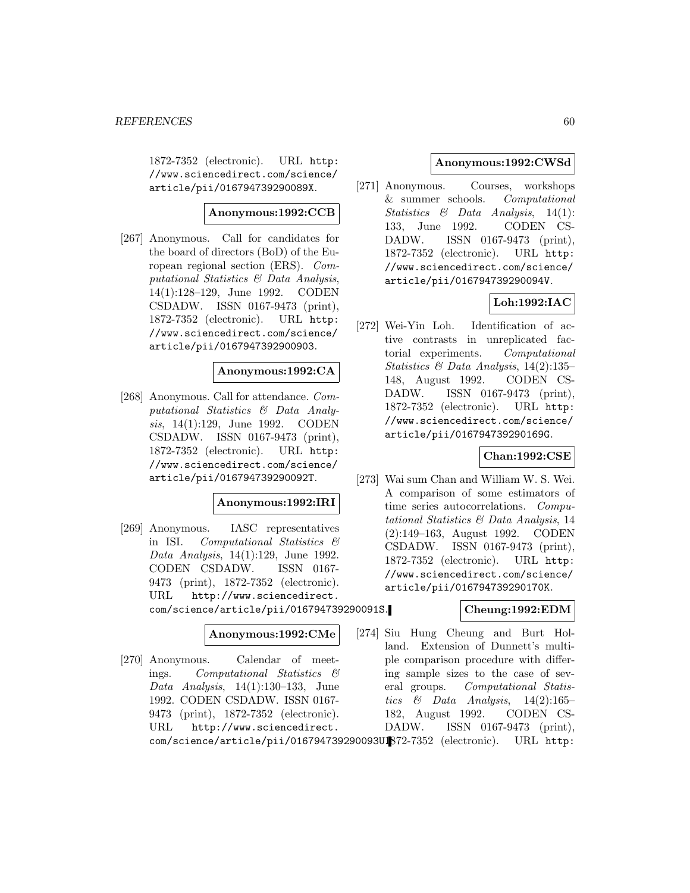1872-7352 (electronic). URL http: //www.sciencedirect.com/science/ article/pii/016794739290089X.

#### **Anonymous:1992:CCB**

[267] Anonymous. Call for candidates for the board of directors (BoD) of the European regional section (ERS). Computational Statistics & Data Analysis, 14(1):128–129, June 1992. CODEN CSDADW. ISSN 0167-9473 (print), 1872-7352 (electronic). URL http: //www.sciencedirect.com/science/ article/pii/0167947392900903.

#### **Anonymous:1992:CA**

[268] Anonymous. Call for attendance. Computational Statistics & Data Analysis, 14(1):129, June 1992. CODEN CSDADW. ISSN 0167-9473 (print), 1872-7352 (electronic). URL http: //www.sciencedirect.com/science/ article/pii/016794739290092T.

## **Anonymous:1992:IRI**

[269] Anonymous. IASC representatives in ISI. Computational Statistics & Data Analysis, 14(1):129, June 1992. CODEN CSDADW. ISSN 0167- 9473 (print), 1872-7352 (electronic). URL http://www.sciencedirect. com/science/article/pii/016794739290091S.

#### **Anonymous:1992:CMe**

[270] Anonymous. Calendar of meetings. Computational Statistics & Data Analysis,  $14(1):130-133$ , June 1992. CODEN CSDADW. ISSN 0167- 9473 (print), 1872-7352 (electronic). URL http://www.sciencedirect.

### **Anonymous:1992:CWSd**

[271] Anonymous. Courses, workshops & summer schools. Computational Statistics & Data Analysis, 14(1): 133, June 1992. CODEN CS-DADW. ISSN 0167-9473 (print), 1872-7352 (electronic). URL http: //www.sciencedirect.com/science/ article/pii/016794739290094V.

## **Loh:1992:IAC**

[272] Wei-Yin Loh. Identification of active contrasts in unreplicated factorial experiments. Computational Statistics & Data Analysis, 14(2):135– 148, August 1992. CODEN CS-DADW. ISSN 0167-9473 (print), 1872-7352 (electronic). URL http: //www.sciencedirect.com/science/ article/pii/016794739290169G.

### **Chan:1992:CSE**

[273] Wai sum Chan and William W. S. Wei. A comparison of some estimators of time series autocorrelations. Computational Statistics & Data Analysis, 14 (2):149–163, August 1992. CODEN CSDADW. ISSN 0167-9473 (print), 1872-7352 (electronic). URL http: //www.sciencedirect.com/science/ article/pii/016794739290170K.

### **Cheung:1992:EDM**

[274] Siu Hung Cheung and Burt Holland. Extension of Dunnett's multiple comparison procedure with differing sample sizes to the case of several groups. Computational Statistics & Data Analysis,  $14(2):165-$ 182, August 1992. CODEN CS-DADW. ISSN 0167-9473 (print),

com/science/article/pii/016794739290093UB72-7352 (electronic). URL http: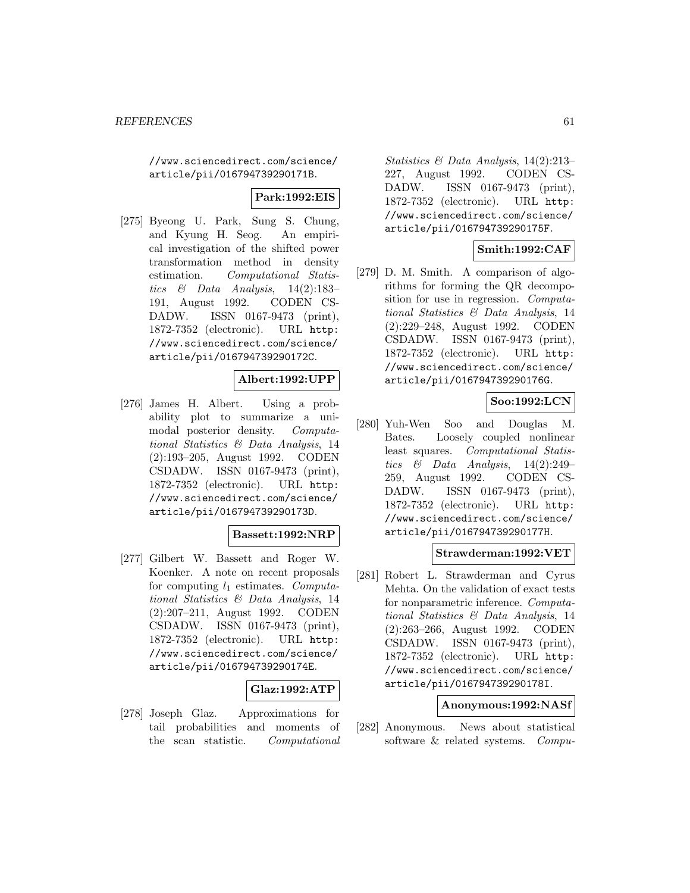//www.sciencedirect.com/science/ article/pii/016794739290171B.

## **Park:1992:EIS**

[275] Byeong U. Park, Sung S. Chung, and Kyung H. Seog. An empirical investigation of the shifted power transformation method in density estimation. Computational Statistics & Data Analysis,  $14(2):183-$ 191, August 1992. CODEN CS-DADW. ISSN 0167-9473 (print), 1872-7352 (electronic). URL http: //www.sciencedirect.com/science/ article/pii/016794739290172C.

### **Albert:1992:UPP**

[276] James H. Albert. Using a probability plot to summarize a unimodal posterior density. Computational Statistics & Data Analysis, 14 (2):193–205, August 1992. CODEN CSDADW. ISSN 0167-9473 (print), 1872-7352 (electronic). URL http: //www.sciencedirect.com/science/ article/pii/016794739290173D.

#### **Bassett:1992:NRP**

[277] Gilbert W. Bassett and Roger W. Koenker. A note on recent proposals for computing  $l_1$  estimates. Computational Statistics & Data Analysis, 14 (2):207–211, August 1992. CODEN CSDADW. ISSN 0167-9473 (print), 1872-7352 (electronic). URL http: //www.sciencedirect.com/science/ article/pii/016794739290174E.

### **Glaz:1992:ATP**

[278] Joseph Glaz. Approximations for tail probabilities and moments of the scan statistic. Computational

Statistics & Data Analysis, 14(2):213– 227, August 1992. CODEN CS-DADW. ISSN 0167-9473 (print), 1872-7352 (electronic). URL http: //www.sciencedirect.com/science/ article/pii/016794739290175F.

### **Smith:1992:CAF**

[279] D. M. Smith. A comparison of algorithms for forming the QR decomposition for use in regression. Computational Statistics & Data Analysis, 14 (2):229–248, August 1992. CODEN CSDADW. ISSN 0167-9473 (print), 1872-7352 (electronic). URL http: //www.sciencedirect.com/science/ article/pii/016794739290176G.

### **Soo:1992:LCN**

[280] Yuh-Wen Soo and Douglas M. Bates. Loosely coupled nonlinear least squares. Computational Statistics  $\&$  Data Analysis, 14(2):249– 259, August 1992. CODEN CS-DADW. ISSN 0167-9473 (print), 1872-7352 (electronic). URL http: //www.sciencedirect.com/science/ article/pii/016794739290177H.

### **Strawderman:1992:VET**

[281] Robert L. Strawderman and Cyrus Mehta. On the validation of exact tests for nonparametric inference. Computational Statistics & Data Analysis, 14 (2):263–266, August 1992. CODEN CSDADW. ISSN 0167-9473 (print), 1872-7352 (electronic). URL http: //www.sciencedirect.com/science/ article/pii/016794739290178I.

#### **Anonymous:1992:NASf**

[282] Anonymous. News about statistical software & related systems. Compu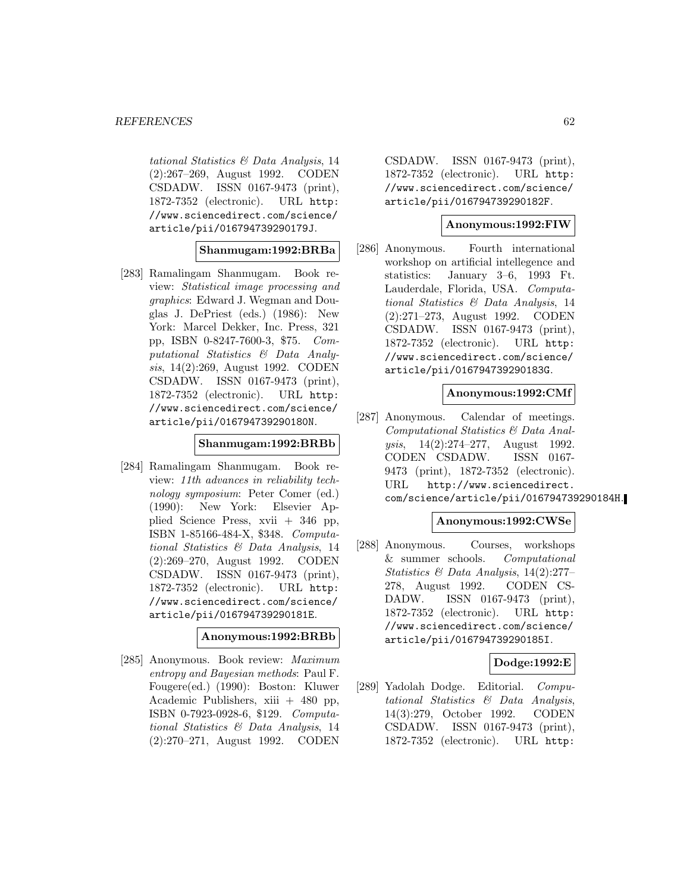tational Statistics & Data Analysis, 14 (2):267–269, August 1992. CODEN CSDADW. ISSN 0167-9473 (print), 1872-7352 (electronic). URL http: //www.sciencedirect.com/science/ article/pii/016794739290179J.

#### **Shanmugam:1992:BRBa**

[283] Ramalingam Shanmugam. Book review: Statistical image processing and graphics: Edward J. Wegman and Douglas J. DePriest (eds.) (1986): New York: Marcel Dekker, Inc. Press, 321 pp, ISBN 0-8247-7600-3, \$75. Computational Statistics & Data Analysis, 14(2):269, August 1992. CODEN CSDADW. ISSN 0167-9473 (print), 1872-7352 (electronic). URL http: //www.sciencedirect.com/science/ article/pii/016794739290180N.

## **Shanmugam:1992:BRBb**

[284] Ramalingam Shanmugam. Book review: 11th advances in reliability technology symposium: Peter Comer (ed.) (1990): New York: Elsevier Applied Science Press, xvii + 346 pp, ISBN 1-85166-484-X, \$348. Computational Statistics & Data Analysis, 14 (2):269–270, August 1992. CODEN CSDADW. ISSN 0167-9473 (print), 1872-7352 (electronic). URL http: //www.sciencedirect.com/science/ article/pii/016794739290181E.

#### **Anonymous:1992:BRBb**

[285] Anonymous. Book review: Maximum entropy and Bayesian methods: Paul F. Fougere(ed.) (1990): Boston: Kluwer Academic Publishers,  $xiii + 480$  pp, ISBN 0-7923-0928-6, \$129. Computational Statistics & Data Analysis, 14 (2):270–271, August 1992. CODEN

CSDADW. ISSN 0167-9473 (print), 1872-7352 (electronic). URL http: //www.sciencedirect.com/science/ article/pii/016794739290182F.

#### **Anonymous:1992:FIW**

[286] Anonymous. Fourth international workshop on artificial intellegence and statistics: January 3–6, 1993 Ft. Lauderdale, Florida, USA. Computational Statistics & Data Analysis, 14 (2):271–273, August 1992. CODEN CSDADW. ISSN 0167-9473 (print), 1872-7352 (electronic). URL http: //www.sciencedirect.com/science/ article/pii/016794739290183G.

### **Anonymous:1992:CMf**

[287] Anonymous. Calendar of meetings. Computational Statistics & Data Analysis, 14(2):274–277, August 1992. CODEN CSDADW. ISSN 0167- 9473 (print), 1872-7352 (electronic). URL http://www.sciencedirect. com/science/article/pii/016794739290184H.

### **Anonymous:1992:CWSe**

[288] Anonymous. Courses, workshops & summer schools. Computational Statistics & Data Analysis, 14(2):277– 278, August 1992. CODEN CS-DADW. ISSN 0167-9473 (print), 1872-7352 (electronic). URL http: //www.sciencedirect.com/science/ article/pii/016794739290185I.

#### **Dodge:1992:E**

[289] Yadolah Dodge. Editorial. Computational Statistics & Data Analysis, 14(3):279, October 1992. CODEN CSDADW. ISSN 0167-9473 (print), 1872-7352 (electronic). URL http: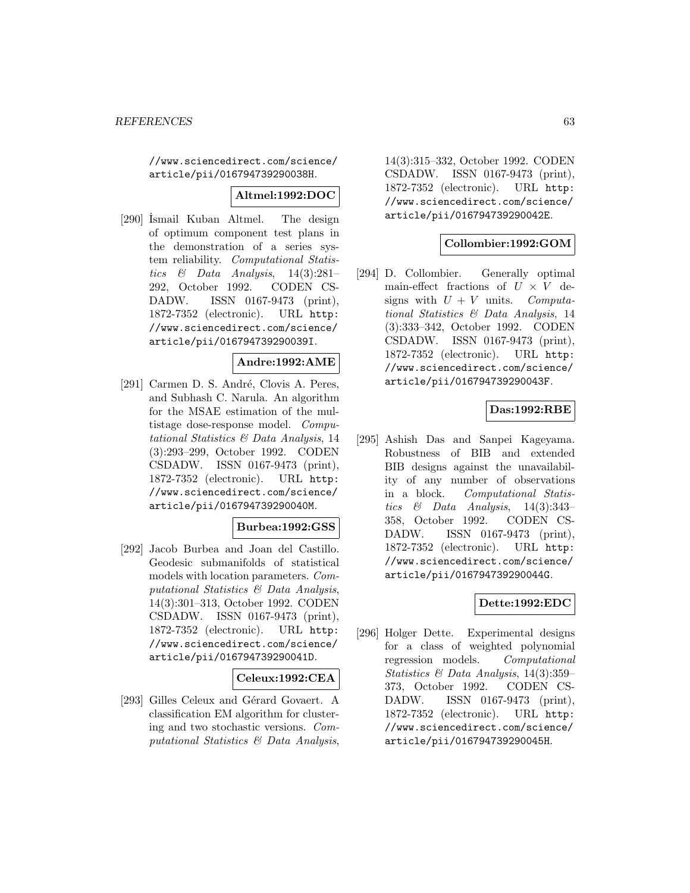//www.sciencedirect.com/science/ article/pii/016794739290038H.

### **Altmel:1992:DOC**

[290] İsmail Kuban Altmel. The design of optimum component test plans in the demonstration of a series system reliability. Computational Statistics & Data Analysis,  $14(3):281-$ 292, October 1992. CODEN CS-DADW. ISSN 0167-9473 (print), 1872-7352 (electronic). URL http: //www.sciencedirect.com/science/ article/pii/016794739290039I.

### **Andre:1992:AME**

[291] Carmen D. S. André, Clovis A. Peres, and Subhash C. Narula. An algorithm for the MSAE estimation of the multistage dose-response model. Computational Statistics & Data Analysis, 14 (3):293–299, October 1992. CODEN CSDADW. ISSN 0167-9473 (print), 1872-7352 (electronic). URL http: //www.sciencedirect.com/science/ article/pii/016794739290040M.

### **Burbea:1992:GSS**

[292] Jacob Burbea and Joan del Castillo. Geodesic submanifolds of statistical models with location parameters. Computational Statistics & Data Analysis, 14(3):301–313, October 1992. CODEN CSDADW. ISSN 0167-9473 (print), 1872-7352 (electronic). URL http: //www.sciencedirect.com/science/ article/pii/016794739290041D.

### **Celeux:1992:CEA**

[293] Gilles Celeux and Gérard Govaert. A classification EM algorithm for clustering and two stochastic versions. Computational Statistics & Data Analysis,

14(3):315–332, October 1992. CODEN CSDADW. ISSN 0167-9473 (print), 1872-7352 (electronic). URL http: //www.sciencedirect.com/science/ article/pii/016794739290042E.

#### **Collombier:1992:GOM**

[294] D. Collombier. Generally optimal main-effect fractions of  $U \times V$  designs with  $U + V$  units. Computasigns with  $U + V$  units. tional Statistics & Data Analysis, 14 (3):333–342, October 1992. CODEN CSDADW. ISSN 0167-9473 (print), 1872-7352 (electronic). URL http: //www.sciencedirect.com/science/ article/pii/016794739290043F.

## **Das:1992:RBE**

[295] Ashish Das and Sanpei Kageyama. Robustness of BIB and extended BIB designs against the unavailability of any number of observations in a block. Computational Statistics & Data Analysis,  $14(3):343-$ 358, October 1992. CODEN CS-DADW. ISSN 0167-9473 (print), 1872-7352 (electronic). URL http: //www.sciencedirect.com/science/ article/pii/016794739290044G.

### **Dette:1992:EDC**

[296] Holger Dette. Experimental designs for a class of weighted polynomial regression models. Computational Statistics & Data Analysis, 14(3):359– 373, October 1992. CODEN CS-DADW. ISSN 0167-9473 (print), 1872-7352 (electronic). URL http: //www.sciencedirect.com/science/ article/pii/016794739290045H.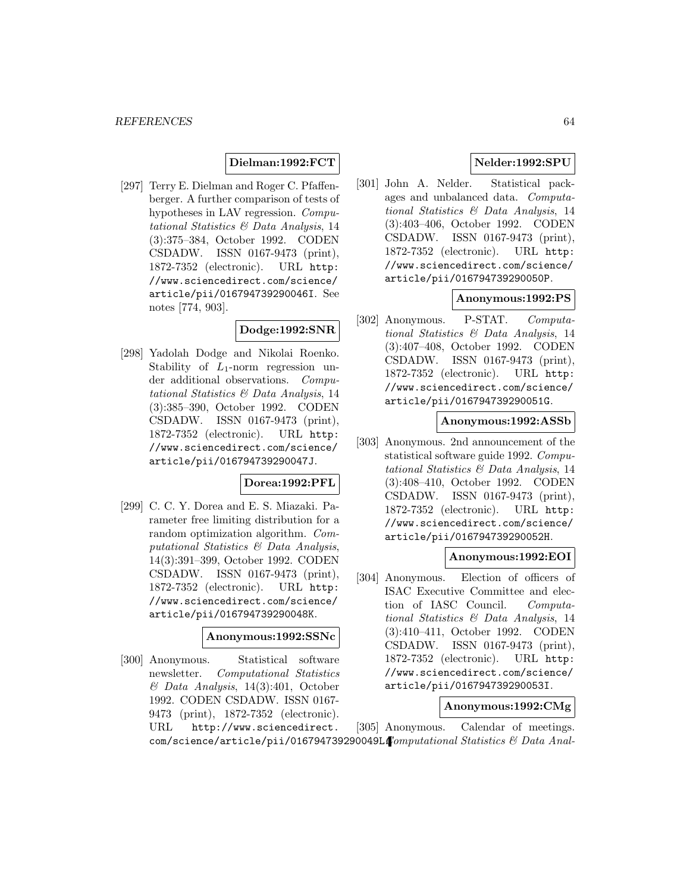### **Dielman:1992:FCT**

[297] Terry E. Dielman and Roger C. Pfaffenberger. A further comparison of tests of hypotheses in LAV regression. Computational Statistics & Data Analysis, 14 (3):375–384, October 1992. CODEN CSDADW. ISSN 0167-9473 (print), 1872-7352 (electronic). URL http: //www.sciencedirect.com/science/ article/pii/016794739290046I. See notes [774, 903].

## **Dodge:1992:SNR**

[298] Yadolah Dodge and Nikolai Roenko. Stability of  $L_1$ -norm regression under additional observations. Computational Statistics & Data Analysis, 14 (3):385–390, October 1992. CODEN CSDADW. ISSN 0167-9473 (print), 1872-7352 (electronic). URL http: //www.sciencedirect.com/science/ article/pii/016794739290047J.

### **Dorea:1992:PFL**

[299] C. C. Y. Dorea and E. S. Miazaki. Parameter free limiting distribution for a random optimization algorithm. Computational Statistics & Data Analysis, 14(3):391–399, October 1992. CODEN CSDADW. ISSN 0167-9473 (print), 1872-7352 (electronic). URL http: //www.sciencedirect.com/science/ article/pii/016794739290048K.

#### **Anonymous:1992:SSNc**

[300] Anonymous. Statistical software newsletter. Computational Statistics & Data Analysis, 14(3):401, October 1992. CODEN CSDADW. ISSN 0167- 9473 (print), 1872-7352 (electronic). URL http://www.sciencedirect.

## **Nelder:1992:SPU**

[301] John A. Nelder. Statistical packages and unbalanced data. Computational Statistics & Data Analysis, 14 (3):403–406, October 1992. CODEN CSDADW. ISSN 0167-9473 (print), 1872-7352 (electronic). URL http: //www.sciencedirect.com/science/ article/pii/016794739290050P.

### **Anonymous:1992:PS**

[302] Anonymous. P-STAT. Computational Statistics & Data Analysis, 14 (3):407–408, October 1992. CODEN CSDADW. ISSN 0167-9473 (print), 1872-7352 (electronic). URL http: //www.sciencedirect.com/science/ article/pii/016794739290051G.

#### **Anonymous:1992:ASSb**

[303] Anonymous. 2nd announcement of the statistical software guide 1992. Computational Statistics & Data Analysis, 14 (3):408–410, October 1992. CODEN CSDADW. ISSN 0167-9473 (print), 1872-7352 (electronic). URL http: //www.sciencedirect.com/science/ article/pii/016794739290052H.

### **Anonymous:1992:EOI**

[304] Anonymous. Election of officers of ISAC Executive Committee and election of IASC Council. Computational Statistics & Data Analysis, 14 (3):410–411, October 1992. CODEN CSDADW. ISSN 0167-9473 (print), 1872-7352 (electronic). URL http: //www.sciencedirect.com/science/ article/pii/016794739290053I.

#### **Anonymous:1992:CMg**

 $\texttt{com}/\texttt{science}/\texttt{article}/\texttt{pi}/0$ 16794739290049L. $\textit{Computational Statistics}$  & Data Anal-[305] Anonymous. Calendar of meetings.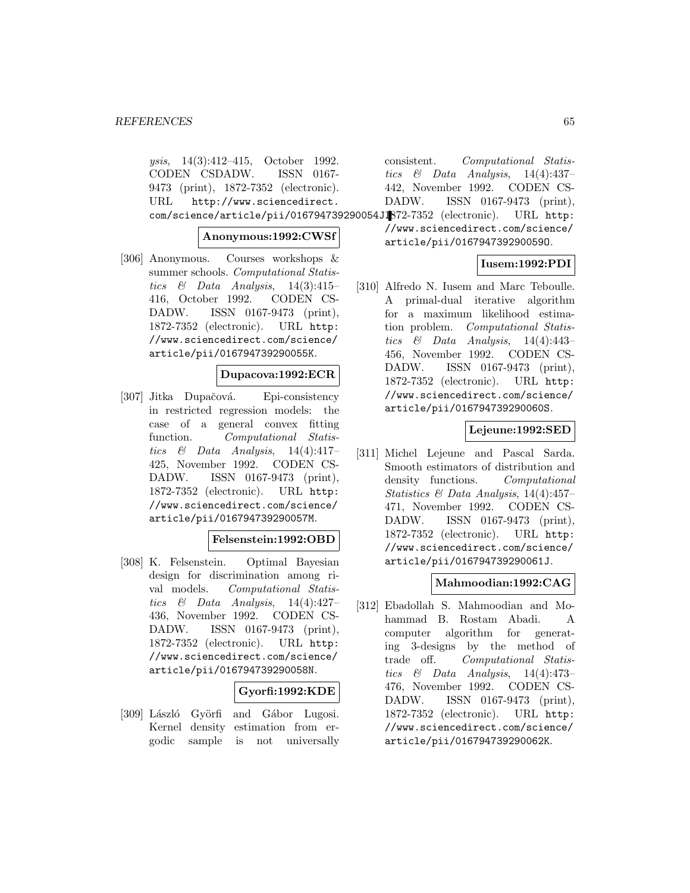ysis, 14(3):412–415, October 1992. CODEN CSDADW. ISSN 0167- 9473 (print), 1872-7352 (electronic). URL http://www.sciencedirect. com/science/article/pii/016794739290054J. 1872-7352 (electronic). URL http:

### **Anonymous:1992:CWSf**

[306] Anonymous. Courses workshops & summer schools. Computational Statistics & Data Analysis,  $14(3):415-$ 416, October 1992. CODEN CS-DADW. ISSN 0167-9473 (print), 1872-7352 (electronic). URL http: //www.sciencedirect.com/science/ article/pii/016794739290055K.

#### **Dupacova:1992:ECR**

[307] Jitka Dupačová. Epi-consistency in restricted regression models: the case of a general convex fitting function. Computational Statistics & Data Analysis,  $14(4):417-$ 425, November 1992. CODEN CS-DADW. ISSN 0167-9473 (print), 1872-7352 (electronic). URL http: //www.sciencedirect.com/science/ article/pii/016794739290057M.

## **Felsenstein:1992:OBD**

[308] K. Felsenstein. Optimal Bayesian design for discrimination among rival models. Computational Statistics  $\&$  Data Analysis, 14(4):427– 436, November 1992. CODEN CS-DADW. ISSN 0167-9473 (print), 1872-7352 (electronic). URL http: //www.sciencedirect.com/science/ article/pii/016794739290058N.

### **Gyorfi:1992:KDE**

[309] László Györfi and Gábor Lugosi. Kernel density estimation from ergodic sample is not universally

consistent. Computational Statistics & Data Analysis,  $14(4):437-$ 442, November 1992. CODEN CS-DADW. ISSN 0167-9473 (print),

//www.sciencedirect.com/science/

article/pii/016794739290059O.

## **Iusem:1992:PDI**

[310] Alfredo N. Iusem and Marc Teboulle. A primal-dual iterative algorithm for a maximum likelihood estimation problem. Computational Statistics & Data Analysis,  $14(4):443-$ 456, November 1992. CODEN CS-DADW. ISSN 0167-9473 (print), 1872-7352 (electronic). URL http: //www.sciencedirect.com/science/ article/pii/016794739290060S.

### **Lejeune:1992:SED**

[311] Michel Lejeune and Pascal Sarda. Smooth estimators of distribution and density functions. Computational Statistics & Data Analysis, 14(4):457– 471, November 1992. CODEN CS-DADW. ISSN 0167-9473 (print), 1872-7352 (electronic). URL http: //www.sciencedirect.com/science/ article/pii/016794739290061J.

### **Mahmoodian:1992:CAG**

[312] Ebadollah S. Mahmoodian and Mohammad B. Rostam Abadi. A computer algorithm for generating 3-designs by the method of trade off. Computational Statistics  $\&$  Data Analysis, 14(4):473– 476, November 1992. CODEN CS-DADW. ISSN 0167-9473 (print), 1872-7352 (electronic). URL http: //www.sciencedirect.com/science/ article/pii/016794739290062K.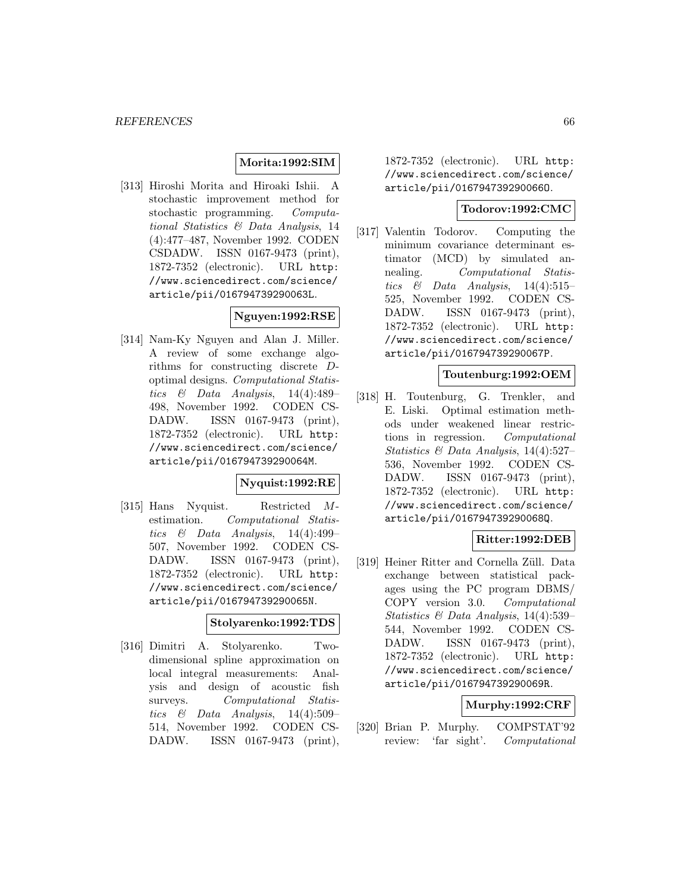## **Morita:1992:SIM**

[313] Hiroshi Morita and Hiroaki Ishii. A stochastic improvement method for stochastic programming. Computational Statistics & Data Analysis, 14 (4):477–487, November 1992. CODEN CSDADW. ISSN 0167-9473 (print), 1872-7352 (electronic). URL http: //www.sciencedirect.com/science/ article/pii/016794739290063L.

## **Nguyen:1992:RSE**

[314] Nam-Ky Nguyen and Alan J. Miller. A review of some exchange algorithms for constructing discrete Doptimal designs. Computational Statistics & Data Analysis,  $14(4):489-$ 498, November 1992. CODEN CS-DADW. ISSN 0167-9473 (print), 1872-7352 (electronic). URL http: //www.sciencedirect.com/science/ article/pii/016794739290064M.

#### **Nyquist:1992:RE**

[315] Hans Nyquist. Restricted Mestimation. Computational Statistics & Data Analysis,  $14(4):499-$ 507, November 1992. CODEN CS-DADW. ISSN 0167-9473 (print), 1872-7352 (electronic). URL http: //www.sciencedirect.com/science/ article/pii/016794739290065N.

### **Stolyarenko:1992:TDS**

[316] Dimitri A. Stolyarenko. Twodimensional spline approximation on local integral measurements: Analysis and design of acoustic fish surveys. Computational Statistics  $\&$  Data Analysis, 14(4):509– 514, November 1992. CODEN CS-DADW. ISSN 0167-9473 (print),

1872-7352 (electronic). URL http: //www.sciencedirect.com/science/ article/pii/016794739290066O.

## **Todorov:1992:CMC**

[317] Valentin Todorov. Computing the minimum covariance determinant estimator (MCD) by simulated annealing. Computational Statistics & Data Analysis,  $14(4):515-$ 525, November 1992. CODEN CS-DADW. ISSN 0167-9473 (print), 1872-7352 (electronic). URL http: //www.sciencedirect.com/science/ article/pii/016794739290067P.

#### **Toutenburg:1992:OEM**

[318] H. Toutenburg, G. Trenkler, and E. Liski. Optimal estimation methods under weakened linear restrictions in regression. Computational Statistics & Data Analysis, 14(4):527– 536, November 1992. CODEN CS-DADW. ISSN 0167-9473 (print), 1872-7352 (electronic). URL http: //www.sciencedirect.com/science/ article/pii/016794739290068Q.

### **Ritter:1992:DEB**

[319] Heiner Ritter and Cornella Züll. Data exchange between statistical packages using the PC program DBMS/ COPY version 3.0. Computational Statistics & Data Analysis, 14(4):539– 544, November 1992. CODEN CS-DADW. ISSN 0167-9473 (print), 1872-7352 (electronic). URL http: //www.sciencedirect.com/science/ article/pii/016794739290069R.

### **Murphy:1992:CRF**

[320] Brian P. Murphy. COMPSTAT'92 review: 'far sight'. Computational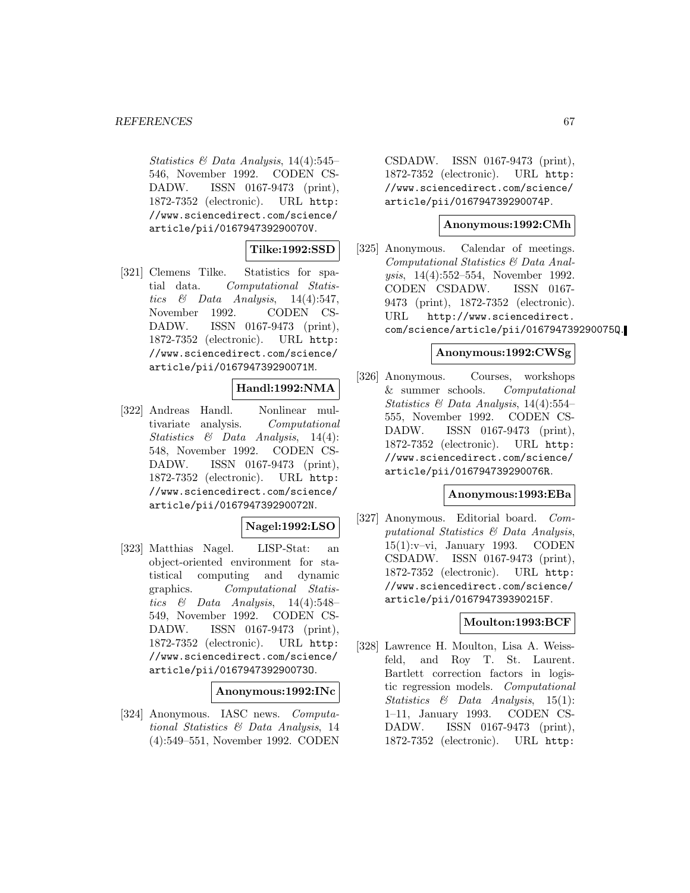Statistics & Data Analysis, 14(4):545– 546, November 1992. CODEN CS-DADW. ISSN 0167-9473 (print), 1872-7352 (electronic). URL http: //www.sciencedirect.com/science/ article/pii/016794739290070V.

## **Tilke:1992:SSD**

[321] Clemens Tilke. Statistics for spatial data. Computational Statis-<br>tics  $\&$  Data Analysis, 14(4):547, Analysis,  $14(4):547$ , November 1992. CODEN CS-DADW. ISSN 0167-9473 (print), 1872-7352 (electronic). URL http: //www.sciencedirect.com/science/ article/pii/016794739290071M.

## **Handl:1992:NMA**

[322] Andreas Handl. Nonlinear multivariate analysis. Computational Statistics & Data Analysis, 14(4): 548, November 1992. CODEN CS-DADW. ISSN 0167-9473 (print), 1872-7352 (electronic). URL http: //www.sciencedirect.com/science/ article/pii/016794739290072N.

### **Nagel:1992:LSO**

[323] Matthias Nagel. LISP-Stat: an object-oriented environment for statistical computing and dynamic graphics. Computational Statistics  $\&$  Data Analysis, 14(4):548– 549, November 1992. CODEN CS-DADW. ISSN 0167-9473 (print), 1872-7352 (electronic). URL http: //www.sciencedirect.com/science/ article/pii/016794739290073O.

### **Anonymous:1992:INc**

[324] Anonymous. IASC news. Computational Statistics & Data Analysis, 14 (4):549–551, November 1992. CODEN

CSDADW. ISSN 0167-9473 (print), 1872-7352 (electronic). URL http: //www.sciencedirect.com/science/ article/pii/016794739290074P.

### **Anonymous:1992:CMh**

[325] Anonymous. Calendar of meetings. Computational Statistics & Data Analysis, 14(4):552–554, November 1992. CODEN CSDADW. ISSN 0167- 9473 (print), 1872-7352 (electronic). URL http://www.sciencedirect. com/science/article/pii/016794739290075Q.

## **Anonymous:1992:CWSg**

[326] Anonymous. Courses, workshops & summer schools. Computational Statistics & Data Analysis,  $14(4):554-$ 555, November 1992. CODEN CS-DADW. ISSN 0167-9473 (print), 1872-7352 (electronic). URL http: //www.sciencedirect.com/science/ article/pii/016794739290076R.

#### **Anonymous:1993:EBa**

[327] Anonymous. Editorial board. Computational Statistics & Data Analysis, 15(1):v–vi, January 1993. CODEN CSDADW. ISSN 0167-9473 (print), 1872-7352 (electronic). URL http: //www.sciencedirect.com/science/ article/pii/016794739390215F.

### **Moulton:1993:BCF**

[328] Lawrence H. Moulton, Lisa A. Weissfeld, and Roy T. St. Laurent. Bartlett correction factors in logistic regression models. Computational Statistics & Data Analysis, 15(1): 1–11, January 1993. CODEN CS-DADW. ISSN 0167-9473 (print), 1872-7352 (electronic). URL http: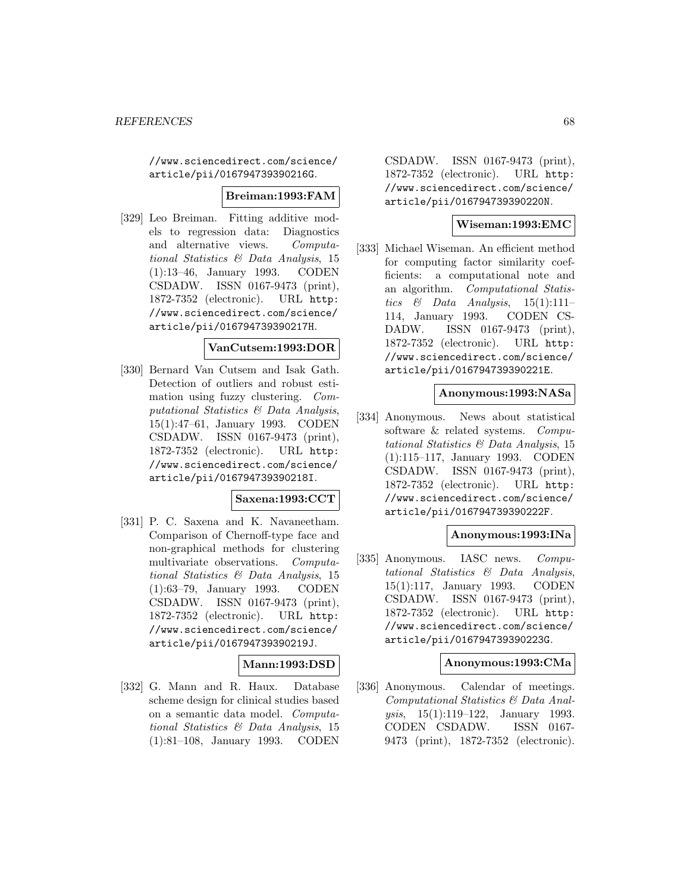//www.sciencedirect.com/science/ article/pii/016794739390216G.

#### **Breiman:1993:FAM**

[329] Leo Breiman. Fitting additive models to regression data: Diagnostics and alternative views. Computational Statistics & Data Analysis, 15 (1):13–46, January 1993. CODEN CSDADW. ISSN 0167-9473 (print), 1872-7352 (electronic). URL http: //www.sciencedirect.com/science/ article/pii/016794739390217H.

### **VanCutsem:1993:DOR**

[330] Bernard Van Cutsem and Isak Gath. Detection of outliers and robust estimation using fuzzy clustering. Computational Statistics & Data Analysis, 15(1):47–61, January 1993. CODEN CSDADW. ISSN 0167-9473 (print), 1872-7352 (electronic). URL http: //www.sciencedirect.com/science/ article/pii/016794739390218I.

### **Saxena:1993:CCT**

[331] P. C. Saxena and K. Navaneetham. Comparison of Chernoff-type face and non-graphical methods for clustering multivariate observations. Computational Statistics & Data Analysis, 15 (1):63–79, January 1993. CODEN CSDADW. ISSN 0167-9473 (print), 1872-7352 (electronic). URL http: //www.sciencedirect.com/science/ article/pii/016794739390219J.

## **Mann:1993:DSD**

[332] G. Mann and R. Haux. Database scheme design for clinical studies based on a semantic data model. Computational Statistics & Data Analysis, 15 (1):81–108, January 1993. CODEN

CSDADW. ISSN 0167-9473 (print), 1872-7352 (electronic). URL http: //www.sciencedirect.com/science/ article/pii/016794739390220N.

## **Wiseman:1993:EMC**

[333] Michael Wiseman. An efficient method for computing factor similarity coefficients: a computational note and an algorithm. Computational Statistics & Data Analysis,  $15(1):111-$ 114, January 1993. CODEN CS-DADW. ISSN 0167-9473 (print), 1872-7352 (electronic). URL http: //www.sciencedirect.com/science/ article/pii/016794739390221E.

### **Anonymous:1993:NASa**

[334] Anonymous. News about statistical software & related systems. Computational Statistics & Data Analysis, 15 (1):115–117, January 1993. CODEN CSDADW. ISSN 0167-9473 (print), 1872-7352 (electronic). URL http: //www.sciencedirect.com/science/ article/pii/016794739390222F.

#### **Anonymous:1993:INa**

[335] Anonymous. IASC news. Computational Statistics & Data Analysis, 15(1):117, January 1993. CODEN CSDADW. ISSN 0167-9473 (print), 1872-7352 (electronic). URL http: //www.sciencedirect.com/science/ article/pii/016794739390223G.

#### **Anonymous:1993:CMa**

[336] Anonymous. Calendar of meetings. Computational Statistics & Data Analysis, 15(1):119–122, January 1993. CODEN CSDADW. ISSN 0167- 9473 (print), 1872-7352 (electronic).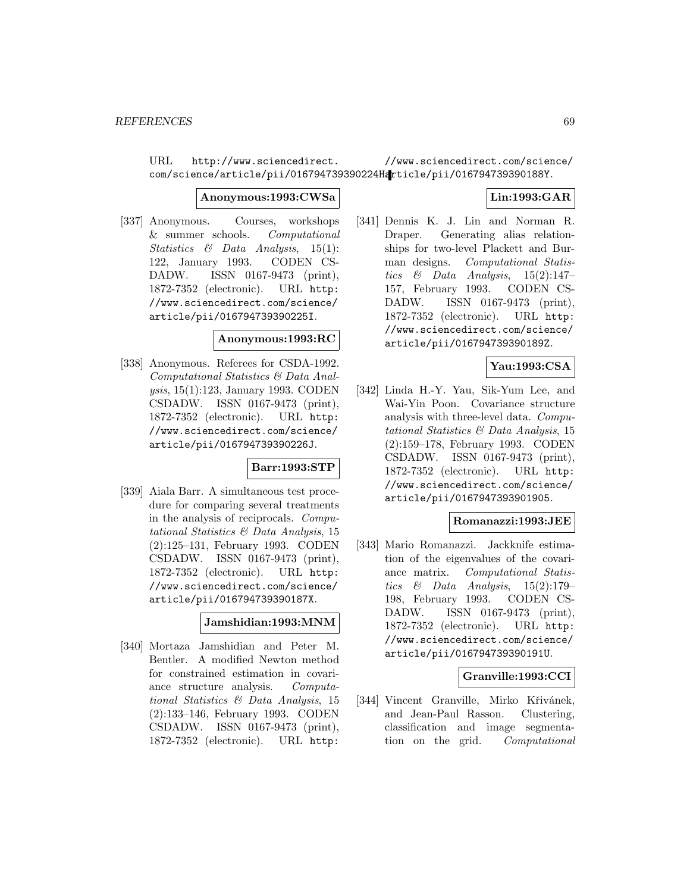URL http://www.sciencedirect. com/science/article/pii/016794739390224Harticle/pii/016794739390188Y. //www.sciencedirect.com/science/

#### **Anonymous:1993:CWSa**

[337] Anonymous. Courses, workshops & summer schools. Computational Statistics & Data Analysis, 15(1): 122, January 1993. CODEN CS-DADW. ISSN 0167-9473 (print), 1872-7352 (electronic). URL http: //www.sciencedirect.com/science/ article/pii/016794739390225I.

#### **Anonymous:1993:RC**

[338] Anonymous. Referees for CSDA-1992. Computational Statistics & Data Analysis, 15(1):123, January 1993. CODEN CSDADW. ISSN 0167-9473 (print), 1872-7352 (electronic). URL http: //www.sciencedirect.com/science/ article/pii/016794739390226J.

### **Barr:1993:STP**

[339] Aiala Barr. A simultaneous test procedure for comparing several treatments in the analysis of reciprocals. Computational Statistics & Data Analysis, 15 (2):125–131, February 1993. CODEN CSDADW. ISSN 0167-9473 (print), 1872-7352 (electronic). URL http: //www.sciencedirect.com/science/ article/pii/016794739390187X.

#### **Jamshidian:1993:MNM**

[340] Mortaza Jamshidian and Peter M. Bentler. A modified Newton method for constrained estimation in covariance structure analysis. Computational Statistics & Data Analysis, 15 (2):133–146, February 1993. CODEN CSDADW. ISSN 0167-9473 (print), 1872-7352 (electronic). URL http:

## **Lin:1993:GAR**

[341] Dennis K. J. Lin and Norman R. Draper. Generating alias relationships for two-level Plackett and Burman designs. Computational Statistics  $\&$  Data Analysis, 15(2):147-157, February 1993. CODEN CS-DADW. ISSN 0167-9473 (print), 1872-7352 (electronic). URL http: //www.sciencedirect.com/science/ article/pii/016794739390189Z.

### **Yau:1993:CSA**

[342] Linda H.-Y. Yau, Sik-Yum Lee, and Wai-Yin Poon. Covariance structure analysis with three-level data. Computational Statistics & Data Analysis, 15 (2):159–178, February 1993. CODEN CSDADW. ISSN 0167-9473 (print), 1872-7352 (electronic). URL http: //www.sciencedirect.com/science/ article/pii/0167947393901905.

### **Romanazzi:1993:JEE**

[343] Mario Romanazzi. Jackknife estimation of the eigenvalues of the covariance matrix. Computational Statistics & Data Analysis,  $15(2):179-$ 198, February 1993. CODEN CS-DADW. ISSN 0167-9473 (print), 1872-7352 (electronic). URL http: //www.sciencedirect.com/science/ article/pii/016794739390191U.

#### **Granville:1993:CCI**

[344] Vincent Granville, Mirko Křivánek, and Jean-Paul Rasson. Clustering, classification and image segmentation on the grid. Computational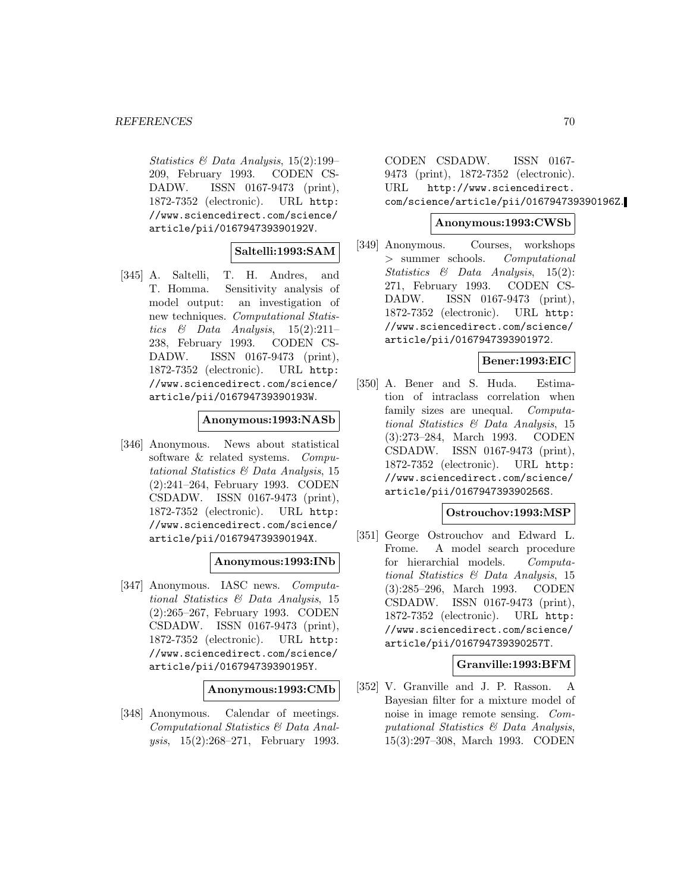Statistics & Data Analysis, 15(2):199– 209, February 1993. CODEN CS-DADW. ISSN 0167-9473 (print), 1872-7352 (electronic). URL http: //www.sciencedirect.com/science/ article/pii/016794739390192V.

## **Saltelli:1993:SAM**

[345] A. Saltelli, T. H. Andres, and T. Homma. Sensitivity analysis of model output: an investigation of new techniques. Computational Statistics & Data Analysis,  $15(2):211-$ 238, February 1993. CODEN CS-DADW. ISSN 0167-9473 (print), 1872-7352 (electronic). URL http: //www.sciencedirect.com/science/ article/pii/016794739390193W.

### **Anonymous:1993:NASb**

[346] Anonymous. News about statistical software & related systems. Computational Statistics & Data Analysis, 15 (2):241–264, February 1993. CODEN CSDADW. ISSN 0167-9473 (print), 1872-7352 (electronic). URL http: //www.sciencedirect.com/science/ article/pii/016794739390194X.

### **Anonymous:1993:INb**

[347] Anonymous. IASC news. Computational Statistics & Data Analysis, 15 (2):265–267, February 1993. CODEN CSDADW. ISSN 0167-9473 (print), 1872-7352 (electronic). URL http: //www.sciencedirect.com/science/ article/pii/016794739390195Y.

#### **Anonymous:1993:CMb**

[348] Anonymous. Calendar of meetings. Computational Statistics & Data Analysis, 15(2):268–271, February 1993.

CODEN CSDADW. ISSN 0167- 9473 (print), 1872-7352 (electronic). URL http://www.sciencedirect. com/science/article/pii/016794739390196Z.

#### **Anonymous:1993:CWSb**

[349] Anonymous. Courses, workshops > summer schools. Computational Statistics & Data Analysis, 15(2): 271, February 1993. CODEN CS-DADW. ISSN 0167-9473 (print), 1872-7352 (electronic). URL http: //www.sciencedirect.com/science/ article/pii/0167947393901972.

## **Bener:1993:EIC**

[350] A. Bener and S. Huda. Estimation of intraclass correlation when family sizes are unequal. Computational Statistics & Data Analysis, 15 (3):273–284, March 1993. CODEN CSDADW. ISSN 0167-9473 (print), 1872-7352 (electronic). URL http: //www.sciencedirect.com/science/ article/pii/016794739390256S.

#### **Ostrouchov:1993:MSP**

[351] George Ostrouchov and Edward L. Frome. A model search procedure for hierarchial models. Computational Statistics & Data Analysis, 15 (3):285–296, March 1993. CODEN CSDADW. ISSN 0167-9473 (print), 1872-7352 (electronic). URL http: //www.sciencedirect.com/science/ article/pii/016794739390257T.

### **Granville:1993:BFM**

[352] V. Granville and J. P. Rasson. A Bayesian filter for a mixture model of noise in image remote sensing. Computational Statistics & Data Analysis, 15(3):297–308, March 1993. CODEN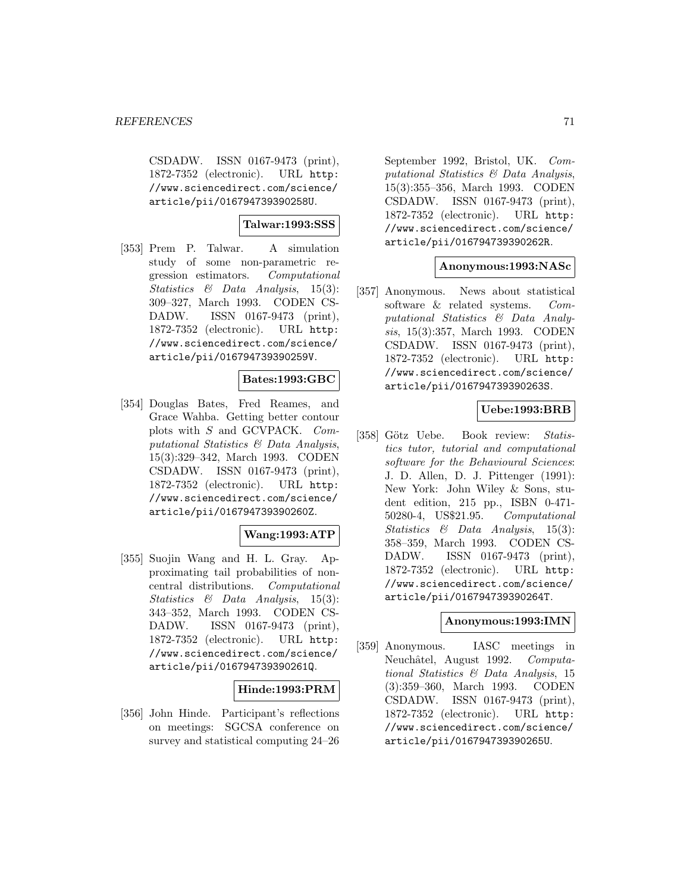CSDADW. ISSN 0167-9473 (print), 1872-7352 (electronic). URL http: //www.sciencedirect.com/science/ article/pii/016794739390258U.

## **Talwar:1993:SSS**

[353] Prem P. Talwar. A simulation study of some non-parametric regression estimators. Computational Statistics & Data Analysis, 15(3): 309–327, March 1993. CODEN CS-DADW. ISSN 0167-9473 (print), 1872-7352 (electronic). URL http: //www.sciencedirect.com/science/ article/pii/016794739390259V.

### **Bates:1993:GBC**

[354] Douglas Bates, Fred Reames, and Grace Wahba. Getting better contour plots with S and GCVPACK. Computational Statistics & Data Analysis, 15(3):329–342, March 1993. CODEN CSDADW. ISSN 0167-9473 (print), 1872-7352 (electronic). URL http: //www.sciencedirect.com/science/ article/pii/016794739390260Z.

### **Wang:1993:ATP**

[355] Suojin Wang and H. L. Gray. Approximating tail probabilities of noncentral distributions. Computational Statistics & Data Analysis, 15(3): 343–352, March 1993. CODEN CS-DADW. ISSN 0167-9473 (print), 1872-7352 (electronic). URL http: //www.sciencedirect.com/science/ article/pii/016794739390261Q.

### **Hinde:1993:PRM**

[356] John Hinde. Participant's reflections on meetings: SGCSA conference on survey and statistical computing 24–26

September 1992, Bristol, UK. Computational Statistics & Data Analysis, 15(3):355–356, March 1993. CODEN CSDADW. ISSN 0167-9473 (print), 1872-7352 (electronic). URL http: //www.sciencedirect.com/science/ article/pii/016794739390262R.

### **Anonymous:1993:NASc**

[357] Anonymous. News about statistical software & related systems. Computational Statistics & Data Analysis, 15(3):357, March 1993. CODEN CSDADW. ISSN 0167-9473 (print), 1872-7352 (electronic). URL http: //www.sciencedirect.com/science/ article/pii/016794739390263S.

## **Uebe:1993:BRB**

[358] Götz Uebe. Book review: Statistics tutor, tutorial and computational software for the Behavioural Sciences: J. D. Allen, D. J. Pittenger (1991): New York: John Wiley & Sons, student edition, 215 pp., ISBN 0-471- 50280-4, US\$21.95. Computational Statistics & Data Analysis, 15(3): 358–359, March 1993. CODEN CS-DADW. ISSN 0167-9473 (print), 1872-7352 (electronic). URL http: //www.sciencedirect.com/science/ article/pii/016794739390264T.

### **Anonymous:1993:IMN**

[359] Anonymous. IASC meetings in Neuchâtel, August 1992. Computational Statistics & Data Analysis, 15 (3):359–360, March 1993. CODEN CSDADW. ISSN 0167-9473 (print), 1872-7352 (electronic). URL http: //www.sciencedirect.com/science/ article/pii/016794739390265U.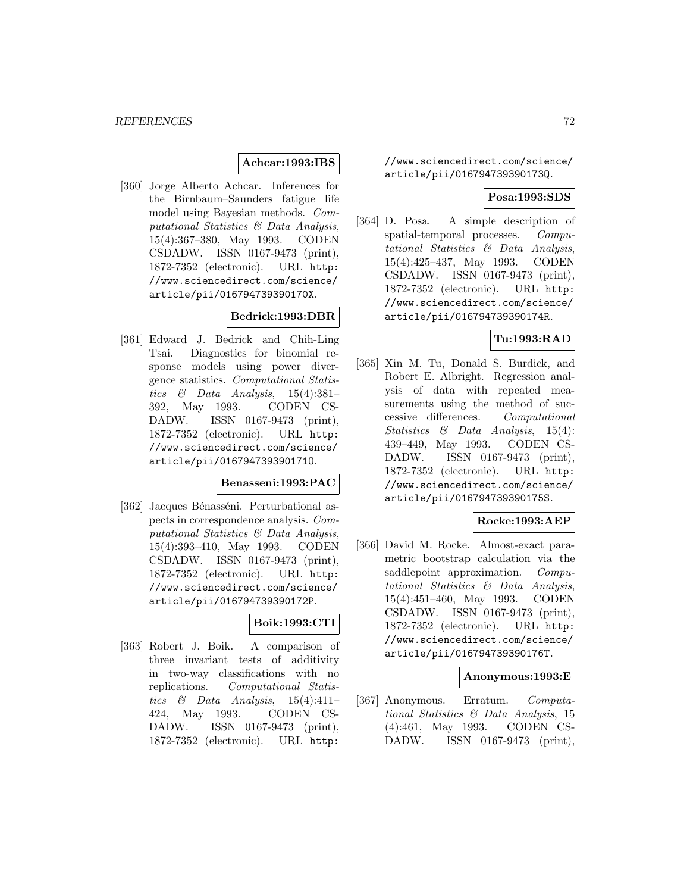## **Achcar:1993:IBS**

[360] Jorge Alberto Achcar. Inferences for the Birnbaum–Saunders fatigue life model using Bayesian methods. Computational Statistics & Data Analysis, 15(4):367–380, May 1993. CODEN CSDADW. ISSN 0167-9473 (print), 1872-7352 (electronic). URL http: //www.sciencedirect.com/science/ article/pii/016794739390170X.

## **Bedrick:1993:DBR**

[361] Edward J. Bedrick and Chih-Ling Tsai. Diagnostics for binomial response models using power divergence statistics. Computational Statistics & Data Analysis,  $15(4):381-$ 392, May 1993. CODEN CS-DADW. ISSN 0167-9473 (print), 1872-7352 (electronic). URL http: //www.sciencedirect.com/science/ article/pii/016794739390171O.

## **Benasseni:1993:PAC**

[362] Jacques Bénasséni. Perturbational aspects in correspondence analysis. Computational Statistics & Data Analysis, 15(4):393–410, May 1993. CODEN CSDADW. ISSN 0167-9473 (print), 1872-7352 (electronic). URL http: //www.sciencedirect.com/science/ article/pii/016794739390172P.

## **Boik:1993:CTI**

[363] Robert J. Boik. A comparison of three invariant tests of additivity in two-way classifications with no replications. Computational Statistics  $\&$  Data Analysis, 15(4):411-424, May 1993. CODEN CS-DADW. ISSN 0167-9473 (print), 1872-7352 (electronic). URL http:

//www.sciencedirect.com/science/ article/pii/016794739390173Q.

## **Posa:1993:SDS**

[364] D. Posa. A simple description of spatial-temporal processes. Computational Statistics & Data Analysis, 15(4):425–437, May 1993. CODEN CSDADW. ISSN 0167-9473 (print), 1872-7352 (electronic). URL http: //www.sciencedirect.com/science/ article/pii/016794739390174R.

### **Tu:1993:RAD**

[365] Xin M. Tu, Donald S. Burdick, and Robert E. Albright. Regression analysis of data with repeated measurements using the method of successive differences. Computational Statistics & Data Analysis, 15(4): 439–449, May 1993. CODEN CS-DADW. ISSN 0167-9473 (print), 1872-7352 (electronic). URL http: //www.sciencedirect.com/science/ article/pii/016794739390175S.

#### **Rocke:1993:AEP**

[366] David M. Rocke. Almost-exact parametric bootstrap calculation via the saddlepoint approximation. Computational Statistics & Data Analysis, 15(4):451–460, May 1993. CODEN CSDADW. ISSN 0167-9473 (print), 1872-7352 (electronic). URL http: //www.sciencedirect.com/science/ article/pii/016794739390176T.

### **Anonymous:1993:E**

[367] Anonymous. Erratum. Computational Statistics & Data Analysis, 15 (4):461, May 1993. CODEN CS-DADW. ISSN 0167-9473 (print),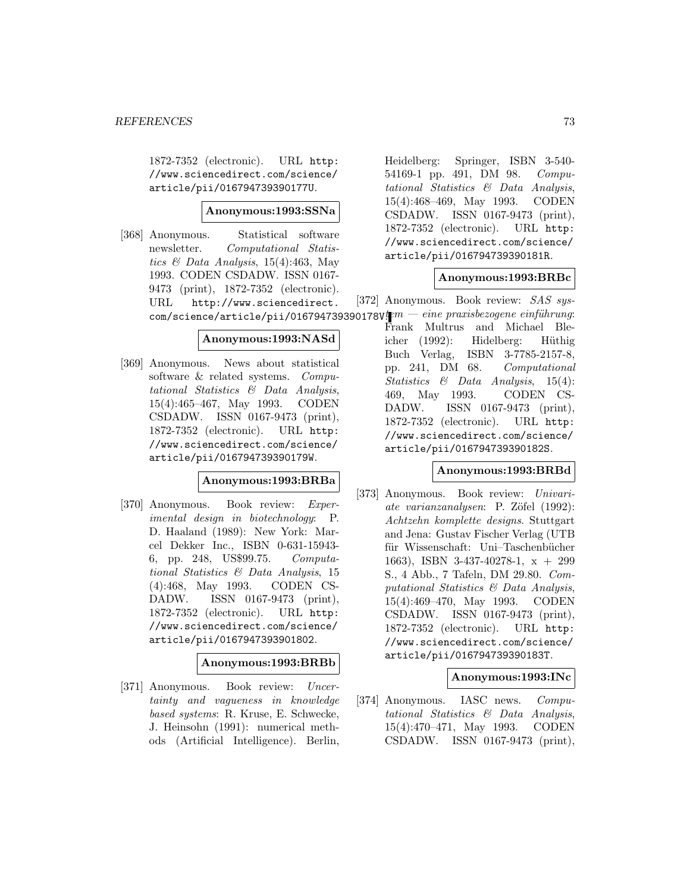1872-7352 (electronic). URL http: //www.sciencedirect.com/science/ article/pii/016794739390177U.

#### **Anonymous:1993:SSNa**

[368] Anonymous. Statistical software newsletter. Computational Statistics  $\mathcal B$  Data Analysis, 15(4):463, May 1993. CODEN CSDADW. ISSN 0167- 9473 (print), 1872-7352 (electronic). URL http://www.sciencedirect.  $\texttt{com}/\texttt{science}/\texttt{article}/\texttt{pi}/0$ 16794739390178V $\texttt{I}\hspace{-1.25mm}P^m-\textit{eine}\,\,praxis$ bezogene $\,\,$ e $\,\,$ inführung:

## **Anonymous:1993:NASd**

[369] Anonymous. News about statistical software & related systems. Computational Statistics & Data Analysis, 15(4):465–467, May 1993. CODEN CSDADW. ISSN 0167-9473 (print), 1872-7352 (electronic). URL http: //www.sciencedirect.com/science/ article/pii/016794739390179W.

#### **Anonymous:1993:BRBa**

[370] Anonymous. Book review: Experimental design in biotechnology: P. D. Haaland (1989): New York: Marcel Dekker Inc., ISBN 0-631-15943- 6, pp. 248, US\$99.75. Computational Statistics & Data Analysis, 15 (4):468, May 1993. CODEN CS-DADW. ISSN 0167-9473 (print), 1872-7352 (electronic). URL http: //www.sciencedirect.com/science/ article/pii/0167947393901802.

## **Anonymous:1993:BRBb**

[371] Anonymous. Book review: Uncertainty and vagueness in knowledge based systems: R. Kruse, E. Schwecke, J. Heinsohn (1991): numerical methods (Artificial Intelligence). Berlin,

Heidelberg: Springer, ISBN 3-540- 54169-1 pp. 491, DM 98. Computational Statistics & Data Analysis, 15(4):468–469, May 1993. CODEN CSDADW. ISSN 0167-9473 (print), 1872-7352 (electronic). URL http: //www.sciencedirect.com/science/ article/pii/016794739390181R.

#### **Anonymous:1993:BRBc**

[372] Anonymous. Book review: SAS sys-

Frank Multrus and Michael Bleicher (1992): Hidelberg: Hüthig Buch Verlag, ISBN 3-7785-2157-8, pp. 241, DM 68. Computational Statistics & Data Analysis, 15(4): 469, May 1993. CODEN CS-DADW. ISSN 0167-9473 (print), 1872-7352 (electronic). URL http: //www.sciencedirect.com/science/ article/pii/016794739390182S.

### **Anonymous:1993:BRBd**

[373] Anonymous. Book review: Univariate varianzanalysen: P. Zöfel (1992): Achtzehn komplette designs. Stuttgart and Jena: Gustav Fischer Verlag (UTB für Wissenschaft: Uni–Taschenbücher 1663), ISBN 3-437-40278-1, x + 299 S., 4 Abb., 7 Tafeln, DM 29.80. Computational Statistics & Data Analysis, 15(4):469–470, May 1993. CODEN CSDADW. ISSN 0167-9473 (print), 1872-7352 (electronic). URL http: //www.sciencedirect.com/science/ article/pii/016794739390183T.

#### **Anonymous:1993:INc**

[374] Anonymous. IASC news. Computational Statistics & Data Analysis, 15(4):470–471, May 1993. CODEN CSDADW. ISSN 0167-9473 (print),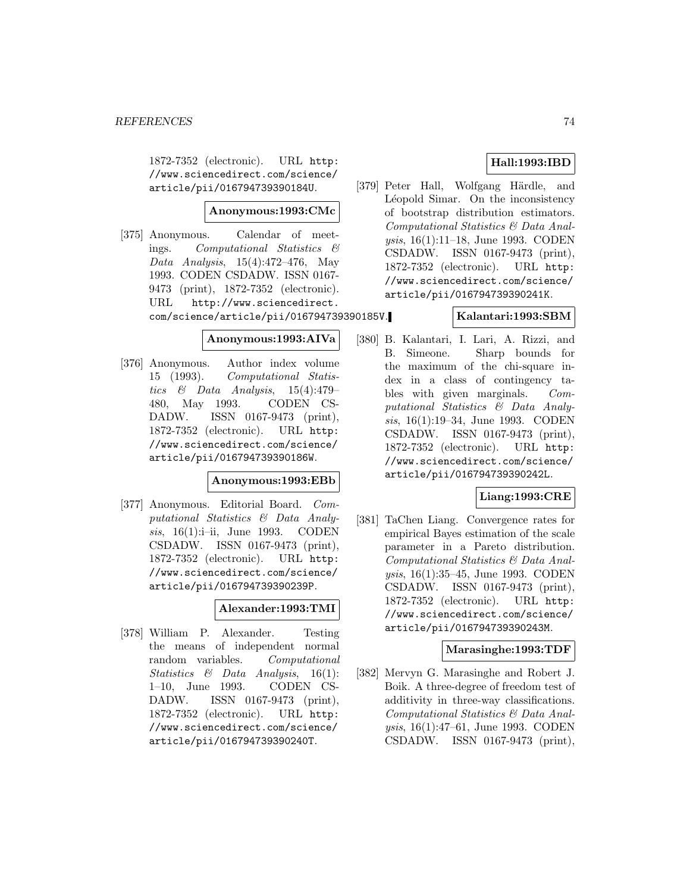1872-7352 (electronic). URL http: //www.sciencedirect.com/science/ article/pii/016794739390184U.

### **Anonymous:1993:CMc**

[375] Anonymous. Calendar of meetings. Computational Statistics & Data Analysis, 15(4):472–476, May 1993. CODEN CSDADW. ISSN 0167- 9473 (print), 1872-7352 (electronic). URL http://www.sciencedirect. com/science/article/pii/016794739390185V.

#### **Anonymous:1993:AIVa**

[376] Anonymous. Author index volume 15 (1993). Computational Statistics & Data Analysis,  $15(4):479-$ 480, May 1993. CODEN CS-DADW. ISSN 0167-9473 (print), 1872-7352 (electronic). URL http: //www.sciencedirect.com/science/ article/pii/016794739390186W.

#### **Anonymous:1993:EBb**

[377] Anonymous. Editorial Board. Computational Statistics & Data Analysis, 16(1):i-ii, June 1993. CODEN CSDADW. ISSN 0167-9473 (print), 1872-7352 (electronic). URL http: //www.sciencedirect.com/science/ article/pii/016794739390239P.

## **Alexander:1993:TMI**

[378] William P. Alexander. Testing the means of independent normal random variables. Computational Statistics & Data Analysis, 16(1): 1–10, June 1993. CODEN CS-DADW. ISSN 0167-9473 (print), 1872-7352 (electronic). URL http: //www.sciencedirect.com/science/ article/pii/016794739390240T.

## **Hall:1993:IBD**

[379] Peter Hall, Wolfgang Härdle, and Léopold Simar. On the inconsistency of bootstrap distribution estimators. Computational Statistics & Data Analysis, 16(1):11–18, June 1993. CODEN CSDADW. ISSN 0167-9473 (print), 1872-7352 (electronic). URL http: //www.sciencedirect.com/science/ article/pii/016794739390241K.

## **Kalantari:1993:SBM**

[380] B. Kalantari, I. Lari, A. Rizzi, and B. Simeone. Sharp bounds for the maximum of the chi-square index in a class of contingency tables with given marginals. Computational Statistics & Data Analysis, 16(1):19–34, June 1993. CODEN CSDADW. ISSN 0167-9473 (print), 1872-7352 (electronic). URL http: //www.sciencedirect.com/science/ article/pii/016794739390242L.

## **Liang:1993:CRE**

[381] TaChen Liang. Convergence rates for empirical Bayes estimation of the scale parameter in a Pareto distribution. Computational Statistics & Data Analysis, 16(1):35–45, June 1993. CODEN CSDADW. ISSN 0167-9473 (print), 1872-7352 (electronic). URL http: //www.sciencedirect.com/science/ article/pii/016794739390243M.

## **Marasinghe:1993:TDF**

[382] Mervyn G. Marasinghe and Robert J. Boik. A three-degree of freedom test of additivity in three-way classifications. Computational Statistics & Data Analysis, 16(1):47–61, June 1993. CODEN CSDADW. ISSN 0167-9473 (print),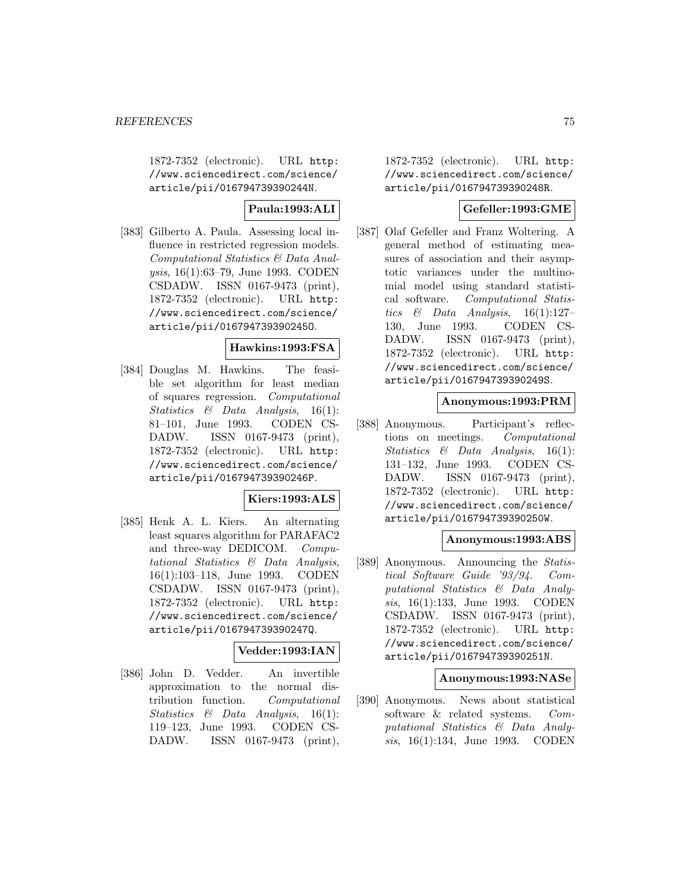1872-7352 (electronic). URL http: //www.sciencedirect.com/science/ article/pii/016794739390244N.

## **Paula:1993:ALI**

[383] Gilberto A. Paula. Assessing local influence in restricted regression models. Computational Statistics & Data Analysis, 16(1):63–79, June 1993. CODEN CSDADW. ISSN 0167-9473 (print), 1872-7352 (electronic). URL http: //www.sciencedirect.com/science/ article/pii/016794739390245O.

## **Hawkins:1993:FSA**

[384] Douglas M. Hawkins. The feasible set algorithm for least median of squares regression. Computational Statistics & Data Analysis, 16(1): 81–101, June 1993. CODEN CS-DADW. ISSN 0167-9473 (print), 1872-7352 (electronic). URL http: //www.sciencedirect.com/science/ article/pii/016794739390246P.

## **Kiers:1993:ALS**

[385] Henk A. L. Kiers. An alternating least squares algorithm for PARAFAC2 and three-way DEDICOM. Computational Statistics & Data Analysis, 16(1):103–118, June 1993. CODEN CSDADW. ISSN 0167-9473 (print), 1872-7352 (electronic). URL http: //www.sciencedirect.com/science/ article/pii/016794739390247Q.

## **Vedder:1993:IAN**

[386] John D. Vedder. An invertible approximation to the normal distribution function. Computational Statistics & Data Analysis, 16(1): 119–123, June 1993. CODEN CS-DADW. ISSN 0167-9473 (print),

1872-7352 (electronic). URL http: //www.sciencedirect.com/science/ article/pii/016794739390248R.

## **Gefeller:1993:GME**

[387] Olaf Gefeller and Franz Woltering. A general method of estimating measures of association and their asymptotic variances under the multinomial model using standard statistical software. Computational Statistics & Data Analysis, 16(1):127– 130, June 1993. CODEN CS-DADW. ISSN 0167-9473 (print), 1872-7352 (electronic). URL http: //www.sciencedirect.com/science/ article/pii/016794739390249S.

## **Anonymous:1993:PRM**

[388] Anonymous. Participant's reflections on meetings. Computational Statistics & Data Analysis, 16(1): 131–132, June 1993. CODEN CS-DADW. ISSN 0167-9473 (print), 1872-7352 (electronic). URL http: //www.sciencedirect.com/science/ article/pii/016794739390250W.

### **Anonymous:1993:ABS**

[389] Anonymous. Announcing the Statistical Software Guide '93/94. Computational Statistics & Data Analysis, 16(1):133, June 1993. CODEN CSDADW. ISSN 0167-9473 (print), 1872-7352 (electronic). URL http: //www.sciencedirect.com/science/ article/pii/016794739390251N.

#### **Anonymous:1993:NASe**

[390] Anonymous. News about statistical software & related systems. Computational Statistics & Data Analysis, 16(1):134, June 1993. CODEN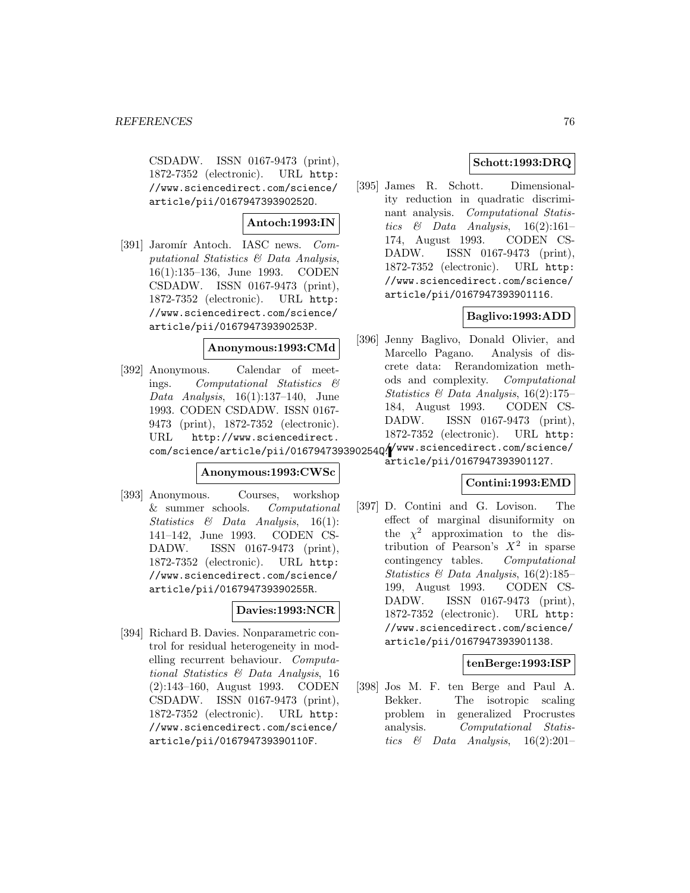CSDADW. ISSN 0167-9473 (print), 1872-7352 (electronic). URL http: //www.sciencedirect.com/science/ article/pii/016794739390252O.

## **Antoch:1993:IN**

[391] Jaromír Antoch. IASC news. Computational Statistics & Data Analysis, 16(1):135–136, June 1993. CODEN CSDADW. ISSN 0167-9473 (print), 1872-7352 (electronic). URL http: //www.sciencedirect.com/science/ article/pii/016794739390253P.

## **Anonymous:1993:CMd**

[392] Anonymous. Calendar of meetings. Computational Statistics & Data Analysis,  $16(1):137-140$ , June 1993. CODEN CSDADW. ISSN 0167- 9473 (print), 1872-7352 (electronic). URL http://www.sciencedirect. com/science/article/pii/016794739390254Q/ WWW.sciencedirect.com/science/

#### **Anonymous:1993:CWSc**

[393] Anonymous. Courses, workshop & summer schools. Computational Statistics & Data Analysis, 16(1): 141–142, June 1993. CODEN CS-DADW. ISSN 0167-9473 (print), 1872-7352 (electronic). URL http: //www.sciencedirect.com/science/ article/pii/016794739390255R.

## **Davies:1993:NCR**

[394] Richard B. Davies. Nonparametric control for residual heterogeneity in modelling recurrent behaviour. Computational Statistics & Data Analysis, 16 (2):143–160, August 1993. CODEN CSDADW. ISSN 0167-9473 (print), 1872-7352 (electronic). URL http: //www.sciencedirect.com/science/ article/pii/016794739390110F.

## **Schott:1993:DRQ**

[395] James R. Schott. Dimensionality reduction in quadratic discriminant analysis. Computational Statistics & Data Analysis,  $16(2):161-$ 174, August 1993. CODEN CS-DADW. ISSN 0167-9473 (print), 1872-7352 (electronic). URL http: //www.sciencedirect.com/science/ article/pii/0167947393901116.

## **Baglivo:1993:ADD**

[396] Jenny Baglivo, Donald Olivier, and Marcello Pagano. Analysis of discrete data: Rerandomization methods and complexity. Computational Statistics  $\mathcal B$  Data Analysis, 16(2):175– 184, August 1993. CODEN CS-DADW. ISSN 0167-9473 (print), 1872-7352 (electronic). URL http:

article/pii/0167947393901127.

## **Contini:1993:EMD**

[397] D. Contini and G. Lovison. The effect of marginal disuniformity on the  $\chi^2$  approximation to the distribution of Pearson's  $X^2$  in sparse contingency tables. Computational Statistics & Data Analysis, 16(2):185– 199, August 1993. CODEN CS-DADW. ISSN 0167-9473 (print), 1872-7352 (electronic). URL http: //www.sciencedirect.com/science/ article/pii/0167947393901138.

## **tenBerge:1993:ISP**

[398] Jos M. F. ten Berge and Paul A. Bekker. The isotropic scaling problem in generalized Procrustes analysis. Computational Statistics  $\&$  Data Analysis, 16(2):201–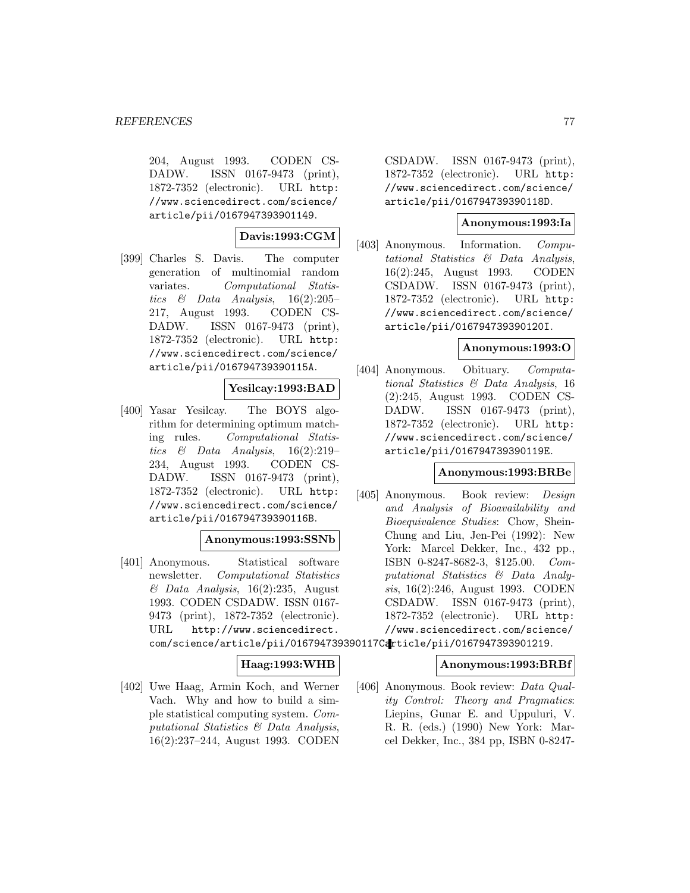204, August 1993. CODEN CS-DADW. ISSN 0167-9473 (print), 1872-7352 (electronic). URL http: //www.sciencedirect.com/science/ article/pii/0167947393901149.

## **Davis:1993:CGM**

[399] Charles S. Davis. The computer generation of multinomial random variates. Computational Statistics  $\&$  Data Analysis, 16(2):205– 217, August 1993. CODEN CS-DADW. ISSN 0167-9473 (print), 1872-7352 (electronic). URL http: //www.sciencedirect.com/science/ article/pii/016794739390115A.

## **Yesilcay:1993:BAD**

[400] Yasar Yesilcay. The BOYS algorithm for determining optimum matching rules. Computational Statistics  $\&$  Data Analysis, 16(2):219– 234, August 1993. CODEN CS-DADW. ISSN 0167-9473 (print), 1872-7352 (electronic). URL http: //www.sciencedirect.com/science/ article/pii/016794739390116B.

## **Anonymous:1993:SSNb**

[401] Anonymous. Statistical software newsletter. Computational Statistics  $& Data Analysis, 16(2):235, August$ 1993. CODEN CSDADW. ISSN 0167- 9473 (print), 1872-7352 (electronic). URL http://www.sciencedirect. com/science/article/pii/016794739390117Carticle/pii/0167947393901219.

## **Haag:1993:WHB**

[402] Uwe Haag, Armin Koch, and Werner Vach. Why and how to build a simple statistical computing system. Computational Statistics & Data Analysis, 16(2):237–244, August 1993. CODEN

CSDADW. ISSN 0167-9473 (print), 1872-7352 (electronic). URL http: //www.sciencedirect.com/science/ article/pii/016794739390118D.

## **Anonymous:1993:Ia**

[403] Anonymous. Information. Computational Statistics & Data Analysis, 16(2):245, August 1993. CODEN CSDADW. ISSN 0167-9473 (print), 1872-7352 (electronic). URL http: //www.sciencedirect.com/science/ article/pii/016794739390120I.

## **Anonymous:1993:O**

[404] Anonymous. Obituary. Computational Statistics & Data Analysis, 16 (2):245, August 1993. CODEN CS-DADW. ISSN 0167-9473 (print), 1872-7352 (electronic). URL http: //www.sciencedirect.com/science/ article/pii/016794739390119E.

#### **Anonymous:1993:BRBe**

[405] Anonymous. Book review: Design and Analysis of Bioavailability and Bioequivalence Studies: Chow, Shein-Chung and Liu, Jen-Pei (1992): New York: Marcel Dekker, Inc., 432 pp., ISBN 0-8247-8682-3, \$125.00. Computational Statistics & Data Analysis, 16(2):246, August 1993. CODEN CSDADW. ISSN 0167-9473 (print), 1872-7352 (electronic). URL http: //www.sciencedirect.com/science/

## **Anonymous:1993:BRBf**

[406] Anonymous. Book review: Data Quality Control: Theory and Pragmatics: Liepins, Gunar E. and Uppuluri, V. R. R. (eds.) (1990) New York: Marcel Dekker, Inc., 384 pp, ISBN 0-8247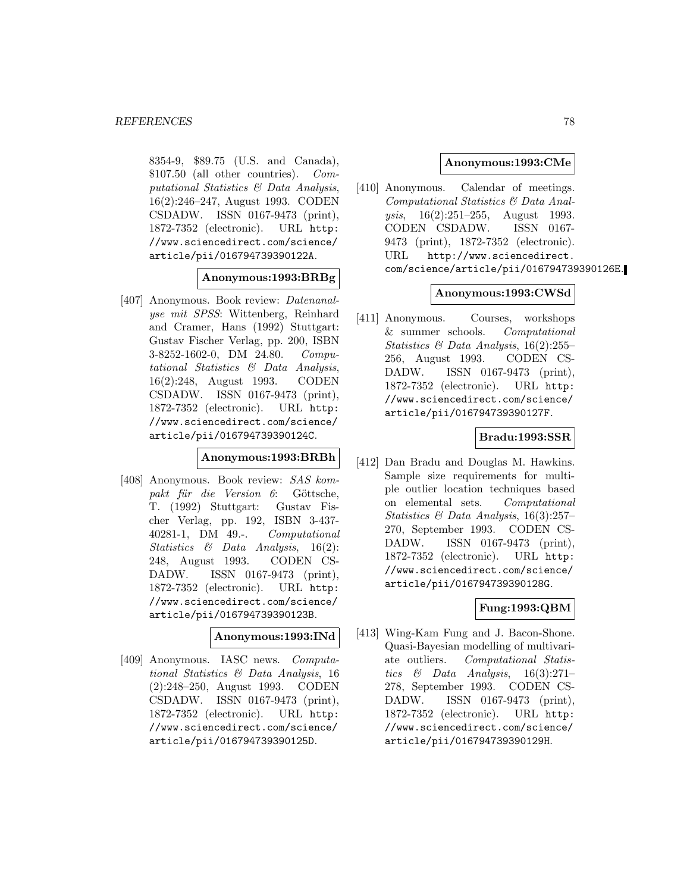8354-9, \$89.75 (U.S. and Canada), \$107.50 (all other countries). Computational Statistics & Data Analysis, 16(2):246–247, August 1993. CODEN CSDADW. ISSN 0167-9473 (print), 1872-7352 (electronic). URL http: //www.sciencedirect.com/science/ article/pii/016794739390122A.

**Anonymous:1993:BRBg**

[407] Anonymous. Book review: Datenanalyse mit SPSS: Wittenberg, Reinhard and Cramer, Hans (1992) Stuttgart: Gustav Fischer Verlag, pp. 200, ISBN 3-8252-1602-0, DM 24.80. Computational Statistics & Data Analysis, 16(2):248, August 1993. CODEN CSDADW. ISSN 0167-9473 (print), 1872-7352 (electronic). URL http: //www.sciencedirect.com/science/ article/pii/016794739390124C.

#### **Anonymous:1993:BRBh**

[408] Anonymous. Book review: SAS kompakt für die Version 6: Göttsche, T. (1992) Stuttgart: Gustav Fischer Verlag, pp. 192, ISBN 3-437- 40281-1, DM 49.-. Computational Statistics & Data Analysis, 16(2): 248, August 1993. CODEN CS-DADW. ISSN 0167-9473 (print), 1872-7352 (electronic). URL http: //www.sciencedirect.com/science/ article/pii/016794739390123B.

#### **Anonymous:1993:INd**

[409] Anonymous. IASC news. Computational Statistics & Data Analysis, 16 (2):248–250, August 1993. CODEN CSDADW. ISSN 0167-9473 (print), 1872-7352 (electronic). URL http: //www.sciencedirect.com/science/ article/pii/016794739390125D.

### **Anonymous:1993:CMe**

[410] Anonymous. Calendar of meetings. Computational Statistics & Data Analysis, 16(2):251–255, August 1993. CODEN CSDADW. ISSN 0167- 9473 (print), 1872-7352 (electronic). URL http://www.sciencedirect. com/science/article/pii/016794739390126E.

#### **Anonymous:1993:CWSd**

[411] Anonymous. Courses, workshops & summer schools. Computational Statistics  $\mathcal B$  Data Analysis, 16(2):255– 256, August 1993. CODEN CS-DADW. ISSN 0167-9473 (print), 1872-7352 (electronic). URL http: //www.sciencedirect.com/science/ article/pii/016794739390127F.

#### **Bradu:1993:SSR**

[412] Dan Bradu and Douglas M. Hawkins. Sample size requirements for multiple outlier location techniques based on elemental sets. Computational Statistics & Data Analysis, 16(3):257– 270, September 1993. CODEN CS-DADW. ISSN 0167-9473 (print), 1872-7352 (electronic). URL http: //www.sciencedirect.com/science/ article/pii/016794739390128G.

## **Fung:1993:QBM**

[413] Wing-Kam Fung and J. Bacon-Shone. Quasi-Bayesian modelling of multivariate outliers. Computational Statistics  $\&$  Data Analysis, 16(3):271– 278, September 1993. CODEN CS-DADW. ISSN 0167-9473 (print), 1872-7352 (electronic). URL http: //www.sciencedirect.com/science/ article/pii/016794739390129H.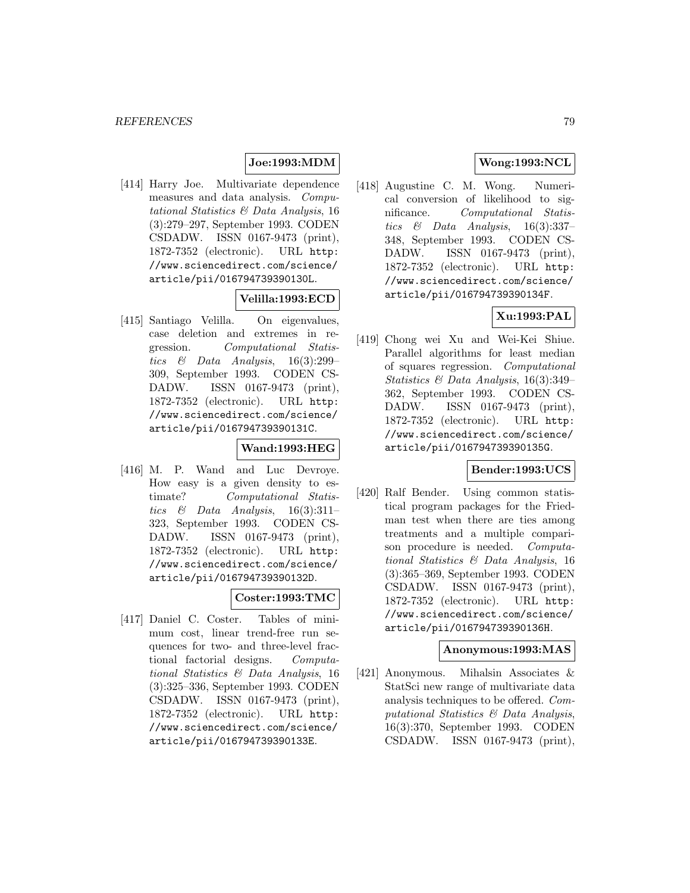## **Joe:1993:MDM**

[414] Harry Joe. Multivariate dependence measures and data analysis. Computational Statistics & Data Analysis, 16 (3):279–297, September 1993. CODEN CSDADW. ISSN 0167-9473 (print), 1872-7352 (electronic). URL http: //www.sciencedirect.com/science/ article/pii/016794739390130L.

## **Velilla:1993:ECD**

[415] Santiago Velilla. On eigenvalues, case deletion and extremes in regression. Computational Statistics & Data Analysis, 16(3):299– 309, September 1993. CODEN CS-DADW. ISSN 0167-9473 (print), 1872-7352 (electronic). URL http: //www.sciencedirect.com/science/ article/pii/016794739390131C.

### **Wand:1993:HEG**

[416] M. P. Wand and Luc Devroye. How easy is a given density to estimate? Computational Statistics & Data Analysis,  $16(3):311-$ 323, September 1993. CODEN CS-DADW. ISSN 0167-9473 (print), 1872-7352 (electronic). URL http: //www.sciencedirect.com/science/ article/pii/016794739390132D.

## **Coster:1993:TMC**

[417] Daniel C. Coster. Tables of minimum cost, linear trend-free run sequences for two- and three-level fractional factorial designs. Computational Statistics & Data Analysis, 16 (3):325–336, September 1993. CODEN CSDADW. ISSN 0167-9473 (print), 1872-7352 (electronic). URL http: //www.sciencedirect.com/science/ article/pii/016794739390133E.

## **Wong:1993:NCL**

[418] Augustine C. M. Wong. Numerical conversion of likelihood to significance. Computational Statistics  $\&$  Data Analysis, 16(3):337-348, September 1993. CODEN CS-DADW. ISSN 0167-9473 (print), 1872-7352 (electronic). URL http: //www.sciencedirect.com/science/ article/pii/016794739390134F.

## **Xu:1993:PAL**

[419] Chong wei Xu and Wei-Kei Shiue. Parallel algorithms for least median of squares regression. Computational Statistics & Data Analysis, 16(3):349– 362, September 1993. CODEN CS-DADW. ISSN 0167-9473 (print), 1872-7352 (electronic). URL http: //www.sciencedirect.com/science/ article/pii/016794739390135G.

## **Bender:1993:UCS**

[420] Ralf Bender. Using common statistical program packages for the Friedman test when there are ties among treatments and a multiple comparison procedure is needed. Computational Statistics & Data Analysis, 16 (3):365–369, September 1993. CODEN CSDADW. ISSN 0167-9473 (print), 1872-7352 (electronic). URL http: //www.sciencedirect.com/science/ article/pii/016794739390136H.

## **Anonymous:1993:MAS**

[421] Anonymous. Mihalsin Associates & StatSci new range of multivariate data analysis techniques to be offered. Computational Statistics & Data Analysis, 16(3):370, September 1993. CODEN CSDADW. ISSN 0167-9473 (print),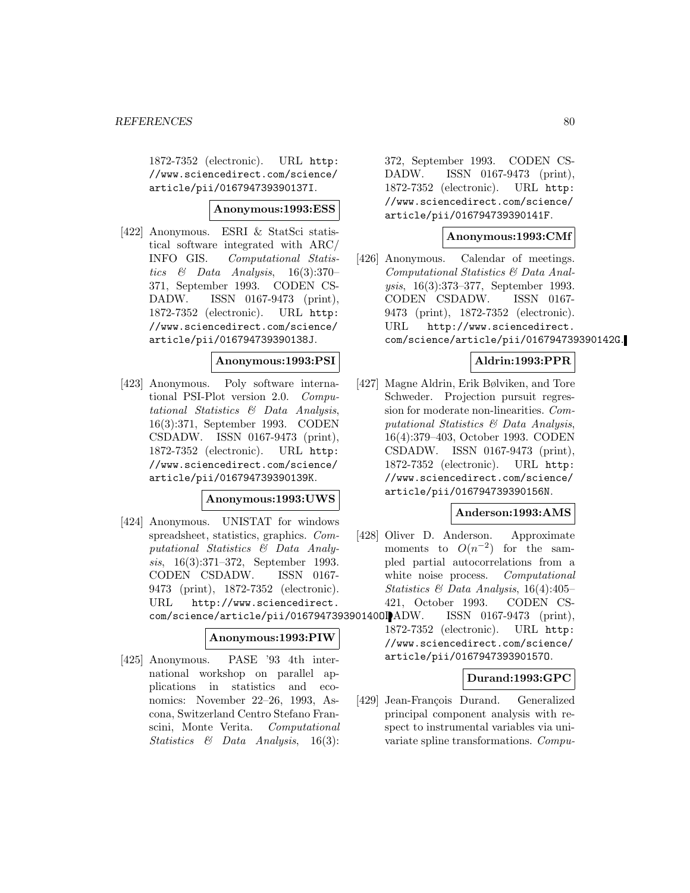1872-7352 (electronic). URL http: //www.sciencedirect.com/science/ article/pii/016794739390137I.

### **Anonymous:1993:ESS**

[422] Anonymous. ESRI & StatSci statistical software integrated with ARC/ INFO GIS. Computational Statistics & Data Analysis,  $16(3):370-$ 371, September 1993. CODEN CS-DADW. ISSN 0167-9473 (print), 1872-7352 (electronic). URL http: //www.sciencedirect.com/science/ article/pii/016794739390138J.

#### **Anonymous:1993:PSI**

[423] Anonymous. Poly software international PSI-Plot version 2.0. Computational Statistics & Data Analysis, 16(3):371, September 1993. CODEN CSDADW. ISSN 0167-9473 (print), 1872-7352 (electronic). URL http: //www.sciencedirect.com/science/ article/pii/016794739390139K.

## **Anonymous:1993:UWS**

[424] Anonymous. UNISTAT for windows spreadsheet, statistics, graphics. Computational Statistics & Data Analysis, 16(3):371–372, September 1993. CODEN CSDADW. ISSN 0167- 9473 (print), 1872-7352 (electronic). URL http://www.sciencedirect. com/science/article/pii/0167947393901400IADW.

## **Anonymous:1993:PIW**

[425] Anonymous. PASE '93 4th international workshop on parallel applications in statistics and economics: November 22–26, 1993, Ascona, Switzerland Centro Stefano Franscini, Monte Verita. Computational Statistics & Data Analysis, 16(3):

372, September 1993. CODEN CS-DADW. ISSN 0167-9473 (print), 1872-7352 (electronic). URL http: //www.sciencedirect.com/science/ article/pii/016794739390141F.

## **Anonymous:1993:CMf**

[426] Anonymous. Calendar of meetings. Computational Statistics & Data Analysis, 16(3):373–377, September 1993. CODEN CSDADW. ISSN 0167- 9473 (print), 1872-7352 (electronic). URL http://www.sciencedirect. com/science/article/pii/016794739390142G.

## **Aldrin:1993:PPR**

[427] Magne Aldrin, Erik Bølviken, and Tore Schweder. Projection pursuit regression for moderate non-linearities. Computational Statistics & Data Analysis, 16(4):379–403, October 1993. CODEN CSDADW. ISSN 0167-9473 (print), 1872-7352 (electronic). URL http: //www.sciencedirect.com/science/ article/pii/016794739390156N.

### **Anderson:1993:AMS**

- [428] Oliver D. Anderson. Approximate moments to  $O(n^{-2})$  for the sampled partial autocorrelations from a white noise process. Computational Statistics & Data Analysis, 16(4):405– 421, October 1993. CODEN CS-ISSN 0167-9473 (print),
	- 1872-7352 (electronic). URL http: //www.sciencedirect.com/science/ article/pii/016794739390157O.

## **Durand:1993:GPC**

[429] Jean-François Durand. Generalized principal component analysis with respect to instrumental variables via univariate spline transformations. Compu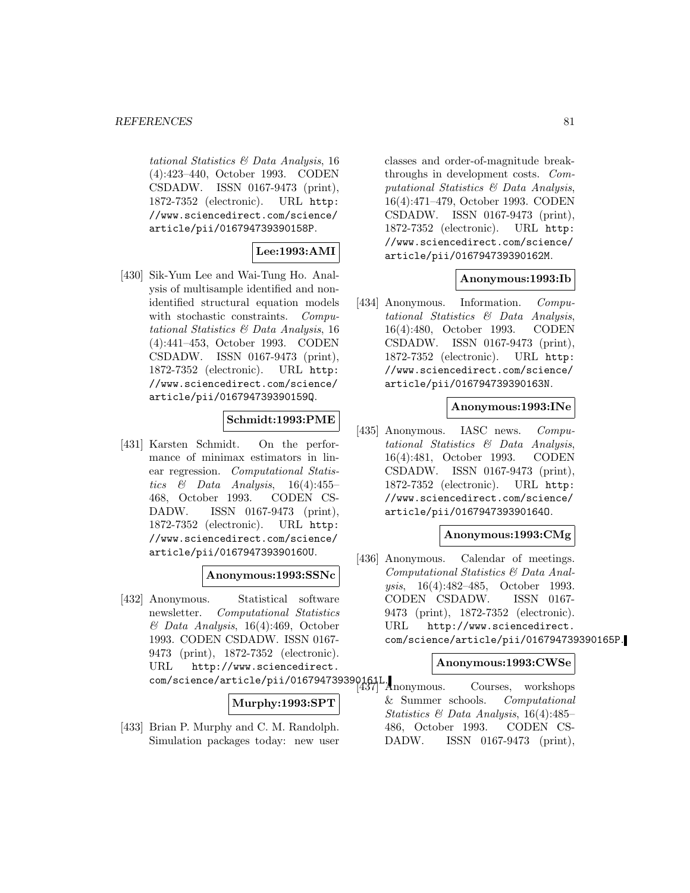tational Statistics & Data Analysis, 16 (4):423–440, October 1993. CODEN CSDADW. ISSN 0167-9473 (print), 1872-7352 (electronic). URL http: //www.sciencedirect.com/science/ article/pii/016794739390158P.

## **Lee:1993:AMI**

[430] Sik-Yum Lee and Wai-Tung Ho. Analysis of multisample identified and nonidentified structural equation models with stochastic constraints. Computational Statistics & Data Analysis, 16 (4):441–453, October 1993. CODEN CSDADW. ISSN 0167-9473 (print), 1872-7352 (electronic). URL http: //www.sciencedirect.com/science/ article/pii/016794739390159Q.

## **Schmidt:1993:PME**

[431] Karsten Schmidt. On the performance of minimax estimators in linear regression. Computational Statistics  $\&$  Data Analysis, 16(4):455– 468, October 1993. CODEN CS-DADW. ISSN 0167-9473 (print), 1872-7352 (electronic). URL http: //www.sciencedirect.com/science/ article/pii/016794739390160U.

## **Anonymous:1993:SSNc**

[432] Anonymous. Statistical software newsletter. Computational Statistics & Data Analysis, 16(4):469, October 1993. CODEN CSDADW. ISSN 0167- 9473 (print), 1872-7352 (electronic). URL http://www.sciencedirect.

#### **Murphy:1993:SPT**

[433] Brian P. Murphy and C. M. Randolph. Simulation packages today: new user

classes and order-of-magnitude breakthroughs in development costs. Computational Statistics & Data Analysis, 16(4):471–479, October 1993. CODEN CSDADW. ISSN 0167-9473 (print), 1872-7352 (electronic). URL http: //www.sciencedirect.com/science/ article/pii/016794739390162M.

#### **Anonymous:1993:Ib**

[434] Anonymous. Information. Computational Statistics & Data Analysis, 16(4):480, October 1993. CODEN CSDADW. ISSN 0167-9473 (print), 1872-7352 (electronic). URL http: //www.sciencedirect.com/science/ article/pii/016794739390163N.

## **Anonymous:1993:INe**

[435] Anonymous. IASC news. *Compu*tational Statistics & Data Analysis, 16(4):481, October 1993. CODEN CSDADW. ISSN 0167-9473 (print), 1872-7352 (electronic). URL http: //www.sciencedirect.com/science/ article/pii/016794739390164O.

## **Anonymous:1993:CMg**

[436] Anonymous. Calendar of meetings. Computational Statistics & Data Analysis, 16(4):482–485, October 1993. CODEN CSDADW. ISSN 0167- 9473 (print), 1872-7352 (electronic). URL http://www.sciencedirect. com/science/article/pii/016794739390165P.

#### **Anonymous:1993:CWSe**

com/science/article/pii/016794739390161L. [437] Anonymous. Courses, workshops & Summer schools. Computational Statistics & Data Analysis, 16(4):485– 486, October 1993. CODEN CS-DADW. ISSN 0167-9473 (print),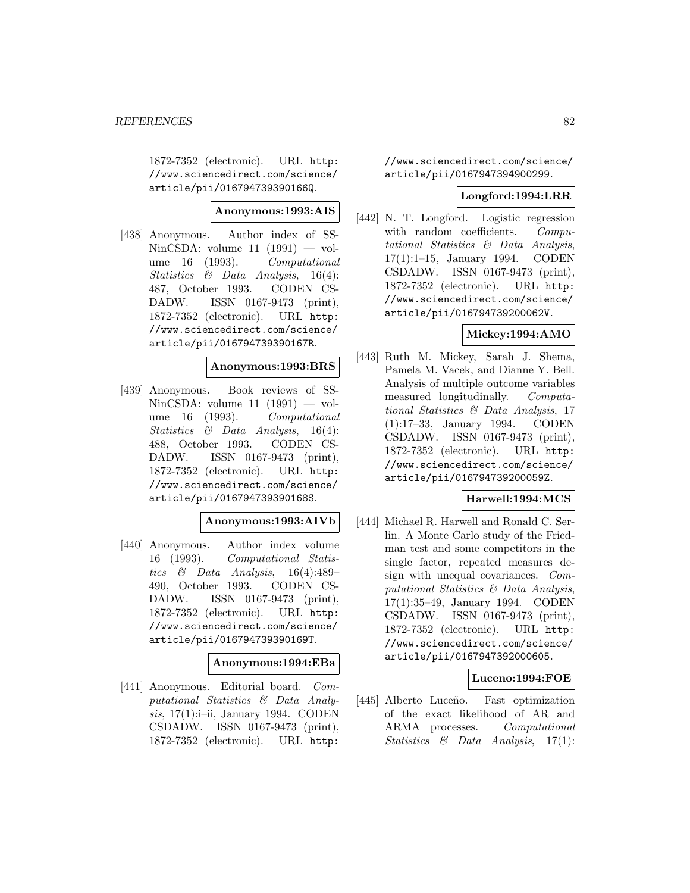1872-7352 (electronic). URL http: //www.sciencedirect.com/science/ article/pii/016794739390166Q.

## **Anonymous:1993:AIS**

[438] Anonymous. Author index of SS-NinCSDA: volume  $11$   $(1991)$  — volume 16 (1993). Computational Statistics & Data Analysis, 16(4): 487, October 1993. CODEN CS-DADW. ISSN 0167-9473 (print), 1872-7352 (electronic). URL http: //www.sciencedirect.com/science/ article/pii/016794739390167R.

#### **Anonymous:1993:BRS**

[439] Anonymous. Book reviews of SS-NinCSDA: volume  $11$   $(1991)$  — volume 16 (1993). Computational Statistics & Data Analysis, 16(4): 488, October 1993. CODEN CS-DADW. ISSN 0167-9473 (print), 1872-7352 (electronic). URL http: //www.sciencedirect.com/science/ article/pii/016794739390168S.

## **Anonymous:1993:AIVb**

[440] Anonymous. Author index volume 16 (1993). Computational Statistics  $\&$  Data Analysis, 16(4):489– 490, October 1993. CODEN CS-DADW. ISSN 0167-9473 (print), 1872-7352 (electronic). URL http: //www.sciencedirect.com/science/ article/pii/016794739390169T.

### **Anonymous:1994:EBa**

[441] Anonymous. Editorial board. Computational Statistics & Data Analysis, 17(1):i-ii, January 1994. CODEN CSDADW. ISSN 0167-9473 (print), 1872-7352 (electronic). URL http:

//www.sciencedirect.com/science/ article/pii/0167947394900299.

#### **Longford:1994:LRR**

[442] N. T. Longford. Logistic regression with random coefficients. Computational Statistics & Data Analysis, 17(1):1–15, January 1994. CODEN CSDADW. ISSN 0167-9473 (print), 1872-7352 (electronic). URL http: //www.sciencedirect.com/science/ article/pii/016794739200062V.

## **Mickey:1994:AMO**

[443] Ruth M. Mickey, Sarah J. Shema, Pamela M. Vacek, and Dianne Y. Bell. Analysis of multiple outcome variables measured longitudinally. Computational Statistics & Data Analysis, 17 (1):17–33, January 1994. CODEN CSDADW. ISSN 0167-9473 (print), 1872-7352 (electronic). URL http: //www.sciencedirect.com/science/ article/pii/016794739200059Z.

## **Harwell:1994:MCS**

[444] Michael R. Harwell and Ronald C. Serlin. A Monte Carlo study of the Friedman test and some competitors in the single factor, repeated measures design with unequal covariances. Computational Statistics & Data Analysis, 17(1):35–49, January 1994. CODEN CSDADW. ISSN 0167-9473 (print), 1872-7352 (electronic). URL http: //www.sciencedirect.com/science/ article/pii/0167947392000605.

#### **Luceno:1994:FOE**

[445] Alberto Luceño. Fast optimization of the exact likelihood of AR and ARMA processes. Computational Statistics & Data Analysis, 17(1):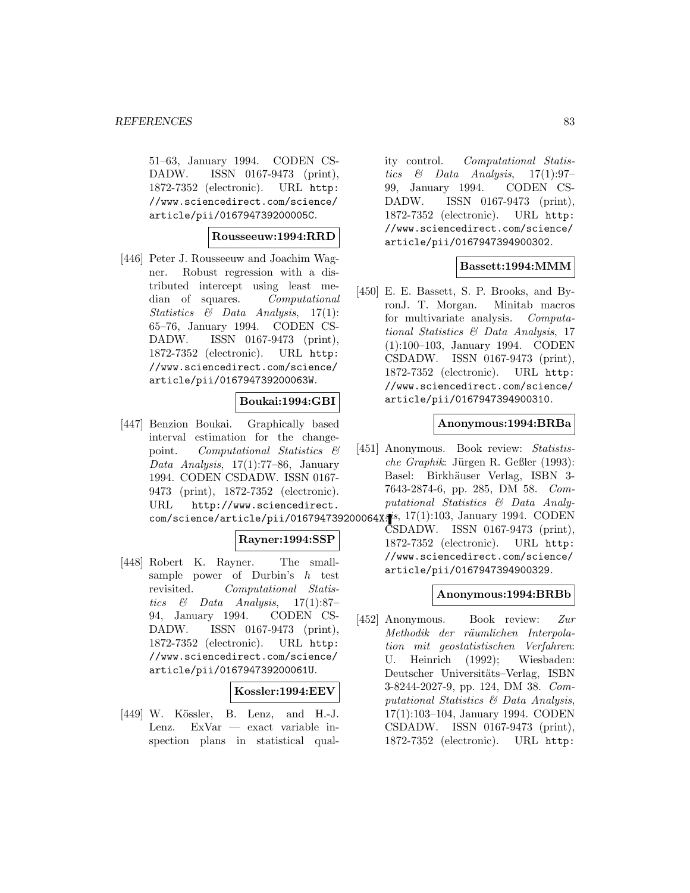51–63, January 1994. CODEN CS-DADW. ISSN 0167-9473 (print), 1872-7352 (electronic). URL http: //www.sciencedirect.com/science/ article/pii/016794739200005C.

## **Rousseeuw:1994:RRD**

[446] Peter J. Rousseeuw and Joachim Wagner. Robust regression with a distributed intercept using least median of squares. Computational Statistics & Data Analysis, 17(1): 65–76, January 1994. CODEN CS-DADW. ISSN 0167-9473 (print), 1872-7352 (electronic). URL http: //www.sciencedirect.com/science/ article/pii/016794739200063W.

## **Boukai:1994:GBI**

[447] Benzion Boukai. Graphically based interval estimation for the changepoint. Computational Statistics & Data Analysis,  $17(1)$ :77–86, January 1994. CODEN CSDADW. ISSN 0167- 9473 (print), 1872-7352 (electronic). URL http://www.sciencedirect.

## **Rayner:1994:SSP**

[448] Robert K. Rayner. The smallsample power of Durbin's  $h$  test revisited. Computational Statistics  $\&$  Data Analysis, 17(1):87– 94, January 1994. CODEN CS-DADW. ISSN 0167-9473 (print), 1872-7352 (electronic). URL http: //www.sciencedirect.com/science/ article/pii/016794739200061U.

## **Kossler:1994:EEV**

[449] W. Kössler, B. Lenz, and H.-J. Lenz. ExVar — exact variable inspection plans in statistical qual-

ity control. Computational Statistics  $\&$  Data Analysis, 17(1):97-99, January 1994. CODEN CS-DADW. ISSN 0167-9473 (print), 1872-7352 (electronic). URL http: //www.sciencedirect.com/science/ article/pii/0167947394900302.

## **Bassett:1994:MMM**

[450] E. E. Bassett, S. P. Brooks, and ByronJ. T. Morgan. Minitab macros for multivariate analysis. Computational Statistics & Data Analysis, 17 (1):100–103, January 1994. CODEN CSDADW. ISSN 0167-9473 (print), 1872-7352 (electronic). URL http: //www.sciencedirect.com/science/ article/pii/0167947394900310.

#### **Anonymous:1994:BRBa**

- [451] Anonymous. Book review: Statistis $che Graphik: Jürgen R. Geßler (1993):$ Basel: Birkhäuser Verlag, ISBN 3-7643-2874-6, pp. 285, DM 58. Computational Statistics & Data Analy-
- com/science/article/pii/016794739200064X. i, 17(1):103, January 1994. CODEN CSDADW. ISSN 0167-9473 (print), 1872-7352 (electronic). URL http: //www.sciencedirect.com/science/ article/pii/0167947394900329.

## **Anonymous:1994:BRBb**

[452] Anonymous. Book review: Zur Methodik der räumlichen Interpolation mit geostatistischen Verfahren: U. Heinrich (1992); Wiesbaden: Deutscher Universitäts–Verlag, ISBN 3-8244-2027-9, pp. 124, DM 38. Computational Statistics & Data Analysis, 17(1):103–104, January 1994. CODEN CSDADW. ISSN 0167-9473 (print), 1872-7352 (electronic). URL http: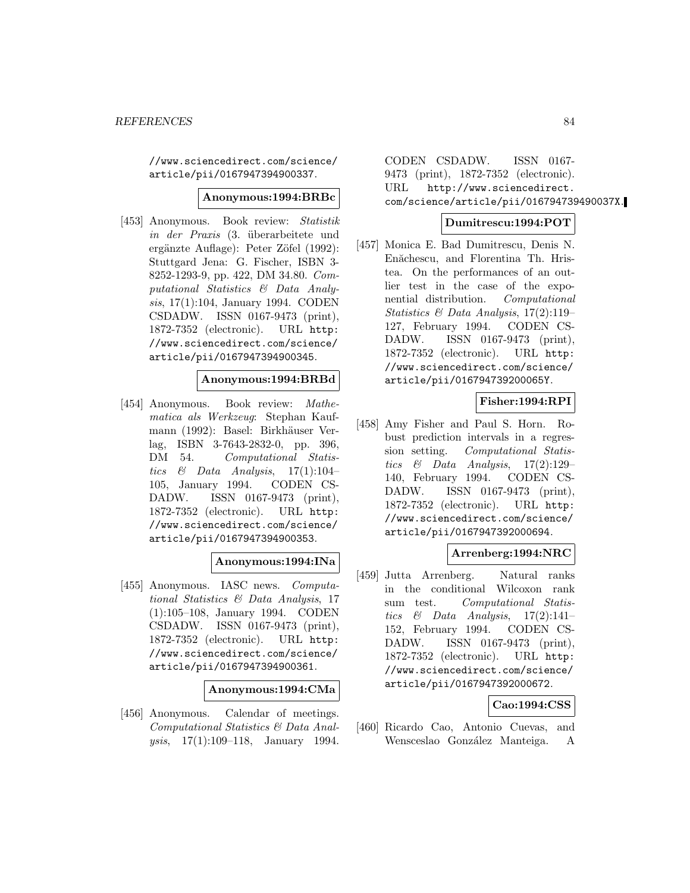//www.sciencedirect.com/science/ article/pii/0167947394900337.

### **Anonymous:1994:BRBc**

[453] Anonymous. Book review: Statistik in der Praxis (3. überarbeitete und ergänzte Auflage): Peter Zöfel (1992): Stuttgard Jena: G. Fischer, ISBN 3- 8252-1293-9, pp. 422, DM 34.80. Computational Statistics & Data Analysis, 17(1):104, January 1994. CODEN CSDADW. ISSN 0167-9473 (print), 1872-7352 (electronic). URL http: //www.sciencedirect.com/science/ article/pii/0167947394900345.

#### **Anonymous:1994:BRBd**

[454] Anonymous. Book review: Mathematica als Werkzeug: Stephan Kaufmann (1992): Basel: Birkhäuser Verlag, ISBN 3-7643-2832-0, pp. 396, DM 54. Computational Statistics  $\&$  Data Analysis, 17(1):104– 105, January 1994. CODEN CS-DADW. ISSN 0167-9473 (print), 1872-7352 (electronic). URL http: //www.sciencedirect.com/science/ article/pii/0167947394900353.

## **Anonymous:1994:INa**

[455] Anonymous. IASC news. Computational Statistics & Data Analysis, 17 (1):105–108, January 1994. CODEN CSDADW. ISSN 0167-9473 (print), 1872-7352 (electronic). URL http: //www.sciencedirect.com/science/ article/pii/0167947394900361.

#### **Anonymous:1994:CMa**

[456] Anonymous. Calendar of meetings. Computational Statistics & Data Analysis, 17(1):109–118, January 1994.

CODEN CSDADW. ISSN 0167- 9473 (print), 1872-7352 (electronic). URL http://www.sciencedirect. com/science/article/pii/016794739490037X.

## **Dumitrescu:1994:POT**

[457] Monica E. Bad Dumitrescu, Denis N. Enăchescu, and Florentina Th. Hristea. On the performances of an outlier test in the case of the exponential distribution. Computational Statistics & Data Analysis, 17(2):119– 127, February 1994. CODEN CS-DADW. ISSN 0167-9473 (print), 1872-7352 (electronic). URL http: //www.sciencedirect.com/science/ article/pii/016794739200065Y.

## **Fisher:1994:RPI**

[458] Amy Fisher and Paul S. Horn. Robust prediction intervals in a regression setting. Computational Statistics  $\&$  Data Analysis, 17(2):129– 140, February 1994. CODEN CS-DADW. ISSN 0167-9473 (print), 1872-7352 (electronic). URL http: //www.sciencedirect.com/science/ article/pii/0167947392000694.

## **Arrenberg:1994:NRC**

[459] Jutta Arrenberg. Natural ranks in the conditional Wilcoxon rank sum test. Computational Statistics  $\&$  Data Analysis, 17(2):141– 152, February 1994. CODEN CS-DADW. ISSN 0167-9473 (print), 1872-7352 (electronic). URL http: //www.sciencedirect.com/science/ article/pii/0167947392000672.

## **Cao:1994:CSS**

[460] Ricardo Cao, Antonio Cuevas, and Wensceslao González Manteiga. A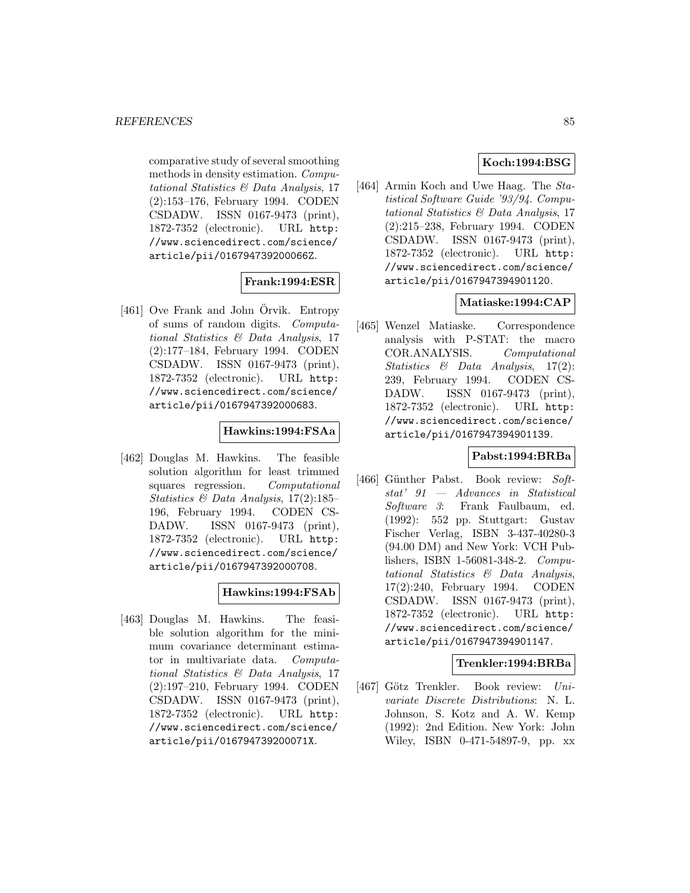comparative study of several smoothing methods in density estimation. Computational Statistics & Data Analysis, 17 (2):153–176, February 1994. CODEN CSDADW. ISSN 0167-9473 (print), 1872-7352 (electronic). URL http: //www.sciencedirect.com/science/ article/pii/016794739200066Z.

## **Frank:1994:ESR**

[461] Ove Frank and John Örvik. Entropy of sums of random digits. Computational Statistics & Data Analysis, 17 (2):177–184, February 1994. CODEN CSDADW. ISSN 0167-9473 (print), 1872-7352 (electronic). URL http: //www.sciencedirect.com/science/ article/pii/0167947392000683.

## **Hawkins:1994:FSAa**

[462] Douglas M. Hawkins. The feasible solution algorithm for least trimmed squares regression. Computational Statistics & Data Analysis, 17(2):185– 196, February 1994. CODEN CS-DADW. ISSN 0167-9473 (print), 1872-7352 (electronic). URL http: //www.sciencedirect.com/science/ article/pii/0167947392000708.

## **Hawkins:1994:FSAb**

[463] Douglas M. Hawkins. The feasible solution algorithm for the minimum covariance determinant estimator in multivariate data. Computational Statistics & Data Analysis, 17 (2):197–210, February 1994. CODEN CSDADW. ISSN 0167-9473 (print), 1872-7352 (electronic). URL http: //www.sciencedirect.com/science/ article/pii/016794739200071X.

## **Koch:1994:BSG**

[464] Armin Koch and Uwe Haag. The Statistical Software Guide '93/94. Computational Statistics & Data Analysis, 17 (2):215–238, February 1994. CODEN CSDADW. ISSN 0167-9473 (print), 1872-7352 (electronic). URL http: //www.sciencedirect.com/science/ article/pii/0167947394901120.

## **Matiaske:1994:CAP**

[465] Wenzel Matiaske. Correspondence analysis with P-STAT: the macro COR.ANALYSIS. Computational Statistics & Data Analysis, 17(2): 239, February 1994. CODEN CS-DADW. ISSN 0167-9473 (print), 1872-7352 (electronic). URL http: //www.sciencedirect.com/science/ article/pii/0167947394901139.

## **Pabst:1994:BRBa**

[466] Günther Pabst. Book review: Softstat' 91 — Advances in Statistical Software 3: Frank Faulbaum, ed. (1992): 552 pp. Stuttgart: Gustav Fischer Verlag, ISBN 3-437-40280-3 (94.00 DM) and New York: VCH Publishers, ISBN 1-56081-348-2. Computational Statistics & Data Analysis, 17(2):240, February 1994. CODEN CSDADW. ISSN 0167-9473 (print), 1872-7352 (electronic). URL http: //www.sciencedirect.com/science/ article/pii/0167947394901147.

#### **Trenkler:1994:BRBa**

[467] Götz Trenkler. Book review: Univariate Discrete Distributions: N. L. Johnson, S. Kotz and A. W. Kemp (1992): 2nd Edition. New York: John Wiley, ISBN 0-471-54897-9, pp. xx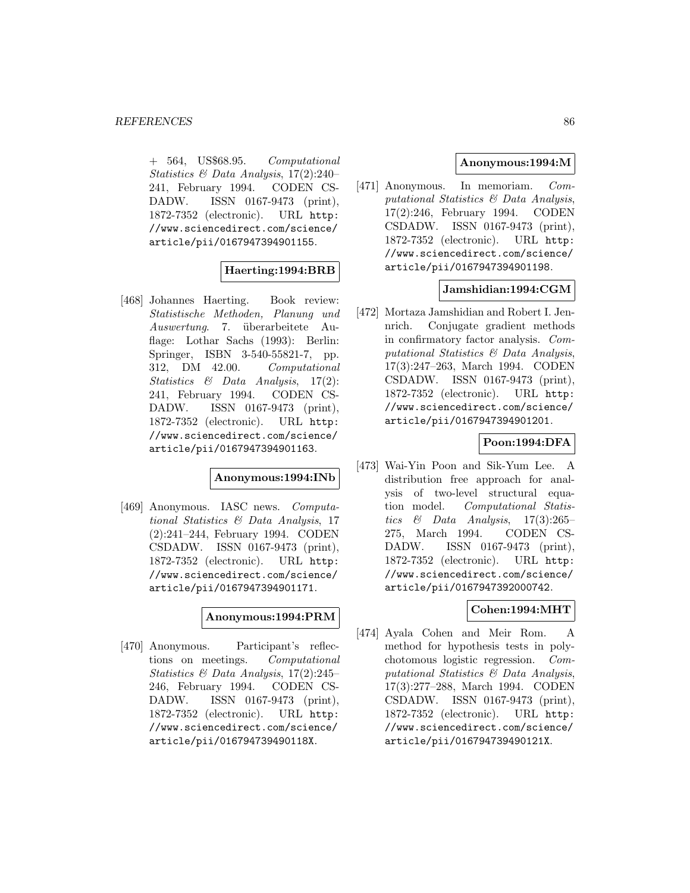$+$  564, US\$68.95. Computational Statistics & Data Analysis, 17(2):240– 241, February 1994. CODEN CS-DADW. ISSN 0167-9473 (print), 1872-7352 (electronic). URL http: //www.sciencedirect.com/science/ article/pii/0167947394901155.

## **Haerting:1994:BRB**

[468] Johannes Haerting. Book review: Statistische Methoden, Planung und Auswertung. 7. überarbeitete Auflage: Lothar Sachs (1993): Berlin: Springer, ISBN 3-540-55821-7, pp. 312, DM 42.00. Computational Statistics & Data Analysis, 17(2): 241, February 1994. CODEN CS-DADW. ISSN 0167-9473 (print), 1872-7352 (electronic). URL http: //www.sciencedirect.com/science/ article/pii/0167947394901163.

## **Anonymous:1994:INb**

[469] Anonymous. IASC news. Computational Statistics & Data Analysis, 17 (2):241–244, February 1994. CODEN CSDADW. ISSN 0167-9473 (print), 1872-7352 (electronic). URL http: //www.sciencedirect.com/science/ article/pii/0167947394901171.

## **Anonymous:1994:PRM**

[470] Anonymous. Participant's reflections on meetings. Computational Statistics & Data Analysis, 17(2):245– 246, February 1994. CODEN CS-DADW. ISSN 0167-9473 (print), 1872-7352 (electronic). URL http: //www.sciencedirect.com/science/ article/pii/016794739490118X.

## **Anonymous:1994:M**

[471] Anonymous. In memoriam. Computational Statistics & Data Analysis, 17(2):246, February 1994. CODEN CSDADW. ISSN 0167-9473 (print), 1872-7352 (electronic). URL http: //www.sciencedirect.com/science/ article/pii/0167947394901198.

## **Jamshidian:1994:CGM**

[472] Mortaza Jamshidian and Robert I. Jennrich. Conjugate gradient methods in confirmatory factor analysis. Computational Statistics & Data Analysis, 17(3):247–263, March 1994. CODEN CSDADW. ISSN 0167-9473 (print), 1872-7352 (electronic). URL http: //www.sciencedirect.com/science/ article/pii/0167947394901201.

## **Poon:1994:DFA**

[473] Wai-Yin Poon and Sik-Yum Lee. A distribution free approach for analysis of two-level structural equation model. Computational Statistics  $\&$  Data Analysis, 17(3):265– 275, March 1994. CODEN CS-DADW. ISSN 0167-9473 (print), 1872-7352 (electronic). URL http: //www.sciencedirect.com/science/ article/pii/0167947392000742.

## **Cohen:1994:MHT**

[474] Ayala Cohen and Meir Rom. A method for hypothesis tests in polychotomous logistic regression. Computational Statistics & Data Analysis, 17(3):277–288, March 1994. CODEN CSDADW. ISSN 0167-9473 (print), 1872-7352 (electronic). URL http: //www.sciencedirect.com/science/ article/pii/016794739490121X.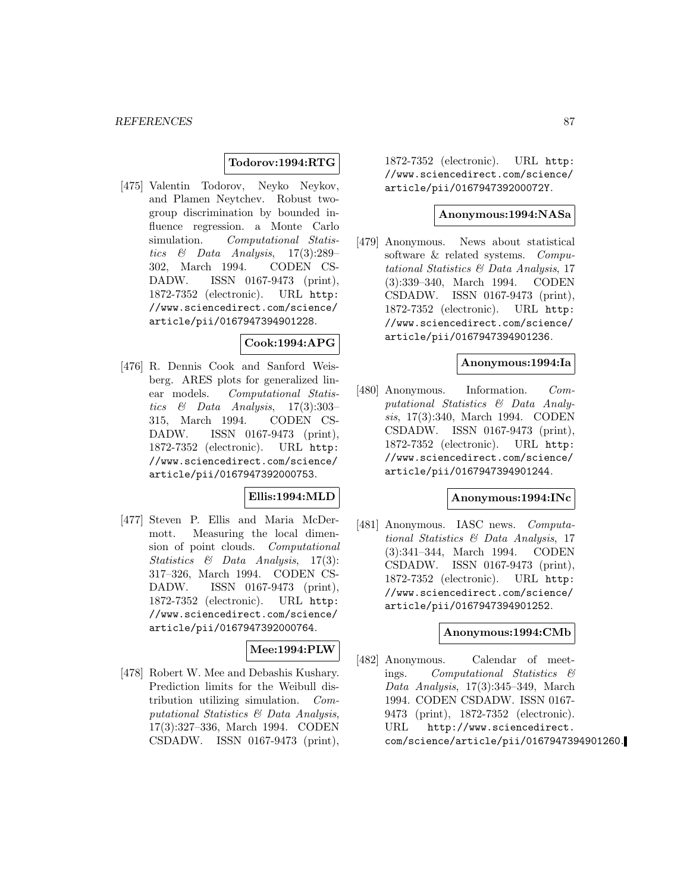### **Todorov:1994:RTG**

[475] Valentin Todorov, Neyko Neykov, and Plamen Neytchev. Robust twogroup discrimination by bounded influence regression. a Monte Carlo simulation. Computational Statistics & Data Analysis, 17(3):289– 302, March 1994. CODEN CS-DADW. ISSN 0167-9473 (print), 1872-7352 (electronic). URL http: //www.sciencedirect.com/science/ article/pii/0167947394901228.

## **Cook:1994:APG**

[476] R. Dennis Cook and Sanford Weisberg. ARES plots for generalized linear models. Computational Statistics  $\&$  Data Analysis, 17(3):303– 315, March 1994. CODEN CS-DADW. ISSN 0167-9473 (print), 1872-7352 (electronic). URL http: //www.sciencedirect.com/science/ article/pii/0167947392000753.

## **Ellis:1994:MLD**

[477] Steven P. Ellis and Maria McDermott. Measuring the local dimension of point clouds. Computational Statistics & Data Analysis, 17(3): 317–326, March 1994. CODEN CS-DADW. ISSN 0167-9473 (print), 1872-7352 (electronic). URL http: //www.sciencedirect.com/science/ article/pii/0167947392000764.

## **Mee:1994:PLW**

[478] Robert W. Mee and Debashis Kushary. Prediction limits for the Weibull distribution utilizing simulation. Computational Statistics & Data Analysis, 17(3):327–336, March 1994. CODEN CSDADW. ISSN 0167-9473 (print),

1872-7352 (electronic). URL http: //www.sciencedirect.com/science/ article/pii/016794739200072Y.

### **Anonymous:1994:NASa**

[479] Anonymous. News about statistical software & related systems. Computational Statistics & Data Analysis, 17 (3):339–340, March 1994. CODEN CSDADW. ISSN 0167-9473 (print), 1872-7352 (electronic). URL http: //www.sciencedirect.com/science/ article/pii/0167947394901236.

#### **Anonymous:1994:Ia**

[480] Anonymous. Information. Computational Statistics & Data Analysis, 17(3):340, March 1994. CODEN CSDADW. ISSN 0167-9473 (print), 1872-7352 (electronic). URL http: //www.sciencedirect.com/science/ article/pii/0167947394901244.

#### **Anonymous:1994:INc**

[481] Anonymous. IASC news. *Computa*tional Statistics & Data Analysis, 17 (3):341–344, March 1994. CODEN CSDADW. ISSN 0167-9473 (print), 1872-7352 (electronic). URL http: //www.sciencedirect.com/science/ article/pii/0167947394901252.

## **Anonymous:1994:CMb**

[482] Anonymous. Calendar of meetings. Computational Statistics & Data Analysis, 17(3):345–349, March 1994. CODEN CSDADW. ISSN 0167- 9473 (print), 1872-7352 (electronic). URL http://www.sciencedirect. com/science/article/pii/0167947394901260.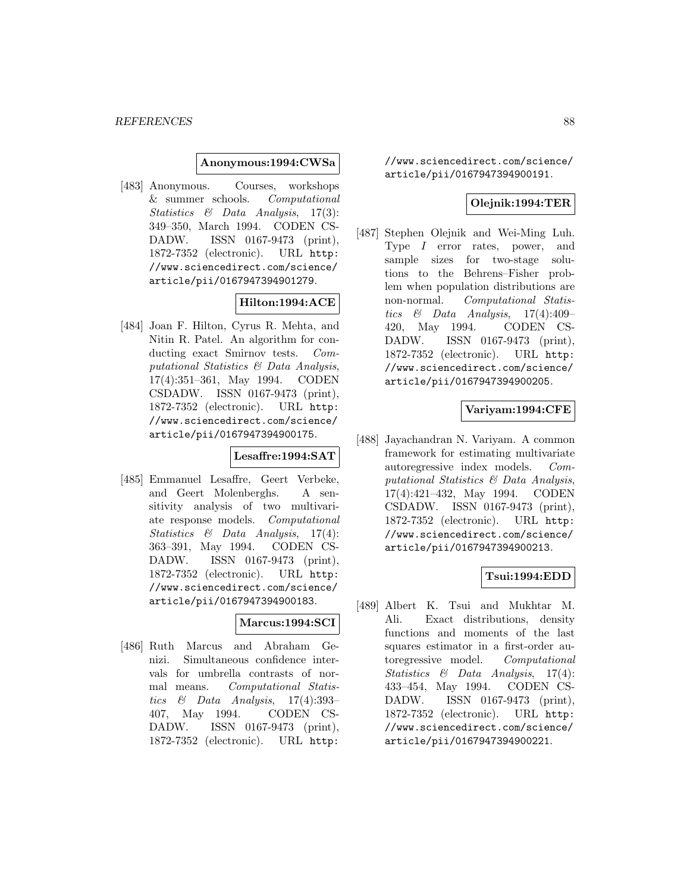#### **Anonymous:1994:CWSa**

[483] Anonymous. Courses, workshops & summer schools. Computational Statistics & Data Analysis, 17(3): 349–350, March 1994. CODEN CS-DADW. ISSN 0167-9473 (print), 1872-7352 (electronic). URL http: //www.sciencedirect.com/science/ article/pii/0167947394901279.

## **Hilton:1994:ACE**

[484] Joan F. Hilton, Cyrus R. Mehta, and Nitin R. Patel. An algorithm for conducting exact Smirnov tests. Computational Statistics & Data Analysis, 17(4):351–361, May 1994. CODEN CSDADW. ISSN 0167-9473 (print), 1872-7352 (electronic). URL http: //www.sciencedirect.com/science/ article/pii/0167947394900175.

## **Lesaffre:1994:SAT**

[485] Emmanuel Lesaffre, Geert Verbeke, and Geert Molenberghs. A sensitivity analysis of two multivariate response models. Computational Statistics & Data Analysis, 17(4): 363–391, May 1994. CODEN CS-DADW. ISSN 0167-9473 (print), 1872-7352 (electronic). URL http: //www.sciencedirect.com/science/ article/pii/0167947394900183.

## **Marcus:1994:SCI**

[486] Ruth Marcus and Abraham Genizi. Simultaneous confidence intervals for umbrella contrasts of normal means. Computational Statistics & Data Analysis, 17(4):393– 407, May 1994. CODEN CS-DADW. ISSN 0167-9473 (print), 1872-7352 (electronic). URL http:

//www.sciencedirect.com/science/ article/pii/0167947394900191.

## **Olejnik:1994:TER**

[487] Stephen Olejnik and Wei-Ming Luh. Type I error rates, power, and sample sizes for two-stage solutions to the Behrens–Fisher problem when population distributions are non-normal. Computational Statistics & Data Analysis,  $17(4):409-$ 420, May 1994. CODEN CS-DADW. ISSN 0167-9473 (print), 1872-7352 (electronic). URL http: //www.sciencedirect.com/science/ article/pii/0167947394900205.

## **Variyam:1994:CFE**

[488] Jayachandran N. Variyam. A common framework for estimating multivariate autoregressive index models. Computational Statistics & Data Analysis, 17(4):421–432, May 1994. CODEN CSDADW. ISSN 0167-9473 (print), 1872-7352 (electronic). URL http: //www.sciencedirect.com/science/ article/pii/0167947394900213.

## **Tsui:1994:EDD**

[489] Albert K. Tsui and Mukhtar M. Ali. Exact distributions, density functions and moments of the last squares estimator in a first-order autoregressive model. Computational Statistics & Data Analysis, 17(4): 433–454, May 1994. CODEN CS-DADW. ISSN 0167-9473 (print), 1872-7352 (electronic). URL http: //www.sciencedirect.com/science/ article/pii/0167947394900221.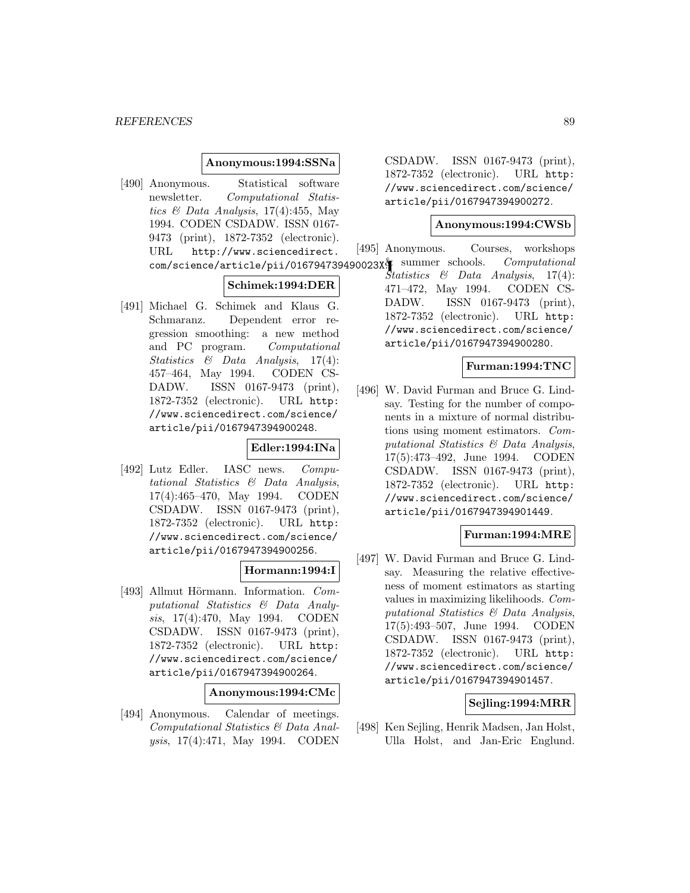#### **Anonymous:1994:SSNa**

[490] Anonymous. Statistical software newsletter. Computational Statistics & Data Analysis,  $17(4)$ :455, May 1994. CODEN CSDADW. ISSN 0167- 9473 (print), 1872-7352 (electronic). URL http://www.sciencedirect.

#### **Schimek:1994:DER**

[491] Michael G. Schimek and Klaus G. Schmaranz. Dependent error regression smoothing: a new method and PC program. Computational Statistics & Data Analysis, 17(4): 457–464, May 1994. CODEN CS-DADW. ISSN 0167-9473 (print), 1872-7352 (electronic). URL http: //www.sciencedirect.com/science/ article/pii/0167947394900248.

#### **Edler:1994:INa**

[492] Lutz Edler. IASC news. Computational Statistics & Data Analysis, 17(4):465–470, May 1994. CODEN CSDADW. ISSN 0167-9473 (print), 1872-7352 (electronic). URL http: //www.sciencedirect.com/science/ article/pii/0167947394900256.

## **Hormann:1994:I**

[493] Allmut Hörmann. Information. Computational Statistics & Data Analysis, 17(4):470, May 1994. CODEN CSDADW. ISSN 0167-9473 (print), 1872-7352 (electronic). URL http: //www.sciencedirect.com/science/ article/pii/0167947394900264.

#### **Anonymous:1994:CMc**

[494] Anonymous. Calendar of meetings. Computational Statistics & Data Analysis, 17(4):471, May 1994. CODEN

CSDADW. ISSN 0167-9473 (print), 1872-7352 (electronic). URL http: //www.sciencedirect.com/science/ article/pii/0167947394900272.

#### **Anonymous:1994:CWSb**

com/science/article/pii/016794739490023X. summer schools. Computational [495] Anonymous. Courses, workshops Statistics & Data Analysis, 17(4): 471–472, May 1994. CODEN CS-DADW. ISSN 0167-9473 (print), 1872-7352 (electronic). URL http: //www.sciencedirect.com/science/ article/pii/0167947394900280.

## **Furman:1994:TNC**

[496] W. David Furman and Bruce G. Lindsay. Testing for the number of components in a mixture of normal distributions using moment estimators. Computational Statistics & Data Analysis, 17(5):473–492, June 1994. CODEN CSDADW. ISSN 0167-9473 (print), 1872-7352 (electronic). URL http: //www.sciencedirect.com/science/ article/pii/0167947394901449.

## **Furman:1994:MRE**

[497] W. David Furman and Bruce G. Lindsay. Measuring the relative effectiveness of moment estimators as starting values in maximizing likelihoods. Computational Statistics & Data Analysis, 17(5):493–507, June 1994. CODEN CSDADW. ISSN 0167-9473 (print), 1872-7352 (electronic). URL http: //www.sciencedirect.com/science/ article/pii/0167947394901457.

## **Sejling:1994:MRR**

[498] Ken Sejling, Henrik Madsen, Jan Holst, Ulla Holst, and Jan-Eric Englund.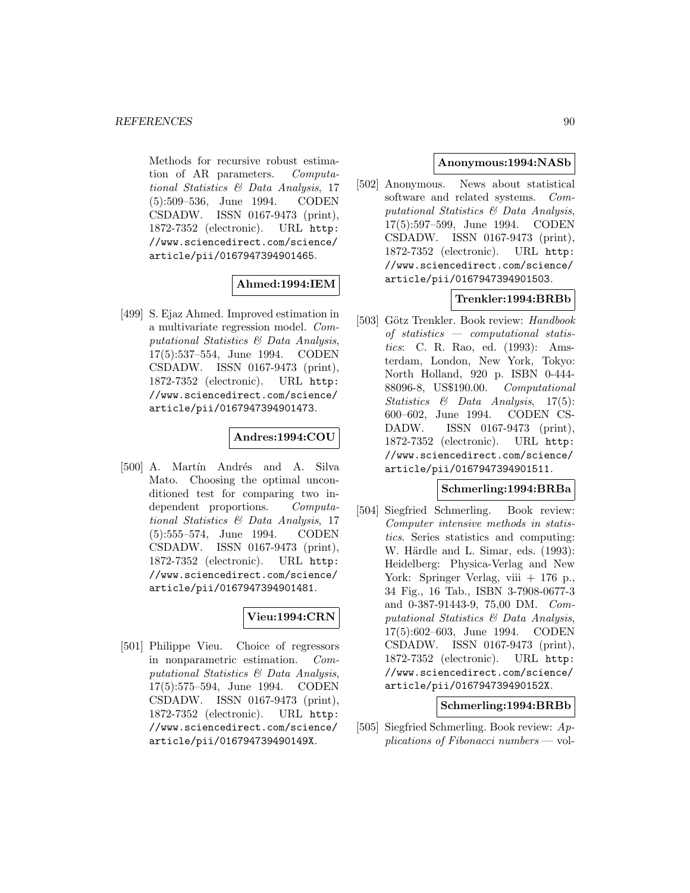Methods for recursive robust estimation of AR parameters. Computational Statistics & Data Analysis, 17 (5):509–536, June 1994. CODEN CSDADW. ISSN 0167-9473 (print), 1872-7352 (electronic). URL http: //www.sciencedirect.com/science/ article/pii/0167947394901465.

## **Ahmed:1994:IEM**

[499] S. Ejaz Ahmed. Improved estimation in a multivariate regression model. Computational Statistics & Data Analysis, 17(5):537–554, June 1994. CODEN CSDADW. ISSN 0167-9473 (print), 1872-7352 (electronic). URL http: //www.sciencedirect.com/science/ article/pii/0167947394901473.

## **Andres:1994:COU**

[500] A. Martín Andrés and A. Silva Mato. Choosing the optimal unconditioned test for comparing two independent proportions. Computational Statistics & Data Analysis, 17 (5):555–574, June 1994. CODEN CSDADW. ISSN 0167-9473 (print), 1872-7352 (electronic). URL http: //www.sciencedirect.com/science/ article/pii/0167947394901481.

## **Vieu:1994:CRN**

[501] Philippe Vieu. Choice of regressors in nonparametric estimation. Computational Statistics & Data Analysis, 17(5):575–594, June 1994. CODEN CSDADW. ISSN 0167-9473 (print), 1872-7352 (electronic). URL http: //www.sciencedirect.com/science/ article/pii/016794739490149X.

## **Anonymous:1994:NASb**

[502] Anonymous. News about statistical software and related systems. Computational Statistics & Data Analysis, 17(5):597–599, June 1994. CODEN CSDADW. ISSN 0167-9473 (print), 1872-7352 (electronic). URL http: //www.sciencedirect.com/science/ article/pii/0167947394901503.

## **Trenkler:1994:BRBb**

[503] Götz Trenkler. Book review: Handbook of statistics — computational statistics: C. R. Rao, ed. (1993): Amsterdam, London, New York, Tokyo: North Holland, 920 p. ISBN 0-444- 88096-8, US\$190.00. Computational Statistics & Data Analysis, 17(5): 600–602, June 1994. CODEN CS-DADW. ISSN 0167-9473 (print), 1872-7352 (electronic). URL http: //www.sciencedirect.com/science/ article/pii/0167947394901511.

### **Schmerling:1994:BRBa**

[504] Siegfried Schmerling. Book review: Computer intensive methods in statistics. Series statistics and computing: W. Härdle and L. Simar, eds. (1993): Heidelberg: Physica-Verlag and New York: Springer Verlag, viii + 176 p., 34 Fig., 16 Tab., ISBN 3-7908-0677-3 and 0-387-91443-9, 75,00 DM. Computational Statistics & Data Analysis, 17(5):602–603, June 1994. CODEN CSDADW. ISSN 0167-9473 (print), 1872-7352 (electronic). URL http: //www.sciencedirect.com/science/ article/pii/016794739490152X.

## **Schmerling:1994:BRBb**

[505] Siegfried Schmerling. Book review: Applications of Fibonacci numbers — vol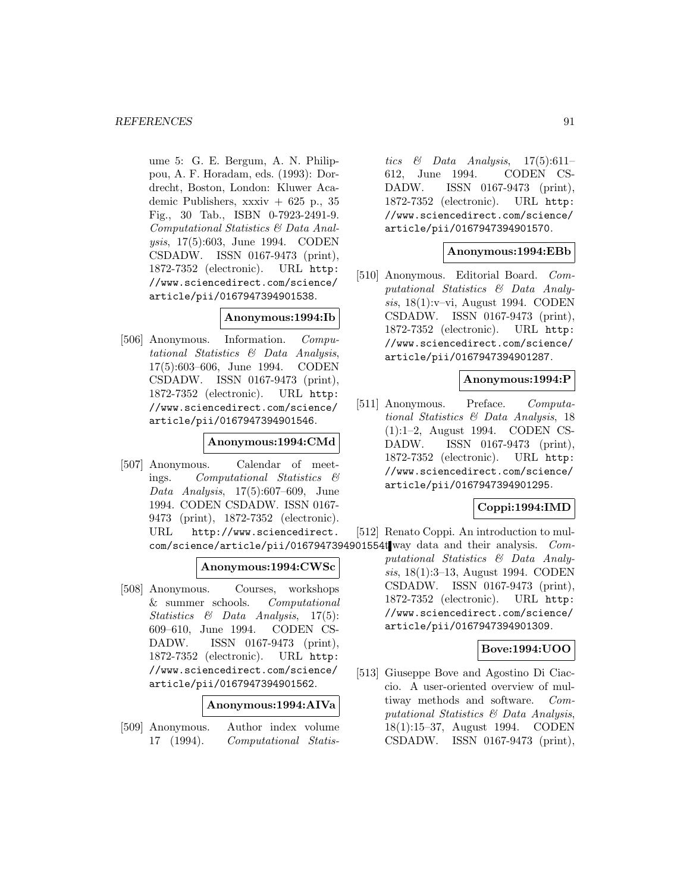ume 5: G. E. Bergum, A. N. Philippou, A. F. Horadam, eds. (1993): Dordrecht, Boston, London: Kluwer Academic Publishers,  $xxxiv + 625$  p., 35 Fig., 30 Tab., ISBN 0-7923-2491-9. Computational Statistics & Data Analysis, 17(5):603, June 1994. CODEN CSDADW. ISSN 0167-9473 (print), 1872-7352 (electronic). URL http: //www.sciencedirect.com/science/ article/pii/0167947394901538.

#### **Anonymous:1994:Ib**

[506] Anonymous. Information. Computational Statistics & Data Analysis, 17(5):603–606, June 1994. CODEN CSDADW. ISSN 0167-9473 (print), 1872-7352 (electronic). URL http: //www.sciencedirect.com/science/ article/pii/0167947394901546.

## **Anonymous:1994:CMd**

[507] Anonymous. Calendar of meetings. Computational Statistics & Data Analysis, 17(5):607–609, June 1994. CODEN CSDADW. ISSN 0167- 9473 (print), 1872-7352 (electronic). URL http://www.sciencedirect.

## **Anonymous:1994:CWSc**

[508] Anonymous. Courses, workshops & summer schools. Computational Statistics & Data Analysis, 17(5): 609–610, June 1994. CODEN CS-DADW. ISSN 0167-9473 (print), 1872-7352 (electronic). URL http: //www.sciencedirect.com/science/ article/pii/0167947394901562.

### **Anonymous:1994:AIVa**

[509] Anonymous. Author index volume 17 (1994). Computational Statis-

tics  $\&$  Data Analysis, 17(5):611– 612, June 1994. CODEN CS-DADW. ISSN 0167-9473 (print), 1872-7352 (electronic). URL http: //www.sciencedirect.com/science/ article/pii/0167947394901570.

#### **Anonymous:1994:EBb**

[510] Anonymous. Editorial Board. Computational Statistics & Data Analysis, 18(1):v–vi, August 1994. CODEN CSDADW. ISSN 0167-9473 (print), 1872-7352 (electronic). URL http: //www.sciencedirect.com/science/ article/pii/0167947394901287.

#### **Anonymous:1994:P**

[511] Anonymous. Preface. Computational Statistics & Data Analysis, 18 (1):1–2, August 1994. CODEN CS-DADW. ISSN 0167-9473 (print), 1872-7352 (electronic). URL http: //www.sciencedirect.com/science/ article/pii/0167947394901295.

## **Coppi:1994:IMD**

com/science/article/pii/0167947394901554tway data and their analysis. Com-[512] Renato Coppi. An introduction to mul-

putational Statistics & Data Analysis, 18(1):3–13, August 1994. CODEN CSDADW. ISSN 0167-9473 (print), 1872-7352 (electronic). URL http: //www.sciencedirect.com/science/ article/pii/0167947394901309.

## **Bove:1994:UOO**

[513] Giuseppe Bove and Agostino Di Ciaccio. A user-oriented overview of multiway methods and software. Computational Statistics & Data Analysis, 18(1):15–37, August 1994. CODEN CSDADW. ISSN 0167-9473 (print),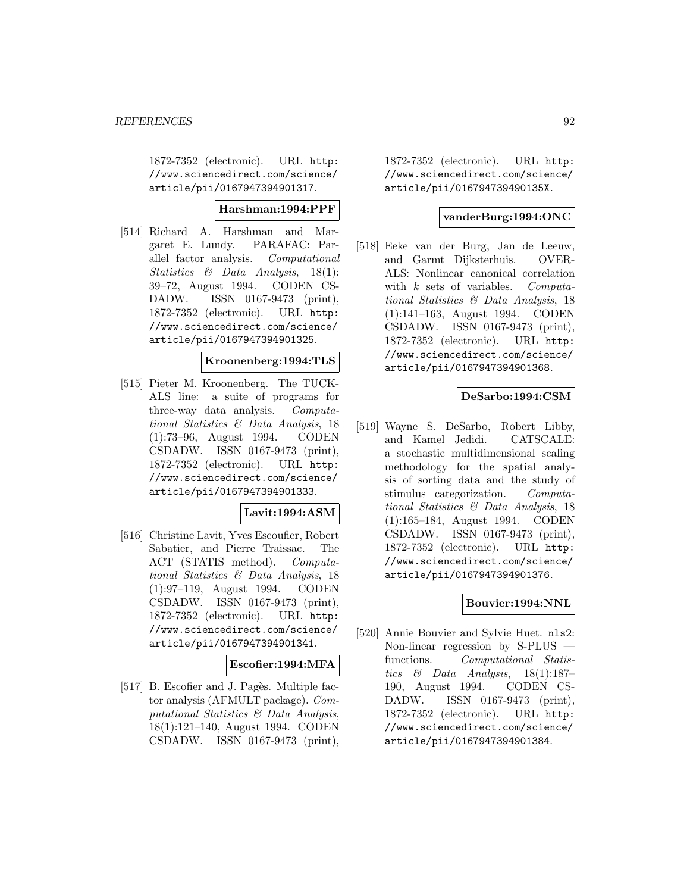1872-7352 (electronic). URL http: //www.sciencedirect.com/science/ article/pii/0167947394901317.

### **Harshman:1994:PPF**

[514] Richard A. Harshman and Margaret E. Lundy. PARAFAC: Parallel factor analysis. Computational Statistics & Data Analysis, 18(1): 39–72, August 1994. CODEN CS-DADW. ISSN 0167-9473 (print), 1872-7352 (electronic). URL http: //www.sciencedirect.com/science/ article/pii/0167947394901325.

## **Kroonenberg:1994:TLS**

[515] Pieter M. Kroonenberg. The TUCK-ALS line: a suite of programs for three-way data analysis. Computational Statistics & Data Analysis, 18 (1):73–96, August 1994. CODEN CSDADW. ISSN 0167-9473 (print), 1872-7352 (electronic). URL http: //www.sciencedirect.com/science/ article/pii/0167947394901333.

## **Lavit:1994:ASM**

[516] Christine Lavit, Yves Escoufier, Robert Sabatier, and Pierre Traissac. The ACT (STATIS method). Computational Statistics & Data Analysis, 18 (1):97–119, August 1994. CODEN CSDADW. ISSN 0167-9473 (print), 1872-7352 (electronic). URL http: //www.sciencedirect.com/science/ article/pii/0167947394901341.

#### **Escofier:1994:MFA**

[517] B. Escofier and J. Pagès. Multiple factor analysis (AFMULT package). Computational Statistics & Data Analysis, 18(1):121–140, August 1994. CODEN CSDADW. ISSN 0167-9473 (print),

1872-7352 (electronic). URL http: //www.sciencedirect.com/science/ article/pii/016794739490135X.

## **vanderBurg:1994:ONC**

[518] Eeke van der Burg, Jan de Leeuw, and Garmt Dijksterhuis. OVER-ALS: Nonlinear canonical correlation with  $k$  sets of variables. Computational Statistics & Data Analysis, 18 (1):141–163, August 1994. CODEN CSDADW. ISSN 0167-9473 (print), 1872-7352 (electronic). URL http: //www.sciencedirect.com/science/ article/pii/0167947394901368.

## **DeSarbo:1994:CSM**

[519] Wayne S. DeSarbo, Robert Libby, and Kamel Jedidi. CATSCALE: a stochastic multidimensional scaling methodology for the spatial analysis of sorting data and the study of stimulus categorization. Computational Statistics & Data Analysis, 18 (1):165–184, August 1994. CODEN CSDADW. ISSN 0167-9473 (print), 1872-7352 (electronic). URL http: //www.sciencedirect.com/science/ article/pii/0167947394901376.

## **Bouvier:1994:NNL**

[520] Annie Bouvier and Sylvie Huet. nls2: Non-linear regression by S-PLUS functions. Computational Statistics & Data Analysis,  $18(1):187-$ 190, August 1994. CODEN CS-DADW. ISSN 0167-9473 (print), 1872-7352 (electronic). URL http: //www.sciencedirect.com/science/ article/pii/0167947394901384.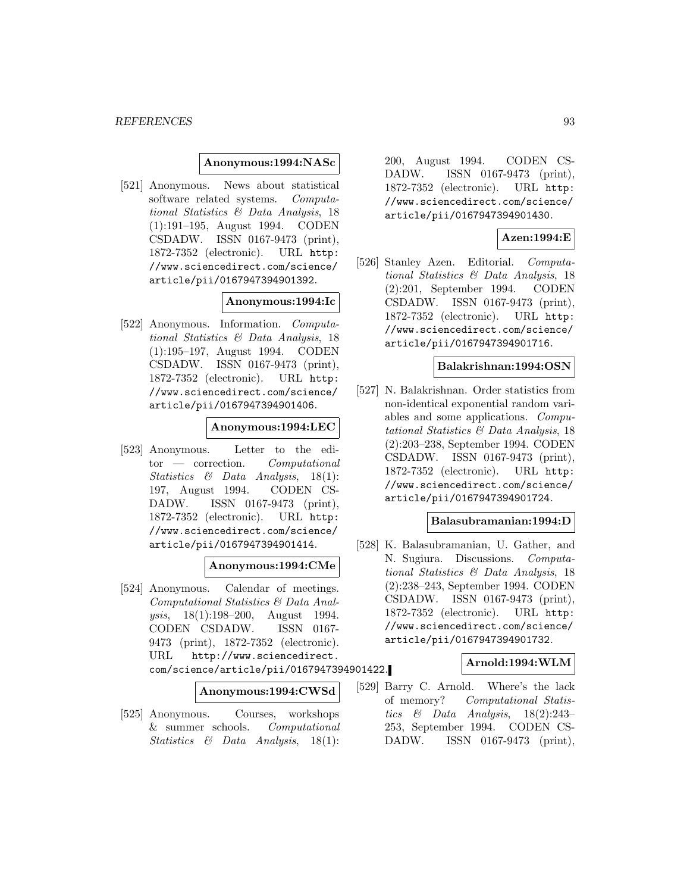#### **Anonymous:1994:NASc**

[521] Anonymous. News about statistical software related systems. Computational Statistics & Data Analysis, 18 (1):191–195, August 1994. CODEN CSDADW. ISSN 0167-9473 (print), 1872-7352 (electronic). URL http: //www.sciencedirect.com/science/ article/pii/0167947394901392.

## **Anonymous:1994:Ic**

[522] Anonymous. Information. Computational Statistics & Data Analysis, 18 (1):195–197, August 1994. CODEN CSDADW. ISSN 0167-9473 (print), 1872-7352 (electronic). URL http: //www.sciencedirect.com/science/ article/pii/0167947394901406.

## **Anonymous:1994:LEC**

[523] Anonymous. Letter to the edi- $\text{tor}$  — correction. Computational Statistics & Data Analysis, 18(1): 197, August 1994. CODEN CS-DADW. ISSN 0167-9473 (print), 1872-7352 (electronic). URL http: //www.sciencedirect.com/science/ article/pii/0167947394901414.

## **Anonymous:1994:CMe**

[524] Anonymous. Calendar of meetings. Computational Statistics & Data Analysis, 18(1):198–200, August 1994. CODEN CSDADW. ISSN 0167- 9473 (print), 1872-7352 (electronic). URL http://www.sciencedirect. com/science/article/pii/0167947394901422.

**Anonymous:1994:CWSd**

[525] Anonymous. Courses, workshops & summer schools. Computational Statistics & Data Analysis, 18(1):

200, August 1994. CODEN CS-DADW. ISSN 0167-9473 (print), 1872-7352 (electronic). URL http: //www.sciencedirect.com/science/ article/pii/0167947394901430.

## **Azen:1994:E**

[526] Stanley Azen. Editorial. Computational Statistics & Data Analysis, 18 (2):201, September 1994. CODEN CSDADW. ISSN 0167-9473 (print), 1872-7352 (electronic). URL http: //www.sciencedirect.com/science/ article/pii/0167947394901716.

### **Balakrishnan:1994:OSN**

[527] N. Balakrishnan. Order statistics from non-identical exponential random variables and some applications. Computational Statistics & Data Analysis, 18 (2):203–238, September 1994. CODEN CSDADW. ISSN 0167-9473 (print), 1872-7352 (electronic). URL http: //www.sciencedirect.com/science/ article/pii/0167947394901724.

#### **Balasubramanian:1994:D**

[528] K. Balasubramanian, U. Gather, and N. Sugiura. Discussions. Computational Statistics & Data Analysis, 18 (2):238–243, September 1994. CODEN CSDADW. ISSN 0167-9473 (print), 1872-7352 (electronic). URL http: //www.sciencedirect.com/science/ article/pii/0167947394901732.

#### **Arnold:1994:WLM**

[529] Barry C. Arnold. Where's the lack of memory? Computational Statistics & Data Analysis, 18(2):243– 253, September 1994. CODEN CS-DADW. ISSN 0167-9473 (print),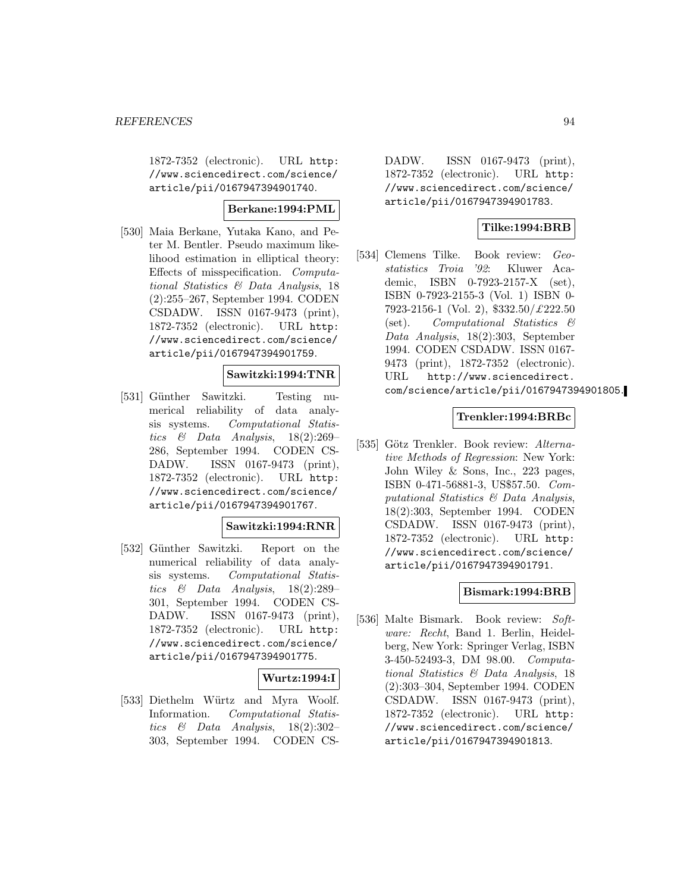1872-7352 (electronic). URL http: //www.sciencedirect.com/science/ article/pii/0167947394901740.

## **Berkane:1994:PML**

[530] Maia Berkane, Yutaka Kano, and Peter M. Bentler. Pseudo maximum likelihood estimation in elliptical theory: Effects of misspecification. Computational Statistics & Data Analysis, 18 (2):255–267, September 1994. CODEN CSDADW. ISSN 0167-9473 (print), 1872-7352 (electronic). URL http: //www.sciencedirect.com/science/ article/pii/0167947394901759.

## **Sawitzki:1994:TNR**

[531] Günther Sawitzki. Testing numerical reliability of data analysis systems. Computational Statistics & Data Analysis, 18(2):269– 286, September 1994. CODEN CS-DADW. ISSN 0167-9473 (print), 1872-7352 (electronic). URL http: //www.sciencedirect.com/science/ article/pii/0167947394901767.

#### **Sawitzki:1994:RNR**

[532] Günther Sawitzki. Report on the numerical reliability of data analysis systems. Computational Statistics & Data Analysis, 18(2):289– 301, September 1994. CODEN CS-DADW. ISSN 0167-9473 (print), 1872-7352 (electronic). URL http: //www.sciencedirect.com/science/ article/pii/0167947394901775.

#### **Wurtz:1994:I**

[533] Diethelm Würtz and Myra Woolf. Information. Computational Statistics & Data Analysis, 18(2):302– 303, September 1994. CODEN CS-

DADW. ISSN 0167-9473 (print), 1872-7352 (electronic). URL http: //www.sciencedirect.com/science/ article/pii/0167947394901783.

## **Tilke:1994:BRB**

[534] Clemens Tilke. Book review: Geostatistics Troia '92: Kluwer Academic, ISBN 0-7923-2157-X (set), ISBN 0-7923-2155-3 (Vol. 1) ISBN 0- 7923-2156-1 (Vol. 2), \$332.50/£222.50 (set). Computational Statistics & Data Analysis, 18(2):303, September 1994. CODEN CSDADW. ISSN 0167- 9473 (print), 1872-7352 (electronic). URL http://www.sciencedirect. com/science/article/pii/0167947394901805.

#### **Trenkler:1994:BRBc**

[535] Götz Trenkler. Book review: Alternative Methods of Regression: New York: John Wiley & Sons, Inc., 223 pages, ISBN 0-471-56881-3, US\$57.50. Computational Statistics & Data Analysis, 18(2):303, September 1994. CODEN CSDADW. ISSN 0167-9473 (print), 1872-7352 (electronic). URL http: //www.sciencedirect.com/science/ article/pii/0167947394901791.

#### **Bismark:1994:BRB**

[536] Malte Bismark. Book review: Software: Recht, Band 1. Berlin, Heidelberg, New York: Springer Verlag, ISBN 3-450-52493-3, DM 98.00. Computational Statistics & Data Analysis, 18 (2):303–304, September 1994. CODEN CSDADW. ISSN 0167-9473 (print), 1872-7352 (electronic). URL http: //www.sciencedirect.com/science/ article/pii/0167947394901813.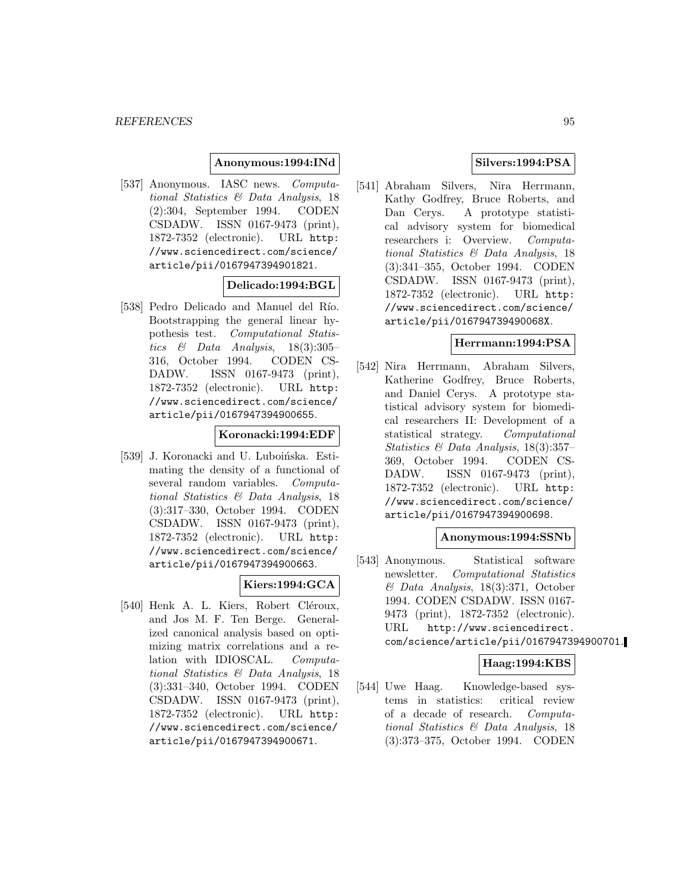### **Anonymous:1994:INd**

[537] Anonymous. IASC news. Computational Statistics & Data Analysis, 18 (2):304, September 1994. CODEN CSDADW. ISSN 0167-9473 (print), 1872-7352 (electronic). URL http: //www.sciencedirect.com/science/ article/pii/0167947394901821.

## **Delicado:1994:BGL**

[538] Pedro Delicado and Manuel del Río. Bootstrapping the general linear hypothesis test. Computational Statistics  $\&$  Data Analysis, 18(3):305– 316, October 1994. CODEN CS-DADW. ISSN 0167-9473 (print), 1872-7352 (electronic). URL http: //www.sciencedirect.com/science/ article/pii/0167947394900655.

#### **Koronacki:1994:EDF**

[539] J. Koronacki and U. Luboińska. Estimating the density of a functional of several random variables. Computational Statistics & Data Analysis, 18 (3):317–330, October 1994. CODEN CSDADW. ISSN 0167-9473 (print), 1872-7352 (electronic). URL http: //www.sciencedirect.com/science/ article/pii/0167947394900663.

## **Kiers:1994:GCA**

[540] Henk A. L. Kiers, Robert Cléroux, and Jos M. F. Ten Berge. Generalized canonical analysis based on optimizing matrix correlations and a relation with IDIOSCAL. Computational Statistics & Data Analysis, 18 (3):331–340, October 1994. CODEN CSDADW. ISSN 0167-9473 (print), 1872-7352 (electronic). URL http: //www.sciencedirect.com/science/ article/pii/0167947394900671.

## **Silvers:1994:PSA**

[541] Abraham Silvers, Nira Herrmann, Kathy Godfrey, Bruce Roberts, and Dan Cerys. A prototype statistical advisory system for biomedical researchers i: Overview. Computational Statistics & Data Analysis, 18 (3):341–355, October 1994. CODEN CSDADW. ISSN 0167-9473 (print), 1872-7352 (electronic). URL http: //www.sciencedirect.com/science/ article/pii/016794739490068X.

#### **Herrmann:1994:PSA**

[542] Nira Herrmann, Abraham Silvers, Katherine Godfrey, Bruce Roberts, and Daniel Cerys. A prototype statistical advisory system for biomedical researchers II: Development of a statistical strategy. Computational Statistics & Data Analysis, 18(3):357– 369, October 1994. CODEN CS-DADW. ISSN 0167-9473 (print), 1872-7352 (electronic). URL http: //www.sciencedirect.com/science/ article/pii/0167947394900698.

#### **Anonymous:1994:SSNb**

[543] Anonymous. Statistical software newsletter. Computational Statistics & Data Analysis, 18(3):371, October 1994. CODEN CSDADW. ISSN 0167- 9473 (print), 1872-7352 (electronic). URL http://www.sciencedirect. com/science/article/pii/0167947394900701.

## **Haag:1994:KBS**

[544] Uwe Haag. Knowledge-based systems in statistics: critical review of a decade of research. Computational Statistics & Data Analysis, 18 (3):373–375, October 1994. CODEN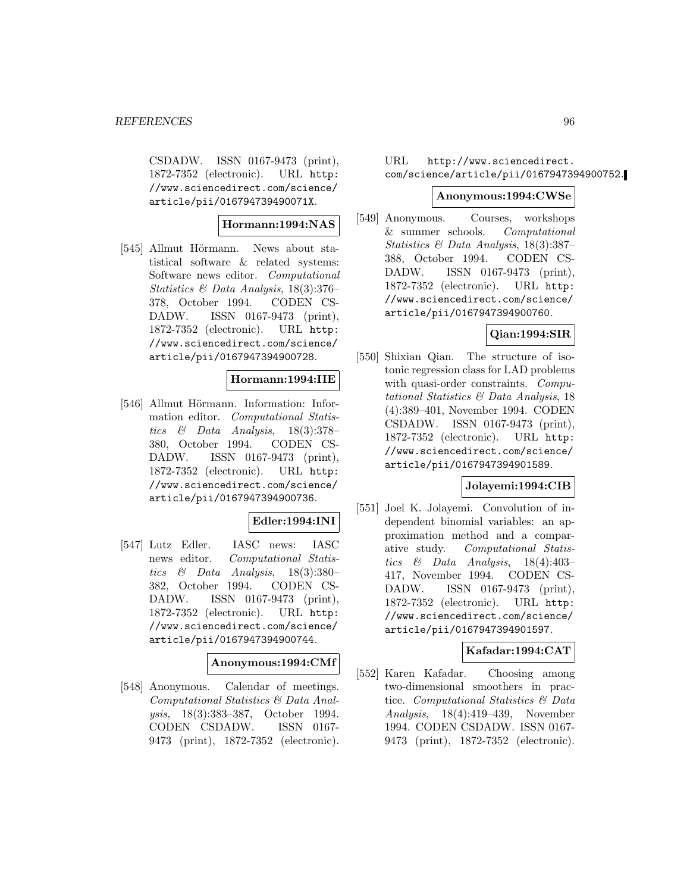CSDADW. ISSN 0167-9473 (print), 1872-7352 (electronic). URL http: //www.sciencedirect.com/science/ article/pii/016794739490071X.

## **Hormann:1994:NAS**

[545] Allmut Hörmann. News about statistical software & related systems: Software news editor. Computational Statistics & Data Analysis, 18(3):376– 378, October 1994. CODEN CS-DADW. ISSN 0167-9473 (print), 1872-7352 (electronic). URL http: //www.sciencedirect.com/science/ article/pii/0167947394900728.

## **Hormann:1994:IIE**

[546] Allmut Hörmann. Information: Information editor. Computational Statistics & Data Analysis, 18(3):378– 380, October 1994. CODEN CS-DADW. ISSN 0167-9473 (print), 1872-7352 (electronic). URL http: //www.sciencedirect.com/science/ article/pii/0167947394900736.

## **Edler:1994:INI**

[547] Lutz Edler. IASC news: IASC news editor. Computational Statistics & Data Analysis, 18(3):380– 382, October 1994. CODEN CS-DADW. ISSN 0167-9473 (print), 1872-7352 (electronic). URL http: //www.sciencedirect.com/science/ article/pii/0167947394900744.

## **Anonymous:1994:CMf**

[548] Anonymous. Calendar of meetings. Computational Statistics & Data Analysis, 18(3):383–387, October 1994. CODEN CSDADW. ISSN 0167- 9473 (print), 1872-7352 (electronic).

## URL http://www.sciencedirect. com/science/article/pii/0167947394900752.

### **Anonymous:1994:CWSe**

[549] Anonymous. Courses, workshops & summer schools. Computational Statistics & Data Analysis, 18(3):387– 388, October 1994. CODEN CS-DADW. ISSN 0167-9473 (print), 1872-7352 (electronic). URL http: //www.sciencedirect.com/science/ article/pii/0167947394900760.

## **Qian:1994:SIR**

[550] Shixian Qian. The structure of isotonic regression class for LAD problems with quasi-order constraints. Computational Statistics & Data Analysis, 18 (4):389–401, November 1994. CODEN CSDADW. ISSN 0167-9473 (print), 1872-7352 (electronic). URL http: //www.sciencedirect.com/science/ article/pii/0167947394901589.

## **Jolayemi:1994:CIB**

[551] Joel K. Jolayemi. Convolution of independent binomial variables: an approximation method and a comparative study. Computational Statistics & Data Analysis,  $18(4):403-$ 417, November 1994. CODEN CS-DADW. ISSN 0167-9473 (print), 1872-7352 (electronic). URL http: //www.sciencedirect.com/science/ article/pii/0167947394901597.

## **Kafadar:1994:CAT**

[552] Karen Kafadar. Choosing among two-dimensional smoothers in practice. Computational Statistics & Data Analysis, 18(4):419–439, November 1994. CODEN CSDADW. ISSN 0167- 9473 (print), 1872-7352 (electronic).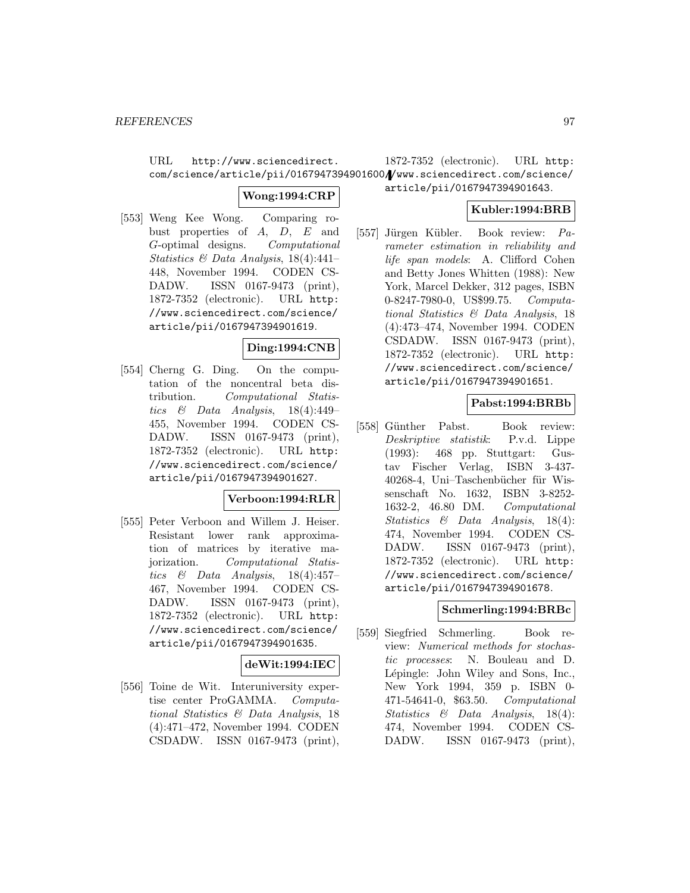URL http://www.sciencedirect. com/science/article/pii/0167947394901600//www.sciencedirect.com/science/ 1872-7352 (electronic). URL http:

## **Wong:1994:CRP**

[553] Weng Kee Wong. Comparing robust properties of A, D, E and G-optimal designs. Computational Statistics & Data Analysis, 18(4):441– 448, November 1994. CODEN CS-DADW. ISSN 0167-9473 (print), 1872-7352 (electronic). URL http: //www.sciencedirect.com/science/ article/pii/0167947394901619.

## **Ding:1994:CNB**

[554] Cherng G. Ding. On the computation of the noncentral beta distribution. Computational Statistics & Data Analysis,  $18(4):449-$ 455, November 1994. CODEN CS-DADW. ISSN 0167-9473 (print), 1872-7352 (electronic). URL http: //www.sciencedirect.com/science/ article/pii/0167947394901627.

## **Verboon:1994:RLR**

[555] Peter Verboon and Willem J. Heiser. Resistant lower rank approximation of matrices by iterative majorization. Computational Statistics & Data Analysis,  $18(4):457-$ 467, November 1994. CODEN CS-DADW. ISSN 0167-9473 (print), 1872-7352 (electronic). URL http: //www.sciencedirect.com/science/ article/pii/0167947394901635.

## **deWit:1994:IEC**

[556] Toine de Wit. Interuniversity expertise center ProGAMMA. Computational Statistics & Data Analysis, 18 (4):471–472, November 1994. CODEN CSDADW. ISSN 0167-9473 (print),

# article/pii/0167947394901643.

## **Kubler:1994:BRB**

[557] Jürgen Kübler. Book review: Parameter estimation in reliability and life span models: A. Clifford Cohen and Betty Jones Whitten (1988): New York, Marcel Dekker, 312 pages, ISBN 0-8247-7980-0, US\$99.75. Computational Statistics & Data Analysis, 18 (4):473–474, November 1994. CODEN CSDADW. ISSN 0167-9473 (print), 1872-7352 (electronic). URL http: //www.sciencedirect.com/science/ article/pii/0167947394901651.

## **Pabst:1994:BRBb**

[558] Günther Pabst. Book review: Deskriptive statistik: P.v.d. Lippe (1993): 468 pp. Stuttgart: Gustav Fischer Verlag, ISBN 3-437- 40268-4, Uni–Taschenbücher für Wissenschaft No. 1632, ISBN 3-8252- 1632-2, 46.80 DM. Computational Statistics & Data Analysis, 18(4): 474, November 1994. CODEN CS-DADW. ISSN 0167-9473 (print), 1872-7352 (electronic). URL http: //www.sciencedirect.com/science/ article/pii/0167947394901678.

## **Schmerling:1994:BRBc**

[559] Siegfried Schmerling. Book review: Numerical methods for stochastic processes: N. Bouleau and D. Lépingle: John Wiley and Sons, Inc., New York 1994, 359 p. ISBN 0- 471-54641-0, \$63.50. Computational Statistics & Data Analysis, 18(4): 474, November 1994. CODEN CS-DADW. ISSN 0167-9473 (print),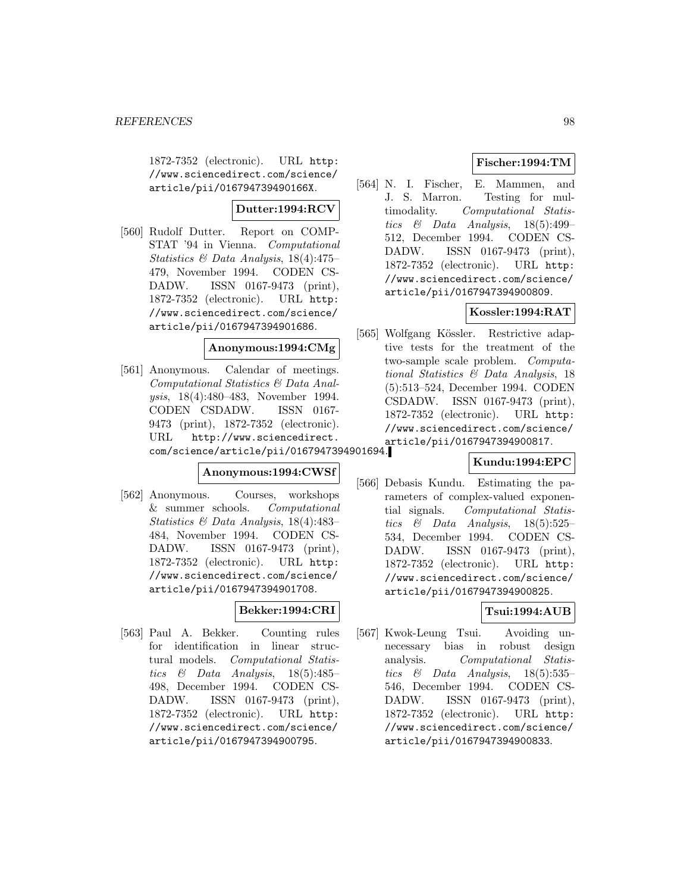1872-7352 (electronic). URL http: //www.sciencedirect.com/science/ article/pii/016794739490166X.

## **Dutter:1994:RCV**

[560] Rudolf Dutter. Report on COMP-STAT '94 in Vienna. Computational Statistics & Data Analysis, 18(4):475– 479, November 1994. CODEN CS-DADW. ISSN 0167-9473 (print), 1872-7352 (electronic). URL http: //www.sciencedirect.com/science/ article/pii/0167947394901686.

## **Anonymous:1994:CMg**

[561] Anonymous. Calendar of meetings. Computational Statistics & Data Analysis, 18(4):480–483, November 1994. CODEN CSDADW. ISSN 0167- 9473 (print), 1872-7352 (electronic). URL http://www.sciencedirect. com/science/article/pii/0167947394901694.

## **Anonymous:1994:CWSf**

[562] Anonymous. Courses, workshops & summer schools. Computational Statistics & Data Analysis, 18(4):483– 484, November 1994. CODEN CS-DADW. ISSN 0167-9473 (print), 1872-7352 (electronic). URL http: //www.sciencedirect.com/science/ article/pii/0167947394901708.

## **Bekker:1994:CRI**

[563] Paul A. Bekker. Counting rules for identification in linear structural models. Computational Statistics & Data Analysis, 18(5):485– 498, December 1994. CODEN CS-DADW. ISSN 0167-9473 (print), 1872-7352 (electronic). URL http: //www.sciencedirect.com/science/ article/pii/0167947394900795.

## **Fischer:1994:TM**

[564] N. I. Fischer, E. Mammen, and J. S. Marron. Testing for multimodality. Computational Statistics  $\&$  Data Analysis, 18(5):499– 512, December 1994. CODEN CS-DADW. ISSN 0167-9473 (print), 1872-7352 (electronic). URL http: //www.sciencedirect.com/science/ article/pii/0167947394900809.

## **Kossler:1994:RAT**

[565] Wolfgang Kössler. Restrictive adaptive tests for the treatment of the two-sample scale problem. Computational Statistics & Data Analysis, 18 (5):513–524, December 1994. CODEN CSDADW. ISSN 0167-9473 (print), 1872-7352 (electronic). URL http: //www.sciencedirect.com/science/ article/pii/0167947394900817.

## **Kundu:1994:EPC**

[566] Debasis Kundu. Estimating the parameters of complex-valued exponential signals. Computational Statistics & Data Analysis, 18(5):525– 534, December 1994. CODEN CS-DADW. ISSN 0167-9473 (print), 1872-7352 (electronic). URL http: //www.sciencedirect.com/science/ article/pii/0167947394900825.

## **Tsui:1994:AUB**

[567] Kwok-Leung Tsui. Avoiding unnecessary bias in robust design analysis. Computational Statistics & Data Analysis,  $18(5):535-$ 546, December 1994. CODEN CS-DADW. ISSN 0167-9473 (print), 1872-7352 (electronic). URL http: //www.sciencedirect.com/science/ article/pii/0167947394900833.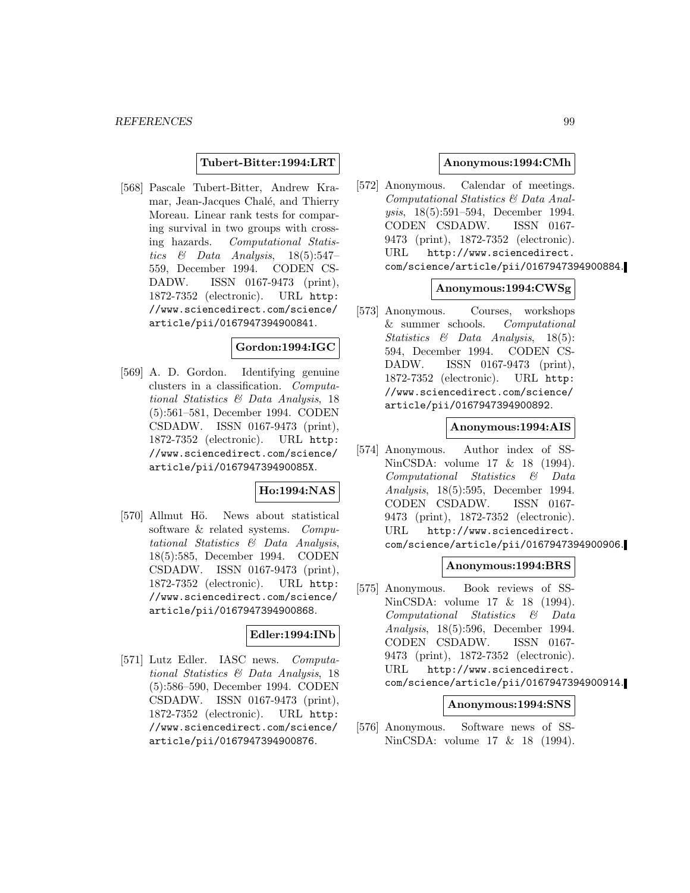### **Tubert-Bitter:1994:LRT**

[568] Pascale Tubert-Bitter, Andrew Kramar, Jean-Jacques Chalé, and Thierry Moreau. Linear rank tests for comparing survival in two groups with crossing hazards. Computational Statistics  $\&$  Data Analysis, 18(5):547-559, December 1994. CODEN CS-DADW. ISSN 0167-9473 (print), 1872-7352 (electronic). URL http: //www.sciencedirect.com/science/ article/pii/0167947394900841.

## **Gordon:1994:IGC**

[569] A. D. Gordon. Identifying genuine clusters in a classification. Computational Statistics & Data Analysis, 18 (5):561–581, December 1994. CODEN CSDADW. ISSN 0167-9473 (print), 1872-7352 (electronic). URL http: //www.sciencedirect.com/science/ article/pii/016794739490085X.

## **Ho:1994:NAS**

[570] Allmut Hö. News about statistical software & related systems. Computational Statistics & Data Analysis, 18(5):585, December 1994. CODEN CSDADW. ISSN 0167-9473 (print), 1872-7352 (electronic). URL http: //www.sciencedirect.com/science/ article/pii/0167947394900868.

## **Edler:1994:INb**

[571] Lutz Edler. IASC news. Computational Statistics & Data Analysis, 18 (5):586–590, December 1994. CODEN CSDADW. ISSN 0167-9473 (print), 1872-7352 (electronic). URL http: //www.sciencedirect.com/science/ article/pii/0167947394900876.

### **Anonymous:1994:CMh**

[572] Anonymous. Calendar of meetings. Computational Statistics & Data Analysis, 18(5):591–594, December 1994. CODEN CSDADW. ISSN 0167- 9473 (print), 1872-7352 (electronic). URL http://www.sciencedirect. com/science/article/pii/0167947394900884.

#### **Anonymous:1994:CWSg**

[573] Anonymous. Courses, workshops & summer schools. Computational Statistics & Data Analysis, 18(5): 594, December 1994. CODEN CS-DADW. ISSN 0167-9473 (print), 1872-7352 (electronic). URL http: //www.sciencedirect.com/science/ article/pii/0167947394900892.

### **Anonymous:1994:AIS**

[574] Anonymous. Author index of SS-NinCSDA: volume 17 & 18 (1994). Computational Statistics & Data Analysis, 18(5):595, December 1994. CODEN CSDADW. ISSN 0167- 9473 (print), 1872-7352 (electronic). URL http://www.sciencedirect. com/science/article/pii/0167947394900906.

#### **Anonymous:1994:BRS**

[575] Anonymous. Book reviews of SS-NinCSDA: volume 17 & 18 (1994). Computational Statistics & Data Analysis, 18(5):596, December 1994. CODEN CSDADW. ISSN 0167- 9473 (print), 1872-7352 (electronic). URL http://www.sciencedirect. com/science/article/pii/0167947394900914.

## **Anonymous:1994:SNS**

[576] Anonymous. Software news of SS-NinCSDA: volume 17 & 18 (1994).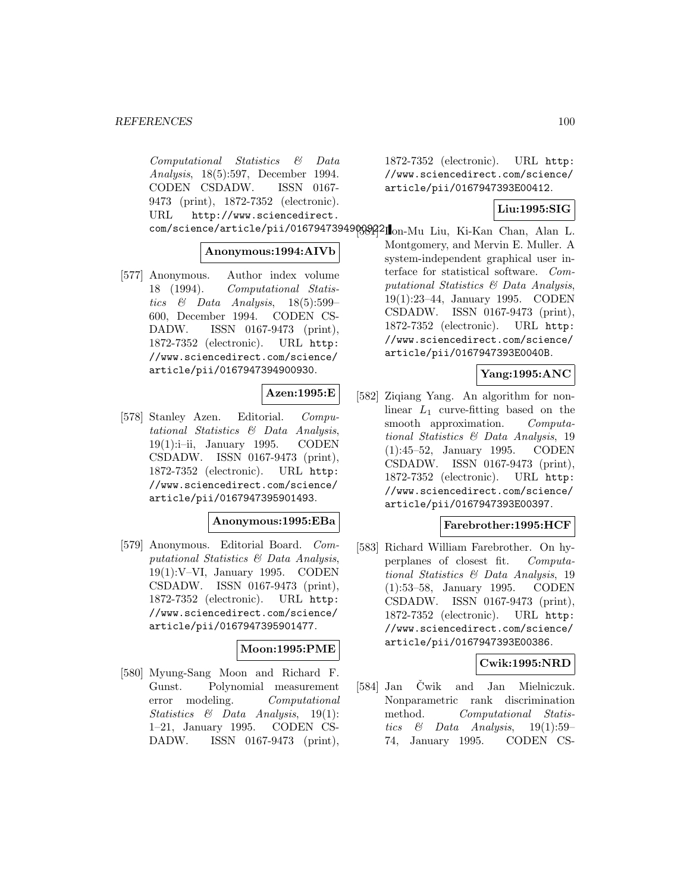Computational Statistics & Data Analysis, 18(5):597, December 1994. CODEN CSDADW. ISSN 0167- 9473 (print), 1872-7352 (electronic). URL http://www.sciencedirect.

## **Anonymous:1994:AIVb**

[577] Anonymous. Author index volume 18 (1994). Computational Statistics & Data Analysis, 18(5):599– 600, December 1994. CODEN CS-DADW. ISSN 0167-9473 (print), 1872-7352 (electronic). URL http: //www.sciencedirect.com/science/ article/pii/0167947394900930.

## **Azen:1995:E**

[578] Stanley Azen. Editorial. Computational Statistics & Data Analysis, 19(1):i–ii, January 1995. CODEN CSDADW. ISSN 0167-9473 (print), 1872-7352 (electronic). URL http: //www.sciencedirect.com/science/ article/pii/0167947395901493.

## **Anonymous:1995:EBa**

[579] Anonymous. Editorial Board. Computational Statistics & Data Analysis, 19(1):V–VI, January 1995. CODEN CSDADW. ISSN 0167-9473 (print), 1872-7352 (electronic). URL http: //www.sciencedirect.com/science/ article/pii/0167947395901477.

## **Moon:1995:PME**

[580] Myung-Sang Moon and Richard F. Gunst. Polynomial measurement error modeling. Computational Statistics & Data Analysis, 19(1): 1–21, January 1995. CODEN CS-DADW. ISSN 0167-9473 (print),

1872-7352 (electronic). URL http: //www.sciencedirect.com/science/ article/pii/0167947393E00412.

## **Liu:1995:SIG**

com/science/article/pii/0167947394908921 on-Mu Liu, Ki-Kan Chan, Alan L. Montgomery, and Mervin E. Muller. A system-independent graphical user interface for statistical software. Computational Statistics & Data Analysis, 19(1):23–44, January 1995. CODEN CSDADW. ISSN 0167-9473 (print), 1872-7352 (electronic). URL http: //www.sciencedirect.com/science/ article/pii/0167947393E0040B.

## **Yang:1995:ANC**

[582] Ziqiang Yang. An algorithm for nonlinear  $L_1$  curve-fitting based on the smooth approximation. Computational Statistics & Data Analysis, 19 (1):45–52, January 1995. CODEN CSDADW. ISSN 0167-9473 (print), 1872-7352 (electronic). URL http: //www.sciencedirect.com/science/ article/pii/0167947393E00397.

## **Farebrother:1995:HCF**

[583] Richard William Farebrother. On hyperplanes of closest fit. Computational Statistics & Data Analysis, 19 (1):53–58, January 1995. CODEN CSDADW. ISSN 0167-9473 (print), 1872-7352 (electronic). URL http: //www.sciencedirect.com/science/ article/pii/0167947393E00386.

## **Cwik:1995:NRD**

[584] Jan Čwik and Jan Mielniczuk. Nonparametric rank discrimination method. Computational Statistics & Data Analysis, 19(1):59– 74, January 1995. CODEN CS-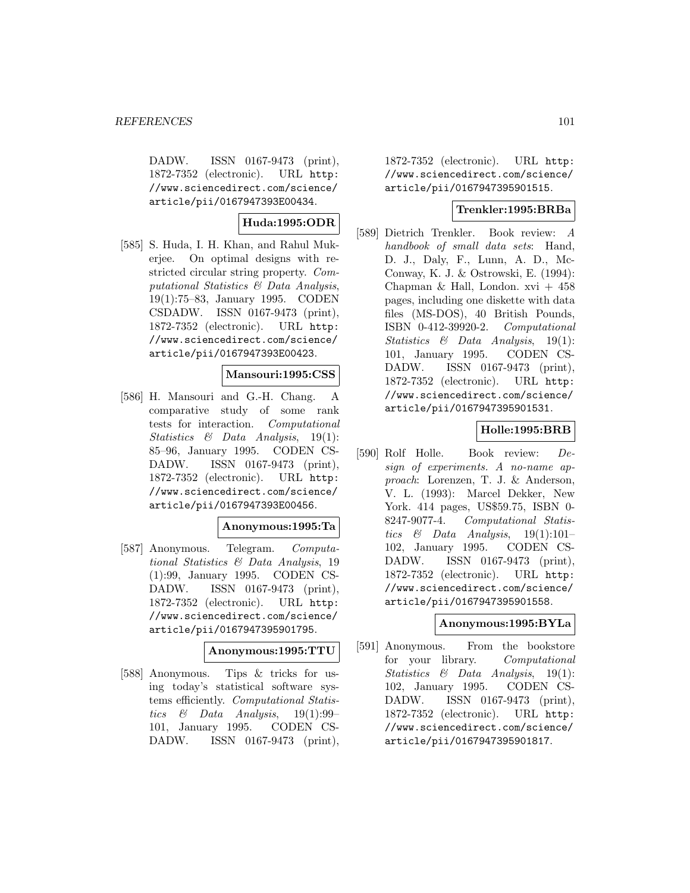DADW. ISSN 0167-9473 (print), 1872-7352 (electronic). URL http: //www.sciencedirect.com/science/ article/pii/0167947393E00434.

## **Huda:1995:ODR**

[585] S. Huda, I. H. Khan, and Rahul Mukerjee. On optimal designs with restricted circular string property. Computational Statistics & Data Analysis, 19(1):75–83, January 1995. CODEN CSDADW. ISSN 0167-9473 (print), 1872-7352 (electronic). URL http: //www.sciencedirect.com/science/ article/pii/0167947393E00423.

## **Mansouri:1995:CSS**

[586] H. Mansouri and G.-H. Chang. A comparative study of some rank tests for interaction. Computational Statistics  $\&$  Data Analysis, 19(1): 85–96, January 1995. CODEN CS-DADW. ISSN 0167-9473 (print), 1872-7352 (electronic). URL http: //www.sciencedirect.com/science/ article/pii/0167947393E00456.

## **Anonymous:1995:Ta**

[587] Anonymous. Telegram. Computational Statistics & Data Analysis, 19 (1):99, January 1995. CODEN CS-DADW. ISSN 0167-9473 (print), 1872-7352 (electronic). URL http: //www.sciencedirect.com/science/ article/pii/0167947395901795.

## **Anonymous:1995:TTU**

[588] Anonymous. Tips & tricks for using today's statistical software systems efficiently. Computational Statistics & Data Analysis,  $19(1):99-$ 101, January 1995. CODEN CS-DADW. ISSN 0167-9473 (print),

1872-7352 (electronic). URL http: //www.sciencedirect.com/science/ article/pii/0167947395901515.

## **Trenkler:1995:BRBa**

[589] Dietrich Trenkler. Book review: A handbook of small data sets: Hand, D. J., Daly, F., Lunn, A. D., Mc-Conway, K. J. & Ostrowski, E. (1994): Chapman & Hall, London.  $xvi + 458$ pages, including one diskette with data files (MS-DOS), 40 British Pounds, ISBN 0-412-39920-2. Computational Statistics & Data Analysis, 19(1): 101, January 1995. CODEN CS-DADW. ISSN 0167-9473 (print), 1872-7352 (electronic). URL http: //www.sciencedirect.com/science/ article/pii/0167947395901531.

## **Holle:1995:BRB**

[590] Rolf Holle. Book review: Design of experiments. A no-name approach: Lorenzen, T. J. & Anderson, V. L. (1993): Marcel Dekker, New York. 414 pages, US\$59.75, ISBN 0- 8247-9077-4. Computational Statistics & Data Analysis,  $19(1):101-$ 102, January 1995. CODEN CS-DADW. ISSN 0167-9473 (print), 1872-7352 (electronic). URL http: //www.sciencedirect.com/science/ article/pii/0167947395901558.

## **Anonymous:1995:BYLa**

[591] Anonymous. From the bookstore for your library. Computational Statistics & Data Analysis, 19(1): 102, January 1995. CODEN CS-DADW. ISSN 0167-9473 (print), 1872-7352 (electronic). URL http: //www.sciencedirect.com/science/ article/pii/0167947395901817.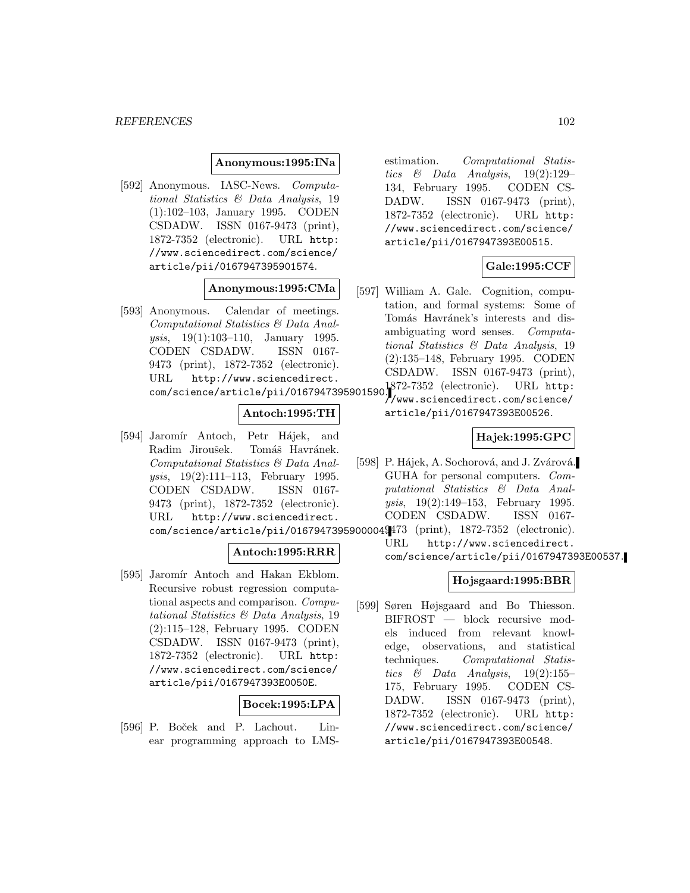#### **Anonymous:1995:INa**

[592] Anonymous. IASC-News. Computational Statistics & Data Analysis, 19 (1):102–103, January 1995. CODEN CSDADW. ISSN 0167-9473 (print), 1872-7352 (electronic). URL http: //www.sciencedirect.com/science/ article/pii/0167947395901574.

## **Anonymous:1995:CMa**

[593] Anonymous. Calendar of meetings. Computational Statistics & Data Analysis, 19(1):103–110, January 1995. CODEN CSDADW. ISSN 0167- 9473 (print), 1872-7352 (electronic). URL http://www.sciencedirect. com/science/article/pii/0167947395901590.<br>com/science/article/pii/0167947395901590.

## **Antoch:1995:TH**

[594] Jaromír Antoch, Petr Hájek, and Radim Jiroušek. Tomáš Havránek. Computational Statistics & Data Analysis, 19(2):111–113, February 1995. CODEN CSDADW. ISSN 0167- 9473 (print), 1872-7352 (electronic). URL http://www.sciencedirect. com/science/article/pii/0167947395900004. 9473 (print), 1872-7352 (electronic).

#### **Antoch:1995:RRR**

[595] Jaromír Antoch and Hakan Ekblom. Recursive robust regression computational aspects and comparison. Computational Statistics & Data Analysis, 19 (2):115–128, February 1995. CODEN CSDADW. ISSN 0167-9473 (print), 1872-7352 (electronic). URL http: //www.sciencedirect.com/science/ article/pii/0167947393E0050E.

## **Bocek:1995:LPA**

[596] P. Boček and P. Lachout. Linear programming approach to LMS- estimation. Computational Statistics & Data Analysis, 19(2):129– 134, February 1995. CODEN CS-DADW. ISSN 0167-9473 (print), 1872-7352 (electronic). URL http: //www.sciencedirect.com/science/ article/pii/0167947393E00515.

## **Gale:1995:CCF**

[597] William A. Gale. Cognition, computation, and formal systems: Some of Tomás Havránek's interests and disambiguating word senses. Computational Statistics & Data Analysis, 19 (2):135–148, February 1995. CODEN CSDADW. ISSN 0167-9473 (print),

//www.sciencedirect.com/science/ article/pii/0167947393E00526.

### **Hajek:1995:GPC**

[598] P. Hájek, A. Sochorová, and J. Zvárová. GUHA for personal computers. Computational Statistics & Data Analysis, 19(2):149–153, February 1995. CODEN CSDADW. ISSN 0167-

URL http://www.sciencedirect. com/science/article/pii/0167947393E00537.

## **Hojsgaard:1995:BBR**

[599] Søren Højsgaard and Bo Thiesson. BIFROST — block recursive models induced from relevant knowledge, observations, and statistical techniques. Computational Statistics & Data Analysis,  $19(2):155-$ 175, February 1995. CODEN CS-DADW. ISSN 0167-9473 (print), 1872-7352 (electronic). URL http: //www.sciencedirect.com/science/ article/pii/0167947393E00548.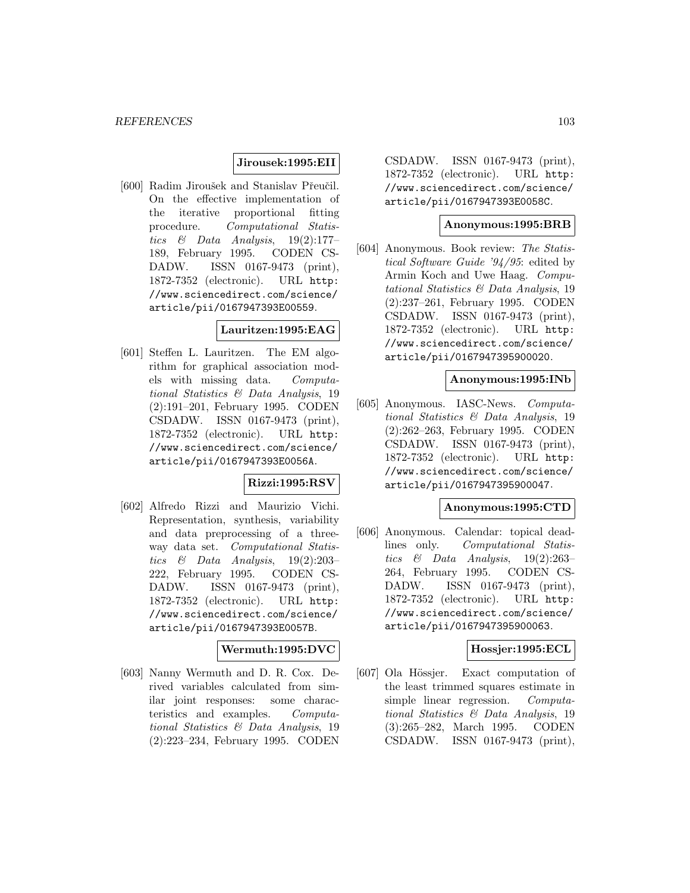## **Jirousek:1995:EII**

[600] Radim Jiroušek and Stanislav Přeučil. On the effective implementation of the iterative proportional fitting procedure. Computational Statistics  $\&$  Data Analysis, 19(2):177– 189, February 1995. CODEN CS-DADW. ISSN 0167-9473 (print), 1872-7352 (electronic). URL http: //www.sciencedirect.com/science/ article/pii/0167947393E00559.

#### **Lauritzen:1995:EAG**

[601] Steffen L. Lauritzen. The EM algorithm for graphical association models with missing data. Computational Statistics & Data Analysis, 19 (2):191–201, February 1995. CODEN CSDADW. ISSN 0167-9473 (print), 1872-7352 (electronic). URL http: //www.sciencedirect.com/science/ article/pii/0167947393E0056A.

### **Rizzi:1995:RSV**

[602] Alfredo Rizzi and Maurizio Vichi. Representation, synthesis, variability and data preprocessing of a threeway data set. Computational Statistics  $\&$  Data Analysis, 19(2):203– 222, February 1995. CODEN CS-DADW. ISSN 0167-9473 (print), 1872-7352 (electronic). URL http: //www.sciencedirect.com/science/ article/pii/0167947393E0057B.

## **Wermuth:1995:DVC**

[603] Nanny Wermuth and D. R. Cox. Derived variables calculated from similar joint responses: some characteristics and examples. Computational Statistics & Data Analysis, 19 (2):223–234, February 1995. CODEN

CSDADW. ISSN 0167-9473 (print), 1872-7352 (electronic). URL http: //www.sciencedirect.com/science/ article/pii/0167947393E0058C.

#### **Anonymous:1995:BRB**

[604] Anonymous. Book review: The Statistical Software Guide '94/95: edited by Armin Koch and Uwe Haag. Computational Statistics & Data Analysis, 19 (2):237–261, February 1995. CODEN CSDADW. ISSN 0167-9473 (print), 1872-7352 (electronic). URL http: //www.sciencedirect.com/science/ article/pii/0167947395900020.

#### **Anonymous:1995:INb**

[605] Anonymous. IASC-News. Computational Statistics & Data Analysis, 19 (2):262–263, February 1995. CODEN CSDADW. ISSN 0167-9473 (print), 1872-7352 (electronic). URL http: //www.sciencedirect.com/science/ article/pii/0167947395900047.

## **Anonymous:1995:CTD**

[606] Anonymous. Calendar: topical deadlines only. Computational Statistics  $\&$  Data Analysis, 19(2):263– 264, February 1995. CODEN CS-DADW. ISSN 0167-9473 (print), 1872-7352 (electronic). URL http: //www.sciencedirect.com/science/ article/pii/0167947395900063.

## **Hossjer:1995:ECL**

[607] Ola Hössjer. Exact computation of the least trimmed squares estimate in simple linear regression. Computational Statistics & Data Analysis, 19 (3):265–282, March 1995. CODEN CSDADW. ISSN 0167-9473 (print),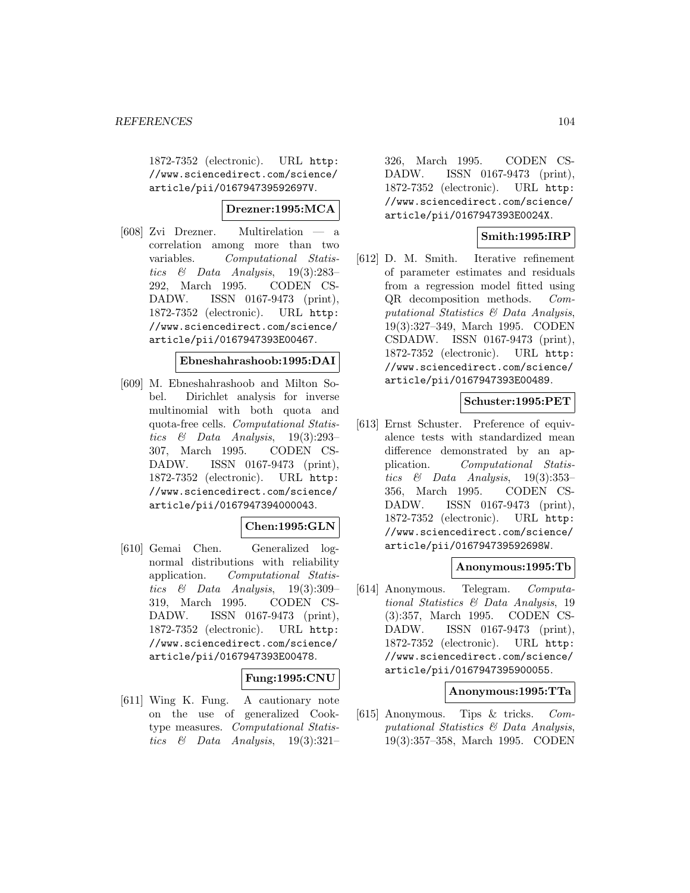1872-7352 (electronic). URL http: //www.sciencedirect.com/science/ article/pii/016794739592697V.

## **Drezner:1995:MCA**

[608] Zvi Drezner. Multirelation — a correlation among more than two variables. Computational Statistics & Data Analysis, 19(3):283– 292, March 1995. CODEN CS-DADW. ISSN 0167-9473 (print), 1872-7352 (electronic). URL http: //www.sciencedirect.com/science/ article/pii/0167947393E00467.

#### **Ebneshahrashoob:1995:DAI**

[609] M. Ebneshahrashoob and Milton Sobel. Dirichlet analysis for inverse multinomial with both quota and quota-free cells. Computational Statistics & Data Analysis, 19(3):293– 307, March 1995. CODEN CS-DADW. ISSN 0167-9473 (print), 1872-7352 (electronic). URL http: //www.sciencedirect.com/science/ article/pii/0167947394000043.

## **Chen:1995:GLN**

[610] Gemai Chen. Generalized lognormal distributions with reliability application. Computational Statistics  $\&$  Data Analysis, 19(3):309– 319, March 1995. CODEN CS-DADW. ISSN 0167-9473 (print), 1872-7352 (electronic). URL http: //www.sciencedirect.com/science/ article/pii/0167947393E00478.

## **Fung:1995:CNU**

[611] Wing K. Fung. A cautionary note on the use of generalized Cooktype measures. Computational Statistics  $\&$  Data Analysis, 19(3):321–

326, March 1995. CODEN CS-DADW. ISSN 0167-9473 (print), 1872-7352 (electronic). URL http: //www.sciencedirect.com/science/ article/pii/0167947393E0024X.

## **Smith:1995:IRP**

[612] D. M. Smith. Iterative refinement of parameter estimates and residuals from a regression model fitted using QR decomposition methods. Computational Statistics & Data Analysis, 19(3):327–349, March 1995. CODEN CSDADW. ISSN 0167-9473 (print), 1872-7352 (electronic). URL http: //www.sciencedirect.com/science/ article/pii/0167947393E00489.

#### **Schuster:1995:PET**

[613] Ernst Schuster. Preference of equivalence tests with standardized mean difference demonstrated by an application. Computational Statistics & Data Analysis, 19(3):353– 356, March 1995. CODEN CS-DADW. ISSN 0167-9473 (print), 1872-7352 (electronic). URL http: //www.sciencedirect.com/science/ article/pii/016794739592698W.

#### **Anonymous:1995:Tb**

[614] Anonymous. Telegram. Computational Statistics & Data Analysis, 19 (3):357, March 1995. CODEN CS-DADW. ISSN 0167-9473 (print), 1872-7352 (electronic). URL http: //www.sciencedirect.com/science/ article/pii/0167947395900055.

#### **Anonymous:1995:TTa**

[615] Anonymous. Tips & tricks. Computational Statistics & Data Analysis, 19(3):357–358, March 1995. CODEN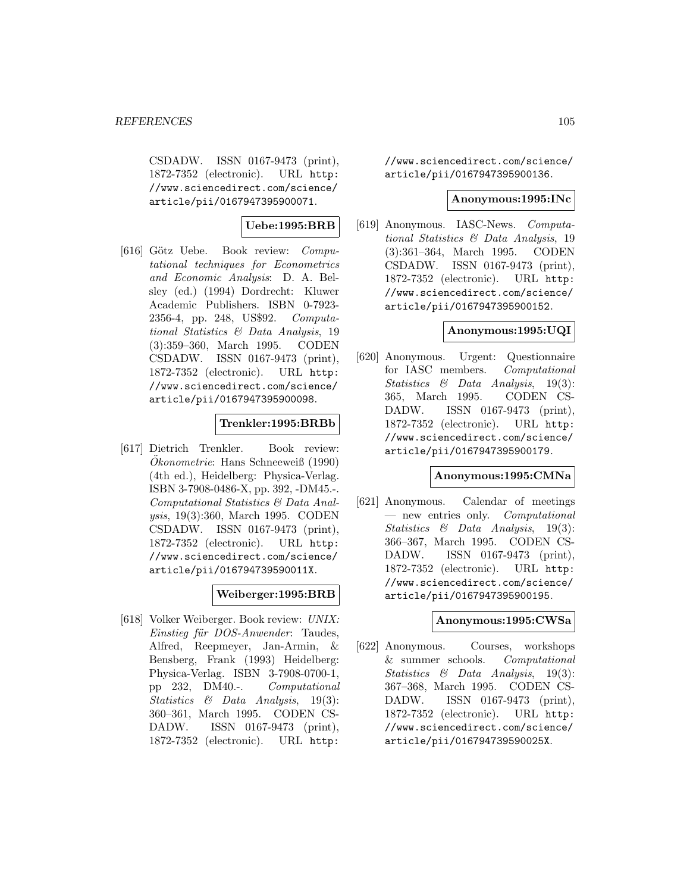CSDADW. ISSN 0167-9473 (print), 1872-7352 (electronic). URL http: //www.sciencedirect.com/science/ article/pii/0167947395900071.

## **Uebe:1995:BRB**

[616] Götz Uebe. Book review: Computational techniques for Econometrics and Economic Analysis: D. A. Belsley (ed.) (1994) Dordrecht: Kluwer Academic Publishers. ISBN 0-7923- 2356-4, pp. 248, US\$92. Computational Statistics & Data Analysis, 19 (3):359–360, March 1995. CODEN CSDADW. ISSN 0167-9473 (print), 1872-7352 (electronic). URL http: //www.sciencedirect.com/science/ article/pii/0167947395900098.

#### **Trenkler:1995:BRBb**

[617] Dietrich Trenkler. Book review: Okonometrie: Hans Schneeweiß (1990) (4th ed.), Heidelberg: Physica-Verlag. ISBN 3-7908-0486-X, pp. 392, -DM45.-. Computational Statistics & Data Analysis, 19(3):360, March 1995. CODEN CSDADW. ISSN 0167-9473 (print), 1872-7352 (electronic). URL http: //www.sciencedirect.com/science/ article/pii/016794739590011X.

## **Weiberger:1995:BRB**

[618] Volker Weiberger. Book review: UNIX: Einstieg für DOS-Anwender: Taudes, Alfred, Reepmeyer, Jan-Armin, & Bensberg, Frank (1993) Heidelberg: Physica-Verlag. ISBN 3-7908-0700-1, pp 232, DM40.-. Computational Statistics & Data Analysis, 19(3): 360–361, March 1995. CODEN CS-DADW. ISSN 0167-9473 (print), 1872-7352 (electronic). URL http:

//www.sciencedirect.com/science/ article/pii/0167947395900136.

#### **Anonymous:1995:INc**

[619] Anonymous. IASC-News. Computational Statistics & Data Analysis, 19 (3):361–364, March 1995. CODEN CSDADW. ISSN 0167-9473 (print), 1872-7352 (electronic). URL http: //www.sciencedirect.com/science/ article/pii/0167947395900152.

## **Anonymous:1995:UQI**

[620] Anonymous. Urgent: Questionnaire for IASC members. Computational Statistics & Data Analysis, 19(3): 365, March 1995. CODEN CS-DADW. ISSN 0167-9473 (print), 1872-7352 (electronic). URL http: //www.sciencedirect.com/science/ article/pii/0167947395900179.

#### **Anonymous:1995:CMNa**

[621] Anonymous. Calendar of meetings — new entries only. Computational Statistics & Data Analysis, 19(3): 366–367, March 1995. CODEN CS-DADW. ISSN 0167-9473 (print), 1872-7352 (electronic). URL http: //www.sciencedirect.com/science/ article/pii/0167947395900195.

### **Anonymous:1995:CWSa**

[622] Anonymous. Courses, workshops & summer schools. Computational Statistics & Data Analysis, 19(3): 367–368, March 1995. CODEN CS-DADW. ISSN 0167-9473 (print), 1872-7352 (electronic). URL http: //www.sciencedirect.com/science/ article/pii/016794739590025X.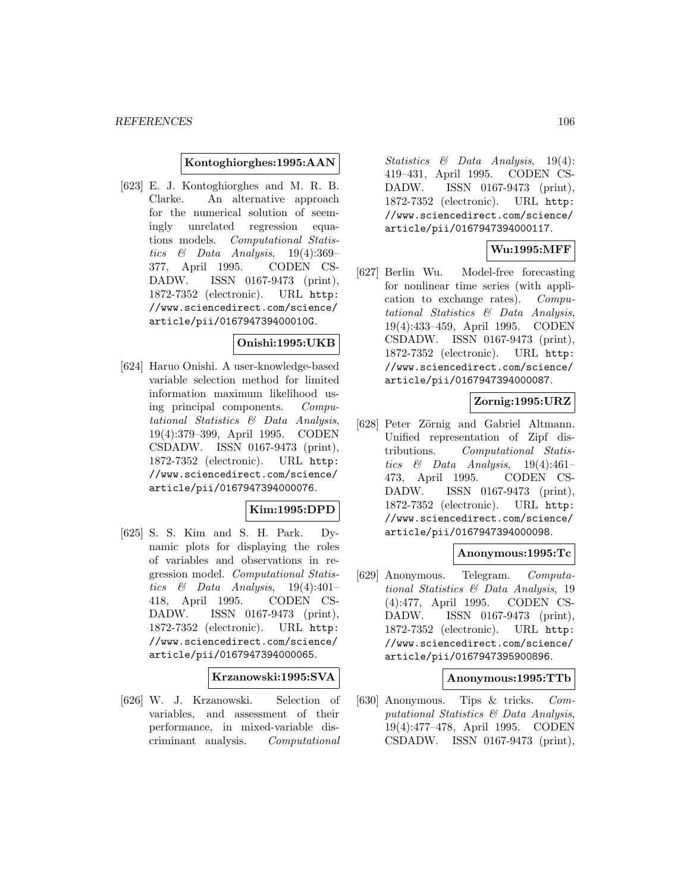### **Kontoghiorghes:1995:AAN**

[623] E. J. Kontoghiorghes and M. R. B. Clarke. An alternative approach for the numerical solution of seemingly unrelated regression equations models. Computational Statistics & Data Analysis,  $19(4):369-$ 377, April 1995. CODEN CS-DADW. ISSN 0167-9473 (print), 1872-7352 (electronic). URL http: //www.sciencedirect.com/science/ article/pii/016794739400010G.

## **Onishi:1995:UKB**

[624] Haruo Onishi. A user-knowledge-based variable selection method for limited information maximum likelihood using principal components. Computational Statistics & Data Analysis, 19(4):379–399, April 1995. CODEN CSDADW. ISSN 0167-9473 (print), 1872-7352 (electronic). URL http: //www.sciencedirect.com/science/ article/pii/0167947394000076.

## **Kim:1995:DPD**

[625] S. S. Kim and S. H. Park. Dynamic plots for displaying the roles of variables and observations in regression model. Computational Statistics & Data Analysis, 19(4):401– 418, April 1995. CODEN CS-DADW. ISSN 0167-9473 (print), 1872-7352 (electronic). URL http: //www.sciencedirect.com/science/ article/pii/0167947394000065.

#### **Krzanowski:1995:SVA**

[626] W. J. Krzanowski. Selection of variables, and assessment of their performance, in mixed-variable discriminant analysis. Computational

Statistics & Data Analysis, 19(4): 419–431, April 1995. CODEN CS-DADW. ISSN 0167-9473 (print), 1872-7352 (electronic). URL http: //www.sciencedirect.com/science/ article/pii/0167947394000117.

## **Wu:1995:MFF**

[627] Berlin Wu. Model-free forecasting for nonlinear time series (with application to exchange rates). Computational Statistics & Data Analysis, 19(4):433–459, April 1995. CODEN CSDADW. ISSN 0167-9473 (print), 1872-7352 (electronic). URL http: //www.sciencedirect.com/science/ article/pii/0167947394000087.

## **Zornig:1995:URZ**

[628] Peter Zörnig and Gabriel Altmann. Unified representation of Zipf distributions. Computational Statistics  $\&$  Data Analysis, 19(4):461– 473, April 1995. CODEN CS-DADW. ISSN 0167-9473 (print), 1872-7352 (electronic). URL http: //www.sciencedirect.com/science/ article/pii/0167947394000098.

#### **Anonymous:1995:Tc**

[629] Anonymous. Telegram. Computational Statistics & Data Analysis, 19 (4):477, April 1995. CODEN CS-DADW. ISSN 0167-9473 (print), 1872-7352 (electronic). URL http: //www.sciencedirect.com/science/ article/pii/0167947395900896.

#### **Anonymous:1995:TTb**

[630] Anonymous. Tips & tricks. Computational Statistics & Data Analysis, 19(4):477–478, April 1995. CODEN CSDADW. ISSN 0167-9473 (print),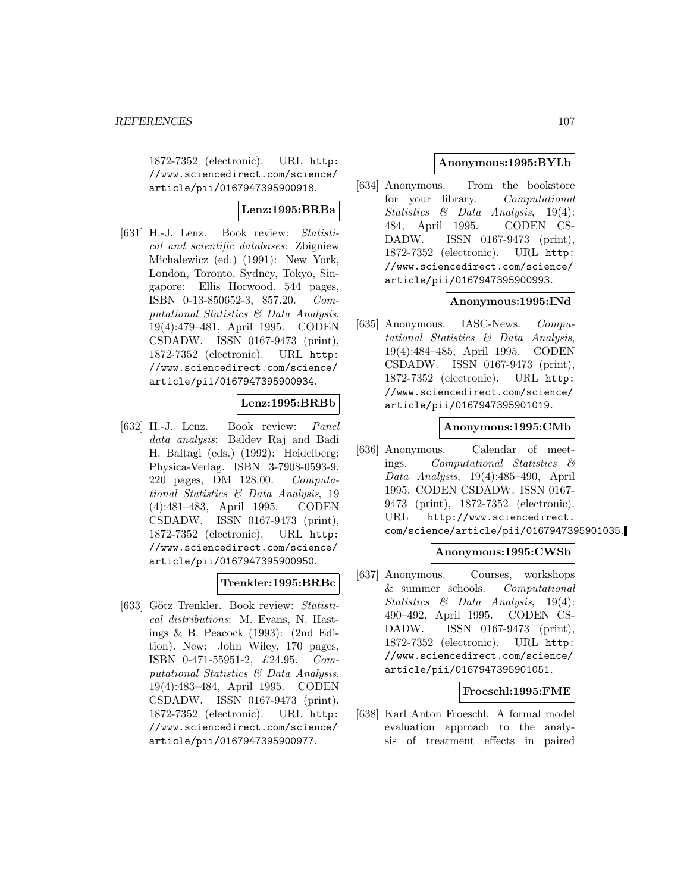1872-7352 (electronic). URL http: //www.sciencedirect.com/science/ article/pii/0167947395900918.

## **Lenz:1995:BRBa**

[631] H.-J. Lenz. Book review: Statistical and scientific databases: Zbigniew Michalewicz (ed.) (1991): New York, London, Toronto, Sydney, Tokyo, Singapore: Ellis Horwood. 544 pages, ISBN 0-13-850652-3, \$57.20. Computational Statistics & Data Analysis, 19(4):479–481, April 1995. CODEN CSDADW. ISSN 0167-9473 (print), 1872-7352 (electronic). URL http: //www.sciencedirect.com/science/ article/pii/0167947395900934.

## **Lenz:1995:BRBb**

[632] H.-J. Lenz. Book review: Panel data analysis: Baldev Raj and Badi H. Baltagi (eds.) (1992): Heidelberg: Physica-Verlag. ISBN 3-7908-0593-9, 220 pages, DM 128.00. Computational Statistics & Data Analysis, 19 (4):481–483, April 1995. CODEN CSDADW. ISSN 0167-9473 (print), 1872-7352 (electronic). URL http: //www.sciencedirect.com/science/ article/pii/0167947395900950.

## **Trenkler:1995:BRBc**

[633] Götz Trenkler. Book review: Statistical distributions: M. Evans, N. Hastings & B. Peacock (1993): (2nd Edition). New: John Wiley. 170 pages, ISBN 0-471-55951-2, £24.95. Computational Statistics & Data Analysis, 19(4):483–484, April 1995. CODEN CSDADW. ISSN 0167-9473 (print), 1872-7352 (electronic). URL http: //www.sciencedirect.com/science/ article/pii/0167947395900977.

## **Anonymous:1995:BYLb**

[634] Anonymous. From the bookstore for your library. Computational Statistics & Data Analysis, 19(4): 484, April 1995. CODEN CS-DADW. ISSN 0167-9473 (print), 1872-7352 (electronic). URL http: //www.sciencedirect.com/science/ article/pii/0167947395900993.

## **Anonymous:1995:INd**

[635] Anonymous. IASC-News. Computational Statistics & Data Analysis, 19(4):484–485, April 1995. CODEN CSDADW. ISSN 0167-9473 (print), 1872-7352 (electronic). URL http: //www.sciencedirect.com/science/ article/pii/0167947395901019.

## **Anonymous:1995:CMb**

[636] Anonymous. Calendar of meetings. Computational Statistics & Data Analysis, 19(4):485–490, April 1995. CODEN CSDADW. ISSN 0167- 9473 (print), 1872-7352 (electronic). URL http://www.sciencedirect. com/science/article/pii/0167947395901035.

## **Anonymous:1995:CWSb**

[637] Anonymous. Courses, workshops & summer schools. Computational Statistics & Data Analysis, 19(4): 490–492, April 1995. CODEN CS-DADW. ISSN 0167-9473 (print), 1872-7352 (electronic). URL http: //www.sciencedirect.com/science/ article/pii/0167947395901051.

## **Froeschl:1995:FME**

[638] Karl Anton Froeschl. A formal model evaluation approach to the analysis of treatment effects in paired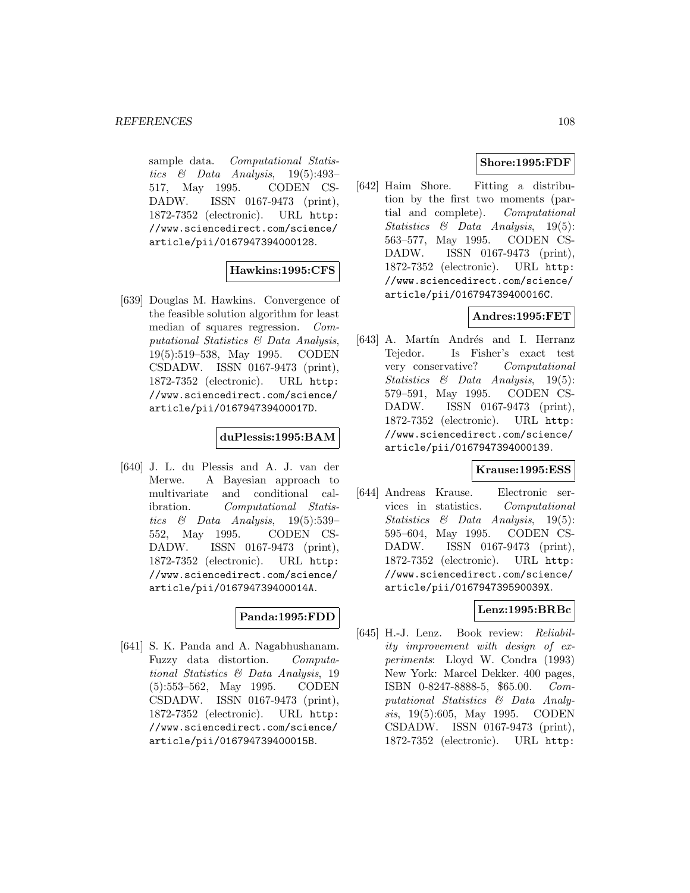sample data. Computational Statistics  $\&$  Data Analysis, 19(5):493– 517, May 1995. CODEN CS-DADW. ISSN 0167-9473 (print), 1872-7352 (electronic). URL http: //www.sciencedirect.com/science/ article/pii/0167947394000128.

## **Hawkins:1995:CFS**

[639] Douglas M. Hawkins. Convergence of the feasible solution algorithm for least median of squares regression. Computational Statistics & Data Analysis, 19(5):519–538, May 1995. CODEN CSDADW. ISSN 0167-9473 (print), 1872-7352 (electronic). URL http: //www.sciencedirect.com/science/ article/pii/016794739400017D.

## **duPlessis:1995:BAM**

[640] J. L. du Plessis and A. J. van der Merwe. A Bayesian approach to multivariate and conditional calibration. Computational Statistics  $\&$  Data Analysis, 19(5):539– 552, May 1995. CODEN CS-DADW. ISSN 0167-9473 (print), 1872-7352 (electronic). URL http: //www.sciencedirect.com/science/ article/pii/016794739400014A.

## **Panda:1995:FDD**

[641] S. K. Panda and A. Nagabhushanam. Fuzzy data distortion. Computational Statistics & Data Analysis, 19 (5):553–562, May 1995. CODEN CSDADW. ISSN 0167-9473 (print), 1872-7352 (electronic). URL http: //www.sciencedirect.com/science/ article/pii/016794739400015B.

## **Shore:1995:FDF**

[642] Haim Shore. Fitting a distribution by the first two moments (partial and complete). Computational Statistics & Data Analysis, 19(5): 563–577, May 1995. CODEN CS-DADW. ISSN 0167-9473 (print), 1872-7352 (electronic). URL http: //www.sciencedirect.com/science/ article/pii/016794739400016C.

## **Andres:1995:FET**

[643] A. Martín Andrés and I. Herranz Tejedor. Is Fisher's exact test very conservative? Computational Statistics & Data Analysis, 19(5): 579–591, May 1995. CODEN CS-DADW. ISSN 0167-9473 (print), 1872-7352 (electronic). URL http: //www.sciencedirect.com/science/ article/pii/0167947394000139.

## **Krause:1995:ESS**

[644] Andreas Krause. Electronic services in statistics. Computational Statistics & Data Analysis, 19(5): 595–604, May 1995. CODEN CS-DADW. ISSN 0167-9473 (print), 1872-7352 (electronic). URL http: //www.sciencedirect.com/science/ article/pii/016794739590039X.

## **Lenz:1995:BRBc**

[645] H.-J. Lenz. Book review: Reliability improvement with design of experiments: Lloyd W. Condra (1993) New York: Marcel Dekker. 400 pages, ISBN 0-8247-8888-5, \$65.00. Computational Statistics & Data Analysis, 19(5):605, May 1995. CODEN CSDADW. ISSN 0167-9473 (print), 1872-7352 (electronic). URL http: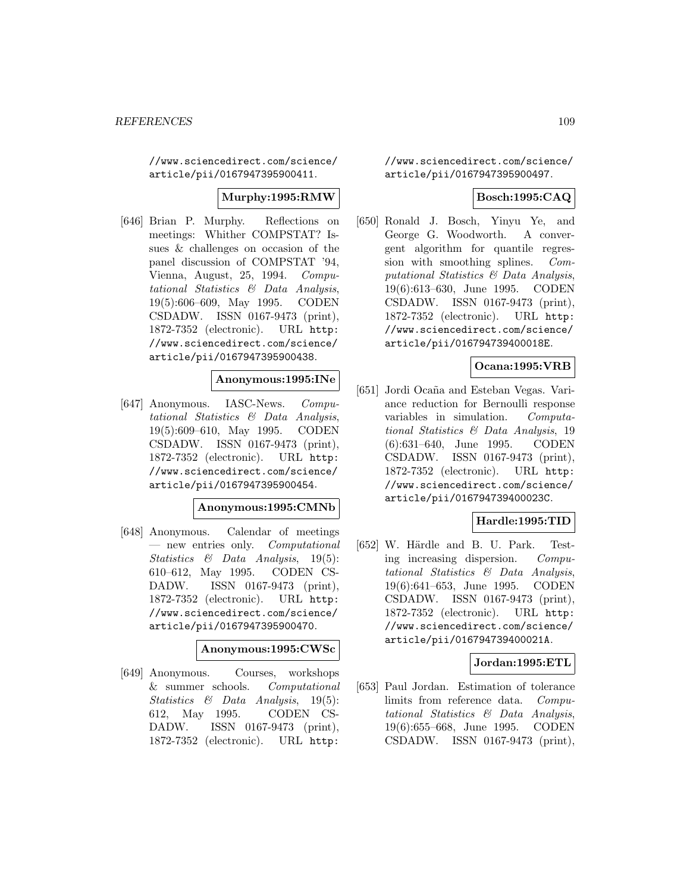//www.sciencedirect.com/science/ article/pii/0167947395900411.

## **Murphy:1995:RMW**

[646] Brian P. Murphy. Reflections on meetings: Whither COMPSTAT? Issues & challenges on occasion of the panel discussion of COMPSTAT '94, Vienna, August, 25, 1994. Computational Statistics & Data Analysis, 19(5):606–609, May 1995. CODEN CSDADW. ISSN 0167-9473 (print), 1872-7352 (electronic). URL http: //www.sciencedirect.com/science/ article/pii/0167947395900438.

# **Anonymous:1995:INe**

[647] Anonymous. IASC-News. Computational Statistics & Data Analysis, 19(5):609–610, May 1995. CODEN CSDADW. ISSN 0167-9473 (print), 1872-7352 (electronic). URL http: //www.sciencedirect.com/science/ article/pii/0167947395900454.

## **Anonymous:1995:CMNb**

[648] Anonymous. Calendar of meetings — new entries only. Computational Statistics & Data Analysis, 19(5): 610–612, May 1995. CODEN CS-DADW. ISSN 0167-9473 (print), 1872-7352 (electronic). URL http: //www.sciencedirect.com/science/ article/pii/0167947395900470.

# **Anonymous:1995:CWSc**

[649] Anonymous. Courses, workshops & summer schools. Computational Statistics & Data Analysis, 19(5): 612, May 1995. CODEN CS-DADW. ISSN 0167-9473 (print), 1872-7352 (electronic). URL http:

//www.sciencedirect.com/science/ article/pii/0167947395900497.

## **Bosch:1995:CAQ**

[650] Ronald J. Bosch, Yinyu Ye, and George G. Woodworth. A convergent algorithm for quantile regression with smoothing splines. Computational Statistics & Data Analysis, 19(6):613–630, June 1995. CODEN CSDADW. ISSN 0167-9473 (print), 1872-7352 (electronic). URL http: //www.sciencedirect.com/science/ article/pii/016794739400018E.

## **Ocana:1995:VRB**

[651] Jordi Ocaña and Esteban Vegas. Variance reduction for Bernoulli response variables in simulation. Computational Statistics & Data Analysis, 19 (6):631–640, June 1995. CODEN CSDADW. ISSN 0167-9473 (print), 1872-7352 (electronic). URL http: //www.sciencedirect.com/science/ article/pii/016794739400023C.

## **Hardle:1995:TID**

[652] W. Härdle and B. U. Park. Testing increasing dispersion. Computational Statistics & Data Analysis, 19(6):641–653, June 1995. CODEN CSDADW. ISSN 0167-9473 (print), 1872-7352 (electronic). URL http: //www.sciencedirect.com/science/ article/pii/016794739400021A.

## **Jordan:1995:ETL**

[653] Paul Jordan. Estimation of tolerance limits from reference data. Computational Statistics & Data Analysis, 19(6):655–668, June 1995. CODEN CSDADW. ISSN 0167-9473 (print),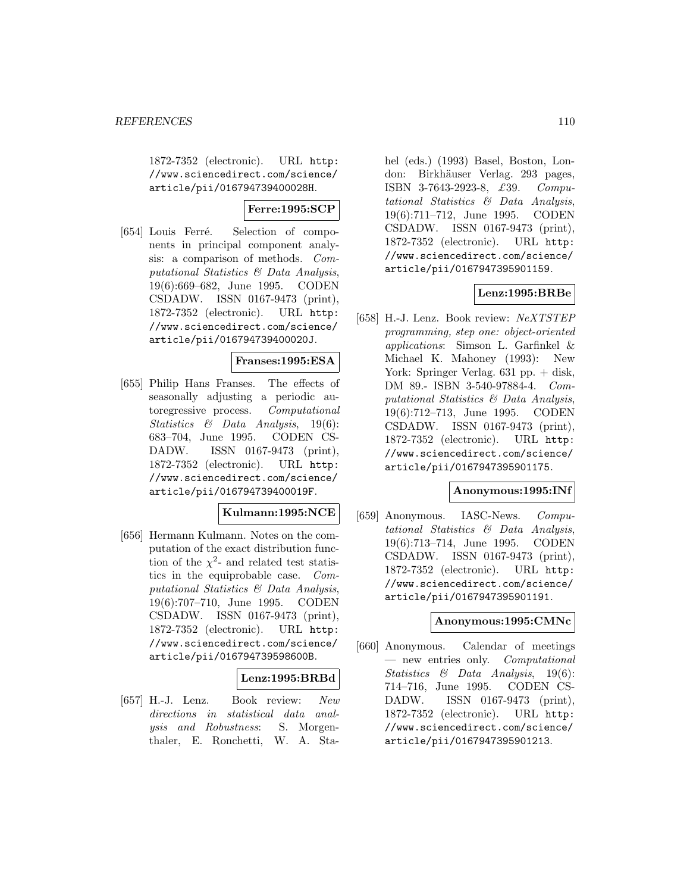1872-7352 (electronic). URL http: //www.sciencedirect.com/science/ article/pii/016794739400028H.

## **Ferre:1995:SCP**

[654] Louis Ferré. Selection of components in principal component analysis: a comparison of methods. Computational Statistics & Data Analysis, 19(6):669–682, June 1995. CODEN CSDADW. ISSN 0167-9473 (print), 1872-7352 (electronic). URL http: //www.sciencedirect.com/science/ article/pii/016794739400020J.

# **Franses:1995:ESA**

[655] Philip Hans Franses. The effects of seasonally adjusting a periodic autoregressive process. Computational Statistics & Data Analysis, 19(6): 683–704, June 1995. CODEN CS-DADW. ISSN 0167-9473 (print), 1872-7352 (electronic). URL http: //www.sciencedirect.com/science/ article/pii/016794739400019F.

# **Kulmann:1995:NCE**

[656] Hermann Kulmann. Notes on the computation of the exact distribution function of the  $\chi^2$ - and related test statistics in the equiprobable case. Computational Statistics & Data Analysis, 19(6):707–710, June 1995. CODEN CSDADW. ISSN 0167-9473 (print), 1872-7352 (electronic). URL http: //www.sciencedirect.com/science/ article/pii/016794739598600B.

## **Lenz:1995:BRBd**

[657] H.-J. Lenz. Book review: New directions in statistical data analysis and Robustness: S. Morgenthaler, E. Ronchetti, W. A. Stahel (eds.) (1993) Basel, Boston, London: Birkhäuser Verlag. 293 pages, ISBN 3-7643-2923-8, £39. Computational Statistics & Data Analysis, 19(6):711–712, June 1995. CODEN CSDADW. ISSN 0167-9473 (print), 1872-7352 (electronic). URL http: //www.sciencedirect.com/science/ article/pii/0167947395901159.

## **Lenz:1995:BRBe**

[658] H.-J. Lenz. Book review: NeXTSTEP programming, step one: object-oriented applications: Simson L. Garfinkel & Michael K. Mahoney (1993): New York: Springer Verlag. 631 pp. + disk, DM 89.- ISBN 3-540-97884-4. Computational Statistics & Data Analysis, 19(6):712–713, June 1995. CODEN CSDADW. ISSN 0167-9473 (print), 1872-7352 (electronic). URL http: //www.sciencedirect.com/science/ article/pii/0167947395901175.

#### **Anonymous:1995:INf**

[659] Anonymous. IASC-News. Computational Statistics & Data Analysis, 19(6):713–714, June 1995. CODEN CSDADW. ISSN 0167-9473 (print), 1872-7352 (electronic). URL http: //www.sciencedirect.com/science/ article/pii/0167947395901191.

#### **Anonymous:1995:CMNc**

[660] Anonymous. Calendar of meetings — new entries only. Computational Statistics & Data Analysis, 19(6): 714–716, June 1995. CODEN CS-DADW. ISSN 0167-9473 (print), 1872-7352 (electronic). URL http: //www.sciencedirect.com/science/ article/pii/0167947395901213.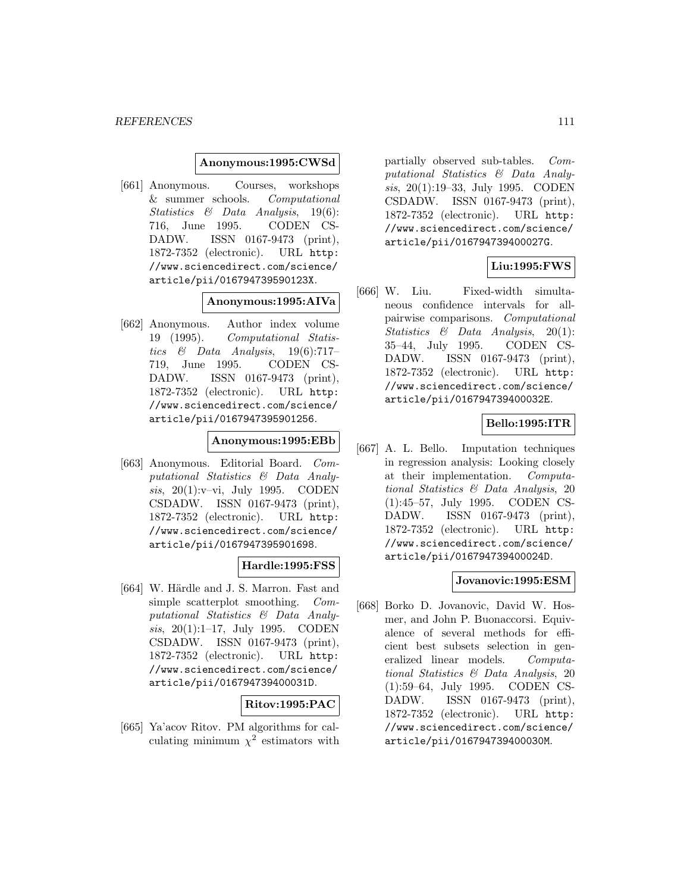#### **Anonymous:1995:CWSd**

[661] Anonymous. Courses, workshops & summer schools. Computational Statistics & Data Analysis, 19(6): 716, June 1995. CODEN CS-DADW. ISSN 0167-9473 (print), 1872-7352 (electronic). URL http: //www.sciencedirect.com/science/ article/pii/016794739590123X.

#### **Anonymous:1995:AIVa**

[662] Anonymous. Author index volume 19 (1995). Computational Statistics & Data Analysis, 19(6):717– 719, June 1995. CODEN CS-DADW. ISSN 0167-9473 (print), 1872-7352 (electronic). URL http: //www.sciencedirect.com/science/ article/pii/0167947395901256.

#### **Anonymous:1995:EBb**

[663] Anonymous. Editorial Board. Computational Statistics & Data Analysis, 20(1):v–vi, July 1995. CODEN CSDADW. ISSN 0167-9473 (print), 1872-7352 (electronic). URL http: //www.sciencedirect.com/science/ article/pii/0167947395901698.

## **Hardle:1995:FSS**

[664] W. Härdle and J. S. Marron. Fast and simple scatterplot smoothing. Computational Statistics & Data Analysis, 20(1):1–17, July 1995. CODEN CSDADW. ISSN 0167-9473 (print), 1872-7352 (electronic). URL http: //www.sciencedirect.com/science/ article/pii/016794739400031D.

## **Ritov:1995:PAC**

[665] Ya'acov Ritov. PM algorithms for calculating minimum  $\chi^2$  estimators with partially observed sub-tables. Computational Statistics & Data Analysis, 20(1):19–33, July 1995. CODEN CSDADW. ISSN 0167-9473 (print), 1872-7352 (electronic). URL http: //www.sciencedirect.com/science/ article/pii/016794739400027G.

# **Liu:1995:FWS**

[666] W. Liu. Fixed-width simultaneous confidence intervals for allpairwise comparisons. Computational Statistics & Data Analysis, 20(1): 35–44, July 1995. CODEN CS-DADW. ISSN 0167-9473 (print), 1872-7352 (electronic). URL http: //www.sciencedirect.com/science/ article/pii/016794739400032E.

## **Bello:1995:ITR**

[667] A. L. Bello. Imputation techniques in regression analysis: Looking closely at their implementation. Computational Statistics & Data Analysis, 20 (1):45–57, July 1995. CODEN CS-DADW. ISSN 0167-9473 (print), 1872-7352 (electronic). URL http: //www.sciencedirect.com/science/ article/pii/016794739400024D.

## **Jovanovic:1995:ESM**

[668] Borko D. Jovanovic, David W. Hosmer, and John P. Buonaccorsi. Equivalence of several methods for efficient best subsets selection in generalized linear models. Computational Statistics & Data Analysis, 20 (1):59–64, July 1995. CODEN CS-DADW. ISSN 0167-9473 (print), 1872-7352 (electronic). URL http: //www.sciencedirect.com/science/ article/pii/016794739400030M.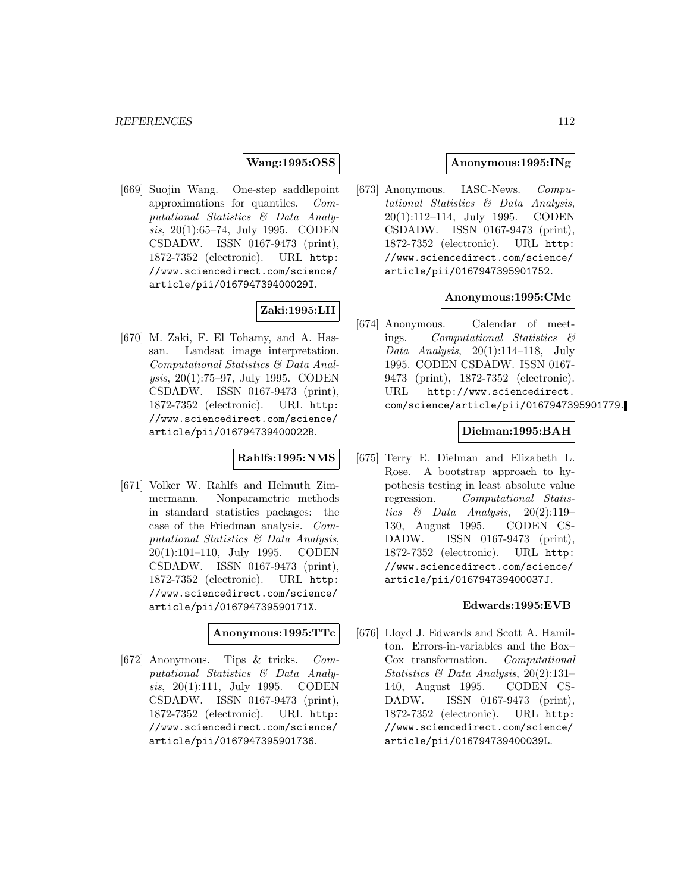#### **Wang:1995:OSS**

[669] Suojin Wang. One-step saddlepoint approximations for quantiles. Computational Statistics & Data Analysis, 20(1):65–74, July 1995. CODEN CSDADW. ISSN 0167-9473 (print), 1872-7352 (electronic). URL http: //www.sciencedirect.com/science/ article/pii/016794739400029I.

## **Zaki:1995:LII**

[670] M. Zaki, F. El Tohamy, and A. Hassan. Landsat image interpretation. Computational Statistics & Data Analysis, 20(1):75–97, July 1995. CODEN CSDADW. ISSN 0167-9473 (print), 1872-7352 (electronic). URL http: //www.sciencedirect.com/science/ article/pii/016794739400022B.

## **Rahlfs:1995:NMS**

[671] Volker W. Rahlfs and Helmuth Zimmermann. Nonparametric methods in standard statistics packages: the case of the Friedman analysis. Computational Statistics & Data Analysis, 20(1):101–110, July 1995. CODEN CSDADW. ISSN 0167-9473 (print), 1872-7352 (electronic). URL http: //www.sciencedirect.com/science/ article/pii/016794739590171X.

#### **Anonymous:1995:TTc**

[672] Anonymous. Tips & tricks. Computational Statistics & Data Analysis, 20(1):111, July 1995. CODEN CSDADW. ISSN 0167-9473 (print), 1872-7352 (electronic). URL http: //www.sciencedirect.com/science/ article/pii/0167947395901736.

## **Anonymous:1995:INg**

[673] Anonymous. IASC-News. Computational Statistics & Data Analysis, 20(1):112–114, July 1995. CODEN CSDADW. ISSN 0167-9473 (print), 1872-7352 (electronic). URL http: //www.sciencedirect.com/science/ article/pii/0167947395901752.

## **Anonymous:1995:CMc**

[674] Anonymous. Calendar of meetings. Computational Statistics & Data Analysis,  $20(1):114-118$ , July 1995. CODEN CSDADW. ISSN 0167- 9473 (print), 1872-7352 (electronic). URL http://www.sciencedirect. com/science/article/pii/0167947395901779.

## **Dielman:1995:BAH**

[675] Terry E. Dielman and Elizabeth L. Rose. A bootstrap approach to hypothesis testing in least absolute value regression. Computational Statistics  $\&$  Data Analysis, 20(2):119– 130, August 1995. CODEN CS-DADW. ISSN 0167-9473 (print), 1872-7352 (electronic). URL http: //www.sciencedirect.com/science/ article/pii/016794739400037J.

#### **Edwards:1995:EVB**

[676] Lloyd J. Edwards and Scott A. Hamilton. Errors-in-variables and the Box– Cox transformation. Computational Statistics & Data Analysis, 20(2):131– 140, August 1995. CODEN CS-DADW. ISSN 0167-9473 (print), 1872-7352 (electronic). URL http: //www.sciencedirect.com/science/ article/pii/016794739400039L.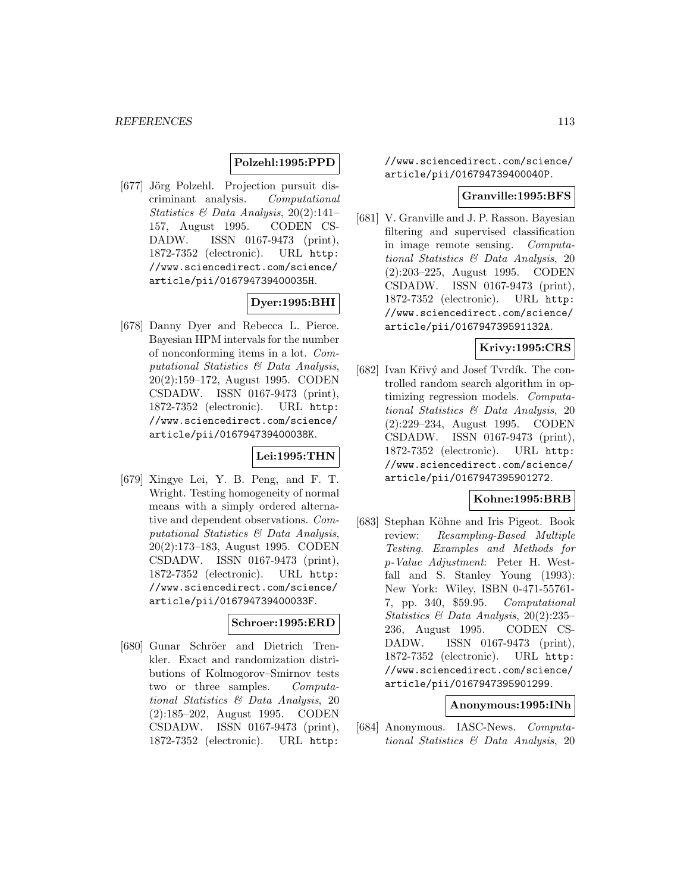# **Polzehl:1995:PPD**

[677] Jörg Polzehl. Projection pursuit discriminant analysis. Computational Statistics & Data Analysis, 20(2):141– 157, August 1995. CODEN CS-DADW. ISSN 0167-9473 (print), 1872-7352 (electronic). URL http: //www.sciencedirect.com/science/ article/pii/016794739400035H.

# **Dyer:1995:BHI**

[678] Danny Dyer and Rebecca L. Pierce. Bayesian HPM intervals for the number of nonconforming items in a lot. Computational Statistics & Data Analysis, 20(2):159–172, August 1995. CODEN CSDADW. ISSN 0167-9473 (print), 1872-7352 (electronic). URL http: //www.sciencedirect.com/science/ article/pii/016794739400038K.

## **Lei:1995:THN**

[679] Xingye Lei, Y. B. Peng, and F. T. Wright. Testing homogeneity of normal means with a simply ordered alternative and dependent observations. Computational Statistics & Data Analysis, 20(2):173–183, August 1995. CODEN CSDADW. ISSN 0167-9473 (print), 1872-7352 (electronic). URL http: //www.sciencedirect.com/science/ article/pii/016794739400033F.

## **Schroer:1995:ERD**

[680] Gunar Schröer and Dietrich Trenkler. Exact and randomization distributions of Kolmogorov–Smirnov tests two or three samples. Computational Statistics & Data Analysis, 20 (2):185–202, August 1995. CODEN CSDADW. ISSN 0167-9473 (print), 1872-7352 (electronic). URL http:

//www.sciencedirect.com/science/ article/pii/016794739400040P.

#### **Granville:1995:BFS**

[681] V. Granville and J. P. Rasson. Bayesian filtering and supervised classification in image remote sensing. Computational Statistics & Data Analysis, 20 (2):203–225, August 1995. CODEN CSDADW. ISSN 0167-9473 (print), 1872-7352 (electronic). URL http: //www.sciencedirect.com/science/ article/pii/016794739591132A.

# **Krivy:1995:CRS**

[682] Ivan Křivý and Josef Tvrdík. The controlled random search algorithm in optimizing regression models. Computational Statistics & Data Analysis, 20 (2):229–234, August 1995. CODEN CSDADW. ISSN 0167-9473 (print), 1872-7352 (electronic). URL http: //www.sciencedirect.com/science/ article/pii/0167947395901272.

## **Kohne:1995:BRB**

[683] Stephan Köhne and Iris Pigeot. Book review: Resampling-Based Multiple Testing. Examples and Methods for p-Value Adjustment: Peter H. Westfall and S. Stanley Young (1993): New York: Wiley, ISBN 0-471-55761- 7, pp. 340, \$59.95. Computational Statistics & Data Analysis, 20(2):235– 236, August 1995. CODEN CS-DADW. ISSN 0167-9473 (print), 1872-7352 (electronic). URL http: //www.sciencedirect.com/science/ article/pii/0167947395901299.

#### **Anonymous:1995:INh**

[684] Anonymous. IASC-News. Computational Statistics & Data Analysis, 20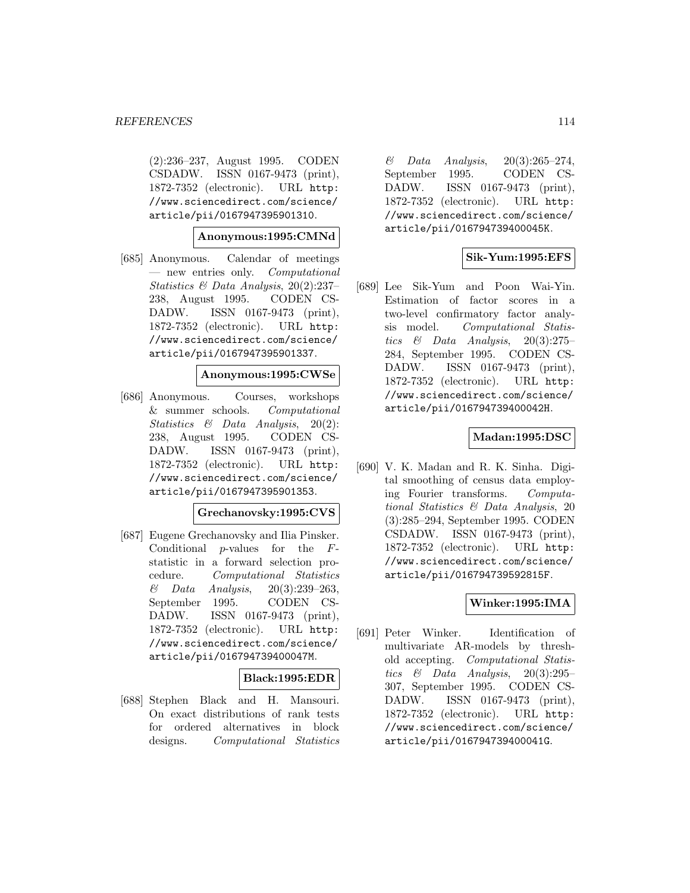(2):236–237, August 1995. CODEN CSDADW. ISSN 0167-9473 (print), 1872-7352 (electronic). URL http: //www.sciencedirect.com/science/ article/pii/0167947395901310.

## **Anonymous:1995:CMNd**

[685] Anonymous. Calendar of meetings — new entries only. Computational Statistics & Data Analysis, 20(2):237– 238, August 1995. CODEN CS-DADW. ISSN 0167-9473 (print), 1872-7352 (electronic). URL http: //www.sciencedirect.com/science/ article/pii/0167947395901337.

#### **Anonymous:1995:CWSe**

[686] Anonymous. Courses, workshops & summer schools. Computational Statistics & Data Analysis, 20(2): 238, August 1995. CODEN CS-DADW. ISSN 0167-9473 (print), 1872-7352 (electronic). URL http: //www.sciencedirect.com/science/ article/pii/0167947395901353.

#### **Grechanovsky:1995:CVS**

[687] Eugene Grechanovsky and Ilia Pinsker. Conditional  $p$ -values for the  $F$ statistic in a forward selection procedure. Computational Statistics  $\&$  Data Analysis, 20(3):239–263, September 1995. CODEN CS-DADW. ISSN 0167-9473 (print), 1872-7352 (electronic). URL http: //www.sciencedirect.com/science/ article/pii/016794739400047M.

## **Black:1995:EDR**

[688] Stephen Black and H. Mansouri. On exact distributions of rank tests for ordered alternatives in block designs. Computational Statistics

 $\&$  Data Analysis, 20(3):265–274, September 1995. CODEN CS-DADW. ISSN 0167-9473 (print), 1872-7352 (electronic). URL http: //www.sciencedirect.com/science/ article/pii/016794739400045K.

## **Sik-Yum:1995:EFS**

[689] Lee Sik-Yum and Poon Wai-Yin. Estimation of factor scores in a two-level confirmatory factor analysis model. Computational Statistics & Data Analysis,  $20(3):275-$ 284, September 1995. CODEN CS-DADW. ISSN 0167-9473 (print), 1872-7352 (electronic). URL http: //www.sciencedirect.com/science/ article/pii/016794739400042H.

## **Madan:1995:DSC**

[690] V. K. Madan and R. K. Sinha. Digital smoothing of census data employing Fourier transforms. Computational Statistics & Data Analysis, 20 (3):285–294, September 1995. CODEN CSDADW. ISSN 0167-9473 (print), 1872-7352 (electronic). URL http: //www.sciencedirect.com/science/ article/pii/016794739592815F.

## **Winker:1995:IMA**

[691] Peter Winker. Identification of multivariate AR-models by threshold accepting. Computational Statistics & Data Analysis, 20(3):295– 307, September 1995. CODEN CS-DADW. ISSN 0167-9473 (print), 1872-7352 (electronic). URL http: //www.sciencedirect.com/science/ article/pii/016794739400041G.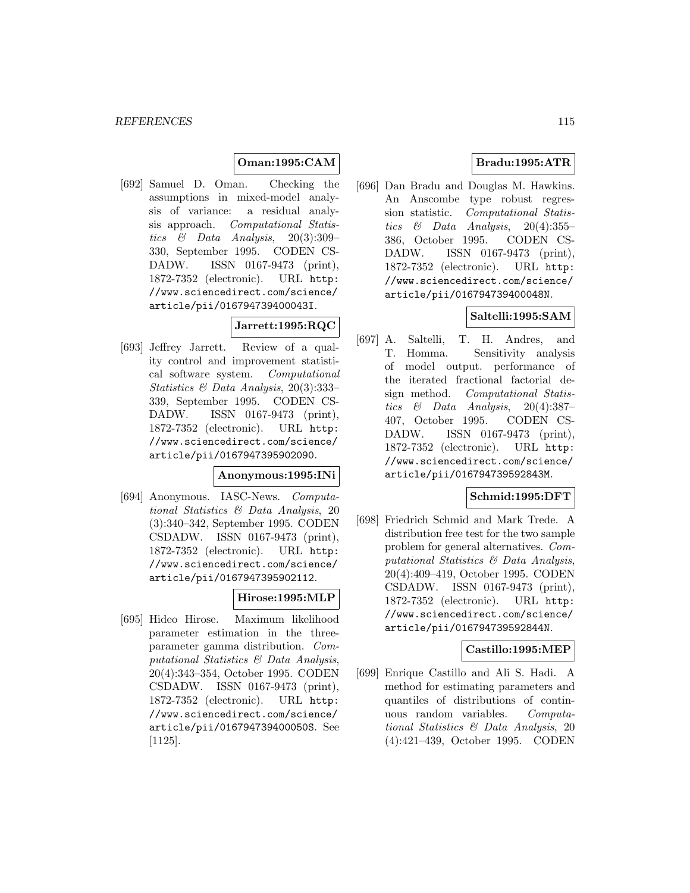# **Oman:1995:CAM**

[692] Samuel D. Oman. Checking the assumptions in mixed-model analysis of variance: a residual analysis approach. Computational Statistics  $\&$  Data Analysis, 20(3):309– 330, September 1995. CODEN CS-DADW. ISSN 0167-9473 (print), 1872-7352 (electronic). URL http: //www.sciencedirect.com/science/ article/pii/016794739400043I.

# **Jarrett:1995:RQC**

[693] Jeffrey Jarrett. Review of a quality control and improvement statistical software system. Computational Statistics & Data Analysis, 20(3):333– 339, September 1995. CODEN CS-DADW. ISSN 0167-9473 (print), 1872-7352 (electronic). URL http: //www.sciencedirect.com/science/ article/pii/0167947395902090.

#### **Anonymous:1995:INi**

[694] Anonymous. IASC-News. Computational Statistics & Data Analysis, 20 (3):340–342, September 1995. CODEN CSDADW. ISSN 0167-9473 (print), 1872-7352 (electronic). URL http: //www.sciencedirect.com/science/ article/pii/0167947395902112.

## **Hirose:1995:MLP**

[695] Hideo Hirose. Maximum likelihood parameter estimation in the threeparameter gamma distribution. Computational Statistics & Data Analysis, 20(4):343–354, October 1995. CODEN CSDADW. ISSN 0167-9473 (print), 1872-7352 (electronic). URL http: //www.sciencedirect.com/science/ article/pii/016794739400050S. See [1125].

# **Bradu:1995:ATR**

[696] Dan Bradu and Douglas M. Hawkins. An Anscombe type robust regression statistic. Computational Statistics & Data Analysis, 20(4):355– 386, October 1995. CODEN CS-DADW. ISSN 0167-9473 (print), 1872-7352 (electronic). URL http: //www.sciencedirect.com/science/ article/pii/016794739400048N.

# **Saltelli:1995:SAM**

[697] A. Saltelli, T. H. Andres, and T. Homma. Sensitivity analysis of model output. performance of the iterated fractional factorial design method. Computational Statistics  $\&$  Data Analysis, 20(4):387– 407, October 1995. CODEN CS-DADW. ISSN 0167-9473 (print), 1872-7352 (electronic). URL http: //www.sciencedirect.com/science/ article/pii/016794739592843M.

## **Schmid:1995:DFT**

[698] Friedrich Schmid and Mark Trede. A distribution free test for the two sample problem for general alternatives. Computational Statistics & Data Analysis, 20(4):409–419, October 1995. CODEN CSDADW. ISSN 0167-9473 (print), 1872-7352 (electronic). URL http: //www.sciencedirect.com/science/ article/pii/016794739592844N.

## **Castillo:1995:MEP**

[699] Enrique Castillo and Ali S. Hadi. A method for estimating parameters and quantiles of distributions of continuous random variables. Computational Statistics & Data Analysis, 20 (4):421–439, October 1995. CODEN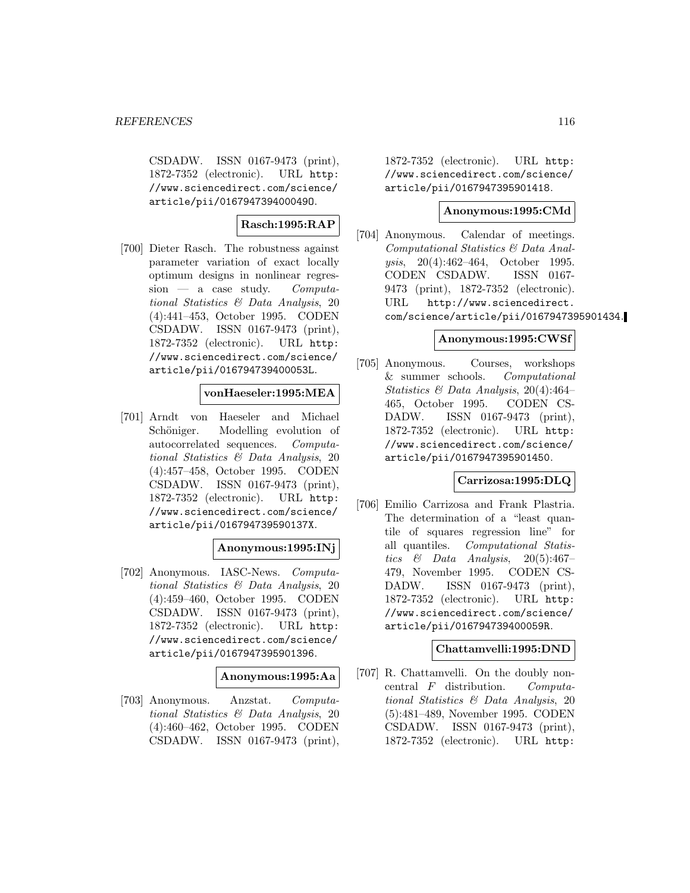CSDADW. ISSN 0167-9473 (print), 1872-7352 (electronic). URL http: //www.sciencedirect.com/science/ article/pii/016794739400049O.

# **Rasch:1995:RAP**

[700] Dieter Rasch. The robustness against parameter variation of exact locally optimum designs in nonlinear regres $sion$  — a case study. Computational Statistics & Data Analysis, 20 (4):441–453, October 1995. CODEN CSDADW. ISSN 0167-9473 (print), 1872-7352 (electronic). URL http: //www.sciencedirect.com/science/ article/pii/016794739400053L.

## **vonHaeseler:1995:MEA**

[701] Arndt von Haeseler and Michael Schöniger. Modelling evolution of autocorrelated sequences. Computational Statistics & Data Analysis, 20 (4):457–458, October 1995. CODEN CSDADW. ISSN 0167-9473 (print), 1872-7352 (electronic). URL http: //www.sciencedirect.com/science/ article/pii/016794739590137X.

## **Anonymous:1995:INj**

[702] Anonymous. IASC-News. Computational Statistics & Data Analysis, 20 (4):459–460, October 1995. CODEN CSDADW. ISSN 0167-9473 (print), 1872-7352 (electronic). URL http: //www.sciencedirect.com/science/ article/pii/0167947395901396.

## **Anonymous:1995:Aa**

[703] Anonymous. Anzstat. Computational Statistics & Data Analysis, 20 (4):460–462, October 1995. CODEN CSDADW. ISSN 0167-9473 (print),

1872-7352 (electronic). URL http: //www.sciencedirect.com/science/ article/pii/0167947395901418.

#### **Anonymous:1995:CMd**

[704] Anonymous. Calendar of meetings. Computational Statistics & Data Analysis, 20(4):462–464, October 1995. CODEN CSDADW. ISSN 0167- 9473 (print), 1872-7352 (electronic). URL http://www.sciencedirect. com/science/article/pii/0167947395901434.

## **Anonymous:1995:CWSf**

[705] Anonymous. Courses, workshops & summer schools. Computational Statistics & Data Analysis, 20(4):464– 465, October 1995. CODEN CS-DADW. ISSN 0167-9473 (print), 1872-7352 (electronic). URL http: //www.sciencedirect.com/science/ article/pii/0167947395901450.

## **Carrizosa:1995:DLQ**

[706] Emilio Carrizosa and Frank Plastria. The determination of a "least quantile of squares regression line" for all quantiles. Computational Statistics & Data Analysis,  $20(5):467-$ 479, November 1995. CODEN CS-DADW. ISSN 0167-9473 (print), 1872-7352 (electronic). URL http: //www.sciencedirect.com/science/ article/pii/016794739400059R.

## **Chattamvelli:1995:DND**

[707] R. Chattamvelli. On the doubly noncentral F distribution. Computational Statistics & Data Analysis, 20 (5):481–489, November 1995. CODEN CSDADW. ISSN 0167-9473 (print), 1872-7352 (electronic). URL http: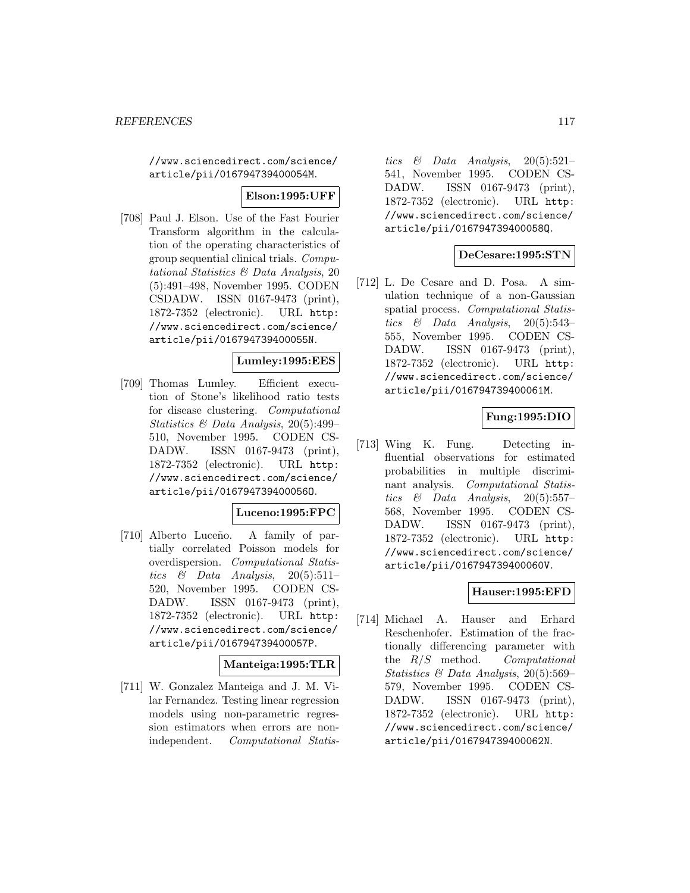//www.sciencedirect.com/science/ article/pii/016794739400054M.

## **Elson:1995:UFF**

[708] Paul J. Elson. Use of the Fast Fourier Transform algorithm in the calculation of the operating characteristics of group sequential clinical trials. Computational Statistics & Data Analysis, 20 (5):491–498, November 1995. CODEN CSDADW. ISSN 0167-9473 (print), 1872-7352 (electronic). URL http: //www.sciencedirect.com/science/ article/pii/016794739400055N.

## **Lumley:1995:EES**

[709] Thomas Lumley. Efficient execution of Stone's likelihood ratio tests for disease clustering. Computational Statistics & Data Analysis, 20(5):499– 510, November 1995. CODEN CS-DADW. ISSN 0167-9473 (print), 1872-7352 (electronic). URL http: //www.sciencedirect.com/science/ article/pii/016794739400056O.

## **Luceno:1995:FPC**

[710] Alberto Luceño. A family of partially correlated Poisson models for overdispersion. Computational Statistics & Data Analysis,  $20(5):511-$ 520, November 1995. CODEN CS-DADW. ISSN 0167-9473 (print), 1872-7352 (electronic). URL http: //www.sciencedirect.com/science/ article/pii/016794739400057P.

## **Manteiga:1995:TLR**

[711] W. Gonzalez Manteiga and J. M. Vilar Fernandez. Testing linear regression models using non-parametric regression estimators when errors are nonindependent. Computational Statis-

tics  $\&$  Data Analysis, 20(5):521-541, November 1995. CODEN CS-DADW. ISSN 0167-9473 (print), 1872-7352 (electronic). URL http: //www.sciencedirect.com/science/ article/pii/016794739400058Q.

## **DeCesare:1995:STN**

[712] L. De Cesare and D. Posa. A simulation technique of a non-Gaussian spatial process. Computational Statistics & Data Analysis,  $20(5):543-$ 555, November 1995. CODEN CS-DADW. ISSN 0167-9473 (print), 1872-7352 (electronic). URL http: //www.sciencedirect.com/science/ article/pii/016794739400061M.

## **Fung:1995:DIO**

[713] Wing K. Fung. Detecting influential observations for estimated probabilities in multiple discriminant analysis. Computational Statistics  $\&$  Data Analysis, 20(5):557-568, November 1995. CODEN CS-DADW. ISSN 0167-9473 (print), 1872-7352 (electronic). URL http: //www.sciencedirect.com/science/ article/pii/016794739400060V.

## **Hauser:1995:EFD**

[714] Michael A. Hauser and Erhard Reschenhofer. Estimation of the fractionally differencing parameter with the  $R/S$  method. Computational Statistics & Data Analysis, 20(5):569– 579, November 1995. CODEN CS-DADW. ISSN 0167-9473 (print), 1872-7352 (electronic). URL http: //www.sciencedirect.com/science/ article/pii/016794739400062N.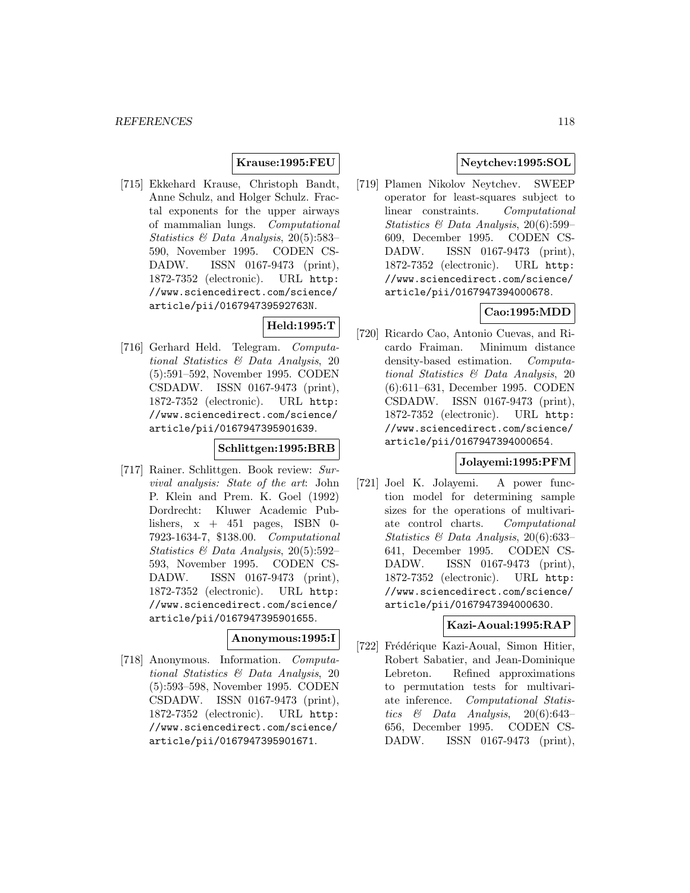# **Krause:1995:FEU**

[715] Ekkehard Krause, Christoph Bandt, Anne Schulz, and Holger Schulz. Fractal exponents for the upper airways of mammalian lungs. Computational Statistics & Data Analysis, 20(5):583– 590, November 1995. CODEN CS-DADW. ISSN 0167-9473 (print), 1872-7352 (electronic). URL http: //www.sciencedirect.com/science/ article/pii/016794739592763N.

# **Held:1995:T**

[716] Gerhard Held. Telegram. Computational Statistics & Data Analysis, 20 (5):591–592, November 1995. CODEN CSDADW. ISSN 0167-9473 (print), 1872-7352 (electronic). URL http: //www.sciencedirect.com/science/ article/pii/0167947395901639.

# **Schlittgen:1995:BRB**

[717] Rainer. Schlittgen. Book review: Survival analysis: State of the art: John P. Klein and Prem. K. Goel (1992) Dordrecht: Kluwer Academic Publishers,  $x + 451$  pages, ISBN 0-7923-1634-7, \$138.00. Computational Statistics & Data Analysis, 20(5):592– 593, November 1995. CODEN CS-DADW. ISSN 0167-9473 (print), 1872-7352 (electronic). URL http: //www.sciencedirect.com/science/ article/pii/0167947395901655.

#### **Anonymous:1995:I**

[718] Anonymous. Information. Computational Statistics & Data Analysis, 20 (5):593–598, November 1995. CODEN CSDADW. ISSN 0167-9473 (print), 1872-7352 (electronic). URL http: //www.sciencedirect.com/science/ article/pii/0167947395901671.

# **Neytchev:1995:SOL**

[719] Plamen Nikolov Neytchev. SWEEP operator for least-squares subject to linear constraints. Computational Statistics & Data Analysis, 20(6):599– 609, December 1995. CODEN CS-DADW. ISSN 0167-9473 (print), 1872-7352 (electronic). URL http: //www.sciencedirect.com/science/ article/pii/0167947394000678.

# **Cao:1995:MDD**

[720] Ricardo Cao, Antonio Cuevas, and Ricardo Fraiman. Minimum distance density-based estimation. Computational Statistics & Data Analysis, 20 (6):611–631, December 1995. CODEN CSDADW. ISSN 0167-9473 (print), 1872-7352 (electronic). URL http: //www.sciencedirect.com/science/ article/pii/0167947394000654.

# **Jolayemi:1995:PFM**

[721] Joel K. Jolayemi. A power function model for determining sample sizes for the operations of multivariate control charts. Computational Statistics & Data Analysis, 20(6):633– 641, December 1995. CODEN CS-DADW. ISSN 0167-9473 (print), 1872-7352 (electronic). URL http: //www.sciencedirect.com/science/ article/pii/0167947394000630.

## **Kazi-Aoual:1995:RAP**

[722] Frédérique Kazi-Aoual, Simon Hitier, Robert Sabatier, and Jean-Dominique Lebreton. Refined approximations to permutation tests for multivariate inference. Computational Statistics  $\&$  Data Analysis, 20(6):643– 656, December 1995. CODEN CS-DADW. ISSN 0167-9473 (print),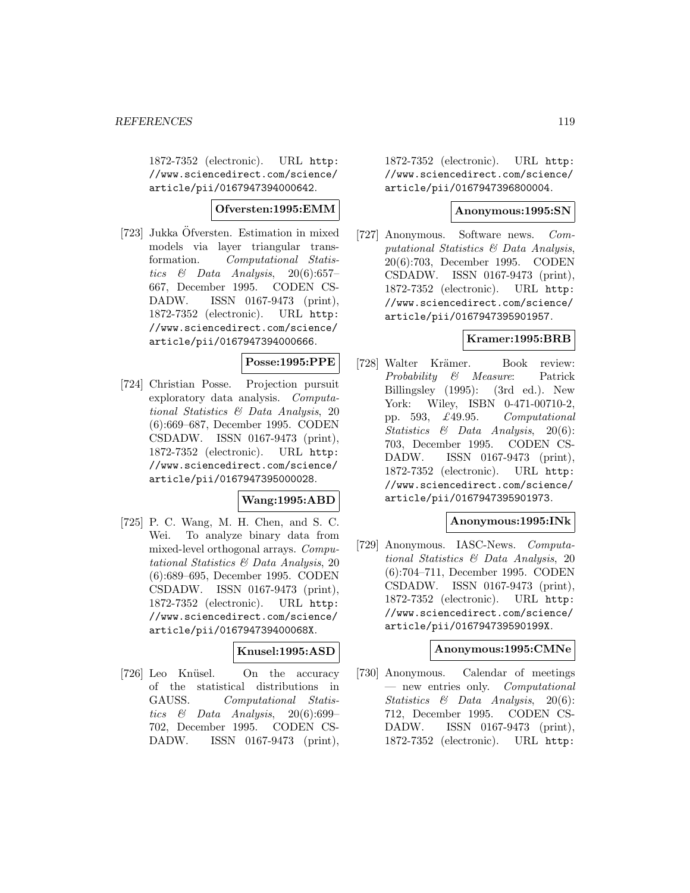1872-7352 (electronic). URL http: //www.sciencedirect.com/science/ article/pii/0167947394000642.

#### **Ofversten:1995:EMM**

[723] Jukka Öfversten. Estimation in mixed models via layer triangular transformation. Computational Statistics  $\&$  Data Analysis, 20(6):657– 667, December 1995. CODEN CS-DADW. ISSN 0167-9473 (print), 1872-7352 (electronic). URL http: //www.sciencedirect.com/science/ article/pii/0167947394000666.

#### **Posse:1995:PPE**

[724] Christian Posse. Projection pursuit exploratory data analysis. Computational Statistics & Data Analysis, 20 (6):669–687, December 1995. CODEN CSDADW. ISSN 0167-9473 (print), 1872-7352 (electronic). URL http: //www.sciencedirect.com/science/ article/pii/0167947395000028.

## **Wang:1995:ABD**

[725] P. C. Wang, M. H. Chen, and S. C. Wei. To analyze binary data from mixed-level orthogonal arrays. Computational Statistics & Data Analysis, 20 (6):689–695, December 1995. CODEN CSDADW. ISSN 0167-9473 (print), 1872-7352 (electronic). URL http: //www.sciencedirect.com/science/ article/pii/016794739400068X.

# **Knusel:1995:ASD**

[726] Leo Knüsel. On the accuracy of the statistical distributions in GAUSS. Computational Statistics  $\&$  Data Analysis, 20(6):699– 702, December 1995. CODEN CS-DADW. ISSN 0167-9473 (print),

1872-7352 (electronic). URL http: //www.sciencedirect.com/science/ article/pii/0167947396800004.

#### **Anonymous:1995:SN**

[727] Anonymous. Software news. Computational Statistics & Data Analysis, 20(6):703, December 1995. CODEN CSDADW. ISSN 0167-9473 (print), 1872-7352 (electronic). URL http: //www.sciencedirect.com/science/ article/pii/0167947395901957.

## **Kramer:1995:BRB**

[728] Walter Krämer. Book review: Probability & Measure: Patrick Billingsley (1995): (3rd ed.). New York: Wiley, ISBN 0-471-00710-2, pp. 593, £49.95. Computational Statistics & Data Analysis, 20(6): 703, December 1995. CODEN CS-DADW. ISSN 0167-9473 (print), 1872-7352 (electronic). URL http: //www.sciencedirect.com/science/ article/pii/0167947395901973.

## **Anonymous:1995:INk**

[729] Anonymous. IASC-News. Computational Statistics & Data Analysis, 20 (6):704–711, December 1995. CODEN CSDADW. ISSN 0167-9473 (print), 1872-7352 (electronic). URL http: //www.sciencedirect.com/science/ article/pii/016794739590199X.

#### **Anonymous:1995:CMNe**

[730] Anonymous. Calendar of meetings — new entries only. Computational Statistics & Data Analysis, 20(6): 712, December 1995. CODEN CS-DADW. ISSN 0167-9473 (print), 1872-7352 (electronic). URL http: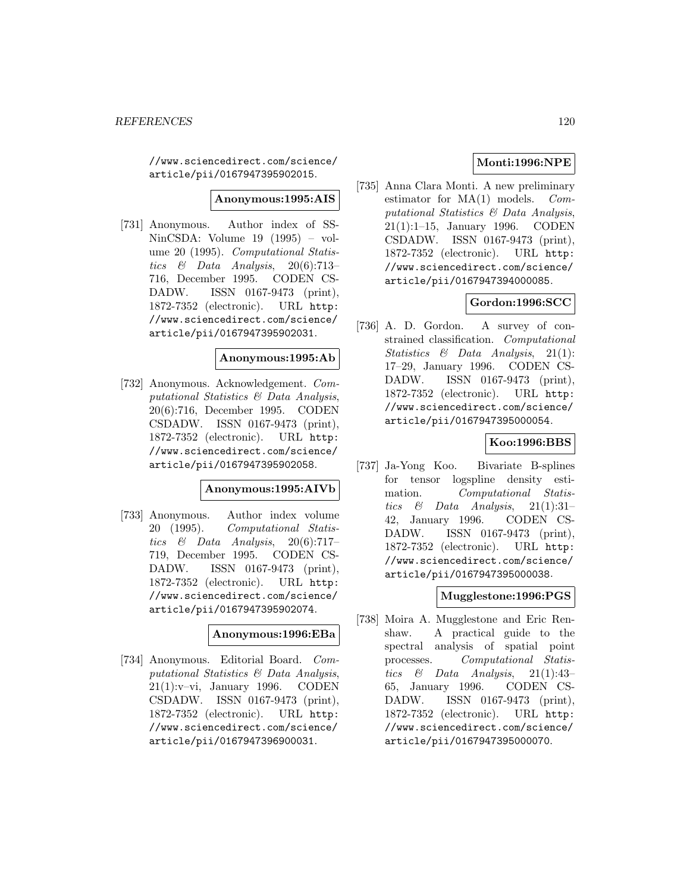//www.sciencedirect.com/science/ article/pii/0167947395902015.

**Anonymous:1995:AIS**

[731] Anonymous. Author index of SS-NinCSDA: Volume 19 (1995) – volume 20 (1995). Computational Statistics  $\&$  Data Analysis, 20(6):713-716, December 1995. CODEN CS-DADW. ISSN 0167-9473 (print), 1872-7352 (electronic). URL http: //www.sciencedirect.com/science/ article/pii/0167947395902031.

## **Anonymous:1995:Ab**

[732] Anonymous. Acknowledgement. Computational Statistics & Data Analysis, 20(6):716, December 1995. CODEN CSDADW. ISSN 0167-9473 (print), 1872-7352 (electronic). URL http: //www.sciencedirect.com/science/ article/pii/0167947395902058.

#### **Anonymous:1995:AIVb**

[733] Anonymous. Author index volume 20 (1995). Computational Statistics  $\&$  Data Analysis, 20(6):717-719, December 1995. CODEN CS-DADW. ISSN 0167-9473 (print), 1872-7352 (electronic). URL http: //www.sciencedirect.com/science/ article/pii/0167947395902074.

## **Anonymous:1996:EBa**

[734] Anonymous. Editorial Board. Computational Statistics & Data Analysis, 21(1):v–vi, January 1996. CODEN CSDADW. ISSN 0167-9473 (print), 1872-7352 (electronic). URL http: //www.sciencedirect.com/science/ article/pii/0167947396900031.

# **Monti:1996:NPE**

[735] Anna Clara Monti. A new preliminary estimator for  $MA(1)$  models. *Com*putational Statistics & Data Analysis, 21(1):1–15, January 1996. CODEN CSDADW. ISSN 0167-9473 (print), 1872-7352 (electronic). URL http: //www.sciencedirect.com/science/ article/pii/0167947394000085.

# **Gordon:1996:SCC**

[736] A. D. Gordon. A survey of constrained classification. Computational Statistics & Data Analysis, 21(1): 17–29, January 1996. CODEN CS-DADW. ISSN 0167-9473 (print), 1872-7352 (electronic). URL http: //www.sciencedirect.com/science/ article/pii/0167947395000054.

## **Koo:1996:BBS**

[737] Ja-Yong Koo. Bivariate B-splines for tensor logspline density estimation. Computational Statistics & Data Analysis,  $21(1):31-$ 42, January 1996. CODEN CS-DADW. ISSN 0167-9473 (print), 1872-7352 (electronic). URL http: //www.sciencedirect.com/science/ article/pii/0167947395000038.

# **Mugglestone:1996:PGS**

[738] Moira A. Mugglestone and Eric Renshaw. A practical guide to the spectral analysis of spatial point processes. Computational Statistics  $\&$  Data Analysis, 21(1):43– 65, January 1996. CODEN CS-DADW. ISSN 0167-9473 (print), 1872-7352 (electronic). URL http: //www.sciencedirect.com/science/ article/pii/0167947395000070.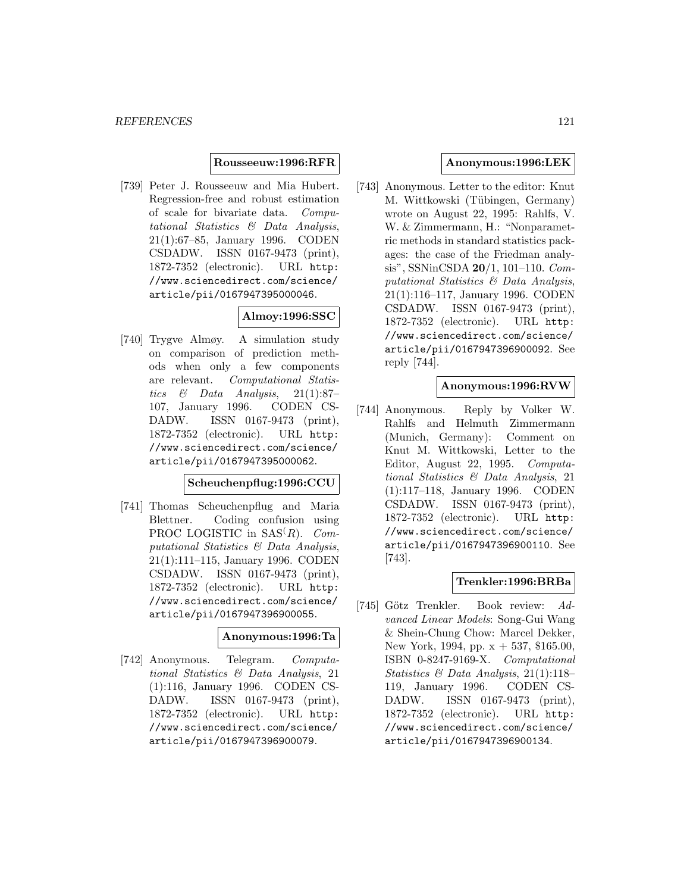#### **Rousseeuw:1996:RFR**

[739] Peter J. Rousseeuw and Mia Hubert. Regression-free and robust estimation of scale for bivariate data. Computational Statistics & Data Analysis, 21(1):67–85, January 1996. CODEN CSDADW. ISSN 0167-9473 (print), 1872-7352 (electronic). URL http: //www.sciencedirect.com/science/ article/pii/0167947395000046.

# **Almoy:1996:SSC**

[740] Trygve Almøy. A simulation study on comparison of prediction methods when only a few components are relevant. Computational Statistics & Data Analysis, 21(1):87– 107, January 1996. CODEN CS-DADW. ISSN 0167-9473 (print), 1872-7352 (electronic). URL http: //www.sciencedirect.com/science/ article/pii/0167947395000062.

# **Scheuchenpflug:1996:CCU**

[741] Thomas Scheuchenpflug and Maria Blettner. Coding confusion using PROC LOGISTIC in  $SAS(R)$ . Computational Statistics & Data Analysis, 21(1):111–115, January 1996. CODEN CSDADW. ISSN 0167-9473 (print), 1872-7352 (electronic). URL http: //www.sciencedirect.com/science/ article/pii/0167947396900055.

#### **Anonymous:1996:Ta**

[742] Anonymous. Telegram. Computational Statistics & Data Analysis, 21 (1):116, January 1996. CODEN CS-DADW. ISSN 0167-9473 (print), 1872-7352 (electronic). URL http: //www.sciencedirect.com/science/ article/pii/0167947396900079.

# **Anonymous:1996:LEK**

[743] Anonymous. Letter to the editor: Knut M. Wittkowski (Tübingen, Germany) wrote on August 22, 1995: Rahlfs, V. W. & Zimmermann, H.: "Nonparametric methods in standard statistics packages: the case of the Friedman analysis", SSNinCSDA **20**/1, 101–110. Computational Statistics & Data Analysis, 21(1):116–117, January 1996. CODEN CSDADW. ISSN 0167-9473 (print), 1872-7352 (electronic). URL http: //www.sciencedirect.com/science/ article/pii/0167947396900092. See reply [744].

## **Anonymous:1996:RVW**

[744] Anonymous. Reply by Volker W. Rahlfs and Helmuth Zimmermann (Munich, Germany): Comment on Knut M. Wittkowski, Letter to the Editor, August 22, 1995. Computational Statistics & Data Analysis, 21 (1):117–118, January 1996. CODEN CSDADW. ISSN 0167-9473 (print), 1872-7352 (electronic). URL http: //www.sciencedirect.com/science/ article/pii/0167947396900110. See [743].

## **Trenkler:1996:BRBa**

[745] Götz Trenkler. Book review: Advanced Linear Models: Song-Gui Wang & Shein-Chung Chow: Marcel Dekker, New York, 1994, pp. x + 537, \$165.00, ISBN 0-8247-9169-X. Computational Statistics & Data Analysis, 21(1):118– 119, January 1996. CODEN CS-DADW. ISSN 0167-9473 (print), 1872-7352 (electronic). URL http: //www.sciencedirect.com/science/ article/pii/0167947396900134.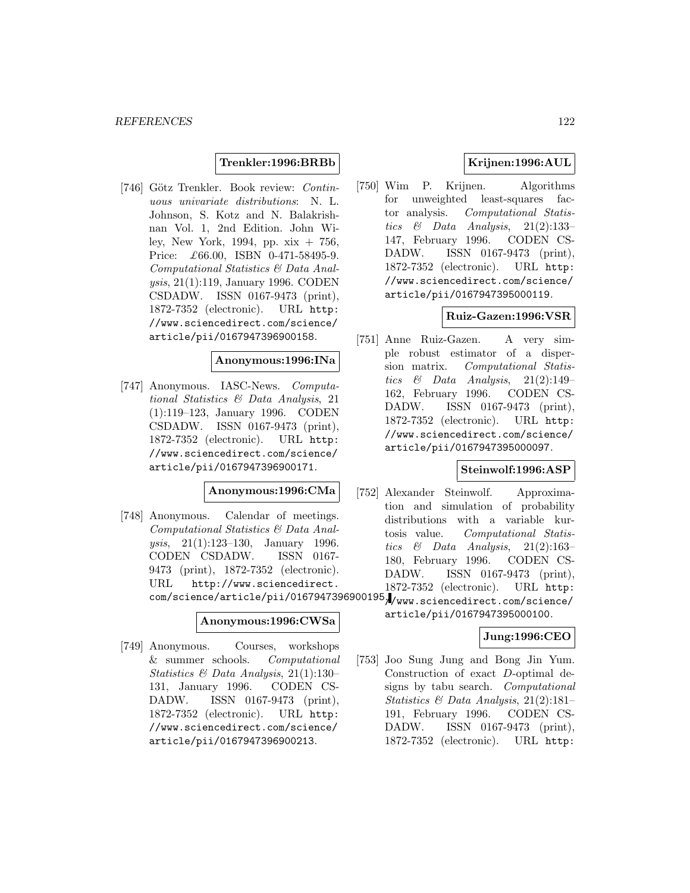## **Trenkler:1996:BRBb**

[746] Götz Trenkler. Book review: Continuous univariate distributions: N. L. Johnson, S. Kotz and N. Balakrishnan Vol. 1, 2nd Edition. John Wiley, New York, 1994, pp. xix + 756, Price: £66.00, ISBN 0-471-58495-9. Computational Statistics & Data Analysis, 21(1):119, January 1996. CODEN CSDADW. ISSN 0167-9473 (print), 1872-7352 (electronic). URL http: //www.sciencedirect.com/science/ article/pii/0167947396900158.

#### **Anonymous:1996:INa**

[747] Anonymous. IASC-News. Computational Statistics & Data Analysis, 21 (1):119–123, January 1996. CODEN CSDADW. ISSN 0167-9473 (print), 1872-7352 (electronic). URL http: //www.sciencedirect.com/science/ article/pii/0167947396900171.

## **Anonymous:1996:CMa**

[748] Anonymous. Calendar of meetings. Computational Statistics & Data Analysis, 21(1):123–130, January 1996. CODEN CSDADW. ISSN 0167- 9473 (print), 1872-7352 (electronic). URL http://www.sciencedirect. com/science/article/pii/0167947396900195.

#### **Anonymous:1996:CWSa**

[749] Anonymous. Courses, workshops & summer schools. Computational Statistics & Data Analysis, 21(1):130– 131, January 1996. CODEN CS-DADW. ISSN 0167-9473 (print), 1872-7352 (electronic). URL http: //www.sciencedirect.com/science/ article/pii/0167947396900213.

# **Krijnen:1996:AUL**

[750] Wim P. Krijnen. Algorithms for unweighted least-squares factor analysis. Computational Statistics  $\&$  Data Analysis, 21(2):133– 147, February 1996. CODEN CS-DADW. ISSN 0167-9473 (print), 1872-7352 (electronic). URL http: //www.sciencedirect.com/science/ article/pii/0167947395000119.

# **Ruiz-Gazen:1996:VSR**

[751] Anne Ruiz-Gazen. A very simple robust estimator of a dispersion matrix. Computational Statistics  $\&$  Data Analysis, 21(2):149– 162, February 1996. CODEN CS-DADW. ISSN 0167-9473 (print), 1872-7352 (electronic). URL http: //www.sciencedirect.com/science/ article/pii/0167947395000097.

## **Steinwolf:1996:ASP**

[752] Alexander Steinwolf. Approximation and simulation of probability distributions with a variable kurtosis value. Computational Statistics  $\&$  Data Analysis, 21(2):163– 180, February 1996. CODEN CS-DADW. ISSN 0167-9473 (print), 1872-7352 (electronic). URL http:

> //www.sciencedirect.com/science/ article/pii/0167947395000100.

## **Jung:1996:CEO**

[753] Joo Sung Jung and Bong Jin Yum. Construction of exact D-optimal designs by tabu search. Computational Statistics & Data Analysis, 21(2):181– 191, February 1996. CODEN CS-DADW. ISSN 0167-9473 (print), 1872-7352 (electronic). URL http: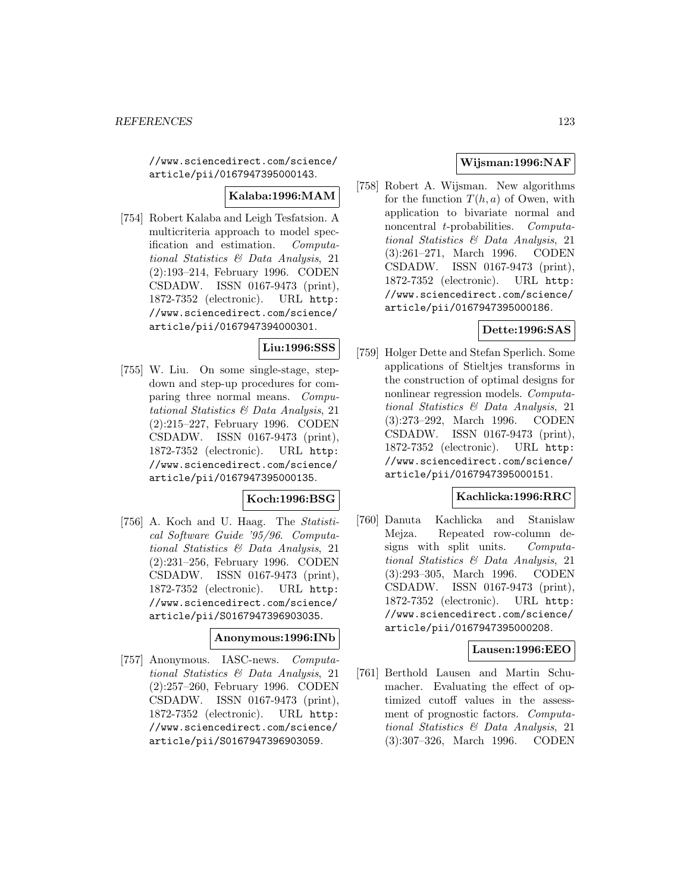//www.sciencedirect.com/science/ article/pii/0167947395000143.

# **Kalaba:1996:MAM**

[754] Robert Kalaba and Leigh Tesfatsion. A multicriteria approach to model specification and estimation. Computational Statistics & Data Analysis, 21 (2):193–214, February 1996. CODEN CSDADW. ISSN 0167-9473 (print), 1872-7352 (electronic). URL http: //www.sciencedirect.com/science/ article/pii/0167947394000301.

# **Liu:1996:SSS**

[755] W. Liu. On some single-stage, stepdown and step-up procedures for comparing three normal means. Computational Statistics & Data Analysis, 21 (2):215–227, February 1996. CODEN CSDADW. ISSN 0167-9473 (print), 1872-7352 (electronic). URL http: //www.sciencedirect.com/science/ article/pii/0167947395000135.

## **Koch:1996:BSG**

[756] A. Koch and U. Haag. The Statistical Software Guide '95/96. Computational Statistics & Data Analysis, 21 (2):231–256, February 1996. CODEN CSDADW. ISSN 0167-9473 (print), 1872-7352 (electronic). URL http: //www.sciencedirect.com/science/ article/pii/S0167947396903035.

#### **Anonymous:1996:INb**

[757] Anonymous. IASC-news. Computational Statistics & Data Analysis, 21 (2):257–260, February 1996. CODEN CSDADW. ISSN 0167-9473 (print), 1872-7352 (electronic). URL http: //www.sciencedirect.com/science/ article/pii/S0167947396903059.

# **Wijsman:1996:NAF**

[758] Robert A. Wijsman. New algorithms for the function  $T(h, a)$  of Owen, with application to bivariate normal and noncentral t-probabilities. Computational Statistics & Data Analysis, 21 (3):261–271, March 1996. CODEN CSDADW. ISSN 0167-9473 (print), 1872-7352 (electronic). URL http: //www.sciencedirect.com/science/ article/pii/0167947395000186.

# **Dette:1996:SAS**

[759] Holger Dette and Stefan Sperlich. Some applications of Stieltjes transforms in the construction of optimal designs for nonlinear regression models. Computational Statistics & Data Analysis, 21 (3):273–292, March 1996. CODEN CSDADW. ISSN 0167-9473 (print), 1872-7352 (electronic). URL http: //www.sciencedirect.com/science/ article/pii/0167947395000151.

## **Kachlicka:1996:RRC**

[760] Danuta Kachlicka and Stanislaw Mejza. Repeated row-column designs with split units. Computational Statistics & Data Analysis, 21 (3):293–305, March 1996. CODEN CSDADW. ISSN 0167-9473 (print), 1872-7352 (electronic). URL http: //www.sciencedirect.com/science/ article/pii/0167947395000208.

# **Lausen:1996:EEO**

[761] Berthold Lausen and Martin Schumacher. Evaluating the effect of optimized cutoff values in the assessment of prognostic factors. Computational Statistics & Data Analysis, 21 (3):307–326, March 1996. CODEN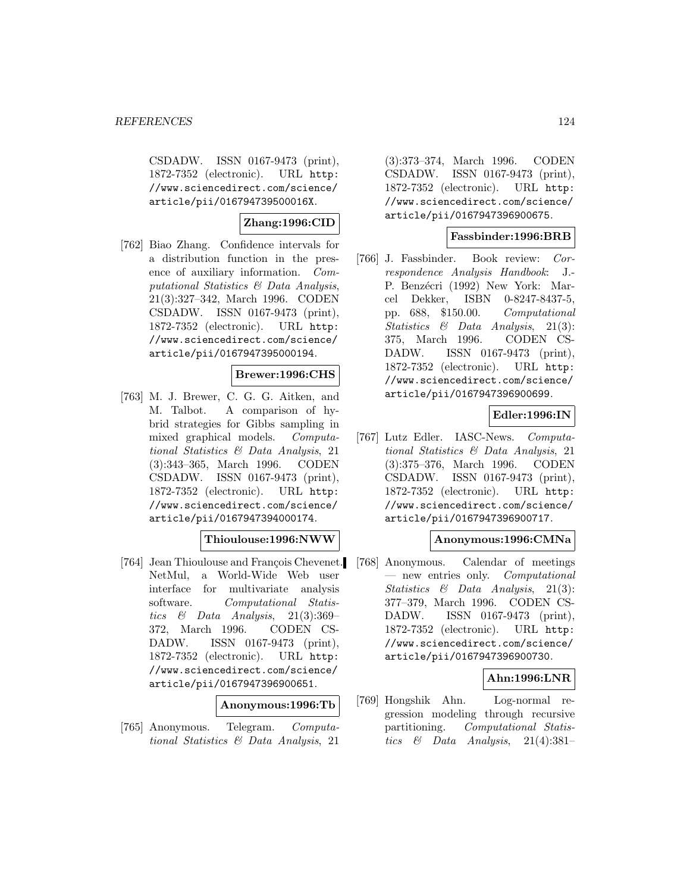CSDADW. ISSN 0167-9473 (print), 1872-7352 (electronic). URL http: //www.sciencedirect.com/science/ article/pii/016794739500016X.

# **Zhang:1996:CID**

[762] Biao Zhang. Confidence intervals for a distribution function in the presence of auxiliary information. Computational Statistics & Data Analysis, 21(3):327–342, March 1996. CODEN CSDADW. ISSN 0167-9473 (print), 1872-7352 (electronic). URL http: //www.sciencedirect.com/science/ article/pii/0167947395000194.

# **Brewer:1996:CHS**

[763] M. J. Brewer, C. G. G. Aitken, and M. Talbot. A comparison of hybrid strategies for Gibbs sampling in mixed graphical models. Computational Statistics & Data Analysis, 21 (3):343–365, March 1996. CODEN CSDADW. ISSN 0167-9473 (print), 1872-7352 (electronic). URL http: //www.sciencedirect.com/science/ article/pii/0167947394000174.

# **Thioulouse:1996:NWW**

[764] Jean Thioulouse and François Chevenet. NetMul, a World-Wide Web user interface for multivariate analysis software. Computational Statistics & Data Analysis, 21(3):369– 372, March 1996. CODEN CS-DADW. ISSN 0167-9473 (print), 1872-7352 (electronic). URL http: //www.sciencedirect.com/science/ article/pii/0167947396900651.

#### **Anonymous:1996:Tb**

[765] Anonymous. Telegram. Computational Statistics & Data Analysis, 21

(3):373–374, March 1996. CODEN CSDADW. ISSN 0167-9473 (print), 1872-7352 (electronic). URL http: //www.sciencedirect.com/science/ article/pii/0167947396900675.

## **Fassbinder:1996:BRB**

[766] J. Fassbinder. Book review: Correspondence Analysis Handbook: J.- P. Benzécri (1992) New York: Marcel Dekker, ISBN 0-8247-8437-5, pp. 688, \$150.00. Computational Statistics & Data Analysis, 21(3): 375, March 1996. CODEN CS-DADW. ISSN 0167-9473 (print), 1872-7352 (electronic). URL http: //www.sciencedirect.com/science/ article/pii/0167947396900699.

## **Edler:1996:IN**

[767] Lutz Edler. IASC-News. Computational Statistics & Data Analysis, 21 (3):375–376, March 1996. CODEN CSDADW. ISSN 0167-9473 (print), 1872-7352 (electronic). URL http: //www.sciencedirect.com/science/ article/pii/0167947396900717.

## **Anonymous:1996:CMNa**

[768] Anonymous. Calendar of meetings — new entries only. Computational Statistics & Data Analysis, 21(3): 377–379, March 1996. CODEN CS-DADW. ISSN 0167-9473 (print), 1872-7352 (electronic). URL http: //www.sciencedirect.com/science/ article/pii/0167947396900730.

## **Ahn:1996:LNR**

[769] Hongshik Ahn. Log-normal regression modeling through recursive partitioning. Computational Statistics & Data Analysis,  $21(4):381-$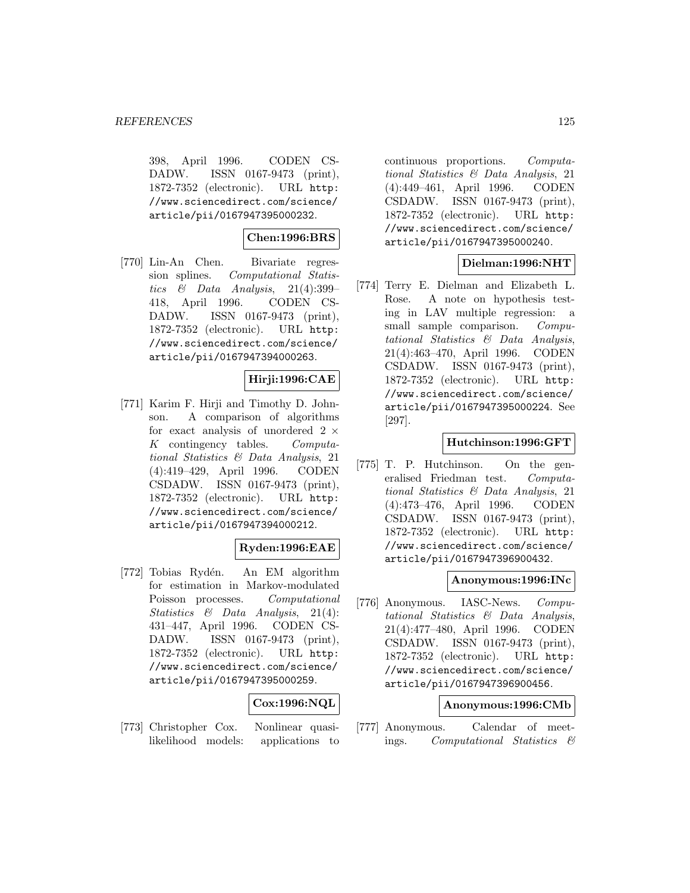398, April 1996. CODEN CS-DADW. ISSN 0167-9473 (print), 1872-7352 (electronic). URL http: //www.sciencedirect.com/science/ article/pii/0167947395000232.

# **Chen:1996:BRS**

[770] Lin-An Chen. Bivariate regression splines. Computational Statistics & Data Analysis,  $21(4):399-$ 418, April 1996. CODEN CS-DADW. ISSN 0167-9473 (print), 1872-7352 (electronic). URL http: //www.sciencedirect.com/science/ article/pii/0167947394000263.

# **Hirji:1996:CAE**

[771] Karim F. Hirji and Timothy D. Johnson. A comparison of algorithms for exact analysis of unordered  $2 \times K$  contingency tables. Computa- $K$  contingency tables. tional Statistics & Data Analysis, 21 (4):419–429, April 1996. CODEN CSDADW. ISSN 0167-9473 (print), 1872-7352 (electronic). URL http: //www.sciencedirect.com/science/ article/pii/0167947394000212.

## **Ryden:1996:EAE**

[772] Tobias Rydén. An EM algorithm for estimation in Markov-modulated Poisson processes. Computational Statistics & Data Analysis, 21(4): 431–447, April 1996. CODEN CS-DADW. ISSN 0167-9473 (print), 1872-7352 (electronic). URL http: //www.sciencedirect.com/science/ article/pii/0167947395000259.

# **Cox:1996:NQL**

[773] Christopher Cox. Nonlinear quasilikelihood models: applications to continuous proportions. Computational Statistics & Data Analysis, 21 (4):449–461, April 1996. CODEN CSDADW. ISSN 0167-9473 (print), 1872-7352 (electronic). URL http: //www.sciencedirect.com/science/ article/pii/0167947395000240.

## **Dielman:1996:NHT**

[774] Terry E. Dielman and Elizabeth L. Rose. A note on hypothesis testing in LAV multiple regression: a small sample comparison. Computational Statistics & Data Analysis, 21(4):463–470, April 1996. CODEN CSDADW. ISSN 0167-9473 (print), 1872-7352 (electronic). URL http: //www.sciencedirect.com/science/ article/pii/0167947395000224. See [297].

#### **Hutchinson:1996:GFT**

[775] T. P. Hutchinson. On the generalised Friedman test. Computational Statistics & Data Analysis, 21 (4):473–476, April 1996. CODEN CSDADW. ISSN 0167-9473 (print), 1872-7352 (electronic). URL http: //www.sciencedirect.com/science/ article/pii/0167947396900432.

#### **Anonymous:1996:INc**

[776] Anonymous. IASC-News. Computational Statistics & Data Analysis, 21(4):477–480, April 1996. CODEN CSDADW. ISSN 0167-9473 (print), 1872-7352 (electronic). URL http: //www.sciencedirect.com/science/ article/pii/0167947396900456.

#### **Anonymous:1996:CMb**

[777] Anonymous. Calendar of meetings. Computational Statistics &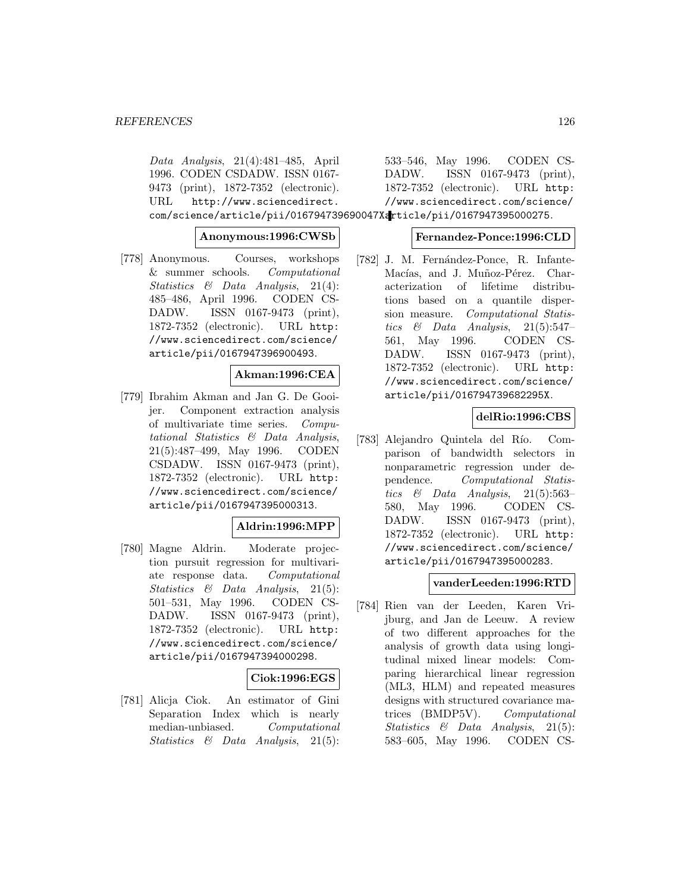Data Analysis, 21(4):481–485, April 1996. CODEN CSDADW. ISSN 0167- 9473 (print), 1872-7352 (electronic). URL http://www.sciencedirect. com/science/article/pii/016794739690047Xarticle/pii/0167947395000275.

## **Anonymous:1996:CWSb**

[778] Anonymous. Courses, workshops & summer schools. Computational Statistics & Data Analysis, 21(4): 485–486, April 1996. CODEN CS-DADW. ISSN 0167-9473 (print), 1872-7352 (electronic). URL http: //www.sciencedirect.com/science/ article/pii/0167947396900493.

# **Akman:1996:CEA**

[779] Ibrahim Akman and Jan G. De Gooijer. Component extraction analysis of multivariate time series. Computational Statistics & Data Analysis, 21(5):487–499, May 1996. CODEN CSDADW. ISSN 0167-9473 (print), 1872-7352 (electronic). URL http: //www.sciencedirect.com/science/ article/pii/0167947395000313.

## **Aldrin:1996:MPP**

[780] Magne Aldrin. Moderate projection pursuit regression for multivariate response data. Computational Statistics & Data Analysis, 21(5): 501–531, May 1996. CODEN CS-DADW. ISSN 0167-9473 (print), 1872-7352 (electronic). URL http: //www.sciencedirect.com/science/ article/pii/0167947394000298.

## **Ciok:1996:EGS**

[781] Alicja Ciok. An estimator of Gini Separation Index which is nearly median-unbiased. Computational Statistics & Data Analysis, 21(5):

533–546, May 1996. CODEN CS-DADW. ISSN 0167-9473 (print), 1872-7352 (electronic). URL http: //www.sciencedirect.com/science/

## **Fernandez-Ponce:1996:CLD**

[782] J. M. Fernández-Ponce, R. Infante-Macías, and J. Muñoz-Pérez. Characterization of lifetime distributions based on a quantile dispersion measure. Computational Statistics & Data Analysis, 21(5):547– 561, May 1996. CODEN CS-DADW. ISSN 0167-9473 (print), 1872-7352 (electronic). URL http: //www.sciencedirect.com/science/ article/pii/016794739682295X.

## **delRio:1996:CBS**

[783] Alejandro Quintela del Río. Comparison of bandwidth selectors in nonparametric regression under dependence. Computational Statistics & Data Analysis,  $21(5):563-$ 580, May 1996. CODEN CS-DADW. ISSN 0167-9473 (print), 1872-7352 (electronic). URL http: //www.sciencedirect.com/science/ article/pii/0167947395000283.

#### **vanderLeeden:1996:RTD**

[784] Rien van der Leeden, Karen Vrijburg, and Jan de Leeuw. A review of two different approaches for the analysis of growth data using longitudinal mixed linear models: Comparing hierarchical linear regression (ML3, HLM) and repeated measures designs with structured covariance matrices (BMDP5V). Computational Statistics & Data Analysis, 21(5): 583–605, May 1996. CODEN CS-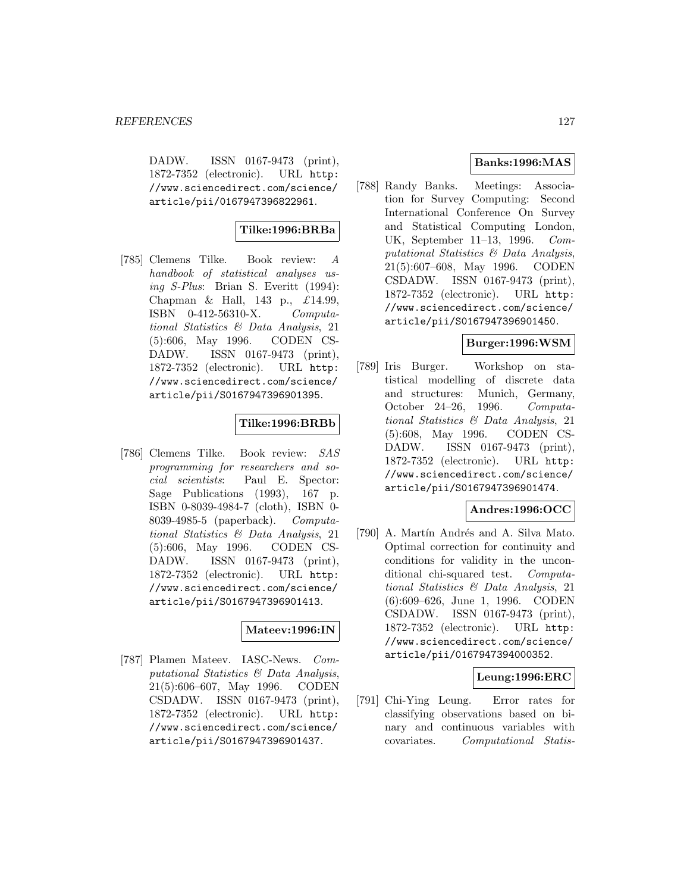DADW. ISSN 0167-9473 (print), 1872-7352 (electronic). URL http: //www.sciencedirect.com/science/ article/pii/0167947396822961.

# **Tilke:1996:BRBa**

[785] Clemens Tilke. Book review: A handbook of statistical analyses using S-Plus: Brian S. Everitt (1994): Chapman & Hall, 143 p.,  $\pounds$ 14.99, ISBN 0-412-56310-X. Computational Statistics & Data Analysis, 21 (5):606, May 1996. CODEN CS-DADW. ISSN 0167-9473 (print), 1872-7352 (electronic). URL http: //www.sciencedirect.com/science/ article/pii/S0167947396901395.

# **Tilke:1996:BRBb**

[786] Clemens Tilke. Book review: SAS programming for researchers and social scientists: Paul E. Spector: Sage Publications (1993), 167 p. ISBN 0-8039-4984-7 (cloth), ISBN 0- 8039-4985-5 (paperback). Computational Statistics & Data Analysis, 21 (5):606, May 1996. CODEN CS-DADW. ISSN 0167-9473 (print), 1872-7352 (electronic). URL http: //www.sciencedirect.com/science/ article/pii/S0167947396901413.

## **Mateev:1996:IN**

[787] Plamen Mateev. IASC-News. Computational Statistics & Data Analysis, 21(5):606–607, May 1996. CODEN CSDADW. ISSN 0167-9473 (print), 1872-7352 (electronic). URL http: //www.sciencedirect.com/science/ article/pii/S0167947396901437.

# **Banks:1996:MAS**

[788] Randy Banks. Meetings: Association for Survey Computing: Second International Conference On Survey and Statistical Computing London, UK, September 11–13, 1996. Computational Statistics & Data Analysis, 21(5):607–608, May 1996. CODEN CSDADW. ISSN 0167-9473 (print), 1872-7352 (electronic). URL http: //www.sciencedirect.com/science/ article/pii/S0167947396901450.

#### **Burger:1996:WSM**

[789] Iris Burger. Workshop on statistical modelling of discrete data and structures: Munich, Germany, October 24–26, 1996. Computational Statistics & Data Analysis, 21 (5):608, May 1996. CODEN CS-DADW. ISSN 0167-9473 (print), 1872-7352 (electronic). URL http: //www.sciencedirect.com/science/ article/pii/S0167947396901474.

## **Andres:1996:OCC**

[790] A. Martín Andrés and A. Silva Mato. Optimal correction for continuity and conditions for validity in the unconditional chi-squared test. Computational Statistics & Data Analysis, 21 (6):609–626, June 1, 1996. CODEN CSDADW. ISSN 0167-9473 (print), 1872-7352 (electronic). URL http: //www.sciencedirect.com/science/ article/pii/0167947394000352.

## **Leung:1996:ERC**

[791] Chi-Ying Leung. Error rates for classifying observations based on binary and continuous variables with covariates. Computational Statis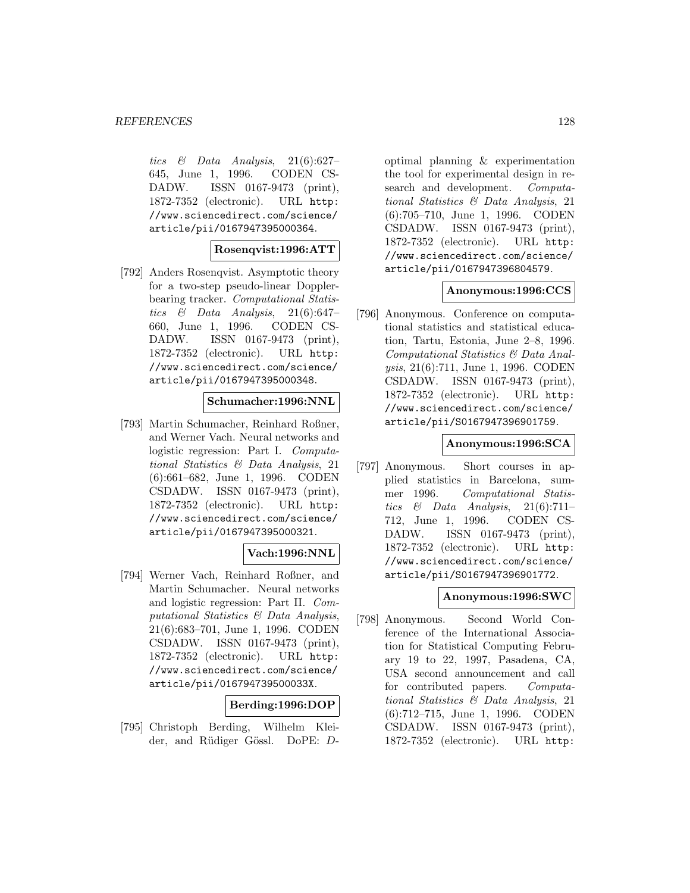tics  $\&$  Data Analysis, 21(6):627– 645, June 1, 1996. CODEN CS-DADW. ISSN 0167-9473 (print), 1872-7352 (electronic). URL http: //www.sciencedirect.com/science/ article/pii/0167947395000364.

#### **Rosenqvist:1996:ATT**

[792] Anders Rosenqvist. Asymptotic theory for a two-step pseudo-linear Dopplerbearing tracker. Computational Statistics  $\&$  Data Analysis, 21(6):647– 660, June 1, 1996. CODEN CS-DADW. ISSN 0167-9473 (print), 1872-7352 (electronic). URL http: //www.sciencedirect.com/science/ article/pii/0167947395000348.

#### **Schumacher:1996:NNL**

[793] Martin Schumacher, Reinhard Roßner, and Werner Vach. Neural networks and logistic regression: Part I. Computational Statistics & Data Analysis, 21 (6):661–682, June 1, 1996. CODEN CSDADW. ISSN 0167-9473 (print), 1872-7352 (electronic). URL http: //www.sciencedirect.com/science/ article/pii/0167947395000321.

#### **Vach:1996:NNL**

[794] Werner Vach, Reinhard Roßner, and Martin Schumacher. Neural networks and logistic regression: Part II. Computational Statistics & Data Analysis, 21(6):683–701, June 1, 1996. CODEN CSDADW. ISSN 0167-9473 (print), 1872-7352 (electronic). URL http: //www.sciencedirect.com/science/ article/pii/016794739500033X.

## **Berding:1996:DOP**

[795] Christoph Berding, Wilhelm Kleider, and Rüdiger Gössl. DoPE: D-

optimal planning & experimentation the tool for experimental design in research and development. *Computa*tional Statistics & Data Analysis, 21 (6):705–710, June 1, 1996. CODEN CSDADW. ISSN 0167-9473 (print), 1872-7352 (electronic). URL http: //www.sciencedirect.com/science/ article/pii/0167947396804579.

#### **Anonymous:1996:CCS**

[796] Anonymous. Conference on computational statistics and statistical education, Tartu, Estonia, June 2–8, 1996. Computational Statistics & Data Analysis, 21(6):711, June 1, 1996. CODEN CSDADW. ISSN 0167-9473 (print), 1872-7352 (electronic). URL http: //www.sciencedirect.com/science/ article/pii/S0167947396901759.

#### **Anonymous:1996:SCA**

[797] Anonymous. Short courses in applied statistics in Barcelona, summer 1996. Computational Statistics & Data Analysis,  $21(6):711-$ 712, June 1, 1996. CODEN CS-DADW. ISSN 0167-9473 (print), 1872-7352 (electronic). URL http: //www.sciencedirect.com/science/ article/pii/S0167947396901772.

# **Anonymous:1996:SWC**

[798] Anonymous. Second World Conference of the International Association for Statistical Computing February 19 to 22, 1997, Pasadena, CA, USA second announcement and call for contributed papers. Computational Statistics & Data Analysis, 21 (6):712–715, June 1, 1996. CODEN CSDADW. ISSN 0167-9473 (print), 1872-7352 (electronic). URL http: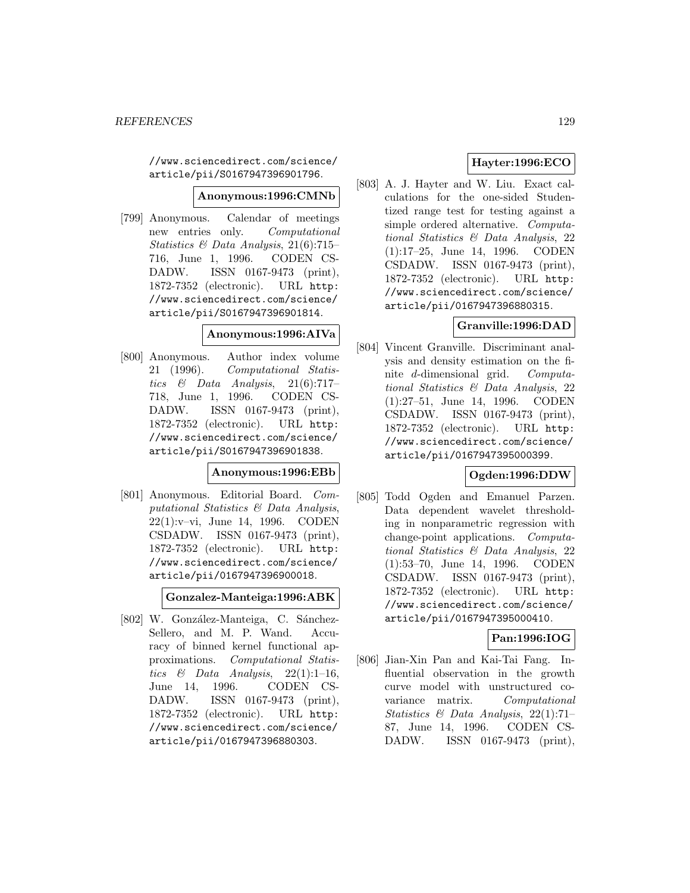//www.sciencedirect.com/science/ article/pii/S0167947396901796.

#### **Anonymous:1996:CMNb**

[799] Anonymous. Calendar of meetings new entries only. Computational Statistics & Data Analysis, 21(6):715– 716, June 1, 1996. CODEN CS-DADW. ISSN 0167-9473 (print), 1872-7352 (electronic). URL http: //www.sciencedirect.com/science/ article/pii/S0167947396901814.

#### **Anonymous:1996:AIVa**

[800] Anonymous. Author index volume 21 (1996). Computational Statistics  $\&$  Data Analysis, 21(6):717-718, June 1, 1996. CODEN CS-DADW. ISSN 0167-9473 (print), 1872-7352 (electronic). URL http: //www.sciencedirect.com/science/ article/pii/S0167947396901838.

#### **Anonymous:1996:EBb**

[801] Anonymous. Editorial Board. Computational Statistics & Data Analysis, 22(1):v–vi, June 14, 1996. CODEN CSDADW. ISSN 0167-9473 (print), 1872-7352 (electronic). URL http: //www.sciencedirect.com/science/ article/pii/0167947396900018.

**Gonzalez-Manteiga:1996:ABK**

[802] W. González-Manteiga, C. Sánchez-Sellero, and M. P. Wand. Accuracy of binned kernel functional approximations. Computational Statistics & Data Analysis,  $22(1):1-16$ , June 14, 1996. CODEN CS-DADW. ISSN 0167-9473 (print), 1872-7352 (electronic). URL http: //www.sciencedirect.com/science/ article/pii/0167947396880303.

# **Hayter:1996:ECO**

[803] A. J. Hayter and W. Liu. Exact calculations for the one-sided Studentized range test for testing against a simple ordered alternative. Computational Statistics & Data Analysis, 22 (1):17–25, June 14, 1996. CODEN CSDADW. ISSN 0167-9473 (print), 1872-7352 (electronic). URL http: //www.sciencedirect.com/science/ article/pii/0167947396880315.

## **Granville:1996:DAD**

[804] Vincent Granville. Discriminant analysis and density estimation on the finite d-dimensional grid. Computational Statistics & Data Analysis, 22 (1):27–51, June 14, 1996. CODEN CSDADW. ISSN 0167-9473 (print), 1872-7352 (electronic). URL http: //www.sciencedirect.com/science/ article/pii/0167947395000399.

## **Ogden:1996:DDW**

[805] Todd Ogden and Emanuel Parzen. Data dependent wavelet thresholding in nonparametric regression with change-point applications. Computational Statistics & Data Analysis, 22 (1):53–70, June 14, 1996. CODEN CSDADW. ISSN 0167-9473 (print), 1872-7352 (electronic). URL http: //www.sciencedirect.com/science/ article/pii/0167947395000410.

## **Pan:1996:IOG**

[806] Jian-Xin Pan and Kai-Tai Fang. Influential observation in the growth curve model with unstructured covariance matrix. Computational Statistics & Data Analysis, 22(1):71– 87, June 14, 1996. CODEN CS-DADW. ISSN 0167-9473 (print),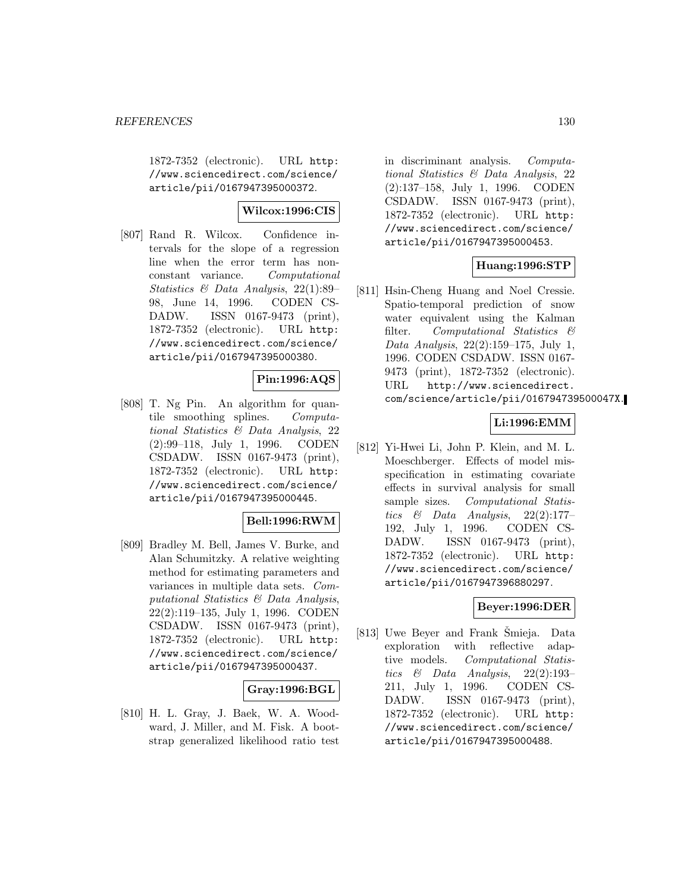1872-7352 (electronic). URL http: //www.sciencedirect.com/science/ article/pii/0167947395000372.

# **Wilcox:1996:CIS**

[807] Rand R. Wilcox. Confidence intervals for the slope of a regression line when the error term has nonconstant variance. Computational Statistics & Data Analysis, 22(1):89– 98, June 14, 1996. CODEN CS-DADW. ISSN 0167-9473 (print), 1872-7352 (electronic). URL http: //www.sciencedirect.com/science/ article/pii/0167947395000380.

# **Pin:1996:AQS**

[808] T. Ng Pin. An algorithm for quantile smoothing splines. Computational Statistics & Data Analysis, 22 (2):99–118, July 1, 1996. CODEN CSDADW. ISSN 0167-9473 (print), 1872-7352 (electronic). URL http: //www.sciencedirect.com/science/ article/pii/0167947395000445.

## **Bell:1996:RWM**

[809] Bradley M. Bell, James V. Burke, and Alan Schumitzky. A relative weighting method for estimating parameters and variances in multiple data sets. Computational Statistics & Data Analysis, 22(2):119–135, July 1, 1996. CODEN CSDADW. ISSN 0167-9473 (print), 1872-7352 (electronic). URL http: //www.sciencedirect.com/science/ article/pii/0167947395000437.

## **Gray:1996:BGL**

[810] H. L. Gray, J. Baek, W. A. Woodward, J. Miller, and M. Fisk. A bootstrap generalized likelihood ratio test

in discriminant analysis. Computational Statistics & Data Analysis, 22 (2):137–158, July 1, 1996. CODEN CSDADW. ISSN 0167-9473 (print), 1872-7352 (electronic). URL http: //www.sciencedirect.com/science/ article/pii/0167947395000453.

# **Huang:1996:STP**

[811] Hsin-Cheng Huang and Noel Cressie. Spatio-temporal prediction of snow water equivalent using the Kalman filter. Computational Statistics & Data Analysis, 22(2):159–175, July 1, 1996. CODEN CSDADW. ISSN 0167- 9473 (print), 1872-7352 (electronic). URL http://www.sciencedirect. com/science/article/pii/016794739500047X.

# **Li:1996:EMM**

[812] Yi-Hwei Li, John P. Klein, and M. L. Moeschberger. Effects of model misspecification in estimating covariate effects in survival analysis for small sample sizes. Computational Statistics  $\&$  Data Analysis, 22(2):177-192, July 1, 1996. CODEN CS-DADW. ISSN 0167-9473 (print), 1872-7352 (electronic). URL http: //www.sciencedirect.com/science/ article/pii/0167947396880297.

## **Beyer:1996:DER**

[813] Uwe Beyer and Frank Smieja. Data exploration with reflective adaptive models. Computational Statistics & Data Analysis, 22(2):193– 211, July 1, 1996. CODEN CS-DADW. ISSN 0167-9473 (print), 1872-7352 (electronic). URL http: //www.sciencedirect.com/science/ article/pii/0167947395000488.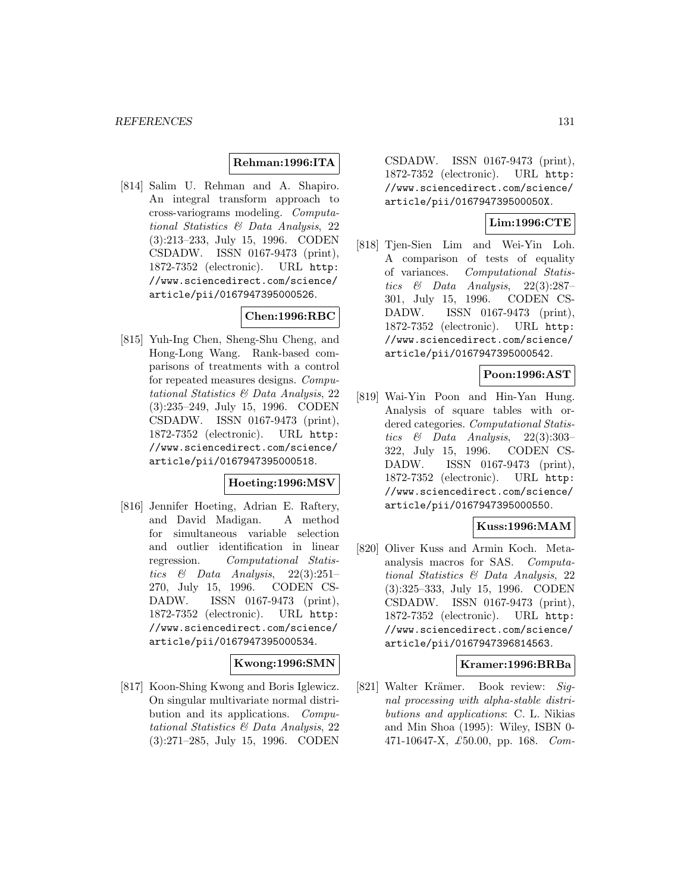#### **Rehman:1996:ITA**

[814] Salim U. Rehman and A. Shapiro. An integral transform approach to cross-variograms modeling. Computational Statistics & Data Analysis, 22 (3):213–233, July 15, 1996. CODEN CSDADW. ISSN 0167-9473 (print), 1872-7352 (electronic). URL http: //www.sciencedirect.com/science/ article/pii/0167947395000526.

# **Chen:1996:RBC**

[815] Yuh-Ing Chen, Sheng-Shu Cheng, and Hong-Long Wang. Rank-based comparisons of treatments with a control for repeated measures designs. Computational Statistics & Data Analysis, 22 (3):235–249, July 15, 1996. CODEN CSDADW. ISSN 0167-9473 (print), 1872-7352 (electronic). URL http: //www.sciencedirect.com/science/ article/pii/0167947395000518.

#### **Hoeting:1996:MSV**

[816] Jennifer Hoeting, Adrian E. Raftery, and David Madigan. A method for simultaneous variable selection and outlier identification in linear regression. Computational Statistics  $\&$  Data Analysis, 22(3):251– 270, July 15, 1996. CODEN CS-DADW. ISSN 0167-9473 (print), 1872-7352 (electronic). URL http: //www.sciencedirect.com/science/ article/pii/0167947395000534.

## **Kwong:1996:SMN**

[817] Koon-Shing Kwong and Boris Iglewicz. On singular multivariate normal distribution and its applications. Computational Statistics & Data Analysis, 22 (3):271–285, July 15, 1996. CODEN

CSDADW. ISSN 0167-9473 (print), 1872-7352 (electronic). URL http: //www.sciencedirect.com/science/ article/pii/016794739500050X.

# **Lim:1996:CTE**

[818] Tjen-Sien Lim and Wei-Yin Loh. A comparison of tests of equality of variances. Computational Statistics  $\&$  Data Analysis, 22(3):287– 301, July 15, 1996. CODEN CS-DADW. ISSN 0167-9473 (print), 1872-7352 (electronic). URL http: //www.sciencedirect.com/science/ article/pii/0167947395000542.

## **Poon:1996:AST**

[819] Wai-Yin Poon and Hin-Yan Hung. Analysis of square tables with ordered categories. Computational Statistics  $\&$  Data Analysis, 22(3):303– 322, July 15, 1996. CODEN CS-DADW. ISSN 0167-9473 (print), 1872-7352 (electronic). URL http: //www.sciencedirect.com/science/ article/pii/0167947395000550.

## **Kuss:1996:MAM**

[820] Oliver Kuss and Armin Koch. Metaanalysis macros for SAS. Computational Statistics & Data Analysis, 22 (3):325–333, July 15, 1996. CODEN CSDADW. ISSN 0167-9473 (print), 1872-7352 (electronic). URL http: //www.sciencedirect.com/science/ article/pii/0167947396814563.

#### **Kramer:1996:BRBa**

[821] Walter Krämer. Book review: Signal processing with alpha-stable distributions and applications: C. L. Nikias and Min Shoa (1995): Wiley, ISBN 0- 471-10647-X, £50.00, pp. 168. Com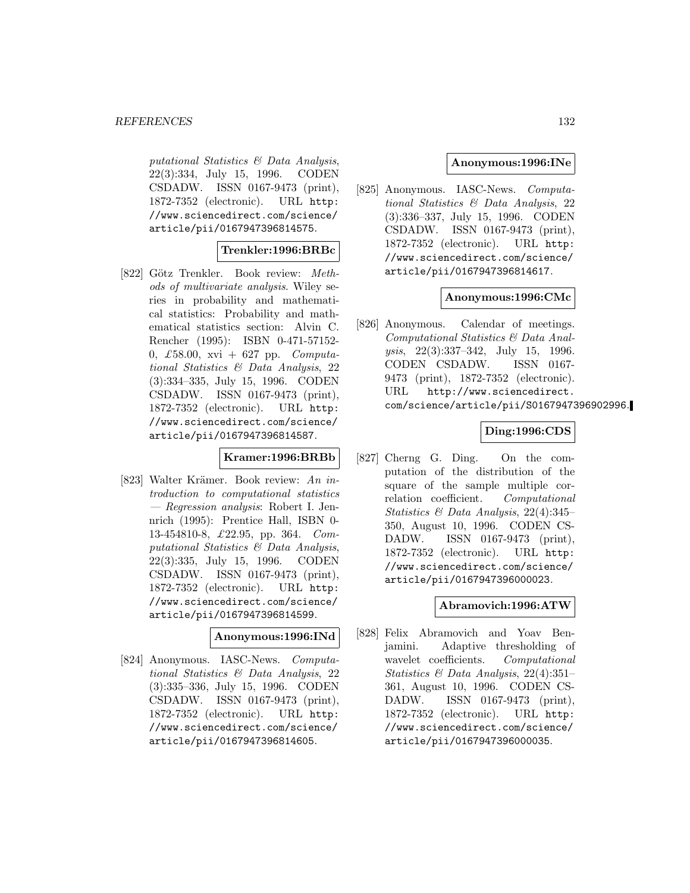putational Statistics & Data Analysis, 22(3):334, July 15, 1996. CODEN CSDADW. ISSN 0167-9473 (print), 1872-7352 (electronic). URL http: //www.sciencedirect.com/science/ article/pii/0167947396814575.

#### **Trenkler:1996:BRBc**

[822] Götz Trenkler. Book review: Methods of multivariate analysis. Wiley series in probability and mathematical statistics: Probability and mathematical statistics section: Alvin C. Rencher (1995): ISBN 0-471-57152- 0, £58.00, xvi + 627 pp.  $Computa$ tional Statistics & Data Analysis, 22 (3):334–335, July 15, 1996. CODEN CSDADW. ISSN 0167-9473 (print), 1872-7352 (electronic). URL http: //www.sciencedirect.com/science/ article/pii/0167947396814587.

#### **Kramer:1996:BRBb**

[823] Walter Krämer. Book review: An introduction to computational statistics — Regression analysis: Robert I. Jennrich (1995): Prentice Hall, ISBN 0- 13-454810-8, £22.95, pp. 364. Computational Statistics & Data Analysis, 22(3):335, July 15, 1996. CODEN CSDADW. ISSN 0167-9473 (print), 1872-7352 (electronic). URL http: //www.sciencedirect.com/science/ article/pii/0167947396814599.

#### **Anonymous:1996:INd**

[824] Anonymous. IASC-News. Computational Statistics & Data Analysis, 22 (3):335–336, July 15, 1996. CODEN CSDADW. ISSN 0167-9473 (print), 1872-7352 (electronic). URL http: //www.sciencedirect.com/science/ article/pii/0167947396814605.

#### **Anonymous:1996:INe**

[825] Anonymous. IASC-News. Computational Statistics & Data Analysis, 22 (3):336–337, July 15, 1996. CODEN CSDADW. ISSN 0167-9473 (print), 1872-7352 (electronic). URL http: //www.sciencedirect.com/science/ article/pii/0167947396814617.

#### **Anonymous:1996:CMc**

[826] Anonymous. Calendar of meetings. Computational Statistics & Data Analysis, 22(3):337–342, July 15, 1996. CODEN CSDADW. ISSN 0167- 9473 (print), 1872-7352 (electronic). URL http://www.sciencedirect. com/science/article/pii/S0167947396902996.

## **Ding:1996:CDS**

[827] Cherng G. Ding. On the computation of the distribution of the square of the sample multiple correlation coefficient. Computational Statistics & Data Analysis, 22(4):345– 350, August 10, 1996. CODEN CS-DADW. ISSN 0167-9473 (print), 1872-7352 (electronic). URL http: //www.sciencedirect.com/science/ article/pii/0167947396000023.

#### **Abramovich:1996:ATW**

[828] Felix Abramovich and Yoav Benjamini. Adaptive thresholding of wavelet coefficients. Computational Statistics & Data Analysis, 22(4):351– 361, August 10, 1996. CODEN CS-DADW. ISSN 0167-9473 (print), 1872-7352 (electronic). URL http: //www.sciencedirect.com/science/ article/pii/0167947396000035.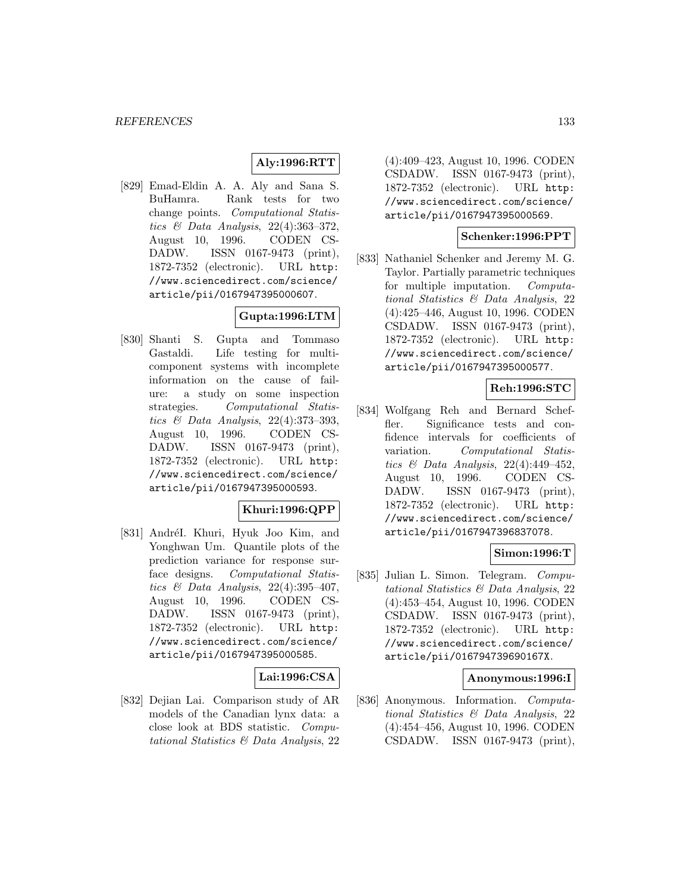# **Aly:1996:RTT**

[829] Emad-Eldin A. A. Aly and Sana S. BuHamra. Rank tests for two change points. Computational Statistics & Data Analysis, 22(4):363–372, August 10, 1996. CODEN CS-DADW. ISSN 0167-9473 (print), 1872-7352 (electronic). URL http: //www.sciencedirect.com/science/ article/pii/0167947395000607.

# **Gupta:1996:LTM**

[830] Shanti S. Gupta and Tommaso Gastaldi. Life testing for multicomponent systems with incomplete information on the cause of failure: a study on some inspection strategies. Computational Statistics & Data Analysis, 22(4):373–393, August 10, 1996. CODEN CS-DADW. ISSN 0167-9473 (print), 1872-7352 (electronic). URL http: //www.sciencedirect.com/science/ article/pii/0167947395000593.

## **Khuri:1996:QPP**

[831] AndréI. Khuri, Hyuk Joo Kim, and Yonghwan Um. Quantile plots of the prediction variance for response surface designs. Computational Statistics & Data Analysis, 22(4):395–407, August 10, 1996. CODEN CS-DADW. ISSN 0167-9473 (print), 1872-7352 (electronic). URL http: //www.sciencedirect.com/science/ article/pii/0167947395000585.

#### **Lai:1996:CSA**

[832] Dejian Lai. Comparison study of AR models of the Canadian lynx data: a close look at BDS statistic. Computational Statistics & Data Analysis, 22

(4):409–423, August 10, 1996. CODEN CSDADW. ISSN 0167-9473 (print), 1872-7352 (electronic). URL http: //www.sciencedirect.com/science/ article/pii/0167947395000569.

## **Schenker:1996:PPT**

[833] Nathaniel Schenker and Jeremy M. G. Taylor. Partially parametric techniques for multiple imputation. Computational Statistics & Data Analysis, 22 (4):425–446, August 10, 1996. CODEN CSDADW. ISSN 0167-9473 (print), 1872-7352 (electronic). URL http: //www.sciencedirect.com/science/ article/pii/0167947395000577.

# **Reh:1996:STC**

[834] Wolfgang Reh and Bernard Scheffler. Significance tests and confidence intervals for coefficients of variation. Computational Statistics & Data Analysis, 22(4):449–452, August 10, 1996. CODEN CS-DADW. ISSN 0167-9473 (print), 1872-7352 (electronic). URL http: //www.sciencedirect.com/science/ article/pii/0167947396837078.

## **Simon:1996:T**

[835] Julian L. Simon. Telegram. Computational Statistics & Data Analysis, 22 (4):453–454, August 10, 1996. CODEN CSDADW. ISSN 0167-9473 (print), 1872-7352 (electronic). URL http: //www.sciencedirect.com/science/ article/pii/016794739690167X.

#### **Anonymous:1996:I**

[836] Anonymous. Information. Computational Statistics & Data Analysis, 22 (4):454–456, August 10, 1996. CODEN CSDADW. ISSN 0167-9473 (print),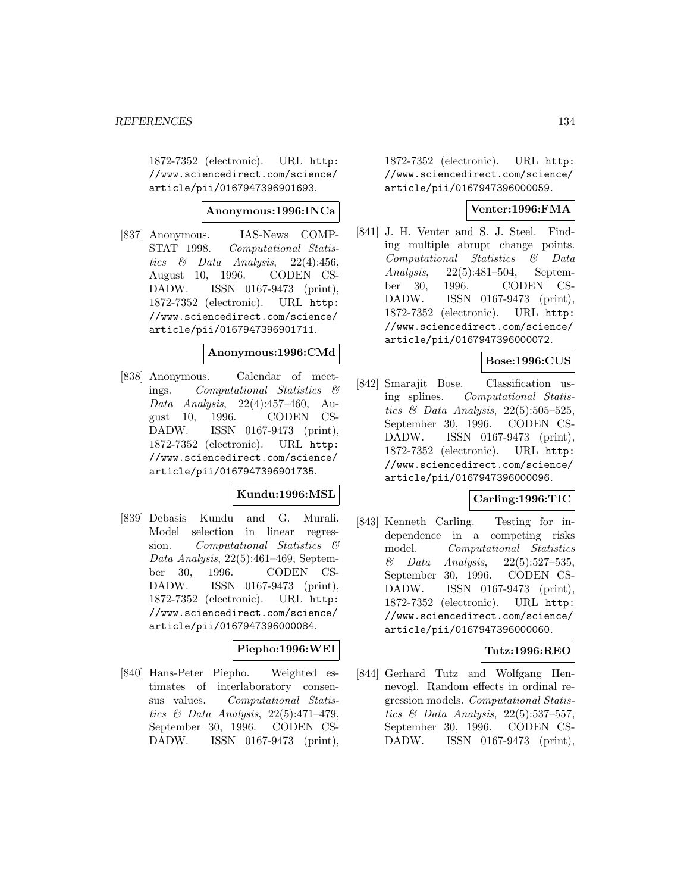1872-7352 (electronic). URL http: //www.sciencedirect.com/science/ article/pii/0167947396901693.

#### **Anonymous:1996:INCa**

[837] Anonymous. IAS-News COMP-STAT 1998. Computational Statistics & Data Analysis,  $22(4):456$ , August 10, 1996. CODEN CS-DADW. ISSN 0167-9473 (print), 1872-7352 (electronic). URL http: //www.sciencedirect.com/science/ article/pii/0167947396901711.

# **Anonymous:1996:CMd**

[838] Anonymous. Calendar of meetings. Computational Statistics & Data Analysis, 22(4):457–460, August 10, 1996. CODEN CS-DADW. ISSN 0167-9473 (print), 1872-7352 (electronic). URL http: //www.sciencedirect.com/science/ article/pii/0167947396901735.

## **Kundu:1996:MSL**

[839] Debasis Kundu and G. Murali. Model selection in linear regression. Computational Statistics & Data Analysis, 22(5):461–469, September 30, 1996. CODEN CS-DADW. ISSN 0167-9473 (print), 1872-7352 (electronic). URL http: //www.sciencedirect.com/science/ article/pii/0167947396000084.

## **Piepho:1996:WEI**

[840] Hans-Peter Piepho. Weighted estimates of interlaboratory consensus values. Computational Statistics & Data Analysis, 22(5):471–479, September 30, 1996. CODEN CS-DADW. ISSN 0167-9473 (print), 1872-7352 (electronic). URL http: //www.sciencedirect.com/science/ article/pii/0167947396000059.

## **Venter:1996:FMA**

[841] J. H. Venter and S. J. Steel. Finding multiple abrupt change points. Computational Statistics & Data Analysis, 22(5):481–504, September 30, 1996. CODEN CS-DADW. ISSN 0167-9473 (print), 1872-7352 (electronic). URL http: //www.sciencedirect.com/science/ article/pii/0167947396000072.

## **Bose:1996:CUS**

[842] Smarajit Bose. Classification using splines. Computational Statistics & Data Analysis,  $22(5):505-525$ , September 30, 1996. CODEN CS-DADW. ISSN 0167-9473 (print), 1872-7352 (electronic). URL http: //www.sciencedirect.com/science/ article/pii/0167947396000096.

## **Carling:1996:TIC**

[843] Kenneth Carling. Testing for independence in a competing risks model. Computational Statistics & Data Analysis, 22(5):527–535, September 30, 1996. CODEN CS-DADW. ISSN 0167-9473 (print), 1872-7352 (electronic). URL http: //www.sciencedirect.com/science/ article/pii/0167947396000060.

## **Tutz:1996:REO**

[844] Gerhard Tutz and Wolfgang Hennevogl. Random effects in ordinal regression models. Computational Statistics & Data Analysis, 22(5):537–557, September 30, 1996. CODEN CS-DADW. ISSN 0167-9473 (print),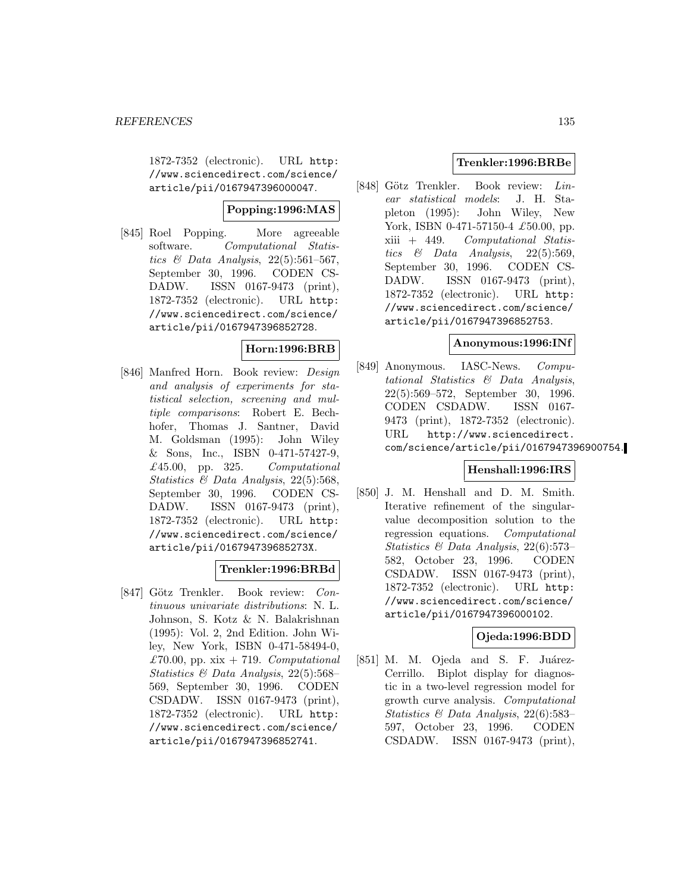1872-7352 (electronic). URL http: //www.sciencedirect.com/science/ article/pii/0167947396000047.

# **Popping:1996:MAS**

[845] Roel Popping. More agreeable software. Computational Statistics & Data Analysis,  $22(5):561-567$ , September 30, 1996. CODEN CS-DADW. ISSN 0167-9473 (print), 1872-7352 (electronic). URL http: //www.sciencedirect.com/science/ article/pii/0167947396852728.

# **Horn:1996:BRB**

[846] Manfred Horn. Book review: Design and analysis of experiments for statistical selection, screening and multiple comparisons: Robert E. Bechhofer, Thomas J. Santner, David M. Goldsman (1995): John Wiley & Sons, Inc., ISBN 0-471-57427-9, £45.00, pp. 325.  $Computational$ Statistics  $\mathcal{B}$  Data Analysis, 22(5):568, September 30, 1996. CODEN CS-DADW. ISSN 0167-9473 (print), 1872-7352 (electronic). URL http: //www.sciencedirect.com/science/ article/pii/016794739685273X.

# **Trenkler:1996:BRBd**

[847] Götz Trenkler. Book review: Continuous univariate distributions: N. L. Johnson, S. Kotz & N. Balakrishnan (1995): Vol. 2, 2nd Edition. John Wiley, New York, ISBN 0-471-58494-0, £70.00, pp. xix  $+719$ . *Computational* Statistics & Data Analysis, 22(5):568– 569, September 30, 1996. CODEN CSDADW. ISSN 0167-9473 (print), 1872-7352 (electronic). URL http: //www.sciencedirect.com/science/ article/pii/0167947396852741.

# **Trenkler:1996:BRBe**

[848] Götz Trenkler. Book review: Linear statistical models: J. H. Stapleton (1995): John Wiley, New York, ISBN 0-471-57150-4 £50.00, pp. xiii + 449. Computational Statistics & Data Analysis,  $22(5):569$ , September 30, 1996. CODEN CS-DADW. ISSN 0167-9473 (print), 1872-7352 (electronic). URL http: //www.sciencedirect.com/science/ article/pii/0167947396852753.

#### **Anonymous:1996:INf**

[849] Anonymous. IASC-News. Computational Statistics & Data Analysis, 22(5):569–572, September 30, 1996. CODEN CSDADW. ISSN 0167- 9473 (print), 1872-7352 (electronic). URL http://www.sciencedirect. com/science/article/pii/0167947396900754.

## **Henshall:1996:IRS**

[850] J. M. Henshall and D. M. Smith. Iterative refinement of the singularvalue decomposition solution to the regression equations. Computational Statistics & Data Analysis, 22(6):573– 582, October 23, 1996. CODEN CSDADW. ISSN 0167-9473 (print), 1872-7352 (electronic). URL http: //www.sciencedirect.com/science/ article/pii/0167947396000102.

## **Ojeda:1996:BDD**

[851] M. M. Ojeda and S. F. Juárez-Cerrillo. Biplot display for diagnostic in a two-level regression model for growth curve analysis. Computational Statistics & Data Analysis, 22(6):583– 597, October 23, 1996. CODEN CSDADW. ISSN 0167-9473 (print),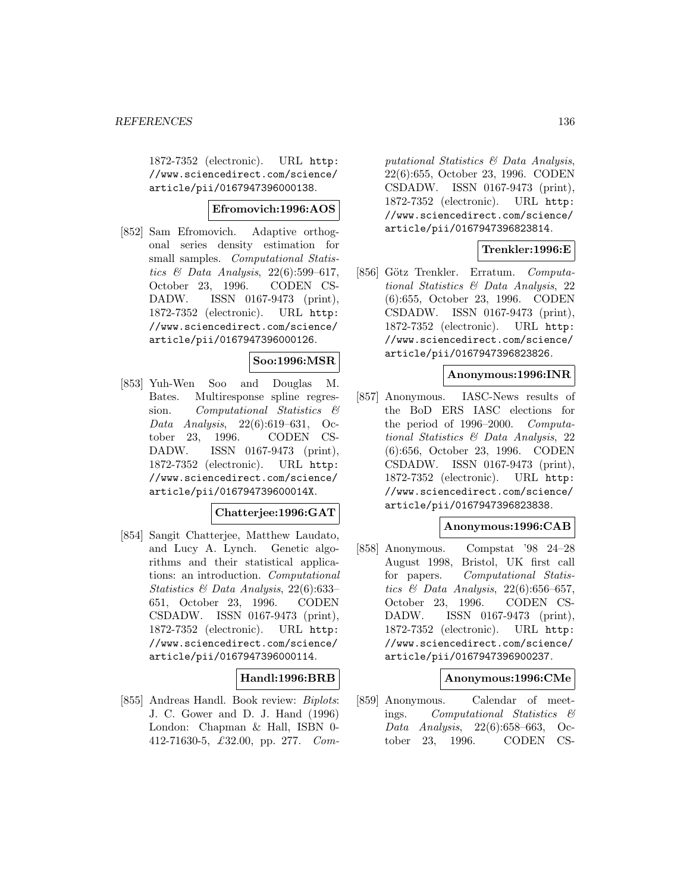1872-7352 (electronic). URL http: //www.sciencedirect.com/science/ article/pii/0167947396000138.

## **Efromovich:1996:AOS**

[852] Sam Efromovich. Adaptive orthogonal series density estimation for small samples. *Computational Statis*tics  $\mathcal C$  Data Analysis, 22(6):599-617, October 23, 1996. CODEN CS-DADW. ISSN 0167-9473 (print), 1872-7352 (electronic). URL http: //www.sciencedirect.com/science/ article/pii/0167947396000126.

# **Soo:1996:MSR**

[853] Yuh-Wen Soo and Douglas M. Bates. Multiresponse spline regression. Computational Statistics & Data Analysis, 22(6):619–631, October 23, 1996. CODEN CS-DADW. ISSN 0167-9473 (print), 1872-7352 (electronic). URL http: //www.sciencedirect.com/science/ article/pii/016794739600014X.

## **Chatterjee:1996:GAT**

[854] Sangit Chatterjee, Matthew Laudato, and Lucy A. Lynch. Genetic algorithms and their statistical applications: an introduction. Computational Statistics & Data Analysis, 22(6):633– 651, October 23, 1996. CODEN CSDADW. ISSN 0167-9473 (print), 1872-7352 (electronic). URL http: //www.sciencedirect.com/science/ article/pii/0167947396000114.

#### **Handl:1996:BRB**

[855] Andreas Handl. Book review: Biplots: J. C. Gower and D. J. Hand (1996) London: Chapman & Hall, ISBN 0- 412-71630-5, £32.00, pp. 277. Com-

putational Statistics & Data Analysis, 22(6):655, October 23, 1996. CODEN CSDADW. ISSN 0167-9473 (print), 1872-7352 (electronic). URL http: //www.sciencedirect.com/science/ article/pii/0167947396823814.

## **Trenkler:1996:E**

[856] Götz Trenkler. Erratum. Computational Statistics & Data Analysis, 22 (6):655, October 23, 1996. CODEN CSDADW. ISSN 0167-9473 (print), 1872-7352 (electronic). URL http: //www.sciencedirect.com/science/ article/pii/0167947396823826.

#### **Anonymous:1996:INR**

[857] Anonymous. IASC-News results of the BoD ERS IASC elections for the period of 1996–2000. Computational Statistics & Data Analysis, 22 (6):656, October 23, 1996. CODEN CSDADW. ISSN 0167-9473 (print), 1872-7352 (electronic). URL http: //www.sciencedirect.com/science/ article/pii/0167947396823838.

## **Anonymous:1996:CAB**

[858] Anonymous. Compstat '98 24–28 August 1998, Bristol, UK first call for papers. Computational Statistics  $\mathcal B$  Data Analysis, 22(6):656-657, October 23, 1996. CODEN CS-DADW. ISSN 0167-9473 (print), 1872-7352 (electronic). URL http: //www.sciencedirect.com/science/ article/pii/0167947396900237.

#### **Anonymous:1996:CMe**

[859] Anonymous. Calendar of meetings. Computational Statistics & Data Analysis, 22(6):658–663, October 23, 1996. CODEN CS-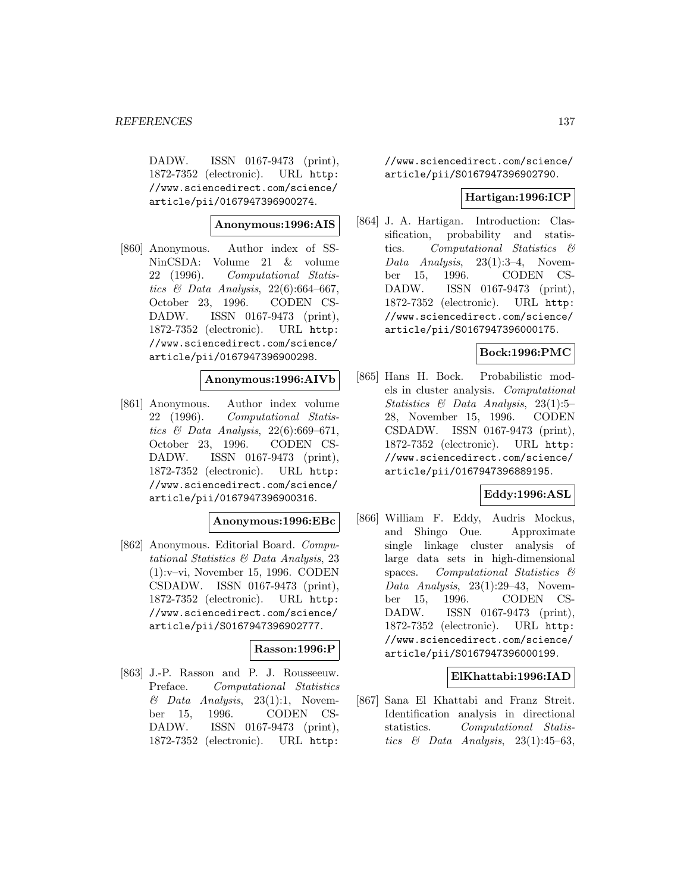DADW. ISSN 0167-9473 (print), 1872-7352 (electronic). URL http: //www.sciencedirect.com/science/ article/pii/0167947396900274.

**Anonymous:1996:AIS**

[860] Anonymous. Author index of SS-NinCSDA: Volume 21 & volume 22 (1996). Computational Statistics  $\mathcal C$  Data Analysis, 22(6):664-667, October 23, 1996. CODEN CS-DADW. ISSN 0167-9473 (print), 1872-7352 (electronic). URL http: //www.sciencedirect.com/science/ article/pii/0167947396900298.

#### **Anonymous:1996:AIVb**

[861] Anonymous. Author index volume 22 (1996). Computational Statistics & Data Analysis,  $22(6):669-671$ , October 23, 1996. CODEN CS-DADW. ISSN 0167-9473 (print), 1872-7352 (electronic). URL http: //www.sciencedirect.com/science/ article/pii/0167947396900316.

#### **Anonymous:1996:EBc**

[862] Anonymous. Editorial Board. Computational Statistics & Data Analysis, 23 (1):v–vi, November 15, 1996. CODEN CSDADW. ISSN 0167-9473 (print), 1872-7352 (electronic). URL http: //www.sciencedirect.com/science/ article/pii/S0167947396902777.

## **Rasson:1996:P**

[863] J.-P. Rasson and P. J. Rousseeuw. Preface. Computational Statistics  $& Data Analysis, 23(1):1, November$ ber 15, 1996. CODEN CS-DADW. ISSN 0167-9473 (print), 1872-7352 (electronic). URL http:

//www.sciencedirect.com/science/ article/pii/S0167947396902790.

#### **Hartigan:1996:ICP**

[864] J. A. Hartigan. Introduction: Classification, probability and statistics. Computational Statistics & Data Analysis, 23(1):3–4, November 15, 1996. CODEN CS-DADW. ISSN 0167-9473 (print), 1872-7352 (electronic). URL http: //www.sciencedirect.com/science/ article/pii/S0167947396000175.

## **Bock:1996:PMC**

[865] Hans H. Bock. Probabilistic models in cluster analysis. Computational Statistics & Data Analysis, 23(1):5– 28, November 15, 1996. CODEN CSDADW. ISSN 0167-9473 (print), 1872-7352 (electronic). URL http: //www.sciencedirect.com/science/ article/pii/0167947396889195.

#### **Eddy:1996:ASL**

[866] William F. Eddy, Audris Mockus, and Shingo Oue. Approximate single linkage cluster analysis of large data sets in high-dimensional spaces. Computational Statistics  $\mathcal{B}$ Data Analysis, 23(1):29–43, November 15, 1996. CODEN CS-DADW. ISSN 0167-9473 (print), 1872-7352 (electronic). URL http: //www.sciencedirect.com/science/ article/pii/S0167947396000199.

## **ElKhattabi:1996:IAD**

[867] Sana El Khattabi and Franz Streit. Identification analysis in directional statistics. Computational Statistics  $\&$  Data Analysis, 23(1):45–63,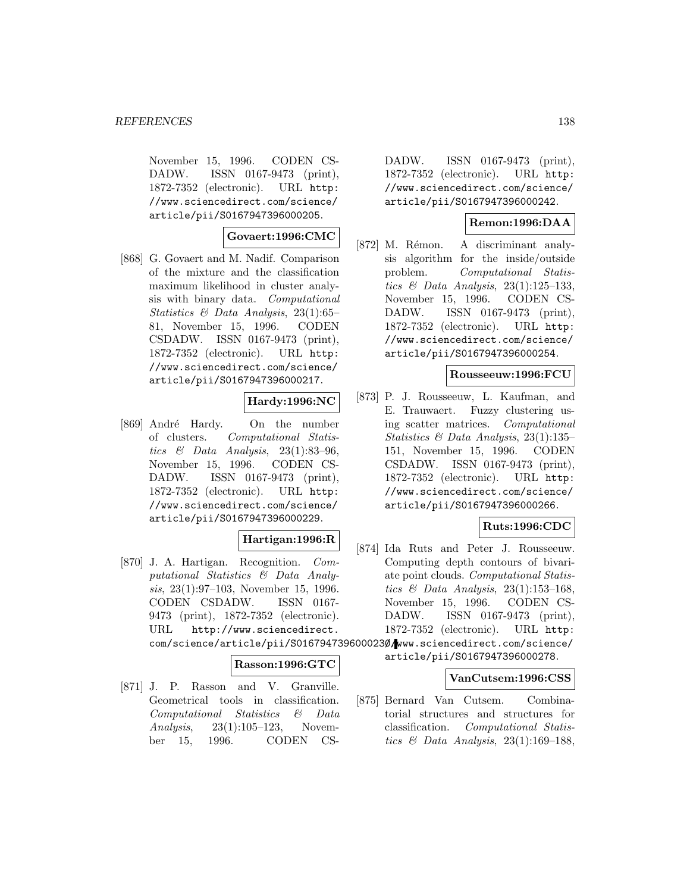November 15, 1996. CODEN CS-DADW. ISSN 0167-9473 (print), 1872-7352 (electronic). URL http: //www.sciencedirect.com/science/ article/pii/S0167947396000205.

## **Govaert:1996:CMC**

[868] G. Govaert and M. Nadif. Comparison of the mixture and the classification maximum likelihood in cluster analysis with binary data. Computational Statistics & Data Analysis, 23(1):65– 81, November 15, 1996. CODEN CSDADW. ISSN 0167-9473 (print), 1872-7352 (electronic). URL http: //www.sciencedirect.com/science/ article/pii/S0167947396000217.

#### **Hardy:1996:NC**

[869] André Hardy. On the number of clusters. Computational Statistics  $\&$  Data Analysis, 23(1):83-96, November 15, 1996. CODEN CS-DADW. ISSN 0167-9473 (print), 1872-7352 (electronic). URL http: //www.sciencedirect.com/science/ article/pii/S0167947396000229.

# **Hartigan:1996:R**

[870] J. A. Hartigan. Recognition. Computational Statistics & Data Analysis, 23(1):97–103, November 15, 1996. CODEN CSDADW. ISSN 0167- 9473 (print), 1872-7352 (electronic). URL http://www.sciencedirect. com/science/article/pii/S016794739600023Ø/www.sciencedirect.com/science/

## **Rasson:1996:GTC**

[871] J. P. Rasson and V. Granville. Geometrical tools in classification. Computational Statistics & Data Analysis, 23(1):105–123, November 15, 1996. CODEN CS-

DADW. ISSN 0167-9473 (print), 1872-7352 (electronic). URL http: //www.sciencedirect.com/science/ article/pii/S0167947396000242.

# **Remon:1996:DAA**

[872] M. Rémon. A discriminant analysis algorithm for the inside/outside problem. Computational Statistics  $\&$  Data Analysis, 23(1):125–133, November 15, 1996. CODEN CS-DADW. ISSN 0167-9473 (print), 1872-7352 (electronic). URL http: //www.sciencedirect.com/science/ article/pii/S0167947396000254.

#### **Rousseeuw:1996:FCU**

[873] P. J. Rousseeuw, L. Kaufman, and E. Trauwaert. Fuzzy clustering using scatter matrices. Computational Statistics & Data Analysis, 23(1):135– 151, November 15, 1996. CODEN CSDADW. ISSN 0167-9473 (print), 1872-7352 (electronic). URL http: //www.sciencedirect.com/science/ article/pii/S0167947396000266.

## **Ruts:1996:CDC**

[874] Ida Ruts and Peter J. Rousseeuw. Computing depth contours of bivariate point clouds. Computational Statistics  $\mathcal C$  Data Analysis, 23(1):153-168, November 15, 1996. CODEN CS-DADW. ISSN 0167-9473 (print), 1872-7352 (electronic). URL http:

article/pii/S0167947396000278.

#### **VanCutsem:1996:CSS**

[875] Bernard Van Cutsem. Combinatorial structures and structures for classification. Computational Statistics  $\mathcal{B}$  Data Analysis, 23(1):169–188,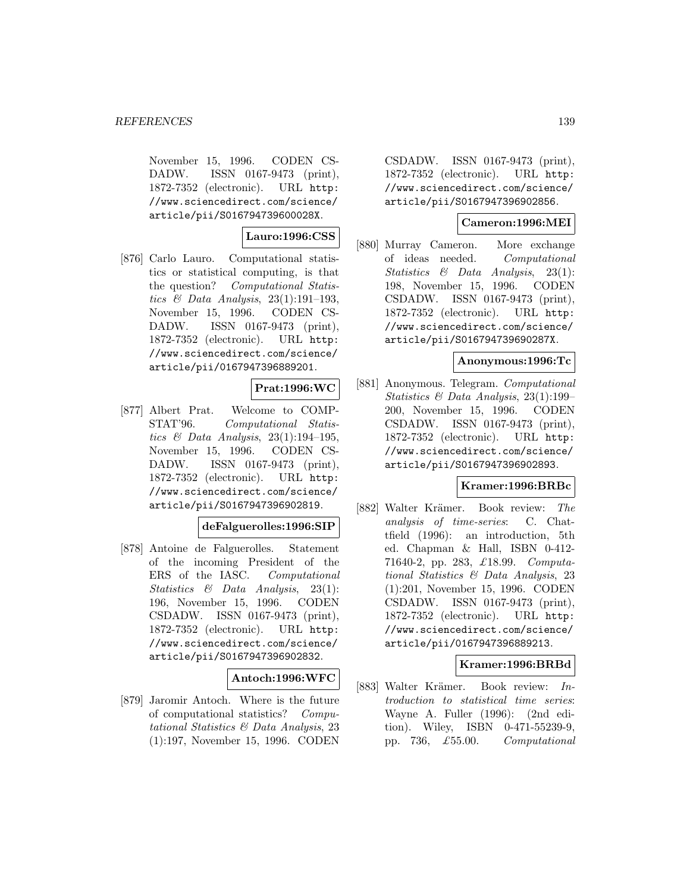November 15, 1996. CODEN CS-DADW. ISSN 0167-9473 (print), 1872-7352 (electronic). URL http: //www.sciencedirect.com/science/ article/pii/S016794739600028X.

**Lauro:1996:CSS**

[876] Carlo Lauro. Computational statistics or statistical computing, is that the question? Computational Statistics  $\mathcal B$  Data Analysis, 23(1):191-193, November 15, 1996. CODEN CS-DADW. ISSN 0167-9473 (print), 1872-7352 (electronic). URL http: //www.sciencedirect.com/science/ article/pii/0167947396889201.

# **Prat:1996:WC**

[877] Albert Prat. Welcome to COMP-STAT'96. Computational Statistics & Data Analysis,  $23(1):194-195$ , November 15, 1996. CODEN CS-DADW. ISSN 0167-9473 (print), 1872-7352 (electronic). URL http: //www.sciencedirect.com/science/ article/pii/S0167947396902819.

## **deFalguerolles:1996:SIP**

[878] Antoine de Falguerolles. Statement of the incoming President of the ERS of the IASC. Computational Statistics & Data Analysis, 23(1): 196, November 15, 1996. CODEN CSDADW. ISSN 0167-9473 (print), 1872-7352 (electronic). URL http: //www.sciencedirect.com/science/ article/pii/S0167947396902832.

## **Antoch:1996:WFC**

[879] Jaromir Antoch. Where is the future of computational statistics? Computational Statistics & Data Analysis, 23 (1):197, November 15, 1996. CODEN

CSDADW. ISSN 0167-9473 (print), 1872-7352 (electronic). URL http: //www.sciencedirect.com/science/ article/pii/S0167947396902856.

# **Cameron:1996:MEI**

[880] Murray Cameron. More exchange of ideas needed. Computational Statistics & Data Analysis, 23(1): 198, November 15, 1996. CODEN CSDADW. ISSN 0167-9473 (print), 1872-7352 (electronic). URL http: //www.sciencedirect.com/science/ article/pii/S016794739690287X.

#### **Anonymous:1996:Tc**

[881] Anonymous. Telegram. Computational Statistics & Data Analysis, 23(1):199– 200, November 15, 1996. CODEN CSDADW. ISSN 0167-9473 (print), 1872-7352 (electronic). URL http: //www.sciencedirect.com/science/ article/pii/S0167947396902893.

#### **Kramer:1996:BRBc**

[882] Walter Krämer. Book review: The analysis of time-series: C. Chattfield (1996): an introduction, 5th ed. Chapman & Hall, ISBN 0-412- 71640-2, pp. 283, £18.99. Computational Statistics & Data Analysis, 23 (1):201, November 15, 1996. CODEN CSDADW. ISSN 0167-9473 (print), 1872-7352 (electronic). URL http: //www.sciencedirect.com/science/ article/pii/0167947396889213.

## **Kramer:1996:BRBd**

[883] Walter Krämer. Book review: Introduction to statistical time series: Wayne A. Fuller (1996): (2nd edition). Wiley, ISBN 0-471-55239-9, pp. 736, £55.00. Computational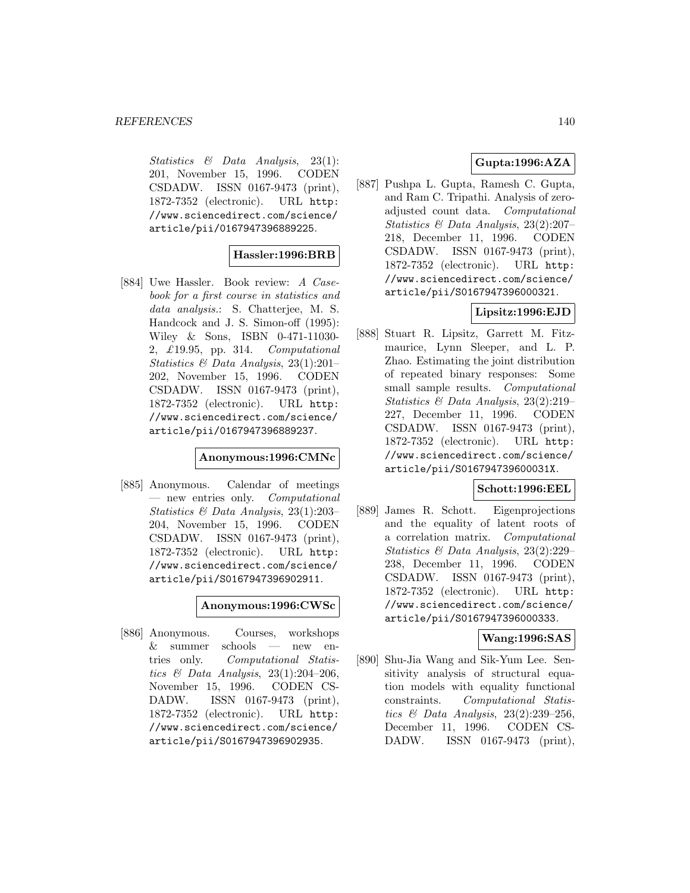Statistics & Data Analysis, 23(1): 201, November 15, 1996. CODEN CSDADW. ISSN 0167-9473 (print), 1872-7352 (electronic). URL http: //www.sciencedirect.com/science/ article/pii/0167947396889225.

# **Hassler:1996:BRB**

[884] Uwe Hassler. Book review: A Casebook for a first course in statistics and data analysis.: S. Chatterjee, M. S. Handcock and J. S. Simon-off (1995): Wiley & Sons, ISBN 0-471-11030- 2, £19.95, pp. 314. Computational Statistics & Data Analysis, 23(1):201– 202, November 15, 1996. CODEN CSDADW. ISSN 0167-9473 (print), 1872-7352 (electronic). URL http: //www.sciencedirect.com/science/ article/pii/0167947396889237.

#### **Anonymous:1996:CMNc**

[885] Anonymous. Calendar of meetings — new entries only. Computational Statistics & Data Analysis, 23(1):203– 204, November 15, 1996. CODEN CSDADW. ISSN 0167-9473 (print), 1872-7352 (electronic). URL http: //www.sciencedirect.com/science/ article/pii/S0167947396902911.

#### **Anonymous:1996:CWSc**

[886] Anonymous. Courses, workshops & summer schools — new entries only. Computational Statistics  $\mathcal{B}$  Data Analysis, 23(1):204-206, November 15, 1996. CODEN CS-DADW. ISSN 0167-9473 (print), 1872-7352 (electronic). URL http: //www.sciencedirect.com/science/ article/pii/S0167947396902935.

# **Gupta:1996:AZA**

[887] Pushpa L. Gupta, Ramesh C. Gupta, and Ram C. Tripathi. Analysis of zeroadjusted count data. Computational Statistics & Data Analysis, 23(2):207– 218, December 11, 1996. CODEN CSDADW. ISSN 0167-9473 (print), 1872-7352 (electronic). URL http: //www.sciencedirect.com/science/ article/pii/S0167947396000321.

# **Lipsitz:1996:EJD**

[888] Stuart R. Lipsitz, Garrett M. Fitzmaurice, Lynn Sleeper, and L. P. Zhao. Estimating the joint distribution of repeated binary responses: Some small sample results. *Computational* Statistics & Data Analysis, 23(2):219– 227, December 11, 1996. CODEN CSDADW. ISSN 0167-9473 (print), 1872-7352 (electronic). URL http: //www.sciencedirect.com/science/ article/pii/S016794739600031X.

#### **Schott:1996:EEL**

[889] James R. Schott. Eigenprojections and the equality of latent roots of a correlation matrix. Computational Statistics & Data Analysis, 23(2):229– 238, December 11, 1996. CODEN CSDADW. ISSN 0167-9473 (print), 1872-7352 (electronic). URL http: //www.sciencedirect.com/science/ article/pii/S0167947396000333.

## **Wang:1996:SAS**

[890] Shu-Jia Wang and Sik-Yum Lee. Sensitivity analysis of structural equation models with equality functional constraints. Computational Statistics & Data Analysis, 23(2):239–256, December 11, 1996. CODEN CS-DADW. ISSN 0167-9473 (print),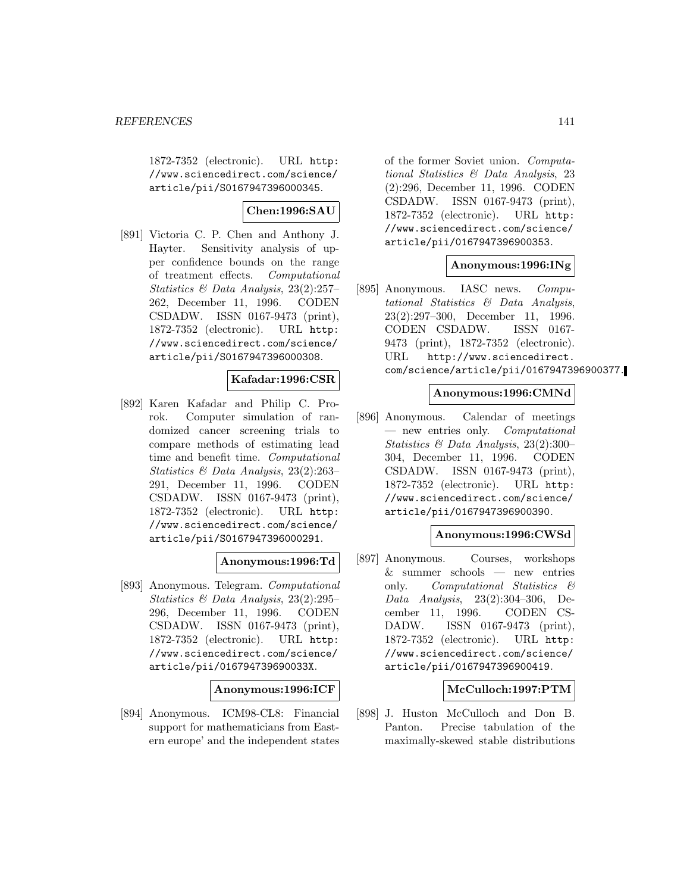1872-7352 (electronic). URL http: //www.sciencedirect.com/science/ article/pii/S0167947396000345.

# **Chen:1996:SAU**

[891] Victoria C. P. Chen and Anthony J. Hayter. Sensitivity analysis of upper confidence bounds on the range of treatment effects. Computational Statistics & Data Analysis, 23(2):257– 262, December 11, 1996. CODEN CSDADW. ISSN 0167-9473 (print), 1872-7352 (electronic). URL http: //www.sciencedirect.com/science/ article/pii/S0167947396000308.

# **Kafadar:1996:CSR**

[892] Karen Kafadar and Philip C. Prorok. Computer simulation of randomized cancer screening trials to compare methods of estimating lead time and benefit time. Computational Statistics & Data Analysis, 23(2):263– 291, December 11, 1996. CODEN CSDADW. ISSN 0167-9473 (print), 1872-7352 (electronic). URL http: //www.sciencedirect.com/science/ article/pii/S0167947396000291.

## **Anonymous:1996:Td**

[893] Anonymous. Telegram. Computational Statistics & Data Analysis, 23(2):295– 296, December 11, 1996. CODEN CSDADW. ISSN 0167-9473 (print), 1872-7352 (electronic). URL http: //www.sciencedirect.com/science/ article/pii/016794739690033X.

**Anonymous:1996:ICF**

[894] Anonymous. ICM98-CL8: Financial support for mathematicians from Eastern europe' and the independent states of the former Soviet union. Computational Statistics & Data Analysis, 23 (2):296, December 11, 1996. CODEN CSDADW. ISSN 0167-9473 (print), 1872-7352 (electronic). URL http: //www.sciencedirect.com/science/ article/pii/0167947396900353.

## **Anonymous:1996:INg**

[895] Anonymous. IASC news. Computational Statistics & Data Analysis, 23(2):297–300, December 11, 1996. CODEN CSDADW. ISSN 0167- 9473 (print), 1872-7352 (electronic). URL http://www.sciencedirect. com/science/article/pii/0167947396900377.

#### **Anonymous:1996:CMNd**

[896] Anonymous. Calendar of meetings — new entries only. Computational Statistics & Data Analysis, 23(2):300– 304, December 11, 1996. CODEN CSDADW. ISSN 0167-9473 (print), 1872-7352 (electronic). URL http: //www.sciencedirect.com/science/ article/pii/0167947396900390.

## **Anonymous:1996:CWSd**

[897] Anonymous. Courses, workshops & summer schools — new entries only. Computational Statistics & Data Analysis, 23(2):304–306, December 11, 1996. CODEN CS-DADW. ISSN 0167-9473 (print), 1872-7352 (electronic). URL http: //www.sciencedirect.com/science/ article/pii/0167947396900419.

## **McCulloch:1997:PTM**

[898] J. Huston McCulloch and Don B. Panton. Precise tabulation of the maximally-skewed stable distributions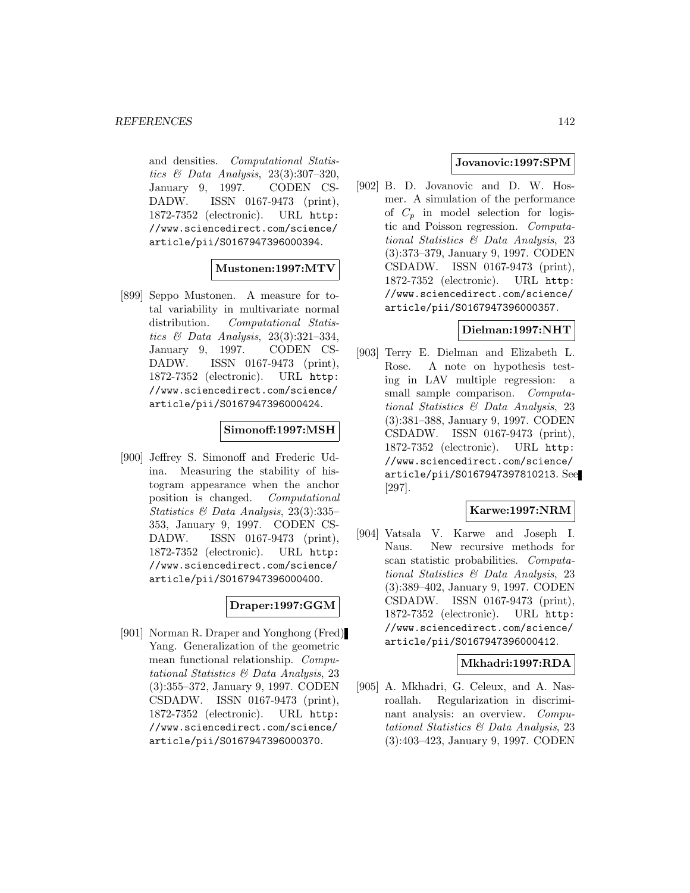and densities. Computational Statistics & Data Analysis, 23(3):307–320, January 9, 1997. CODEN CS-DADW. ISSN 0167-9473 (print), 1872-7352 (electronic). URL http: //www.sciencedirect.com/science/ article/pii/S0167947396000394.

## **Mustonen:1997:MTV**

[899] Seppo Mustonen. A measure for total variability in multivariate normal distribution. Computational Statistics & Data Analysis, 23(3):321–334, January 9, 1997. CODEN CS-DADW. ISSN 0167-9473 (print), 1872-7352 (electronic). URL http: //www.sciencedirect.com/science/ article/pii/S0167947396000424.

#### **Simonoff:1997:MSH**

[900] Jeffrey S. Simonoff and Frederic Udina. Measuring the stability of histogram appearance when the anchor position is changed. Computational Statistics & Data Analysis, 23(3):335– 353, January 9, 1997. CODEN CS-DADW. ISSN 0167-9473 (print), 1872-7352 (electronic). URL http: //www.sciencedirect.com/science/ article/pii/S0167947396000400.

## **Draper:1997:GGM**

[901] Norman R. Draper and Yonghong (Fred) Yang. Generalization of the geometric mean functional relationship. Computational Statistics & Data Analysis, 23 (3):355–372, January 9, 1997. CODEN CSDADW. ISSN 0167-9473 (print), 1872-7352 (electronic). URL http: //www.sciencedirect.com/science/ article/pii/S0167947396000370.

#### **Jovanovic:1997:SPM**

[902] B. D. Jovanovic and D. W. Hosmer. A simulation of the performance of  $C_p$  in model selection for logistic and Poisson regression. Computational Statistics & Data Analysis, 23 (3):373–379, January 9, 1997. CODEN CSDADW. ISSN 0167-9473 (print), 1872-7352 (electronic). URL http: //www.sciencedirect.com/science/ article/pii/S0167947396000357.

#### **Dielman:1997:NHT**

[903] Terry E. Dielman and Elizabeth L. Rose. A note on hypothesis testing in LAV multiple regression: a small sample comparison. *Computa*tional Statistics & Data Analysis, 23 (3):381–388, January 9, 1997. CODEN CSDADW. ISSN 0167-9473 (print), 1872-7352 (electronic). URL http: //www.sciencedirect.com/science/ article/pii/S0167947397810213. See [297].

#### **Karwe:1997:NRM**

[904] Vatsala V. Karwe and Joseph I. Naus. New recursive methods for scan statistic probabilities. Computational Statistics & Data Analysis, 23 (3):389–402, January 9, 1997. CODEN CSDADW. ISSN 0167-9473 (print), 1872-7352 (electronic). URL http: //www.sciencedirect.com/science/ article/pii/S0167947396000412.

## **Mkhadri:1997:RDA**

[905] A. Mkhadri, G. Celeux, and A. Nasroallah. Regularization in discriminant analysis: an overview. Computational Statistics & Data Analysis, 23 (3):403–423, January 9, 1997. CODEN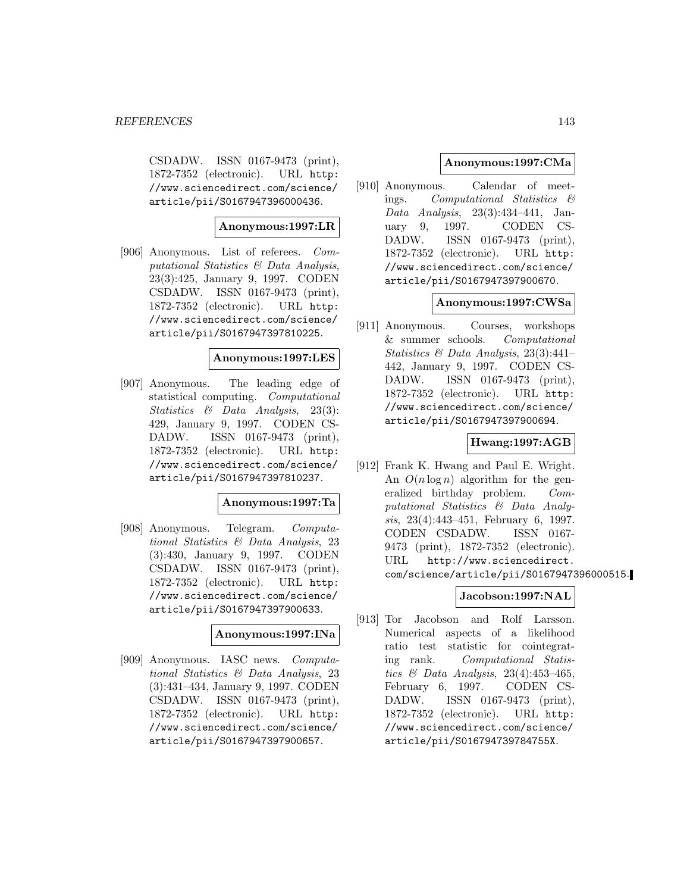CSDADW. ISSN 0167-9473 (print), 1872-7352 (electronic). URL http: //www.sciencedirect.com/science/ article/pii/S0167947396000436.

## **Anonymous:1997:LR**

[906] Anonymous. List of referees. Computational Statistics & Data Analysis, 23(3):425, January 9, 1997. CODEN CSDADW. ISSN 0167-9473 (print), 1872-7352 (electronic). URL http: //www.sciencedirect.com/science/ article/pii/S0167947397810225.

## **Anonymous:1997:LES**

[907] Anonymous. The leading edge of statistical computing. Computational Statistics & Data Analysis, 23(3): 429, January 9, 1997. CODEN CS-DADW. ISSN 0167-9473 (print), 1872-7352 (electronic). URL http: //www.sciencedirect.com/science/ article/pii/S0167947397810237.

# **Anonymous:1997:Ta**

[908] Anonymous. Telegram. Computational Statistics & Data Analysis, 23 (3):430, January 9, 1997. CODEN CSDADW. ISSN 0167-9473 (print), 1872-7352 (electronic). URL http: //www.sciencedirect.com/science/ article/pii/S0167947397900633.

## **Anonymous:1997:INa**

[909] Anonymous. IASC news. Computational Statistics & Data Analysis, 23 (3):431–434, January 9, 1997. CODEN CSDADW. ISSN 0167-9473 (print), 1872-7352 (electronic). URL http: //www.sciencedirect.com/science/ article/pii/S0167947397900657.

# **Anonymous:1997:CMa**

[910] Anonymous. Calendar of meetings. Computational Statistics & Data Analysis, 23(3):434–441, January 9, 1997. CODEN CS-DADW. ISSN 0167-9473 (print), 1872-7352 (electronic). URL http: //www.sciencedirect.com/science/ article/pii/S0167947397900670.

## **Anonymous:1997:CWSa**

[911] Anonymous. Courses, workshops & summer schools. Computational Statistics & Data Analysis, 23(3):441– 442, January 9, 1997. CODEN CS-DADW. ISSN 0167-9473 (print), 1872-7352 (electronic). URL http: //www.sciencedirect.com/science/ article/pii/S0167947397900694.

# **Hwang:1997:AGB**

[912] Frank K. Hwang and Paul E. Wright. An  $O(n \log n)$  algorithm for the generalized birthday problem. Computational Statistics & Data Analysis, 23(4):443–451, February 6, 1997. CODEN CSDADW. ISSN 0167- 9473 (print), 1872-7352 (electronic). URL http://www.sciencedirect. com/science/article/pii/S0167947396000515.

# **Jacobson:1997:NAL**

[913] Tor Jacobson and Rolf Larsson. Numerical aspects of a likelihood ratio test statistic for cointegrating rank. Computational Statistics & Data Analysis,  $23(4):453-465$ , February 6, 1997. CODEN CS-DADW. ISSN 0167-9473 (print), 1872-7352 (electronic). URL http: //www.sciencedirect.com/science/ article/pii/S016794739784755X.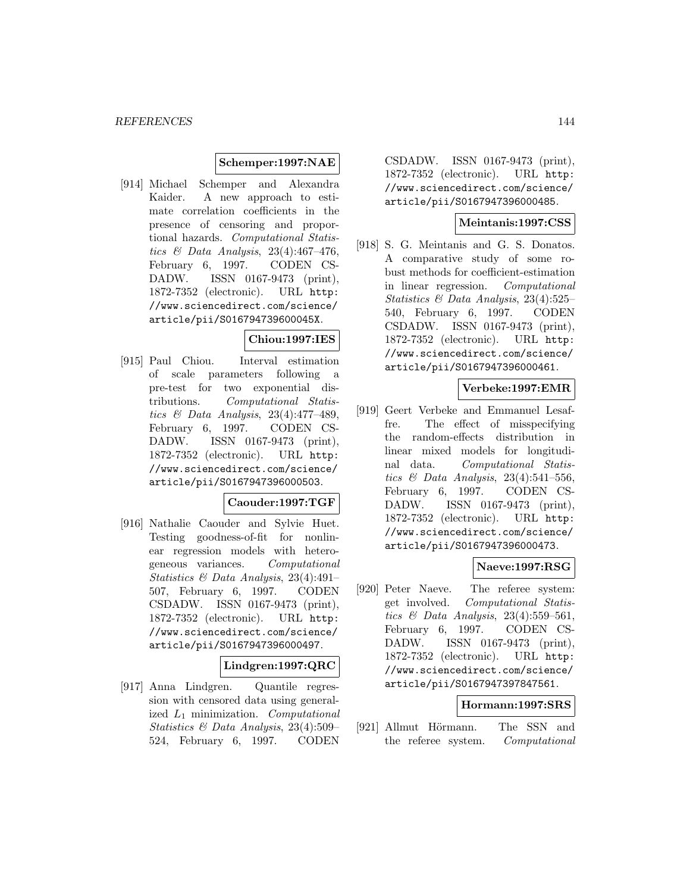#### **Schemper:1997:NAE**

[914] Michael Schemper and Alexandra Kaider. A new approach to estimate correlation coefficients in the presence of censoring and proportional hazards. Computational Statistics & Data Analysis, 23(4):467–476, February 6, 1997. CODEN CS-DADW. ISSN 0167-9473 (print), 1872-7352 (electronic). URL http: //www.sciencedirect.com/science/ article/pii/S016794739600045X.

#### **Chiou:1997:IES**

[915] Paul Chiou. Interval estimation of scale parameters following a pre-test for two exponential distributions. Computational Statistics & Data Analysis, 23(4):477–489, February 6, 1997. CODEN CS-DADW. ISSN 0167-9473 (print), 1872-7352 (electronic). URL http: //www.sciencedirect.com/science/ article/pii/S0167947396000503.

# **Caouder:1997:TGF**

[916] Nathalie Caouder and Sylvie Huet. Testing goodness-of-fit for nonlinear regression models with heterogeneous variances. Computational Statistics & Data Analysis, 23(4):491– 507, February 6, 1997. CODEN CSDADW. ISSN 0167-9473 (print), 1872-7352 (electronic). URL http: //www.sciencedirect.com/science/ article/pii/S0167947396000497.

## **Lindgren:1997:QRC**

[917] Anna Lindgren. Quantile regression with censored data using generalized  $L_1$  minimization. Computational Statistics & Data Analysis, 23(4):509– 524, February 6, 1997. CODEN

CSDADW. ISSN 0167-9473 (print), 1872-7352 (electronic). URL http: //www.sciencedirect.com/science/ article/pii/S0167947396000485.

## **Meintanis:1997:CSS**

[918] S. G. Meintanis and G. S. Donatos. A comparative study of some robust methods for coefficient-estimation in linear regression. Computational Statistics & Data Analysis, 23(4):525– 540, February 6, 1997. CODEN CSDADW. ISSN 0167-9473 (print), 1872-7352 (electronic). URL http: //www.sciencedirect.com/science/ article/pii/S0167947396000461.

#### **Verbeke:1997:EMR**

[919] Geert Verbeke and Emmanuel Lesaffre. The effect of misspecifying the random-effects distribution in linear mixed models for longitudinal data. Computational Statistics  $\mathcal C$  Data Analysis, 23(4):541-556, February 6, 1997. CODEN CS-DADW. ISSN 0167-9473 (print), 1872-7352 (electronic). URL http: //www.sciencedirect.com/science/ article/pii/S0167947396000473.

## **Naeve:1997:RSG**

[920] Peter Naeve. The referee system: get involved. Computational Statistics  $\mathcal B$  Data Analysis, 23(4):559-561, February 6, 1997. CODEN CS-DADW. ISSN 0167-9473 (print), 1872-7352 (electronic). URL http: //www.sciencedirect.com/science/ article/pii/S0167947397847561.

#### **Hormann:1997:SRS**

[921] Allmut Hörmann. The SSN and the referee system. Computational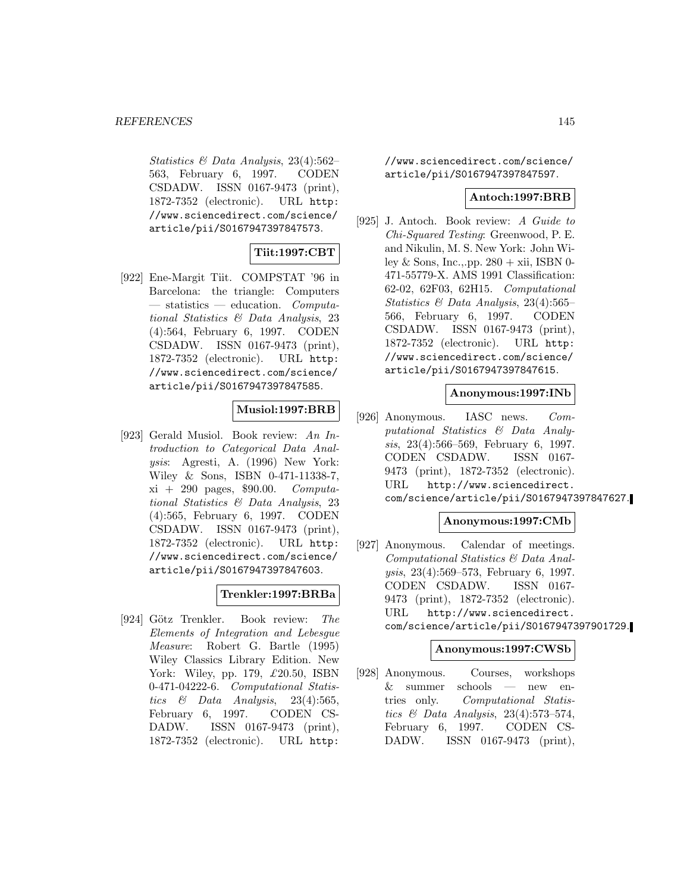Statistics & Data Analysis, 23(4):562– 563, February 6, 1997. CODEN CSDADW. ISSN 0167-9473 (print), 1872-7352 (electronic). URL http: //www.sciencedirect.com/science/ article/pii/S0167947397847573.

# **Tiit:1997:CBT**

[922] Ene-Margit Tiit. COMPSTAT '96 in Barcelona: the triangle: Computers  $-$  statistics  $-$  education. Computational Statistics & Data Analysis, 23 (4):564, February 6, 1997. CODEN CSDADW. ISSN 0167-9473 (print), 1872-7352 (electronic). URL http: //www.sciencedirect.com/science/ article/pii/S0167947397847585.

# **Musiol:1997:BRB**

[923] Gerald Musiol. Book review: An Introduction to Categorical Data Analysis: Agresti, A. (1996) New York: Wiley & Sons, ISBN 0-471-11338-7, xi + 290 pages, \$90.00. Computational Statistics & Data Analysis, 23 (4):565, February 6, 1997. CODEN CSDADW. ISSN 0167-9473 (print), 1872-7352 (electronic). URL http: //www.sciencedirect.com/science/ article/pii/S0167947397847603.

# **Trenkler:1997:BRBa**

[924] Götz Trenkler. Book review: The Elements of Integration and Lebesgue Measure: Robert G. Bartle (1995) Wiley Classics Library Edition. New York: Wiley, pp. 179, £20.50, ISBN 0-471-04222-6. Computational Statistics & Data Analysis,  $23(4):565$ , February 6, 1997. CODEN CS-DADW. ISSN 0167-9473 (print), 1872-7352 (electronic). URL http:

//www.sciencedirect.com/science/ article/pii/S0167947397847597.

## **Antoch:1997:BRB**

[925] J. Antoch. Book review: A Guide to Chi-Squared Testing: Greenwood, P. E. and Nikulin, M. S. New York: John Wiley & Sons, Inc., pp.  $280 + xii$ , ISBN 0-471-55779-X. AMS 1991 Classification: 62-02, 62F03, 62H15. Computational Statistics & Data Analysis, 23(4):565– 566, February 6, 1997. CODEN CSDADW. ISSN 0167-9473 (print), 1872-7352 (electronic). URL http: //www.sciencedirect.com/science/ article/pii/S0167947397847615.

## **Anonymous:1997:INb**

[926] Anonymous. IASC news. Computational Statistics & Data Analysis, 23(4):566–569, February 6, 1997. CODEN CSDADW. ISSN 0167- 9473 (print), 1872-7352 (electronic). URL http://www.sciencedirect. com/science/article/pii/S0167947397847627.

### **Anonymous:1997:CMb**

[927] Anonymous. Calendar of meetings. Computational Statistics & Data Analysis, 23(4):569–573, February 6, 1997. CODEN CSDADW. ISSN 0167- 9473 (print), 1872-7352 (electronic). URL http://www.sciencedirect. com/science/article/pii/S0167947397901729.

## **Anonymous:1997:CWSb**

[928] Anonymous. Courses, workshops & summer schools — new entries only. Computational Statistics & Data Analysis, 23(4):573–574, February 6, 1997. CODEN CS-DADW. ISSN 0167-9473 (print),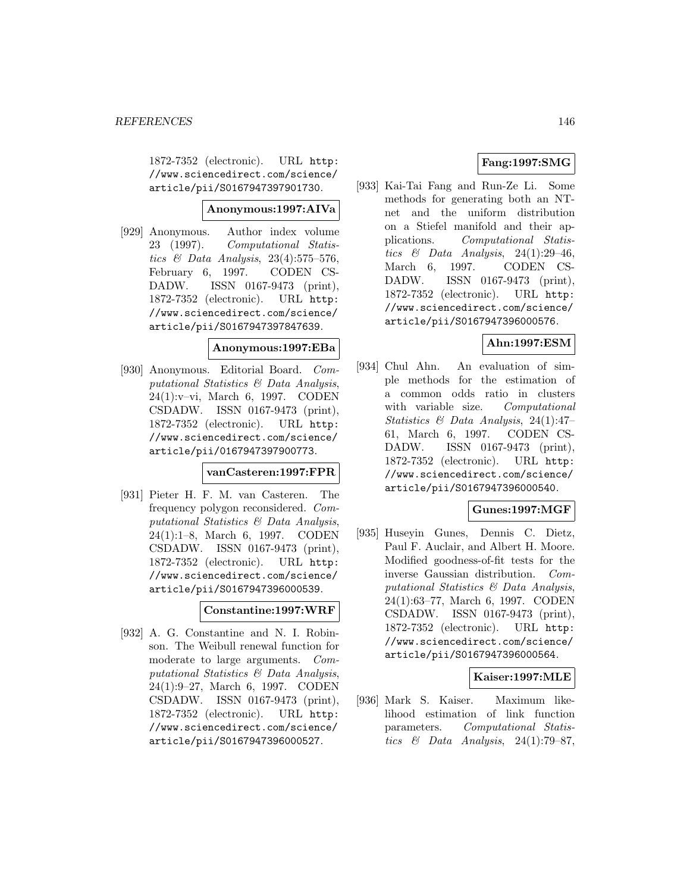1872-7352 (electronic). URL http: //www.sciencedirect.com/science/ article/pii/S0167947397901730.

#### **Anonymous:1997:AIVa**

[929] Anonymous. Author index volume 23 (1997). Computational Statistics  $\mathcal C$  Data Analysis, 23(4):575–576, February 6, 1997. CODEN CS-DADW. ISSN 0167-9473 (print), 1872-7352 (electronic). URL http: //www.sciencedirect.com/science/ article/pii/S0167947397847639.

## **Anonymous:1997:EBa**

[930] Anonymous. Editorial Board. Computational Statistics & Data Analysis, 24(1):v–vi, March 6, 1997. CODEN CSDADW. ISSN 0167-9473 (print), 1872-7352 (electronic). URL http: //www.sciencedirect.com/science/ article/pii/0167947397900773.

#### **vanCasteren:1997:FPR**

[931] Pieter H. F. M. van Casteren. The frequency polygon reconsidered. Computational Statistics & Data Analysis, 24(1):1–8, March 6, 1997. CODEN CSDADW. ISSN 0167-9473 (print), 1872-7352 (electronic). URL http: //www.sciencedirect.com/science/ article/pii/S0167947396000539.

**Constantine:1997:WRF**

[932] A. G. Constantine and N. I. Robinson. The Weibull renewal function for moderate to large arguments. Computational Statistics & Data Analysis, 24(1):9–27, March 6, 1997. CODEN CSDADW. ISSN 0167-9473 (print), 1872-7352 (electronic). URL http: //www.sciencedirect.com/science/ article/pii/S0167947396000527.

# **Fang:1997:SMG**

[933] Kai-Tai Fang and Run-Ze Li. Some methods for generating both an NTnet and the uniform distribution on a Stiefel manifold and their applications. Computational Statistics & Data Analysis, 24(1):29-46, March 6, 1997. CODEN CS-DADW. ISSN 0167-9473 (print), 1872-7352 (electronic). URL http: //www.sciencedirect.com/science/ article/pii/S0167947396000576.

# **Ahn:1997:ESM**

[934] Chul Ahn. An evaluation of simple methods for the estimation of a common odds ratio in clusters with variable size. Computational Statistics & Data Analysis, 24(1):47– 61, March 6, 1997. CODEN CS-DADW. ISSN 0167-9473 (print), 1872-7352 (electronic). URL http: //www.sciencedirect.com/science/ article/pii/S0167947396000540.

## **Gunes:1997:MGF**

[935] Huseyin Gunes, Dennis C. Dietz, Paul F. Auclair, and Albert H. Moore. Modified goodness-of-fit tests for the inverse Gaussian distribution. Computational Statistics & Data Analysis, 24(1):63–77, March 6, 1997. CODEN CSDADW. ISSN 0167-9473 (print), 1872-7352 (electronic). URL http: //www.sciencedirect.com/science/ article/pii/S0167947396000564.

## **Kaiser:1997:MLE**

[936] Mark S. Kaiser. Maximum likelihood estimation of link function parameters. Computational Statistics  $\&$  Data Analysis, 24(1):79–87,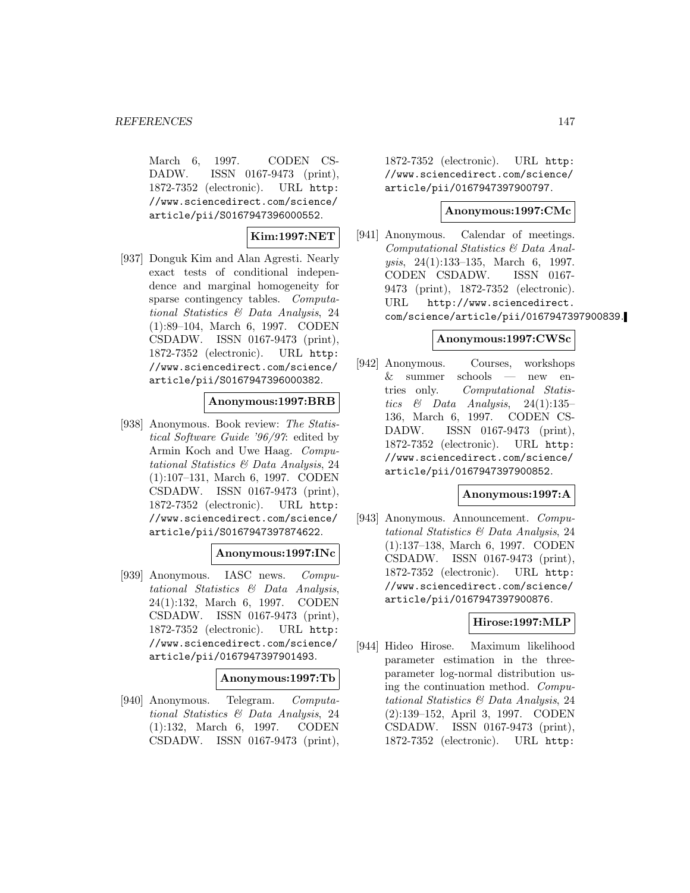March 6, 1997. CODEN CS-DADW. ISSN 0167-9473 (print), 1872-7352 (electronic). URL http: //www.sciencedirect.com/science/ article/pii/S0167947396000552.

**Kim:1997:NET**

[937] Donguk Kim and Alan Agresti. Nearly exact tests of conditional independence and marginal homogeneity for sparse contingency tables. Computational Statistics & Data Analysis, 24 (1):89–104, March 6, 1997. CODEN CSDADW. ISSN 0167-9473 (print), 1872-7352 (electronic). URL http: //www.sciencedirect.com/science/ article/pii/S0167947396000382.

## **Anonymous:1997:BRB**

[938] Anonymous. Book review: The Statistical Software Guide '96/97: edited by Armin Koch and Uwe Haag. Computational Statistics & Data Analysis, 24 (1):107–131, March 6, 1997. CODEN CSDADW. ISSN 0167-9473 (print), 1872-7352 (electronic). URL http: //www.sciencedirect.com/science/ article/pii/S0167947397874622.

#### **Anonymous:1997:INc**

[939] Anonymous. IASC news. Computational Statistics & Data Analysis, 24(1):132, March 6, 1997. CODEN CSDADW. ISSN 0167-9473 (print), 1872-7352 (electronic). URL http: //www.sciencedirect.com/science/ article/pii/0167947397901493.

#### **Anonymous:1997:Tb**

[940] Anonymous. Telegram. Computational Statistics & Data Analysis, 24 (1):132, March 6, 1997. CODEN CSDADW. ISSN 0167-9473 (print),

1872-7352 (electronic). URL http: //www.sciencedirect.com/science/ article/pii/0167947397900797.

#### **Anonymous:1997:CMc**

[941] Anonymous. Calendar of meetings. Computational Statistics & Data Analysis, 24(1):133–135, March 6, 1997. CODEN CSDADW. ISSN 0167- 9473 (print), 1872-7352 (electronic). URL http://www.sciencedirect. com/science/article/pii/0167947397900839.

#### **Anonymous:1997:CWSc**

[942] Anonymous. Courses, workshops & summer schools — new entries only. Computational Statistics & Data Analysis, 24(1):135– 136, March 6, 1997. CODEN CS-DADW. ISSN 0167-9473 (print), 1872-7352 (electronic). URL http: //www.sciencedirect.com/science/ article/pii/0167947397900852.

#### **Anonymous:1997:A**

[943] Anonymous. Announcement. Computational Statistics & Data Analysis, 24 (1):137–138, March 6, 1997. CODEN CSDADW. ISSN 0167-9473 (print), 1872-7352 (electronic). URL http: //www.sciencedirect.com/science/ article/pii/0167947397900876.

#### **Hirose:1997:MLP**

[944] Hideo Hirose. Maximum likelihood parameter estimation in the threeparameter log-normal distribution using the continuation method. Computational Statistics & Data Analysis, 24 (2):139–152, April 3, 1997. CODEN CSDADW. ISSN 0167-9473 (print), 1872-7352 (electronic). URL http: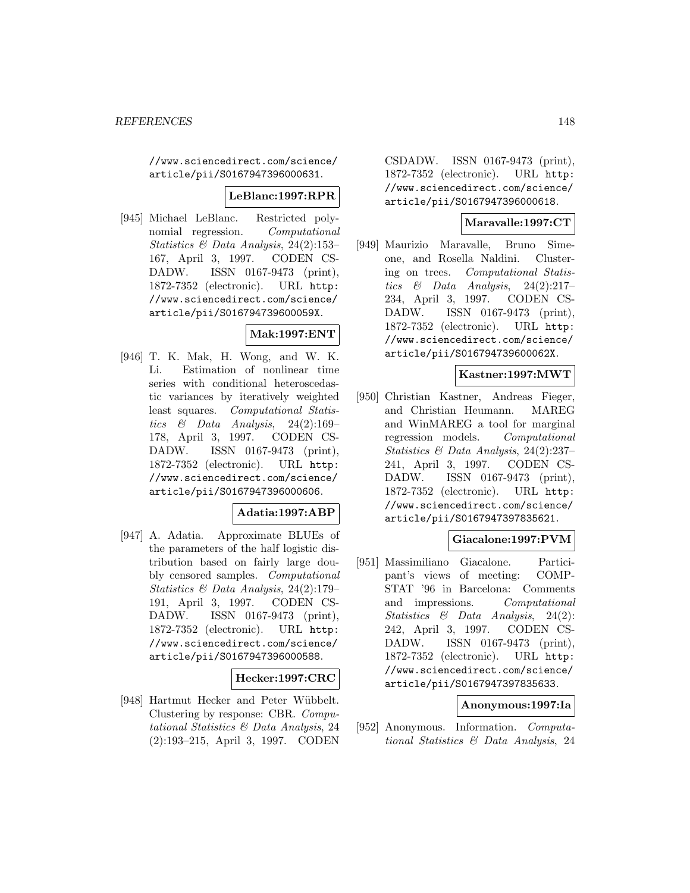//www.sciencedirect.com/science/ article/pii/S0167947396000631.

#### **LeBlanc:1997:RPR**

[945] Michael LeBlanc. Restricted polynomial regression. Computational Statistics & Data Analysis, 24(2):153– 167, April 3, 1997. CODEN CS-DADW. ISSN 0167-9473 (print), 1872-7352 (electronic). URL http: //www.sciencedirect.com/science/ article/pii/S016794739600059X.

# **Mak:1997:ENT**

[946] T. K. Mak, H. Wong, and W. K. Li. Estimation of nonlinear time series with conditional heteroscedastic variances by iteratively weighted least squares. Computational Statistics  $\&$  Data Analysis, 24(2):169– 178, April 3, 1997. CODEN CS-DADW. ISSN 0167-9473 (print), 1872-7352 (electronic). URL http: //www.sciencedirect.com/science/ article/pii/S0167947396000606.

## **Adatia:1997:ABP**

[947] A. Adatia. Approximate BLUEs of the parameters of the half logistic distribution based on fairly large doubly censored samples. Computational Statistics & Data Analysis, 24(2):179– 191, April 3, 1997. CODEN CS-DADW. ISSN 0167-9473 (print), 1872-7352 (electronic). URL http: //www.sciencedirect.com/science/ article/pii/S0167947396000588.

## **Hecker:1997:CRC**

[948] Hartmut Hecker and Peter Wübbelt. Clustering by response: CBR. Computational Statistics & Data Analysis, 24 (2):193–215, April 3, 1997. CODEN

CSDADW. ISSN 0167-9473 (print), 1872-7352 (electronic). URL http: //www.sciencedirect.com/science/ article/pii/S0167947396000618.

# **Maravalle:1997:CT**

[949] Maurizio Maravalle, Bruno Simeone, and Rosella Naldini. Clustering on trees. Computational Statistics  $\&$  Data Analysis, 24(2):217– 234, April 3, 1997. CODEN CS-DADW. ISSN 0167-9473 (print), 1872-7352 (electronic). URL http: //www.sciencedirect.com/science/ article/pii/S016794739600062X.

## **Kastner:1997:MWT**

[950] Christian Kastner, Andreas Fieger, and Christian Heumann. MAREG and WinMAREG a tool for marginal regression models. Computational Statistics & Data Analysis, 24(2):237– 241, April 3, 1997. CODEN CS-DADW. ISSN 0167-9473 (print), 1872-7352 (electronic). URL http: //www.sciencedirect.com/science/ article/pii/S0167947397835621.

## **Giacalone:1997:PVM**

[951] Massimiliano Giacalone. Participant's views of meeting: COMP-STAT '96 in Barcelona: Comments and impressions. Computational Statistics & Data Analysis, 24(2): 242, April 3, 1997. CODEN CS-DADW. ISSN 0167-9473 (print), 1872-7352 (electronic). URL http: //www.sciencedirect.com/science/ article/pii/S0167947397835633.

#### **Anonymous:1997:Ia**

[952] Anonymous. Information. Computational Statistics & Data Analysis, 24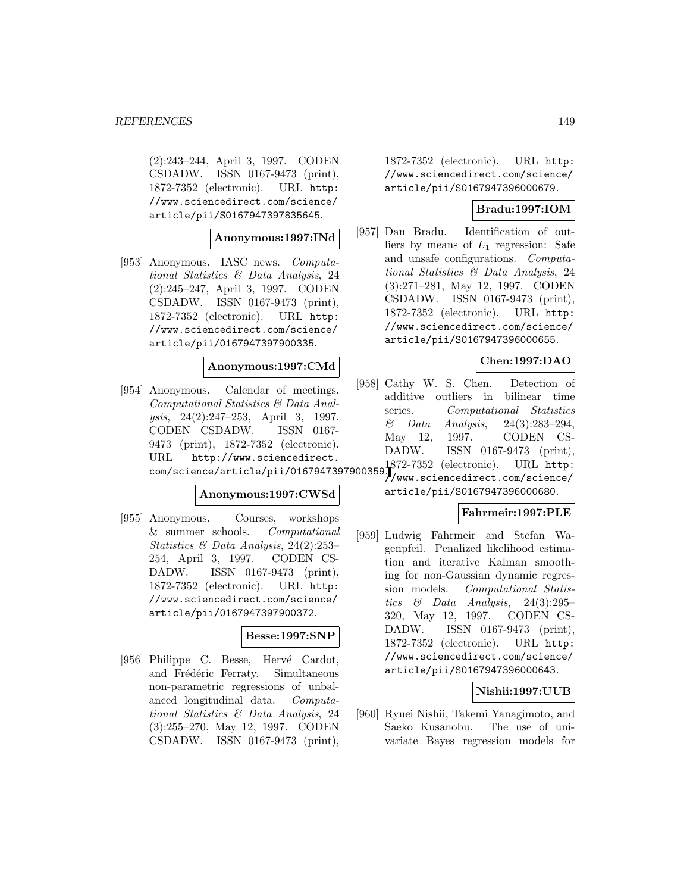(2):243–244, April 3, 1997. CODEN CSDADW. ISSN 0167-9473 (print), 1872-7352 (electronic). URL http: //www.sciencedirect.com/science/ article/pii/S0167947397835645.

**Anonymous:1997:INd**

[953] Anonymous. IASC news. Computational Statistics & Data Analysis, 24 (2):245–247, April 3, 1997. CODEN CSDADW. ISSN 0167-9473 (print), 1872-7352 (electronic). URL http: //www.sciencedirect.com/science/ article/pii/0167947397900335.

#### **Anonymous:1997:CMd**

[954] Anonymous. Calendar of meetings. Computational Statistics & Data Analysis, 24(2):247–253, April 3, 1997. CODEN CSDADW. ISSN 0167- 9473 (print), 1872-7352 (electronic). URL http://www.sciencedirect. com/science/article/pii/0167947397900359. 1872-7352 (electronic). URL http:

#### **Anonymous:1997:CWSd**

[955] Anonymous. Courses, workshops & summer schools. Computational Statistics & Data Analysis, 24(2):253– 254, April 3, 1997. CODEN CS-DADW. ISSN 0167-9473 (print), 1872-7352 (electronic). URL http: //www.sciencedirect.com/science/ article/pii/0167947397900372.

#### **Besse:1997:SNP**

[956] Philippe C. Besse, Hervé Cardot, and Frédéric Ferraty. Simultaneous non-parametric regressions of unbalanced longitudinal data. Computational Statistics & Data Analysis, 24 (3):255–270, May 12, 1997. CODEN CSDADW. ISSN 0167-9473 (print),

1872-7352 (electronic). URL http: //www.sciencedirect.com/science/ article/pii/S0167947396000679.

## **Bradu:1997:IOM**

[957] Dan Bradu. Identification of outliers by means of  $L_1$  regression: Safe and unsafe configurations. Computational Statistics & Data Analysis, 24 (3):271–281, May 12, 1997. CODEN CSDADW. ISSN 0167-9473 (print), 1872-7352 (electronic). URL http: //www.sciencedirect.com/science/ article/pii/S0167947396000655.

## **Chen:1997:DAO**

- [958] Cathy W. S. Chen. Detection of additive outliers in bilinear time series. Computational Statistics & Data Analysis, 24(3):283–294, May 12, 1997. CODEN CS-DADW. ISSN 0167-9473 (print),
- //www.sciencedirect.com/science/ article/pii/S0167947396000680.

#### **Fahrmeir:1997:PLE**

[959] Ludwig Fahrmeir and Stefan Wagenpfeil. Penalized likelihood estimation and iterative Kalman smoothing for non-Gaussian dynamic regression models. Computational Statistics  $\&$  Data Analysis, 24(3):295– 320, May 12, 1997. CODEN CS-DADW. ISSN 0167-9473 (print), 1872-7352 (electronic). URL http: //www.sciencedirect.com/science/ article/pii/S0167947396000643.

## **Nishii:1997:UUB**

[960] Ryuei Nishii, Takemi Yanagimoto, and Saeko Kusanobu. The use of univariate Bayes regression models for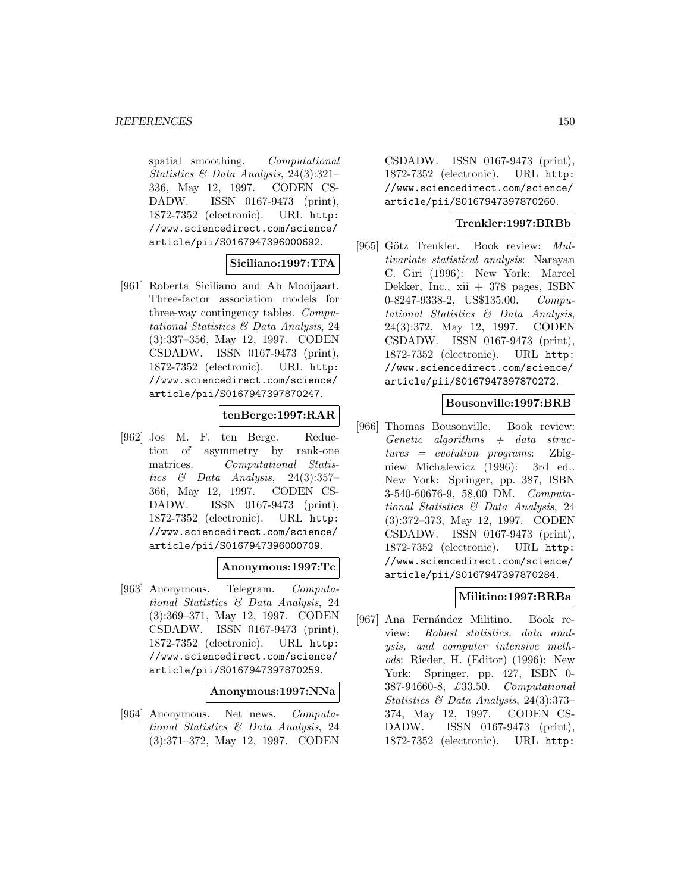spatial smoothing. Computational Statistics & Data Analysis, 24(3):321– 336, May 12, 1997. CODEN CS-DADW. ISSN 0167-9473 (print), 1872-7352 (electronic). URL http: //www.sciencedirect.com/science/ article/pii/S0167947396000692.

# **Siciliano:1997:TFA**

[961] Roberta Siciliano and Ab Mooijaart. Three-factor association models for three-way contingency tables. Computational Statistics & Data Analysis, 24 (3):337–356, May 12, 1997. CODEN CSDADW. ISSN 0167-9473 (print), 1872-7352 (electronic). URL http: //www.sciencedirect.com/science/ article/pii/S0167947397870247.

# **tenBerge:1997:RAR**

[962] Jos M. F. ten Berge. Reduction of asymmetry by rank-one matrices. Computational Statistics  $\&$  Data Analysis, 24(3):357-366, May 12, 1997. CODEN CS-DADW. ISSN 0167-9473 (print), 1872-7352 (electronic). URL http: //www.sciencedirect.com/science/ article/pii/S0167947396000709.

## **Anonymous:1997:Tc**

[963] Anonymous. Telegram. Computational Statistics & Data Analysis, 24 (3):369–371, May 12, 1997. CODEN CSDADW. ISSN 0167-9473 (print), 1872-7352 (electronic). URL http: //www.sciencedirect.com/science/ article/pii/S0167947397870259.

#### **Anonymous:1997:NNa**

[964] Anonymous. Net news. Computational Statistics & Data Analysis, 24 (3):371–372, May 12, 1997. CODEN

CSDADW. ISSN 0167-9473 (print), 1872-7352 (electronic). URL http: //www.sciencedirect.com/science/ article/pii/S0167947397870260.

#### **Trenkler:1997:BRBb**

[965] Götz Trenkler. Book review: Multivariate statistical analysis: Narayan C. Giri (1996): New York: Marcel Dekker, Inc., xii + 378 pages, ISBN 0-8247-9338-2, US\$135.00. Computational Statistics & Data Analysis, 24(3):372, May 12, 1997. CODEN CSDADW. ISSN 0167-9473 (print), 1872-7352 (electronic). URL http: //www.sciencedirect.com/science/ article/pii/S0167947397870272.

## **Bousonville:1997:BRB**

[966] Thomas Bousonville. Book review:  $Genetic \text{ } algorithms \text{ } + \text{ } data \text{ } struc$ tures = evolution programs: Zbigniew Michalewicz (1996): 3rd ed.. New York: Springer, pp. 387, ISBN 3-540-60676-9, 58,00 DM. Computational Statistics & Data Analysis, 24 (3):372–373, May 12, 1997. CODEN CSDADW. ISSN 0167-9473 (print), 1872-7352 (electronic). URL http: //www.sciencedirect.com/science/ article/pii/S0167947397870284.

# **Militino:1997:BRBa**

[967] Ana Fernández Militino. Book review: Robust statistics, data analysis, and computer intensive methods: Rieder, H. (Editor) (1996): New York: Springer, pp. 427, ISBN 0-387-94660-8, £33.50. Computational Statistics & Data Analysis, 24(3):373– 374, May 12, 1997. CODEN CS-DADW. ISSN 0167-9473 (print), 1872-7352 (electronic). URL http: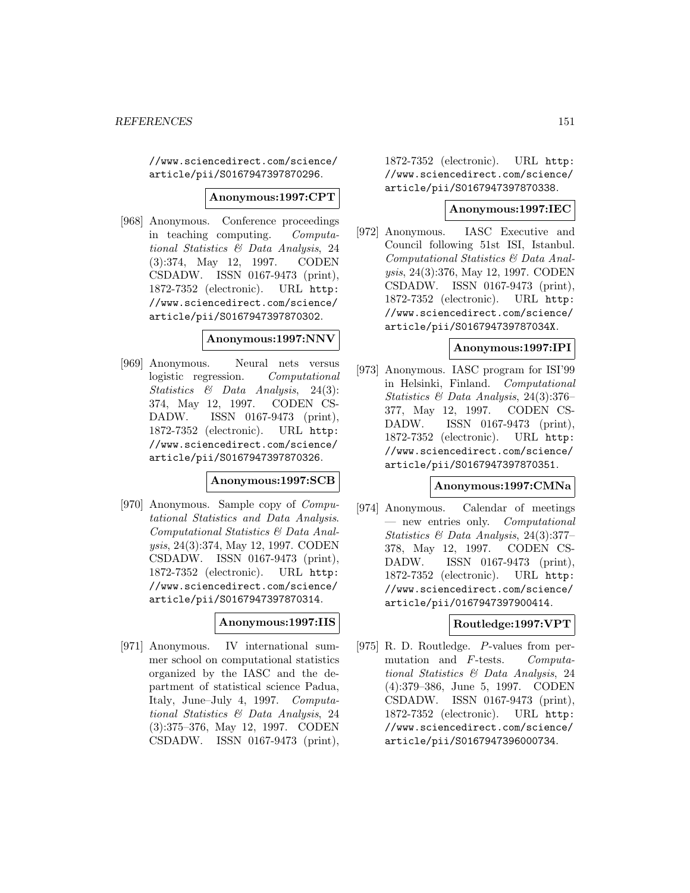//www.sciencedirect.com/science/ article/pii/S0167947397870296.

#### **Anonymous:1997:CPT**

[968] Anonymous. Conference proceedings in teaching computing. Computational Statistics & Data Analysis, 24 (3):374, May 12, 1997. CODEN CSDADW. ISSN 0167-9473 (print), 1872-7352 (electronic). URL http: //www.sciencedirect.com/science/ article/pii/S0167947397870302.

#### **Anonymous:1997:NNV**

[969] Anonymous. Neural nets versus logistic regression. Computational Statistics & Data Analysis, 24(3): 374, May 12, 1997. CODEN CS-DADW. ISSN 0167-9473 (print), 1872-7352 (electronic). URL http: //www.sciencedirect.com/science/ article/pii/S0167947397870326.

#### **Anonymous:1997:SCB**

[970] Anonymous. Sample copy of Computational Statistics and Data Analysis. Computational Statistics & Data Analysis, 24(3):374, May 12, 1997. CODEN CSDADW. ISSN 0167-9473 (print), 1872-7352 (electronic). URL http: //www.sciencedirect.com/science/ article/pii/S0167947397870314.

## **Anonymous:1997:IIS**

[971] Anonymous. IV international summer school on computational statistics organized by the IASC and the department of statistical science Padua, Italy, June–July 4, 1997. Computational Statistics & Data Analysis, 24 (3):375–376, May 12, 1997. CODEN CSDADW. ISSN 0167-9473 (print),

1872-7352 (electronic). URL http: //www.sciencedirect.com/science/ article/pii/S0167947397870338.

### **Anonymous:1997:IEC**

[972] Anonymous. IASC Executive and Council following 51st ISI, Istanbul. Computational Statistics & Data Analysis, 24(3):376, May 12, 1997. CODEN CSDADW. ISSN 0167-9473 (print), 1872-7352 (electronic). URL http: //www.sciencedirect.com/science/ article/pii/S016794739787034X.

## **Anonymous:1997:IPI**

[973] Anonymous. IASC program for ISI'99 in Helsinki, Finland. Computational Statistics & Data Analysis, 24(3):376– 377, May 12, 1997. CODEN CS-DADW. ISSN 0167-9473 (print), 1872-7352 (electronic). URL http: //www.sciencedirect.com/science/ article/pii/S0167947397870351.

#### **Anonymous:1997:CMNa**

[974] Anonymous. Calendar of meetings — new entries only. Computational Statistics & Data Analysis, 24(3):377– 378, May 12, 1997. CODEN CS-DADW. ISSN 0167-9473 (print), 1872-7352 (electronic). URL http: //www.sciencedirect.com/science/ article/pii/0167947397900414.

#### **Routledge:1997:VPT**

[975] R. D. Routledge. P-values from permutation and F-tests. Computational Statistics & Data Analysis, 24 (4):379–386, June 5, 1997. CODEN CSDADW. ISSN 0167-9473 (print), 1872-7352 (electronic). URL http: //www.sciencedirect.com/science/ article/pii/S0167947396000734.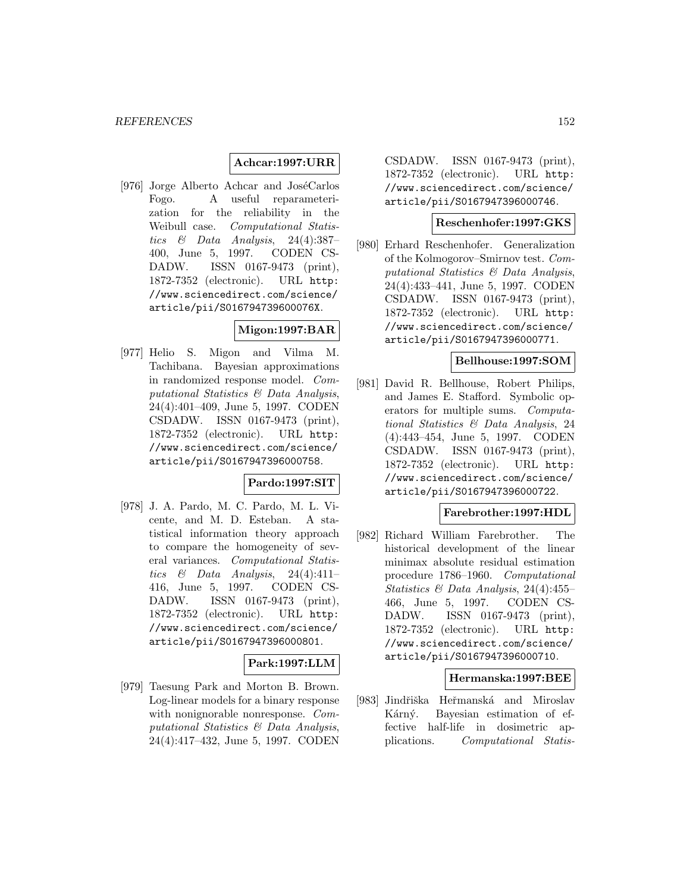# **Achcar:1997:URR**

[976] Jorge Alberto Achcar and JoséCarlos Fogo. A useful reparameterization for the reliability in the Weibull case. Computational Statistics  $\&$  Data Analysis, 24(4):387– 400, June 5, 1997. CODEN CS-DADW. ISSN 0167-9473 (print), 1872-7352 (electronic). URL http: //www.sciencedirect.com/science/ article/pii/S016794739600076X.

# **Migon:1997:BAR**

[977] Helio S. Migon and Vilma M. Tachibana. Bayesian approximations in randomized response model. Computational Statistics & Data Analysis, 24(4):401–409, June 5, 1997. CODEN CSDADW. ISSN 0167-9473 (print), 1872-7352 (electronic). URL http: //www.sciencedirect.com/science/ article/pii/S0167947396000758.

## **Pardo:1997:SIT**

[978] J. A. Pardo, M. C. Pardo, M. L. Vicente, and M. D. Esteban. A statistical information theory approach to compare the homogeneity of several variances. Computational Statistics & Data Analysis, 24(4):411-416, June 5, 1997. CODEN CS-DADW. ISSN 0167-9473 (print), 1872-7352 (electronic). URL http: //www.sciencedirect.com/science/ article/pii/S0167947396000801.

# **Park:1997:LLM**

[979] Taesung Park and Morton B. Brown. Log-linear models for a binary response with nonignorable nonresponse. Computational Statistics & Data Analysis, 24(4):417–432, June 5, 1997. CODEN

CSDADW. ISSN 0167-9473 (print), 1872-7352 (electronic). URL http: //www.sciencedirect.com/science/ article/pii/S0167947396000746.

#### **Reschenhofer:1997:GKS**

[980] Erhard Reschenhofer. Generalization of the Kolmogorov–Smirnov test. Computational Statistics & Data Analysis, 24(4):433–441, June 5, 1997. CODEN CSDADW. ISSN 0167-9473 (print), 1872-7352 (electronic). URL http: //www.sciencedirect.com/science/ article/pii/S0167947396000771.

#### **Bellhouse:1997:SOM**

[981] David R. Bellhouse, Robert Philips, and James E. Stafford. Symbolic operators for multiple sums. Computational Statistics & Data Analysis, 24 (4):443–454, June 5, 1997. CODEN CSDADW. ISSN 0167-9473 (print), 1872-7352 (electronic). URL http: //www.sciencedirect.com/science/ article/pii/S0167947396000722.

# **Farebrother:1997:HDL**

[982] Richard William Farebrother. The historical development of the linear minimax absolute residual estimation procedure 1786–1960. Computational Statistics & Data Analysis, 24(4):455– 466, June 5, 1997. CODEN CS-DADW. ISSN 0167-9473 (print), 1872-7352 (electronic). URL http: //www.sciencedirect.com/science/ article/pii/S0167947396000710.

#### **Hermanska:1997:BEE**

[983] Jindřiška Heřmanská and Miroslav Kárný. Bayesian estimation of effective half-life in dosimetric applications. Computational Statis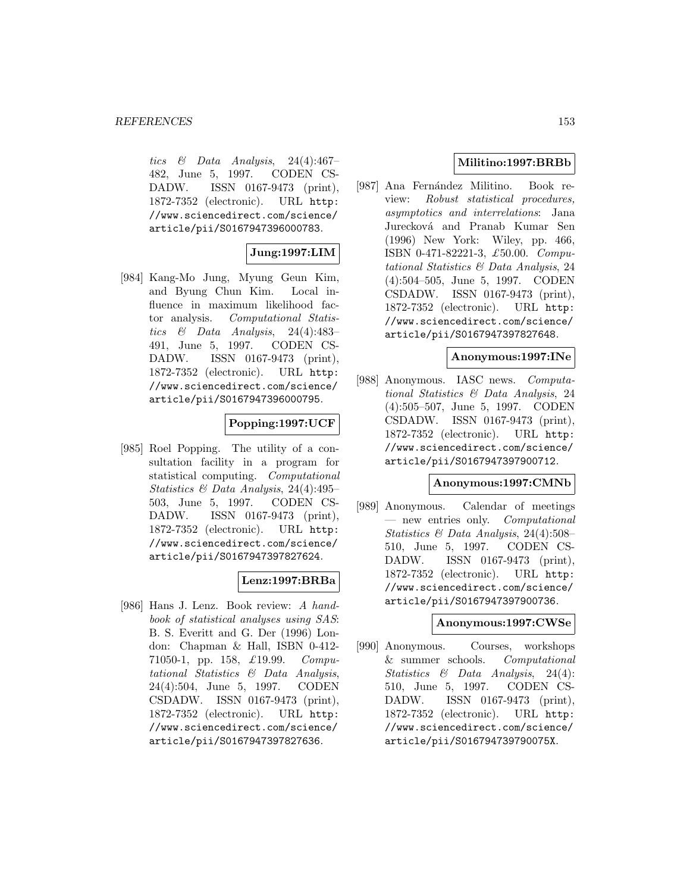tics  $\&$  Data Analysis, 24(4):467– 482, June 5, 1997. CODEN CS-DADW. ISSN 0167-9473 (print), 1872-7352 (electronic). URL http: //www.sciencedirect.com/science/ article/pii/S0167947396000783.

# **Jung:1997:LIM**

[984] Kang-Mo Jung, Myung Geun Kim, and Byung Chun Kim. Local influence in maximum likelihood factor analysis. Computational Statistics  $\&$  Data Analysis, 24(4):483– 491, June 5, 1997. CODEN CS-DADW. ISSN 0167-9473 (print), 1872-7352 (electronic). URL http: //www.sciencedirect.com/science/ article/pii/S0167947396000795.

# **Popping:1997:UCF**

[985] Roel Popping. The utility of a consultation facility in a program for statistical computing. Computational Statistics & Data Analysis, 24(4):495– 503, June 5, 1997. CODEN CS-DADW. ISSN 0167-9473 (print), 1872-7352 (electronic). URL http: //www.sciencedirect.com/science/ article/pii/S0167947397827624.

# **Lenz:1997:BRBa**

[986] Hans J. Lenz. Book review: A handbook of statistical analyses using SAS: B. S. Everitt and G. Der (1996) London: Chapman & Hall, ISBN 0-412- 71050-1, pp. 158, £19.99. Computational Statistics & Data Analysis, 24(4):504, June 5, 1997. CODEN CSDADW. ISSN 0167-9473 (print), 1872-7352 (electronic). URL http: //www.sciencedirect.com/science/ article/pii/S0167947397827636.

# **Militino:1997:BRBb**

[987] Ana Fernández Militino. Book review: Robust statistical procedures, asymptotics and interrelations: Jana Jurecková and Pranab Kumar Sen (1996) New York: Wiley, pp. 466, ISBN 0-471-82221-3, £50.00. Computational Statistics & Data Analysis, 24 (4):504–505, June 5, 1997. CODEN CSDADW. ISSN 0167-9473 (print), 1872-7352 (electronic). URL http: //www.sciencedirect.com/science/ article/pii/S0167947397827648.

## **Anonymous:1997:INe**

[988] Anonymous. IASC news. Computational Statistics & Data Analysis, 24 (4):505–507, June 5, 1997. CODEN CSDADW. ISSN 0167-9473 (print), 1872-7352 (electronic). URL http: //www.sciencedirect.com/science/ article/pii/S0167947397900712.

## **Anonymous:1997:CMNb**

[989] Anonymous. Calendar of meetings — new entries only. Computational Statistics & Data Analysis, 24(4):508– 510, June 5, 1997. CODEN CS-DADW. ISSN 0167-9473 (print), 1872-7352 (electronic). URL http: //www.sciencedirect.com/science/ article/pii/S0167947397900736.

# **Anonymous:1997:CWSe**

[990] Anonymous. Courses, workshops & summer schools. Computational Statistics & Data Analysis, 24(4): 510, June 5, 1997. CODEN CS-DADW. ISSN 0167-9473 (print), 1872-7352 (electronic). URL http: //www.sciencedirect.com/science/ article/pii/S016794739790075X.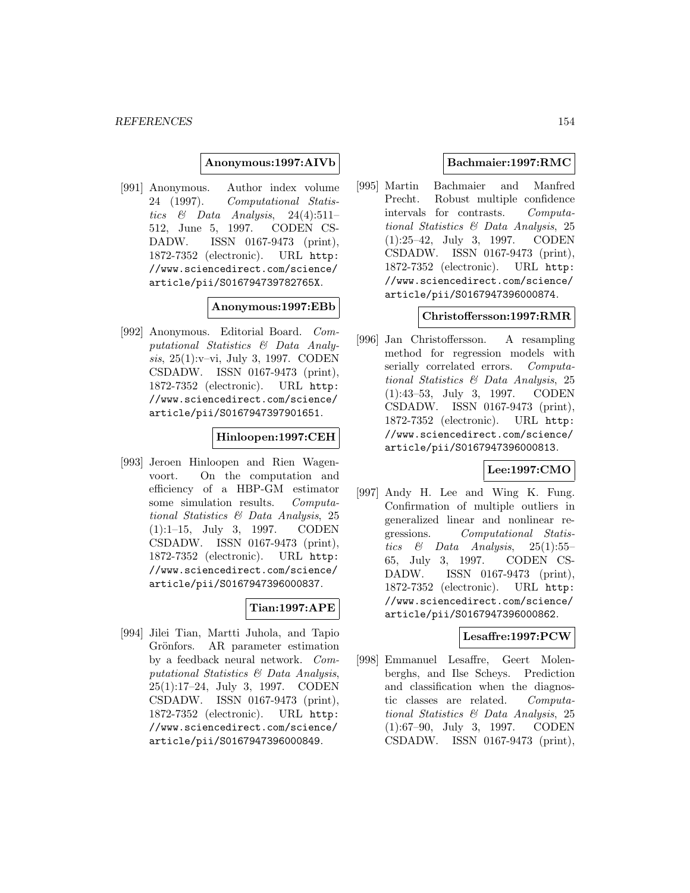#### **Anonymous:1997:AIVb**

[991] Anonymous. Author index volume 24 (1997). Computational Statistics  $\&$  Data Analysis, 24(4):511-512, June 5, 1997. CODEN CS-DADW. ISSN 0167-9473 (print), 1872-7352 (electronic). URL http: //www.sciencedirect.com/science/ article/pii/S016794739782765X.

#### **Anonymous:1997:EBb**

[992] Anonymous. Editorial Board. Computational Statistics & Data Analysis, 25(1):v–vi, July 3, 1997. CODEN CSDADW. ISSN 0167-9473 (print), 1872-7352 (electronic). URL http: //www.sciencedirect.com/science/ article/pii/S0167947397901651.

#### **Hinloopen:1997:CEH**

[993] Jeroen Hinloopen and Rien Wagenvoort. On the computation and efficiency of a HBP-GM estimator some simulation results. Computational Statistics & Data Analysis, 25 (1):1–15, July 3, 1997. CODEN CSDADW. ISSN 0167-9473 (print), 1872-7352 (electronic). URL http: //www.sciencedirect.com/science/ article/pii/S0167947396000837.

# **Tian:1997:APE**

[994] Jilei Tian, Martti Juhola, and Tapio Grönfors. AR parameter estimation by a feedback neural network. Computational Statistics & Data Analysis, 25(1):17–24, July 3, 1997. CODEN CSDADW. ISSN 0167-9473 (print), 1872-7352 (electronic). URL http: //www.sciencedirect.com/science/ article/pii/S0167947396000849.

## **Bachmaier:1997:RMC**

[995] Martin Bachmaier and Manfred Precht. Robust multiple confidence intervals for contrasts. Computational Statistics & Data Analysis, 25 (1):25–42, July 3, 1997. CODEN CSDADW. ISSN 0167-9473 (print), 1872-7352 (electronic). URL http: //www.sciencedirect.com/science/ article/pii/S0167947396000874.

## **Christoffersson:1997:RMR**

[996] Jan Christoffersson. A resampling method for regression models with serially correlated errors. Computational Statistics & Data Analysis, 25 (1):43–53, July 3, 1997. CODEN CSDADW. ISSN 0167-9473 (print), 1872-7352 (electronic). URL http: //www.sciencedirect.com/science/ article/pii/S0167947396000813.

## **Lee:1997:CMO**

[997] Andy H. Lee and Wing K. Fung. Confirmation of multiple outliers in generalized linear and nonlinear regressions. Computational Statistics  $\&$  Data Analysis, 25(1):55– 65, July 3, 1997. CODEN CS-DADW. ISSN 0167-9473 (print), 1872-7352 (electronic). URL http: //www.sciencedirect.com/science/ article/pii/S0167947396000862.

#### **Lesaffre:1997:PCW**

[998] Emmanuel Lesaffre, Geert Molenberghs, and Ilse Scheys. Prediction and classification when the diagnostic classes are related. Computational Statistics & Data Analysis, 25 (1):67–90, July 3, 1997. CODEN CSDADW. ISSN 0167-9473 (print),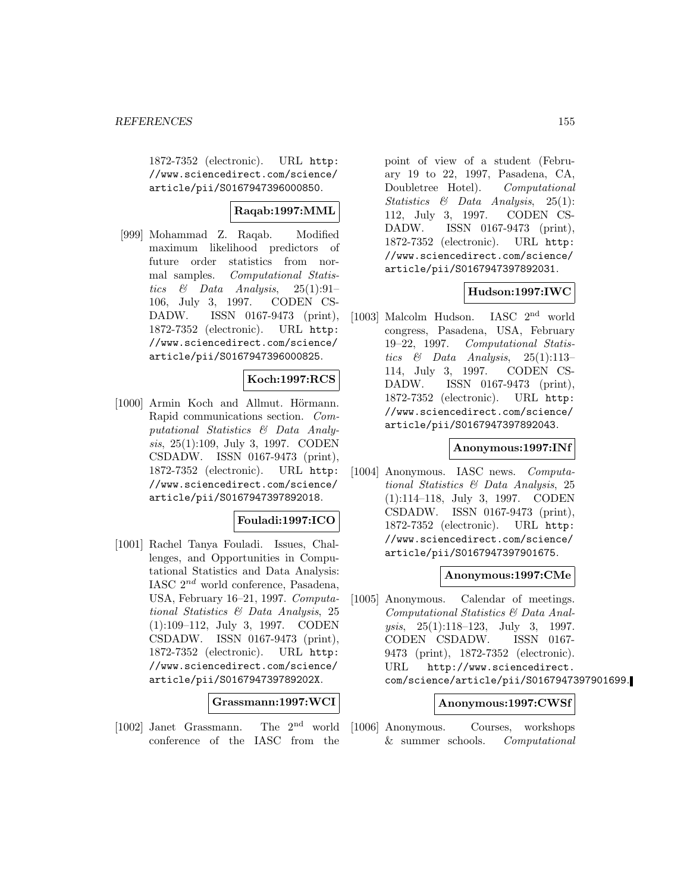1872-7352 (electronic). URL http: //www.sciencedirect.com/science/ article/pii/S0167947396000850.

# **Raqab:1997:MML**

[999] Mohammad Z. Raqab. Modified maximum likelihood predictors of future order statistics from normal samples. Computational Statistics & Data Analysis,  $25(1):91-$ 106, July 3, 1997. CODEN CS-DADW. ISSN 0167-9473 (print), 1872-7352 (electronic). URL http: //www.sciencedirect.com/science/ article/pii/S0167947396000825.

## **Koch:1997:RCS**

[1000] Armin Koch and Allmut. Hörmann. Rapid communications section. Computational Statistics & Data Analysis, 25(1):109, July 3, 1997. CODEN CSDADW. ISSN 0167-9473 (print), 1872-7352 (electronic). URL http: //www.sciencedirect.com/science/ article/pii/S0167947397892018.

# **Fouladi:1997:ICO**

[1001] Rachel Tanya Fouladi. Issues, Challenges, and Opportunities in Computational Statistics and Data Analysis: IASC  $2^{nd}$  world conference, Pasadena, USA, February 16–21, 1997. Computational Statistics & Data Analysis, 25 (1):109–112, July 3, 1997. CODEN CSDADW. ISSN 0167-9473 (print), 1872-7352 (electronic). URL http: //www.sciencedirect.com/science/ article/pii/S016794739789202X.

#### **Grassmann:1997:WCI**

[1002] Janet Grassmann. The 2nd world conference of the IASC from the point of view of a student (February 19 to 22, 1997, Pasadena, CA, Doubletree Hotel). Computational Statistics & Data Analysis, 25(1): 112, July 3, 1997. CODEN CS-DADW. ISSN 0167-9473 (print), 1872-7352 (electronic). URL http: //www.sciencedirect.com/science/ article/pii/S0167947397892031.

## **Hudson:1997:IWC**

[1003] Malcolm Hudson. IASC 2nd world congress, Pasadena, USA, February 19–22, 1997. Computational Statistics & Data Analysis,  $25(1):113-$ 114, July 3, 1997. CODEN CS-DADW. ISSN 0167-9473 (print), 1872-7352 (electronic). URL http: //www.sciencedirect.com/science/ article/pii/S0167947397892043.

#### **Anonymous:1997:INf**

[1004] Anonymous. IASC news. Computational Statistics & Data Analysis, 25 (1):114–118, July 3, 1997. CODEN CSDADW. ISSN 0167-9473 (print), 1872-7352 (electronic). URL http: //www.sciencedirect.com/science/ article/pii/S0167947397901675.

#### **Anonymous:1997:CMe**

[1005] Anonymous. Calendar of meetings. Computational Statistics & Data Analysis, 25(1):118–123, July 3, 1997. CODEN CSDADW. ISSN 0167- 9473 (print), 1872-7352 (electronic). URL http://www.sciencedirect. com/science/article/pii/S0167947397901699.

#### **Anonymous:1997:CWSf**

[1006] Anonymous. Courses, workshops & summer schools. Computational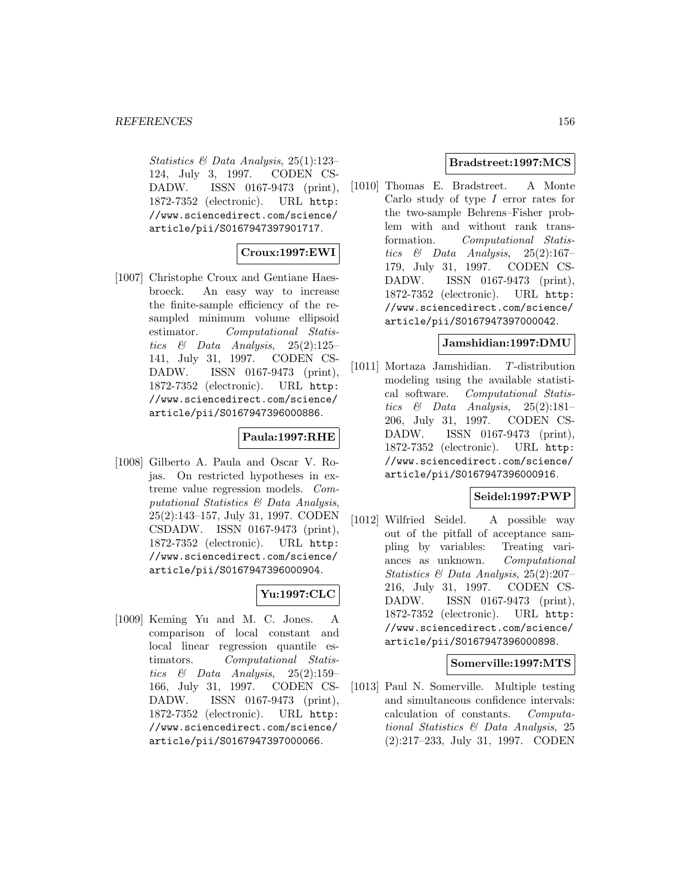Statistics & Data Analysis, 25(1):123– 124, July 3, 1997. CODEN CS-DADW. ISSN 0167-9473 (print), 1872-7352 (electronic). URL http: //www.sciencedirect.com/science/ article/pii/S0167947397901717.

# **Croux:1997:EWI**

[1007] Christophe Croux and Gentiane Haesbroeck. An easy way to increase the finite-sample efficiency of the resampled minimum volume ellipsoid estimator. Computational Statistics & Data Analysis,  $25(2):125-$ 141, July 31, 1997. CODEN CS-DADW. ISSN 0167-9473 (print), 1872-7352 (electronic). URL http: //www.sciencedirect.com/science/ article/pii/S0167947396000886.

# **Paula:1997:RHE**

[1008] Gilberto A. Paula and Oscar V. Rojas. On restricted hypotheses in extreme value regression models. Computational Statistics & Data Analysis, 25(2):143–157, July 31, 1997. CODEN CSDADW. ISSN 0167-9473 (print), 1872-7352 (electronic). URL http: //www.sciencedirect.com/science/ article/pii/S0167947396000904.

# **Yu:1997:CLC**

[1009] Keming Yu and M. C. Jones. A comparison of local constant and local linear regression quantile estimators. Computational Statistics & Data Analysis, 25(2):159– 166, July 31, 1997. CODEN CS-DADW. ISSN 0167-9473 (print), 1872-7352 (electronic). URL http: //www.sciencedirect.com/science/ article/pii/S0167947397000066.

# **Bradstreet:1997:MCS**

[1010] Thomas E. Bradstreet. A Monte Carlo study of type I error rates for the two-sample Behrens–Fisher problem with and without rank transformation. Computational Statistics  $\&$  Data Analysis, 25(2):167– 179, July 31, 1997. CODEN CS-DADW. ISSN 0167-9473 (print), 1872-7352 (electronic). URL http: //www.sciencedirect.com/science/ article/pii/S0167947397000042.

## **Jamshidian:1997:DMU**

[1011] Mortaza Jamshidian. T-distribution modeling using the available statistical software. Computational Statistics  $\&$  Data Analysis, 25(2):181– 206, July 31, 1997. CODEN CS-DADW. ISSN 0167-9473 (print), 1872-7352 (electronic). URL http: //www.sciencedirect.com/science/ article/pii/S0167947396000916.

## **Seidel:1997:PWP**

[1012] Wilfried Seidel. A possible way out of the pitfall of acceptance sampling by variables: Treating variances as unknown. Computational Statistics & Data Analysis, 25(2):207– 216, July 31, 1997. CODEN CS-DADW. ISSN 0167-9473 (print), 1872-7352 (electronic). URL http: //www.sciencedirect.com/science/ article/pii/S0167947396000898.

## **Somerville:1997:MTS**

[1013] Paul N. Somerville. Multiple testing and simultaneous confidence intervals: calculation of constants. Computational Statistics & Data Analysis, 25 (2):217–233, July 31, 1997. CODEN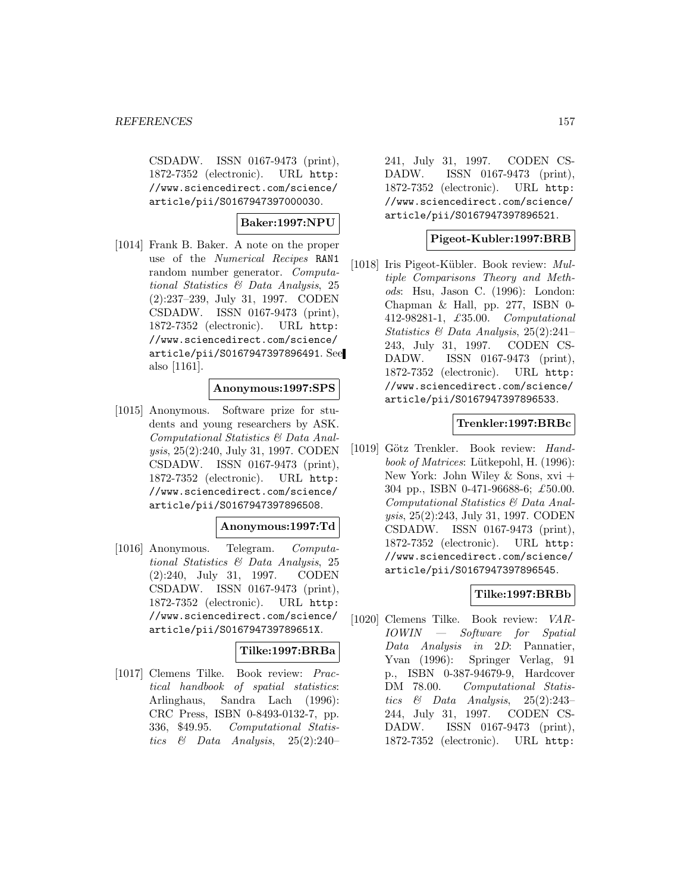CSDADW. ISSN 0167-9473 (print), 1872-7352 (electronic). URL http: //www.sciencedirect.com/science/ article/pii/S0167947397000030.

# **Baker:1997:NPU**

[1014] Frank B. Baker. A note on the proper use of the Numerical Recipes RAN1 random number generator. Computational Statistics & Data Analysis, 25 (2):237–239, July 31, 1997. CODEN CSDADW. ISSN 0167-9473 (print), 1872-7352 (electronic). URL http: //www.sciencedirect.com/science/ article/pii/S0167947397896491. See also [1161].

# **Anonymous:1997:SPS**

[1015] Anonymous. Software prize for students and young researchers by ASK. Computational Statistics & Data Analysis, 25(2):240, July 31, 1997. CODEN CSDADW. ISSN 0167-9473 (print), 1872-7352 (electronic). URL http: //www.sciencedirect.com/science/ article/pii/S0167947397896508.

## **Anonymous:1997:Td**

[1016] Anonymous. Telegram. Computational Statistics & Data Analysis, 25 (2):240, July 31, 1997. CODEN CSDADW. ISSN 0167-9473 (print), 1872-7352 (electronic). URL http: //www.sciencedirect.com/science/ article/pii/S016794739789651X.

# **Tilke:1997:BRBa**

[1017] Clemens Tilke. Book review: Practical handbook of spatial statistics: Arlinghaus, Sandra Lach (1996): CRC Press, ISBN 0-8493-0132-7, pp. 336, \$49.95. Computational Statistics & Data Analysis, 25(2):240–

241, July 31, 1997. CODEN CS-DADW. ISSN 0167-9473 (print), 1872-7352 (electronic). URL http: //www.sciencedirect.com/science/ article/pii/S0167947397896521.

## **Pigeot-Kubler:1997:BRB**

[1018] Iris Pigeot-Kübler. Book review: Multiple Comparisons Theory and Methods: Hsu, Jason C. (1996): London: Chapman & Hall, pp. 277, ISBN 0- 412-98281-1, £35.00. Computational Statistics & Data Analysis, 25(2):241– 243, July 31, 1997. CODEN CS-DADW. ISSN 0167-9473 (print), 1872-7352 (electronic). URL http: //www.sciencedirect.com/science/ article/pii/S0167947397896533.

## **Trenkler:1997:BRBc**

[1019] Götz Trenkler. Book review: Handbook of Matrices: Lütkepohl, H. (1996): New York: John Wiley & Sons, xvi + 304 pp., ISBN 0-471-96688-6; £50.00. Computational Statistics & Data Analysis, 25(2):243, July 31, 1997. CODEN CSDADW. ISSN 0167-9473 (print), 1872-7352 (electronic). URL http: //www.sciencedirect.com/science/ article/pii/S0167947397896545.

# **Tilke:1997:BRBb**

[1020] Clemens Tilke. Book review: VAR-IOWIN — Software for Spatial Data Analysis in 2D: Pannatier, Yvan (1996): Springer Verlag, 91 p., ISBN 0-387-94679-9, Hardcover DM 78.00. Computational Statistics & Data Analysis, 25(2):243– 244, July 31, 1997. CODEN CS-DADW. ISSN 0167-9473 (print), 1872-7352 (electronic). URL http: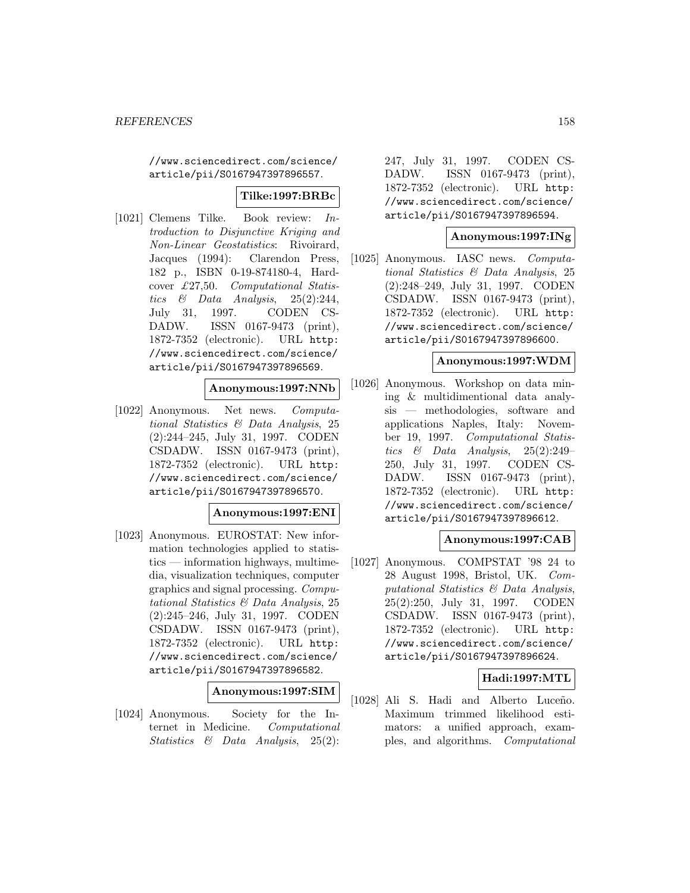//www.sciencedirect.com/science/ article/pii/S0167947397896557.

## **Tilke:1997:BRBc**

[1021] Clemens Tilke. Book review: Introduction to Disjunctive Kriging and Non-Linear Geostatistics: Rivoirard, Jacques (1994): Clarendon Press, 182 p., ISBN 0-19-874180-4, Hardcover £27,50. Computational Statistics  $\&$  Data Analysis, 25(2):244, July 31, 1997. CODEN CS-DADW. ISSN 0167-9473 (print), 1872-7352 (electronic). URL http: //www.sciencedirect.com/science/ article/pii/S0167947397896569.

## **Anonymous:1997:NNb**

[1022] Anonymous. Net news. Computational Statistics & Data Analysis, 25 (2):244–245, July 31, 1997. CODEN CSDADW. ISSN 0167-9473 (print), 1872-7352 (electronic). URL http: //www.sciencedirect.com/science/ article/pii/S0167947397896570.

#### **Anonymous:1997:ENI**

[1023] Anonymous. EUROSTAT: New information technologies applied to statistics — information highways, multimedia, visualization techniques, computer graphics and signal processing. Computational Statistics & Data Analysis, 25 (2):245–246, July 31, 1997. CODEN CSDADW. ISSN 0167-9473 (print), 1872-7352 (electronic). URL http: //www.sciencedirect.com/science/ article/pii/S0167947397896582.

**Anonymous:1997:SIM**

[1024] Anonymous. Society for the Internet in Medicine. Computational Statistics & Data Analysis, 25(2):

247, July 31, 1997. CODEN CS-DADW. ISSN 0167-9473 (print), 1872-7352 (electronic). URL http: //www.sciencedirect.com/science/ article/pii/S0167947397896594.

#### **Anonymous:1997:INg**

[1025] Anonymous. IASC news. Computational Statistics & Data Analysis, 25 (2):248–249, July 31, 1997. CODEN CSDADW. ISSN 0167-9473 (print), 1872-7352 (electronic). URL http: //www.sciencedirect.com/science/ article/pii/S0167947397896600.

#### **Anonymous:1997:WDM**

[1026] Anonymous. Workshop on data mining & multidimentional data analysis — methodologies, software and applications Naples, Italy: November 19, 1997. Computational Statistics & Data Analysis, 25(2):249– 250, July 31, 1997. CODEN CS-DADW. ISSN 0167-9473 (print), 1872-7352 (electronic). URL http: //www.sciencedirect.com/science/ article/pii/S0167947397896612.

## **Anonymous:1997:CAB**

[1027] Anonymous. COMPSTAT '98 24 to 28 August 1998, Bristol, UK. Computational Statistics & Data Analysis, 25(2):250, July 31, 1997. CODEN CSDADW. ISSN 0167-9473 (print), 1872-7352 (electronic). URL http: //www.sciencedirect.com/science/ article/pii/S0167947397896624.

#### **Hadi:1997:MTL**

[1028] Ali S. Hadi and Alberto Luceño. Maximum trimmed likelihood estimators: a unified approach, examples, and algorithms. Computational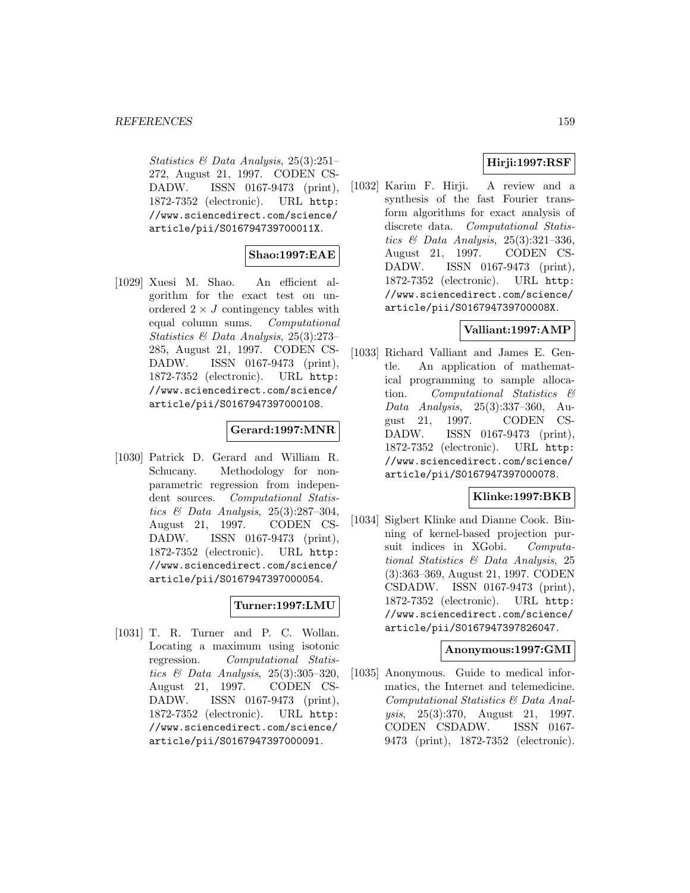Statistics & Data Analysis, 25(3):251– 272, August 21, 1997. CODEN CS-DADW. ISSN 0167-9473 (print), 1872-7352 (electronic). URL http: //www.sciencedirect.com/science/ article/pii/S016794739700011X.

# **Shao:1997:EAE**

[1029] Xuesi M. Shao. An efficient algorithm for the exact test on unordered  $2 \times J$  contingency tables with<br>equal column sums. *Computational* equal column sums. Statistics & Data Analysis, 25(3):273– 285, August 21, 1997. CODEN CS-DADW. ISSN 0167-9473 (print), 1872-7352 (electronic). URL http: //www.sciencedirect.com/science/ article/pii/S0167947397000108.

# **Gerard:1997:MNR**

[1030] Patrick D. Gerard and William R. Schucany. Methodology for nonparametric regression from independent sources. Computational Statistics  $\mathcal B$  Data Analysis, 25(3):287-304, August 21, 1997. CODEN CS-DADW. ISSN 0167-9473 (print), 1872-7352 (electronic). URL http: //www.sciencedirect.com/science/ article/pii/S0167947397000054.

# **Turner:1997:LMU**

[1031] T. R. Turner and P. C. Wollan. Locating a maximum using isotonic regression. Computational Statistics & Data Analysis,  $25(3):305-320$ , August 21, 1997. CODEN CS-DADW. ISSN 0167-9473 (print), 1872-7352 (electronic). URL http: //www.sciencedirect.com/science/ article/pii/S0167947397000091.

# **Hirji:1997:RSF**

[1032] Karim F. Hirji. A review and a synthesis of the fast Fourier transform algorithms for exact analysis of discrete data. Computational Statistics  $\mathcal B$  Data Analysis, 25(3):321-336, August 21, 1997. CODEN CS-DADW. ISSN 0167-9473 (print), 1872-7352 (electronic). URL http: //www.sciencedirect.com/science/ article/pii/S016794739700008X.

# **Valliant:1997:AMP**

[1033] Richard Valliant and James E. Gentle. An application of mathematical programming to sample allocation. Computational Statistics & Data Analysis, 25(3):337–360, August 21, 1997. CODEN CS-DADW. ISSN 0167-9473 (print), 1872-7352 (electronic). URL http: //www.sciencedirect.com/science/ article/pii/S0167947397000078.

# **Klinke:1997:BKB**

[1034] Sigbert Klinke and Dianne Cook. Binning of kernel-based projection pursuit indices in XGobi. Computational Statistics & Data Analysis, 25 (3):363–369, August 21, 1997. CODEN CSDADW. ISSN 0167-9473 (print), 1872-7352 (electronic). URL http: //www.sciencedirect.com/science/ article/pii/S0167947397826047.

## **Anonymous:1997:GMI**

[1035] Anonymous. Guide to medical informatics, the Internet and telemedicine. Computational Statistics & Data Analysis, 25(3):370, August 21, 1997. CODEN CSDADW. ISSN 0167- 9473 (print), 1872-7352 (electronic).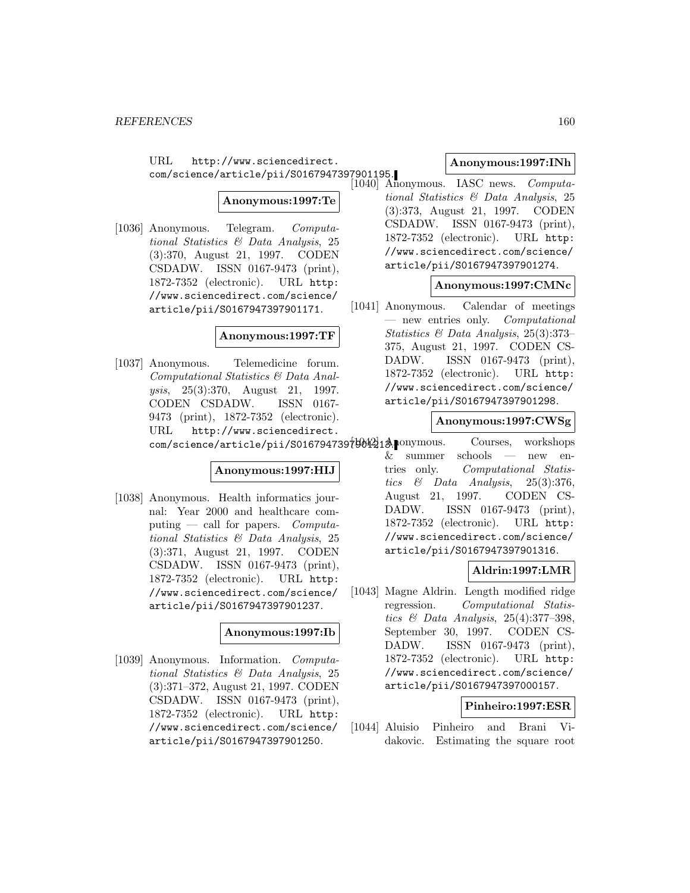URL http://www.sciencedirect. com/science/article/pii/S0167947397901195.

**Anonymous:1997:Te**

[1036] Anonymous. Telegram. Computational Statistics & Data Analysis, 25 (3):370, August 21, 1997. CODEN CSDADW. ISSN 0167-9473 (print), 1872-7352 (electronic). URL http: //www.sciencedirect.com/science/ article/pii/S0167947397901171.

#### **Anonymous:1997:TF**

[1037] Anonymous. Telemedicine forum. Computational Statistics & Data Analysis, 25(3):370, August 21, 1997. CODEN CSDADW. ISSN 0167- 9473 (print), 1872-7352 (electronic). URL http://www.sciencedirect.

## **Anonymous:1997:HIJ**

[1038] Anonymous. Health informatics journal: Year 2000 and healthcare computing — call for papers.  $Computa$ tional Statistics & Data Analysis, 25 (3):371, August 21, 1997. CODEN CSDADW. ISSN 0167-9473 (print), 1872-7352 (electronic). URL http: //www.sciencedirect.com/science/ article/pii/S0167947397901237.

#### **Anonymous:1997:Ib**

[1039] Anonymous. Information. Computational Statistics & Data Analysis, 25 (3):371–372, August 21, 1997. CODEN CSDADW. ISSN 0167-9473 (print), 1872-7352 (electronic). URL http: //www.sciencedirect.com/science/ article/pii/S0167947397901250.

## **Anonymous:1997:INh**

[1040] Anonymous. IASC news. Computational Statistics & Data Analysis, 25 (3):373, August 21, 1997. CODEN CSDADW. ISSN 0167-9473 (print), 1872-7352 (electronic). URL http: //www.sciencedirect.com/science/ article/pii/S0167947397901274.

## **Anonymous:1997:CMNc**

[1041] Anonymous. Calendar of meetings — new entries only. Computational Statistics & Data Analysis, 25(3):373– 375, August 21, 1997. CODEN CS-DADW. ISSN 0167-9473 (print), 1872-7352 (electronic). URL http: //www.sciencedirect.com/science/ article/pii/S0167947397901298.

#### **Anonymous:1997:CWSg**

com/science/article/pii/S0167947397901213. Courses, workshops & summer schools — new entries only. Computational Statistics & Data Analysis,  $25(3):376$ , August 21, 1997. CODEN CS-DADW. ISSN 0167-9473 (print), 1872-7352 (electronic). URL http: //www.sciencedirect.com/science/ article/pii/S0167947397901316.

# **Aldrin:1997:LMR**

[1043] Magne Aldrin. Length modified ridge regression. Computational Statistics  $\mathcal C$  Data Analysis, 25(4):377-398, September 30, 1997. CODEN CS-DADW. ISSN 0167-9473 (print), 1872-7352 (electronic). URL http: //www.sciencedirect.com/science/ article/pii/S0167947397000157.

# **Pinheiro:1997:ESR**

[1044] Aluisio Pinheiro and Brani Vidakovic. Estimating the square root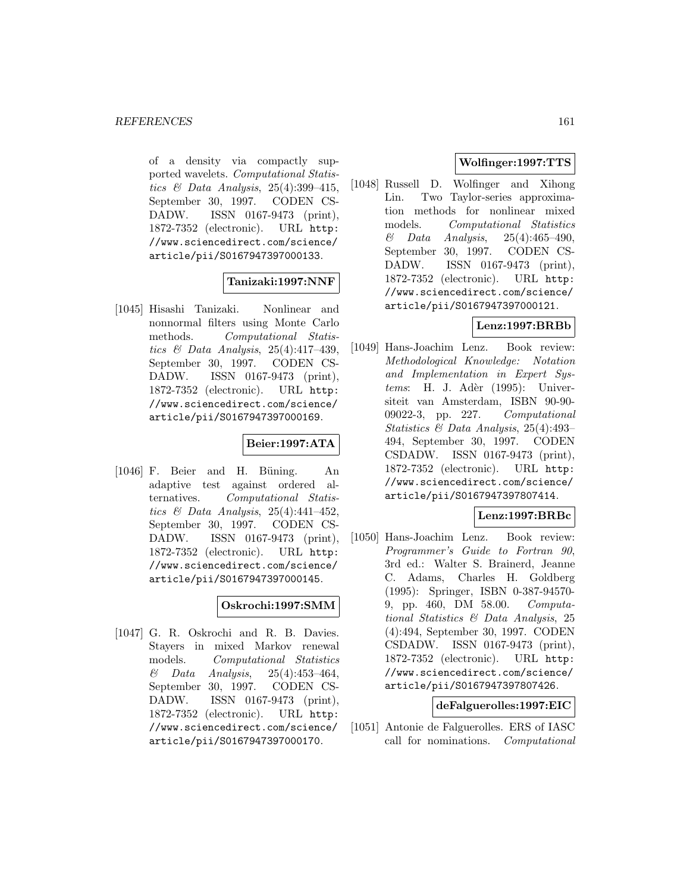of a density via compactly supported wavelets. Computational Statistics  $\mathcal C$  Data Analysis, 25(4):399-415, September 30, 1997. CODEN CS-DADW. ISSN 0167-9473 (print), 1872-7352 (electronic). URL http: //www.sciencedirect.com/science/ article/pii/S0167947397000133.

# **Tanizaki:1997:NNF**

[1045] Hisashi Tanizaki. Nonlinear and nonnormal filters using Monte Carlo methods. Computational Statistics & Data Analysis, 25(4):417–439, September 30, 1997. CODEN CS-DADW. ISSN 0167-9473 (print), 1872-7352 (electronic). URL http: //www.sciencedirect.com/science/ article/pii/S0167947397000169.

# **Beier:1997:ATA**

 $[1046]$  F. Beier and H. Büning. An adaptive test against ordered alternatives. Computational Statistics  $\mathcal B$  Data Analysis, 25(4):441-452. September 30, 1997. CODEN CS-DADW. ISSN 0167-9473 (print), 1872-7352 (electronic). URL http: //www.sciencedirect.com/science/ article/pii/S0167947397000145.

## **Oskrochi:1997:SMM**

[1047] G. R. Oskrochi and R. B. Davies. Stayers in mixed Markov renewal models. Computational Statistics  $\&$  Data Analysis, 25(4):453-464, September 30, 1997. CODEN CS-DADW. ISSN 0167-9473 (print), 1872-7352 (electronic). URL http: //www.sciencedirect.com/science/ article/pii/S0167947397000170.

# **Wolfinger:1997:TTS**

[1048] Russell D. Wolfinger and Xihong Lin. Two Taylor-series approximation methods for nonlinear mixed models. Computational Statistics  $\&$  Data Analysis, 25(4):465-490, September 30, 1997. CODEN CS-DADW. ISSN 0167-9473 (print), 1872-7352 (electronic). URL http: //www.sciencedirect.com/science/ article/pii/S0167947397000121.

# **Lenz:1997:BRBb**

[1049] Hans-Joachim Lenz. Book review: Methodological Knowledge: Notation and Implementation in Expert Sys $tems:$  H. J. Adèr (1995): Universiteit van Amsterdam, ISBN 90-90- 09022-3, pp. 227. Computational Statistics & Data Analysis, 25(4):493– 494, September 30, 1997. CODEN CSDADW. ISSN 0167-9473 (print), 1872-7352 (electronic). URL http: //www.sciencedirect.com/science/ article/pii/S0167947397807414.

## **Lenz:1997:BRBc**

[1050] Hans-Joachim Lenz. Book review: Programmer's Guide to Fortran 90, 3rd ed.: Walter S. Brainerd, Jeanne C. Adams, Charles H. Goldberg (1995): Springer, ISBN 0-387-94570- 9, pp. 460, DM 58.00. Computational Statistics & Data Analysis, 25 (4):494, September 30, 1997. CODEN CSDADW. ISSN 0167-9473 (print), 1872-7352 (electronic). URL http: //www.sciencedirect.com/science/ article/pii/S0167947397807426.

## **deFalguerolles:1997:EIC**

[1051] Antonie de Falguerolles. ERS of IASC call for nominations. Computational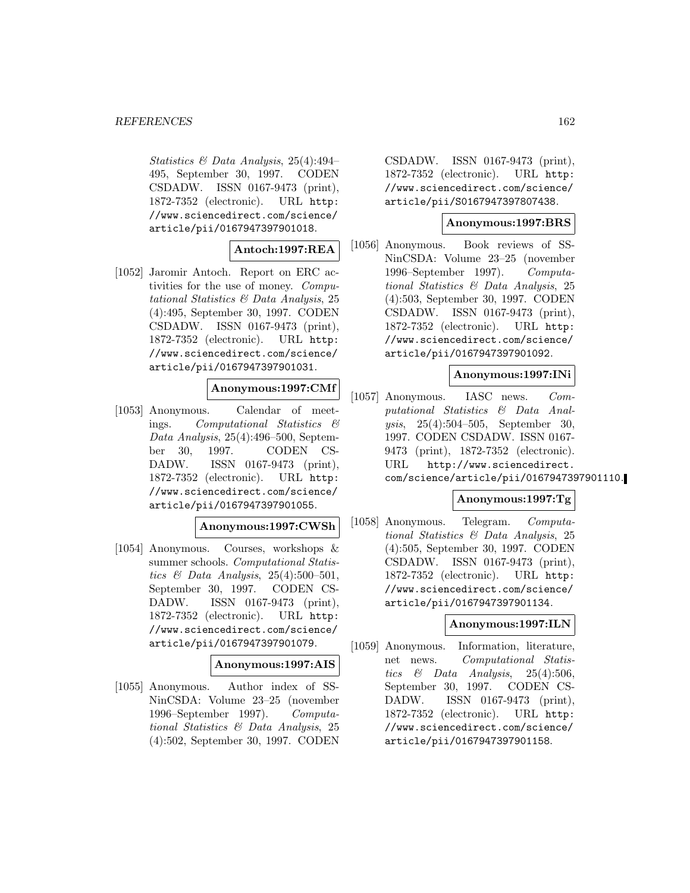Statistics & Data Analysis, 25(4):494– 495, September 30, 1997. CODEN CSDADW. ISSN 0167-9473 (print), 1872-7352 (electronic). URL http: //www.sciencedirect.com/science/ article/pii/0167947397901018.

# **Antoch:1997:REA**

[1052] Jaromir Antoch. Report on ERC activities for the use of money. Computational Statistics & Data Analysis, 25 (4):495, September 30, 1997. CODEN CSDADW. ISSN 0167-9473 (print), 1872-7352 (electronic). URL http: //www.sciencedirect.com/science/ article/pii/0167947397901031.

#### **Anonymous:1997:CMf**

[1053] Anonymous. Calendar of meetings. Computational Statistics & Data Analysis, 25(4):496–500, September 30, 1997. CODEN CS-DADW. ISSN 0167-9473 (print), 1872-7352 (electronic). URL http: //www.sciencedirect.com/science/ article/pii/0167947397901055.

## **Anonymous:1997:CWSh**

[1054] Anonymous. Courses, workshops & summer schools. Computational Statistics & Data Analysis, 25(4):500–501, September 30, 1997. CODEN CS-DADW. ISSN 0167-9473 (print), 1872-7352 (electronic). URL http: //www.sciencedirect.com/science/ article/pii/0167947397901079.

# **Anonymous:1997:AIS**

[1055] Anonymous. Author index of SS-NinCSDA: Volume 23–25 (november 1996–September 1997). Computational Statistics & Data Analysis, 25 (4):502, September 30, 1997. CODEN

CSDADW. ISSN 0167-9473 (print), 1872-7352 (electronic). URL http: //www.sciencedirect.com/science/ article/pii/S0167947397807438.

## **Anonymous:1997:BRS**

[1056] Anonymous. Book reviews of SS-NinCSDA: Volume 23–25 (november 1996–September 1997). Computational Statistics & Data Analysis, 25 (4):503, September 30, 1997. CODEN CSDADW. ISSN 0167-9473 (print), 1872-7352 (electronic). URL http: //www.sciencedirect.com/science/ article/pii/0167947397901092.

#### **Anonymous:1997:INi**

[1057] Anonymous. IASC news. Computational Statistics & Data Analysis, 25(4):504–505, September 30, 1997. CODEN CSDADW. ISSN 0167- 9473 (print), 1872-7352 (electronic). URL http://www.sciencedirect. com/science/article/pii/0167947397901110.

#### **Anonymous:1997:Tg**

[1058] Anonymous. Telegram. Computational Statistics & Data Analysis, 25 (4):505, September 30, 1997. CODEN CSDADW. ISSN 0167-9473 (print), 1872-7352 (electronic). URL http: //www.sciencedirect.com/science/ article/pii/0167947397901134.

#### **Anonymous:1997:ILN**

[1059] Anonymous. Information, literature, net news. Computational Statistics  $\&$  Data Analysis, 25(4):506, September 30, 1997. CODEN CS-DADW. ISSN 0167-9473 (print), 1872-7352 (electronic). URL http: //www.sciencedirect.com/science/ article/pii/0167947397901158.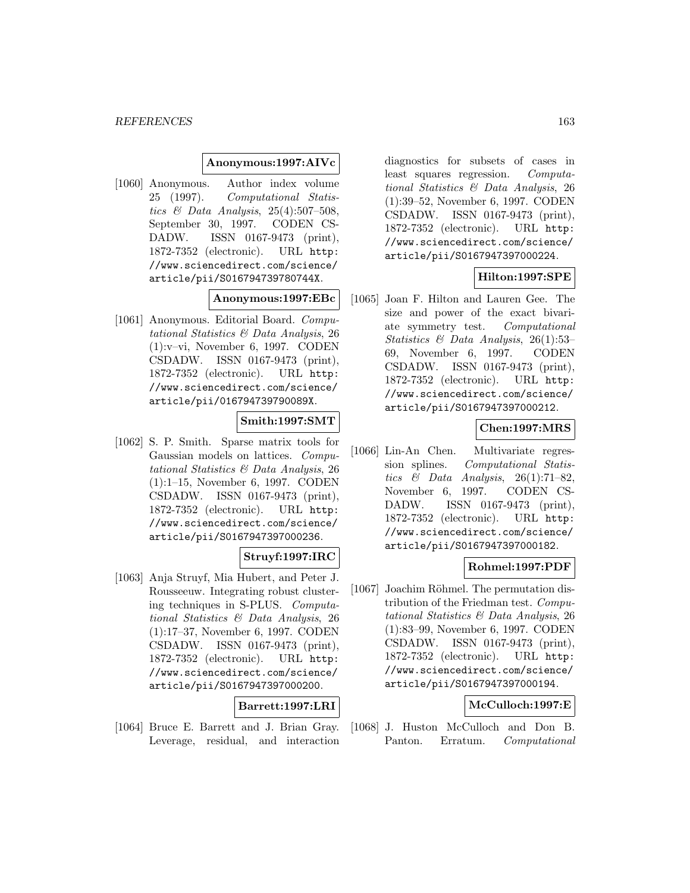## **Anonymous:1997:AIVc**

[1060] Anonymous. Author index volume 25 (1997). Computational Statistics & Data Analysis,  $25(4):507-508$ , September 30, 1997. CODEN CS-DADW. ISSN 0167-9473 (print), 1872-7352 (electronic). URL http: //www.sciencedirect.com/science/ article/pii/S016794739780744X.

#### **Anonymous:1997:EBc**

[1061] Anonymous. Editorial Board. Computational Statistics & Data Analysis, 26 (1):v–vi, November 6, 1997. CODEN CSDADW. ISSN 0167-9473 (print), 1872-7352 (electronic). URL http: //www.sciencedirect.com/science/ article/pii/016794739790089X.

# **Smith:1997:SMT**

[1062] S. P. Smith. Sparse matrix tools for Gaussian models on lattices. Computational Statistics & Data Analysis, 26 (1):1–15, November 6, 1997. CODEN CSDADW. ISSN 0167-9473 (print), 1872-7352 (electronic). URL http: //www.sciencedirect.com/science/ article/pii/S0167947397000236.

# **Struyf:1997:IRC**

[1063] Anja Struyf, Mia Hubert, and Peter J. Rousseeuw. Integrating robust clustering techniques in S-PLUS. Computational Statistics & Data Analysis, 26 (1):17–37, November 6, 1997. CODEN CSDADW. ISSN 0167-9473 (print), 1872-7352 (electronic). URL http: //www.sciencedirect.com/science/ article/pii/S0167947397000200.

#### **Barrett:1997:LRI**

[1064] Bruce E. Barrett and J. Brian Gray. Leverage, residual, and interaction

diagnostics for subsets of cases in least squares regression. Computational Statistics & Data Analysis, 26 (1):39–52, November 6, 1997. CODEN CSDADW. ISSN 0167-9473 (print), 1872-7352 (electronic). URL http: //www.sciencedirect.com/science/ article/pii/S0167947397000224.

# **Hilton:1997:SPE**

[1065] Joan F. Hilton and Lauren Gee. The size and power of the exact bivariate symmetry test. Computational Statistics & Data Analysis, 26(1):53– 69, November 6, 1997. CODEN CSDADW. ISSN 0167-9473 (print), 1872-7352 (electronic). URL http: //www.sciencedirect.com/science/ article/pii/S0167947397000212.

# **Chen:1997:MRS**

[1066] Lin-An Chen. Multivariate regression splines. Computational Statistics & Data Analysis,  $26(1):71-82$ , November 6, 1997. CODEN CS-DADW. ISSN 0167-9473 (print), 1872-7352 (electronic). URL http: //www.sciencedirect.com/science/ article/pii/S0167947397000182.

## **Rohmel:1997:PDF**

[1067] Joachim Röhmel. The permutation distribution of the Friedman test. Computational Statistics & Data Analysis, 26 (1):83–99, November 6, 1997. CODEN CSDADW. ISSN 0167-9473 (print), 1872-7352 (electronic). URL http: //www.sciencedirect.com/science/ article/pii/S0167947397000194.

## **McCulloch:1997:E**

[1068] J. Huston McCulloch and Don B. Panton. Erratum. Computational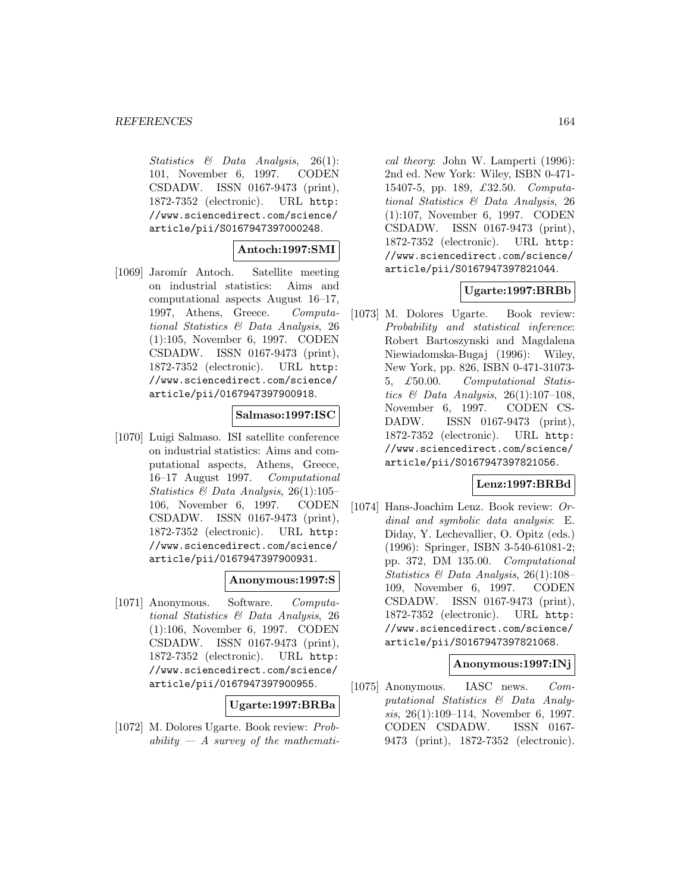Statistics & Data Analysis, 26(1): 101, November 6, 1997. CODEN CSDADW. ISSN 0167-9473 (print), 1872-7352 (electronic). URL http: //www.sciencedirect.com/science/ article/pii/S0167947397000248.

## **Antoch:1997:SMI**

[1069] Jaromír Antoch. Satellite meeting on industrial statistics: Aims and computational aspects August 16–17, 1997, Athens, Greece. Computational Statistics & Data Analysis, 26 (1):105, November 6, 1997. CODEN CSDADW. ISSN 0167-9473 (print), 1872-7352 (electronic). URL http: //www.sciencedirect.com/science/ article/pii/0167947397900918.

#### **Salmaso:1997:ISC**

[1070] Luigi Salmaso. ISI satellite conference on industrial statistics: Aims and computational aspects, Athens, Greece, 16–17 August 1997. Computational Statistics & Data Analysis, 26(1):105– 106, November 6, 1997. CODEN CSDADW. ISSN 0167-9473 (print), 1872-7352 (electronic). URL http: //www.sciencedirect.com/science/ article/pii/0167947397900931.

## **Anonymous:1997:S**

[1071] Anonymous. Software. Computational Statistics & Data Analysis, 26 (1):106, November 6, 1997. CODEN CSDADW. ISSN 0167-9473 (print), 1872-7352 (electronic). URL http: //www.sciencedirect.com/science/ article/pii/0167947397900955.

#### **Ugarte:1997:BRBa**

[1072] M. Dolores Ugarte. Book review: Probability  $-A$  survey of the mathemati-

cal theory: John W. Lamperti (1996): 2nd ed. New York: Wiley, ISBN 0-471- 15407-5, pp. 189, £32.50. Computational Statistics & Data Analysis, 26 (1):107, November 6, 1997. CODEN CSDADW. ISSN 0167-9473 (print), 1872-7352 (electronic). URL http: //www.sciencedirect.com/science/ article/pii/S0167947397821044.

## **Ugarte:1997:BRBb**

[1073] M. Dolores Ugarte. Book review: Probability and statistical inference: Robert Bartoszynski and Magdalena Niewiadomska-Bugaj (1996): Wiley, New York, pp. 826, ISBN 0-471-31073- 5, £50.00. Computational Statistics  $\mathcal{B}$  Data Analysis, 26(1):107-108, November 6, 1997. CODEN CS-DADW. ISSN 0167-9473 (print), 1872-7352 (electronic). URL http: //www.sciencedirect.com/science/ article/pii/S0167947397821056.

#### **Lenz:1997:BRBd**

[1074] Hans-Joachim Lenz. Book review: Ordinal and symbolic data analysis: E. Diday, Y. Lechevallier, O. Opitz (eds.) (1996): Springer, ISBN 3-540-61081-2; pp. 372, DM 135.00. Computational Statistics  $\mathcal B$  Data Analysis, 26(1):108– 109, November 6, 1997. CODEN CSDADW. ISSN 0167-9473 (print), 1872-7352 (electronic). URL http: //www.sciencedirect.com/science/ article/pii/S0167947397821068.

# **Anonymous:1997:INj**

[1075] Anonymous. IASC news. Computational Statistics & Data Analysis, 26(1):109–114, November 6, 1997. CODEN CSDADW. ISSN 0167- 9473 (print), 1872-7352 (electronic).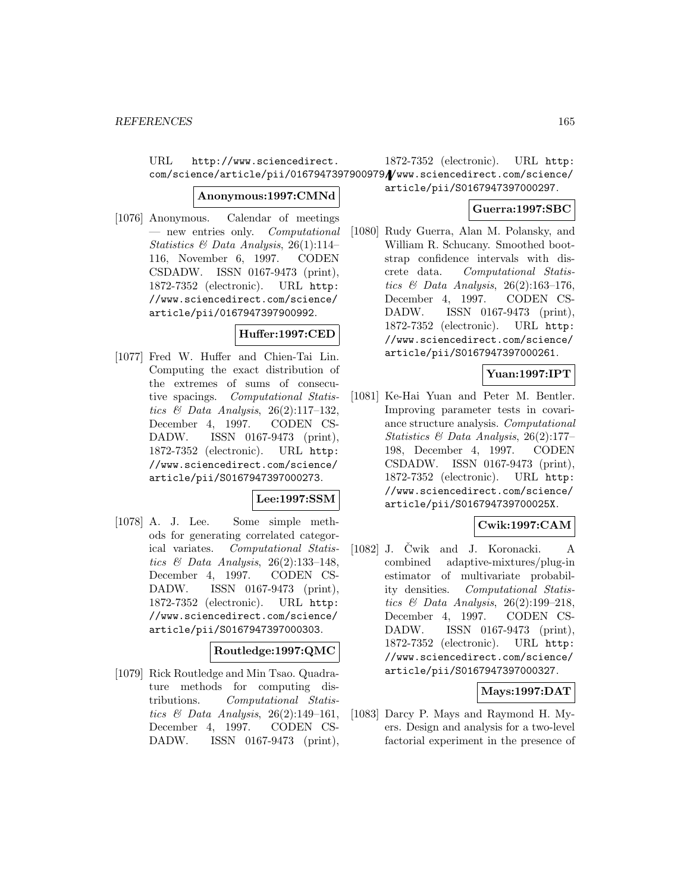URL http://www.sciencedirect. com/science/article/pii/0167947397900979//www.sciencedirect.com/science/

#### **Anonymous:1997:CMNd**

[1076] Anonymous. Calendar of meetings — new entries only. Computational Statistics  $\mathcal B$  Data Analysis, 26(1):114– 116, November 6, 1997. CODEN CSDADW. ISSN 0167-9473 (print), 1872-7352 (electronic). URL http: //www.sciencedirect.com/science/ article/pii/0167947397900992.

# **Huffer:1997:CED**

[1077] Fred W. Huffer and Chien-Tai Lin. Computing the exact distribution of the extremes of sums of consecutive spacings. Computational Statistics  $\mathcal C$  Data Analysis, 26(2):117-132, December 4, 1997. CODEN CS-DADW. ISSN 0167-9473 (print), 1872-7352 (electronic). URL http: //www.sciencedirect.com/science/ article/pii/S0167947397000273.

## **Lee:1997:SSM**

[1078] A. J. Lee. Some simple methods for generating correlated categorical variates. Computational Statistics & Data Analysis,  $26(2):133-148$ , December 4, 1997. CODEN CS-DADW. ISSN 0167-9473 (print), 1872-7352 (electronic). URL http: //www.sciencedirect.com/science/ article/pii/S0167947397000303.

# **Routledge:1997:QMC**

[1079] Rick Routledge and Min Tsao. Quadrature methods for computing distributions. Computational Statistics  $\mathcal C$  Data Analysis, 26(2):149-161, December 4, 1997. CODEN CS-DADW. ISSN 0167-9473 (print),

1872-7352 (electronic). URL http:

article/pii/S0167947397000297.

# **Guerra:1997:SBC**

[1080] Rudy Guerra, Alan M. Polansky, and William R. Schucany. Smoothed bootstrap confidence intervals with discrete data. Computational Statistics  $\mathcal B$  Data Analysis, 26(2):163-176, December 4, 1997. CODEN CS-DADW. ISSN 0167-9473 (print), 1872-7352 (electronic). URL http: //www.sciencedirect.com/science/ article/pii/S0167947397000261.

# **Yuan:1997:IPT**

[1081] Ke-Hai Yuan and Peter M. Bentler. Improving parameter tests in covariance structure analysis. Computational Statistics & Data Analysis, 26(2):177– 198, December 4, 1997. CODEN CSDADW. ISSN 0167-9473 (print), 1872-7352 (electronic). URL http: //www.sciencedirect.com/science/ article/pii/S016794739700025X.

## **Cwik:1997:CAM**

 $[1082]$  J. Čwik and J. Koronacki. A combined adaptive-mixtures/plug-in estimator of multivariate probability densities. Computational Statistics  $\mathcal{B}$  Data Analysis, 26(2):199-218, December 4, 1997. CODEN CS-DADW. ISSN 0167-9473 (print), 1872-7352 (electronic). URL http: //www.sciencedirect.com/science/ article/pii/S0167947397000327.

# **Mays:1997:DAT**

[1083] Darcy P. Mays and Raymond H. Myers. Design and analysis for a two-level factorial experiment in the presence of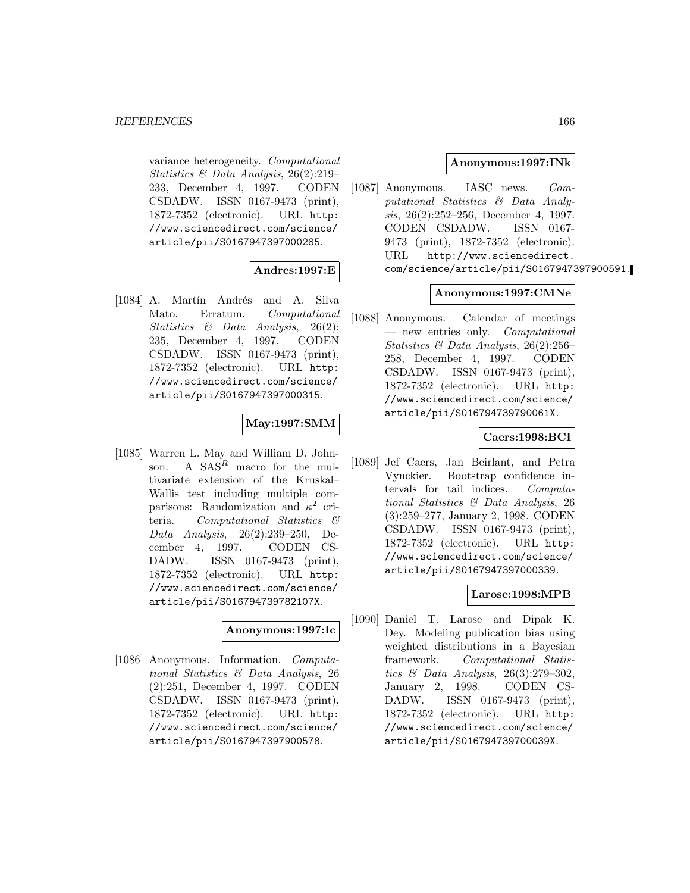variance heterogeneity. Computational Statistics & Data Analysis, 26(2):219– 233, December 4, 1997. CODEN CSDADW. ISSN 0167-9473 (print), 1872-7352 (electronic). URL http: //www.sciencedirect.com/science/ article/pii/S0167947397000285.

# **Andres:1997:E**

[1084] A. Martín Andrés and A. Silva Mato. Erratum. Computational Statistics & Data Analysis, 26(2): 235, December 4, 1997. CODEN CSDADW. ISSN 0167-9473 (print), 1872-7352 (electronic). URL http: //www.sciencedirect.com/science/ article/pii/S0167947397000315.

# **May:1997:SMM**

[1085] Warren L. May and William D. Johnson. A  $SAS^R$  macro for the multivariate extension of the Kruskal– Wallis test including multiple comparisons: Randomization and  $\kappa^2$  criteria. Computational Statistics & Data Analysis, 26(2):239–250, December 4, 1997. CODEN CS-DADW. ISSN 0167-9473 (print), 1872-7352 (electronic). URL http: //www.sciencedirect.com/science/ article/pii/S016794739782107X.

#### **Anonymous:1997:Ic**

[1086] Anonymous. Information. Computational Statistics & Data Analysis, 26 (2):251, December 4, 1997. CODEN CSDADW. ISSN 0167-9473 (print), 1872-7352 (electronic). URL http: //www.sciencedirect.com/science/ article/pii/S0167947397900578.

## **Anonymous:1997:INk**

[1087] Anonymous. IASC news. Computational Statistics & Data Analysis, 26(2):252–256, December 4, 1997. CODEN CSDADW. ISSN 0167- 9473 (print), 1872-7352 (electronic). URL http://www.sciencedirect. com/science/article/pii/S0167947397900591.

## **Anonymous:1997:CMNe**

[1088] Anonymous. Calendar of meetings — new entries only. Computational Statistics & Data Analysis, 26(2):256– 258, December 4, 1997. CODEN CSDADW. ISSN 0167-9473 (print), 1872-7352 (electronic). URL http: //www.sciencedirect.com/science/ article/pii/S016794739790061X.

#### **Caers:1998:BCI**

[1089] Jef Caers, Jan Beirlant, and Petra Vynckier. Bootstrap confidence intervals for tail indices. Computational Statistics & Data Analysis, 26 (3):259–277, January 2, 1998. CODEN CSDADW. ISSN 0167-9473 (print), 1872-7352 (electronic). URL http: //www.sciencedirect.com/science/ article/pii/S0167947397000339.

# **Larose:1998:MPB**

[1090] Daniel T. Larose and Dipak K. Dey. Modeling publication bias using weighted distributions in a Bayesian framework. Computational Statistics & Data Analysis, 26(3):279–302, January 2, 1998. CODEN CS-DADW. ISSN 0167-9473 (print), 1872-7352 (electronic). URL http: //www.sciencedirect.com/science/ article/pii/S016794739700039X.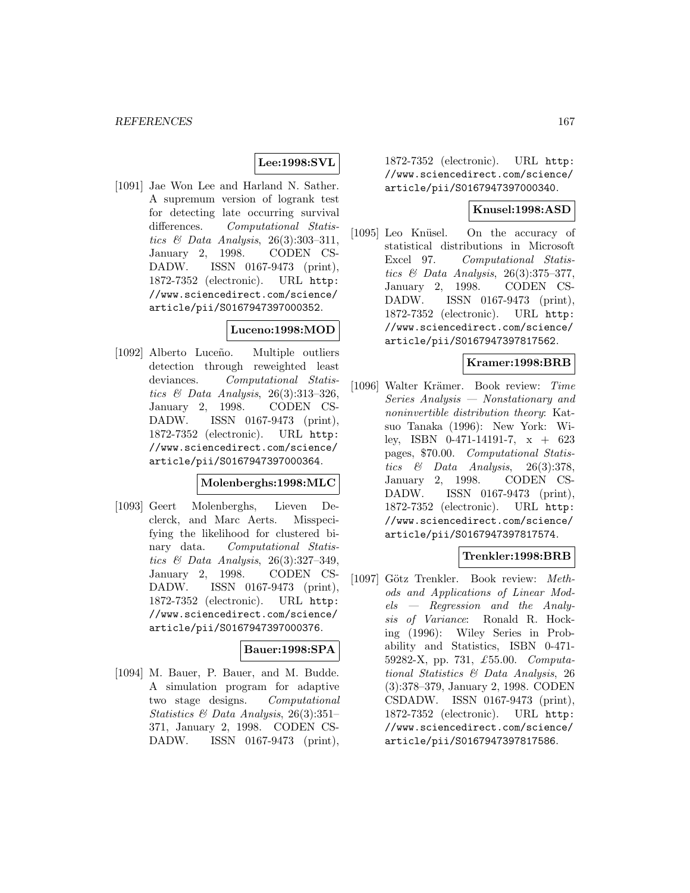# **Lee:1998:SVL**

[1091] Jae Won Lee and Harland N. Sather. A supremum version of logrank test for detecting late occurring survival differences. Computational Statistics & Data Analysis, 26(3):303–311, January 2, 1998. CODEN CS-DADW. ISSN 0167-9473 (print), 1872-7352 (electronic). URL http: //www.sciencedirect.com/science/ article/pii/S0167947397000352.

#### **Luceno:1998:MOD**

[1092] Alberto Luceño. Multiple outliers detection through reweighted least deviances. Computational Statistics  $\mathcal C$  Data Analysis, 26(3):313-326, January 2, 1998. CODEN CS-DADW. ISSN 0167-9473 (print), 1872-7352 (electronic). URL http: //www.sciencedirect.com/science/ article/pii/S0167947397000364.

# **Molenberghs:1998:MLC**

[1093] Geert Molenberghs, Lieven Declerck, and Marc Aerts. Misspecifying the likelihood for clustered binary data. Computational Statistics & Data Analysis, 26(3):327–349, January 2, 1998. CODEN CS-DADW. ISSN 0167-9473 (print), 1872-7352 (electronic). URL http: //www.sciencedirect.com/science/ article/pii/S0167947397000376.

# **Bauer:1998:SPA**

[1094] M. Bauer, P. Bauer, and M. Budde. A simulation program for adaptive two stage designs. Computational Statistics & Data Analysis, 26(3):351– 371, January 2, 1998. CODEN CS-DADW. ISSN 0167-9473 (print),

1872-7352 (electronic). URL http: //www.sciencedirect.com/science/ article/pii/S0167947397000340.

## **Knusel:1998:ASD**

[1095] Leo Knüsel. On the accuracy of statistical distributions in Microsoft Excel 97. Computational Statistics  $\mathcal C$  Data Analysis, 26(3):375-377, January 2, 1998. CODEN CS-DADW. ISSN 0167-9473 (print), 1872-7352 (electronic). URL http: //www.sciencedirect.com/science/ article/pii/S0167947397817562.

#### **Kramer:1998:BRB**

[1096] Walter Krämer. Book review: Time Series Analysis — Nonstationary and noninvertible distribution theory: Katsuo Tanaka (1996): New York: Wiley, ISBN 0-471-14191-7, x + 623 pages, \$70.00. Computational Statistics  $\&$  Data Analysis, 26(3):378, January 2, 1998. CODEN CS-DADW. ISSN 0167-9473 (print), 1872-7352 (electronic). URL http: //www.sciencedirect.com/science/ article/pii/S0167947397817574.

#### **Trenkler:1998:BRB**

[1097] Götz Trenkler. Book review: Methods and Applications of Linear Models — Regression and the Analysis of Variance: Ronald R. Hocking (1996): Wiley Series in Probability and Statistics, ISBN 0-471- 59282-X, pp. 731, £55.00. Computational Statistics & Data Analysis, 26 (3):378–379, January 2, 1998. CODEN CSDADW. ISSN 0167-9473 (print), 1872-7352 (electronic). URL http: //www.sciencedirect.com/science/ article/pii/S0167947397817586.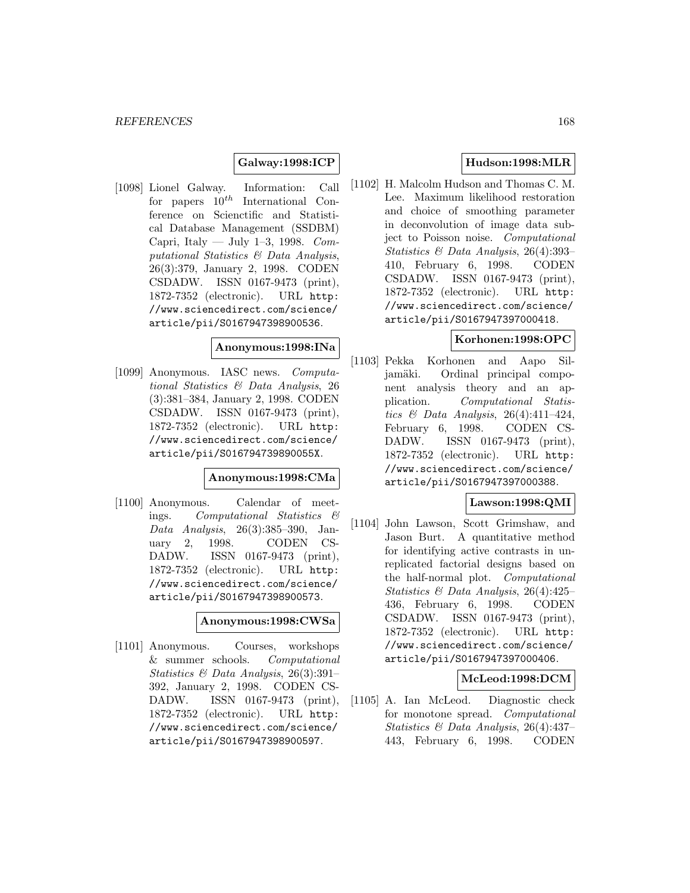# **Galway:1998:ICP**

[1098] Lionel Galway. Information: Call for papers  $10^{th}$  International Conference on Scienctific and Statistical Database Management (SSDBM) Capri, Italy — July 1-3, 1998.  $Com$ putational Statistics & Data Analysis, 26(3):379, January 2, 1998. CODEN CSDADW. ISSN 0167-9473 (print), 1872-7352 (electronic). URL http: //www.sciencedirect.com/science/ article/pii/S0167947398900536.

#### **Anonymous:1998:INa**

[1099] Anonymous. IASC news. Computational Statistics & Data Analysis, 26 (3):381–384, January 2, 1998. CODEN CSDADW. ISSN 0167-9473 (print), 1872-7352 (electronic). URL http: //www.sciencedirect.com/science/ article/pii/S016794739890055X.

## **Anonymous:1998:CMa**

[1100] Anonymous. Calendar of meetings. Computational Statistics & Data Analysis, 26(3):385–390, January 2, 1998. CODEN CS-DADW. ISSN 0167-9473 (print), 1872-7352 (electronic). URL http: //www.sciencedirect.com/science/ article/pii/S0167947398900573.

#### **Anonymous:1998:CWSa**

[1101] Anonymous. Courses, workshops & summer schools. Computational Statistics & Data Analysis, 26(3):391– 392, January 2, 1998. CODEN CS-DADW. ISSN 0167-9473 (print), 1872-7352 (electronic). URL http: //www.sciencedirect.com/science/ article/pii/S0167947398900597.

# **Hudson:1998:MLR**

[1102] H. Malcolm Hudson and Thomas C. M. Lee. Maximum likelihood restoration and choice of smoothing parameter in deconvolution of image data subject to Poisson noise. Computational Statistics & Data Analysis, 26(4):393– 410, February 6, 1998. CODEN CSDADW. ISSN 0167-9473 (print), 1872-7352 (electronic). URL http: //www.sciencedirect.com/science/ article/pii/S0167947397000418.

### **Korhonen:1998:OPC**

[1103] Pekka Korhonen and Aapo Siljamäki. Ordinal principal component analysis theory and an application. Computational Statistics & Data Analysis, 26(4):411–424, February 6, 1998. CODEN CS-DADW. ISSN 0167-9473 (print), 1872-7352 (electronic). URL http: //www.sciencedirect.com/science/ article/pii/S0167947397000388.

## **Lawson:1998:QMI**

[1104] John Lawson, Scott Grimshaw, and Jason Burt. A quantitative method for identifying active contrasts in unreplicated factorial designs based on the half-normal plot. Computational Statistics & Data Analysis, 26(4):425– 436, February 6, 1998. CODEN CSDADW. ISSN 0167-9473 (print), 1872-7352 (electronic). URL http: //www.sciencedirect.com/science/ article/pii/S0167947397000406.

#### **McLeod:1998:DCM**

[1105] A. Ian McLeod. Diagnostic check for monotone spread. Computational Statistics & Data Analysis, 26(4):437– 443, February 6, 1998. CODEN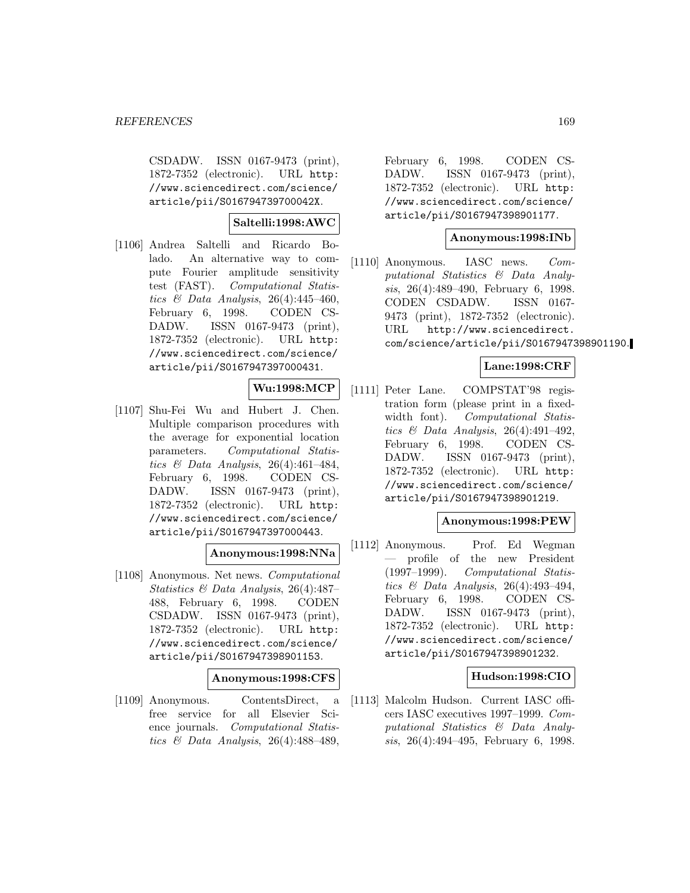CSDADW. ISSN 0167-9473 (print), 1872-7352 (electronic). URL http: //www.sciencedirect.com/science/ article/pii/S016794739700042X.

## **Saltelli:1998:AWC**

[1106] Andrea Saltelli and Ricardo Bolado. An alternative way to compute Fourier amplitude sensitivity test (FAST). Computational Statistics  $\mathcal C$  Data Analysis, 26(4):445-460, February 6, 1998. CODEN CS-DADW. ISSN 0167-9473 (print), 1872-7352 (electronic). URL http: //www.sciencedirect.com/science/ article/pii/S0167947397000431.

# **Wu:1998:MCP**

[1107] Shu-Fei Wu and Hubert J. Chen. Multiple comparison procedures with the average for exponential location parameters. Computational Statistics & Data Analysis, 26(4):461–484, February 6, 1998. CODEN CS-DADW. ISSN 0167-9473 (print), 1872-7352 (electronic). URL http: //www.sciencedirect.com/science/ article/pii/S0167947397000443.

## **Anonymous:1998:NNa**

[1108] Anonymous. Net news. Computational Statistics & Data Analysis, 26(4):487– 488, February 6, 1998. CODEN CSDADW. ISSN 0167-9473 (print), 1872-7352 (electronic). URL http: //www.sciencedirect.com/science/ article/pii/S0167947398901153.

**Anonymous:1998:CFS**

[1109] Anonymous. ContentsDirect, a free service for all Elsevier Science journals. Computational Statistics & Data Analysis, 26(4):488–489,

February 6, 1998. CODEN CS-DADW. ISSN 0167-9473 (print), 1872-7352 (electronic). URL http: //www.sciencedirect.com/science/ article/pii/S0167947398901177.

#### **Anonymous:1998:INb**

[1110] Anonymous. IASC news. Computational Statistics & Data Analysis, 26(4):489–490, February 6, 1998. CODEN CSDADW. ISSN 0167- 9473 (print), 1872-7352 (electronic). URL http://www.sciencedirect. com/science/article/pii/S0167947398901190.

# **Lane:1998:CRF**

[1111] Peter Lane. COMPSTAT'98 registration form (please print in a fixedwidth font). Computational Statistics & Data Analysis, 26(4):491-492, February 6, 1998. CODEN CS-DADW. ISSN 0167-9473 (print), 1872-7352 (electronic). URL http: //www.sciencedirect.com/science/ article/pii/S0167947398901219.

#### **Anonymous:1998:PEW**

[1112] Anonymous. Prof. Ed Wegman — profile of the new President (1997–1999). Computational Statistics  $\mathcal C$  Data Analysis, 26(4):493-494, February 6, 1998. CODEN CS-DADW. ISSN 0167-9473 (print), 1872-7352 (electronic). URL http: //www.sciencedirect.com/science/ article/pii/S0167947398901232.

## **Hudson:1998:CIO**

[1113] Malcolm Hudson. Current IASC officers IASC executives 1997–1999. Computational Statistics & Data Analysis, 26(4):494–495, February 6, 1998.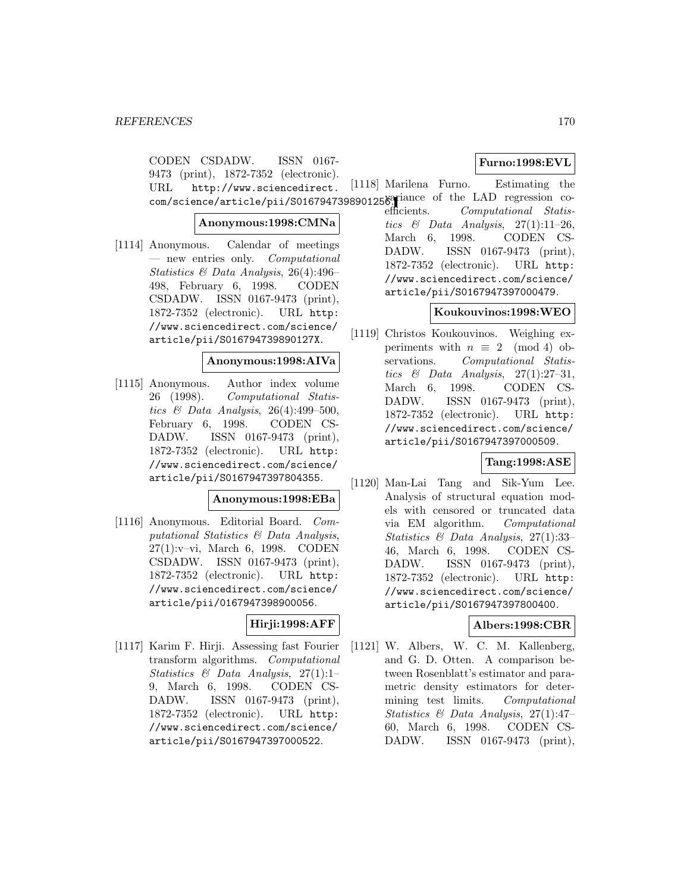CODEN CSDADW. ISSN 0167- 9473 (print), 1872-7352 (electronic). URL http://www.sciencedirect. com/science/article/pii/S0167947398901258. Tiance of the LAD regression co-

**Anonymous:1998:CMNa**

[1114] Anonymous. Calendar of meetings — new entries only. Computational Statistics & Data Analysis, 26(4):496– 498, February 6, 1998. CODEN CSDADW. ISSN 0167-9473 (print), 1872-7352 (electronic). URL http: //www.sciencedirect.com/science/ article/pii/S016794739890127X.

#### **Anonymous:1998:AIVa**

[1115] Anonymous. Author index volume 26 (1998). Computational Statistics & Data Analysis, 26(4):499-500, February 6, 1998. CODEN CS-DADW. ISSN 0167-9473 (print), 1872-7352 (electronic). URL http: //www.sciencedirect.com/science/ article/pii/S0167947397804355.

#### **Anonymous:1998:EBa**

[1116] Anonymous. Editorial Board. Computational Statistics & Data Analysis, 27(1):v–vi, March 6, 1998. CODEN CSDADW. ISSN 0167-9473 (print), 1872-7352 (electronic). URL http: //www.sciencedirect.com/science/ article/pii/0167947398900056.

# **Hirji:1998:AFF**

[1117] Karim F. Hirji. Assessing fast Fourier transform algorithms. Computational Statistics  $\mathcal{B}$  Data Analysis, 27(1):1-9, March 6, 1998. CODEN CS-DADW. ISSN 0167-9473 (print), 1872-7352 (electronic). URL http: //www.sciencedirect.com/science/ article/pii/S0167947397000522.

# **Furno:1998:EVL**

# [1118] Marilena Furno. Estimating the

efficients. Computational Statistics & Data Analysis,  $27(1):11-26$ , March 6, 1998. CODEN CS-DADW. ISSN 0167-9473 (print), 1872-7352 (electronic). URL http: //www.sciencedirect.com/science/ article/pii/S0167947397000479.

# **Koukouvinos:1998:WEO**

[1119] Christos Koukouvinos. Weighing experiments with  $n \equiv 2 \pmod{4}$  observations. Computational Statis-Computational Statistics  $\&$  Data Analysis, 27(1):27-31, March 6, 1998. CODEN CS-DADW. ISSN 0167-9473 (print), 1872-7352 (electronic). URL http: //www.sciencedirect.com/science/ article/pii/S0167947397000509.

# **Tang:1998:ASE**

[1120] Man-Lai Tang and Sik-Yum Lee. Analysis of structural equation models with censored or truncated data via EM algorithm. Computational Statistics & Data Analysis, 27(1):33– 46, March 6, 1998. CODEN CS-DADW. ISSN 0167-9473 (print), 1872-7352 (electronic). URL http: //www.sciencedirect.com/science/ article/pii/S0167947397800400.

# **Albers:1998:CBR**

[1121] W. Albers, W. C. M. Kallenberg, and G. D. Otten. A comparison between Rosenblatt's estimator and parametric density estimators for determining test limits. Computational Statistics & Data Analysis, 27(1):47– 60, March 6, 1998. CODEN CS-DADW. ISSN 0167-9473 (print),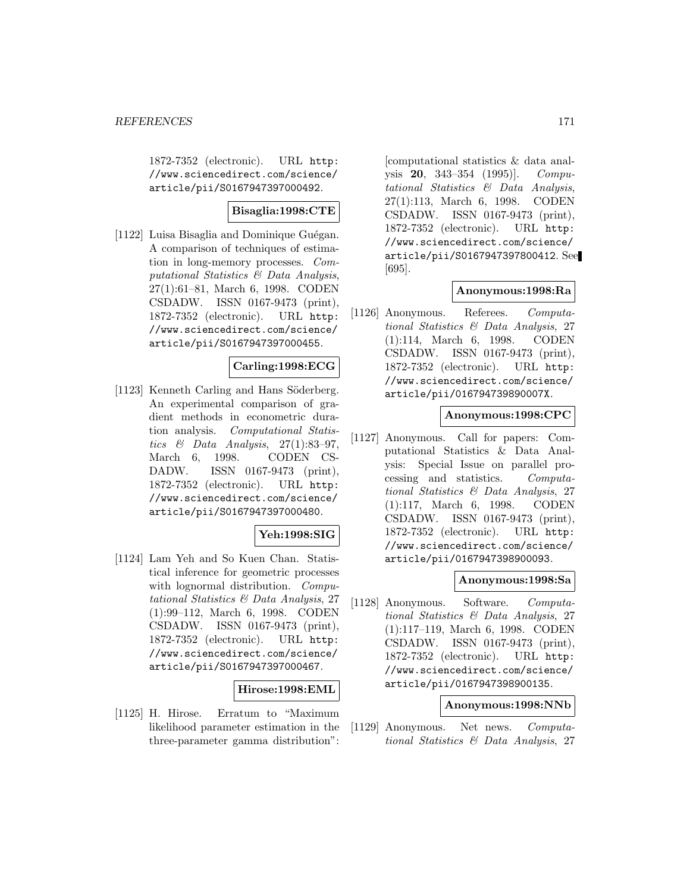1872-7352 (electronic). URL http: //www.sciencedirect.com/science/ article/pii/S0167947397000492.

## **Bisaglia:1998:CTE**

[1122] Luisa Bisaglia and Dominique Guégan. A comparison of techniques of estimation in long-memory processes. Computational Statistics & Data Analysis, 27(1):61–81, March 6, 1998. CODEN CSDADW. ISSN 0167-9473 (print), 1872-7352 (electronic). URL http: //www.sciencedirect.com/science/ article/pii/S0167947397000455.

## **Carling:1998:ECG**

[1123] Kenneth Carling and Hans Söderberg. An experimental comparison of gradient methods in econometric duration analysis. Computational Statistics & Data Analysis,  $27(1):83-97$ , March 6, 1998. CODEN CS-DADW. ISSN 0167-9473 (print), 1872-7352 (electronic). URL http: //www.sciencedirect.com/science/ article/pii/S0167947397000480.

## **Yeh:1998:SIG**

[1124] Lam Yeh and So Kuen Chan. Statistical inference for geometric processes with lognormal distribution. Computational Statistics & Data Analysis, 27 (1):99–112, March 6, 1998. CODEN CSDADW. ISSN 0167-9473 (print), 1872-7352 (electronic). URL http: //www.sciencedirect.com/science/ article/pii/S0167947397000467.

#### **Hirose:1998:EML**

[1125] H. Hirose. Erratum to "Maximum likelihood parameter estimation in the three-parameter gamma distribution":

[computational statistics & data analysis **20**, 343–354 (1995)]. Computational Statistics & Data Analysis, 27(1):113, March 6, 1998. CODEN CSDADW. ISSN 0167-9473 (print), 1872-7352 (electronic). URL http: //www.sciencedirect.com/science/ article/pii/S0167947397800412. See [695].

#### **Anonymous:1998:Ra**

[1126] Anonymous. Referees. Computational Statistics & Data Analysis, 27 (1):114, March 6, 1998. CODEN CSDADW. ISSN 0167-9473 (print), 1872-7352 (electronic). URL http: //www.sciencedirect.com/science/ article/pii/016794739890007X.

#### **Anonymous:1998:CPC**

[1127] Anonymous. Call for papers: Computational Statistics & Data Analysis: Special Issue on parallel processing and statistics. Computational Statistics & Data Analysis, 27 (1):117, March 6, 1998. CODEN CSDADW. ISSN 0167-9473 (print), 1872-7352 (electronic). URL http: //www.sciencedirect.com/science/ article/pii/0167947398900093.

#### **Anonymous:1998:Sa**

[1128] Anonymous. Software. Computational Statistics & Data Analysis, 27 (1):117–119, March 6, 1998. CODEN CSDADW. ISSN 0167-9473 (print), 1872-7352 (electronic). URL http: //www.sciencedirect.com/science/ article/pii/0167947398900135.

#### **Anonymous:1998:NNb**

[1129] Anonymous. Net news. Computational Statistics & Data Analysis, 27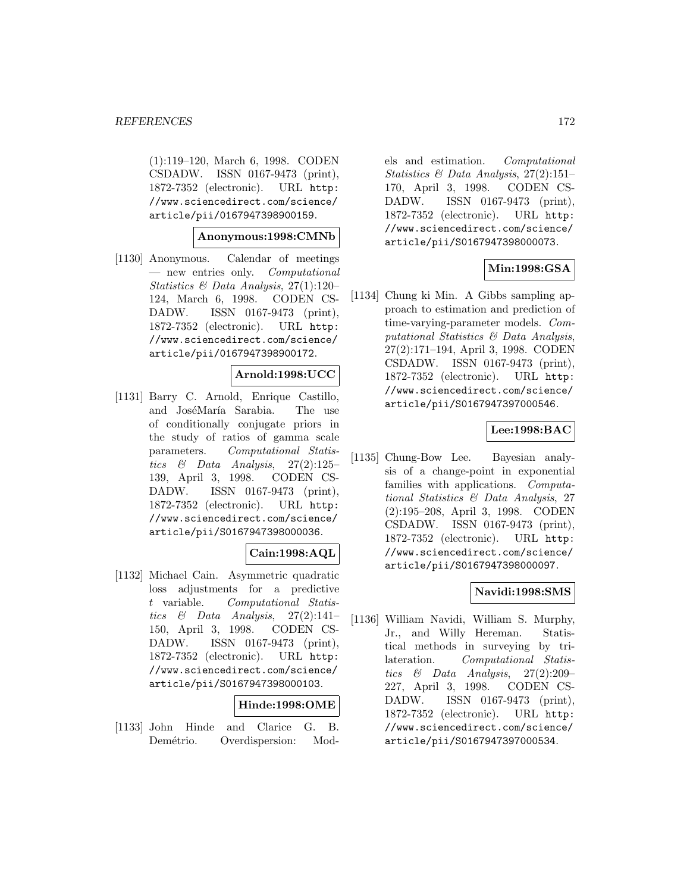(1):119–120, March 6, 1998. CODEN CSDADW. ISSN 0167-9473 (print), 1872-7352 (electronic). URL http: //www.sciencedirect.com/science/ article/pii/0167947398900159.

#### **Anonymous:1998:CMNb**

[1130] Anonymous. Calendar of meetings — new entries only. Computational Statistics & Data Analysis, 27(1):120– 124, March 6, 1998. CODEN CS-DADW. ISSN 0167-9473 (print), 1872-7352 (electronic). URL http: //www.sciencedirect.com/science/ article/pii/0167947398900172.

#### **Arnold:1998:UCC**

[1131] Barry C. Arnold, Enrique Castillo, and JoséMaría Sarabia. The use of conditionally conjugate priors in the study of ratios of gamma scale parameters. Computational Statistics & Data Analysis, 27(2):125– 139, April 3, 1998. CODEN CS-DADW. ISSN 0167-9473 (print), 1872-7352 (electronic). URL http: //www.sciencedirect.com/science/ article/pii/S0167947398000036.

## **Cain:1998:AQL**

[1132] Michael Cain. Asymmetric quadratic loss adjustments for a predictive t variable. Computational Statistics & Data Analysis,  $27(2):141-$ 150, April 3, 1998. CODEN CS-DADW. ISSN 0167-9473 (print), 1872-7352 (electronic). URL http: //www.sciencedirect.com/science/ article/pii/S0167947398000103.

#### **Hinde:1998:OME**

[1133] John Hinde and Clarice G. B. Demétrio. Overdispersion: Mod-

els and estimation. Computational Statistics & Data Analysis, 27(2):151– 170, April 3, 1998. CODEN CS-DADW. ISSN 0167-9473 (print), 1872-7352 (electronic). URL http: //www.sciencedirect.com/science/ article/pii/S0167947398000073.

## **Min:1998:GSA**

[1134] Chung ki Min. A Gibbs sampling approach to estimation and prediction of time-varying-parameter models. Computational Statistics & Data Analysis, 27(2):171–194, April 3, 1998. CODEN CSDADW. ISSN 0167-9473 (print), 1872-7352 (electronic). URL http: //www.sciencedirect.com/science/ article/pii/S0167947397000546.

# **Lee:1998:BAC**

[1135] Chung-Bow Lee. Bayesian analysis of a change-point in exponential families with applications. Computational Statistics & Data Analysis, 27 (2):195–208, April 3, 1998. CODEN CSDADW. ISSN 0167-9473 (print), 1872-7352 (electronic). URL http: //www.sciencedirect.com/science/ article/pii/S0167947398000097.

#### **Navidi:1998:SMS**

[1136] William Navidi, William S. Murphy, Jr., and Willy Hereman. Statistical methods in surveying by trilateration. Computational Statistics & Data Analysis, 27(2):209– 227, April 3, 1998. CODEN CS-DADW. ISSN 0167-9473 (print), 1872-7352 (electronic). URL http: //www.sciencedirect.com/science/ article/pii/S0167947397000534.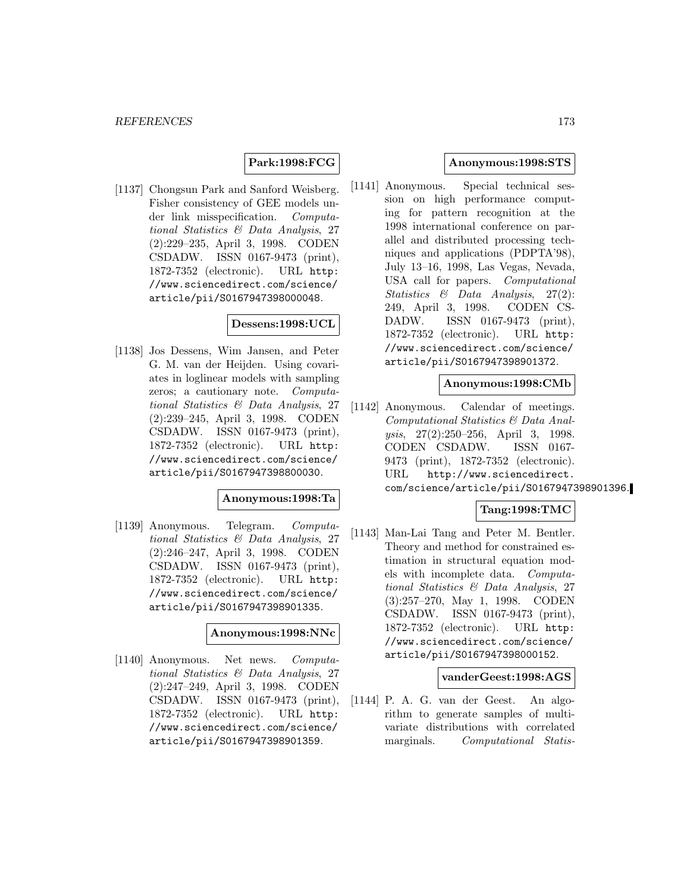# **Park:1998:FCG**

[1137] Chongsun Park and Sanford Weisberg. Fisher consistency of GEE models under link misspecification. Computational Statistics & Data Analysis, 27 (2):229–235, April 3, 1998. CODEN CSDADW. ISSN 0167-9473 (print), 1872-7352 (electronic). URL http: //www.sciencedirect.com/science/ article/pii/S0167947398000048.

#### **Dessens:1998:UCL**

[1138] Jos Dessens, Wim Jansen, and Peter G. M. van der Heijden. Using covariates in loglinear models with sampling zeros; a cautionary note. Computational Statistics & Data Analysis, 27 (2):239–245, April 3, 1998. CODEN CSDADW. ISSN 0167-9473 (print), 1872-7352 (electronic). URL http: //www.sciencedirect.com/science/ article/pii/S0167947398800030.

#### **Anonymous:1998:Ta**

[1139] Anonymous. Telegram. Computational Statistics & Data Analysis, 27 (2):246–247, April 3, 1998. CODEN CSDADW. ISSN 0167-9473 (print), 1872-7352 (electronic). URL http: //www.sciencedirect.com/science/ article/pii/S0167947398901335.

### **Anonymous:1998:NNc**

[1140] Anonymous. Net news. Computational Statistics & Data Analysis, 27 (2):247–249, April 3, 1998. CODEN CSDADW. ISSN 0167-9473 (print), 1872-7352 (electronic). URL http: //www.sciencedirect.com/science/ article/pii/S0167947398901359.

## **Anonymous:1998:STS**

[1141] Anonymous. Special technical session on high performance computing for pattern recognition at the 1998 international conference on parallel and distributed processing techniques and applications (PDPTA'98), July 13–16, 1998, Las Vegas, Nevada, USA call for papers. Computational Statistics & Data Analysis, 27(2): 249, April 3, 1998. CODEN CS-DADW. ISSN 0167-9473 (print), 1872-7352 (electronic). URL http: //www.sciencedirect.com/science/ article/pii/S0167947398901372.

#### **Anonymous:1998:CMb**

[1142] Anonymous. Calendar of meetings. Computational Statistics & Data Analysis, 27(2):250–256, April 3, 1998. CODEN CSDADW. ISSN 0167- 9473 (print), 1872-7352 (electronic). URL http://www.sciencedirect. com/science/article/pii/S0167947398901396.

## **Tang:1998:TMC**

[1143] Man-Lai Tang and Peter M. Bentler. Theory and method for constrained estimation in structural equation models with incomplete data. Computational Statistics & Data Analysis, 27 (3):257–270, May 1, 1998. CODEN CSDADW. ISSN 0167-9473 (print), 1872-7352 (electronic). URL http: //www.sciencedirect.com/science/ article/pii/S0167947398000152.

#### **vanderGeest:1998:AGS**

[1144] P. A. G. van der Geest. An algorithm to generate samples of multivariate distributions with correlated marginals. Computational Statis-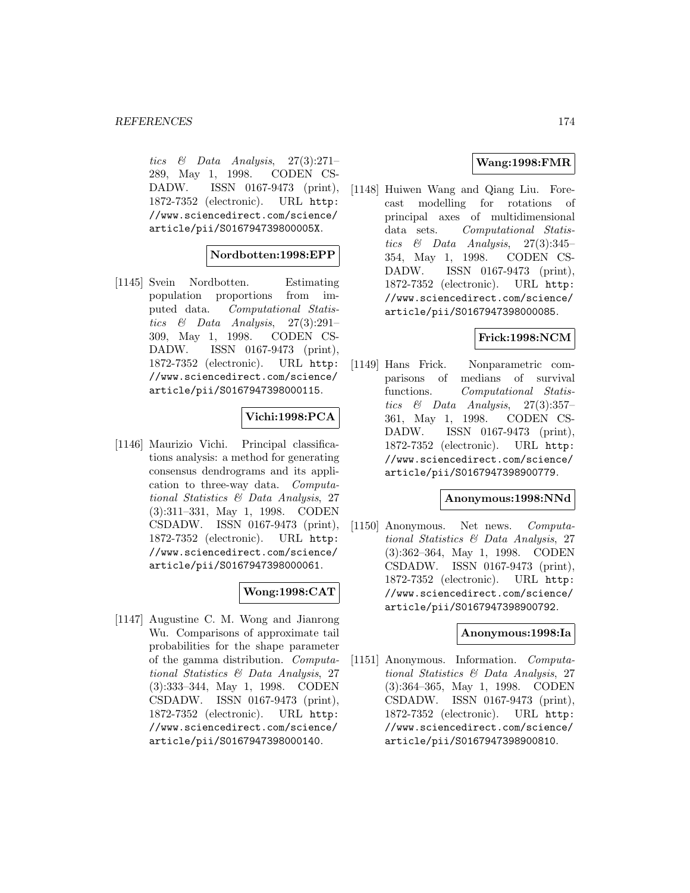tics  $\&$  Data Analysis, 27(3):271– 289, May 1, 1998. CODEN CS-DADW. ISSN 0167-9473 (print), 1872-7352 (electronic). URL http: //www.sciencedirect.com/science/ article/pii/S016794739800005X.

# **Nordbotten:1998:EPP**

[1145] Svein Nordbotten. Estimating population proportions from imputed data. Computational Statistics & Data Analysis,  $27(3):291-$ 309, May 1, 1998. CODEN CS-DADW. ISSN 0167-9473 (print), 1872-7352 (electronic). URL http: //www.sciencedirect.com/science/ article/pii/S0167947398000115.

# **Vichi:1998:PCA**

[1146] Maurizio Vichi. Principal classifications analysis: a method for generating consensus dendrograms and its application to three-way data. Computational Statistics & Data Analysis, 27 (3):311–331, May 1, 1998. CODEN CSDADW. ISSN 0167-9473 (print), 1872-7352 (electronic). URL http: //www.sciencedirect.com/science/ article/pii/S0167947398000061.

# **Wong:1998:CAT**

[1147] Augustine C. M. Wong and Jianrong Wu. Comparisons of approximate tail probabilities for the shape parameter of the gamma distribution. Computational Statistics & Data Analysis, 27 (3):333–344, May 1, 1998. CODEN CSDADW. ISSN 0167-9473 (print), 1872-7352 (electronic). URL http: //www.sciencedirect.com/science/ article/pii/S0167947398000140.

## **Wang:1998:FMR**

[1148] Huiwen Wang and Qiang Liu. Forecast modelling for rotations of principal axes of multidimensional data sets. Computational Statistics  $\&$  Data Analysis, 27(3):345– 354, May 1, 1998. CODEN CS-DADW. ISSN 0167-9473 (print), 1872-7352 (electronic). URL http: //www.sciencedirect.com/science/ article/pii/S0167947398000085.

## **Frick:1998:NCM**

[1149] Hans Frick. Nonparametric comparisons of medians of survival functions. Computational Statistics  $\&$  Data Analysis, 27(3):357– 361, May 1, 1998. CODEN CS-DADW. ISSN 0167-9473 (print), 1872-7352 (electronic). URL http: //www.sciencedirect.com/science/ article/pii/S0167947398900779.

#### **Anonymous:1998:NNd**

[1150] Anonymous. Net news. Computational Statistics & Data Analysis, 27 (3):362–364, May 1, 1998. CODEN CSDADW. ISSN 0167-9473 (print), 1872-7352 (electronic). URL http: //www.sciencedirect.com/science/ article/pii/S0167947398900792.

#### **Anonymous:1998:Ia**

[1151] Anonymous. Information. Computational Statistics & Data Analysis, 27 (3):364–365, May 1, 1998. CODEN CSDADW. ISSN 0167-9473 (print), 1872-7352 (electronic). URL http: //www.sciencedirect.com/science/ article/pii/S0167947398900810.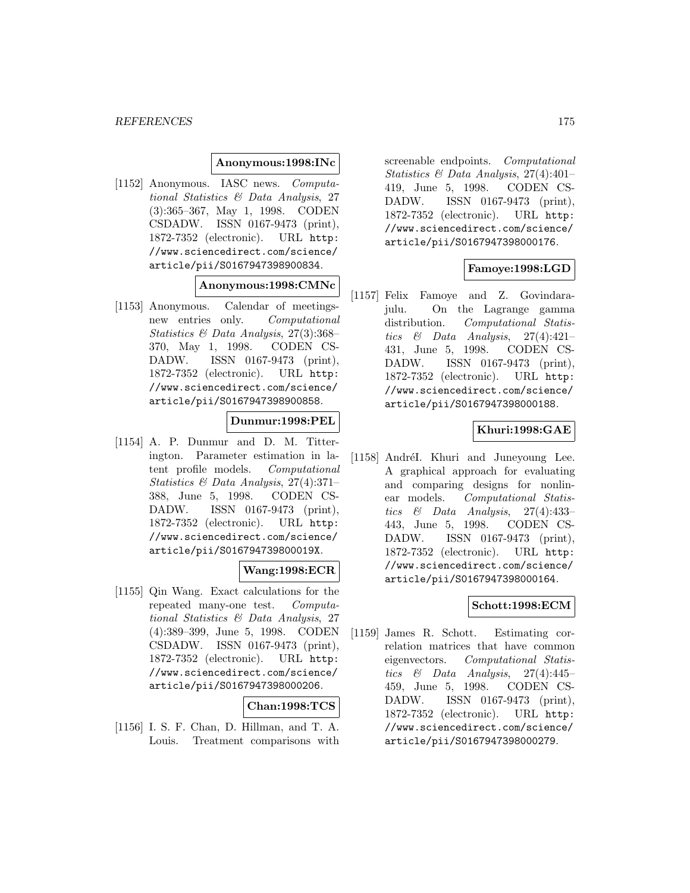#### **Anonymous:1998:INc**

[1152] Anonymous. IASC news. Computational Statistics & Data Analysis, 27 (3):365–367, May 1, 1998. CODEN CSDADW. ISSN 0167-9473 (print), 1872-7352 (electronic). URL http: //www.sciencedirect.com/science/ article/pii/S0167947398900834.

# **Anonymous:1998:CMNc**

[1153] Anonymous. Calendar of meetingsnew entries only. Computational Statistics & Data Analysis, 27(3):368– 370, May 1, 1998. CODEN CS-DADW. ISSN 0167-9473 (print), 1872-7352 (electronic). URL http: //www.sciencedirect.com/science/ article/pii/S0167947398900858.

## **Dunmur:1998:PEL**

[1154] A. P. Dunmur and D. M. Titterington. Parameter estimation in latent profile models. Computational Statistics & Data Analysis, 27(4):371– 388, June 5, 1998. CODEN CS-DADW. ISSN 0167-9473 (print), 1872-7352 (electronic). URL http: //www.sciencedirect.com/science/ article/pii/S016794739800019X.

## **Wang:1998:ECR**

[1155] Qin Wang. Exact calculations for the repeated many-one test. Computational Statistics & Data Analysis, 27 (4):389–399, June 5, 1998. CODEN CSDADW. ISSN 0167-9473 (print), 1872-7352 (electronic). URL http: //www.sciencedirect.com/science/ article/pii/S0167947398000206.

#### **Chan:1998:TCS**

[1156] I. S. F. Chan, D. Hillman, and T. A. Louis. Treatment comparisons with screenable endpoints. Computational Statistics & Data Analysis, 27(4):401– 419, June 5, 1998. CODEN CS-DADW. ISSN 0167-9473 (print), 1872-7352 (electronic). URL http: //www.sciencedirect.com/science/ article/pii/S0167947398000176.

## **Famoye:1998:LGD**

[1157] Felix Famoye and Z. Govindarajulu. On the Lagrange gamma distribution. Computational Statistics  $\&$  Data Analysis, 27(4):421– 431, June 5, 1998. CODEN CS-DADW. ISSN 0167-9473 (print), 1872-7352 (electronic). URL http: //www.sciencedirect.com/science/ article/pii/S0167947398000188.

## **Khuri:1998:GAE**

[1158] AndréI. Khuri and Juneyoung Lee. A graphical approach for evaluating and comparing designs for nonlinear models. Computational Statistics & Data Analysis, 27(4):433– 443, June 5, 1998. CODEN CS-DADW. ISSN 0167-9473 (print), 1872-7352 (electronic). URL http: //www.sciencedirect.com/science/ article/pii/S0167947398000164.

## **Schott:1998:ECM**

[1159] James R. Schott. Estimating correlation matrices that have common eigenvectors. Computational Statistics  $\&$  Data Analysis, 27(4):445– 459, June 5, 1998. CODEN CS-DADW. ISSN 0167-9473 (print), 1872-7352 (electronic). URL http: //www.sciencedirect.com/science/ article/pii/S0167947398000279.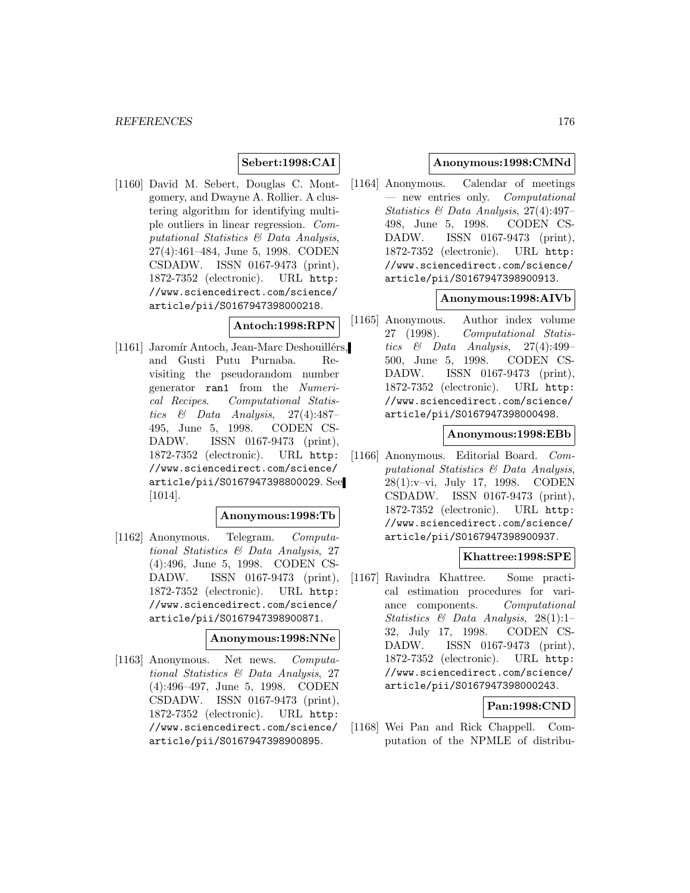# **Sebert:1998:CAI**

[1160] David M. Sebert, Douglas C. Montgomery, and Dwayne A. Rollier. A clustering algorithm for identifying multiple outliers in linear regression. Computational Statistics & Data Analysis, 27(4):461–484, June 5, 1998. CODEN CSDADW. ISSN 0167-9473 (print), 1872-7352 (electronic). URL http: //www.sciencedirect.com/science/ article/pii/S0167947398000218.

#### **Antoch:1998:RPN**

[1161] Jaromír Antoch, Jean-Marc Deshouillérs, and Gusti Putu Purnaba. Revisiting the pseudorandom number generator ran1 from the Numerical Recipes. Computational Statistics & Data Analysis, 27(4):487– 495, June 5, 1998. CODEN CS-DADW. ISSN 0167-9473 (print), 1872-7352 (electronic). URL http: //www.sciencedirect.com/science/ article/pii/S0167947398800029. See [1014].

#### **Anonymous:1998:Tb**

[1162] Anonymous. Telegram. Computational Statistics & Data Analysis, 27 (4):496, June 5, 1998. CODEN CS-DADW. ISSN 0167-9473 (print), 1872-7352 (electronic). URL http: //www.sciencedirect.com/science/ article/pii/S0167947398900871.

#### **Anonymous:1998:NNe**

[1163] Anonymous. Net news. Computational Statistics & Data Analysis, 27 (4):496–497, June 5, 1998. CODEN CSDADW. ISSN 0167-9473 (print), 1872-7352 (electronic). URL http: //www.sciencedirect.com/science/ article/pii/S0167947398900895.

#### **Anonymous:1998:CMNd**

[1164] Anonymous. Calendar of meetings — new entries only. Computational Statistics & Data Analysis, 27(4):497– 498, June 5, 1998. CODEN CS-DADW. ISSN 0167-9473 (print), 1872-7352 (electronic). URL http: //www.sciencedirect.com/science/ article/pii/S0167947398900913.

## **Anonymous:1998:AIVb**

[1165] Anonymous. Author index volume 27 (1998). Computational Statistics & Data Analysis, 27(4):499– 500, June 5, 1998. CODEN CS-DADW. ISSN 0167-9473 (print), 1872-7352 (electronic). URL http: //www.sciencedirect.com/science/ article/pii/S0167947398000498.

#### **Anonymous:1998:EBb**

[1166] Anonymous. Editorial Board. Computational Statistics & Data Analysis, 28(1):v–vi, July 17, 1998. CODEN CSDADW. ISSN 0167-9473 (print), 1872-7352 (electronic). URL http: //www.sciencedirect.com/science/ article/pii/S0167947398900937.

#### **Khattree:1998:SPE**

[1167] Ravindra Khattree. Some practical estimation procedures for variance components. Computational Statistics & Data Analysis,  $28(1):1$ 32, July 17, 1998. CODEN CS-DADW. ISSN 0167-9473 (print), 1872-7352 (electronic). URL http: //www.sciencedirect.com/science/ article/pii/S0167947398000243.

#### **Pan:1998:CND**

[1168] Wei Pan and Rick Chappell. Computation of the NPMLE of distribu-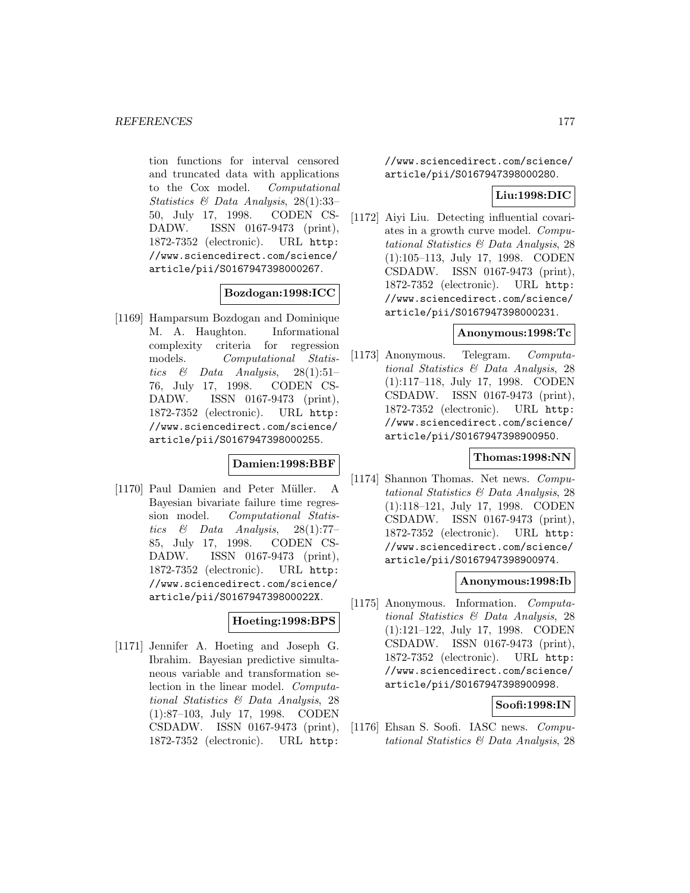tion functions for interval censored and truncated data with applications to the Cox model. Computational Statistics & Data Analysis, 28(1):33– 50, July 17, 1998. CODEN CS-DADW. ISSN 0167-9473 (print), 1872-7352 (electronic). URL http: //www.sciencedirect.com/science/ article/pii/S0167947398000267.

## **Bozdogan:1998:ICC**

[1169] Hamparsum Bozdogan and Dominique M. A. Haughton. Informational complexity criteria for regression models. Computational Statistics & Data Analysis, 28(1):51– 76, July 17, 1998. CODEN CS-DADW. ISSN 0167-9473 (print), 1872-7352 (electronic). URL http: //www.sciencedirect.com/science/ article/pii/S0167947398000255.

### **Damien:1998:BBF**

[1170] Paul Damien and Peter Müller. A Bayesian bivariate failure time regression model. Computational Statistics & Data Analysis, 28(1):77– 85, July 17, 1998. CODEN CS-DADW. ISSN 0167-9473 (print), 1872-7352 (electronic). URL http: //www.sciencedirect.com/science/ article/pii/S016794739800022X.

## **Hoeting:1998:BPS**

[1171] Jennifer A. Hoeting and Joseph G. Ibrahim. Bayesian predictive simultaneous variable and transformation selection in the linear model. Computational Statistics & Data Analysis, 28 (1):87–103, July 17, 1998. CODEN CSDADW. ISSN 0167-9473 (print), 1872-7352 (electronic). URL http:

//www.sciencedirect.com/science/ article/pii/S0167947398000280.

### **Liu:1998:DIC**

[1172] Aiyi Liu. Detecting influential covariates in a growth curve model. Computational Statistics & Data Analysis, 28 (1):105–113, July 17, 1998. CODEN CSDADW. ISSN 0167-9473 (print), 1872-7352 (electronic). URL http: //www.sciencedirect.com/science/ article/pii/S0167947398000231.

#### **Anonymous:1998:Tc**

[1173] Anonymous. Telegram. Computational Statistics & Data Analysis, 28 (1):117–118, July 17, 1998. CODEN CSDADW. ISSN 0167-9473 (print), 1872-7352 (electronic). URL http: //www.sciencedirect.com/science/ article/pii/S0167947398900950.

#### **Thomas:1998:NN**

[1174] Shannon Thomas. Net news. Computational Statistics & Data Analysis, 28 (1):118–121, July 17, 1998. CODEN CSDADW. ISSN 0167-9473 (print), 1872-7352 (electronic). URL http: //www.sciencedirect.com/science/ article/pii/S0167947398900974.

#### **Anonymous:1998:Ib**

[1175] Anonymous. Information. Computational Statistics & Data Analysis, 28 (1):121–122, July 17, 1998. CODEN CSDADW. ISSN 0167-9473 (print), 1872-7352 (electronic). URL http: //www.sciencedirect.com/science/ article/pii/S0167947398900998.

## **Soofi:1998:IN**

[1176] Ehsan S. Soofi. IASC news. Computational Statistics & Data Analysis, 28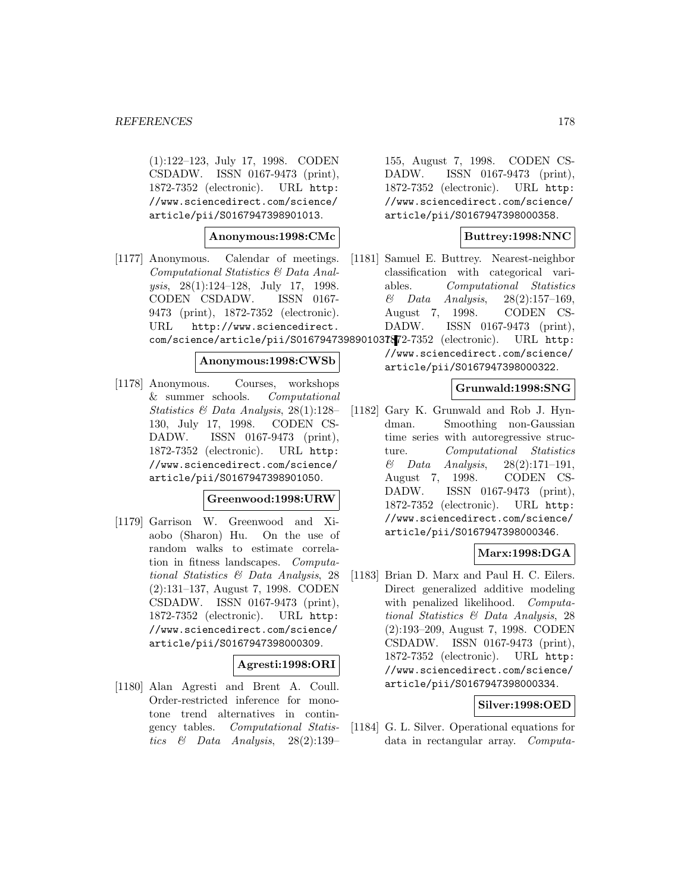(1):122–123, July 17, 1998. CODEN CSDADW. ISSN 0167-9473 (print), 1872-7352 (electronic). URL http: //www.sciencedirect.com/science/ article/pii/S0167947398901013.

## **Anonymous:1998:CMc**

[1177] Anonymous. Calendar of meetings. Computational Statistics & Data Analysis, 28(1):124–128, July 17, 1998. CODEN CSDADW. ISSN 0167- 9473 (print), 1872-7352 (electronic). URL http://www.sciencedirect. com/science/article/pii/S0167947398901037. 1872-7352 (electronic). URL http:

#### **Anonymous:1998:CWSb**

[1178] Anonymous. Courses, workshops & summer schools. Computational Statistics & Data Analysis, 28(1):128– 130, July 17, 1998. CODEN CS-DADW. ISSN 0167-9473 (print), 1872-7352 (electronic). URL http: //www.sciencedirect.com/science/ article/pii/S0167947398901050.

#### **Greenwood:1998:URW**

[1179] Garrison W. Greenwood and Xiaobo (Sharon) Hu. On the use of random walks to estimate correlation in fitness landscapes. Computational Statistics & Data Analysis, 28 (2):131–137, August 7, 1998. CODEN CSDADW. ISSN 0167-9473 (print), 1872-7352 (electronic). URL http: //www.sciencedirect.com/science/ article/pii/S0167947398000309.

# **Agresti:1998:ORI**

[1180] Alan Agresti and Brent A. Coull. Order-restricted inference for monotone trend alternatives in contingency tables. Computational Statistics & Data Analysis, 28(2):139–

155, August 7, 1998. CODEN CS-DADW. ISSN 0167-9473 (print), 1872-7352 (electronic). URL http: //www.sciencedirect.com/science/ article/pii/S0167947398000358.

# **Buttrey:1998:NNC**

- [1181] Samuel E. Buttrey. Nearest-neighbor classification with categorical variables. Computational Statistics & Data Analysis, 28(2):157–169, August 7, 1998. CODEN CS-DADW. ISSN 0167-9473 (print),
	- //www.sciencedirect.com/science/ article/pii/S0167947398000322.

#### **Grunwald:1998:SNG**

[1182] Gary K. Grunwald and Rob J. Hyndman. Smoothing non-Gaussian time series with autoregressive structure. Computational Statistics  $\&$  Data Analysis, 28(2):171-191, August 7, 1998. CODEN CS-DADW. ISSN 0167-9473 (print), 1872-7352 (electronic). URL http: //www.sciencedirect.com/science/ article/pii/S0167947398000346.

## **Marx:1998:DGA**

[1183] Brian D. Marx and Paul H. C. Eilers. Direct generalized additive modeling with penalized likelihood. Computational Statistics & Data Analysis, 28 (2):193–209, August 7, 1998. CODEN CSDADW. ISSN 0167-9473 (print), 1872-7352 (electronic). URL http: //www.sciencedirect.com/science/ article/pii/S0167947398000334.

#### **Silver:1998:OED**

[1184] G. L. Silver. Operational equations for data in rectangular array. Computa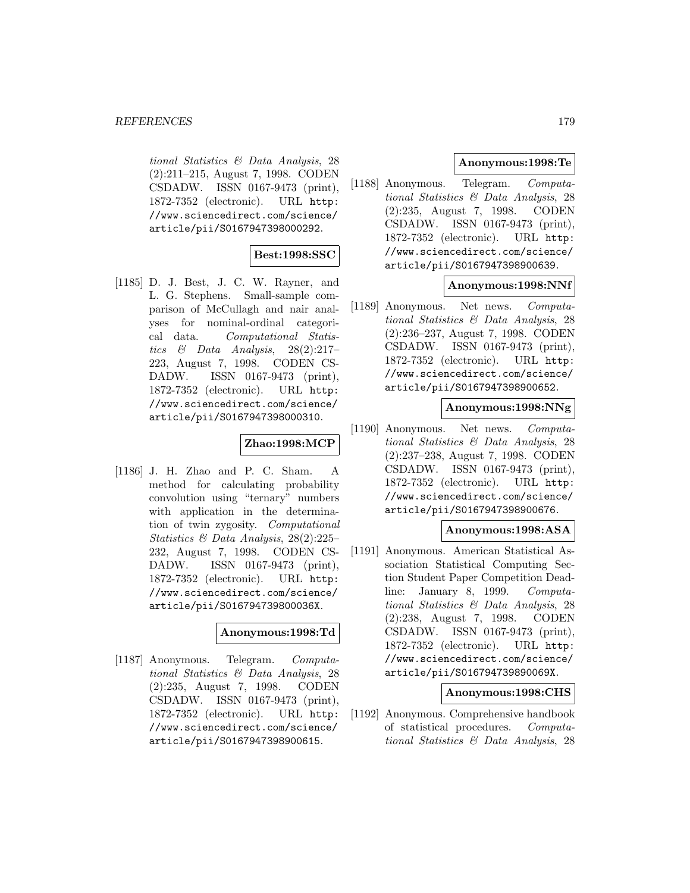tional Statistics & Data Analysis, 28 (2):211–215, August 7, 1998. CODEN CSDADW. ISSN 0167-9473 (print), 1872-7352 (electronic). URL http: //www.sciencedirect.com/science/ article/pii/S0167947398000292.

# **Best:1998:SSC**

[1185] D. J. Best, J. C. W. Rayner, and L. G. Stephens. Small-sample comparison of McCullagh and nair analyses for nominal-ordinal categorical data. Computational Statistics  $\&$  Data Analysis, 28(2):217– 223, August 7, 1998. CODEN CS-DADW. ISSN 0167-9473 (print), 1872-7352 (electronic). URL http: //www.sciencedirect.com/science/ article/pii/S0167947398000310.

#### **Zhao:1998:MCP**

[1186] J. H. Zhao and P. C. Sham. A method for calculating probability convolution using "ternary" numbers with application in the determination of twin zygosity. Computational Statistics & Data Analysis, 28(2):225– 232, August 7, 1998. CODEN CS-DADW. ISSN 0167-9473 (print), 1872-7352 (electronic). URL http: //www.sciencedirect.com/science/ article/pii/S016794739800036X.

#### **Anonymous:1998:Td**

[1187] Anonymous. Telegram. Computational Statistics & Data Analysis, 28 (2):235, August 7, 1998. CODEN CSDADW. ISSN 0167-9473 (print), 1872-7352 (electronic). URL http: //www.sciencedirect.com/science/ article/pii/S0167947398900615.

## **Anonymous:1998:Te**

[1188] Anonymous. Telegram. Computational Statistics & Data Analysis, 28 (2):235, August 7, 1998. CODEN CSDADW. ISSN 0167-9473 (print), 1872-7352 (electronic). URL http: //www.sciencedirect.com/science/ article/pii/S0167947398900639.

#### **Anonymous:1998:NNf**

[1189] Anonymous. Net news. Computational Statistics & Data Analysis, 28 (2):236–237, August 7, 1998. CODEN CSDADW. ISSN 0167-9473 (print), 1872-7352 (electronic). URL http: //www.sciencedirect.com/science/ article/pii/S0167947398900652.

## **Anonymous:1998:NNg**

[1190] Anonymous. Net news. Computational Statistics & Data Analysis, 28 (2):237–238, August 7, 1998. CODEN CSDADW. ISSN 0167-9473 (print), 1872-7352 (electronic). URL http: //www.sciencedirect.com/science/ article/pii/S0167947398900676.

#### **Anonymous:1998:ASA**

[1191] Anonymous. American Statistical Association Statistical Computing Section Student Paper Competition Deadline: January 8, 1999. Computational Statistics & Data Analysis, 28 (2):238, August 7, 1998. CODEN CSDADW. ISSN 0167-9473 (print), 1872-7352 (electronic). URL http: //www.sciencedirect.com/science/ article/pii/S016794739890069X.

#### **Anonymous:1998:CHS**

[1192] Anonymous. Comprehensive handbook of statistical procedures. Computational Statistics & Data Analysis, 28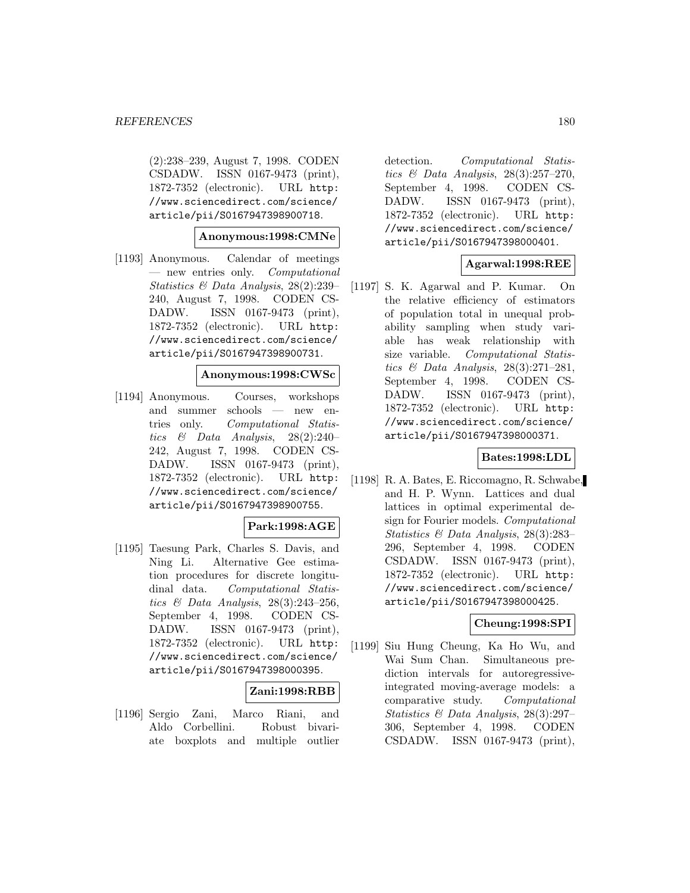(2):238–239, August 7, 1998. CODEN CSDADW. ISSN 0167-9473 (print), 1872-7352 (electronic). URL http: //www.sciencedirect.com/science/ article/pii/S0167947398900718.

#### **Anonymous:1998:CMNe**

[1193] Anonymous. Calendar of meetings — new entries only. Computational Statistics & Data Analysis, 28(2):239– 240, August 7, 1998. CODEN CS-DADW. ISSN 0167-9473 (print), 1872-7352 (electronic). URL http: //www.sciencedirect.com/science/ article/pii/S0167947398900731.

#### **Anonymous:1998:CWSc**

[1194] Anonymous. Courses, workshops and summer schools — new entries only. Computational Statistics & Data Analysis, 28(2):240– 242, August 7, 1998. CODEN CS-DADW. ISSN 0167-9473 (print), 1872-7352 (electronic). URL http: //www.sciencedirect.com/science/ article/pii/S0167947398900755.

#### **Park:1998:AGE**

[1195] Taesung Park, Charles S. Davis, and Ning Li. Alternative Gee estimation procedures for discrete longitudinal data. Computational Statistics & Data Analysis, 28(3):243–256, September 4, 1998. CODEN CS-DADW. ISSN 0167-9473 (print), 1872-7352 (electronic). URL http: //www.sciencedirect.com/science/ article/pii/S0167947398000395.

## **Zani:1998:RBB**

[1196] Sergio Zani, Marco Riani, and Aldo Corbellini. Robust bivariate boxplots and multiple outlier detection. Computational Statistics & Data Analysis, 28(3):257–270, September 4, 1998. CODEN CS-DADW. ISSN 0167-9473 (print), 1872-7352 (electronic). URL http: //www.sciencedirect.com/science/ article/pii/S0167947398000401.

## **Agarwal:1998:REE**

[1197] S. K. Agarwal and P. Kumar. On the relative efficiency of estimators of population total in unequal probability sampling when study variable has weak relationship with size variable. Computational Statistics & Data Analysis, 28(3):271–281, September 4, 1998. CODEN CS-DADW. ISSN 0167-9473 (print), 1872-7352 (electronic). URL http: //www.sciencedirect.com/science/ article/pii/S0167947398000371.

## **Bates:1998:LDL**

[1198] R. A. Bates, E. Riccomagno, R. Schwabe, and H. P. Wynn. Lattices and dual lattices in optimal experimental design for Fourier models. Computational Statistics & Data Analysis, 28(3):283– 296, September 4, 1998. CODEN CSDADW. ISSN 0167-9473 (print), 1872-7352 (electronic). URL http: //www.sciencedirect.com/science/ article/pii/S0167947398000425.

#### **Cheung:1998:SPI**

[1199] Siu Hung Cheung, Ka Ho Wu, and Wai Sum Chan. Simultaneous prediction intervals for autoregressiveintegrated moving-average models: a comparative study. Computational Statistics & Data Analysis, 28(3):297– 306, September 4, 1998. CODEN CSDADW. ISSN 0167-9473 (print),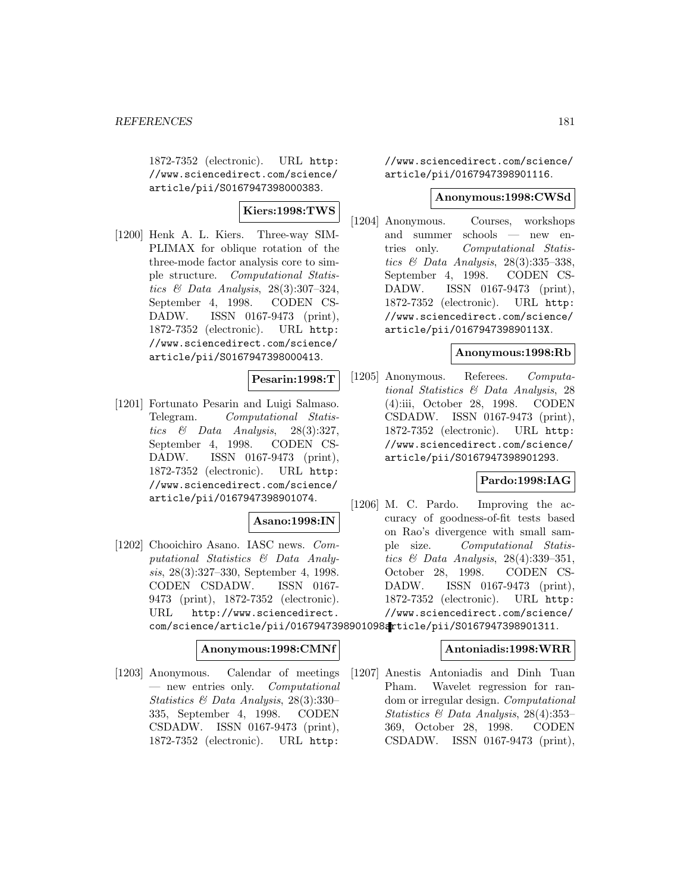1872-7352 (electronic). URL http: //www.sciencedirect.com/science/ article/pii/S0167947398000383.

# **Kiers:1998:TWS**

[1200] Henk A. L. Kiers. Three-way SIM-PLIMAX for oblique rotation of the three-mode factor analysis core to simple structure. Computational Statistics & Data Analysis, 28(3):307–324, September 4, 1998. CODEN CS-DADW. ISSN 0167-9473 (print), 1872-7352 (electronic). URL http: //www.sciencedirect.com/science/ article/pii/S0167947398000413.

**Pesarin:1998:T**

[1201] Fortunato Pesarin and Luigi Salmaso. Telegram. Computational Statistics  $\&$  Data Analysis, 28(3):327, September 4, 1998. CODEN CS-DADW. ISSN 0167-9473 (print), 1872-7352 (electronic). URL http: //www.sciencedirect.com/science/ article/pii/0167947398901074.

### **Asano:1998:IN**

[1202] Chooichiro Asano. IASC news. Computational Statistics & Data Analysis, 28(3):327–330, September 4, 1998. CODEN CSDADW. ISSN 0167- 9473 (print), 1872-7352 (electronic). URL http://www.sciencedirect. com/science/article/pii/0167947398901098article/pii/S0167947398901311.

# **Anonymous:1998:CMNf**

[1203] Anonymous. Calendar of meetings — new entries only. Computational Statistics & Data Analysis, 28(3):330– 335, September 4, 1998. CODEN CSDADW. ISSN 0167-9473 (print), 1872-7352 (electronic). URL http:

//www.sciencedirect.com/science/ article/pii/0167947398901116.

#### **Anonymous:1998:CWSd**

[1204] Anonymous. Courses, workshops and summer schools — new entries only. Computational Statistics & Data Analysis, 28(3):335–338, September 4, 1998. CODEN CS-DADW. ISSN 0167-9473 (print), 1872-7352 (electronic). URL http: //www.sciencedirect.com/science/ article/pii/016794739890113X.

### **Anonymous:1998:Rb**

[1205] Anonymous. Referees. Computational Statistics & Data Analysis, 28 (4):iii, October 28, 1998. CODEN CSDADW. ISSN 0167-9473 (print), 1872-7352 (electronic). URL http: //www.sciencedirect.com/science/ article/pii/S0167947398901293.

### **Pardo:1998:IAG**

[1206] M. C. Pardo. Improving the accuracy of goodness-of-fit tests based on Rao's divergence with small sample size. Computational Statistics & Data Analysis, 28(4):339–351, October 28, 1998. CODEN CS-DADW. ISSN 0167-9473 (print), 1872-7352 (electronic). URL http: //www.sciencedirect.com/science/

#### **Antoniadis:1998:WRR**

[1207] Anestis Antoniadis and Dinh Tuan Pham. Wavelet regression for random or irregular design. Computational Statistics & Data Analysis, 28(4):353– 369, October 28, 1998. CODEN CSDADW. ISSN 0167-9473 (print),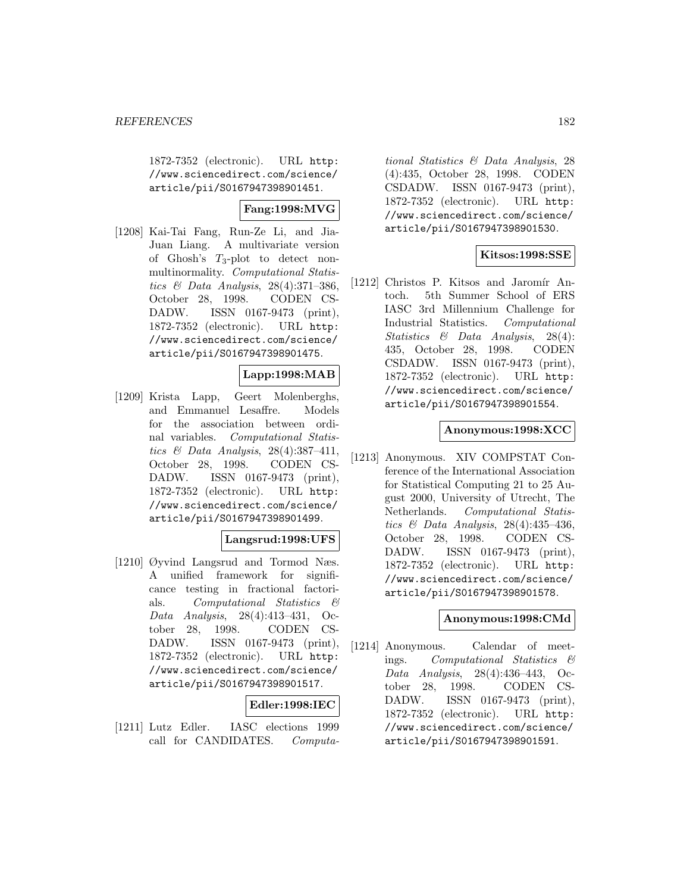1872-7352 (electronic). URL http: //www.sciencedirect.com/science/ article/pii/S0167947398901451.

## **Fang:1998:MVG**

[1208] Kai-Tai Fang, Run-Ze Li, and Jia-Juan Liang. A multivariate version of Ghosh's  $T_3$ -plot to detect nonmultinormality. Computational Statistics & Data Analysis, 28(4):371–386, October 28, 1998. CODEN CS-DADW. ISSN 0167-9473 (print), 1872-7352 (electronic). URL http: //www.sciencedirect.com/science/ article/pii/S0167947398901475.

## **Lapp:1998:MAB**

[1209] Krista Lapp, Geert Molenberghs, and Emmanuel Lesaffre. Models for the association between ordinal variables. Computational Statistics & Data Analysis, 28(4):387–411, October 28, 1998. CODEN CS-DADW. ISSN 0167-9473 (print), 1872-7352 (electronic). URL http: //www.sciencedirect.com/science/ article/pii/S0167947398901499.

### **Langsrud:1998:UFS**

[1210] Øyvind Langsrud and Tormod Næs. A unified framework for significance testing in fractional factorials. Computational Statistics & Data Analysis, 28(4):413–431, October 28, 1998. CODEN CS-DADW. ISSN 0167-9473 (print), 1872-7352 (electronic). URL http: //www.sciencedirect.com/science/ article/pii/S0167947398901517.

# **Edler:1998:IEC**

[1211] Lutz Edler. IASC elections 1999 call for CANDIDATES. Computa-

tional Statistics & Data Analysis, 28 (4):435, October 28, 1998. CODEN CSDADW. ISSN 0167-9473 (print), 1872-7352 (electronic). URL http: //www.sciencedirect.com/science/ article/pii/S0167947398901530.

### **Kitsos:1998:SSE**

[1212] Christos P. Kitsos and Jaromír Antoch. 5th Summer School of ERS IASC 3rd Millennium Challenge for Industrial Statistics. Computational Statistics & Data Analysis, 28(4): 435, October 28, 1998. CODEN CSDADW. ISSN 0167-9473 (print), 1872-7352 (electronic). URL http: //www.sciencedirect.com/science/ article/pii/S0167947398901554.

### **Anonymous:1998:XCC**

[1213] Anonymous. XIV COMPSTAT Conference of the International Association for Statistical Computing 21 to 25 August 2000, University of Utrecht, The Netherlands. Computational Statistics & Data Analysis, 28(4):435–436, October 28, 1998. CODEN CS-DADW. ISSN 0167-9473 (print), 1872-7352 (electronic). URL http: //www.sciencedirect.com/science/ article/pii/S0167947398901578.

### **Anonymous:1998:CMd**

[1214] Anonymous. Calendar of meetings. Computational Statistics & Data Analysis, 28(4):436–443, October 28, 1998. CODEN CS-DADW. ISSN 0167-9473 (print), 1872-7352 (electronic). URL http: //www.sciencedirect.com/science/ article/pii/S0167947398901591.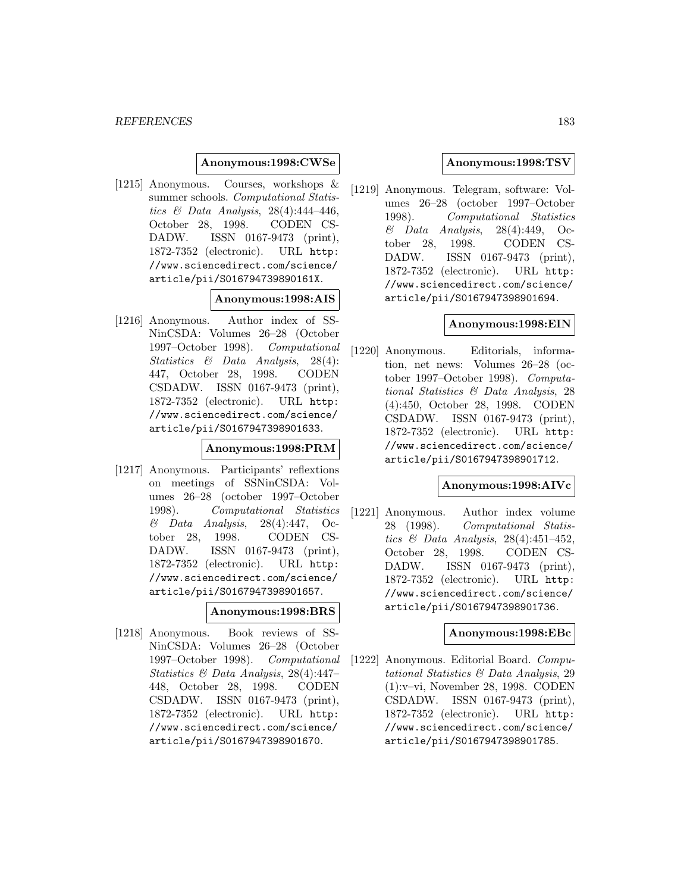#### **Anonymous:1998:CWSe**

[1215] Anonymous. Courses, workshops & summer schools. Computational Statistics  $\mathcal{B}$  Data Analysis, 28(4):444-446, October 28, 1998. CODEN CS-DADW. ISSN 0167-9473 (print), 1872-7352 (electronic). URL http: //www.sciencedirect.com/science/ article/pii/S016794739890161X.

#### **Anonymous:1998:AIS**

[1216] Anonymous. Author index of SS-NinCSDA: Volumes 26–28 (October 1997–October 1998). Computational Statistics & Data Analysis, 28(4): 447, October 28, 1998. CODEN CSDADW. ISSN 0167-9473 (print), 1872-7352 (electronic). URL http: //www.sciencedirect.com/science/ article/pii/S0167947398901633.

#### **Anonymous:1998:PRM**

[1217] Anonymous. Participants' reflextions on meetings of SSNinCSDA: Volumes 26–28 (october 1997–October 1998). Computational Statistics  $\&$  Data Analysis, 28(4):447, October 28, 1998. CODEN CS-DADW. ISSN 0167-9473 (print), 1872-7352 (electronic). URL http: //www.sciencedirect.com/science/ article/pii/S0167947398901657.

#### **Anonymous:1998:BRS**

[1218] Anonymous. Book reviews of SS-NinCSDA: Volumes 26–28 (October 1997–October 1998). Computational Statistics & Data Analysis, 28(4):447– 448, October 28, 1998. CODEN CSDADW. ISSN 0167-9473 (print), 1872-7352 (electronic). URL http: //www.sciencedirect.com/science/ article/pii/S0167947398901670.

#### **Anonymous:1998:TSV**

[1219] Anonymous. Telegram, software: Volumes 26–28 (october 1997–October 1998). Computational Statistics  $\&$  Data Analysis, 28(4):449, October 28, 1998. CODEN CS-DADW. ISSN 0167-9473 (print), 1872-7352 (electronic). URL http: //www.sciencedirect.com/science/ article/pii/S0167947398901694.

#### **Anonymous:1998:EIN**

[1220] Anonymous. Editorials, information, net news: Volumes 26–28 (october 1997–October 1998). Computational Statistics & Data Analysis, 28 (4):450, October 28, 1998. CODEN CSDADW. ISSN 0167-9473 (print), 1872-7352 (electronic). URL http: //www.sciencedirect.com/science/ article/pii/S0167947398901712.

### **Anonymous:1998:AIVc**

[1221] Anonymous. Author index volume 28 (1998). Computational Statistics & Data Analysis, 28(4):451–452, October 28, 1998. CODEN CS-DADW. ISSN 0167-9473 (print), 1872-7352 (electronic). URL http: //www.sciencedirect.com/science/ article/pii/S0167947398901736.

#### **Anonymous:1998:EBc**

[1222] Anonymous. Editorial Board. Computational Statistics & Data Analysis, 29 (1):v–vi, November 28, 1998. CODEN CSDADW. ISSN 0167-9473 (print), 1872-7352 (electronic). URL http: //www.sciencedirect.com/science/ article/pii/S0167947398901785.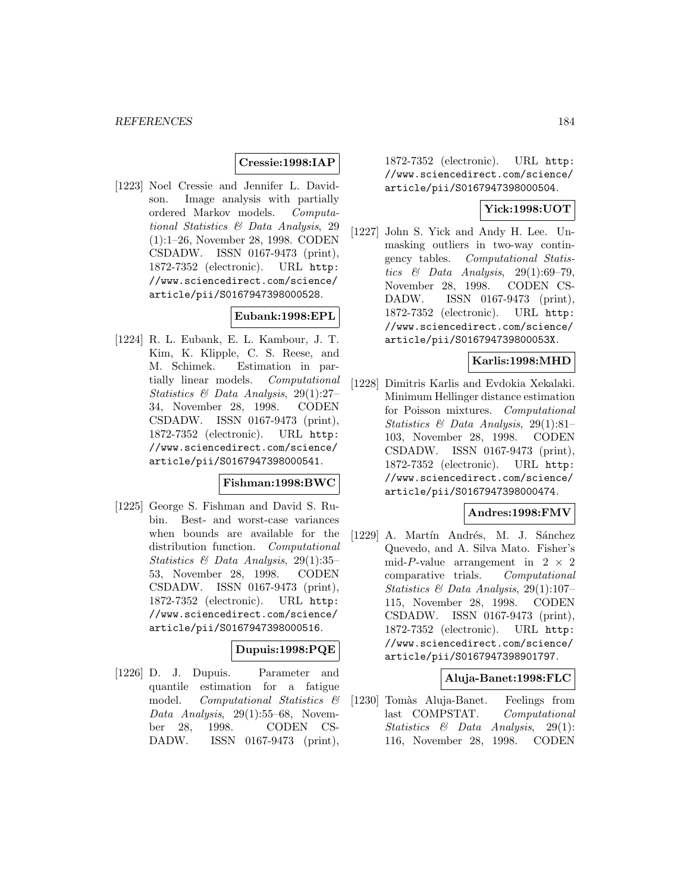## **Cressie:1998:IAP**

[1223] Noel Cressie and Jennifer L. Davidson. Image analysis with partially ordered Markov models. Computational Statistics & Data Analysis, 29 (1):1–26, November 28, 1998. CODEN CSDADW. ISSN 0167-9473 (print), 1872-7352 (electronic). URL http: //www.sciencedirect.com/science/ article/pii/S0167947398000528.

# **Eubank:1998:EPL**

[1224] R. L. Eubank, E. L. Kambour, J. T. Kim, K. Klipple, C. S. Reese, and M. Schimek. Estimation in partially linear models. Computational Statistics & Data Analysis, 29(1):27– 34, November 28, 1998. CODEN CSDADW. ISSN 0167-9473 (print), 1872-7352 (electronic). URL http: //www.sciencedirect.com/science/ article/pii/S0167947398000541.

#### **Fishman:1998:BWC**

[1225] George S. Fishman and David S. Rubin. Best- and worst-case variances when bounds are available for the distribution function. Computational Statistics & Data Analysis, 29(1):35– 53, November 28, 1998. CODEN CSDADW. ISSN 0167-9473 (print), 1872-7352 (electronic). URL http: //www.sciencedirect.com/science/ article/pii/S0167947398000516.

# **Dupuis:1998:PQE**

[1226] D. J. Dupuis. Parameter and quantile estimation for a fatigue model. Computational Statistics & Data Analysis, 29(1):55–68, November 28, 1998. CODEN CS-DADW. ISSN 0167-9473 (print),

1872-7352 (electronic). URL http: //www.sciencedirect.com/science/ article/pii/S0167947398000504.

## **Yick:1998:UOT**

[1227] John S. Yick and Andy H. Lee. Unmasking outliers in two-way contingency tables. Computational Statistics & Data Analysis,  $29(1):69-79$ , November 28, 1998. CODEN CS-DADW. ISSN 0167-9473 (print), 1872-7352 (electronic). URL http: //www.sciencedirect.com/science/ article/pii/S016794739800053X.

# **Karlis:1998:MHD**

[1228] Dimitris Karlis and Evdokia Xekalaki. Minimum Hellinger distance estimation for Poisson mixtures. Computational Statistics & Data Analysis, 29(1):81– 103, November 28, 1998. CODEN CSDADW. ISSN 0167-9473 (print), 1872-7352 (electronic). URL http: //www.sciencedirect.com/science/ article/pii/S0167947398000474.

### **Andres:1998:FMV**

[1229] A. Martín Andrés, M. J. Sánchez Quevedo, and A. Silva Mato. Fisher's mid-P-value arrangement in  $2 \times 2$ <br>comparative trials. Computational comparative trials. Statistics & Data Analysis, 29(1):107– 115, November 28, 1998. CODEN CSDADW. ISSN 0167-9473 (print), 1872-7352 (electronic). URL http: //www.sciencedirect.com/science/ article/pii/S0167947398901797.

#### **Aluja-Banet:1998:FLC**

[1230] Tomàs Aluja-Banet. Feelings from last COMPSTAT. Computational Statistics & Data Analysis, 29(1): 116, November 28, 1998. CODEN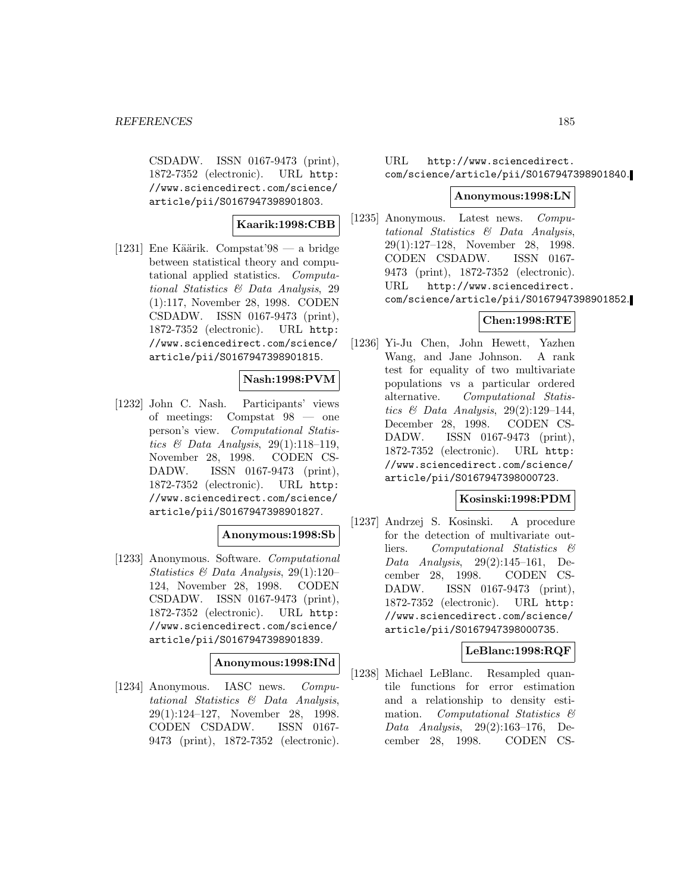CSDADW. ISSN 0167-9473 (print), 1872-7352 (electronic). URL http: //www.sciencedirect.com/science/ article/pii/S0167947398901803.

### **Kaarik:1998:CBB**

[1231] Ene Käärik. Compstat' $98 - a$  bridge between statistical theory and computational applied statistics. Computational Statistics & Data Analysis, 29 (1):117, November 28, 1998. CODEN CSDADW. ISSN 0167-9473 (print), 1872-7352 (electronic). URL http: //www.sciencedirect.com/science/ article/pii/S0167947398901815.

# **Nash:1998:PVM**

[1232] John C. Nash. Participants' views of meetings: Compstat 98 — one person's view. Computational Statistics & Data Analysis,  $29(1):118-119$ , November 28, 1998. CODEN CS-DADW. ISSN 0167-9473 (print), 1872-7352 (electronic). URL http: //www.sciencedirect.com/science/ article/pii/S0167947398901827.

### **Anonymous:1998:Sb**

[1233] Anonymous. Software. Computational Statistics & Data Analysis, 29(1):120– 124, November 28, 1998. CODEN CSDADW. ISSN 0167-9473 (print), 1872-7352 (electronic). URL http: //www.sciencedirect.com/science/ article/pii/S0167947398901839.

## **Anonymous:1998:INd**

[1234] Anonymous. IASC news. Computational Statistics & Data Analysis, 29(1):124–127, November 28, 1998. CODEN CSDADW. ISSN 0167- 9473 (print), 1872-7352 (electronic).

# URL http://www.sciencedirect. com/science/article/pii/S0167947398901840.

#### **Anonymous:1998:LN**

[1235] Anonymous. Latest news. Computational Statistics & Data Analysis, 29(1):127–128, November 28, 1998. CODEN CSDADW. ISSN 0167- 9473 (print), 1872-7352 (electronic). URL http://www.sciencedirect. com/science/article/pii/S0167947398901852.

## **Chen:1998:RTE**

[1236] Yi-Ju Chen, John Hewett, Yazhen Wang, and Jane Johnson. A rank test for equality of two multivariate populations vs a particular ordered alternative. Computational Statistics & Data Analysis,  $29(2):129-144$ , December 28, 1998. CODEN CS-DADW. ISSN 0167-9473 (print), 1872-7352 (electronic). URL http: //www.sciencedirect.com/science/ article/pii/S0167947398000723.

### **Kosinski:1998:PDM**

[1237] Andrzej S. Kosinski. A procedure for the detection of multivariate outliers. Computational Statistics & Data Analysis, 29(2):145–161, December 28, 1998. CODEN CS-DADW. ISSN 0167-9473 (print), 1872-7352 (electronic). URL http: //www.sciencedirect.com/science/ article/pii/S0167947398000735.

# **LeBlanc:1998:RQF**

[1238] Michael LeBlanc. Resampled quantile functions for error estimation and a relationship to density estimation. Computational Statistics & Data Analysis, 29(2):163–176, December 28, 1998. CODEN CS-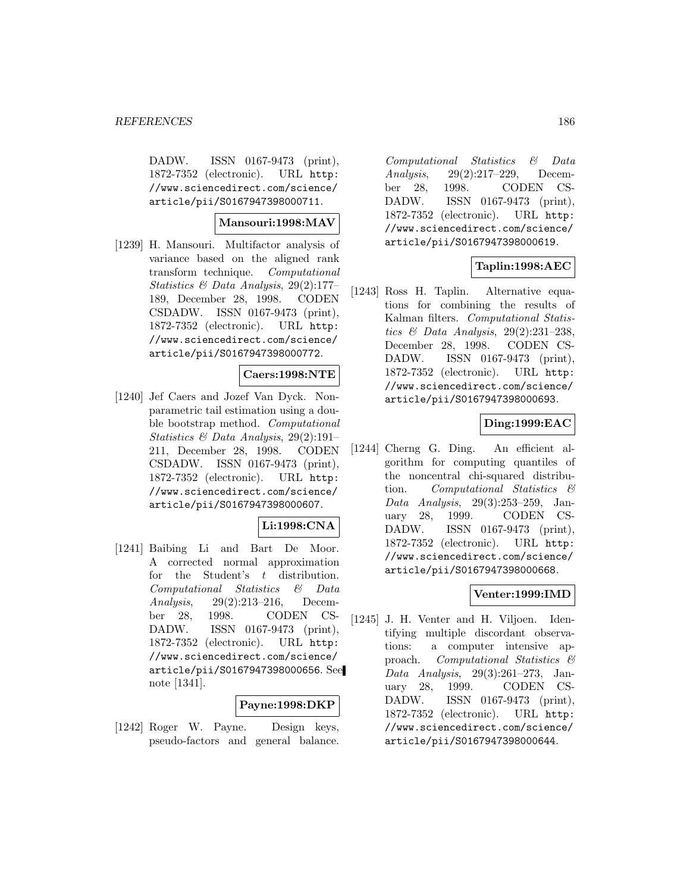DADW. ISSN 0167-9473 (print), 1872-7352 (electronic). URL http: //www.sciencedirect.com/science/ article/pii/S0167947398000711.

#### **Mansouri:1998:MAV**

[1239] H. Mansouri. Multifactor analysis of variance based on the aligned rank transform technique. Computational Statistics & Data Analysis, 29(2):177– 189, December 28, 1998. CODEN CSDADW. ISSN 0167-9473 (print), 1872-7352 (electronic). URL http: //www.sciencedirect.com/science/ article/pii/S0167947398000772.

#### **Caers:1998:NTE**

[1240] Jef Caers and Jozef Van Dyck. Nonparametric tail estimation using a double bootstrap method. Computational Statistics & Data Analysis, 29(2):191– 211, December 28, 1998. CODEN CSDADW. ISSN 0167-9473 (print), 1872-7352 (electronic). URL http: //www.sciencedirect.com/science/ article/pii/S0167947398000607.

#### **Li:1998:CNA**

[1241] Baibing Li and Bart De Moor. A corrected normal approximation for the Student's  $t$  distribution. Computational Statistics & Data Analysis, 29(2):213–216, December 28, 1998. CODEN CS-DADW. ISSN 0167-9473 (print), 1872-7352 (electronic). URL http: //www.sciencedirect.com/science/ article/pii/S0167947398000656. See note [1341].

## **Payne:1998:DKP**

[1242] Roger W. Payne. Design keys, pseudo-factors and general balance.

Computational Statistics & Data Analysis, 29(2):217–229, December 28, 1998. CODEN CS-DADW. ISSN 0167-9473 (print), 1872-7352 (electronic). URL http: //www.sciencedirect.com/science/ article/pii/S0167947398000619.

# **Taplin:1998:AEC**

[1243] Ross H. Taplin. Alternative equations for combining the results of Kalman filters. Computational Statistics & Data Analysis,  $29(2):231-238$ , December 28, 1998. CODEN CS-DADW. ISSN 0167-9473 (print), 1872-7352 (electronic). URL http: //www.sciencedirect.com/science/ article/pii/S0167947398000693.

## **Ding:1999:EAC**

[1244] Cherng G. Ding. An efficient algorithm for computing quantiles of the noncentral chi-squared distribution. Computational Statistics & Data Analysis, 29(3):253–259, January 28, 1999. CODEN CS-DADW. ISSN 0167-9473 (print), 1872-7352 (electronic). URL http: //www.sciencedirect.com/science/ article/pii/S0167947398000668.

### **Venter:1999:IMD**

[1245] J. H. Venter and H. Viljoen. Identifying multiple discordant observations: a computer intensive approach. Computational Statistics & Data Analysis, 29(3):261–273, January 28, 1999. CODEN CS-DADW. ISSN 0167-9473 (print), 1872-7352 (electronic). URL http: //www.sciencedirect.com/science/ article/pii/S0167947398000644.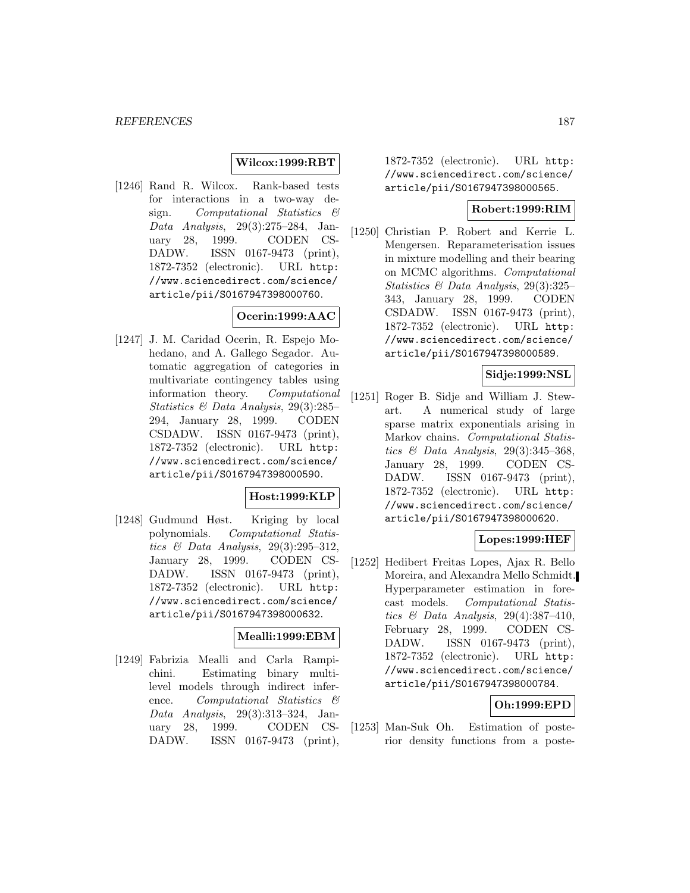### **Wilcox:1999:RBT**

[1246] Rand R. Wilcox. Rank-based tests for interactions in a two-way design. Computational Statistics & Data Analysis, 29(3):275–284, January 28, 1999. CODEN CS-DADW. ISSN 0167-9473 (print), 1872-7352 (electronic). URL http: //www.sciencedirect.com/science/ article/pii/S0167947398000760.

# **Ocerin:1999:AAC**

[1247] J. M. Caridad Ocerin, R. Espejo Mohedano, and A. Gallego Segador. Automatic aggregation of categories in multivariate contingency tables using information theory. Computational Statistics & Data Analysis, 29(3):285– 294, January 28, 1999. CODEN CSDADW. ISSN 0167-9473 (print), 1872-7352 (electronic). URL http: //www.sciencedirect.com/science/ article/pii/S0167947398000590.

### **Host:1999:KLP**

[1248] Gudmund Høst. Kriging by local polynomials. Computational Statistics  $\mathcal C$  Data Analysis, 29(3):295-312. January 28, 1999. CODEN CS-DADW. ISSN 0167-9473 (print), 1872-7352 (electronic). URL http: //www.sciencedirect.com/science/ article/pii/S0167947398000632.

### **Mealli:1999:EBM**

[1249] Fabrizia Mealli and Carla Rampichini. Estimating binary multilevel models through indirect inference. Computational Statistics  $\mathcal{B}$ Data Analysis, 29(3):313–324, January 28, 1999. CODEN CS-DADW. ISSN 0167-9473 (print),

1872-7352 (electronic). URL http: //www.sciencedirect.com/science/ article/pii/S0167947398000565.

### **Robert:1999:RIM**

[1250] Christian P. Robert and Kerrie L. Mengersen. Reparameterisation issues in mixture modelling and their bearing on MCMC algorithms. Computational Statistics & Data Analysis, 29(3):325– 343, January 28, 1999. CODEN CSDADW. ISSN 0167-9473 (print), 1872-7352 (electronic). URL http: //www.sciencedirect.com/science/ article/pii/S0167947398000589.

#### **Sidje:1999:NSL**

[1251] Roger B. Sidje and William J. Stewart. A numerical study of large sparse matrix exponentials arising in Markov chains. Computational Statistics & Data Analysis,  $29(3):345-368$ , January 28, 1999. CODEN CS-DADW. ISSN 0167-9473 (print), 1872-7352 (electronic). URL http: //www.sciencedirect.com/science/ article/pii/S0167947398000620.

### **Lopes:1999:HEF**

[1252] Hedibert Freitas Lopes, Ajax R. Bello Moreira, and Alexandra Mello Schmidt. Hyperparameter estimation in forecast models. Computational Statistics & Data Analysis, 29(4):387–410, February 28, 1999. CODEN CS-DADW. ISSN 0167-9473 (print), 1872-7352 (electronic). URL http: //www.sciencedirect.com/science/ article/pii/S0167947398000784.

### **Oh:1999:EPD**

[1253] Man-Suk Oh. Estimation of posterior density functions from a poste-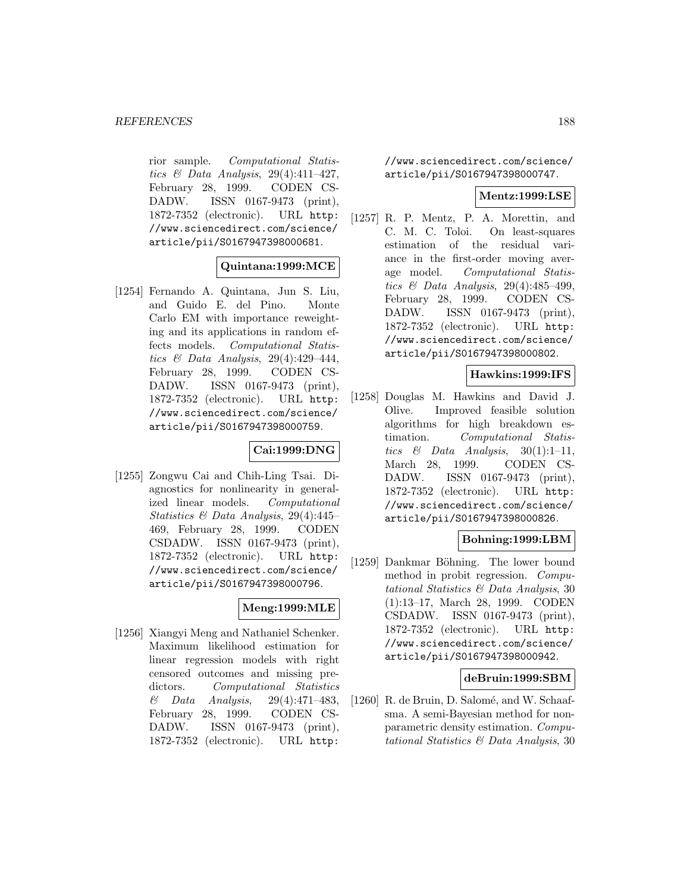rior sample. Computational Statistics  $\mathcal C$  Data Analysis, 29(4):411-427, February 28, 1999. CODEN CS-DADW. ISSN 0167-9473 (print), 1872-7352 (electronic). URL http: //www.sciencedirect.com/science/ article/pii/S0167947398000681.

### **Quintana:1999:MCE**

[1254] Fernando A. Quintana, Jun S. Liu, and Guido E. del Pino. Monte Carlo EM with importance reweighting and its applications in random effects models. Computational Statistics  $\mathcal C$  Data Analysis, 29(4):429-444, February 28, 1999. CODEN CS-DADW. ISSN 0167-9473 (print), 1872-7352 (electronic). URL http: //www.sciencedirect.com/science/ article/pii/S0167947398000759.

# **Cai:1999:DNG**

[1255] Zongwu Cai and Chih-Ling Tsai. Diagnostics for nonlinearity in generalized linear models. Computational Statistics & Data Analysis, 29(4):445– 469, February 28, 1999. CODEN CSDADW. ISSN 0167-9473 (print), 1872-7352 (electronic). URL http: //www.sciencedirect.com/science/ article/pii/S0167947398000796.

# **Meng:1999:MLE**

[1256] Xiangyi Meng and Nathaniel Schenker. Maximum likelihood estimation for linear regression models with right censored outcomes and missing predictors. Computational Statistics & Data Analysis, 29(4):471–483, February 28, 1999. CODEN CS-DADW. ISSN 0167-9473 (print), 1872-7352 (electronic). URL http:

//www.sciencedirect.com/science/ article/pii/S0167947398000747.

#### **Mentz:1999:LSE**

[1257] R. P. Mentz, P. A. Morettin, and C. M. C. Toloi. On least-squares estimation of the residual variance in the first-order moving average model. Computational Statistics & Data Analysis, 29(4):485–499, February 28, 1999. CODEN CS-DADW. ISSN 0167-9473 (print), 1872-7352 (electronic). URL http: //www.sciencedirect.com/science/ article/pii/S0167947398000802.

#### **Hawkins:1999:IFS**

[1258] Douglas M. Hawkins and David J. Olive. Improved feasible solution algorithms for high breakdown estimation. Computational Statistics & Data Analysis,  $30(1):1-11$ , March 28, 1999. CODEN CS-DADW. ISSN 0167-9473 (print), 1872-7352 (electronic). URL http: //www.sciencedirect.com/science/ article/pii/S0167947398000826.

#### **Bohning:1999:LBM**

[1259] Dankmar Böhning. The lower bound method in probit regression. Computational Statistics & Data Analysis, 30 (1):13–17, March 28, 1999. CODEN CSDADW. ISSN 0167-9473 (print), 1872-7352 (electronic). URL http: //www.sciencedirect.com/science/ article/pii/S0167947398000942.

#### **deBruin:1999:SBM**

[1260] R. de Bruin, D. Salomé, and W. Schaafsma. A semi-Bayesian method for nonparametric density estimation. Computational Statistics & Data Analysis, 30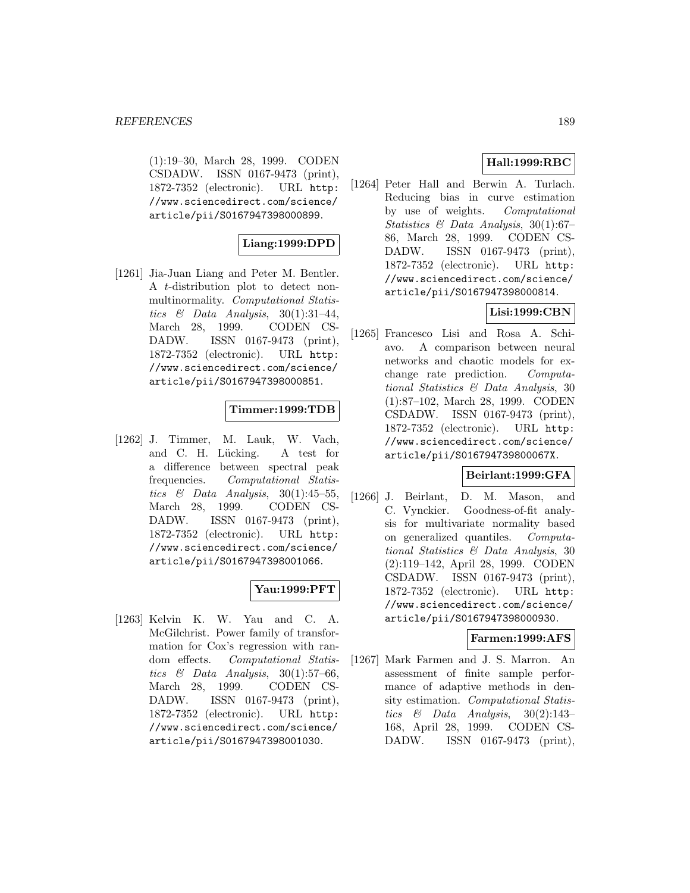(1):19–30, March 28, 1999. CODEN CSDADW. ISSN 0167-9473 (print), 1872-7352 (electronic). URL http: //www.sciencedirect.com/science/ article/pii/S0167947398000899.

## **Liang:1999:DPD**

[1261] Jia-Juan Liang and Peter M. Bentler. A t-distribution plot to detect nonmultinormality. Computational Statistics & Data Analysis,  $30(1):31-44$ , March 28, 1999. CODEN CS-DADW. ISSN 0167-9473 (print), 1872-7352 (electronic). URL http: //www.sciencedirect.com/science/ article/pii/S0167947398000851.

## **Timmer:1999:TDB**

[1262] J. Timmer, M. Lauk, W. Vach, and C. H. Lücking. A test for a difference between spectral peak frequencies. Computational Statistics & Data Analysis,  $30(1):45-55$ , March 28, 1999. CODEN CS-DADW. ISSN 0167-9473 (print), 1872-7352 (electronic). URL http: //www.sciencedirect.com/science/ article/pii/S0167947398001066.

# **Yau:1999:PFT**

[1263] Kelvin K. W. Yau and C. A. McGilchrist. Power family of transformation for Cox's regression with random effects. Computational Statistics  $\&$  Data Analysis, 30(1):57–66, March 28, 1999. CODEN CS-DADW. ISSN 0167-9473 (print), 1872-7352 (electronic). URL http: //www.sciencedirect.com/science/ article/pii/S0167947398001030.

# **Hall:1999:RBC**

[1264] Peter Hall and Berwin A. Turlach. Reducing bias in curve estimation by use of weights. Computational Statistics & Data Analysis, 30(1):67– 86, March 28, 1999. CODEN CS-DADW. ISSN 0167-9473 (print), 1872-7352 (electronic). URL http: //www.sciencedirect.com/science/ article/pii/S0167947398000814.

# **Lisi:1999:CBN**

[1265] Francesco Lisi and Rosa A. Schiavo. A comparison between neural networks and chaotic models for exchange rate prediction. Computational Statistics & Data Analysis, 30 (1):87–102, March 28, 1999. CODEN CSDADW. ISSN 0167-9473 (print), 1872-7352 (electronic). URL http: //www.sciencedirect.com/science/ article/pii/S016794739800067X.

### **Beirlant:1999:GFA**

[1266] J. Beirlant, D. M. Mason, and C. Vynckier. Goodness-of-fit analysis for multivariate normality based on generalized quantiles. Computational Statistics & Data Analysis, 30 (2):119–142, April 28, 1999. CODEN CSDADW. ISSN 0167-9473 (print), 1872-7352 (electronic). URL http: //www.sciencedirect.com/science/ article/pii/S0167947398000930.

### **Farmen:1999:AFS**

[1267] Mark Farmen and J. S. Marron. An assessment of finite sample performance of adaptive methods in density estimation. Computational Statistics & Data Analysis, 30(2):143– 168, April 28, 1999. CODEN CS-DADW. ISSN 0167-9473 (print),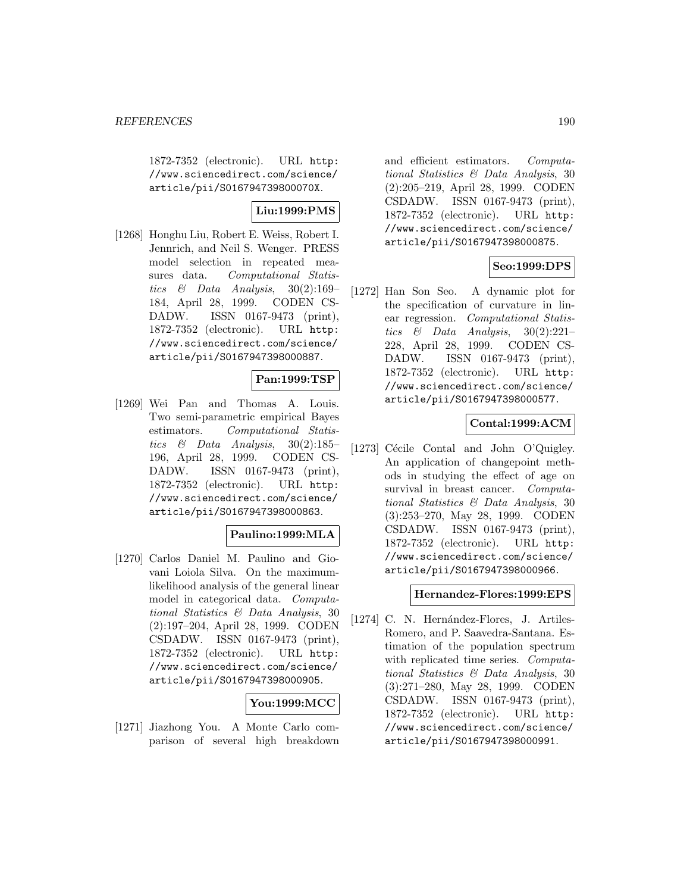1872-7352 (electronic). URL http: //www.sciencedirect.com/science/ article/pii/S016794739800070X.

# **Liu:1999:PMS**

[1268] Honghu Liu, Robert E. Weiss, Robert I. Jennrich, and Neil S. Wenger. PRESS model selection in repeated measures data. Computational Statistics & Data Analysis, 30(2):169– 184, April 28, 1999. CODEN CS-DADW. ISSN 0167-9473 (print), 1872-7352 (electronic). URL http: //www.sciencedirect.com/science/ article/pii/S0167947398000887.

## **Pan:1999:TSP**

[1269] Wei Pan and Thomas A. Louis. Two semi-parametric empirical Bayes estimators. Computational Statistics & Data Analysis,  $30(2):185-$ 196, April 28, 1999. CODEN CS-DADW. ISSN 0167-9473 (print), 1872-7352 (electronic). URL http: //www.sciencedirect.com/science/ article/pii/S0167947398000863.

### **Paulino:1999:MLA**

[1270] Carlos Daniel M. Paulino and Giovani Loiola Silva. On the maximumlikelihood analysis of the general linear model in categorical data. Computational Statistics & Data Analysis, 30 (2):197–204, April 28, 1999. CODEN CSDADW. ISSN 0167-9473 (print), 1872-7352 (electronic). URL http: //www.sciencedirect.com/science/ article/pii/S0167947398000905.

### **You:1999:MCC**

[1271] Jiazhong You. A Monte Carlo comparison of several high breakdown

and efficient estimators. Computational Statistics & Data Analysis, 30 (2):205–219, April 28, 1999. CODEN CSDADW. ISSN 0167-9473 (print), 1872-7352 (electronic). URL http: //www.sciencedirect.com/science/ article/pii/S0167947398000875.

### **Seo:1999:DPS**

[1272] Han Son Seo. A dynamic plot for the specification of curvature in linear regression. Computational Statistics & Data Analysis, 30(2):221– 228, April 28, 1999. CODEN CS-DADW. ISSN 0167-9473 (print), 1872-7352 (electronic). URL http: //www.sciencedirect.com/science/ article/pii/S0167947398000577.

## **Contal:1999:ACM**

[1273] Cécile Contal and John O'Quigley. An application of changepoint methods in studying the effect of age on survival in breast cancer. Computational Statistics & Data Analysis, 30 (3):253–270, May 28, 1999. CODEN CSDADW. ISSN 0167-9473 (print), 1872-7352 (electronic). URL http: //www.sciencedirect.com/science/ article/pii/S0167947398000966.

### **Hernandez-Flores:1999:EPS**

[1274] C. N. Hernández-Flores, J. Artiles-Romero, and P. Saavedra-Santana. Estimation of the population spectrum with replicated time series. *Computa*tional Statistics & Data Analysis, 30 (3):271–280, May 28, 1999. CODEN CSDADW. ISSN 0167-9473 (print), 1872-7352 (electronic). URL http: //www.sciencedirect.com/science/ article/pii/S0167947398000991.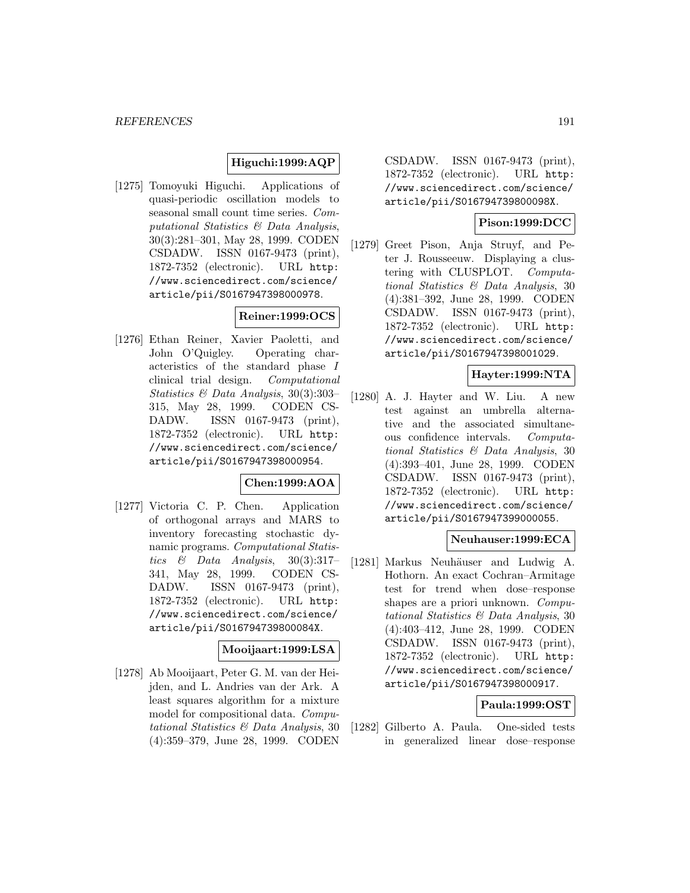### **Higuchi:1999:AQP**

[1275] Tomoyuki Higuchi. Applications of quasi-periodic oscillation models to seasonal small count time series. Computational Statistics & Data Analysis, 30(3):281–301, May 28, 1999. CODEN CSDADW. ISSN 0167-9473 (print), 1872-7352 (electronic). URL http: //www.sciencedirect.com/science/ article/pii/S0167947398000978.

# **Reiner:1999:OCS**

[1276] Ethan Reiner, Xavier Paoletti, and John O'Quigley. Operating characteristics of the standard phase I clinical trial design. Computational Statistics & Data Analysis, 30(3):303– 315, May 28, 1999. CODEN CS-DADW. ISSN 0167-9473 (print), 1872-7352 (electronic). URL http: //www.sciencedirect.com/science/ article/pii/S0167947398000954.

# **Chen:1999:AOA**

[1277] Victoria C. P. Chen. Application of orthogonal arrays and MARS to inventory forecasting stochastic dynamic programs. Computational Statistics  $\&$  Data Analysis, 30(3):317-341, May 28, 1999. CODEN CS-DADW. ISSN 0167-9473 (print), 1872-7352 (electronic). URL http: //www.sciencedirect.com/science/ article/pii/S016794739800084X.

### **Mooijaart:1999:LSA**

[1278] Ab Mooijaart, Peter G. M. van der Heijden, and L. Andries van der Ark. A least squares algorithm for a mixture model for compositional data. Computational Statistics & Data Analysis, 30 (4):359–379, June 28, 1999. CODEN

CSDADW. ISSN 0167-9473 (print), 1872-7352 (electronic). URL http: //www.sciencedirect.com/science/ article/pii/S016794739800098X.

## **Pison:1999:DCC**

[1279] Greet Pison, Anja Struyf, and Peter J. Rousseeuw. Displaying a clustering with CLUSPLOT. Computational Statistics & Data Analysis, 30 (4):381–392, June 28, 1999. CODEN CSDADW. ISSN 0167-9473 (print), 1872-7352 (electronic). URL http: //www.sciencedirect.com/science/ article/pii/S0167947398001029.

## **Hayter:1999:NTA**

[1280] A. J. Hayter and W. Liu. A new test against an umbrella alternative and the associated simultaneous confidence intervals. Computational Statistics & Data Analysis, 30 (4):393–401, June 28, 1999. CODEN CSDADW. ISSN 0167-9473 (print), 1872-7352 (electronic). URL http: //www.sciencedirect.com/science/ article/pii/S0167947399000055.

# **Neuhauser:1999:ECA**

[1281] Markus Neuhäuser and Ludwig A. Hothorn. An exact Cochran–Armitage test for trend when dose–response shapes are a priori unknown. Computational Statistics & Data Analysis, 30 (4):403–412, June 28, 1999. CODEN CSDADW. ISSN 0167-9473 (print), 1872-7352 (electronic). URL http: //www.sciencedirect.com/science/ article/pii/S0167947398000917.

### **Paula:1999:OST**

[1282] Gilberto A. Paula. One-sided tests in generalized linear dose–response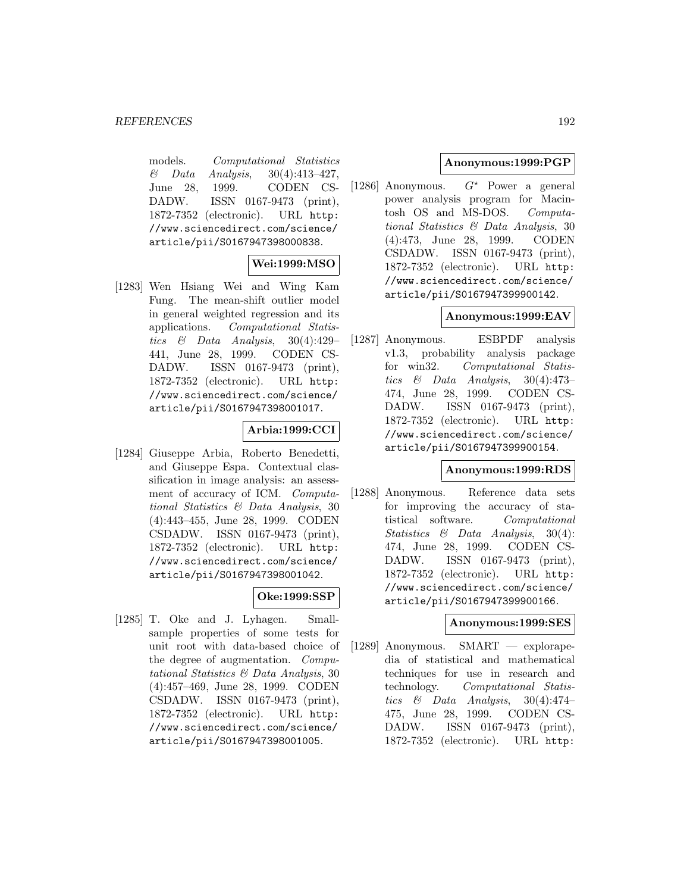models. Computational Statistics  $\&$  Data Analysis, 30(4):413-427, June 28, 1999. CODEN CS-DADW. ISSN 0167-9473 (print), 1872-7352 (electronic). URL http: //www.sciencedirect.com/science/ article/pii/S0167947398000838.

# **Wei:1999:MSO**

[1283] Wen Hsiang Wei and Wing Kam Fung. The mean-shift outlier model in general weighted regression and its applications. Computational Statistics & Data Analysis, 30(4):429– 441, June 28, 1999. CODEN CS-DADW. ISSN 0167-9473 (print), 1872-7352 (electronic). URL http: //www.sciencedirect.com/science/ article/pii/S0167947398001017.

## **Arbia:1999:CCI**

[1284] Giuseppe Arbia, Roberto Benedetti, and Giuseppe Espa. Contextual classification in image analysis: an assessment of accuracy of ICM. Computational Statistics & Data Analysis, 30 (4):443–455, June 28, 1999. CODEN CSDADW. ISSN 0167-9473 (print), 1872-7352 (electronic). URL http: //www.sciencedirect.com/science/ article/pii/S0167947398001042.

### **Oke:1999:SSP**

[1285] T. Oke and J. Lyhagen. Smallsample properties of some tests for unit root with data-based choice of the degree of augmentation. Computational Statistics & Data Analysis, 30 (4):457–469, June 28, 1999. CODEN CSDADW. ISSN 0167-9473 (print), 1872-7352 (electronic). URL http: //www.sciencedirect.com/science/ article/pii/S0167947398001005.

# **Anonymous:1999:PGP**

[1286] Anonymous.  $G^*$  Power a general power analysis program for Macintosh OS and MS-DOS. Computational Statistics & Data Analysis, 30 (4):473, June 28, 1999. CODEN CSDADW. ISSN 0167-9473 (print), 1872-7352 (electronic). URL http: //www.sciencedirect.com/science/ article/pii/S0167947399900142.

# **Anonymous:1999:EAV**

[1287] Anonymous. ESBPDF analysis v1.3, probability analysis package for win32. Computational Statistics & Data Analysis,  $30(4):473-$ 474, June 28, 1999. CODEN CS-DADW. ISSN 0167-9473 (print), 1872-7352 (electronic). URL http: //www.sciencedirect.com/science/ article/pii/S0167947399900154.

### **Anonymous:1999:RDS**

[1288] Anonymous. Reference data sets for improving the accuracy of statistical software. Computational Statistics & Data Analysis, 30(4): 474, June 28, 1999. CODEN CS-DADW. ISSN 0167-9473 (print), 1872-7352 (electronic). URL http: //www.sciencedirect.com/science/ article/pii/S0167947399900166.

### **Anonymous:1999:SES**

[1289] Anonymous. SMART — explorapedia of statistical and mathematical techniques for use in research and technology. Computational Statistics & Data Analysis,  $30(4):474-$ 475, June 28, 1999. CODEN CS-DADW. ISSN 0167-9473 (print), 1872-7352 (electronic). URL http: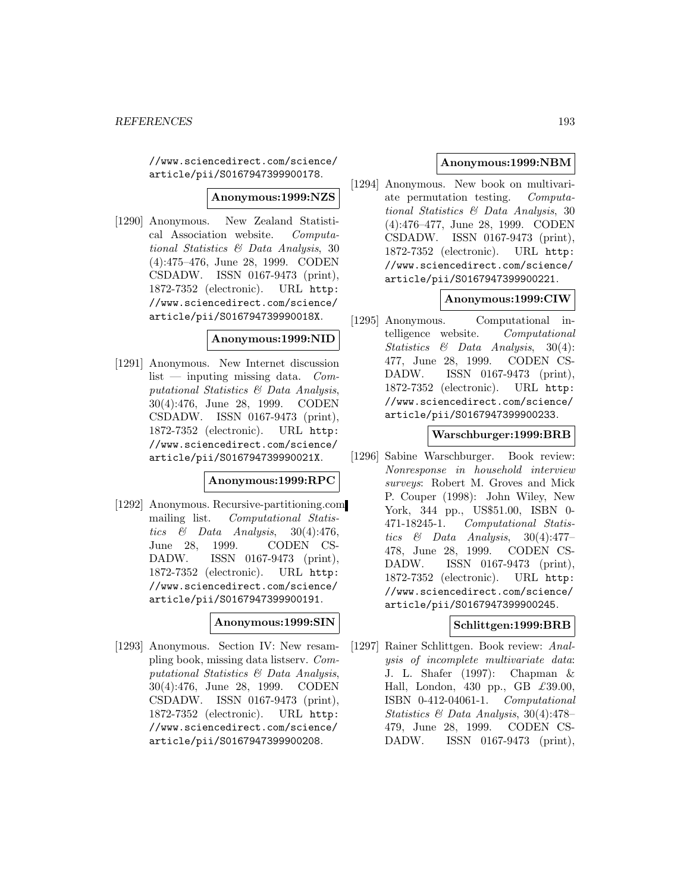//www.sciencedirect.com/science/ article/pii/S0167947399900178.

# **Anonymous:1999:NZS**

[1290] Anonymous. New Zealand Statistical Association website. Computational Statistics & Data Analysis, 30 (4):475–476, June 28, 1999. CODEN CSDADW. ISSN 0167-9473 (print), 1872-7352 (electronic). URL http: //www.sciencedirect.com/science/ article/pii/S016794739990018X.

#### **Anonymous:1999:NID**

[1291] Anonymous. New Internet discussion  $list$  — inputing missing data. *Com*putational Statistics & Data Analysis, 30(4):476, June 28, 1999. CODEN CSDADW. ISSN 0167-9473 (print), 1872-7352 (electronic). URL http: //www.sciencedirect.com/science/ article/pii/S016794739990021X.

### **Anonymous:1999:RPC**

[1292] Anonymous. Recursive-partitioning.com mailing list. Computational Statistics & Data Analysis,  $30(4):476$ , June 28, 1999. CODEN CS-DADW. ISSN 0167-9473 (print), 1872-7352 (electronic). URL http: //www.sciencedirect.com/science/ article/pii/S0167947399900191.

### **Anonymous:1999:SIN**

[1293] Anonymous. Section IV: New resampling book, missing data listserv. Computational Statistics & Data Analysis, 30(4):476, June 28, 1999. CODEN CSDADW. ISSN 0167-9473 (print), 1872-7352 (electronic). URL http: //www.sciencedirect.com/science/ article/pii/S0167947399900208.

### **Anonymous:1999:NBM**

[1294] Anonymous. New book on multivariate permutation testing. Computational Statistics & Data Analysis, 30 (4):476–477, June 28, 1999. CODEN CSDADW. ISSN 0167-9473 (print), 1872-7352 (electronic). URL http: //www.sciencedirect.com/science/ article/pii/S0167947399900221.

# **Anonymous:1999:CIW**

[1295] Anonymous. Computational intelligence website. Computational Statistics & Data Analysis, 30(4): 477, June 28, 1999. CODEN CS-DADW. ISSN 0167-9473 (print), 1872-7352 (electronic). URL http: //www.sciencedirect.com/science/ article/pii/S0167947399900233.

#### **Warschburger:1999:BRB**

[1296] Sabine Warschburger. Book review: Nonresponse in household interview surveys: Robert M. Groves and Mick P. Couper (1998): John Wiley, New York, 344 pp., US\$51.00, ISBN 0- 471-18245-1. Computational Statistics  $\&$  Data Analysis, 30(4):477– 478, June 28, 1999. CODEN CS-DADW. ISSN 0167-9473 (print), 1872-7352 (electronic). URL http: //www.sciencedirect.com/science/ article/pii/S0167947399900245.

### **Schlittgen:1999:BRB**

[1297] Rainer Schlittgen. Book review: Analysis of incomplete multivariate data: J. L. Shafer (1997): Chapman & Hall, London, 430 pp., GB  $\pounds 39.00$ , ISBN 0-412-04061-1. Computational Statistics & Data Analysis, 30(4):478– 479, June 28, 1999. CODEN CS-DADW. ISSN 0167-9473 (print),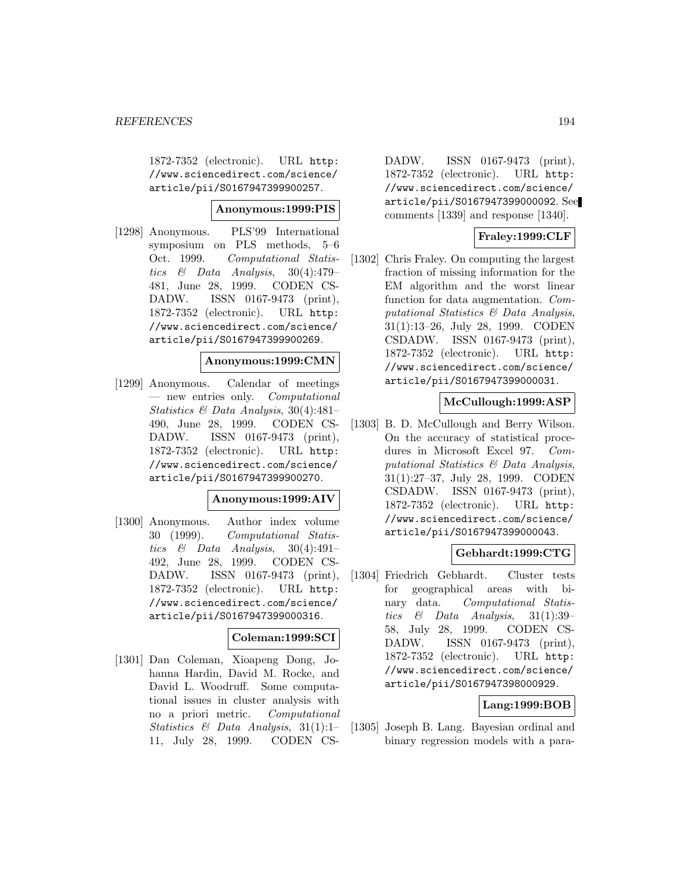1872-7352 (electronic). URL http: //www.sciencedirect.com/science/ article/pii/S0167947399900257.

#### **Anonymous:1999:PIS**

[1298] Anonymous. PLS'99 International symposium on PLS methods, 5–6 Oct. 1999. Computational Statistics & Data Analysis, 30(4):479– 481, June 28, 1999. CODEN CS-DADW. ISSN 0167-9473 (print), 1872-7352 (electronic). URL http: //www.sciencedirect.com/science/ article/pii/S0167947399900269.

#### **Anonymous:1999:CMN**

[1299] Anonymous. Calendar of meetings — new entries only. Computational Statistics & Data Analysis, 30(4):481– 490, June 28, 1999. CODEN CS-DADW. ISSN 0167-9473 (print), 1872-7352 (electronic). URL http: //www.sciencedirect.com/science/ article/pii/S0167947399900270.

#### **Anonymous:1999:AIV**

[1300] Anonymous. Author index volume 30 (1999). Computational Statistics & Data Analysis,  $30(4):491-$ 492, June 28, 1999. CODEN CS-DADW. ISSN 0167-9473 (print), 1872-7352 (electronic). URL http: //www.sciencedirect.com/science/ article/pii/S0167947399000316.

#### **Coleman:1999:SCI**

[1301] Dan Coleman, Xioapeng Dong, Johanna Hardin, David M. Rocke, and David L. Woodruff. Some computational issues in cluster analysis with no a priori metric. Computational Statistics  $\&$  Data Analysis, 31(1):1– 11, July 28, 1999. CODEN CS-

DADW. ISSN 0167-9473 (print), 1872-7352 (electronic). URL http: //www.sciencedirect.com/science/ article/pii/S0167947399000092. See comments [1339] and response [1340].

# **Fraley:1999:CLF**

[1302] Chris Fraley. On computing the largest fraction of missing information for the EM algorithm and the worst linear function for data augmentation. Computational Statistics & Data Analysis, 31(1):13–26, July 28, 1999. CODEN CSDADW. ISSN 0167-9473 (print), 1872-7352 (electronic). URL http: //www.sciencedirect.com/science/ article/pii/S0167947399000031.

### **McCullough:1999:ASP**

[1303] B. D. McCullough and Berry Wilson. On the accuracy of statistical procedures in Microsoft Excel 97. Computational Statistics & Data Analysis, 31(1):27–37, July 28, 1999. CODEN CSDADW. ISSN 0167-9473 (print), 1872-7352 (electronic). URL http: //www.sciencedirect.com/science/ article/pii/S0167947399000043.

### **Gebhardt:1999:CTG**

[1304] Friedrich Gebhardt. Cluster tests for geographical areas with binary data. Computational Statistics & Data Analysis, 31(1):39– 58, July 28, 1999. CODEN CS-DADW. ISSN 0167-9473 (print), 1872-7352 (electronic). URL http: //www.sciencedirect.com/science/ article/pii/S0167947398000929.

### **Lang:1999:BOB**

[1305] Joseph B. Lang. Bayesian ordinal and binary regression models with a para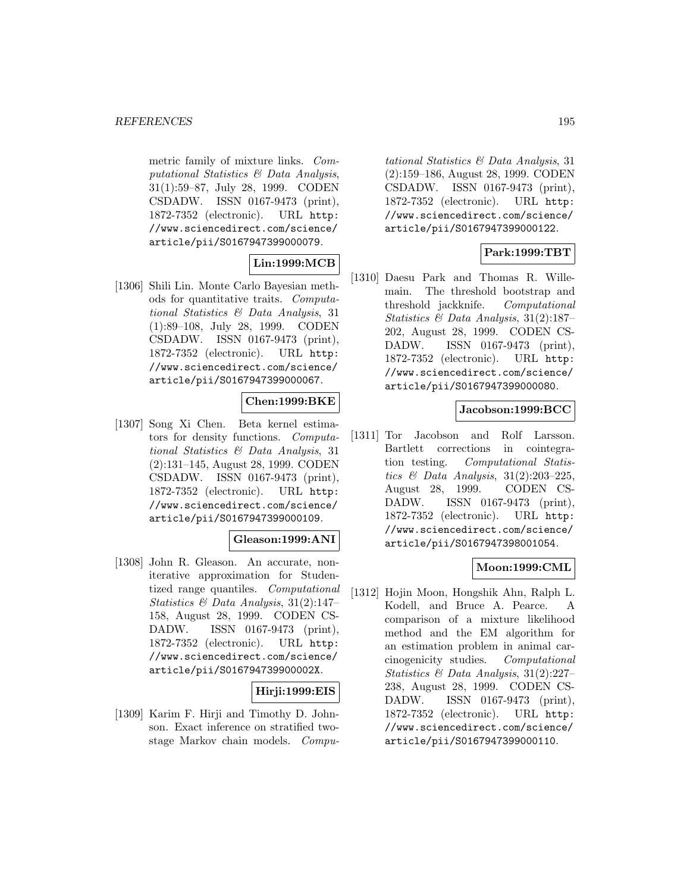metric family of mixture links. Computational Statistics & Data Analysis, 31(1):59–87, July 28, 1999. CODEN CSDADW. ISSN 0167-9473 (print), 1872-7352 (electronic). URL http: //www.sciencedirect.com/science/ article/pii/S0167947399000079.

# **Lin:1999:MCB**

[1306] Shili Lin. Monte Carlo Bayesian methods for quantitative traits. Computational Statistics & Data Analysis, 31 (1):89–108, July 28, 1999. CODEN CSDADW. ISSN 0167-9473 (print), 1872-7352 (electronic). URL http: //www.sciencedirect.com/science/ article/pii/S0167947399000067.

## **Chen:1999:BKE**

[1307] Song Xi Chen. Beta kernel estimators for density functions. Computational Statistics & Data Analysis, 31 (2):131–145, August 28, 1999. CODEN CSDADW. ISSN 0167-9473 (print), 1872-7352 (electronic). URL http: //www.sciencedirect.com/science/ article/pii/S0167947399000109.

### **Gleason:1999:ANI**

[1308] John R. Gleason. An accurate, noniterative approximation for Studentized range quantiles. Computational Statistics & Data Analysis, 31(2):147– 158, August 28, 1999. CODEN CS-DADW. ISSN 0167-9473 (print), 1872-7352 (electronic). URL http: //www.sciencedirect.com/science/ article/pii/S016794739900002X.

### **Hirji:1999:EIS**

[1309] Karim F. Hirji and Timothy D. Johnson. Exact inference on stratified twostage Markov chain models. Compu-

tational Statistics & Data Analysis, 31 (2):159–186, August 28, 1999. CODEN CSDADW. ISSN 0167-9473 (print), 1872-7352 (electronic). URL http: //www.sciencedirect.com/science/ article/pii/S0167947399000122.

## **Park:1999:TBT**

[1310] Daesu Park and Thomas R. Willemain. The threshold bootstrap and threshold jackknife. Computational Statistics & Data Analysis, 31(2):187– 202, August 28, 1999. CODEN CS-DADW. ISSN 0167-9473 (print), 1872-7352 (electronic). URL http: //www.sciencedirect.com/science/ article/pii/S0167947399000080.

## **Jacobson:1999:BCC**

[1311] Tor Jacobson and Rolf Larsson. Bartlett corrections in cointegration testing. Computational Statistics & Data Analysis,  $31(2):203-225$ , August 28, 1999. CODEN CS-DADW. ISSN 0167-9473 (print), 1872-7352 (electronic). URL http: //www.sciencedirect.com/science/ article/pii/S0167947398001054.

### **Moon:1999:CML**

[1312] Hojin Moon, Hongshik Ahn, Ralph L. Kodell, and Bruce A. Pearce. A comparison of a mixture likelihood method and the EM algorithm for an estimation problem in animal carcinogenicity studies. Computational Statistics & Data Analysis, 31(2):227– 238, August 28, 1999. CODEN CS-DADW. ISSN 0167-9473 (print), 1872-7352 (electronic). URL http: //www.sciencedirect.com/science/ article/pii/S0167947399000110.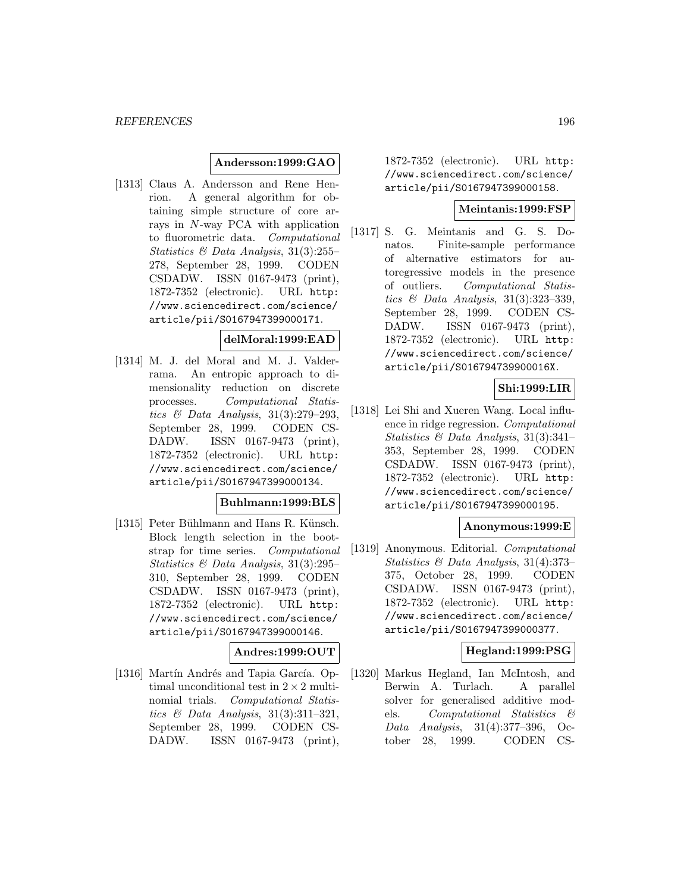### **Andersson:1999:GAO**

[1313] Claus A. Andersson and Rene Henrion. A general algorithm for obtaining simple structure of core arrays in N-way PCA with application to fluorometric data. Computational Statistics & Data Analysis, 31(3):255– 278, September 28, 1999. CODEN CSDADW. ISSN 0167-9473 (print), 1872-7352 (electronic). URL http: //www.sciencedirect.com/science/ article/pii/S0167947399000171.

## **delMoral:1999:EAD**

[1314] M. J. del Moral and M. J. Valderrama. An entropic approach to dimensionality reduction on discrete processes. Computational Statistics & Data Analysis, 31(3):279–293, September 28, 1999. CODEN CS-DADW. ISSN 0167-9473 (print), 1872-7352 (electronic). URL http: //www.sciencedirect.com/science/ article/pii/S0167947399000134.

# **Buhlmann:1999:BLS**

[1315] Peter Bühlmann and Hans R. Künsch. Block length selection in the bootstrap for time series. Computational Statistics & Data Analysis, 31(3):295– 310, September 28, 1999. CODEN CSDADW. ISSN 0167-9473 (print), 1872-7352 (electronic). URL http: //www.sciencedirect.com/science/ article/pii/S0167947399000146.

# **Andres:1999:OUT**

[1316] Martín Andrés and Tapia García. Optimal unconditional test in  $2 \times 2$  multinomial trials. Computational Statistics  $\mathcal C$  Data Analysis, 31(3):311-321, September 28, 1999. CODEN CS-DADW. ISSN 0167-9473 (print),

1872-7352 (electronic). URL http: //www.sciencedirect.com/science/ article/pii/S0167947399000158.

### **Meintanis:1999:FSP**

[1317] S. G. Meintanis and G. S. Donatos. Finite-sample performance of alternative estimators for autoregressive models in the presence of outliers. Computational Statistics & Data Analysis, 31(3):323–339, September 28, 1999. CODEN CS-DADW. ISSN 0167-9473 (print), 1872-7352 (electronic). URL http: //www.sciencedirect.com/science/ article/pii/S016794739900016X.

## **Shi:1999:LIR**

[1318] Lei Shi and Xueren Wang. Local influence in ridge regression. Computational Statistics & Data Analysis, 31(3):341– 353, September 28, 1999. CODEN CSDADW. ISSN 0167-9473 (print), 1872-7352 (electronic). URL http: //www.sciencedirect.com/science/ article/pii/S0167947399000195.

#### **Anonymous:1999:E**

[1319] Anonymous. Editorial. Computational Statistics & Data Analysis, 31(4):373– 375, October 28, 1999. CODEN CSDADW. ISSN 0167-9473 (print), 1872-7352 (electronic). URL http: //www.sciencedirect.com/science/ article/pii/S0167947399000377.

### **Hegland:1999:PSG**

[1320] Markus Hegland, Ian McIntosh, and Berwin A. Turlach. A parallel solver for generalised additive models. Computational Statistics & Data Analysis, 31(4):377–396, October 28, 1999. CODEN CS-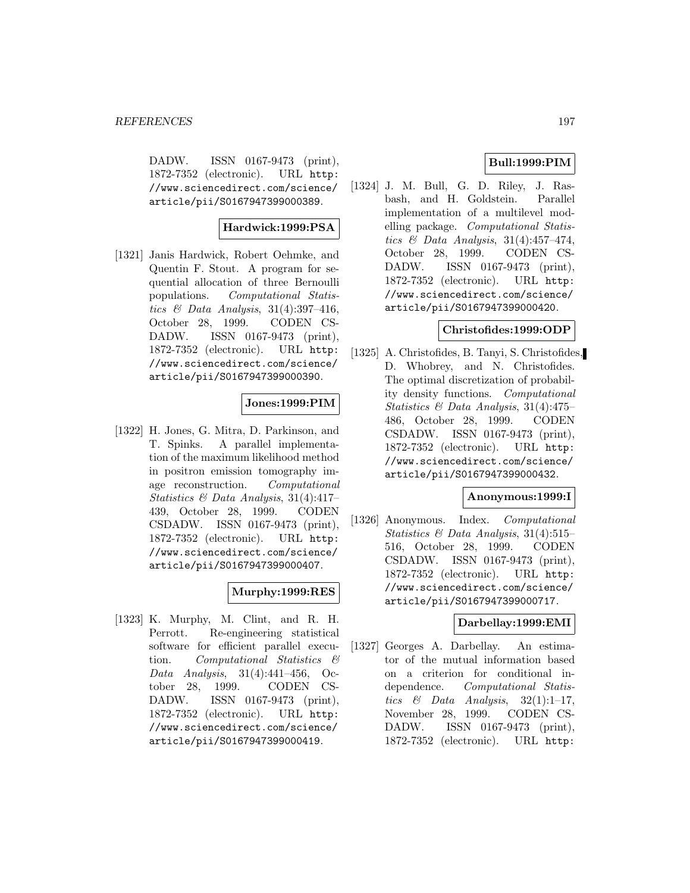DADW. ISSN 0167-9473 (print), 1872-7352 (electronic). URL http: //www.sciencedirect.com/science/ article/pii/S0167947399000389.

# **Hardwick:1999:PSA**

[1321] Janis Hardwick, Robert Oehmke, and Quentin F. Stout. A program for sequential allocation of three Bernoulli populations. Computational Statistics  $\mathcal C$  Data Analysis, 31(4):397-416, October 28, 1999. CODEN CS-DADW. ISSN 0167-9473 (print), 1872-7352 (electronic). URL http: //www.sciencedirect.com/science/ article/pii/S0167947399000390.

## **Jones:1999:PIM**

[1322] H. Jones, G. Mitra, D. Parkinson, and T. Spinks. A parallel implementation of the maximum likelihood method in positron emission tomography image reconstruction. Computational Statistics & Data Analysis, 31(4):417– 439, October 28, 1999. CODEN CSDADW. ISSN 0167-9473 (print), 1872-7352 (electronic). URL http: //www.sciencedirect.com/science/ article/pii/S0167947399000407.

# **Murphy:1999:RES**

[1323] K. Murphy, M. Clint, and R. H. Perrott. Re-engineering statistical software for efficient parallel execution. Computational Statistics & Data Analysis, 31(4):441–456, October 28, 1999. CODEN CS-DADW. ISSN 0167-9473 (print), 1872-7352 (electronic). URL http: //www.sciencedirect.com/science/ article/pii/S0167947399000419.

# **Bull:1999:PIM**

[1324] J. M. Bull, G. D. Riley, J. Rasbash, and H. Goldstein. Parallel implementation of a multilevel modelling package. Computational Statistics  $\mathcal B$  Data Analysis, 31(4):457-474, October 28, 1999. CODEN CS-DADW. ISSN 0167-9473 (print), 1872-7352 (electronic). URL http: //www.sciencedirect.com/science/ article/pii/S0167947399000420.

### **Christofides:1999:ODP**

[1325] A. Christofides, B. Tanyi, S. Christofides, D. Whobrey, and N. Christofides. The optimal discretization of probability density functions. Computational Statistics & Data Analysis, 31(4):475– 486, October 28, 1999. CODEN CSDADW. ISSN 0167-9473 (print), 1872-7352 (electronic). URL http: //www.sciencedirect.com/science/ article/pii/S0167947399000432.

### **Anonymous:1999:I**

[1326] Anonymous. Index. Computational Statistics & Data Analysis, 31(4):515– 516, October 28, 1999. CODEN CSDADW. ISSN 0167-9473 (print), 1872-7352 (electronic). URL http: //www.sciencedirect.com/science/ article/pii/S0167947399000717.

### **Darbellay:1999:EMI**

[1327] Georges A. Darbellay. An estimator of the mutual information based on a criterion for conditional independence. Computational Statistics  $\&$  Data Analysis, 32(1):1-17, November 28, 1999. CODEN CS-DADW. ISSN 0167-9473 (print), 1872-7352 (electronic). URL http: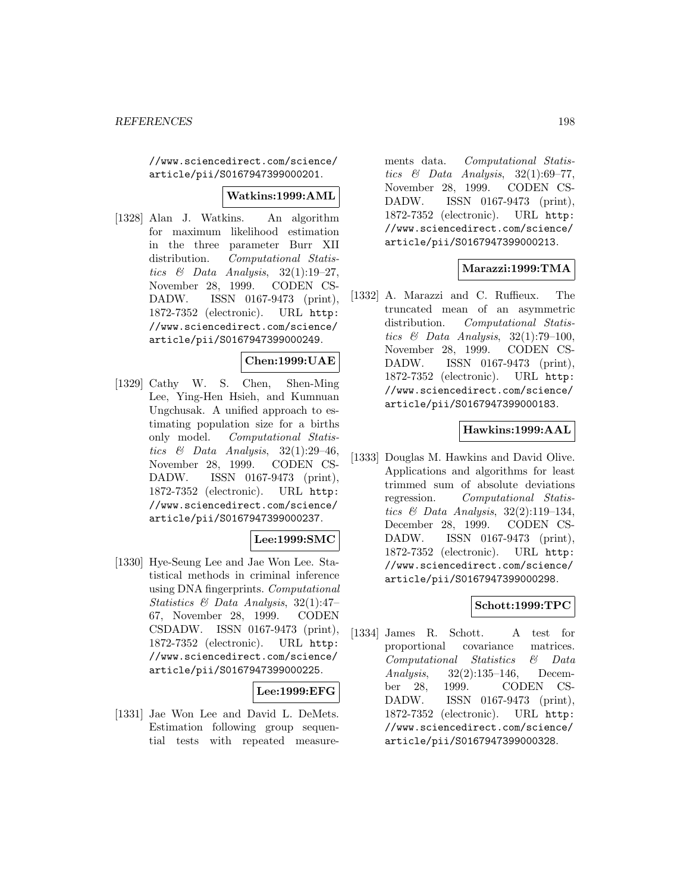//www.sciencedirect.com/science/ article/pii/S0167947399000201.

### **Watkins:1999:AML**

[1328] Alan J. Watkins. An algorithm for maximum likelihood estimation in the three parameter Burr XII distribution. Computational Statistics & Data Analysis,  $32(1):19-27$ , November 28, 1999. CODEN CS-DADW. ISSN 0167-9473 (print), 1872-7352 (electronic). URL http: //www.sciencedirect.com/science/ article/pii/S0167947399000249.

### **Chen:1999:UAE**

[1329] Cathy W. S. Chen, Shen-Ming Lee, Ying-Hen Hsieh, and Kumnuan Ungchusak. A unified approach to estimating population size for a births only model. Computational Statistics & Data Analysis,  $32(1):29-46$ , November 28, 1999. CODEN CS-DADW. ISSN 0167-9473 (print), 1872-7352 (electronic). URL http: //www.sciencedirect.com/science/ article/pii/S0167947399000237.

### **Lee:1999:SMC**

[1330] Hye-Seung Lee and Jae Won Lee. Statistical methods in criminal inference using DNA fingerprints. Computational Statistics & Data Analysis, 32(1):47– 67, November 28, 1999. CODEN CSDADW. ISSN 0167-9473 (print), 1872-7352 (electronic). URL http: //www.sciencedirect.com/science/ article/pii/S0167947399000225.

### **Lee:1999:EFG**

[1331] Jae Won Lee and David L. DeMets. Estimation following group sequential tests with repeated measure-

ments data. Computational Statistics  $\&$  Data Analysis, 32(1):69–77, November 28, 1999. CODEN CS-DADW. ISSN 0167-9473 (print), 1872-7352 (electronic). URL http: //www.sciencedirect.com/science/ article/pii/S0167947399000213.

### **Marazzi:1999:TMA**

[1332] A. Marazzi and C. Ruffieux. The truncated mean of an asymmetric distribution. Computational Statistics  $\&$  Data Analysis, 32(1):79-100, November 28, 1999. CODEN CS-DADW. ISSN 0167-9473 (print), 1872-7352 (electronic). URL http: //www.sciencedirect.com/science/ article/pii/S0167947399000183.

### **Hawkins:1999:AAL**

[1333] Douglas M. Hawkins and David Olive. Applications and algorithms for least trimmed sum of absolute deviations regression. Computational Statistics  $\mathcal B$  Data Analysis, 32(2):119-134, December 28, 1999. CODEN CS-DADW. ISSN 0167-9473 (print), 1872-7352 (electronic). URL http: //www.sciencedirect.com/science/ article/pii/S0167947399000298.

### **Schott:1999:TPC**

[1334] James R. Schott. A test for proportional covariance matrices. Computational Statistics & Data Analysis, 32(2):135–146, December 28, 1999. CODEN CS-DADW. ISSN 0167-9473 (print), 1872-7352 (electronic). URL http: //www.sciencedirect.com/science/ article/pii/S0167947399000328.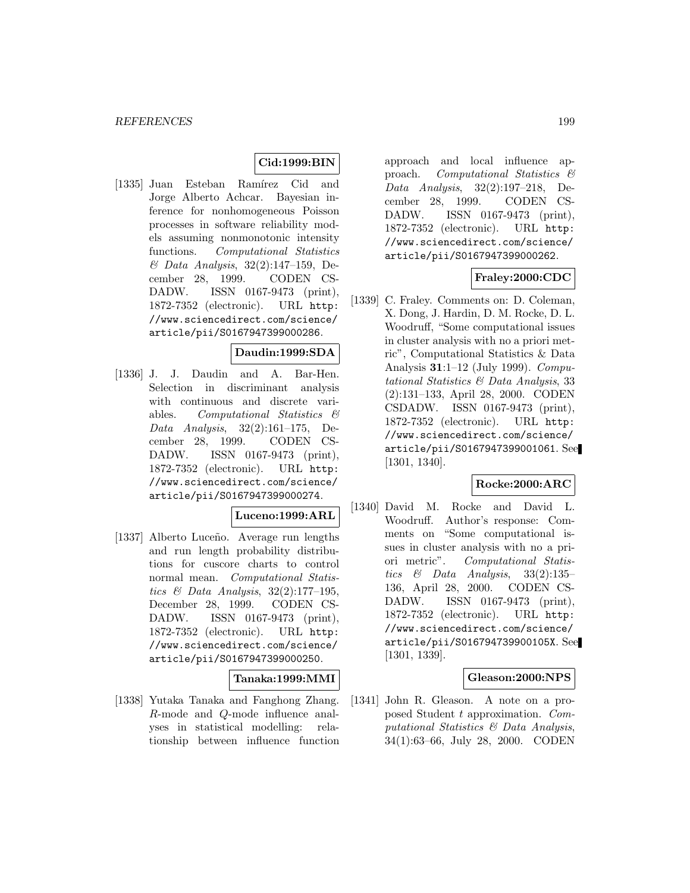# **Cid:1999:BIN**

[1335] Juan Esteban Ramírez Cid and Jorge Alberto Achcar. Bayesian inference for nonhomogeneous Poisson processes in software reliability models assuming nonmonotonic intensity functions. Computational Statistics & Data Analysis, 32(2):147–159, December 28, 1999. CODEN CS-DADW. ISSN 0167-9473 (print), 1872-7352 (electronic). URL http: //www.sciencedirect.com/science/ article/pii/S0167947399000286.

#### **Daudin:1999:SDA**

[1336] J. J. Daudin and A. Bar-Hen. Selection in discriminant analysis with continuous and discrete variables. Computational Statistics & Data Analysis, 32(2):161–175, December 28, 1999. CODEN CS-DADW. ISSN 0167-9473 (print), 1872-7352 (electronic). URL http: //www.sciencedirect.com/science/ article/pii/S0167947399000274.

#### **Luceno:1999:ARL**

[1337] Alberto Luceño. Average run lengths and run length probability distributions for cuscore charts to control normal mean. Computational Statistics & Data Analysis, 32(2):177–195, December 28, 1999. CODEN CS-DADW. ISSN 0167-9473 (print), 1872-7352 (electronic). URL http: //www.sciencedirect.com/science/ article/pii/S0167947399000250.

#### **Tanaka:1999:MMI**

[1338] Yutaka Tanaka and Fanghong Zhang. R-mode and Q-mode influence analyses in statistical modelling: relationship between influence function

approach and local influence approach. Computational Statistics & Data Analysis, 32(2):197–218, December 28, 1999. CODEN CS-DADW. ISSN 0167-9473 (print), 1872-7352 (electronic). URL http: //www.sciencedirect.com/science/ article/pii/S0167947399000262.

### **Fraley:2000:CDC**

[1339] C. Fraley. Comments on: D. Coleman, X. Dong, J. Hardin, D. M. Rocke, D. L. Woodruff, "Some computational issues in cluster analysis with no a priori metric", Computational Statistics & Data Analysis **31**:1–12 (July 1999). Computational Statistics & Data Analysis, 33 (2):131–133, April 28, 2000. CODEN CSDADW. ISSN 0167-9473 (print), 1872-7352 (electronic). URL http: //www.sciencedirect.com/science/ article/pii/S0167947399001061. See [1301, 1340].

#### **Rocke:2000:ARC**

[1340] David M. Rocke and David L. Woodruff. Author's response: Comments on "Some computational issues in cluster analysis with no a priori metric". Computational Statistics  $\&$  Data Analysis, 33(2):135– 136, April 28, 2000. CODEN CS-DADW. ISSN 0167-9473 (print), 1872-7352 (electronic). URL http: //www.sciencedirect.com/science/ article/pii/S016794739900105X. See [1301, 1339].

#### **Gleason:2000:NPS**

[1341] John R. Gleason. A note on a proposed Student t approximation. Computational Statistics & Data Analysis, 34(1):63–66, July 28, 2000. CODEN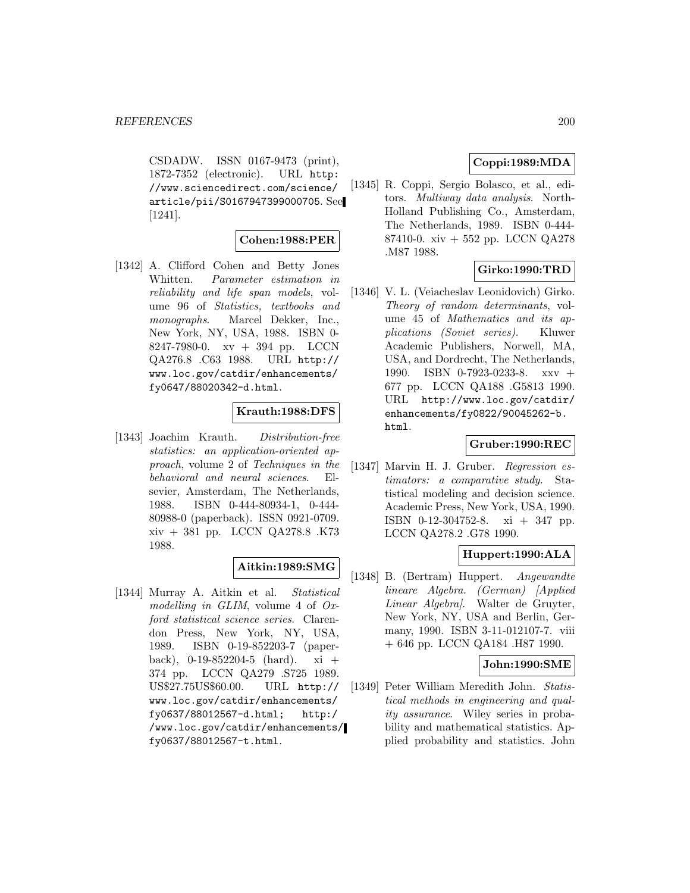CSDADW. ISSN 0167-9473 (print), 1872-7352 (electronic). URL http: //www.sciencedirect.com/science/ article/pii/S0167947399000705. See [1241].

### **Cohen:1988:PER**

[1342] A. Clifford Cohen and Betty Jones Whitten. Parameter estimation in reliability and life span models, volume 96 of Statistics, textbooks and monographs. Marcel Dekker, Inc., New York, NY, USA, 1988. ISBN 0- 8247-7980-0. xv + 394 pp. LCCN QA276.8 .C63 1988. URL http:// www.loc.gov/catdir/enhancements/ fy0647/88020342-d.html.

### **Krauth:1988:DFS**

[1343] Joachim Krauth. Distribution-free statistics: an application-oriented approach, volume 2 of Techniques in the behavioral and neural sciences. Elsevier, Amsterdam, The Netherlands, 1988. ISBN 0-444-80934-1, 0-444- 80988-0 (paperback). ISSN 0921-0709. xiv + 381 pp. LCCN QA278.8 .K73 1988.

### **Aitkin:1989:SMG**

[1344] Murray A. Aitkin et al. Statistical modelling in GLIM, volume 4 of Oxford statistical science series. Clarendon Press, New York, NY, USA, 1989. ISBN 0-19-852203-7 (paperback),  $0-19-852204-5$  (hard). xi + 374 pp. LCCN QA279 .S725 1989. US\$27.75US\$60.00. URL http:// www.loc.gov/catdir/enhancements/ fy0637/88012567-d.html; http:/ /www.loc.gov/catdir/enhancements/ fy0637/88012567-t.html.

# **Coppi:1989:MDA**

[1345] R. Coppi, Sergio Bolasco, et al., editors. Multiway data analysis. North-Holland Publishing Co., Amsterdam, The Netherlands, 1989. ISBN 0-444- 87410-0. xiv + 552 pp. LCCN QA278 .M87 1988.

### **Girko:1990:TRD**

[1346] V. L. (Veiacheslav Leonidovich) Girko. Theory of random determinants, volume 45 of Mathematics and its applications (Soviet series). Kluwer Academic Publishers, Norwell, MA, USA, and Dordrecht, The Netherlands, 1990. ISBN 0-7923-0233-8. xxv + 677 pp. LCCN QA188 .G5813 1990. URL http://www.loc.gov/catdir/ enhancements/fy0822/90045262-b. html.

#### **Gruber:1990:REC**

[1347] Marvin H. J. Gruber. Regression estimators: a comparative study. Statistical modeling and decision science. Academic Press, New York, USA, 1990. ISBN 0-12-304752-8. xi + 347 pp. LCCN QA278.2 .G78 1990.

### **Huppert:1990:ALA**

[1348] B. (Bertram) Huppert. Angewandte lineare Algebra. (German) [Applied Linear Algebra]. Walter de Gruyter, New York, NY, USA and Berlin, Germany, 1990. ISBN 3-11-012107-7. viii + 646 pp. LCCN QA184 .H87 1990.

### **John:1990:SME**

[1349] Peter William Meredith John. Statistical methods in engineering and quality assurance. Wiley series in probability and mathematical statistics. Applied probability and statistics. John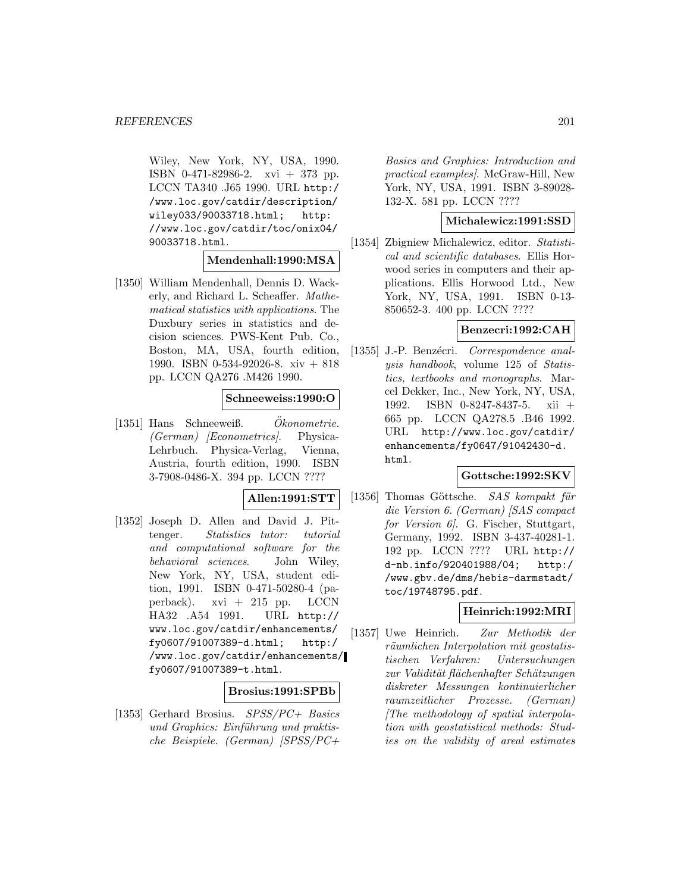Wiley, New York, NY, USA, 1990. ISBN 0-471-82986-2. xvi + 373 pp. LCCN TA340 .J65 1990. URL http:/ /www.loc.gov/catdir/description/ wiley033/90033718.html; http: //www.loc.gov/catdir/toc/onix04/ 90033718.html.

**Mendenhall:1990:MSA**

[1350] William Mendenhall, Dennis D. Wackerly, and Richard L. Scheaffer. Mathematical statistics with applications. The Duxbury series in statistics and decision sciences. PWS-Kent Pub. Co., Boston, MA, USA, fourth edition, 1990. ISBN 0-534-92026-8. xiv + 818 pp. LCCN QA276 .M426 1990.

#### **Schneeweiss:1990:O**

 $[1351]$  Hans Schneeweiß. Okonometrie.  $(German)$  *[Econometrics]*. Physica-Lehrbuch. Physica-Verlag, Vienna, Austria, fourth edition, 1990. ISBN 3-7908-0486-X. 394 pp. LCCN ????

#### **Allen:1991:STT**

[1352] Joseph D. Allen and David J. Pittenger. Statistics tutor: tutorial and computational software for the behavioral sciences. John Wiley, New York, NY, USA, student edition, 1991. ISBN 0-471-50280-4 (paperback). xvi + 215 pp. LCCN HA32 .A54 1991. URL http:// www.loc.gov/catdir/enhancements/ fy0607/91007389-d.html; http:/ /www.loc.gov/catdir/enhancements/ fy0607/91007389-t.html.

### **Brosius:1991:SPBb**

[1353] Gerhard Brosius. SPSS/PC+ Basics und Graphics: Einführung und praktische Beispiele. (German) [SPSS/PC+

Basics and Graphics: Introduction and practical examples]. McGraw-Hill, New York, NY, USA, 1991. ISBN 3-89028- 132-X. 581 pp. LCCN ????

### **Michalewicz:1991:SSD**

[1354] Zbigniew Michalewicz, editor. Statistical and scientific databases. Ellis Horwood series in computers and their applications. Ellis Horwood Ltd., New York, NY, USA, 1991. ISBN 0-13- 850652-3. 400 pp. LCCN ????

#### **Benzecri:1992:CAH**

[1355] J.-P. Benzécri. Correspondence analysis handbook, volume 125 of Statistics, textbooks and monographs. Marcel Dekker, Inc., New York, NY, USA, 1992. ISBN 0-8247-8437-5. xii + 665 pp. LCCN QA278.5 .B46 1992. URL http://www.loc.gov/catdir/ enhancements/fy0647/91042430-d. html.

#### **Gottsche:1992:SKV**

[1356] Thomas Göttsche. SAS kompakt für die Version 6. (German) [SAS compact for Version 6. G. Fischer, Stuttgart, Germany, 1992. ISBN 3-437-40281-1. 192 pp. LCCN ???? URL http:// d-nb.info/920401988/04; http:/ /www.gbv.de/dms/hebis-darmstadt/ toc/19748795.pdf.

### **Heinrich:1992:MRI**

[1357] Uwe Heinrich. Zur Methodik der räumlichen Interpolation mit geostatistischen Verfahren: Untersuchungen zur Validität flächenhafter Schätzungen diskreter Messungen kontinuierlicher raumzeitlicher Prozesse. (German) [The methodology of spatial interpolation with geostatistical methods: Studies on the validity of areal estimates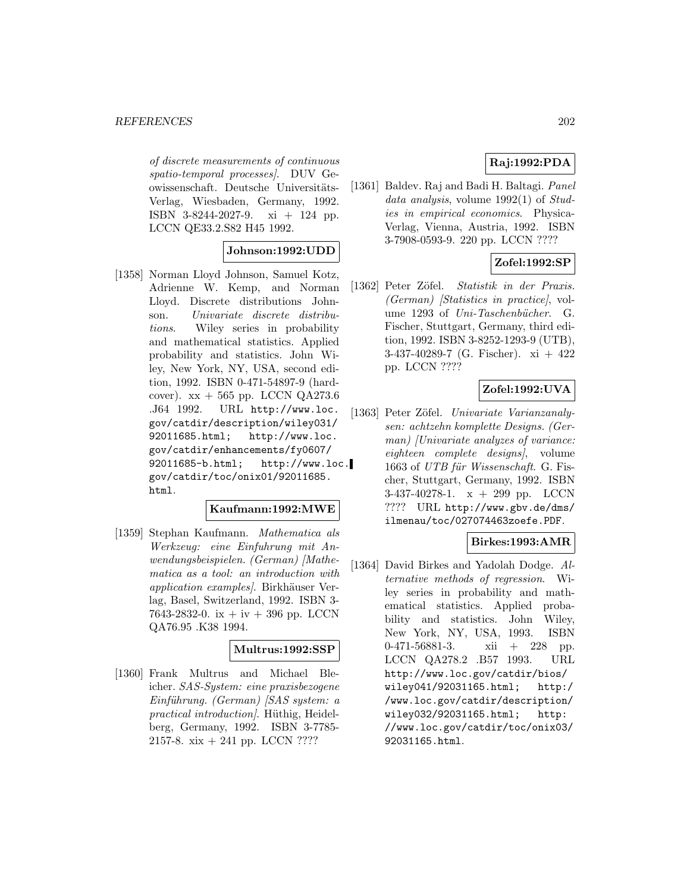of discrete measurements of continuous spatio-temporal processes]. DUV Geowissenschaft. Deutsche Universitäts-Verlag, Wiesbaden, Germany, 1992. ISBN 3-8244-2027-9. xi + 124 pp. LCCN QE33.2.S82 H45 1992.

### **Johnson:1992:UDD**

[1358] Norman Lloyd Johnson, Samuel Kotz, Adrienne W. Kemp, and Norman Lloyd. Discrete distributions Johnson. Univariate discrete distributions. Wiley series in probability and mathematical statistics. Applied probability and statistics. John Wiley, New York, NY, USA, second edition, 1992. ISBN 0-471-54897-9 (hardcover).  $xx + 565$  pp. LCCN QA273.6 .J64 1992. URL http://www.loc. gov/catdir/description/wiley031/ 92011685.html; http://www.loc. gov/catdir/enhancements/fy0607/ 92011685-b.html; http://www.loc. gov/catdir/toc/onix01/92011685. html.

### **Kaufmann:1992:MWE**

[1359] Stephan Kaufmann. Mathematica als Werkzeug: eine Einfuhrung mit Anwendungsbeispielen. (German) [Mathematica as a tool: an introduction with application examples). Birkhäuser Verlag, Basel, Switzerland, 1992. ISBN 3- 7643-2832-0. ix  $+$  iv  $+$  396 pp. LCCN QA76.95 .K38 1994.

## **Multrus:1992:SSP**

[1360] Frank Multrus and Michael Bleicher. SAS-System: eine praxisbezogene  $Einführung.$  (German) [SAS system: a practical introduction]. Hüthig, Heidelberg, Germany, 1992. ISBN 3-7785- 2157-8. xix + 241 pp. LCCN ????

# **Raj:1992:PDA**

[1361] Baldev. Raj and Badi H. Baltagi. Panel data analysis, volume  $1992(1)$  of  $Stud$ ies in empirical economics. Physica-Verlag, Vienna, Austria, 1992. ISBN 3-7908-0593-9. 220 pp. LCCN ????

# **Zofel:1992:SP**

[1362] Peter Zöfel. Statistik in der Praxis. (German) [Statistics in practice], volume 1293 of Uni-Taschenbücher. G. Fischer, Stuttgart, Germany, third edition, 1992. ISBN 3-8252-1293-9 (UTB), 3-437-40289-7 (G. Fischer). xi + 422 pp. LCCN ????

# **Zofel:1992:UVA**

[1363] Peter Zöfel. Univariate Varianzanalysen: achtzehn komplette Designs. (German) [Univariate analyzes of variance: eighteen complete designs], volume 1663 of UTB für Wissenschaft. G. Fischer, Stuttgart, Germany, 1992. ISBN 3-437-40278-1.  $x + 299$  pp. LCCN ???? URL http://www.gbv.de/dms/ ilmenau/toc/027074463zoefe.PDF.

### **Birkes:1993:AMR**

[1364] David Birkes and Yadolah Dodge. Alternative methods of regression. Wiley series in probability and mathematical statistics. Applied probability and statistics. John Wiley, New York, NY, USA, 1993. ISBN 0-471-56881-3. xii + 228 pp. LCCN QA278.2 .B57 1993. URL http://www.loc.gov/catdir/bios/ wiley041/92031165.html; http:/ /www.loc.gov/catdir/description/ wiley032/92031165.html; http: //www.loc.gov/catdir/toc/onix03/ 92031165.html.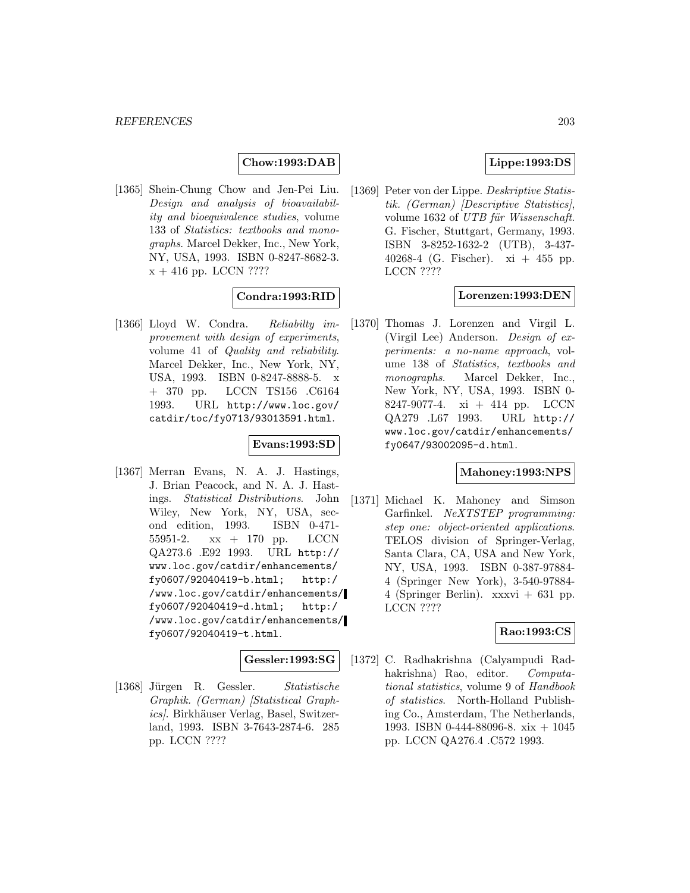# **Chow:1993:DAB**

[1365] Shein-Chung Chow and Jen-Pei Liu. Design and analysis of bioavailability and bioequivalence studies, volume 133 of Statistics: textbooks and monographs. Marcel Dekker, Inc., New York, NY, USA, 1993. ISBN 0-8247-8682-3.  $\rm x$  + 416 pp. LCCN ????

# **Condra:1993:RID**

[1366] Lloyd W. Condra. Reliabilty improvement with design of experiments, volume 41 of Quality and reliability. Marcel Dekker, Inc., New York, NY, USA, 1993. ISBN 0-8247-8888-5. x + 370 pp. LCCN TS156 .C6164 1993. URL http://www.loc.gov/ catdir/toc/fy0713/93013591.html.

#### **Evans:1993:SD**

[1367] Merran Evans, N. A. J. Hastings, J. Brian Peacock, and N. A. J. Hastings. Statistical Distributions. John Wiley, New York, NY, USA, second edition, 1993. ISBN 0-471- 55951-2. xx + 170 pp. LCCN QA273.6 .E92 1993. URL http:// www.loc.gov/catdir/enhancements/ fy0607/92040419-b.html; http:/ /www.loc.gov/catdir/enhancements/ fy0607/92040419-d.html; http:/ /www.loc.gov/catdir/enhancements/ fy0607/92040419-t.html.

#### **Gessler:1993:SG**

[1368] Jürgen R. Gessler. Statistische Graphik. (German) [Statistical Graphics). Birkhäuser Verlag, Basel, Switzerland, 1993. ISBN 3-7643-2874-6. 285 pp. LCCN ????

## **Lippe:1993:DS**

[1369] Peter von der Lippe. Deskriptive Statistik. (German) [Descriptive Statistics], volume 1632 of UTB für Wissenschaft. G. Fischer, Stuttgart, Germany, 1993. ISBN 3-8252-1632-2 (UTB), 3-437- 40268-4 (G. Fischer). xi + 455 pp. LCCN ????

# **Lorenzen:1993:DEN**

[1370] Thomas J. Lorenzen and Virgil L. (Virgil Lee) Anderson. Design of experiments: a no-name approach, volume 138 of Statistics, textbooks and monographs. Marcel Dekker, Inc., New York, NY, USA, 1993. ISBN 0- 8247-9077-4. xi + 414 pp. LCCN QA279 .L67 1993. URL http:// www.loc.gov/catdir/enhancements/ fy0647/93002095-d.html.

#### **Mahoney:1993:NPS**

[1371] Michael K. Mahoney and Simson Garfinkel. NeXTSTEP programming: step one: object-oriented applications. TELOS division of Springer-Verlag, Santa Clara, CA, USA and New York, NY, USA, 1993. ISBN 0-387-97884- 4 (Springer New York), 3-540-97884- 4 (Springer Berlin). xxxvi + 631 pp. LCCN ????

## **Rao:1993:CS**

[1372] C. Radhakrishna (Calyampudi Radhakrishna) Rao, editor. Computational statistics, volume 9 of Handbook of statistics. North-Holland Publishing Co., Amsterdam, The Netherlands, 1993. ISBN 0-444-88096-8. xix + 1045 pp. LCCN QA276.4 .C572 1993.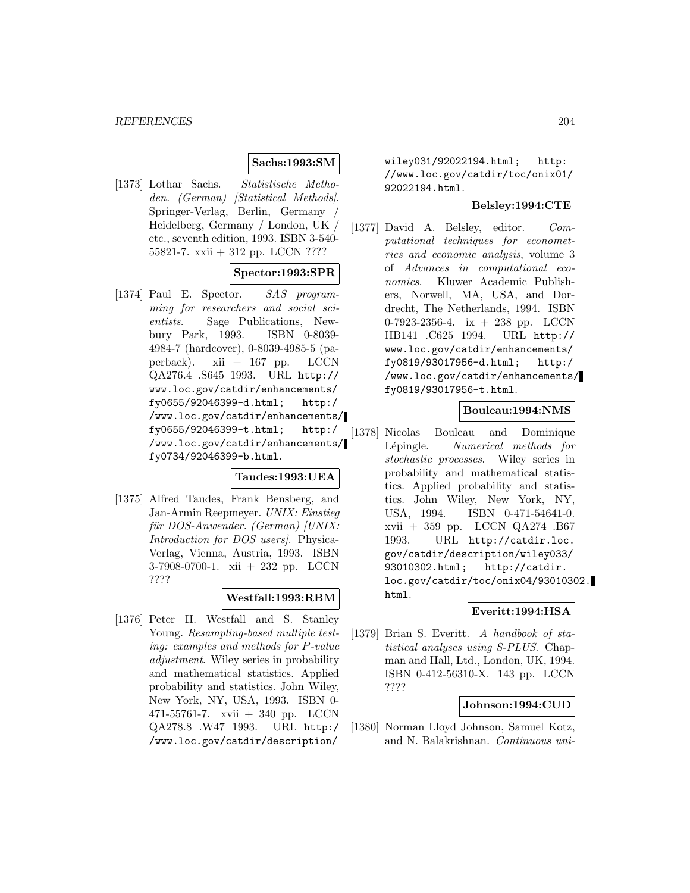## **Sachs:1993:SM**

[1373] Lothar Sachs. Statistische Methoden. (German) [Statistical Methods]. Springer-Verlag, Berlin, Germany / Heidelberg, Germany / London, UK / etc., seventh edition, 1993. ISBN 3-540- 55821-7. xxii + 312 pp. LCCN ????

## **Spector:1993:SPR**

[1374] Paul E. Spector. SAS programming for researchers and social scientists. Sage Publications, Newbury Park, 1993. ISBN 0-8039- 4984-7 (hardcover), 0-8039-4985-5 (paperback). xii + 167 pp. LCCN QA276.4 .S645 1993. URL http:// www.loc.gov/catdir/enhancements/ fy0655/92046399-d.html; http:/ /www.loc.gov/catdir/enhancements/ fy0655/92046399-t.html; http:/ /www.loc.gov/catdir/enhancements/ fy0734/92046399-b.html.

### **Taudes:1993:UEA**

[1375] Alfred Taudes, Frank Bensberg, and Jan-Armin Reepmeyer. UNIX: Einstieg für DOS-Anwender. (German) [UNIX: Introduction for DOS users]. Physica-Verlag, Vienna, Austria, 1993. ISBN 3-7908-0700-1. xii + 232 pp. LCCN ????

### **Westfall:1993:RBM**

[1376] Peter H. Westfall and S. Stanley Young. Resampling-based multiple testing: examples and methods for P-value adjustment. Wiley series in probability and mathematical statistics. Applied probability and statistics. John Wiley, New York, NY, USA, 1993. ISBN 0- 471-55761-7. xvii + 340 pp. LCCN QA278.8 .W47 1993. URL http:/ /www.loc.gov/catdir/description/

wiley031/92022194.html; http: //www.loc.gov/catdir/toc/onix01/ 92022194.html.

# **Belsley:1994:CTE**

[1377] David A. Belsley, editor. Computational techniques for econometrics and economic analysis, volume 3 of Advances in computational economics. Kluwer Academic Publishers, Norwell, MA, USA, and Dordrecht, The Netherlands, 1994. ISBN 0-7923-2356-4. ix + 238 pp. LCCN HB141 .C625 1994. URL http:// www.loc.gov/catdir/enhancements/ fy0819/93017956-d.html; http:/ /www.loc.gov/catdir/enhancements/ fy0819/93017956-t.html.

## **Bouleau:1994:NMS**

[1378] Nicolas Bouleau and Dominique Lépingle. Numerical methods for stochastic processes. Wiley series in probability and mathematical statistics. Applied probability and statistics. John Wiley, New York, NY, USA, 1994. ISBN 0-471-54641-0. xvii + 359 pp. LCCN QA274 .B67 1993. URL http://catdir.loc. gov/catdir/description/wiley033/ 93010302.html; http://catdir. loc.gov/catdir/toc/onix04/93010302. html.

# **Everitt:1994:HSA**

[1379] Brian S. Everitt. A handbook of statistical analyses using S-PLUS. Chapman and Hall, Ltd., London, UK, 1994. ISBN 0-412-56310-X. 143 pp. LCCN ????

### **Johnson:1994:CUD**

[1380] Norman Lloyd Johnson, Samuel Kotz, and N. Balakrishnan. Continuous uni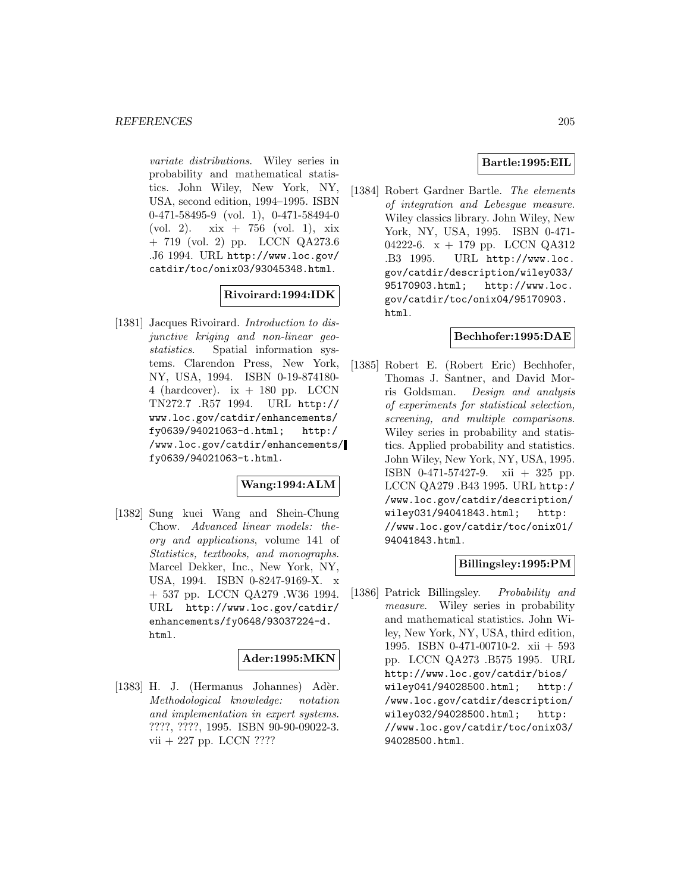variate distributions. Wiley series in probability and mathematical statistics. John Wiley, New York, NY, USA, second edition, 1994–1995. ISBN 0-471-58495-9 (vol. 1), 0-471-58494-0 (vol. 2). xix + 756 (vol. 1), xix + 719 (vol. 2) pp. LCCN QA273.6 .J6 1994. URL http://www.loc.gov/ catdir/toc/onix03/93045348.html.

# **Rivoirard:1994:IDK**

[1381] Jacques Rivoirard. *Introduction to dis*junctive kriging and non-linear geostatistics. Spatial information systems. Clarendon Press, New York, NY, USA, 1994. ISBN 0-19-874180- 4 (hardcover).  $ix + 180$  pp. LCCN TN272.7 .R57 1994. URL http:// www.loc.gov/catdir/enhancements/ fy0639/94021063-d.html; http:/ /www.loc.gov/catdir/enhancements/ fy0639/94021063-t.html.

# **Wang:1994:ALM**

[1382] Sung kuei Wang and Shein-Chung Chow. Advanced linear models: theory and applications, volume 141 of Statistics, textbooks, and monographs. Marcel Dekker, Inc., New York, NY, USA, 1994. ISBN 0-8247-9169-X. x + 537 pp. LCCN QA279 .W36 1994. URL http://www.loc.gov/catdir/ enhancements/fy0648/93037224-d. html.

#### **Ader:1995:MKN**

[1383] H. J. (Hermanus Johannes) Adèr. Methodological knowledge: notation and implementation in expert systems. ????, ????, 1995. ISBN 90-90-09022-3. vii + 227 pp. LCCN ????

## **Bartle:1995:EIL**

[1384] Robert Gardner Bartle. The elements of integration and Lebesgue measure. Wiley classics library. John Wiley, New York, NY, USA, 1995. ISBN 0-471- 04222-6. x + 179 pp. LCCN QA312 .B3 1995. URL http://www.loc. gov/catdir/description/wiley033/ 95170903.html; http://www.loc. gov/catdir/toc/onix04/95170903. html.

#### **Bechhofer:1995:DAE**

[1385] Robert E. (Robert Eric) Bechhofer, Thomas J. Santner, and David Morris Goldsman. Design and analysis of experiments for statistical selection, screening, and multiple comparisons. Wiley series in probability and statistics. Applied probability and statistics. John Wiley, New York, NY, USA, 1995. ISBN 0-471-57427-9. xii + 325 pp. LCCN QA279 .B43 1995. URL http:/ /www.loc.gov/catdir/description/ wiley031/94041843.html; http: //www.loc.gov/catdir/toc/onix01/ 94041843.html.

### **Billingsley:1995:PM**

[1386] Patrick Billingsley. Probability and measure. Wiley series in probability and mathematical statistics. John Wiley, New York, NY, USA, third edition, 1995. ISBN 0-471-00710-2. xii + 593 pp. LCCN QA273 .B575 1995. URL http://www.loc.gov/catdir/bios/ wiley041/94028500.html; http:/ /www.loc.gov/catdir/description/ wiley032/94028500.html; http: //www.loc.gov/catdir/toc/onix03/ 94028500.html.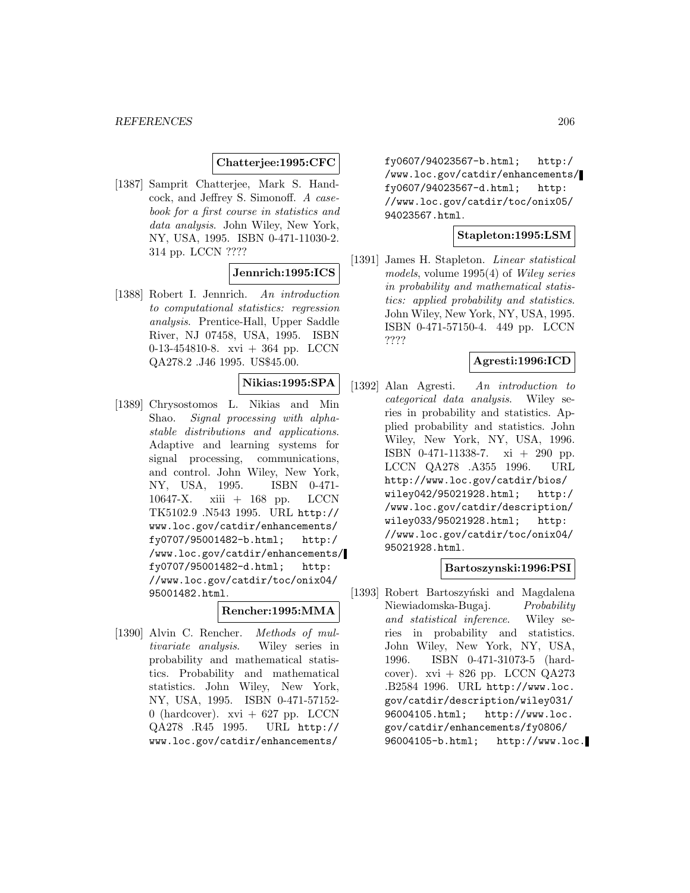### **Chatterjee:1995:CFC**

[1387] Samprit Chatterjee, Mark S. Handcock, and Jeffrey S. Simonoff. A casebook for a first course in statistics and data analysis. John Wiley, New York, NY, USA, 1995. ISBN 0-471-11030-2. 314 pp. LCCN ????

### **Jennrich:1995:ICS**

[1388] Robert I. Jennrich. An introduction to computational statistics: regression analysis. Prentice-Hall, Upper Saddle River, NJ 07458, USA, 1995. ISBN 0-13-454810-8. xvi + 364 pp. LCCN QA278.2 .J46 1995. US\$45.00.

### **Nikias:1995:SPA**

[1389] Chrysostomos L. Nikias and Min Shao. Signal processing with alphastable distributions and applications. Adaptive and learning systems for signal processing, communications, and control. John Wiley, New York, NY, USA, 1995. ISBN 0-471- 10647-X. xiii + 168 pp. LCCN TK5102.9 .N543 1995. URL http:// www.loc.gov/catdir/enhancements/ fy0707/95001482-b.html; http:/ /www.loc.gov/catdir/enhancements/ fy0707/95001482-d.html; http: //www.loc.gov/catdir/toc/onix04/ 95001482.html.

# **Rencher:1995:MMA**

[1390] Alvin C. Rencher. Methods of multivariate analysis. Wiley series in probability and mathematical statistics. Probability and mathematical statistics. John Wiley, New York, NY, USA, 1995. ISBN 0-471-57152- 0 (hardcover).  $xvi + 627$  pp. LCCN QA278 .R45 1995. URL http:// www.loc.gov/catdir/enhancements/

fy0607/94023567-b.html; http:/ /www.loc.gov/catdir/enhancements/ fy0607/94023567-d.html; http: //www.loc.gov/catdir/toc/onix05/ 94023567.html.

#### **Stapleton:1995:LSM**

[1391] James H. Stapleton. Linear statistical models, volume 1995(4) of Wiley series in probability and mathematical statistics: applied probability and statistics. John Wiley, New York, NY, USA, 1995. ISBN 0-471-57150-4. 449 pp. LCCN ????

### **Agresti:1996:ICD**

[1392] Alan Agresti. An introduction to categorical data analysis. Wiley series in probability and statistics. Applied probability and statistics. John Wiley, New York, NY, USA, 1996. ISBN 0-471-11338-7. xi + 290 pp. LCCN QA278 .A355 1996. URL http://www.loc.gov/catdir/bios/ wiley042/95021928.html; http:/ /www.loc.gov/catdir/description/ wiley033/95021928.html; http: //www.loc.gov/catdir/toc/onix04/ 95021928.html.

#### **Bartoszynski:1996:PSI**

[1393] Robert Bartoszyński and Magdalena Niewiadomska-Bugaj. Probability and statistical inference. Wiley series in probability and statistics. John Wiley, New York, NY, USA, 1996. ISBN 0-471-31073-5 (hardcover).  $xvi + 826$  pp. LCCN QA273 .B2584 1996. URL http://www.loc. gov/catdir/description/wiley031/ 96004105.html; http://www.loc. gov/catdir/enhancements/fy0806/ 96004105-b.html; http://www.loc.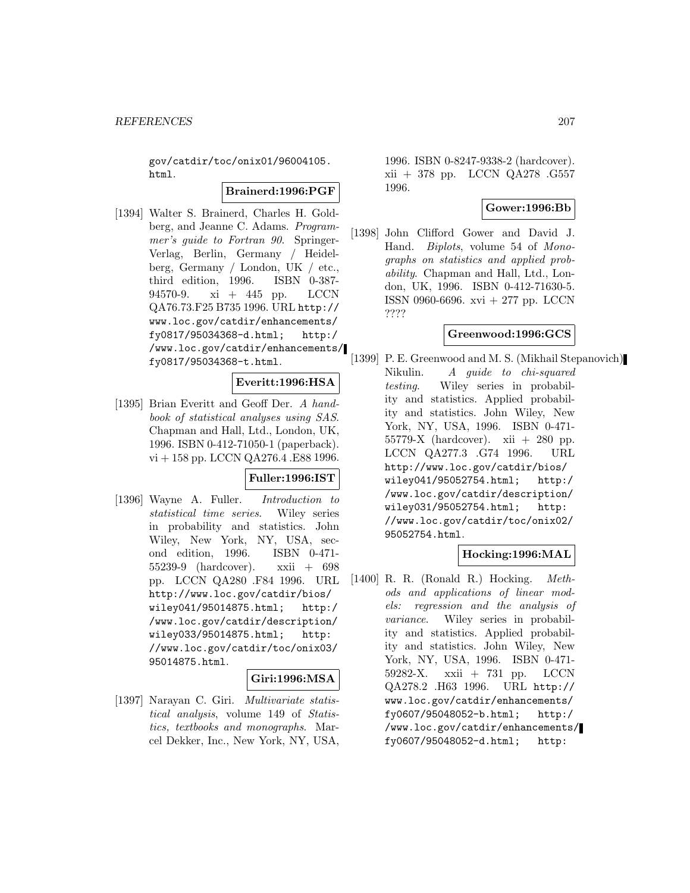gov/catdir/toc/onix01/96004105. html.

#### **Brainerd:1996:PGF**

[1394] Walter S. Brainerd, Charles H. Goldberg, and Jeanne C. Adams. *Program*mer's guide to Fortran 90. Springer-Verlag, Berlin, Germany / Heidelberg, Germany / London, UK / etc., third edition, 1996. ISBN 0-387- 94570-9. xi + 445 pp. LCCN QA76.73.F25 B735 1996. URL http:// www.loc.gov/catdir/enhancements/ fy0817/95034368-d.html; http:/ /www.loc.gov/catdir/enhancements/ fy0817/95034368-t.html.

### **Everitt:1996:HSA**

[1395] Brian Everitt and Geoff Der. A handbook of statistical analyses using SAS. Chapman and Hall, Ltd., London, UK, 1996. ISBN 0-412-71050-1 (paperback). vi + 158 pp. LCCN QA276.4 .E88 1996.

### **Fuller:1996:IST**

[1396] Wayne A. Fuller. Introduction to statistical time series. Wiley series in probability and statistics. John Wiley, New York, NY, USA, second edition, 1996. ISBN 0-471- 55239-9 (hardcover). xxii + 698 pp. LCCN QA280 .F84 1996. URL http://www.loc.gov/catdir/bios/ wiley041/95014875.html; http:/ /www.loc.gov/catdir/description/ wiley033/95014875.html; http: //www.loc.gov/catdir/toc/onix03/ 95014875.html.

### **Giri:1996:MSA**

[1397] Narayan C. Giri. Multivariate statistical analysis, volume 149 of Statistics, textbooks and monographs. Marcel Dekker, Inc., New York, NY, USA,

1996. ISBN 0-8247-9338-2 (hardcover). xii + 378 pp. LCCN QA278 .G557 1996.

### **Gower:1996:Bb**

[1398] John Clifford Gower and David J. Hand. Biplots, volume 54 of Monographs on statistics and applied probability. Chapman and Hall, Ltd., London, UK, 1996. ISBN 0-412-71630-5. ISSN 0960-6696. xvi + 277 pp. LCCN ????

# **Greenwood:1996:GCS**

[1399] P. E. Greenwood and M. S. (Mikhail Stepanovich) Nikulin. A guide to chi-squared testing. Wiley series in probability and statistics. Applied probability and statistics. John Wiley, New York, NY, USA, 1996. ISBN 0-471- 55779-X (hardcover). xii + 280 pp. LCCN QA277.3 .G74 1996. URL http://www.loc.gov/catdir/bios/ wiley041/95052754.html; http:/ /www.loc.gov/catdir/description/ wiley031/95052754.html; http: //www.loc.gov/catdir/toc/onix02/ 95052754.html.

#### **Hocking:1996:MAL**

[1400] R. R. (Ronald R.) Hocking. Methods and applications of linear models: regression and the analysis of variance. Wiley series in probability and statistics. Applied probability and statistics. John Wiley, New York, NY, USA, 1996. ISBN 0-471- 59282-X. xxii + 731 pp. LCCN QA278.2 .H63 1996. URL http:// www.loc.gov/catdir/enhancements/ fy0607/95048052-b.html; http:/ /www.loc.gov/catdir/enhancements/ fy0607/95048052-d.html; http: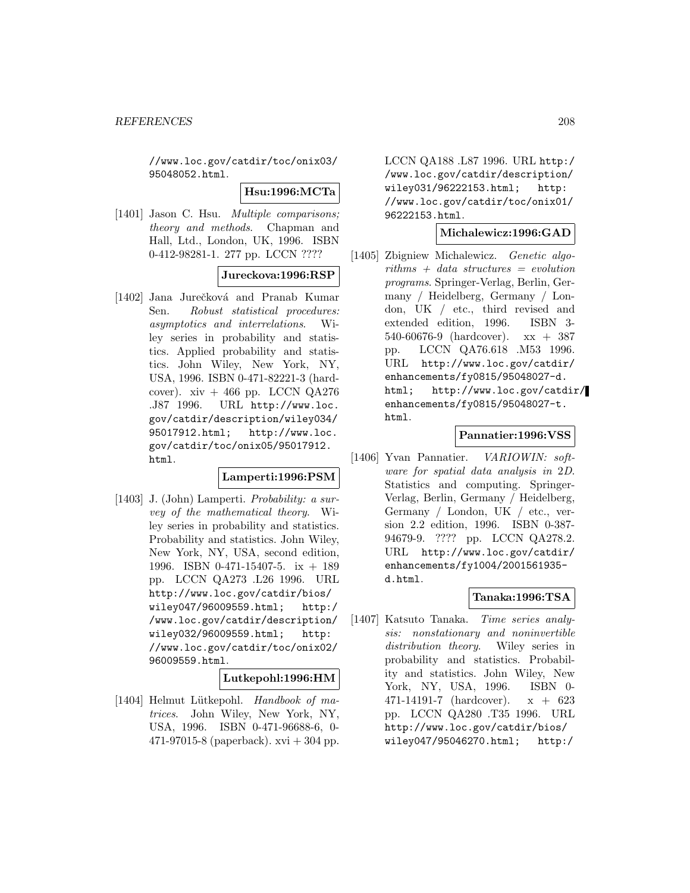//www.loc.gov/catdir/toc/onix03/ 95048052.html.

#### **Hsu:1996:MCTa**

[1401] Jason C. Hsu. *Multiple comparisons:* theory and methods. Chapman and Hall, Ltd., London, UK, 1996. ISBN 0-412-98281-1. 277 pp. LCCN ????

### **Jureckova:1996:RSP**

[1402] Jana Jurečková and Pranab Kumar Sen. Robust statistical procedures: asymptotics and interrelations. Wiley series in probability and statistics. Applied probability and statistics. John Wiley, New York, NY, USA, 1996. ISBN 0-471-82221-3 (hardcover).  $xiv + 466$  pp. LCCN QA276 .J87 1996. URL http://www.loc. gov/catdir/description/wiley034/ 95017912.html; http://www.loc. gov/catdir/toc/onix05/95017912. html.

#### **Lamperti:1996:PSM**

[1403] J. (John) Lamperti. Probability: a survey of the mathematical theory. Wiley series in probability and statistics. Probability and statistics. John Wiley, New York, NY, USA, second edition, 1996. ISBN 0-471-15407-5. ix + 189 pp. LCCN QA273 .L26 1996. URL http://www.loc.gov/catdir/bios/ wiley047/96009559.html; http:/ /www.loc.gov/catdir/description/ wiley032/96009559.html; http: //www.loc.gov/catdir/toc/onix02/ 96009559.html.

#### **Lutkepohl:1996:HM**

[1404] Helmut Lütkepohl. Handbook of matrices. John Wiley, New York, NY, USA, 1996. ISBN 0-471-96688-6, 0- 471-97015-8 (paperback).  $xvi + 304$  pp.

LCCN QA188 .L87 1996. URL http:/ /www.loc.gov/catdir/description/ wiley031/96222153.html; http: //www.loc.gov/catdir/toc/onix01/ 96222153.html.

#### **Michalewicz:1996:GAD**

[1405] Zbigniew Michalewicz. *Genetic algo* $rithms + data structures = evolution$ programs. Springer-Verlag, Berlin, Germany / Heidelberg, Germany / London, UK / etc., third revised and extended edition, 1996. ISBN 3- 540-60676-9 (hardcover). xx + 387 pp. LCCN QA76.618 .M53 1996. URL http://www.loc.gov/catdir/ enhancements/fy0815/95048027-d. html; http://www.loc.gov/catdir/ enhancements/fy0815/95048027-t. html.

#### **Pannatier:1996:VSS**

[1406] Yvan Pannatier. VARIOWIN: software for spatial data analysis in 2D. Statistics and computing. Springer-Verlag, Berlin, Germany / Heidelberg, Germany / London, UK / etc., version 2.2 edition, 1996. ISBN 0-387- 94679-9. ???? pp. LCCN QA278.2. URL http://www.loc.gov/catdir/ enhancements/fy1004/2001561935 d.html.

### **Tanaka:1996:TSA**

[1407] Katsuto Tanaka. Time series analysis: nonstationary and noninvertible distribution theory. Wiley series in probability and statistics. Probability and statistics. John Wiley, New York, NY, USA, 1996. ISBN 0- 471-14191-7 (hardcover). x + 623 pp. LCCN QA280 .T35 1996. URL http://www.loc.gov/catdir/bios/ wiley047/95046270.html; http:/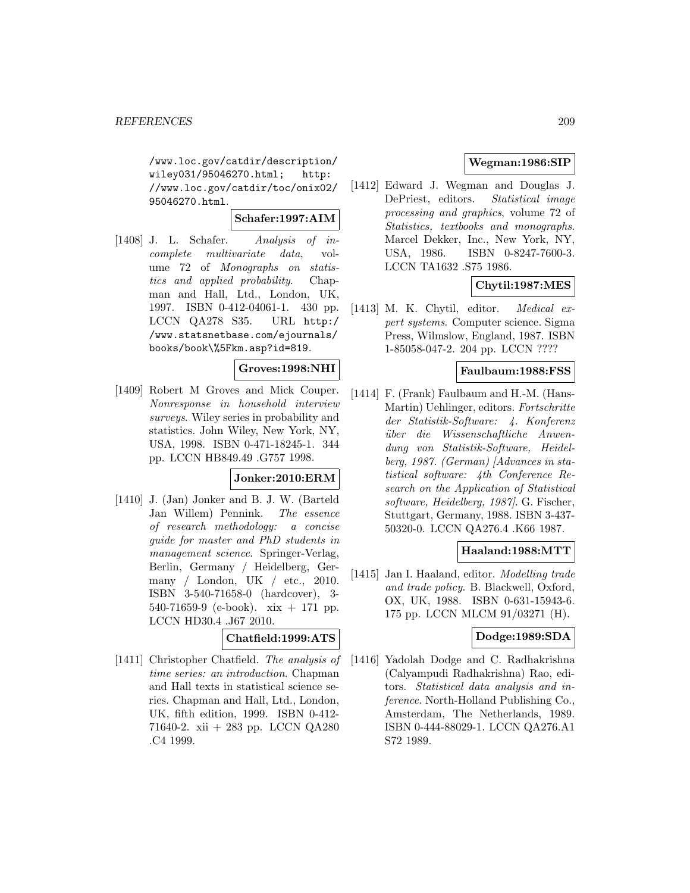/www.loc.gov/catdir/description/ wiley031/95046270.html; http: //www.loc.gov/catdir/toc/onix02/ 95046270.html.

### **Schafer:1997:AIM**

[1408] J. L. Schafer. Analysis of incomplete multivariate data, volume 72 of Monographs on statistics and applied probability. Chapman and Hall, Ltd., London, UK, 1997. ISBN 0-412-04061-1. 430 pp. LCCN QA278 S35. URL http:/ /www.statsnetbase.com/ejournals/ books/book\%5Fkm.asp?id=819.

#### **Groves:1998:NHI**

[1409] Robert M Groves and Mick Couper. Nonresponse in household interview surveys. Wiley series in probability and statistics. John Wiley, New York, NY, USA, 1998. ISBN 0-471-18245-1. 344 pp. LCCN HB849.49 .G757 1998.

### **Jonker:2010:ERM**

[1410] J. (Jan) Jonker and B. J. W. (Barteld Jan Willem) Pennink. The essence of research methodology: a concise guide for master and PhD students in management science. Springer-Verlag, Berlin, Germany / Heidelberg, Germany / London, UK / etc., 2010. ISBN 3-540-71658-0 (hardcover), 3- 540-71659-9 (e-book). xix + 171 pp. LCCN HD30.4 .J67 2010.

#### **Chatfield:1999:ATS**

[1411] Christopher Chatfield. The analysis of time series: an introduction. Chapman and Hall texts in statistical science series. Chapman and Hall, Ltd., London, UK, fifth edition, 1999. ISBN 0-412- 71640-2. xii + 283 pp. LCCN QA280 .C4 1999.

# **Wegman:1986:SIP**

[1412] Edward J. Wegman and Douglas J. DePriest, editors. Statistical image processing and graphics, volume 72 of Statistics, textbooks and monographs. Marcel Dekker, Inc., New York, NY, USA, 1986. ISBN 0-8247-7600-3. LCCN TA1632 .S75 1986.

# **Chytil:1987:MES**

[1413] M. K. Chytil, editor. Medical expert systems. Computer science. Sigma Press, Wilmslow, England, 1987. ISBN 1-85058-047-2. 204 pp. LCCN ????

#### **Faulbaum:1988:FSS**

[1414] F. (Frank) Faulbaum and H.-M. (Hans-Martin) Uehlinger, editors. Fortschritte der Statistik-Software: 4. Konferenz über die Wissenschaftliche Anwendung von Statistik-Software, Heidelberg, 1987. (German) [Advances in statistical software: 4th Conference Research on the Application of Statistical software, Heidelberg, 1987]. G. Fischer, Stuttgart, Germany, 1988. ISBN 3-437- 50320-0. LCCN QA276.4 .K66 1987.

#### **Haaland:1988:MTT**

[1415] Jan I. Haaland, editor. Modelling trade and trade policy. B. Blackwell, Oxford, OX, UK, 1988. ISBN 0-631-15943-6. 175 pp. LCCN MLCM 91/03271 (H).

#### **Dodge:1989:SDA**

[1416] Yadolah Dodge and C. Radhakrishna (Calyampudi Radhakrishna) Rao, editors. Statistical data analysis and inference. North-Holland Publishing Co., Amsterdam, The Netherlands, 1989. ISBN 0-444-88029-1. LCCN QA276.A1 S72 1989.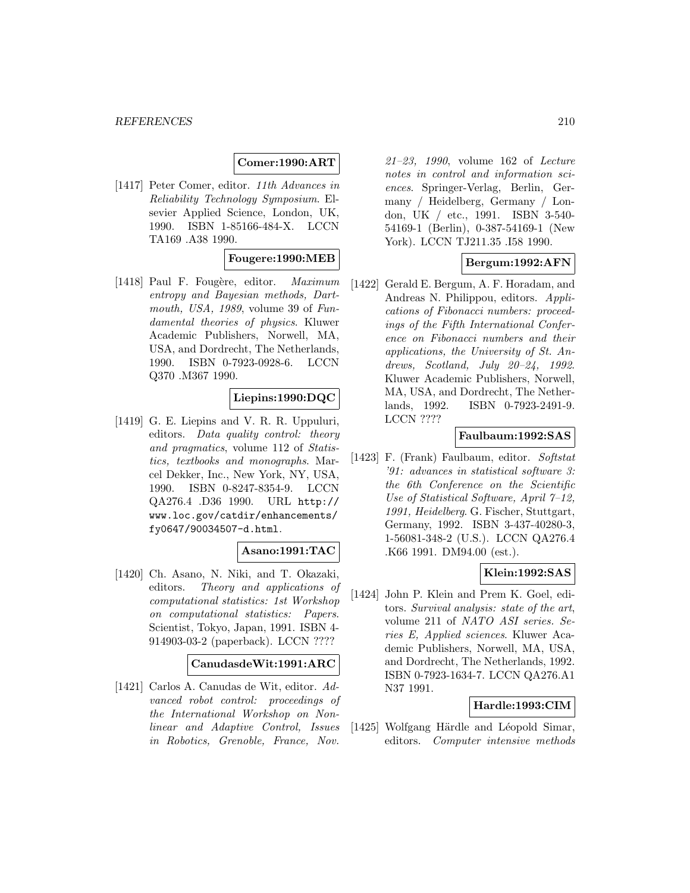# **Comer:1990:ART**

[1417] Peter Comer, editor. 11th Advances in Reliability Technology Symposium. Elsevier Applied Science, London, UK, 1990. ISBN 1-85166-484-X. LCCN TA169 .A38 1990.

### **Fougere:1990:MEB**

[1418] Paul F. Fougère, editor.  $Maximum$ entropy and Bayesian methods, Dartmouth, USA, 1989, volume 39 of Fundamental theories of physics. Kluwer Academic Publishers, Norwell, MA, USA, and Dordrecht, The Netherlands, 1990. ISBN 0-7923-0928-6. LCCN Q370 .M367 1990.

#### **Liepins:1990:DQC**

[1419] G. E. Liepins and V. R. R. Uppuluri, editors. Data quality control: theory and pragmatics, volume 112 of Statistics, textbooks and monographs. Marcel Dekker, Inc., New York, NY, USA, 1990. ISBN 0-8247-8354-9. LCCN QA276.4 .D36 1990. URL http:// www.loc.gov/catdir/enhancements/ fy0647/90034507-d.html.

### **Asano:1991:TAC**

[1420] Ch. Asano, N. Niki, and T. Okazaki, editors. Theory and applications of computational statistics: 1st Workshop on computational statistics: Papers. Scientist, Tokyo, Japan, 1991. ISBN 4- 914903-03-2 (paperback). LCCN ????

#### **CanudasdeWit:1991:ARC**

[1421] Carlos A. Canudas de Wit, editor. Advanced robot control: proceedings of the International Workshop on Nonlinear and Adaptive Control, Issues in Robotics, Grenoble, France, Nov.

21–23, 1990, volume 162 of Lecture notes in control and information sciences. Springer-Verlag, Berlin, Germany / Heidelberg, Germany / London, UK / etc., 1991. ISBN 3-540- 54169-1 (Berlin), 0-387-54169-1 (New York). LCCN TJ211.35 .I58 1990.

# **Bergum:1992:AFN**

[1422] Gerald E. Bergum, A. F. Horadam, and Andreas N. Philippou, editors. Applications of Fibonacci numbers: proceedings of the Fifth International Conference on Fibonacci numbers and their applications, the University of St. Andrews, Scotland, July 20–24, 1992. Kluwer Academic Publishers, Norwell, MA, USA, and Dordrecht, The Netherlands, 1992. ISBN 0-7923-2491-9. LCCN ????

#### **Faulbaum:1992:SAS**

[1423] F. (Frank) Faulbaum, editor. Softstat '91: advances in statistical software 3: the 6th Conference on the Scientific Use of Statistical Software, April 7–12, 1991, Heidelberg. G. Fischer, Stuttgart, Germany, 1992. ISBN 3-437-40280-3, 1-56081-348-2 (U.S.). LCCN QA276.4 .K66 1991. DM94.00 (est.).

### **Klein:1992:SAS**

[1424] John P. Klein and Prem K. Goel, editors. Survival analysis: state of the art, volume 211 of NATO ASI series. Series E, Applied sciences. Kluwer Academic Publishers, Norwell, MA, USA, and Dordrecht, The Netherlands, 1992. ISBN 0-7923-1634-7. LCCN QA276.A1 N37 1991.

# **Hardle:1993:CIM**

[1425] Wolfgang Härdle and Léopold Simar, editors. Computer intensive methods